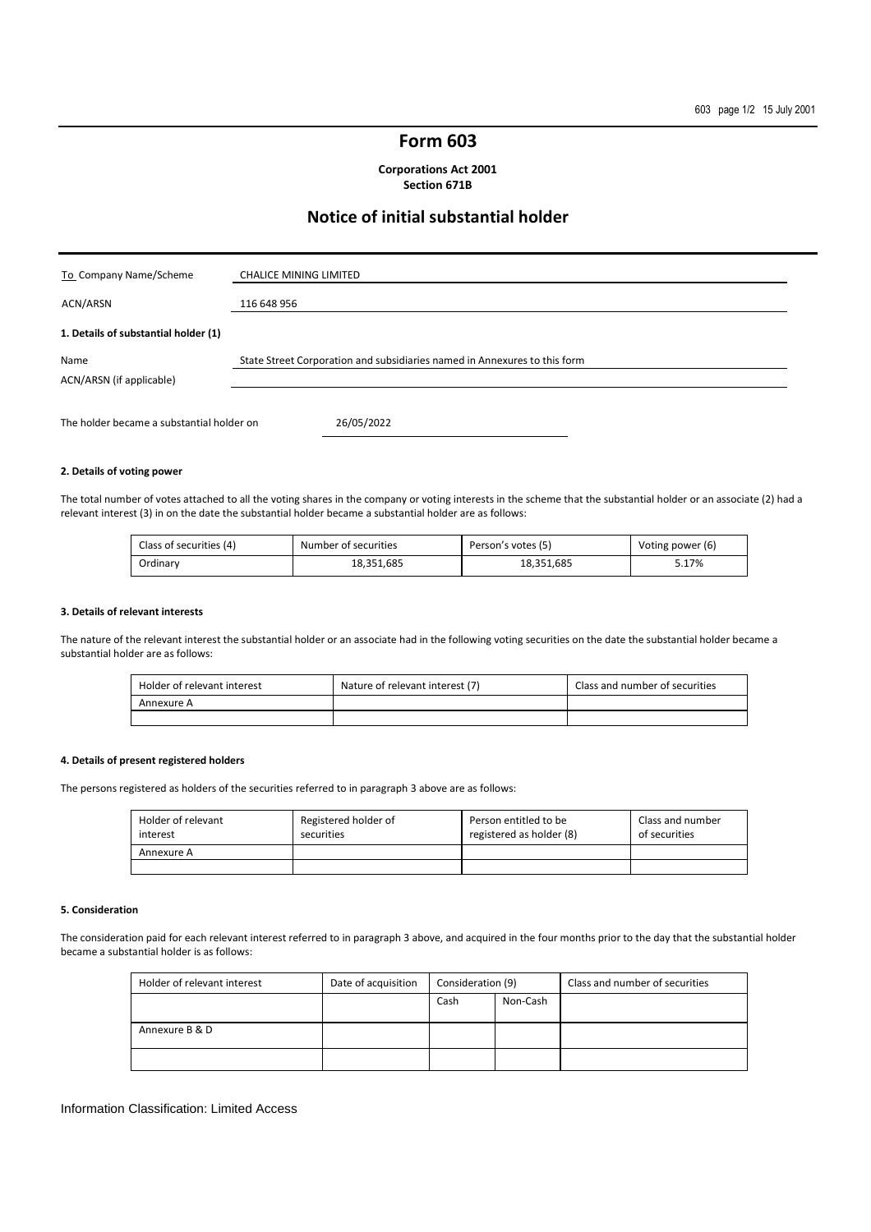## **Form 603**

**Corporations Act 2001 Section 671B** 

## **Notice of initial substantial holder**

| To Company Name/Scheme                    | <b>CHALICE MINING LIMITED</b>                                             |
|-------------------------------------------|---------------------------------------------------------------------------|
| ACN/ARSN                                  | 116 648 956                                                               |
| 1. Details of substantial holder (1)      |                                                                           |
| Name<br>ACN/ARSN (if applicable)          | State Street Corporation and subsidiaries named in Annexures to this form |
| The holder became a substantial holder on | 26/05/2022                                                                |

#### **2. Details of voting power**

The total number of votes attached to all the voting shares in the company or voting interests in the scheme that the substantial holder or an associate (2) had a relevant interest (3) in on the date the substantial holder became a substantial holder are as follows:

| Class of securities (4) | Number of securities | Person's votes (5) | Voting power (6) |
|-------------------------|----------------------|--------------------|------------------|
| Ordinary                | 18.351.685           | 18.351.685         | 5.17%            |

#### **3. Details of relevant interests**

The nature of the relevant interest the substantial holder or an associate had in the following voting securities on the date the substantial holder became a substantial holder are as follows:

| Holder of relevant interest | Nature of relevant interest (7) | Class and number of securities |
|-----------------------------|---------------------------------|--------------------------------|
| Annexure A                  |                                 |                                |
|                             |                                 |                                |

### **4. Details of present registered holders**

The persons registered as holders of the securities referred to in paragraph 3 above are as follows:

| Holder of relevant<br>interest | Registered holder of<br>securities | Person entitled to be<br>registered as holder (8) | Class and number<br>of securities |
|--------------------------------|------------------------------------|---------------------------------------------------|-----------------------------------|
| Annexure A                     |                                    |                                                   |                                   |
|                                |                                    |                                                   |                                   |

#### **5. Consideration**

The consideration paid for each relevant interest referred to in paragraph 3 above, and acquired in the four months prior to the day that the substantial holder became a substantial holder is as follows:

| Holder of relevant interest | Date of acquisition | Consideration (9) |          | Class and number of securities |
|-----------------------------|---------------------|-------------------|----------|--------------------------------|
|                             |                     | Cash              | Non-Cash |                                |
|                             |                     |                   |          |                                |
| Annexure B & D              |                     |                   |          |                                |
|                             |                     |                   |          |                                |

#### Information Classification: Limited Access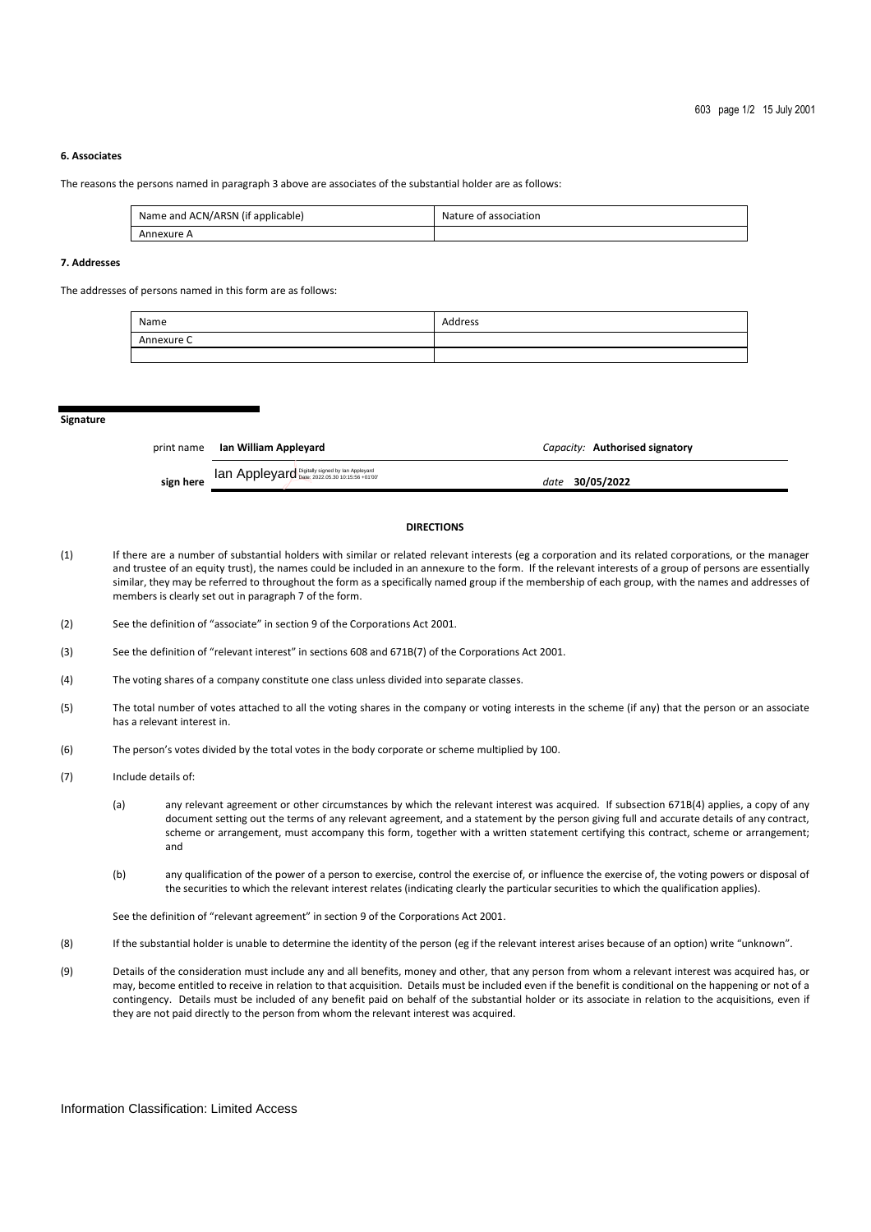#### **6. Associates**

The reasons the persons named in paragraph 3 above are associates of the substantial holder are as follows:

| Name and ACN/ARSN (if applicable) | Nature of association |
|-----------------------------------|-----------------------|
| Annexure A                        |                       |

#### **7. Addresses**

The addresses of persons named in this form are as follows:

| Name       | Address |
|------------|---------|
| Annexure C |         |
|            |         |

**Signature** 

|           | print name Ian William Appleyard                | Capacity: Authorised signatory |
|-----------|-------------------------------------------------|--------------------------------|
| sign here | Ian Appleyard Digitally signed by Ian Appleyard | date 30/05/2022                |

#### **DIRECTIONS**

- (1) If there are a number of substantial holders with similar or related relevant interests (eg a corporation and its related corporations, or the manager and trustee of an equity trust), the names could be included in an annexure to the form. If the relevant interests of a group of persons are essentially similar, they may be referred to throughout the form as a specifically named group if the membership of each group, with the names and addresses of members is clearly set out in paragraph 7 of the form.
- (2) See the definition of "associate" in section 9 of the Corporations Act 2001.
- (3) See the definition of "relevant interest" in sections 608 and 671B(7) of the Corporations Act 2001.
- (4) The voting shares of a company constitute one class unless divided into separate classes.
- (5) The total number of votes attached to all the voting shares in the company or voting interests in the scheme (if any) that the person or an associate has a relevant interest in.
- (6) The person's votes divided by the total votes in the body corporate or scheme multiplied by 100.
- (7) Include details of:
	- (a) any relevant agreement or other circumstances by which the relevant interest was acquired. If subsection 671B(4) applies, a copy of any document setting out the terms of any relevant agreement, and a statement by the person giving full and accurate details of any contract, scheme or arrangement, must accompany this form, together with a written statement certifying this contract, scheme or arrangement; and
	- (b) any qualification of the power of a person to exercise, control the exercise of, or influence the exercise of, the voting powers or disposal of the securities to which the relevant interest relates (indicating clearly the particular securities to which the qualification applies).

See the definition of "relevant agreement" in section 9 of the Corporations Act 2001.

- (8) If the substantial holder is unable to determine the identity of the person (eg if the relevant interest arises because of an option) write "unknown".
- (9) Details of the consideration must include any and all benefits, money and other, that any person from whom a relevant interest was acquired has, or may, become entitled to receive in relation to that acquisition. Details must be included even if the benefit is conditional on the happening or not of a contingency. Details must be included of any benefit paid on behalf of the substantial holder or its associate in relation to the acquisitions, even if they are not paid directly to the person from whom the relevant interest was acquired.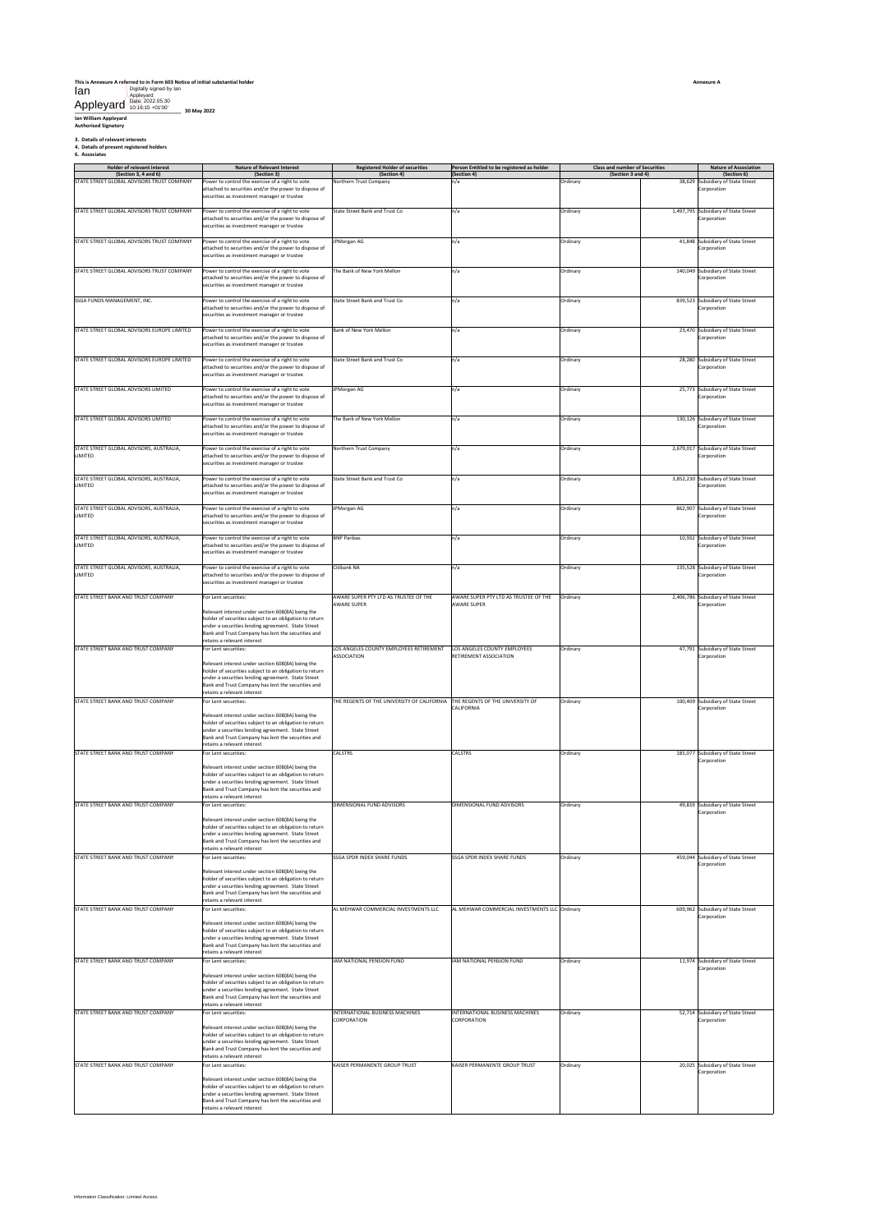#### **This is Annexure A referred to in Form 603 Notice of initial substantial holder** Ian Digitally signed by Ian Appleyard Date: 2022.05.30 10:16:15 +01'00'

Appleyard

**\_\_\_\_\_\_\_\_\_\_\_\_\_\_\_\_\_\_\_\_\_\_\_\_\_\_\_\_\_\_\_\_\_\_\_\_\_\_ 30 May 2022 Ian William Appleyard Authorised Signatory**

**3. Details of relevant interests 4. Details of present registered holders 6. Associates**

|  | 6. Associates |  |
|--|---------------|--|
|--|---------------|--|

| (Section 3, 4 and 6)<br>STATE STREET GLOBAL ADVISORS TRUST COMPANY | <b>Nature of Relevant Interest</b><br>(Section 3)                                                                                      | <b>Registered Holder of securities</b><br>(Section 4)                        | Person Entitled to be registered as holder<br>(Section 4) | <b>Class and number of Securities</b><br>(Section 3 and 4) | <b>Nature of Association</b><br>(Section 6)         |
|--------------------------------------------------------------------|----------------------------------------------------------------------------------------------------------------------------------------|------------------------------------------------------------------------------|-----------------------------------------------------------|------------------------------------------------------------|-----------------------------------------------------|
|                                                                    | ower to control the exercise of a right to vote                                                                                        | <b>Jorthern Trust Company</b>                                                | ٦/a                                                       | Ordinary                                                   | 38,629 Subsidiary of State Street                   |
|                                                                    | attached to securities and/or the power to dispose of<br>securities as investment manager or trustee                                   |                                                                              |                                                           |                                                            | Corporation                                         |
|                                                                    |                                                                                                                                        |                                                                              |                                                           |                                                            |                                                     |
| STATE STREET GLOBAL ADVISORS TRUST COMPANY                         | Power to control the exercise of a right to vote<br>attached to securities and/or the power to dispose of                              | State Street Bank and Trust Co                                               | n/a                                                       | Ordinary                                                   | 1,497,795 Subsidiary of State Street<br>Corporation |
|                                                                    | ecurities as investment manager or trustee                                                                                             |                                                                              |                                                           |                                                            |                                                     |
| STATE STREET GLOBAL ADVISORS TRUST COMPANY                         | Power to control the exercise of a right to vote                                                                                       | <b>IPMorgan AG</b>                                                           | n/a                                                       | Ordinary                                                   | 41,848 Subsidiary of State Street                   |
|                                                                    | attached to securities and/or the power to dispose of<br>ecurities as investment manager or trustee                                    |                                                                              |                                                           |                                                            | Corporation                                         |
|                                                                    |                                                                                                                                        |                                                                              |                                                           |                                                            |                                                     |
| STATE STREET GLOBAL ADVISORS TRUST COMPANY                         | Power to control the exercise of a right to vote<br>attached to securities and/or the power to dispose of                              | The Bank of New York Mellon                                                  | n/a                                                       | Ordinary                                                   | 140,049 Subsidiary of State Street<br>Corporation   |
|                                                                    | ecurities as investment manager or trustee                                                                                             |                                                                              |                                                           |                                                            |                                                     |
| SSGA FUNDS MANAGEMENT, INC.                                        | Power to control the exercise of a right to vote                                                                                       | State Street Bank and Trust Co                                               | n/a                                                       | Ordinary                                                   | 839,523 Subsidiary of State Street                  |
|                                                                    | attached to securities and/or the power to dispose of<br>securities as investment manager or trustee                                   |                                                                              |                                                           |                                                            | Corporation                                         |
|                                                                    |                                                                                                                                        |                                                                              |                                                           |                                                            |                                                     |
| STATE STREET GLOBAL ADVISORS EUROPE LIMITED                        | Power to control the exercise of a right to vote<br>attached to securities and/or the power to dispose of                              | Bank of New York Mellon                                                      | n/a                                                       | Ordinary                                                   | 23,470 Subsidiary of State Street<br>Corporation    |
|                                                                    | ecurities as investment manager or trustee                                                                                             |                                                                              |                                                           |                                                            |                                                     |
| STATE STREET GLOBAL ADVISORS EUROPE LIMITED                        | Power to control the exercise of a right to vote                                                                                       | State Street Bank and Trust Co                                               | n/a                                                       | Ordinary                                                   | 28,280 Subsidiary of State Street                   |
|                                                                    | attached to securities and/or the power to dispose of<br>ecurities as investment manager or trustee                                    |                                                                              |                                                           |                                                            | Corporation                                         |
|                                                                    |                                                                                                                                        |                                                                              |                                                           |                                                            |                                                     |
| STATE STREET GLOBAL ADVISORS LIMITED                               | Power to control the exercise of a right to vote<br>attached to securities and/or the power to dispose of                              | JPMorgan AG                                                                  | n/a                                                       | Ordinary                                                   | 25,773 Subsidiary of State Street<br>Corporation    |
|                                                                    | securities as investment manager or trustee                                                                                            |                                                                              |                                                           |                                                            |                                                     |
| STATE STREET GLOBAL ADVISORS LIMITED                               | ower to control the exercise of a right to vote                                                                                        | The Bank of New York Mellon                                                  | n/a                                                       | Ordinary                                                   | 130,126 Subsidiary of State Street                  |
|                                                                    | attached to securities and/or the power to dispose of<br>ecurities as investment manager or trustee                                    |                                                                              |                                                           |                                                            | Corporation                                         |
| STATE STREET GLOBAL ADVISORS, AUSTRALIA,                           | Power to control the exercise of a right to vote                                                                                       | Northern Trust Company                                                       | n/a                                                       | Ordinary                                                   | 2,679,017 Subsidiary of State Street                |
| LIMITED                                                            | attached to securities and/or the power to dispose of                                                                                  |                                                                              |                                                           |                                                            | Corporation                                         |
|                                                                    | ecurities as investment manager or trustee                                                                                             |                                                                              |                                                           |                                                            |                                                     |
| STATE STREET GLOBAL ADVISORS, AUSTRALIA,<br>LIMITED                | Power to control the exercise of a right to vote<br>attached to securities and/or the power to dispose of                              | State Street Bank and Trust Co                                               | n/a                                                       | Ordinary                                                   | 3,852,230 Subsidiary of State Street<br>Corporation |
|                                                                    | ecurities as investment manager or trustee                                                                                             |                                                                              |                                                           |                                                            |                                                     |
| STATE STREET GLOBAL ADVISORS, AUSTRALIA.                           | Power to control the exercise of a right to vote                                                                                       | JPMorgan AG                                                                  | n/a                                                       | Ordinary                                                   | 862,907 Subsidiary of State Street                  |
| LIMITED                                                            | attached to securities and/or the power to dispose of<br>securities as investment manager or trustee                                   |                                                                              |                                                           |                                                            | Corporation                                         |
|                                                                    |                                                                                                                                        |                                                                              |                                                           |                                                            | 10,932 Subsidiary of State Street                   |
| STATE STREET GLOBAL ADVISORS, AUSTRALIA,<br><b>LIMITED</b>         | Power to control the exercise of a right to vote<br>attached to securities and/or the power to dispose of                              | <b>BNP Paribas</b>                                                           | n/a                                                       | Ordinary                                                   | Corporation                                         |
|                                                                    | securities as investment manager or trustee                                                                                            |                                                                              |                                                           |                                                            |                                                     |
| STATE STREET GLOBAL ADVISORS, AUSTRALIA,<br><b>LIMITED</b>         | Power to control the exercise of a right to vote<br>attached to securities and/or the power to dispose of                              | Citibank NA                                                                  | n/a                                                       | Ordinary                                                   | 135,528 Subsidiary of State Street<br>Corporation   |
|                                                                    | securities as investment manager or trustee                                                                                            |                                                                              |                                                           |                                                            |                                                     |
| STATE STREET BANK AND TRUST COMPANY                                | For Lent securities:                                                                                                                   | AWARE SUPER PTY LTD AS TRUSTEE OF THE                                        | AWARE SUPER PTY LTD AS TRUSTEE OF THE                     | Ordinary                                                   | 2,406,786 Subsidiary of State Street                |
|                                                                    | televant interest under section 608(8A) being the                                                                                      | <b>AWARE SUPER</b>                                                           | <b>AWARE SUPER</b>                                        |                                                            | Corporation                                         |
|                                                                    | nolder of securities subject to an obligation to return<br>under a securities lending agreement. State Street                          |                                                                              |                                                           |                                                            |                                                     |
|                                                                    | Bank and Trust Company has lent the securities and                                                                                     |                                                                              |                                                           |                                                            |                                                     |
| STATE STREET BANK AND TRUST COMPANY                                | retains a relevant interest<br>For Lent securities:                                                                                    | LOS ANGELES COUNTY EMPLOYEES RETIREMENT                                      | LOS ANGELES COUNTY EMPLOYEES                              | Ordinary                                                   | 47,791 Subsidiary of State Street                   |
|                                                                    | Relevant interest under section 608(8A) being the                                                                                      | ASSOCIATION                                                                  | RETIREMENT ASSOCIATION                                    |                                                            | Corporation                                         |
|                                                                    | nolder of securities subject to an obligation to return                                                                                |                                                                              |                                                           |                                                            |                                                     |
|                                                                    | under a securities lending agreement. State Street<br>Bank and Trust Company has lent the securities and                               |                                                                              |                                                           |                                                            |                                                     |
|                                                                    | retains a relevant interest                                                                                                            |                                                                              |                                                           |                                                            |                                                     |
| STATE STREET BANK AND TRUST COMPANY                                | For Lent securities:                                                                                                                   | THE REGENTS OF THE UNIVERSITY OF CALIFORNIA THE REGENTS OF THE UNIVERSITY OF | <b>ALIFORNIA</b>                                          | Ordinary                                                   | 100,409 Subsidiary of State Street<br>Corporation   |
|                                                                    |                                                                                                                                        |                                                                              |                                                           |                                                            |                                                     |
|                                                                    | Relevant interest under section 608(8A) being the<br>holder of securities subject to an obligation to return                           |                                                                              |                                                           |                                                            |                                                     |
|                                                                    | inder a securities lending agreement. State Street                                                                                     |                                                                              |                                                           |                                                            |                                                     |
|                                                                    | Bank and Trust Company has lent the securities and<br>retains a relevant interest                                                      |                                                                              |                                                           |                                                            |                                                     |
| STATE STREET BANK AND TRUST COMPANY                                | For Lent securities:                                                                                                                   | CALSTRS                                                                      | CALSTRS                                                   | Ordinary                                                   | 185,077 Subsidiary of State Street<br>Corporation   |
|                                                                    | Relevant interest under section 608(8A) being the                                                                                      |                                                                              |                                                           |                                                            |                                                     |
|                                                                    | nolder of securities subject to an obligation to return<br>under a securities lending agreement. State Street                          |                                                                              |                                                           |                                                            |                                                     |
|                                                                    | Bank and Trust Company has lent the securities and<br>etains a relevant interest                                                       |                                                                              |                                                           |                                                            |                                                     |
| STATE STREET BANK AND TRUST COMPANY                                | or Lent securities:                                                                                                                    | DIMENSIONAL FUND ADVISORS                                                    | DIMENSIONAL FUND ADVISORS                                 | Ordinary                                                   | 49,819 Subsidiary of State Street                   |
|                                                                    | Relevant interest under section 608(8A) being the                                                                                      |                                                                              |                                                           |                                                            | Corporation                                         |
|                                                                    | nolder of securities subject to an obligation to return<br>under a securities lending agreement. State Street                          |                                                                              |                                                           |                                                            |                                                     |
|                                                                    | Bank and Trust Company has lent the securities and<br>etains a relevant interest                                                       |                                                                              |                                                           |                                                            |                                                     |
| STATE STREET BANK AND TRUST COMPANY                                | For Lent securities:                                                                                                                   | SSGA SPDR INDEX SHARE FUNDS                                                  | <b>SSGA SPDR INDEX SHARE FUNDS</b>                        | Ordinary                                                   | 459,044 Subsidiary of State Street                  |
|                                                                    | Relevant interest under section 608(8A) being the                                                                                      |                                                                              |                                                           |                                                            | Corporation                                         |
|                                                                    | nolder of securities subject to an obligation to return                                                                                |                                                                              |                                                           |                                                            |                                                     |
|                                                                    | under a securities lending agreement. State Street<br>Bank and Trust Company has lent the securities and                               |                                                                              |                                                           |                                                            |                                                     |
| STATE STREET BANK AND TRUST COMPANY                                | etains a relevant interest<br>For Lent securities:                                                                                     | AL MEHWAR COMMERCIAL INVESTMENTS LLC                                         | AL MEHWAR COMMERCIAL INVESTMENTS LLC Ordinary             |                                                            | 609,962 Subsidiary of State Street                  |
|                                                                    | Relevant interest under section 608(8A) being the                                                                                      |                                                                              |                                                           |                                                            | Corporation                                         |
|                                                                    | holder of securities subject to an obligation to return                                                                                |                                                                              |                                                           |                                                            |                                                     |
|                                                                    | under a securities lending agreement. State Street<br>sank and Trust Company has lent the securities and                               |                                                                              |                                                           |                                                            |                                                     |
| STATE STREET BANK AND TRUST COMPANY                                | retains a relevant interest<br>or Lent securities:                                                                                     | IAM NATIONAL PENSION FUND                                                    | IAM NATIONAL PENSION FUND                                 | Ordinary                                                   | 11,974 Subsidiary of State Street                   |
|                                                                    |                                                                                                                                        |                                                                              |                                                           |                                                            | Corporation                                         |
|                                                                    | Relevant interest under section 608(8A) being the<br>holder of securities subject to an obligation to return                           |                                                                              |                                                           |                                                            |                                                     |
|                                                                    | under a securities lending agreement. State Street<br>Bank and Trust Company has lent the securities and                               |                                                                              |                                                           |                                                            |                                                     |
| STATE STREET BANK AND TRUST COMPANY                                | etains a relevant interest<br>For Lent securities:                                                                                     | INTERNATIONAL BUSINESS MACHINES                                              | INTERNATIONAL BUSINESS MACHINES                           | Ordinary                                                   |                                                     |
|                                                                    |                                                                                                                                        | CORPORATION                                                                  | CORPORATION                                               |                                                            | 52,714 Subsidiary of State Street<br>Corporation    |
|                                                                    | Relevant interest under section 608(8A) being the<br>holder of securities subject to an obligation to return                           |                                                                              |                                                           |                                                            |                                                     |
|                                                                    | nder a securities lending agreement. State Street<br>Bank and Trust Company has lent the securities and                                |                                                                              |                                                           |                                                            |                                                     |
|                                                                    | etains a relevant interest                                                                                                             |                                                                              |                                                           |                                                            |                                                     |
| STATE STREET BANK AND TRUST COMPANY                                | For Lent securities:                                                                                                                   | KAISER PERMANENTE GROUP TRUST                                                | KAISER PERMANENTE GROUP TRUST                             | Ordinary                                                   | 20,025 Subsidiary of State Street<br>Corporation    |
|                                                                    | Relevant interest under section 608(8A) being the<br>nolder of securities subject to an obligation to return                           |                                                                              |                                                           |                                                            |                                                     |
|                                                                    | under a securities lending agreement. State Street<br>Bank and Trust Company has lent the securities and<br>etains a relevant interest |                                                                              |                                                           |                                                            |                                                     |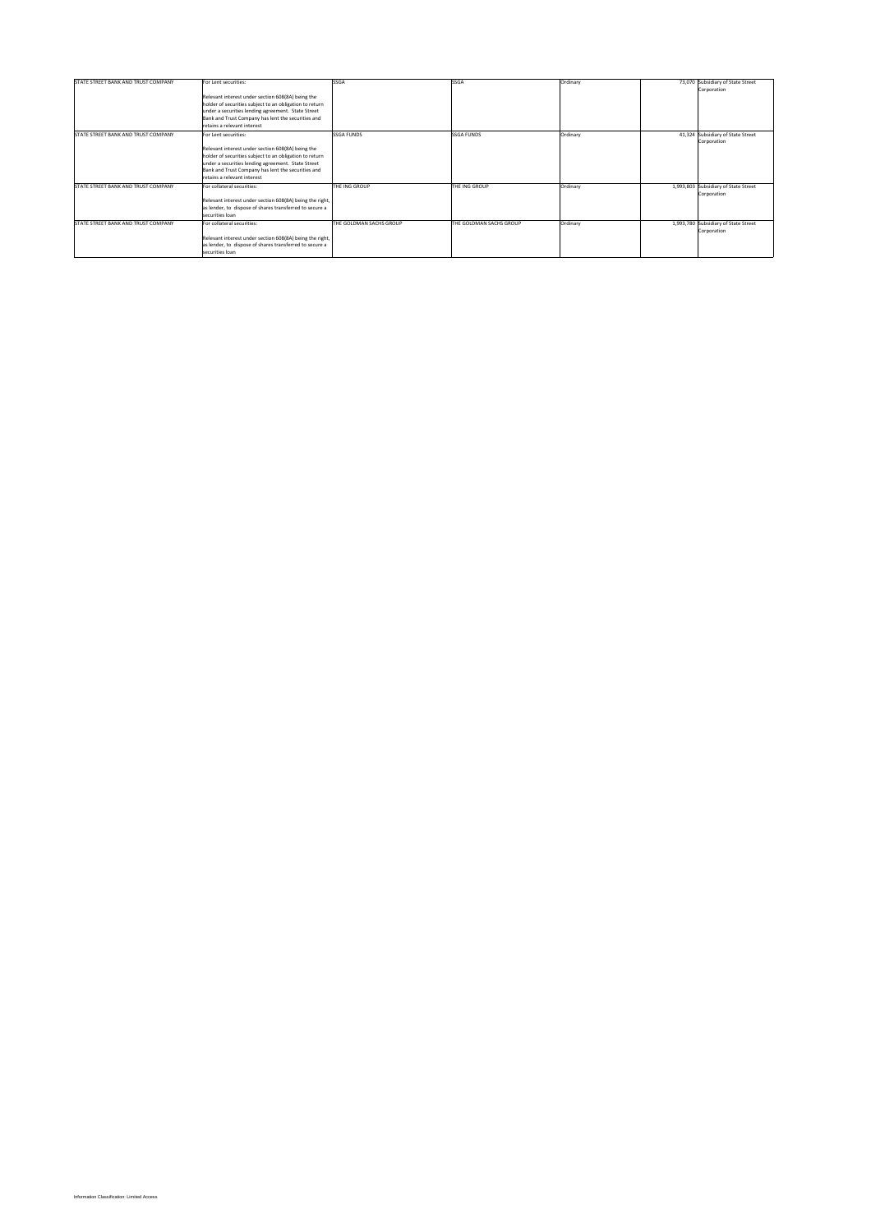| STATE STREET BANK AND TRUST COMPANY | For Lent securities:                                     | <b>SSGA</b>             | <b>SSGA</b>             | Ordinary | 73,070 Subsidiary of State Street    |
|-------------------------------------|----------------------------------------------------------|-------------------------|-------------------------|----------|--------------------------------------|
|                                     |                                                          |                         |                         |          | Corporation                          |
|                                     | Relevant interest under section 608(8A) being the        |                         |                         |          |                                      |
|                                     | holder of securities subject to an obligation to return  |                         |                         |          |                                      |
|                                     | under a securities lending agreement. State Street       |                         |                         |          |                                      |
|                                     | Bank and Trust Company has lent the securities and       |                         |                         |          |                                      |
|                                     | retains a relevant interest                              |                         |                         |          |                                      |
| STATE STREET BANK AND TRUST COMPANY | For Lent securities:                                     | <b>SSGA FUNDS</b>       | <b>SSGA FUNDS</b>       | Ordinary | 41,324 Subsidiary of State Street    |
|                                     |                                                          |                         |                         |          | Corporation                          |
|                                     | Relevant interest under section 608(8A) being the        |                         |                         |          |                                      |
|                                     | holder of securities subject to an obligation to return  |                         |                         |          |                                      |
|                                     | under a securities lending agreement. State Street       |                         |                         |          |                                      |
|                                     | Bank and Trust Company has lent the securities and       |                         |                         |          |                                      |
|                                     | retains a relevant interest                              |                         |                         |          |                                      |
| STATE STREET BANK AND TRUST COMPANY | For collateral securities:                               | THE ING GROUP           | THE ING GROUP           | Ordinary | 1,993,803 Subsidiary of State Street |
|                                     |                                                          |                         |                         |          | Corporation                          |
|                                     | Relevant interest under section 608(8A) being the right, |                         |                         |          |                                      |
|                                     | as lender, to dispose of shares transferred to secure a  |                         |                         |          |                                      |
|                                     | securities loan                                          |                         |                         |          |                                      |
| STATE STREET BANK AND TRUST COMPANY | For collateral securities:                               | THE GOLDMAN SACHS GROUP | THE GOLDMAN SACHS GROUP | Ordinary | 1,993,780 Subsidiary of State Street |
|                                     |                                                          |                         |                         |          | Corporation                          |
|                                     | Relevant interest under section 608(8A) being the right, |                         |                         |          |                                      |
|                                     | as lender, to dispose of shares transferred to secure a  |                         |                         |          |                                      |
|                                     | securities loan                                          |                         |                         |          |                                      |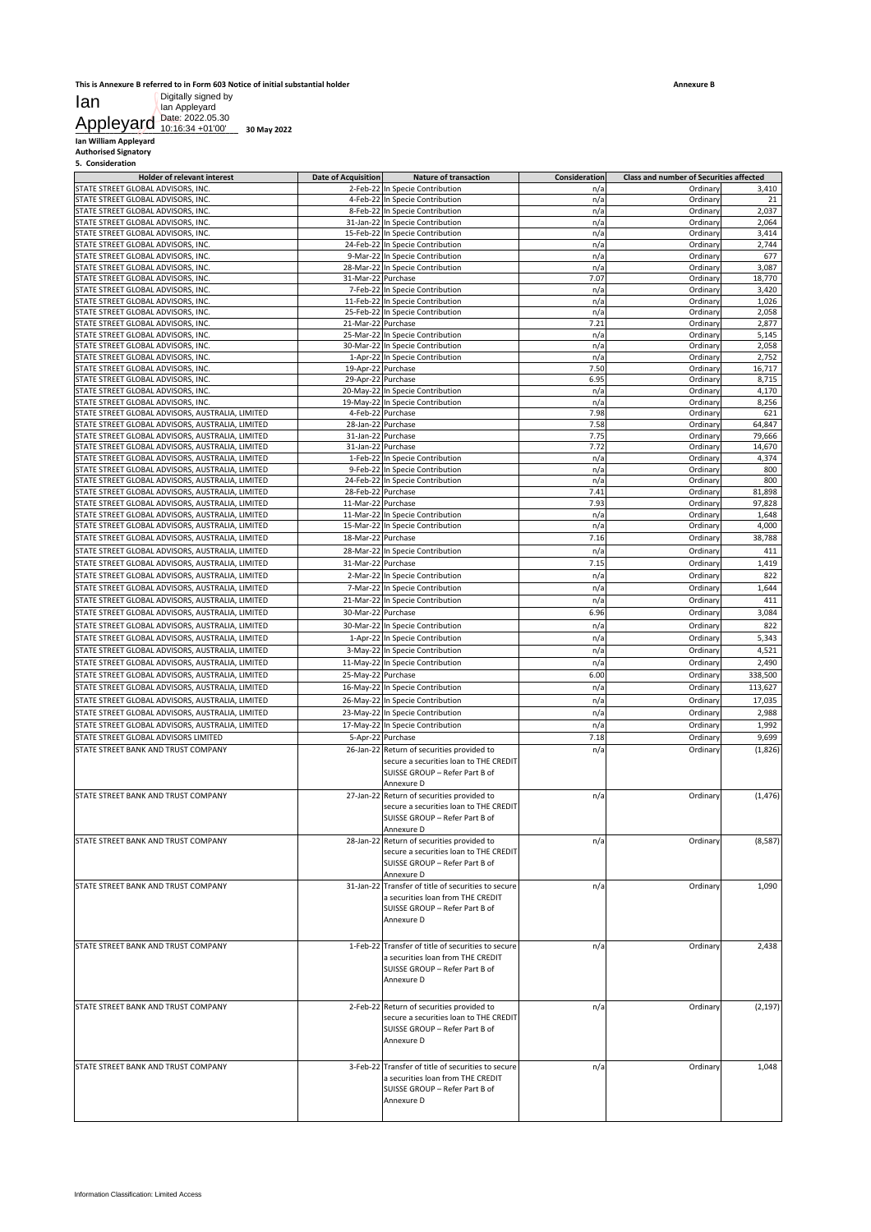# **This is Annexure B referred to in Form 603 Notice of initial substantial holder** Digitally signed by Ian Appleyard Date: 2022.05.30 10:16:34 +01'00'

| <b>Date of Acquisition</b> | <b>Nature of transaction</b><br>2-Feb-22 In Specie Contribution                                                                                    | Consideration                                                                                                 |                                                |                  |
|----------------------------|----------------------------------------------------------------------------------------------------------------------------------------------------|---------------------------------------------------------------------------------------------------------------|------------------------------------------------|------------------|
|                            |                                                                                                                                                    |                                                                                                               |                                                |                  |
|                            |                                                                                                                                                    |                                                                                                               | <b>Class and number of Securities affected</b> |                  |
|                            |                                                                                                                                                    | n/a                                                                                                           | Ordinary                                       | 3,410            |
|                            | 4-Feb-22 In Specie Contribution<br>8-Feb-22 In Specie Contribution                                                                                 | n/a<br>n/a                                                                                                    | Ordinary<br>Ordinary                           | 21<br>2,037      |
|                            | 31-Jan-22 In Specie Contribution                                                                                                                   | n/a                                                                                                           | Ordinary                                       | 2,064            |
|                            | 15-Feb-22 In Specie Contribution                                                                                                                   | n/a                                                                                                           | Ordinary                                       | 3,414            |
|                            | 24-Feb-22 In Specie Contribution<br>9-Mar-22 In Specie Contribution                                                                                | n/a<br>n/a                                                                                                    | Ordinary<br>Ordinary                           | 2,744<br>677     |
|                            | 28-Mar-22 In Specie Contribution                                                                                                                   | n/a                                                                                                           | Ordinary                                       | 3,087            |
|                            | 31-Mar-22 Purchase                                                                                                                                 | 7.07                                                                                                          | Ordinary                                       | 18,770           |
|                            | 7-Feb-22 In Specie Contribution                                                                                                                    | n/a                                                                                                           | Ordinary                                       | 3,420            |
|                            | 11-Feb-22 In Specie Contribution                                                                                                                   | n/a<br>n/a                                                                                                    | Ordinary                                       | 1,026<br>2,058   |
|                            | 25-Feb-22 In Specie Contribution<br>21-Mar-22 Purchase                                                                                             | 7.21                                                                                                          | Ordinary<br>Ordinary                           | 2,877            |
|                            | 25-Mar-22 In Specie Contribution                                                                                                                   | n/a                                                                                                           | Ordinary                                       | 5,145            |
|                            | 30-Mar-22 In Specie Contribution                                                                                                                   | n/a                                                                                                           | Ordinary                                       | 2,058            |
|                            | 1-Apr-22 In Specie Contribution                                                                                                                    | n/a                                                                                                           | Ordinary                                       | 2,752            |
|                            | 19-Apr-22 Purchase<br>29-Apr-22 Purchase                                                                                                           | 7.50<br>6.95                                                                                                  | Ordinary<br>Ordinary                           | 16,717<br>8,715  |
|                            | 20-May-22 In Specie Contribution                                                                                                                   | n/a                                                                                                           | Ordinary                                       | 4,170            |
|                            | 19-May-22 In Specie Contribution                                                                                                                   | n/a                                                                                                           | Ordinary                                       | 8,256            |
|                            | 4-Feb-22 Purchase                                                                                                                                  | 7.98                                                                                                          | Ordinan                                        | 621              |
|                            | 28-Jan-22 Purchase<br>31-Jan-22 Purchase                                                                                                           | 7.58<br>7.75                                                                                                  | Ordinary<br>Ordinary                           | 64,847<br>79,666 |
|                            | 31-Jan-22 Purchase                                                                                                                                 | 7.72                                                                                                          | Ordinary                                       | 14,670           |
|                            | 1-Feb-22 In Specie Contribution                                                                                                                    | n/a                                                                                                           | Ordinary                                       | 4,374            |
|                            | 9-Feb-22 In Specie Contribution                                                                                                                    | n/a                                                                                                           | Ordinary                                       | 800              |
|                            | 24-Feb-22 In Specie Contribution                                                                                                                   | n/a                                                                                                           | Ordinary                                       | 800              |
|                            | 28-Feb-22 Purchase<br>11-Mar-22 Purchase                                                                                                           | 7.41<br>7.93                                                                                                  | Ordinary<br>Ordinary                           | 81,898<br>97,828 |
|                            | 11-Mar-22 In Specie Contribution                                                                                                                   | n/a                                                                                                           | Ordinary                                       | 1,648            |
|                            | 15-Mar-22 In Specie Contribution                                                                                                                   | n/a                                                                                                           | Ordinary                                       | 4,000            |
|                            | 18-Mar-22 Purchase                                                                                                                                 | 7.16                                                                                                          | Ordinary                                       | 38,788           |
|                            | 28-Mar-22 In Specie Contribution                                                                                                                   | n/a                                                                                                           | Ordinary                                       | 411              |
|                            | 31-Mar-22 Purchase                                                                                                                                 | 7.15                                                                                                          | Ordinary                                       | 1,419            |
|                            | 2-Mar-22 In Specie Contribution<br>7-Mar-22 In Specie Contribution                                                                                 | n/a<br>n/a                                                                                                    | Ordinary<br>Ordinary                           | 822<br>1,644     |
|                            | 21-Mar-22 In Specie Contribution                                                                                                                   | n/a                                                                                                           | Ordinary                                       | 411              |
|                            | 30-Mar-22 Purchase                                                                                                                                 | 6.96                                                                                                          | Ordinary                                       | 3,084            |
|                            | 30-Mar-22 In Specie Contribution                                                                                                                   | n/a                                                                                                           | Ordinary                                       | 822              |
|                            | 1-Apr-22 In Specie Contribution                                                                                                                    | n/a                                                                                                           | Ordinary                                       | 5,343            |
|                            | 3-May-22 In Specie Contribution                                                                                                                    | n/a                                                                                                           | Ordinary                                       | 4,521            |
|                            | 11-May-22 In Specie Contribution                                                                                                                   | n/a                                                                                                           | Ordinary                                       | 2,490            |
|                            | 25-May-22 Purchase                                                                                                                                 | 6.00                                                                                                          | Ordinary                                       | 338,500          |
|                            | 16-May-22 In Specie Contribution                                                                                                                   | n/a                                                                                                           | Ordinary                                       | 113,627          |
|                            | 26-May-22 In Specie Contribution                                                                                                                   | n/a                                                                                                           | Ordinary                                       | 17,035           |
|                            | 23-May-22 In Specie Contribution<br>17-May-22 In Specie Contribution                                                                               | n/a<br>n/a                                                                                                    | Ordinary<br>Ordinary                           | 2,988<br>1,992   |
|                            | 5-Apr-22 Purchase                                                                                                                                  | 7.18                                                                                                          | Ordinary                                       | 9,699            |
|                            | 26-Jan-22 Return of securities provided to<br>secure a securities loan to THE CREDIT<br>SUISSE GROUP - Refer Part B of                             | n/a                                                                                                           | Ordinary                                       | (1,826)          |
|                            | Annexure D<br>27-Jan-22 Return of securities provided to<br>secure a securities loan to THE CREDIT<br>SUISSE GROUP - Refer Part B of               | n/a                                                                                                           | Ordinary                                       | (1, 476)         |
|                            | Annexure D<br>28-Jan-22 Return of securities provided to<br>secure a securities loan to THE CREDIT<br>SUISSE GROUP - Refer Part B of<br>Annexure D | n/a                                                                                                           | Ordinary                                       | (8,587)          |
|                            | 31-Jan-22 Transfer of title of securities to secure<br>a securities loan from THE CREDIT<br>SUISSE GROUP - Refer Part B of<br>Annexure D           | n/a                                                                                                           | Ordinary                                       | 1,090            |
|                            | 1-Feb-22 Transfer of title of securities to secure<br>a securities loan from THE CREDIT<br>SUISSE GROUP - Refer Part B of<br>Annexure D            | n/a                                                                                                           | Ordinary                                       | 2,438            |
|                            | secure a securities loan to THE CREDIT<br>SUISSE GROUP - Refer Part B of<br>Annexure D                                                             | n/a                                                                                                           | Ordinary                                       | (2, 197)         |
|                            | a securities loan from THE CREDIT<br>SUISSE GROUP - Refer Part B of                                                                                | n/a                                                                                                           | Ordinary                                       | 1,048            |
|                            |                                                                                                                                                    | 2-Feb-22 Return of securities provided to<br>3-Feb-22 Transfer of title of securities to secure<br>Annexure D |                                                |                  |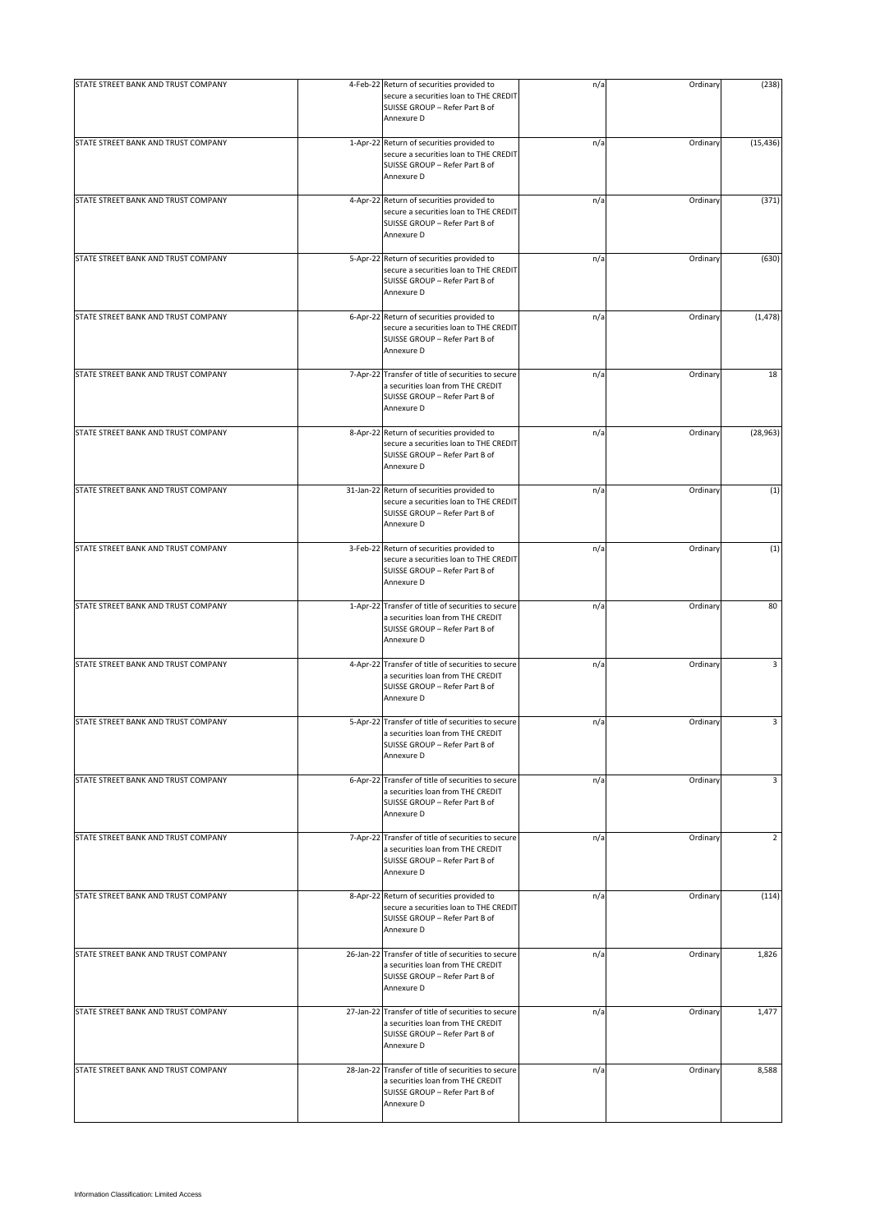| secure a securities loan to THE CREDIT<br>SUISSE GROUP - Refer Part B of<br>Annexure D | n/a                                                                                                                                                                                                                                                                                                                                                                                                                                                                                                                                                                                                                                                                                                                                                                                                                                                                                                                         |          | (238)                                                                                                                |
|----------------------------------------------------------------------------------------|-----------------------------------------------------------------------------------------------------------------------------------------------------------------------------------------------------------------------------------------------------------------------------------------------------------------------------------------------------------------------------------------------------------------------------------------------------------------------------------------------------------------------------------------------------------------------------------------------------------------------------------------------------------------------------------------------------------------------------------------------------------------------------------------------------------------------------------------------------------------------------------------------------------------------------|----------|----------------------------------------------------------------------------------------------------------------------|
| secure a securities loan to THE CREDIT<br>SUISSE GROUP - Refer Part B of<br>Annexure D | n/a                                                                                                                                                                                                                                                                                                                                                                                                                                                                                                                                                                                                                                                                                                                                                                                                                                                                                                                         | Ordinary | (15, 436)                                                                                                            |
| secure a securities loan to THE CREDIT<br>SUISSE GROUP - Refer Part B of<br>Annexure D | n/a                                                                                                                                                                                                                                                                                                                                                                                                                                                                                                                                                                                                                                                                                                                                                                                                                                                                                                                         | Ordinary | (371)                                                                                                                |
| secure a securities loan to THE CREDIT<br>SUISSE GROUP - Refer Part B of<br>Annexure D | n/a                                                                                                                                                                                                                                                                                                                                                                                                                                                                                                                                                                                                                                                                                                                                                                                                                                                                                                                         | Ordinary | (630)                                                                                                                |
| secure a securities loan to THE CREDIT<br>SUISSE GROUP - Refer Part B of<br>Annexure D | n/a                                                                                                                                                                                                                                                                                                                                                                                                                                                                                                                                                                                                                                                                                                                                                                                                                                                                                                                         |          | (1, 478)                                                                                                             |
| a securities loan from THE CREDIT<br>SUISSE GROUP - Refer Part B of<br>Annexure D      | n/a                                                                                                                                                                                                                                                                                                                                                                                                                                                                                                                                                                                                                                                                                                                                                                                                                                                                                                                         |          | 18                                                                                                                   |
| secure a securities loan to THE CREDIT<br>SUISSE GROUP - Refer Part B of<br>Annexure D | n/a                                                                                                                                                                                                                                                                                                                                                                                                                                                                                                                                                                                                                                                                                                                                                                                                                                                                                                                         | Ordinary | (28, 963)                                                                                                            |
| secure a securities loan to THE CREDIT<br>SUISSE GROUP - Refer Part B of<br>Annexure D | n/a                                                                                                                                                                                                                                                                                                                                                                                                                                                                                                                                                                                                                                                                                                                                                                                                                                                                                                                         | Ordinary | (1)                                                                                                                  |
| secure a securities loan to THE CREDIT<br>SUISSE GROUP - Refer Part B of<br>Annexure D | n/a                                                                                                                                                                                                                                                                                                                                                                                                                                                                                                                                                                                                                                                                                                                                                                                                                                                                                                                         | Ordinary | (1)                                                                                                                  |
| a securities loan from THE CREDIT<br>SUISSE GROUP - Refer Part B of<br>Annexure D      | n/a                                                                                                                                                                                                                                                                                                                                                                                                                                                                                                                                                                                                                                                                                                                                                                                                                                                                                                                         |          | 80                                                                                                                   |
| a securities loan from THE CREDIT<br>SUISSE GROUP - Refer Part B of<br>Annexure D      | n/a                                                                                                                                                                                                                                                                                                                                                                                                                                                                                                                                                                                                                                                                                                                                                                                                                                                                                                                         |          | 3                                                                                                                    |
| a securities loan from THE CREDIT<br>SUISSE GROUP - Refer Part B of<br>Annexure D      | n/a                                                                                                                                                                                                                                                                                                                                                                                                                                                                                                                                                                                                                                                                                                                                                                                                                                                                                                                         |          | 3                                                                                                                    |
| a securities loan from THE CREDIT<br>SUISSE GROUP - Refer Part B of<br>Annexure D      | n/a                                                                                                                                                                                                                                                                                                                                                                                                                                                                                                                                                                                                                                                                                                                                                                                                                                                                                                                         | Ordinary | 3                                                                                                                    |
| a securities loan from THE CREDIT<br>SUISSE GROUP - Refer Part B of<br>Annexure D      | n/a                                                                                                                                                                                                                                                                                                                                                                                                                                                                                                                                                                                                                                                                                                                                                                                                                                                                                                                         | Ordinary | $\overline{2}$                                                                                                       |
| secure a securities loan to THE CREDIT<br>SUISSE GROUP - Refer Part B of<br>Annexure D | n/a                                                                                                                                                                                                                                                                                                                                                                                                                                                                                                                                                                                                                                                                                                                                                                                                                                                                                                                         |          | (114)                                                                                                                |
| a securities loan from THE CREDIT<br>SUISSE GROUP - Refer Part B of<br>Annexure D      | n/a                                                                                                                                                                                                                                                                                                                                                                                                                                                                                                                                                                                                                                                                                                                                                                                                                                                                                                                         |          | 1,826                                                                                                                |
| a securities loan from THE CREDIT<br>SUISSE GROUP - Refer Part B of<br>Annexure D      | n/a                                                                                                                                                                                                                                                                                                                                                                                                                                                                                                                                                                                                                                                                                                                                                                                                                                                                                                                         |          | 1,477                                                                                                                |
| a securities loan from THE CREDIT<br>SUISSE GROUP - Refer Part B of<br>Annexure D      | n/a                                                                                                                                                                                                                                                                                                                                                                                                                                                                                                                                                                                                                                                                                                                                                                                                                                                                                                                         |          | 8,588                                                                                                                |
|                                                                                        | 4-Feb-22 Return of securities provided to<br>1-Apr-22 Return of securities provided to<br>4-Apr-22 Return of securities provided to<br>5-Apr-22 Return of securities provided to<br>6-Apr-22 Return of securities provided to<br>7-Apr-22 Transfer of title of securities to secure<br>8-Apr-22 Return of securities provided to<br>31-Jan-22 Return of securities provided to<br>3-Feb-22 Return of securities provided to<br>1-Apr-22 Transfer of title of securities to secure<br>4-Apr-22 Transfer of title of securities to secure<br>5-Apr-22 Transfer of title of securities to secure<br>6-Apr-22 Transfer of title of securities to secure<br>7-Apr-22 Transfer of title of securities to secure<br>8-Apr-22 Return of securities provided to<br>26-Jan-22 Transfer of title of securities to secure<br>27-Jan-22 Transfer of title of securities to secure<br>28-Jan-22 Transfer of title of securities to secure |          | Ordinary<br>Ordinary<br>Ordinary<br>Ordinary<br>Ordinary<br>Ordinary<br>Ordinary<br>Ordinary<br>Ordinary<br>Ordinary |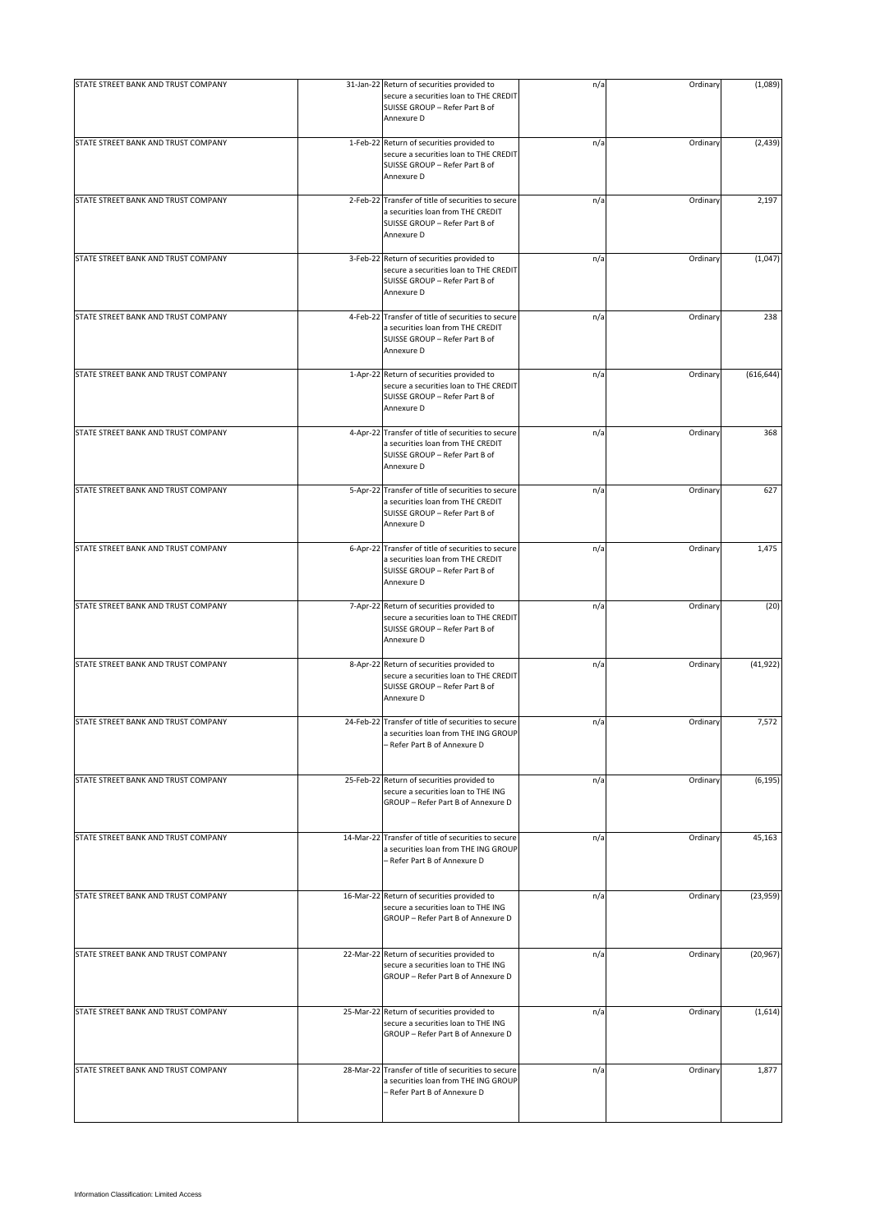| STATE STREET BANK AND TRUST COMPANY | 31-Jan-22 Return of securities provided to<br>secure a securities loan to THE CREDIT<br>SUISSE GROUP - Refer Part B of<br>Annexure D    | n/a | Ordinary | (1,089)    |
|-------------------------------------|-----------------------------------------------------------------------------------------------------------------------------------------|-----|----------|------------|
| STATE STREET BANK AND TRUST COMPANY | 1-Feb-22 Return of securities provided to<br>secure a securities loan to THE CREDIT<br>SUISSE GROUP - Refer Part B of<br>Annexure D     | n/a | Ordinary | (2, 439)   |
| STATE STREET BANK AND TRUST COMPANY | 2-Feb-22 Transfer of title of securities to secure<br>a securities loan from THE CREDIT<br>SUISSE GROUP - Refer Part B of<br>Annexure D | n/a | Ordinary | 2,197      |
| STATE STREET BANK AND TRUST COMPANY | 3-Feb-22 Return of securities provided to<br>secure a securities loan to THE CREDIT<br>SUISSE GROUP - Refer Part B of<br>Annexure D     | n/a | Ordinary | (1,047)    |
| STATE STREET BANK AND TRUST COMPANY | 4-Feb-22 Transfer of title of securities to secure<br>a securities loan from THE CREDIT<br>SUISSE GROUP - Refer Part B of<br>Annexure D | n/a | Ordinary | 238        |
| STATE STREET BANK AND TRUST COMPANY | 1-Apr-22 Return of securities provided to<br>secure a securities loan to THE CREDIT<br>SUISSE GROUP - Refer Part B of<br>Annexure D     | n/a | Ordinary | (616, 644) |
| STATE STREET BANK AND TRUST COMPANY | 4-Apr-22 Transfer of title of securities to secure<br>a securities loan from THE CREDIT<br>SUISSE GROUP - Refer Part B of<br>Annexure D | n/a | Ordinary | 368        |
| STATE STREET BANK AND TRUST COMPANY | 5-Apr-22 Transfer of title of securities to secure<br>a securities loan from THE CREDIT<br>SUISSE GROUP - Refer Part B of<br>Annexure D | n/a | Ordinary | 627        |
| STATE STREET BANK AND TRUST COMPANY | 6-Apr-22 Transfer of title of securities to secure<br>a securities loan from THE CREDIT<br>SUISSE GROUP - Refer Part B of<br>Annexure D | n/a | Ordinary | 1,475      |
| STATE STREET BANK AND TRUST COMPANY | 7-Apr-22 Return of securities provided to<br>secure a securities loan to THE CREDIT<br>SUISSE GROUP - Refer Part B of<br>Annexure D     | n/a | Ordinary | (20)       |
| STATE STREET BANK AND TRUST COMPANY | 8-Apr-22 Return of securities provided to<br>secure a securities loan to THE CREDIT<br>SUISSE GROUP - Refer Part B of<br>Annexure D     | n/a | Ordinary | (41, 922)  |
| STATE STREET BANK AND TRUST COMPANY | 24-Feb-22 Transfer of title of securities to secure<br>a securities loan from THE ING GROUP<br>- Refer Part B of Annexure D             | n/a | Ordinary | 7,572      |
| STATE STREET BANK AND TRUST COMPANY | 25-Feb-22 Return of securities provided to<br>secure a securities loan to THE ING<br>GROUP - Refer Part B of Annexure D                 | n/a | Ordinary | (6, 195)   |
| STATE STREET BANK AND TRUST COMPANY | 14-Mar-22 Transfer of title of securities to secure<br>a securities loan from THE ING GROUP<br>- Refer Part B of Annexure D             | n/a | Ordinary | 45,163     |
| STATE STREET BANK AND TRUST COMPANY | 16-Mar-22 Return of securities provided to<br>secure a securities loan to THE ING<br>GROUP - Refer Part B of Annexure D                 | n/a | Ordinary | (23,959)   |
| STATE STREET BANK AND TRUST COMPANY | 22-Mar-22 Return of securities provided to<br>secure a securities loan to THE ING<br>GROUP - Refer Part B of Annexure D                 | n/a | Ordinary | (20, 967)  |
| STATE STREET BANK AND TRUST COMPANY | 25-Mar-22 Return of securities provided to<br>secure a securities loan to THE ING<br>GROUP - Refer Part B of Annexure D                 | n/a | Ordinary | (1,614)    |
| STATE STREET BANK AND TRUST COMPANY | 28-Mar-22 Transfer of title of securities to secure<br>a securities loan from THE ING GROUP<br>- Refer Part B of Annexure D             | n/a | Ordinary | 1,877      |
|                                     |                                                                                                                                         |     |          |            |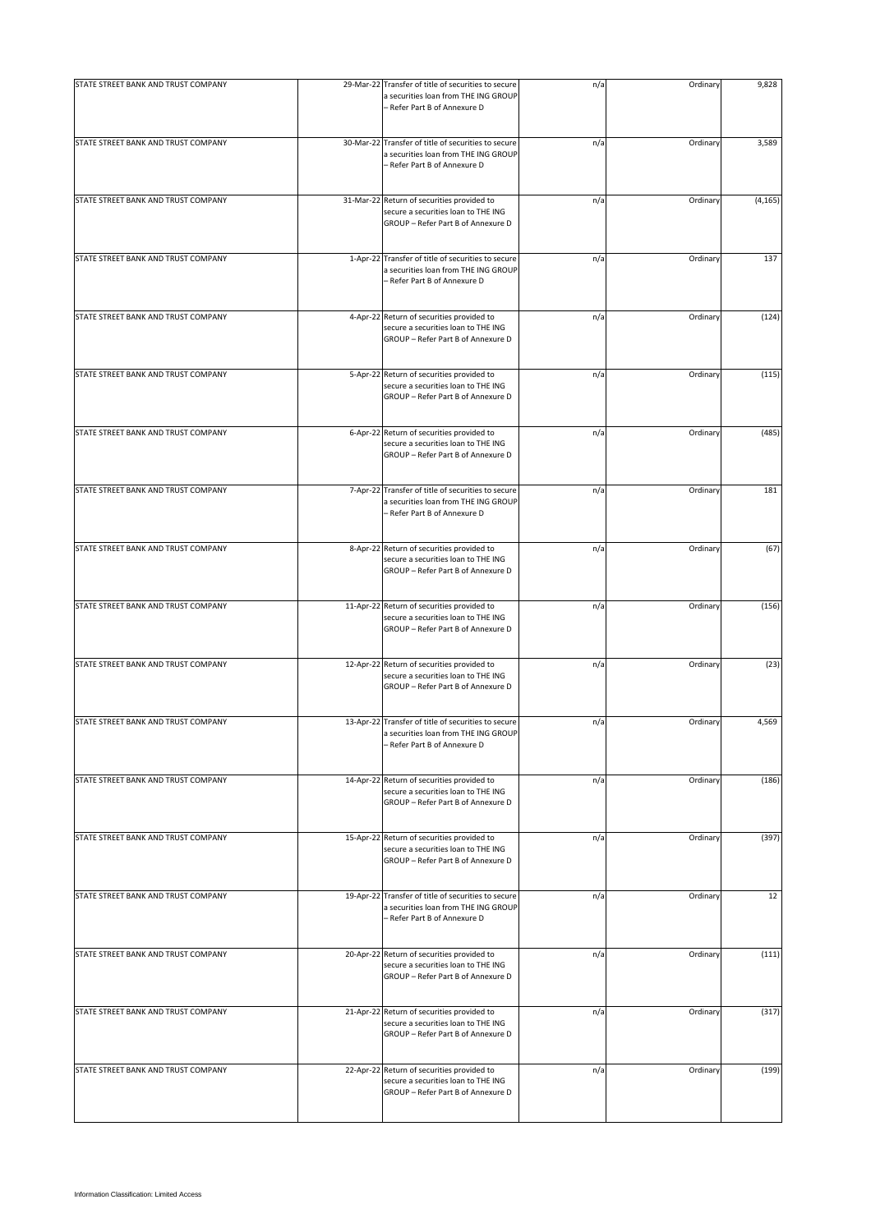| STATE STREET BANK AND TRUST COMPANY | 29-Mar-22 Transfer of title of securities to secure<br>a securities loan from THE ING GROUP<br>- Refer Part B of Annexure D | n/a | Ordinary | 9,828    |
|-------------------------------------|-----------------------------------------------------------------------------------------------------------------------------|-----|----------|----------|
| STATE STREET BANK AND TRUST COMPANY | 30-Mar-22 Transfer of title of securities to secure<br>a securities loan from THE ING GROUP<br>- Refer Part B of Annexure D | n/a | Ordinary | 3,589    |
| STATE STREET BANK AND TRUST COMPANY | 31-Mar-22 Return of securities provided to<br>secure a securities loan to THE ING<br>GROUP - Refer Part B of Annexure D     | n/a | Ordinary | (4, 165) |
| STATE STREET BANK AND TRUST COMPANY | 1-Apr-22 Transfer of title of securities to secure<br>a securities loan from THE ING GROUP<br>- Refer Part B of Annexure D  | n/a | Ordinary | 137      |
| STATE STREET BANK AND TRUST COMPANY | 4-Apr-22 Return of securities provided to<br>secure a securities loan to THE ING<br>GROUP - Refer Part B of Annexure D      | n/a | Ordinary | (124)    |
| STATE STREET BANK AND TRUST COMPANY | 5-Apr-22 Return of securities provided to<br>secure a securities loan to THE ING<br>GROUP - Refer Part B of Annexure D      | n/a | Ordinary | (115)    |
| STATE STREET BANK AND TRUST COMPANY | 6-Apr-22 Return of securities provided to<br>secure a securities loan to THE ING<br>GROUP - Refer Part B of Annexure D      | n/a | Ordinary | (485)    |
| STATE STREET BANK AND TRUST COMPANY | 7-Apr-22 Transfer of title of securities to secure<br>a securities loan from THE ING GROUP<br>- Refer Part B of Annexure D  | n/a | Ordinary | 181      |
| STATE STREET BANK AND TRUST COMPANY | 8-Apr-22 Return of securities provided to<br>secure a securities loan to THE ING<br>GROUP - Refer Part B of Annexure D      | n/a | Ordinary | (67)     |
| STATE STREET BANK AND TRUST COMPANY | 11-Apr-22 Return of securities provided to<br>secure a securities loan to THE ING<br>GROUP - Refer Part B of Annexure D     | n/a | Ordinary | (156)    |
| STATE STREET BANK AND TRUST COMPANY | 12-Apr-22 Return of securities provided to<br>secure a securities loan to THE ING<br>GROUP - Refer Part B of Annexure D     | n/a | Ordinary | (23)     |
| STATE STREET BANK AND TRUST COMPANY | 13-Apr-22 Transfer of title of securities to secure<br>a securities loan from THE ING GROUP<br>- Refer Part B of Annexure D | n/a | Ordinary | 4,569    |
| STATE STREET BANK AND TRUST COMPANY | 14-Apr-22 Return of securities provided to<br>secure a securities loan to THE ING<br>GROUP - Refer Part B of Annexure D     | n/a | Ordinary | (186)    |
| STATE STREET BANK AND TRUST COMPANY | 15-Apr-22 Return of securities provided to<br>secure a securities loan to THE ING<br>GROUP - Refer Part B of Annexure D     | n/a | Ordinary | (397)    |
| STATE STREET BANK AND TRUST COMPANY | 19-Apr-22 Transfer of title of securities to secure<br>a securities loan from THE ING GROUP<br>- Refer Part B of Annexure D | n/a | Ordinary | 12       |
| STATE STREET BANK AND TRUST COMPANY | 20-Apr-22 Return of securities provided to<br>secure a securities loan to THE ING<br>GROUP - Refer Part B of Annexure D     | n/a | Ordinary | (111)    |
| STATE STREET BANK AND TRUST COMPANY | 21-Apr-22 Return of securities provided to<br>secure a securities loan to THE ING<br>GROUP - Refer Part B of Annexure D     | n/a | Ordinary | (317)    |
| STATE STREET BANK AND TRUST COMPANY | 22-Apr-22 Return of securities provided to<br>secure a securities loan to THE ING<br>GROUP - Refer Part B of Annexure D     | n/a | Ordinary | (199)    |
|                                     |                                                                                                                             |     |          |          |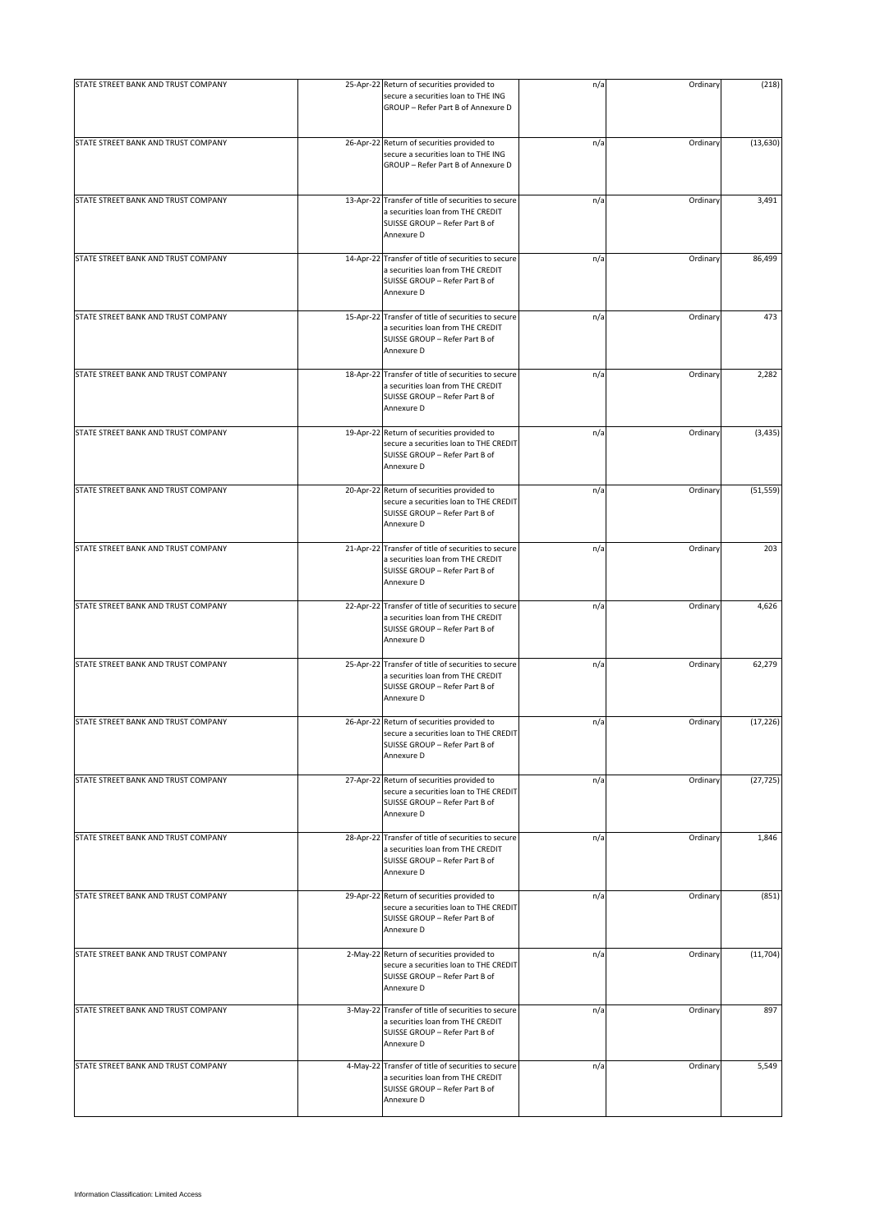| STATE STREET BANK AND TRUST COMPANY | 25-Apr-22 Return of securities provided to                                                                                               | n/a | Ordinary | (218)     |
|-------------------------------------|------------------------------------------------------------------------------------------------------------------------------------------|-----|----------|-----------|
|                                     | secure a securities loan to THE ING<br>GROUP - Refer Part B of Annexure D                                                                |     |          |           |
| STATE STREET BANK AND TRUST COMPANY | 26-Apr-22 Return of securities provided to<br>secure a securities loan to THE ING<br>GROUP - Refer Part B of Annexure D                  | n/a | Ordinary | (13, 630) |
| STATE STREET BANK AND TRUST COMPANY | 13-Apr-22 Transfer of title of securities to secure<br>a securities loan from THE CREDIT<br>SUISSE GROUP - Refer Part B of<br>Annexure D | n/a | Ordinary | 3,491     |
| STATE STREET BANK AND TRUST COMPANY | 14-Apr-22 Transfer of title of securities to secure<br>a securities loan from THE CREDIT<br>SUISSE GROUP - Refer Part B of<br>Annexure D | n/a | Ordinary | 86,499    |
| STATE STREET BANK AND TRUST COMPANY | 15-Apr-22 Transfer of title of securities to secure<br>a securities loan from THE CREDIT<br>SUISSE GROUP - Refer Part B of<br>Annexure D | n/a | Ordinary | 473       |
| STATE STREET BANK AND TRUST COMPANY | 18-Apr-22 Transfer of title of securities to secure<br>a securities loan from THE CREDIT<br>SUISSE GROUP - Refer Part B of<br>Annexure D | n/a | Ordinary | 2,282     |
| STATE STREET BANK AND TRUST COMPANY | 19-Apr-22 Return of securities provided to<br>secure a securities loan to THE CREDIT<br>SUISSE GROUP - Refer Part B of<br>Annexure D     | n/a | Ordinary | (3, 435)  |
| STATE STREET BANK AND TRUST COMPANY | 20-Apr-22 Return of securities provided to<br>secure a securities loan to THE CREDIT<br>SUISSE GROUP - Refer Part B of<br>Annexure D     | n/a | Ordinary | (51, 559) |
| STATE STREET BANK AND TRUST COMPANY | 21-Apr-22 Transfer of title of securities to secure<br>a securities loan from THE CREDIT<br>SUISSE GROUP - Refer Part B of<br>Annexure D | n/a | Ordinary | 203       |
| STATE STREET BANK AND TRUST COMPANY | 22-Apr-22 Transfer of title of securities to secure<br>a securities loan from THE CREDIT<br>SUISSE GROUP - Refer Part B of<br>Annexure D | n/a | Ordinary | 4,626     |
| STATE STREET BANK AND TRUST COMPANY | 25-Apr-22 Transfer of title of securities to secure<br>a securities loan from THE CREDIT<br>SUISSE GROUP - Refer Part B of<br>Annexure D | n/a | Ordinary | 62,279    |
| STATE STREET BANK AND TRUST COMPANY | 26-Apr-22 Return of securities provided to<br>secure a securities loan to THE CREDIT<br>SUISSE GROUP - Refer Part B of<br>Annexure D     | n/a | Ordinary | (17, 226) |
| STATE STREET BANK AND TRUST COMPANY | 27-Apr-22 Return of securities provided to<br>secure a securities loan to THE CREDIT<br>SUISSE GROUP - Refer Part B of<br>Annexure D     | n/a | Ordinary | (27, 725) |
| STATE STREET BANK AND TRUST COMPANY | 28-Apr-22 Transfer of title of securities to secure<br>a securities loan from THE CREDIT<br>SUISSE GROUP - Refer Part B of<br>Annexure D | n/a | Ordinary | 1,846     |
| STATE STREET BANK AND TRUST COMPANY | 29-Apr-22 Return of securities provided to<br>secure a securities loan to THE CREDIT<br>SUISSE GROUP - Refer Part B of<br>Annexure D     | n/a | Ordinary | (851)     |
| STATE STREET BANK AND TRUST COMPANY | 2-May-22 Return of securities provided to<br>secure a securities loan to THE CREDIT<br>SUISSE GROUP - Refer Part B of<br>Annexure D      | n/a | Ordinary | (11, 704) |
| STATE STREET BANK AND TRUST COMPANY | 3-May-22 Transfer of title of securities to secure<br>a securities loan from THE CREDIT<br>SUISSE GROUP - Refer Part B of<br>Annexure D  | n/a | Ordinary | 897       |
| STATE STREET BANK AND TRUST COMPANY | 4-May-22 Transfer of title of securities to secure<br>a securities loan from THE CREDIT<br>SUISSE GROUP - Refer Part B of<br>Annexure D  | n/a | Ordinary | 5,549     |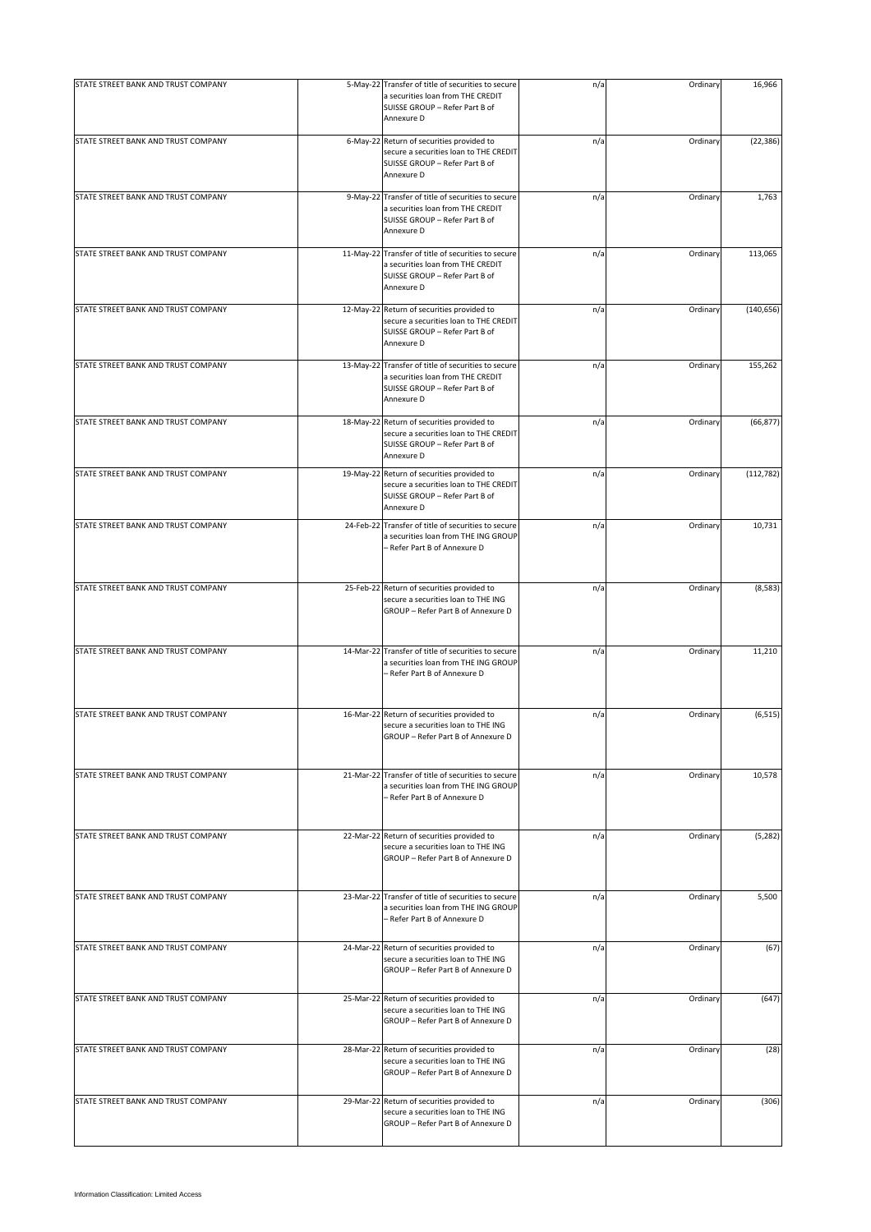| STATE STREET BANK AND TRUST COMPANY | 5-May-22 Transfer of title of securities to secure<br>a securities loan from THE CREDIT<br>SUISSE GROUP - Refer Part B of                | n/a | Ordinary | 16,966     |
|-------------------------------------|------------------------------------------------------------------------------------------------------------------------------------------|-----|----------|------------|
|                                     | Annexure D                                                                                                                               |     |          |            |
| STATE STREET BANK AND TRUST COMPANY | 6-May-22 Return of securities provided to<br>secure a securities loan to THE CREDIT<br>SUISSE GROUP - Refer Part B of<br>Annexure D      | n/a | Ordinary | (22, 386)  |
| STATE STREET BANK AND TRUST COMPANY | 9-May-22 Transfer of title of securities to secure<br>a securities loan from THE CREDIT<br>SUISSE GROUP - Refer Part B of<br>Annexure D  | n/a | Ordinary | 1,763      |
| STATE STREET BANK AND TRUST COMPANY | 11-May-22 Transfer of title of securities to secure<br>a securities loan from THE CREDIT<br>SUISSE GROUP - Refer Part B of<br>Annexure D | n/a | Ordinary | 113,065    |
| STATE STREET BANK AND TRUST COMPANY | 12-May-22 Return of securities provided to<br>secure a securities loan to THE CREDIT<br>SUISSE GROUP - Refer Part B of<br>Annexure D     | n/a | Ordinary | (140, 656) |
| STATE STREET BANK AND TRUST COMPANY | 13-May-22 Transfer of title of securities to secure<br>a securities loan from THE CREDIT<br>SUISSE GROUP - Refer Part B of<br>Annexure D | n/a | Ordinary | 155,262    |
| STATE STREET BANK AND TRUST COMPANY | 18-May-22 Return of securities provided to<br>secure a securities loan to THE CREDIT<br>SUISSE GROUP - Refer Part B of<br>Annexure D     | n/a | Ordinary | (66, 877)  |
| STATE STREET BANK AND TRUST COMPANY | 19-May-22 Return of securities provided to<br>secure a securities loan to THE CREDIT<br>SUISSE GROUP - Refer Part B of<br>Annexure D     | n/a | Ordinary | (112, 782) |
| STATE STREET BANK AND TRUST COMPANY | 24-Feb-22 Transfer of title of securities to secure<br>a securities loan from THE ING GROUP<br>- Refer Part B of Annexure D              | n/a | Ordinary | 10,731     |
| STATE STREET BANK AND TRUST COMPANY | 25-Feb-22 Return of securities provided to<br>secure a securities loan to THE ING<br>GROUP - Refer Part B of Annexure D                  | n/a | Ordinary | (8, 583)   |
| STATE STREET BANK AND TRUST COMPANY | 14-Mar-22 Transfer of title of securities to secure<br>a securities loan from THE ING GROUP<br>- Refer Part B of Annexure D              | n/a | Ordinary | 11,210     |
| STATE STREET BANK AND TRUST COMPANY | 16-Mar-22 Return of securities provided to<br>secure a securities loan to THE ING<br>GROUP - Refer Part B of Annexure D                  | n/a | Ordinary | (6, 515)   |
| STATE STREET BANK AND TRUST COMPANY | 21-Mar-22 Transfer of title of securities to secure<br>a securities loan from THE ING GROUP<br>- Refer Part B of Annexure D              | n/a | Ordinary | 10,578     |
| STATE STREET BANK AND TRUST COMPANY | 22-Mar-22 Return of securities provided to<br>secure a securities loan to THE ING<br>GROUP - Refer Part B of Annexure D                  | n/a | Ordinary | (5, 282)   |
| STATE STREET BANK AND TRUST COMPANY | 23-Mar-22 Transfer of title of securities to secure<br>a securities loan from THE ING GROUP<br>- Refer Part B of Annexure D              | n/a | Ordinary | 5,500      |
| STATE STREET BANK AND TRUST COMPANY | 24-Mar-22 Return of securities provided to<br>secure a securities loan to THE ING<br>GROUP - Refer Part B of Annexure D                  | n/a | Ordinary | (67)       |
| STATE STREET BANK AND TRUST COMPANY | 25-Mar-22 Return of securities provided to<br>secure a securities loan to THE ING<br>GROUP - Refer Part B of Annexure D                  | n/a | Ordinary | (647)      |
| STATE STREET BANK AND TRUST COMPANY | 28-Mar-22 Return of securities provided to<br>secure a securities loan to THE ING<br>GROUP - Refer Part B of Annexure D                  | n/a | Ordinary | (28)       |
| STATE STREET BANK AND TRUST COMPANY | 29-Mar-22 Return of securities provided to<br>secure a securities loan to THE ING<br>GROUP - Refer Part B of Annexure D                  | n/a | Ordinary | (306)      |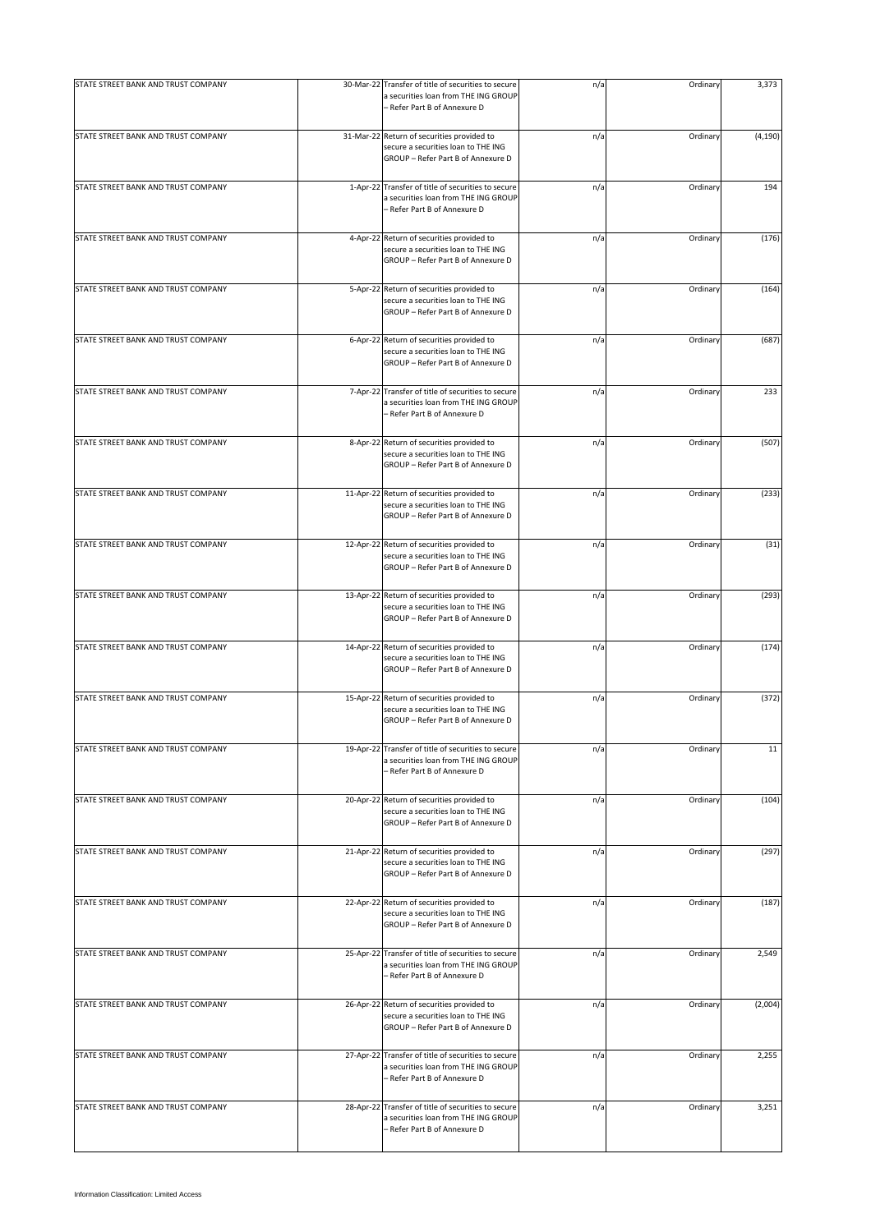| STATE STREET BANK AND TRUST COMPANY | 30-Mar-22 Transfer of title of securities to secure<br>a securities loan from THE ING GROUP<br>- Refer Part B of Annexure D | n/a | Ordinary | 3,373    |
|-------------------------------------|-----------------------------------------------------------------------------------------------------------------------------|-----|----------|----------|
| STATE STREET BANK AND TRUST COMPANY | 31-Mar-22 Return of securities provided to<br>secure a securities loan to THE ING<br>GROUP - Refer Part B of Annexure D     | n/a | Ordinary | (4, 190) |
| STATE STREET BANK AND TRUST COMPANY | 1-Apr-22 Transfer of title of securities to secure<br>a securities loan from THE ING GROUP<br>- Refer Part B of Annexure D  | n/a | Ordinary | 194      |
| STATE STREET BANK AND TRUST COMPANY | 4-Apr-22 Return of securities provided to<br>secure a securities loan to THE ING<br>GROUP - Refer Part B of Annexure D      | n/a | Ordinary | (176)    |
| STATE STREET BANK AND TRUST COMPANY | 5-Apr-22 Return of securities provided to<br>secure a securities loan to THE ING<br>GROUP - Refer Part B of Annexure D      | n/a | Ordinary | (164)    |
| STATE STREET BANK AND TRUST COMPANY | 6-Apr-22 Return of securities provided to<br>secure a securities loan to THE ING<br>GROUP - Refer Part B of Annexure D      | n/a | Ordinary | (687)    |
| STATE STREET BANK AND TRUST COMPANY | 7-Apr-22 Transfer of title of securities to secure<br>a securities loan from THE ING GROUP<br>- Refer Part B of Annexure D  | n/a | Ordinary | 233      |
| STATE STREET BANK AND TRUST COMPANY | 8-Apr-22 Return of securities provided to<br>secure a securities loan to THE ING<br>GROUP - Refer Part B of Annexure D      | n/a | Ordinary | (507)    |
| STATE STREET BANK AND TRUST COMPANY | 11-Apr-22 Return of securities provided to<br>secure a securities loan to THE ING<br>GROUP - Refer Part B of Annexure D     | n/a | Ordinary | (233)    |
| STATE STREET BANK AND TRUST COMPANY | 12-Apr-22 Return of securities provided to<br>secure a securities loan to THE ING<br>GROUP - Refer Part B of Annexure D     | n/a | Ordinary | (31)     |
| STATE STREET BANK AND TRUST COMPANY | 13-Apr-22 Return of securities provided to<br>secure a securities loan to THE ING<br>GROUP - Refer Part B of Annexure D     | n/a | Ordinary | (293)    |
| STATE STREET BANK AND TRUST COMPANY | 14-Apr-22 Return of securities provided to<br>secure a securities loan to THE ING<br>GROUP - Refer Part B of Annexure D     | n/a | Ordinary | (174)    |
| STATE STREET BANK AND TRUST COMPANY | 15-Apr-22 Return of securities provided to<br>secure a securities loan to THE ING<br>GROUP - Refer Part B of Annexure D     | n/a | Ordinary | (372)    |
| STATE STREET BANK AND TRUST COMPANY | 19-Apr-22 Transfer of title of securities to secure<br>a securities loan from THE ING GROUP<br>- Refer Part B of Annexure D | n/a | Ordinary | 11       |
| STATE STREET BANK AND TRUST COMPANY | 20-Apr-22 Return of securities provided to<br>secure a securities loan to THE ING<br>GROUP - Refer Part B of Annexure D     | n/a | Ordinary | (104)    |
| STATE STREET BANK AND TRUST COMPANY | 21-Apr-22 Return of securities provided to<br>secure a securities loan to THE ING<br>GROUP - Refer Part B of Annexure D     | n/a | Ordinary | (297)    |
| STATE STREET BANK AND TRUST COMPANY | 22-Apr-22 Return of securities provided to<br>secure a securities loan to THE ING<br>GROUP - Refer Part B of Annexure D     | n/a | Ordinary | (187)    |
| STATE STREET BANK AND TRUST COMPANY | 25-Apr-22 Transfer of title of securities to secure<br>a securities loan from THE ING GROUP<br>- Refer Part B of Annexure D | n/a | Ordinary | 2,549    |
| STATE STREET BANK AND TRUST COMPANY | 26-Apr-22 Return of securities provided to<br>secure a securities loan to THE ING<br>GROUP - Refer Part B of Annexure D     | n/a | Ordinary | (2,004)  |
| STATE STREET BANK AND TRUST COMPANY | 27-Apr-22 Transfer of title of securities to secure<br>a securities loan from THE ING GROUP<br>- Refer Part B of Annexure D | n/a | Ordinary | 2,255    |
| STATE STREET BANK AND TRUST COMPANY | 28-Apr-22 Transfer of title of securities to secure<br>a securities loan from THE ING GROUP<br>- Refer Part B of Annexure D | n/a | Ordinary | 3,251    |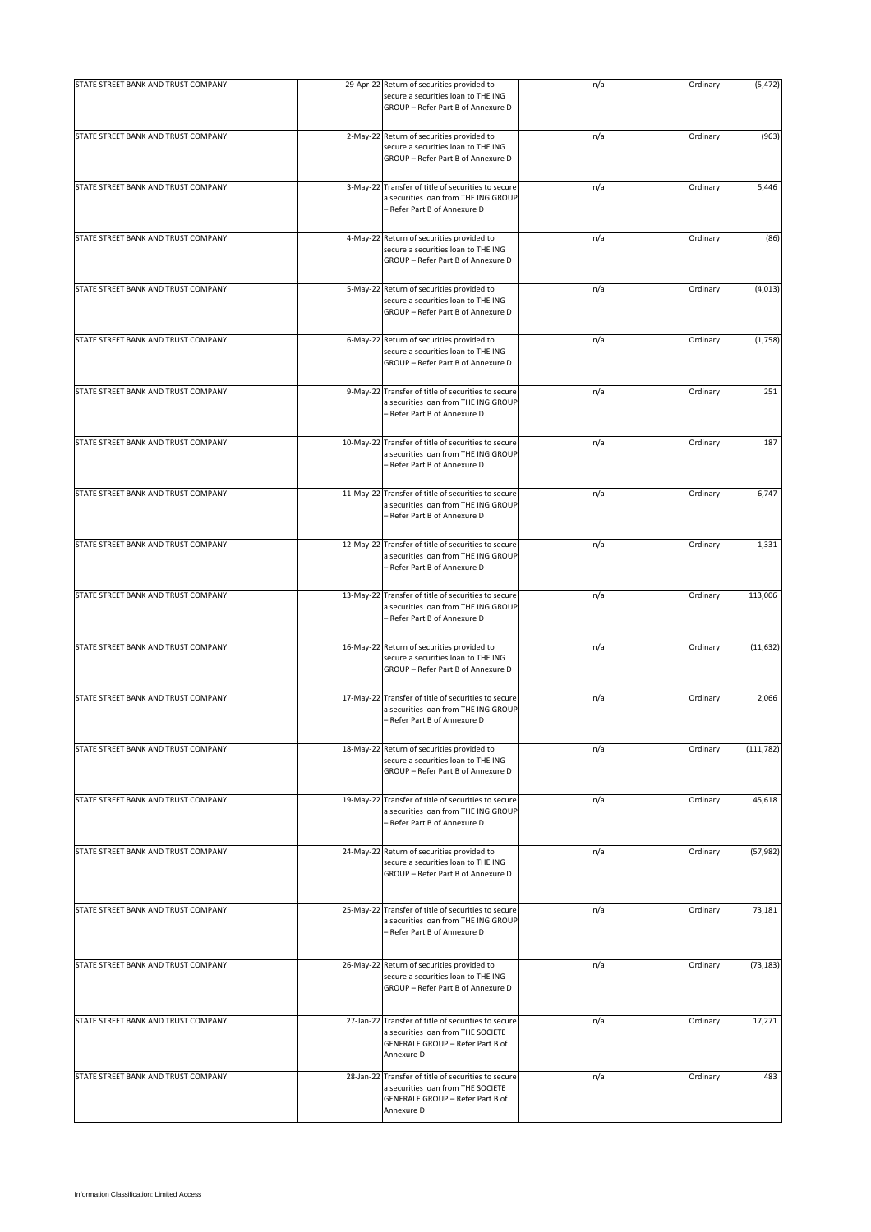| STATE STREET BANK AND TRUST COMPANY | 29-Apr-22 Return of securities provided to<br>secure a securities loan to THE ING<br>GROUP - Refer Part B of Annexure D                     | n/a | Ordinary | (5, 472)   |
|-------------------------------------|---------------------------------------------------------------------------------------------------------------------------------------------|-----|----------|------------|
| STATE STREET BANK AND TRUST COMPANY | 2-May-22 Return of securities provided to<br>secure a securities loan to THE ING<br>GROUP - Refer Part B of Annexure D                      | n/a | Ordinary | (963)      |
| STATE STREET BANK AND TRUST COMPANY | 3-May-22 Transfer of title of securities to secure<br>a securities loan from THE ING GROUP<br>- Refer Part B of Annexure D                  | n/a | Ordinary | 5,446      |
| STATE STREET BANK AND TRUST COMPANY | 4-May-22 Return of securities provided to<br>secure a securities loan to THE ING<br>GROUP - Refer Part B of Annexure D                      | n/a | Ordinary | (86)       |
| STATE STREET BANK AND TRUST COMPANY | 5-May-22 Return of securities provided to<br>secure a securities loan to THE ING<br>GROUP - Refer Part B of Annexure D                      | n/a | Ordinary | (4,013)    |
| STATE STREET BANK AND TRUST COMPANY | 6-May-22 Return of securities provided to<br>secure a securities loan to THE ING<br>GROUP - Refer Part B of Annexure D                      | n/a | Ordinary | (1,758)    |
| STATE STREET BANK AND TRUST COMPANY | 9-May-22 Transfer of title of securities to secure<br>a securities loan from THE ING GROUP<br>- Refer Part B of Annexure D                  | n/a | Ordinary | 251        |
| STATE STREET BANK AND TRUST COMPANY | 10-May-22 Transfer of title of securities to secure<br>a securities loan from THE ING GROUP<br>- Refer Part B of Annexure D                 | n/a | Ordinary | 187        |
| STATE STREET BANK AND TRUST COMPANY | 11-May-22 Transfer of title of securities to secure<br>a securities loan from THE ING GROUP<br>- Refer Part B of Annexure D                 | n/a | Ordinary | 6,747      |
| STATE STREET BANK AND TRUST COMPANY | 12-May-22 Transfer of title of securities to secure<br>a securities loan from THE ING GROUP<br>- Refer Part B of Annexure D                 | n/a | Ordinary | 1,331      |
| STATE STREET BANK AND TRUST COMPANY | 13-May-22 Transfer of title of securities to secure<br>a securities loan from THE ING GROUP<br>- Refer Part B of Annexure D                 | n/a | Ordinary | 113,006    |
| STATE STREET BANK AND TRUST COMPANY | 16-May-22 Return of securities provided to<br>secure a securities loan to THE ING<br>GROUP - Refer Part B of Annexure D                     | n/a | Ordinary | (11, 632)  |
| STATE STREET BANK AND TRUST COMPANY | 17-May-22 Transfer of title of securities to secure<br>a securities loan from THE ING GROUP<br>- Refer Part B of Annexure D                 | n/a | Ordinary | 2,066      |
| STATE STREET BANK AND TRUST COMPANY | 18-May-22 Return of securities provided to<br>secure a securities loan to THE ING<br>GROUP - Refer Part B of Annexure D                     | n/a | Ordinary | (111, 782) |
| STATE STREET BANK AND TRUST COMPANY | 19-May-22 Transfer of title of securities to secure<br>a securities loan from THE ING GROUP<br>- Refer Part B of Annexure D                 | n/a | Ordinary | 45,618     |
| STATE STREET BANK AND TRUST COMPANY | 24-May-22 Return of securities provided to<br>secure a securities loan to THE ING<br>GROUP - Refer Part B of Annexure D                     | n/a | Ordinary | (57, 982)  |
| STATE STREET BANK AND TRUST COMPANY | 25-May-22 Transfer of title of securities to secure<br>a securities loan from THE ING GROUP<br>- Refer Part B of Annexure D                 | n/a | Ordinary | 73,181     |
| STATE STREET BANK AND TRUST COMPANY | 26-May-22 Return of securities provided to<br>secure a securities loan to THE ING<br>GROUP - Refer Part B of Annexure D                     | n/a | Ordinary | (73, 183)  |
| STATE STREET BANK AND TRUST COMPANY | 27-Jan-22 Transfer of title of securities to secure<br>a securities loan from THE SOCIETE<br>GENERALE GROUP - Refer Part B of<br>Annexure D | n/a | Ordinary | 17,271     |
| STATE STREET BANK AND TRUST COMPANY | 28-Jan-22 Transfer of title of securities to secure<br>a securities loan from THE SOCIETE<br>GENERALE GROUP - Refer Part B of<br>Annexure D | n/a | Ordinary | 483        |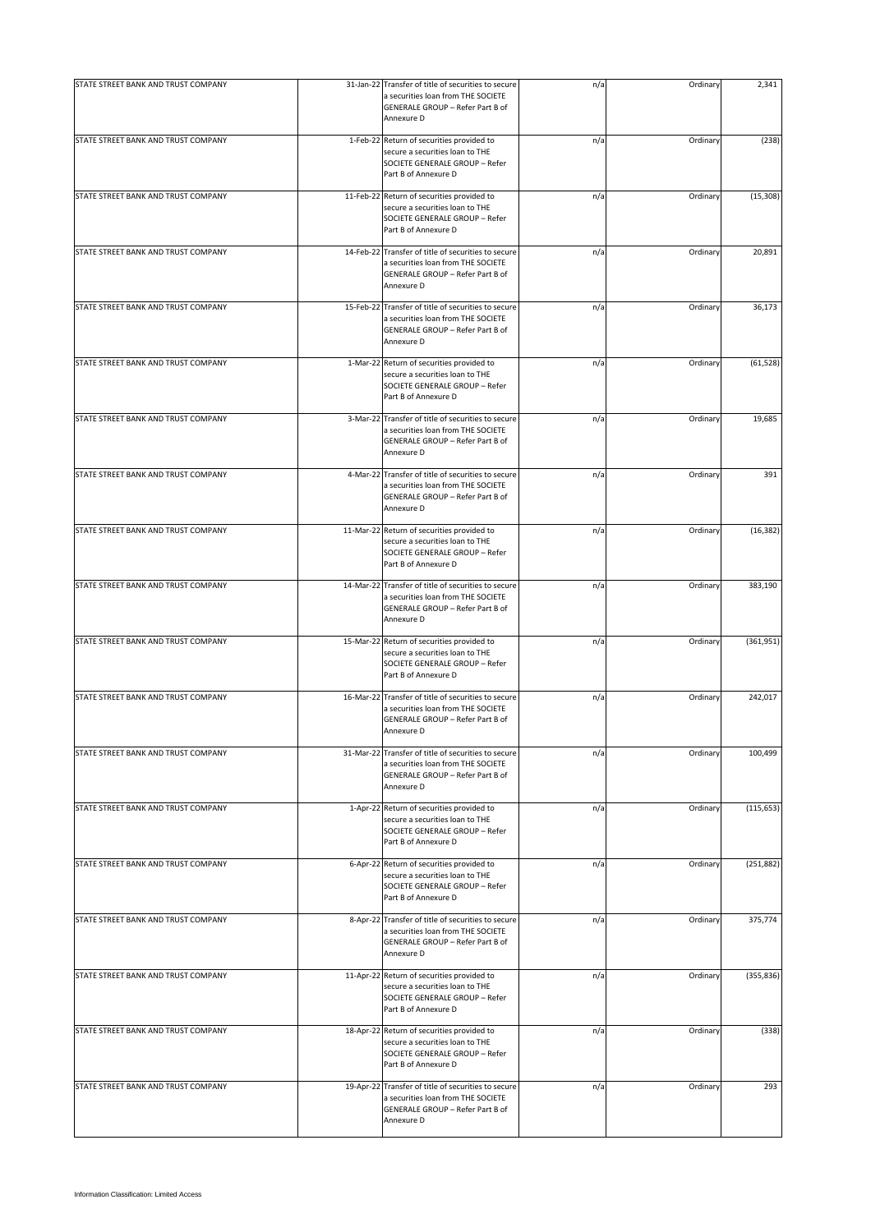| STATE STREET BANK AND TRUST COMPANY |                | 31-Jan-22 Transfer of title of securities to secure                                                                                         | n/a | Ordinary | 2,341      |
|-------------------------------------|----------------|---------------------------------------------------------------------------------------------------------------------------------------------|-----|----------|------------|
|                                     |                | a securities loan from THE SOCIETE<br>GENERALE GROUP - Refer Part B of<br>Annexure D                                                        |     |          |            |
| STATE STREET BANK AND TRUST COMPANY |                | 1-Feb-22 Return of securities provided to<br>secure a securities loan to THE<br>SOCIETE GENERALE GROUP - Refer<br>Part B of Annexure D      | n/a | Ordinary | (238)      |
| STATE STREET BANK AND TRUST COMPANY |                | 11-Feb-22 Return of securities provided to<br>secure a securities loan to THE<br>SOCIETE GENERALE GROUP - Refer<br>Part B of Annexure D     | n/a | Ordinary | (15, 308)  |
| STATE STREET BANK AND TRUST COMPANY | 14-Feb-22      | Transfer of title of securities to secure<br>a securities loan from THE SOCIETE<br>GENERALE GROUP - Refer Part B of<br>Annexure D           | n/a | Ordinary | 20,891     |
| STATE STREET BANK AND TRUST COMPANY |                | 15-Feb-22 Transfer of title of securities to secure<br>a securities loan from THE SOCIETE<br>GENERALE GROUP - Refer Part B of<br>Annexure D | n/a | Ordinary | 36,173     |
| STATE STREET BANK AND TRUST COMPANY |                | 1-Mar-22 Return of securities provided to<br>secure a securities loan to THE<br>SOCIETE GENERALE GROUP - Refer<br>Part B of Annexure D      | n/a | Ordinary | (61, 528)  |
| STATE STREET BANK AND TRUST COMPANY |                | 3-Mar-22 Transfer of title of securities to secure<br>a securities loan from THE SOCIETE<br>GENERALE GROUP - Refer Part B of<br>Annexure D  | n/a | Ordinary | 19,685     |
| STATE STREET BANK AND TRUST COMPANY |                | 4-Mar-22 Transfer of title of securities to secure<br>a securities loan from THE SOCIETE<br>GENERALE GROUP - Refer Part B of<br>Annexure D  | n/a | Ordinary | 391        |
| STATE STREET BANK AND TRUST COMPANY |                | 11-Mar-22 Return of securities provided to<br>secure a securities loan to THE<br>SOCIETE GENERALE GROUP - Refer<br>Part B of Annexure D     | n/a | Ordinary | (16, 382)  |
| STATE STREET BANK AND TRUST COMPANY |                | 14-Mar-22 Transfer of title of securities to secure<br>a securities loan from THE SOCIETE<br>GENERALE GROUP - Refer Part B of<br>Annexure D | n/a | Ordinary | 383,190    |
| STATE STREET BANK AND TRUST COMPANY | 15-Mar-22      | Return of securities provided to<br>secure a securities loan to THE<br>SOCIETE GENERALE GROUP - Refer<br>Part B of Annexure D               | n/a | Ordinary | (361, 951) |
| STATE STREET BANK AND TRUST COMPANY |                | 16-Mar-22 Transfer of title of securities to secure<br>a securities loan from THE SOCIETE<br>GENERALE GROUP - Refer Part B of<br>Annexure D | n/a | Ordinary | 242,017    |
| STATE STREET BANK AND TRUST COMPANY |                | 31-Mar-22 Transfer of title of securities to secure<br>a securities loan from THE SOCIETE<br>GENERALE GROUP - Refer Part B of<br>Annexure D | n/a | Ordinary | 100.499    |
| STATE STREET BANK AND TRUST COMPANY |                | 1-Apr-22 Return of securities provided to<br>secure a securities loan to THE<br>SOCIETE GENERALE GROUP - Refer<br>Part B of Annexure D      | n/a | Ordinary | (115, 653) |
| STATE STREET BANK AND TRUST COMPANY | $6 - Apr - 22$ | Return of securities provided to<br>secure a securities loan to THE<br>SOCIETE GENERALE GROUP - Refer<br>Part B of Annexure D               | n/a | Ordinary | (251, 882) |
| STATE STREET BANK AND TRUST COMPANY |                | 8-Apr-22 Transfer of title of securities to secure<br>a securities loan from THE SOCIETE<br>GENERALE GROUP - Refer Part B of<br>Annexure D  | n/a | Ordinary | 375,774    |
| STATE STREET BANK AND TRUST COMPANY | 11-Apr-22      | Return of securities provided to<br>secure a securities loan to THE<br>SOCIETE GENERALE GROUP - Refer<br>Part B of Annexure D               | n/a | Ordinary | (355, 836) |
| STATE STREET BANK AND TRUST COMPANY | 18-Apr-22      | Return of securities provided to<br>secure a securities loan to THE<br>SOCIETE GENERALE GROUP - Refer<br>Part B of Annexure D               | n/a | Ordinary | (338)      |
| STATE STREET BANK AND TRUST COMPANY | 19-Apr-22      | Transfer of title of securities to secure<br>a securities loan from THE SOCIETE<br>GENERALE GROUP - Refer Part B of<br>Annexure D           | n/a | Ordinary | 293        |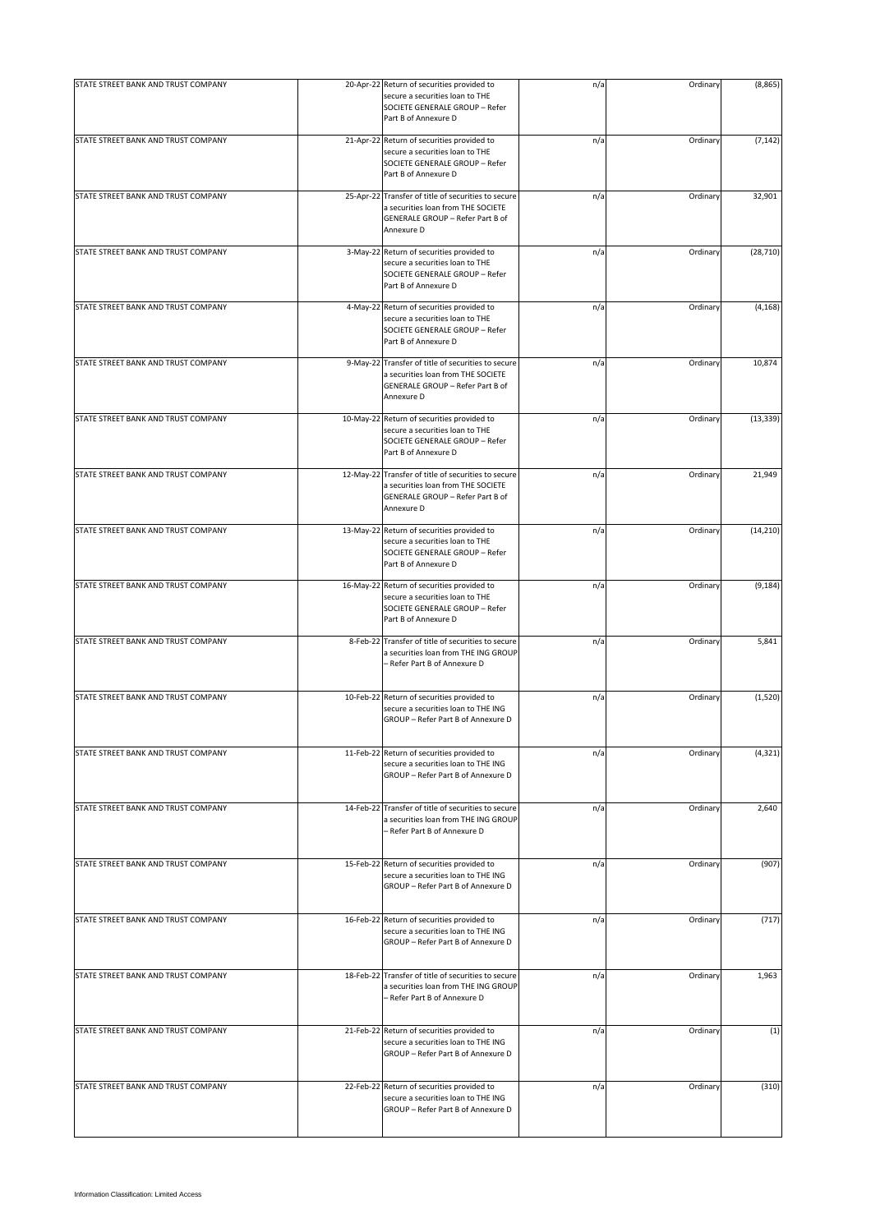| STATE STREET BANK AND TRUST COMPANY |           | 20-Apr-22 Return of securities provided to                                                                                                  | n/a | Ordinary | (8, 865)  |
|-------------------------------------|-----------|---------------------------------------------------------------------------------------------------------------------------------------------|-----|----------|-----------|
|                                     |           | secure a securities loan to THE<br>SOCIETE GENERALE GROUP - Refer<br>Part B of Annexure D                                                   |     |          |           |
| STATE STREET BANK AND TRUST COMPANY |           | 21-Apr-22 Return of securities provided to<br>secure a securities loan to THE<br>SOCIETE GENERALE GROUP - Refer<br>Part B of Annexure D     | n/a | Ordinary | (7, 142)  |
| STATE STREET BANK AND TRUST COMPANY |           | 25-Apr-22 Transfer of title of securities to secure<br>a securities loan from THE SOCIETE<br>GENERALE GROUP - Refer Part B of<br>Annexure D | n/a | Ordinary | 32,901    |
| STATE STREET BANK AND TRUST COMPANY |           | 3-May-22 Return of securities provided to<br>secure a securities loan to THE<br>SOCIETE GENERALE GROUP - Refer<br>Part B of Annexure D      | n/a | Ordinary | (28, 710) |
| STATE STREET BANK AND TRUST COMPANY | 4-May-22  | Return of securities provided to<br>secure a securities loan to THE<br>SOCIETE GENERALE GROUP - Refer<br>Part B of Annexure D               | n/a | Ordinary | (4, 168)  |
| STATE STREET BANK AND TRUST COMPANY | 9-May-22  | Transfer of title of securities to secure<br>a securities loan from THE SOCIETE<br>GENERALE GROUP - Refer Part B of<br>Annexure D           | n/a | Ordinary | 10,874    |
| STATE STREET BANK AND TRUST COMPANY | 10-May-22 | Return of securities provided to<br>secure a securities loan to THE<br>SOCIETE GENERALE GROUP - Refer<br>Part B of Annexure D               | n/a | Ordinary | (13, 339) |
| STATE STREET BANK AND TRUST COMPANY |           | 12-May-22 Transfer of title of securities to secure<br>a securities loan from THE SOCIETE<br>GENERALE GROUP - Refer Part B of<br>Annexure D | n/a | Ordinary | 21,949    |
| STATE STREET BANK AND TRUST COMPANY | 13-May-22 | Return of securities provided to<br>secure a securities loan to THE<br>SOCIETE GENERALE GROUP - Refer<br>Part B of Annexure D               | n/a | Ordinary | (14, 210) |
| STATE STREET BANK AND TRUST COMPANY |           | 16-May-22 Return of securities provided to<br>secure a securities loan to THE<br>SOCIETE GENERALE GROUP - Refer<br>Part B of Annexure D     | n/a | Ordinary | (9, 184)  |
| STATE STREET BANK AND TRUST COMPANY | 8-Feb-22  | Transfer of title of securities to secure<br>a securities loan from THE ING GROUP<br>- Refer Part B of Annexure D                           | n/a | Ordinary | 5,841     |
| STATE STREET BANK AND TRUST COMPANY |           | 10-Feb-22 Return of securities provided to<br>secure a securities loan to THE ING<br>GROUP - Refer Part B of Annexure D                     | n/a | Ordinary | (1,520)   |
| STATE STREET BANK AND TRUST COMPANY |           | 11-Feb-22 Return of securities provided to<br>secure a securities loan to THE ING<br>GROUP - Refer Part B of Annexure D                     | n/a | Ordinary | (4, 321)  |
| STATE STREET BANK AND TRUST COMPANY | 14-Feb-22 | Transfer of title of securities to secure<br>a securities loan from THE ING GROUP<br>- Refer Part B of Annexure D                           | n/a | Ordinary | 2,640     |
| STATE STREET BANK AND TRUST COMPANY | 15-Feb-22 | Return of securities provided to<br>secure a securities loan to THE ING<br>GROUP - Refer Part B of Annexure D                               | n/a | Ordinary | (907)     |
| STATE STREET BANK AND TRUST COMPANY |           | 16-Feb-22 Return of securities provided to<br>secure a securities loan to THE ING<br>GROUP - Refer Part B of Annexure D                     | n/a | Ordinary | (717)     |
| STATE STREET BANK AND TRUST COMPANY | 18-Feb-22 | Transfer of title of securities to secure<br>a securities loan from THE ING GROUP<br>- Refer Part B of Annexure D                           | n/a | Ordinary | 1,963     |
| STATE STREET BANK AND TRUST COMPANY | 21-Feb-22 | Return of securities provided to<br>secure a securities loan to THE ING<br>GROUP - Refer Part B of Annexure D                               | n/a | Ordinary | (1)       |
| STATE STREET BANK AND TRUST COMPANY |           | 22-Feb-22 Return of securities provided to<br>secure a securities loan to THE ING<br>GROUP - Refer Part B of Annexure D                     | n/a | Ordinary | (310)     |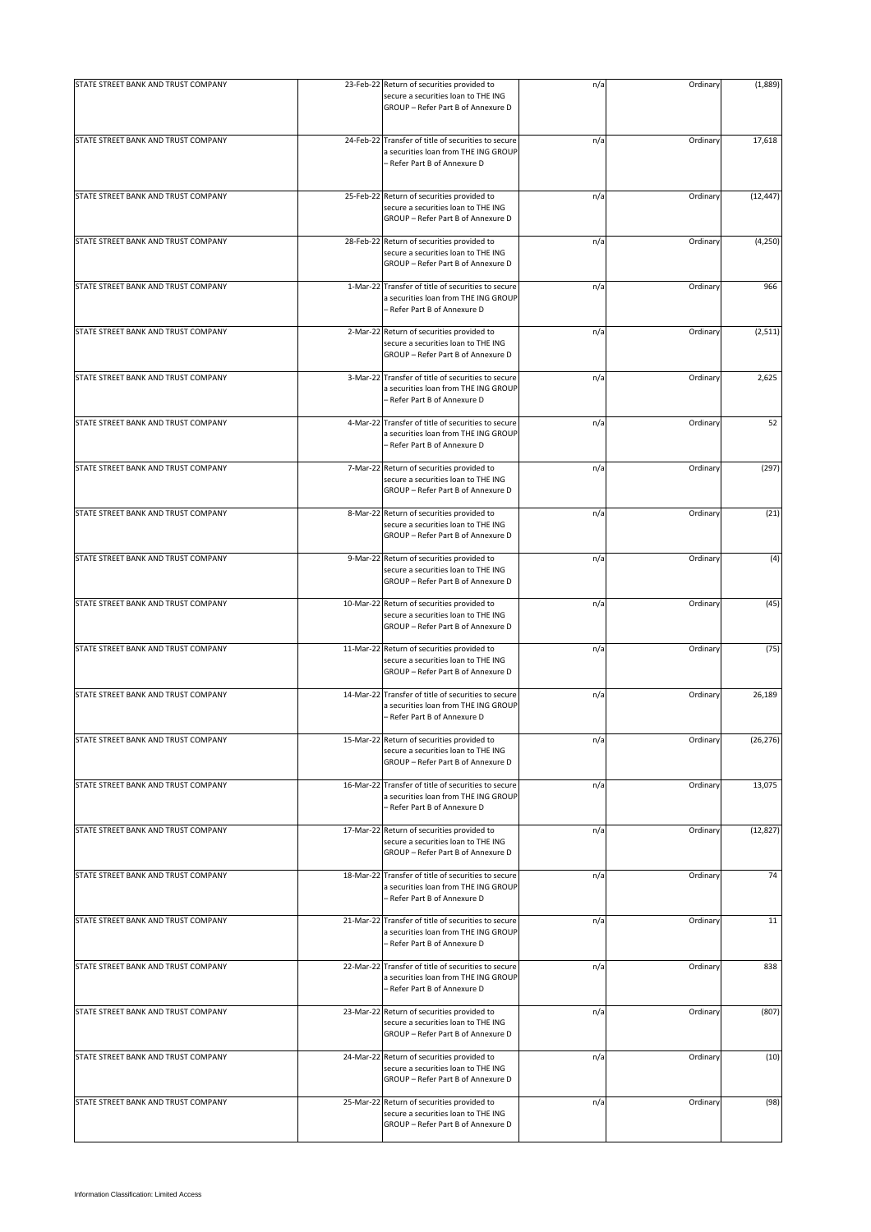| STATE STREET BANK AND TRUST COMPANY |           | 23-Feb-22 Return of securities provided to                                                                                  | n/a | Ordinary | (1,889)   |
|-------------------------------------|-----------|-----------------------------------------------------------------------------------------------------------------------------|-----|----------|-----------|
|                                     |           | secure a securities loan to THE ING<br>GROUP - Refer Part B of Annexure D                                                   |     |          |           |
| STATE STREET BANK AND TRUST COMPANY |           | 24-Feb-22 Transfer of title of securities to secure<br>a securities loan from THE ING GROUP<br>- Refer Part B of Annexure D | n/a | Ordinary | 17,618    |
| STATE STREET BANK AND TRUST COMPANY | 25-Feb-22 | Return of securities provided to<br>secure a securities loan to THE ING<br>GROUP - Refer Part B of Annexure D               | n/a | Ordinary | (12, 447) |
| STATE STREET BANK AND TRUST COMPANY | 28-Feb-22 | Return of securities provided to<br>secure a securities loan to THE ING<br>GROUP - Refer Part B of Annexure D               | n/a | Ordinary | (4, 250)  |
| STATE STREET BANK AND TRUST COMPANY |           | 1-Mar-22 Transfer of title of securities to secure<br>a securities loan from THE ING GROUP<br>- Refer Part B of Annexure D  | n/a | Ordinary | 966       |
| STATE STREET BANK AND TRUST COMPANY |           | 2-Mar-22 Return of securities provided to<br>secure a securities loan to THE ING<br>GROUP - Refer Part B of Annexure D      | n/a | Ordinary | (2,511)   |
| STATE STREET BANK AND TRUST COMPANY |           | 3-Mar-22 Transfer of title of securities to secure<br>a securities loan from THE ING GROUP<br>- Refer Part B of Annexure D  | n/a | Ordinary | 2,625     |
| STATE STREET BANK AND TRUST COMPANY |           | 4-Mar-22 Transfer of title of securities to secure<br>a securities loan from THE ING GROUP<br>- Refer Part B of Annexure D  | n/a | Ordinary | 52        |
| STATE STREET BANK AND TRUST COMPANY |           | 7-Mar-22 Return of securities provided to<br>secure a securities loan to THE ING<br>GROUP - Refer Part B of Annexure D      | n/a | Ordinary | (297)     |
| STATE STREET BANK AND TRUST COMPANY |           | 8-Mar-22 Return of securities provided to<br>secure a securities loan to THE ING<br>GROUP - Refer Part B of Annexure D      | n/a | Ordinary | (21)      |
| STATE STREET BANK AND TRUST COMPANY |           | 9-Mar-22 Return of securities provided to<br>secure a securities loan to THE ING<br>GROUP - Refer Part B of Annexure D      | n/a | Ordinary | (4)       |
| STATE STREET BANK AND TRUST COMPANY | 10-Mar-22 | Return of securities provided to<br>secure a securities loan to THE ING<br>GROUP - Refer Part B of Annexure D               | n/a | Ordinary | (45)      |
| STATE STREET BANK AND TRUST COMPANY |           | 11-Mar-22 Return of securities provided to<br>secure a securities loan to THE ING<br>GROUP - Refer Part B of Annexure D     | n/a | Ordinary | (75)      |
| STATE STREET BANK AND TRUST COMPANY | 14-Mar-22 | Transfer of title of securities to secure<br>a securities loan from THE ING GROUP<br>- Refer Part B of Annexure D           | n/a | Ordinary | 26,189    |
| STATE STREET BANK AND TRUST COMPANY |           | 15-Mar-22 Return of securities provided to<br>secure a securities loan to THE ING<br>GROUP - Refer Part B of Annexure D     | n/a | Ordinary | (26, 276) |
| STATE STREET BANK AND TRUST COMPANY |           | 16-Mar-22 Transfer of title of securities to secure<br>a securities loan from THE ING GROUP<br>- Refer Part B of Annexure D | n/a | Ordinary | 13,075    |
| STATE STREET BANK AND TRUST COMPANY | 17-Mar-22 | Return of securities provided to<br>secure a securities loan to THE ING<br>GROUP - Refer Part B of Annexure D               | n/a | Ordinary | (12, 827) |
| STATE STREET BANK AND TRUST COMPANY | 18-Mar-22 | Transfer of title of securities to secure<br>a securities loan from THE ING GROUP<br>– Refer Part B of Annexure D           | n/a | Ordinary | 74        |
| STATE STREET BANK AND TRUST COMPANY |           | 21-Mar-22 Transfer of title of securities to secure<br>a securities loan from THE ING GROUP<br>- Refer Part B of Annexure D | n/a | Ordinary | 11        |
| STATE STREET BANK AND TRUST COMPANY |           | 22-Mar-22 Transfer of title of securities to secure<br>a securities loan from THE ING GROUP<br>- Refer Part B of Annexure D | n/a | Ordinary | 838       |
| STATE STREET BANK AND TRUST COMPANY |           | 23-Mar-22 Return of securities provided to<br>secure a securities loan to THE ING<br>GROUP - Refer Part B of Annexure D     | n/a | Ordinary | (807)     |
| STATE STREET BANK AND TRUST COMPANY |           | 24-Mar-22 Return of securities provided to<br>secure a securities loan to THE ING<br>GROUP - Refer Part B of Annexure D     | n/a | Ordinary | (10)      |
| STATE STREET BANK AND TRUST COMPANY | 25-Mar-22 | Return of securities provided to<br>secure a securities loan to THE ING<br>GROUP - Refer Part B of Annexure D               | n/a | Ordinary | (98)      |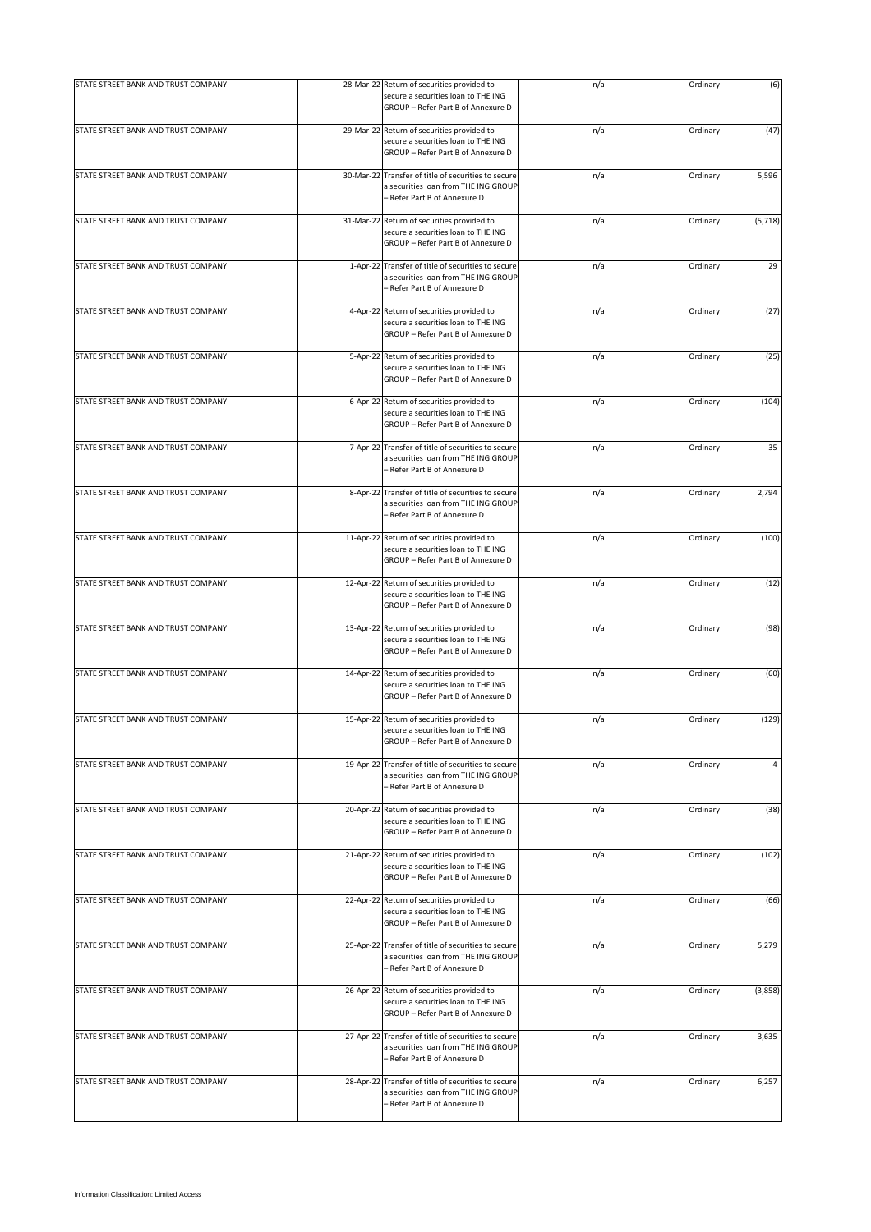| STATE STREET BANK AND TRUST COMPANY | 28-Mar-22 Return of securities provided to                                                                                  | n/a | Ordinary | (6)      |
|-------------------------------------|-----------------------------------------------------------------------------------------------------------------------------|-----|----------|----------|
|                                     | secure a securities loan to THE ING<br>GROUP - Refer Part B of Annexure D                                                   |     |          |          |
| STATE STREET BANK AND TRUST COMPANY | 29-Mar-22 Return of securities provided to<br>secure a securities loan to THE ING<br>GROUP - Refer Part B of Annexure D     | n/a | Ordinary | (47)     |
| STATE STREET BANK AND TRUST COMPANY | 30-Mar-22 Transfer of title of securities to secure<br>a securities loan from THE ING GROUP<br>- Refer Part B of Annexure D | n/a | Ordinary | 5,596    |
| STATE STREET BANK AND TRUST COMPANY | 31-Mar-22 Return of securities provided to<br>secure a securities loan to THE ING<br>GROUP - Refer Part B of Annexure D     | n/a | Ordinary | (5, 718) |
| STATE STREET BANK AND TRUST COMPANY | 1-Apr-22 Transfer of title of securities to secure<br>a securities loan from THE ING GROUP<br>- Refer Part B of Annexure D  | n/a | Ordinary | 29       |
| STATE STREET BANK AND TRUST COMPANY | 4-Apr-22 Return of securities provided to<br>secure a securities loan to THE ING<br>GROUP - Refer Part B of Annexure D      | n/a | Ordinary | (27)     |
| STATE STREET BANK AND TRUST COMPANY | 5-Apr-22 Return of securities provided to<br>secure a securities loan to THE ING<br>GROUP - Refer Part B of Annexure D      | n/a | Ordinary | (25)     |
| STATE STREET BANK AND TRUST COMPANY | 6-Apr-22 Return of securities provided to<br>secure a securities loan to THE ING<br>GROUP - Refer Part B of Annexure D      | n/a | Ordinary | (104)    |
| STATE STREET BANK AND TRUST COMPANY | 7-Apr-22 Transfer of title of securities to secure<br>a securities loan from THE ING GROUP<br>- Refer Part B of Annexure D  | n/a | Ordinary | 35       |
| STATE STREET BANK AND TRUST COMPANY | 8-Apr-22 Transfer of title of securities to secure<br>a securities loan from THE ING GROUP<br>- Refer Part B of Annexure D  | n/a | Ordinary | 2,794    |
| STATE STREET BANK AND TRUST COMPANY | 11-Apr-22 Return of securities provided to<br>secure a securities loan to THE ING<br>GROUP - Refer Part B of Annexure D     | n/a | Ordinary | (100)    |
| STATE STREET BANK AND TRUST COMPANY | 12-Apr-22 Return of securities provided to<br>secure a securities loan to THE ING<br>GROUP - Refer Part B of Annexure D     | n/a | Ordinary | (12)     |
| STATE STREET BANK AND TRUST COMPANY | 13-Apr-22 Return of securities provided to<br>secure a securities loan to THE ING<br>GROUP - Refer Part B of Annexure D     | n/a | Ordinary | (98)     |
| STATE STREET BANK AND TRUST COMPANY | 14-Apr-22 Return of securities provided to<br>secure a securities loan to THE ING<br>GROUP - Refer Part B of Annexure D     | n/a | Ordinary | (60)     |
| STATE STREET BANK AND TRUST COMPANY | 15-Apr-22 Return of securities provided to<br>secure a securities loan to THE ING<br>GROUP - Refer Part B of Annexure D     | n/a | Ordinary | (129)    |
| STATE STREET BANK AND TRUST COMPANY | 19-Apr-22 Transfer of title of securities to secure<br>a securities loan from THE ING GROUP<br>- Refer Part B of Annexure D | n/a | Ordinary | 4        |
| STATE STREET BANK AND TRUST COMPANY | 20-Apr-22 Return of securities provided to<br>secure a securities loan to THE ING<br>GROUP - Refer Part B of Annexure D     | n/a | Ordinary | (38)     |
| STATE STREET BANK AND TRUST COMPANY | 21-Apr-22 Return of securities provided to<br>secure a securities loan to THE ING<br>GROUP - Refer Part B of Annexure D     | n/a | Ordinary | (102)    |
| STATE STREET BANK AND TRUST COMPANY | 22-Apr-22 Return of securities provided to<br>secure a securities loan to THE ING<br>GROUP - Refer Part B of Annexure D     | n/a | Ordinary | (66)     |
| STATE STREET BANK AND TRUST COMPANY | 25-Apr-22 Transfer of title of securities to secure<br>a securities loan from THE ING GROUP<br>- Refer Part B of Annexure D | n/a | Ordinary | 5,279    |
| STATE STREET BANK AND TRUST COMPANY | 26-Apr-22 Return of securities provided to<br>secure a securities loan to THE ING<br>GROUP - Refer Part B of Annexure D     | n/a | Ordinary | (3,858)  |
| STATE STREET BANK AND TRUST COMPANY | 27-Apr-22 Transfer of title of securities to secure<br>a securities loan from THE ING GROUP<br>Refer Part B of Annexure D   | n/a | Ordinary | 3,635    |
| STATE STREET BANK AND TRUST COMPANY | 28-Apr-22 Transfer of title of securities to secure<br>a securities loan from THE ING GROUP<br>- Refer Part B of Annexure D | n/a | Ordinary | 6,257    |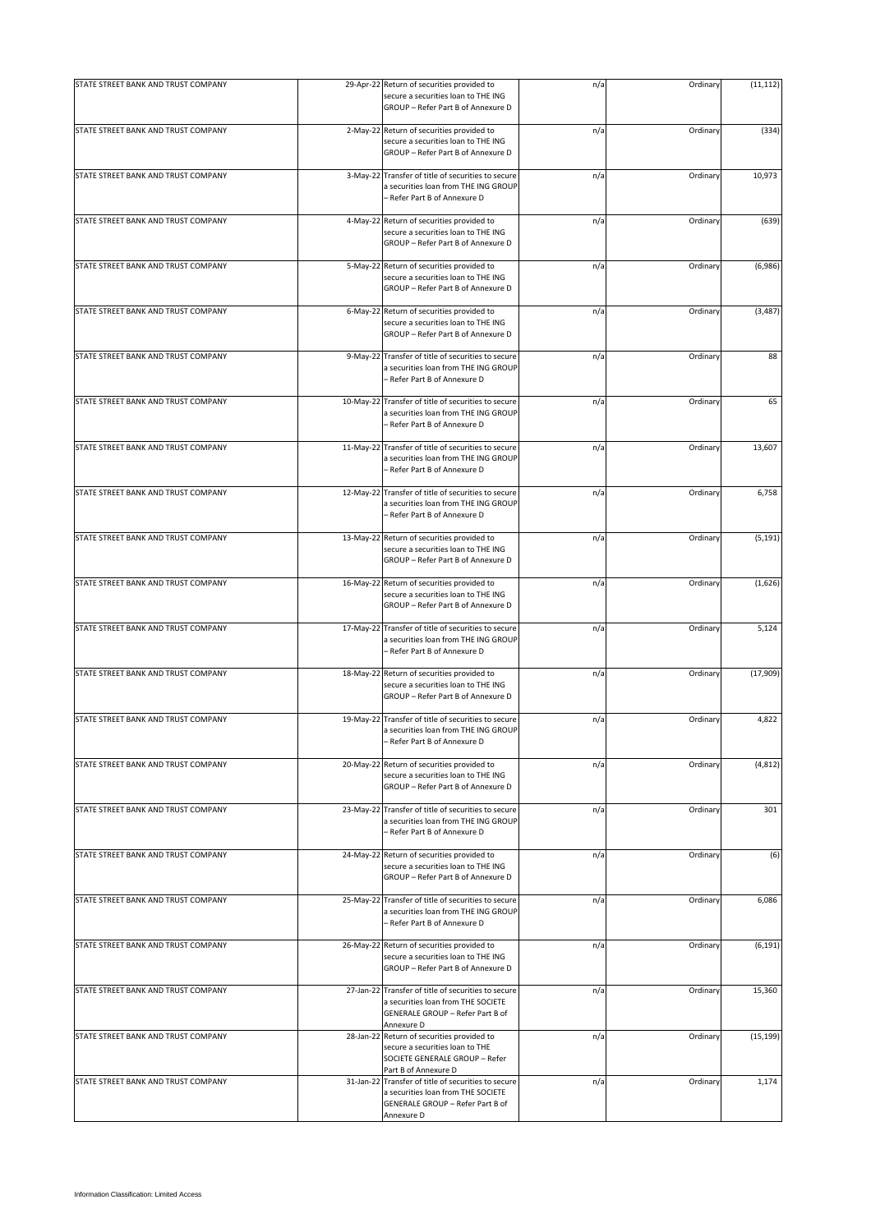| STATE STREET BANK AND TRUST COMPANY |            | 29-Apr-22 Return of securities provided to<br>secure a securities loan to THE ING<br>GROUP - Refer Part B of Annexure D                     | n/a | Ordinary | (11, 112) |
|-------------------------------------|------------|---------------------------------------------------------------------------------------------------------------------------------------------|-----|----------|-----------|
| STATE STREET BANK AND TRUST COMPANY |            | 2-May-22 Return of securities provided to<br>secure a securities loan to THE ING<br>GROUP - Refer Part B of Annexure D                      | n/a | Ordinary | (334)     |
| STATE STREET BANK AND TRUST COMPANY | $3-May-22$ | Transfer of title of securities to secure<br>a securities loan from THE ING GROUP<br>– Refer Part B of Annexure D                           | n/a | Ordinary | 10,973    |
| STATE STREET BANK AND TRUST COMPANY | 4-May-22   | Return of securities provided to<br>secure a securities loan to THE ING<br>GROUP - Refer Part B of Annexure D                               | n/a | Ordinary | (639)     |
| STATE STREET BANK AND TRUST COMPANY | 5-May-22   | Return of securities provided to<br>secure a securities loan to THE ING<br>GROUP - Refer Part B of Annexure D                               | n/a | Ordinary | (6,986)   |
| STATE STREET BANK AND TRUST COMPANY | 6-May-22   | Return of securities provided to<br>secure a securities loan to THE ING<br>GROUP - Refer Part B of Annexure D                               | n/a | Ordinary | (3, 487)  |
| STATE STREET BANK AND TRUST COMPANY | 9-May-22   | Transfer of title of securities to secure<br>a securities loan from THE ING GROUP<br>- Refer Part B of Annexure D                           | n/a | Ordinary | 88        |
| STATE STREET BANK AND TRUST COMPANY | 10-May-22  | Transfer of title of securities to secure<br>a securities loan from THE ING GROUP<br>- Refer Part B of Annexure D                           | n/a | Ordinary | 65        |
| STATE STREET BANK AND TRUST COMPANY | 11-May-22  | Transfer of title of securities to secure<br>a securities loan from THE ING GROUP<br>- Refer Part B of Annexure D                           | n/a | Ordinary | 13,607    |
| STATE STREET BANK AND TRUST COMPANY | 12-May-22  | Transfer of title of securities to secure<br>a securities loan from THE ING GROUP<br>- Refer Part B of Annexure D                           | n/a | Ordinary | 6,758     |
| STATE STREET BANK AND TRUST COMPANY |            | 13-May-22 Return of securities provided to<br>secure a securities loan to THE ING<br>GROUP - Refer Part B of Annexure D                     | n/a | Ordinary | (5, 191)  |
| STATE STREET BANK AND TRUST COMPANY |            | 16-May-22 Return of securities provided to<br>secure a securities loan to THE ING<br>GROUP - Refer Part B of Annexure D                     | n/a | Ordinary | (1,626)   |
| STATE STREET BANK AND TRUST COMPANY | 17-May-22  | Transfer of title of securities to secure<br>a securities loan from THE ING GROUP<br>- Refer Part B of Annexure D                           | n/a | Ordinary | 5,124     |
| STATE STREET BANK AND TRUST COMPANY |            | 18-May-22 Return of securities provided to<br>secure a securities loan to THE ING<br>GROUP - Refer Part B of Annexure D                     | n/a | Ordinary | (17,909)  |
| STATE STREET BANK AND TRUST COMPANY |            | 19-May-22 Transfer of title of securities to secure<br>a securities loan from THE ING GROUP<br>- Refer Part B of Annexure D                 | n/a | Ordinary | 4,822     |
| STATE STREET BANK AND TRUST COMPANY | 20-May-22  | Return of securities provided to<br>secure a securities loan to THE ING<br>GROUP - Refer Part B of Annexure D                               | n/a | Ordinary | (4, 812)  |
| STATE STREET BANK AND TRUST COMPANY | 23-May-22  | Transfer of title of securities to secure<br>a securities loan from THE ING GROUP<br>– Refer Part B of Annexure D                           | n/a | Ordinary | 301       |
| STATE STREET BANK AND TRUST COMPANY |            | 24-May-22 Return of securities provided to<br>secure a securities loan to THE ING<br>GROUP - Refer Part B of Annexure D                     | n/a | Ordinary | (6)       |
| STATE STREET BANK AND TRUST COMPANY |            | 25-May-22 Transfer of title of securities to secure<br>a securities loan from THE ING GROUP<br>- Refer Part B of Annexure D                 | n/a | Ordinary | 6,086     |
| STATE STREET BANK AND TRUST COMPANY |            | 26-May-22 Return of securities provided to<br>secure a securities loan to THE ING<br>GROUP - Refer Part B of Annexure D                     | n/a | Ordinary | (6, 191)  |
| STATE STREET BANK AND TRUST COMPANY |            | 27-Jan-22 Transfer of title of securities to secure<br>a securities loan from THE SOCIETE<br>GENERALE GROUP - Refer Part B of<br>Annexure D | n/a | Ordinary | 15,360    |
| STATE STREET BANK AND TRUST COMPANY | 28-Jan-22  | Return of securities provided to<br>secure a securities loan to THE<br>SOCIETE GENERALE GROUP - Refer<br>Part B of Annexure D               | n/a | Ordinary | (15, 199) |
| STATE STREET BANK AND TRUST COMPANY | 31-Jan-22  | Transfer of title of securities to secure<br>a securities loan from THE SOCIETE<br>GENERALE GROUP - Refer Part B of<br>Annexure D           | n/a | Ordinary | 1,174     |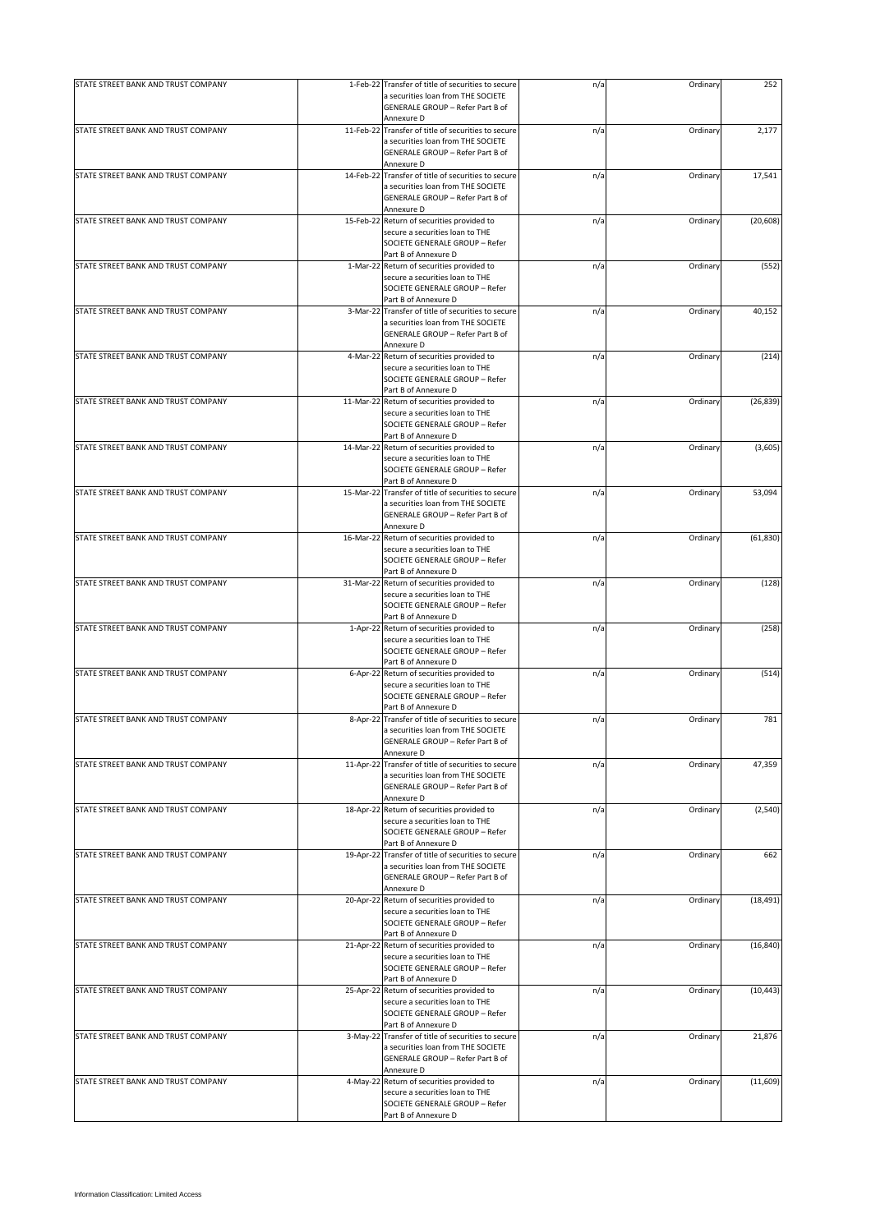| STATE STREET BANK AND TRUST COMPANY | 1-Feb-22 Transfer of title of securities to secure                                                                                      | n/a | Ordinary | 252       |
|-------------------------------------|-----------------------------------------------------------------------------------------------------------------------------------------|-----|----------|-----------|
|                                     | a securities loan from THE SOCIETE<br>GENERALE GROUP - Refer Part B of<br>Annexure D                                                    |     |          |           |
| STATE STREET BANK AND TRUST COMPANY | 11-Feb-22 Transfer of title of securities to secure                                                                                     | n/a | Ordinary | 2,177     |
|                                     | a securities loan from THE SOCIETE<br>GENERALE GROUP - Refer Part B of<br>Annexure D                                                    |     |          |           |
| STATE STREET BANK AND TRUST COMPANY | 14-Feb-22 Transfer of title of securities to secure                                                                                     | n/a | Ordinary | 17,541    |
|                                     | a securities loan from THE SOCIETE<br>GENERALE GROUP - Refer Part B of                                                                  |     |          |           |
|                                     | Annexure D                                                                                                                              |     |          |           |
| STATE STREET BANK AND TRUST COMPANY | 15-Feb-22 Return of securities provided to<br>secure a securities loan to THE                                                           | n/a | Ordinary | (20, 608) |
|                                     | SOCIETE GENERALE GROUP - Refer<br>Part B of Annexure D                                                                                  |     |          |           |
| STATE STREET BANK AND TRUST COMPANY | 1-Mar-22 Return of securities provided to                                                                                               | n/a | Ordinary | (552)     |
|                                     | secure a securities loan to THE<br>SOCIETE GENERALE GROUP - Refer<br>Part B of Annexure D                                               |     |          |           |
| STATE STREET BANK AND TRUST COMPANY | 3-Mar-22 Transfer of title of securities to secure                                                                                      | n/a | Ordinary | 40,152    |
|                                     | a securities loan from THE SOCIETE<br>GENERALE GROUP - Refer Part B of                                                                  |     |          |           |
| STATE STREET BANK AND TRUST COMPANY | Annexure D<br>4-Mar-22 Return of securities provided to                                                                                 | n/a | Ordinary | (214)     |
|                                     | secure a securities loan to THE<br>SOCIETE GENERALE GROUP - Refer                                                                       |     |          |           |
|                                     | Part B of Annexure D                                                                                                                    |     |          |           |
| STATE STREET BANK AND TRUST COMPANY | 11-Mar-22 Return of securities provided to<br>secure a securities loan to THE<br>SOCIETE GENERALE GROUP - Refer                         | n/a | Ordinary | (26, 839) |
|                                     | Part B of Annexure D                                                                                                                    |     |          |           |
| STATE STREET BANK AND TRUST COMPANY | 14-Mar-22 Return of securities provided to<br>secure a securities loan to THE<br>SOCIETE GENERALE GROUP - Refer<br>Part B of Annexure D | n/a | Ordinary | (3,605)   |
| STATE STREET BANK AND TRUST COMPANY | 15-Mar-22 Transfer of title of securities to secure                                                                                     | n/a | Ordinary | 53,094    |
|                                     | a securities loan from THE SOCIETE<br>GENERALE GROUP - Refer Part B of<br>Annexure D                                                    |     |          |           |
| STATE STREET BANK AND TRUST COMPANY | 16-Mar-22 Return of securities provided to                                                                                              | n/a | Ordinary | (61, 830) |
|                                     | secure a securities loan to THE<br>SOCIETE GENERALE GROUP - Refer<br>Part B of Annexure D                                               |     |          |           |
| STATE STREET BANK AND TRUST COMPANY | 31-Mar-22 Return of securities provided to                                                                                              | n/a | Ordinary | (128)     |
|                                     | secure a securities loan to THE<br>SOCIETE GENERALE GROUP - Refer<br>Part B of Annexure D                                               |     |          |           |
| STATE STREET BANK AND TRUST COMPANY | 1-Apr-22 Return of securities provided to                                                                                               | n/a | Ordinary | (258)     |
|                                     | secure a securities loan to THE<br>SOCIETE GENERALE GROUP - Refer<br>Part B of Annexure D                                               |     |          |           |
| STATE STREET BANK AND TRUST COMPANY | 6-Apr-22 Return of securities provided to                                                                                               | n/a | Ordinary | (514)     |
|                                     | secure a securities loan to THE<br>SOCIETE GENERALE GROUP - Refer<br>Part B of Annexure D                                               |     |          |           |
| STATE STREET BANK AND TRUST COMPANY | 8-Apr-22 Transfer of title of securities to secure                                                                                      | n/a | Ordinary | 781       |
|                                     | a securities loan from THE SOCIETE<br>GENERALE GROUP - Refer Part B of<br>Annexure D                                                    |     |          |           |
| STATE STREET BANK AND TRUST COMPANY | 11-Apr-22 Transfer of title of securities to secure                                                                                     | n/a | Ordinary | 47,359    |
|                                     | a securities loan from THE SOCIETE<br>GENERALE GROUP - Refer Part B of<br>Annexure D                                                    |     |          |           |
| STATE STREET BANK AND TRUST COMPANY | 18-Apr-22 Return of securities provided to                                                                                              | n/a | Ordinary | (2, 540)  |
|                                     | secure a securities loan to THE<br>SOCIETE GENERALE GROUP - Refer<br>Part B of Annexure D                                               |     |          |           |
| STATE STREET BANK AND TRUST COMPANY | 19-Apr-22 Transfer of title of securities to secure                                                                                     | n/a | Ordinary | 662       |
|                                     | a securities loan from THE SOCIETE<br>GENERALE GROUP - Refer Part B of                                                                  |     |          |           |
| STATE STREET BANK AND TRUST COMPANY | Annexure D<br>20-Apr-22 Return of securities provided to                                                                                | n/a | Ordinary | (18, 491) |
|                                     | secure a securities loan to THE<br>SOCIETE GENERALE GROUP - Refer                                                                       |     |          |           |
|                                     | Part B of Annexure D                                                                                                                    |     |          |           |
| STATE STREET BANK AND TRUST COMPANY | 21-Apr-22 Return of securities provided to<br>secure a securities loan to THE<br>SOCIETE GENERALE GROUP - Refer                         | n/a | Ordinary | (16, 840) |
| STATE STREET BANK AND TRUST COMPANY | Part B of Annexure D                                                                                                                    |     | Ordinary |           |
|                                     | 25-Apr-22 Return of securities provided to<br>secure a securities loan to THE<br>SOCIETE GENERALE GROUP - Refer                         | n/a |          | (10, 443) |
| STATE STREET BANK AND TRUST COMPANY | Part B of Annexure D                                                                                                                    |     |          |           |
|                                     | 3-May-22 Transfer of title of securities to secure<br>a securities loan from THE SOCIETE<br>GENERALE GROUP - Refer Part B of            | n/a | Ordinary | 21,876    |
| STATE STREET BANK AND TRUST COMPANY | Annexure D<br>4-May-22 Return of securities provided to                                                                                 | n/a | Ordinary | (11, 609) |
|                                     | secure a securities loan to THE<br>SOCIETE GENERALE GROUP - Refer                                                                       |     |          |           |
|                                     | Part B of Annexure D                                                                                                                    |     |          |           |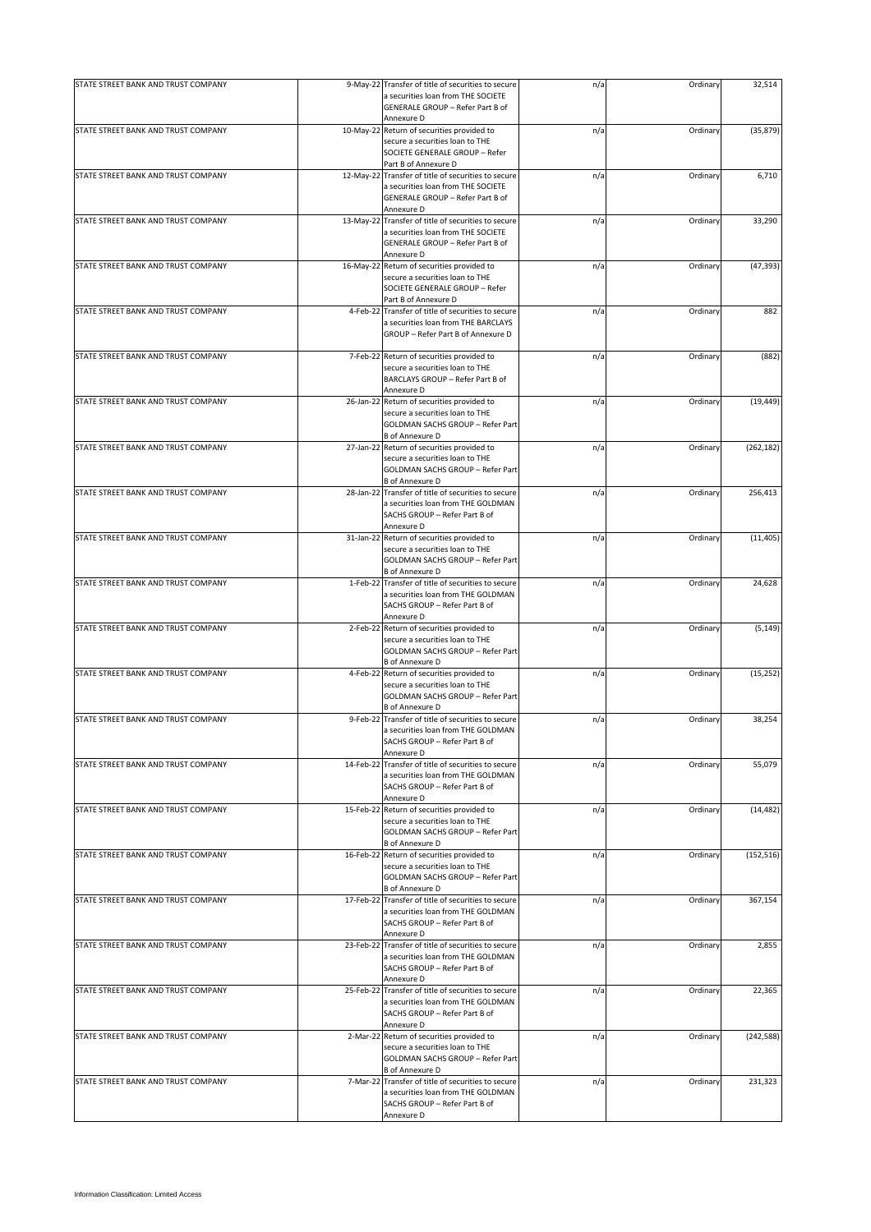| STATE STREET BANK AND TRUST COMPANY | 9-May-22 Transfer of title of securities to secure                                                                                          | n/a | Ordinary | 32,514     |
|-------------------------------------|---------------------------------------------------------------------------------------------------------------------------------------------|-----|----------|------------|
|                                     | a securities loan from THE SOCIETE<br>GENERALE GROUP - Refer Part B of<br>Annexure D                                                        |     |          |            |
| STATE STREET BANK AND TRUST COMPANY | 10-May-22 Return of securities provided to                                                                                                  | n/a | Ordinary | (35, 879)  |
|                                     | secure a securities loan to THE<br>SOCIETE GENERALE GROUP - Refer<br>Part B of Annexure D                                                   |     |          |            |
| STATE STREET BANK AND TRUST COMPANY | 12-May-22 Transfer of title of securities to secure                                                                                         | n/a | Ordinary | 6,710      |
|                                     | a securities loan from THE SOCIETE<br>GENERALE GROUP - Refer Part B of                                                                      |     |          |            |
|                                     | Annexure D                                                                                                                                  |     |          |            |
| STATE STREET BANK AND TRUST COMPANY | 13-May-22 Transfer of title of securities to secure                                                                                         | n/a | Ordinary | 33,290     |
|                                     | a securities loan from THE SOCIETE<br>GENERALE GROUP - Refer Part B of<br>Annexure D                                                        |     |          |            |
| STATE STREET BANK AND TRUST COMPANY | 16-May-22 Return of securities provided to                                                                                                  | n/a | Ordinary | (47, 393)  |
|                                     | secure a securities loan to THE<br>SOCIETE GENERALE GROUP - Refer<br>Part B of Annexure D                                                   |     |          |            |
| STATE STREET BANK AND TRUST COMPANY | 4-Feb-22 Transfer of title of securities to secure                                                                                          | n/a | Ordinary | 882        |
|                                     | a securities loan from THE BARCLAYS<br>GROUP - Refer Part B of Annexure D                                                                   |     |          |            |
| STATE STREET BANK AND TRUST COMPANY | 7-Feb-22 Return of securities provided to                                                                                                   | n/a | Ordinary | (882)      |
|                                     | secure a securities loan to THE<br>BARCLAYS GROUP - Refer Part B of                                                                         |     |          |            |
|                                     | Annexure D                                                                                                                                  |     |          |            |
| STATE STREET BANK AND TRUST COMPANY | 26-Jan-22 Return of securities provided to<br>secure a securities loan to THE<br>GOLDMAN SACHS GROUP - Refer Part                           | n/a | Ordinary | (19, 449)  |
|                                     | <b>B</b> of Annexure D                                                                                                                      |     |          |            |
| STATE STREET BANK AND TRUST COMPANY | 27-Jan-22 Return of securities provided to<br>secure a securities loan to THE<br>GOLDMAN SACHS GROUP - Refer Part<br><b>B</b> of Annexure D | n/a | Ordinary | (262, 182) |
| STATE STREET BANK AND TRUST COMPANY | 28-Jan-22 Transfer of title of securities to secure                                                                                         | n/a | Ordinary | 256,413    |
|                                     | a securities loan from THE GOLDMAN<br>SACHS GROUP - Refer Part B of<br>Annexure D                                                           |     |          |            |
| STATE STREET BANK AND TRUST COMPANY | 31-Jan-22 Return of securities provided to                                                                                                  | n/a | Ordinary | (11, 405)  |
|                                     | secure a securities loan to THE<br>GOLDMAN SACHS GROUP - Refer Part<br><b>B</b> of Annexure D                                               |     |          |            |
| STATE STREET BANK AND TRUST COMPANY | 1-Feb-22 Transfer of title of securities to secure                                                                                          | n/a | Ordinary | 24,628     |
|                                     | a securities loan from THE GOLDMAN<br>SACHS GROUP - Refer Part B of<br>Annexure D                                                           |     |          |            |
| STATE STREET BANK AND TRUST COMPANY | 2-Feb-22 Return of securities provided to<br>secure a securities loan to THE<br>GOLDMAN SACHS GROUP - Refer Part                            | n/a | Ordinary | (5, 149)   |
|                                     | <b>B</b> of Annexure D                                                                                                                      |     |          |            |
| STATE STREET BANK AND TRUST COMPANY | 4-Feb-22 Return of securities provided to<br>secure a securities loan to THE<br>GOLDMAN SACHS GROUP - Refer Part                            | n/a | Ordinary | (15, 252)  |
|                                     | <b>B</b> of Annexure D                                                                                                                      |     |          |            |
| STATE STREET BANK AND TRUST COMPANY | 9-Feb-22 Transfer of title of securities to secure<br>a securities loan from THE GOLDMAN<br>SACHS GROUP - Refer Part B of                   | n/a | Ordinary | 38,254     |
|                                     | Annexure D                                                                                                                                  |     |          |            |
| STATE STREET BANK AND TRUST COMPANY | 14-Feb-22 Transfer of title of securities to secure<br>a securities loan from THE GOLDMAN<br>SACHS GROUP - Refer Part B of<br>Annexure D    | n/a | Ordinary | 55,079     |
| STATE STREET BANK AND TRUST COMPANY | 15-Feb-22 Return of securities provided to                                                                                                  | n/a | Ordinary | (14, 482)  |
|                                     | secure a securities loan to THE<br>GOLDMAN SACHS GROUP - Refer Part<br><b>B</b> of Annexure D                                               |     |          |            |
| STATE STREET BANK AND TRUST COMPANY | 16-Feb-22 Return of securities provided to                                                                                                  | n/a | Ordinary | (152, 516) |
|                                     | secure a securities loan to THE<br>GOLDMAN SACHS GROUP - Refer Part<br><b>B</b> of Annexure D                                               |     |          |            |
| STATE STREET BANK AND TRUST COMPANY | 17-Feb-22 Transfer of title of securities to secure                                                                                         | n/a | Ordinary | 367,154    |
|                                     | a securities loan from THE GOLDMAN<br>SACHS GROUP - Refer Part B of                                                                         |     |          |            |
|                                     | Annexure D                                                                                                                                  |     |          |            |
| STATE STREET BANK AND TRUST COMPANY | 23-Feb-22 Transfer of title of securities to secure<br>a securities loan from THE GOLDMAN<br>SACHS GROUP - Refer Part B of<br>Annexure D    | n/a | Ordinary | 2,855      |
| STATE STREET BANK AND TRUST COMPANY | 25-Feb-22 Transfer of title of securities to secure<br>a securities loan from THE GOLDMAN<br>SACHS GROUP - Refer Part B of                  | n/a | Ordinary | 22,365     |
|                                     | Annexure D                                                                                                                                  |     |          |            |
| STATE STREET BANK AND TRUST COMPANY | 2-Mar-22 Return of securities provided to                                                                                                   | n/a | Ordinary | (242, 588) |
|                                     | secure a securities loan to THE<br>GOLDMAN SACHS GROUP - Refer Part<br><b>B</b> of Annexure D                                               |     |          |            |
| STATE STREET BANK AND TRUST COMPANY | 7-Mar-22 Transfer of title of securities to secure                                                                                          | n/a | Ordinary | 231,323    |
|                                     | a securities loan from THE GOLDMAN<br>SACHS GROUP - Refer Part B of<br>Annexure D                                                           |     |          |            |
|                                     |                                                                                                                                             |     |          |            |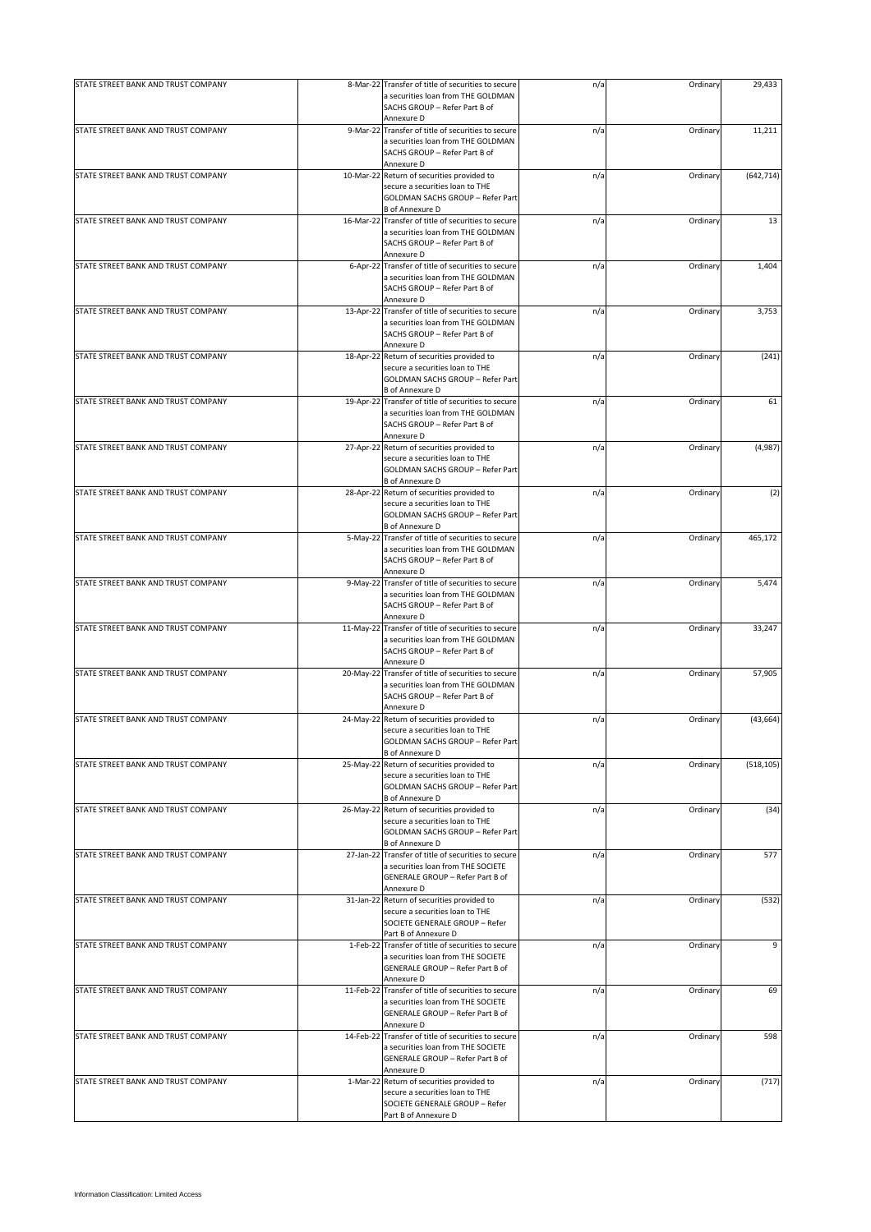| STATE STREET BANK AND TRUST COMPANY |           | 8-Mar-22 Transfer of title of securities to secure                                                                                          | n/a | Ordinary | 29,433     |
|-------------------------------------|-----------|---------------------------------------------------------------------------------------------------------------------------------------------|-----|----------|------------|
|                                     |           | a securities loan from THE GOLDMAN<br>SACHS GROUP - Refer Part B of<br>Annexure D                                                           |     |          |            |
| STATE STREET BANK AND TRUST COMPANY |           | 9-Mar-22 Transfer of title of securities to secure<br>a securities loan from THE GOLDMAN<br>SACHS GROUP - Refer Part B of<br>Annexure D     | n/a | Ordinary | 11,211     |
| STATE STREET BANK AND TRUST COMPANY |           | 10-Mar-22 Return of securities provided to<br>secure a securities loan to THE<br>GOLDMAN SACHS GROUP - Refer Part<br><b>B</b> of Annexure D | n/a | Ordinary | (642, 714) |
| STATE STREET BANK AND TRUST COMPANY |           | 16-Mar-22 Transfer of title of securities to secure<br>a securities loan from THE GOLDMAN<br>SACHS GROUP - Refer Part B of<br>Annexure D    | n/a | Ordinary | 13         |
| STATE STREET BANK AND TRUST COMPANY |           | 6-Apr-22 Transfer of title of securities to secure<br>a securities loan from THE GOLDMAN<br>SACHS GROUP - Refer Part B of<br>Annexure D     | n/a | Ordinary | 1,404      |
| STATE STREET BANK AND TRUST COMPANY |           | 13-Apr-22 Transfer of title of securities to secure<br>a securities loan from THE GOLDMAN<br>SACHS GROUP - Refer Part B of<br>Annexure D    | n/a | Ordinary | 3,753      |
| STATE STREET BANK AND TRUST COMPANY |           | 18-Apr-22 Return of securities provided to<br>secure a securities loan to THE<br>GOLDMAN SACHS GROUP - Refer Part<br><b>B</b> of Annexure D | n/a | Ordinary | (241)      |
| STATE STREET BANK AND TRUST COMPANY |           | 19-Apr-22 Transfer of title of securities to secure<br>a securities loan from THE GOLDMAN<br>SACHS GROUP - Refer Part B of<br>Annexure D    | n/a | Ordinary | 61         |
| STATE STREET BANK AND TRUST COMPANY | 27-Apr-22 | Return of securities provided to<br>secure a securities loan to THE<br>GOLDMAN SACHS GROUP - Refer Part<br><b>B</b> of Annexure D           | n/a | Ordinary | (4,987)    |
| STATE STREET BANK AND TRUST COMPANY |           | 28-Apr-22 Return of securities provided to<br>secure a securities loan to THE<br>GOLDMAN SACHS GROUP - Refer Part<br><b>B</b> of Annexure D | n/a | Ordinary | (2)        |
| STATE STREET BANK AND TRUST COMPANY |           | 5-May-22 Transfer of title of securities to secure<br>a securities loan from THE GOLDMAN<br>SACHS GROUP - Refer Part B of<br>Annexure D     | n/a | Ordinary | 465,172    |
| STATE STREET BANK AND TRUST COMPANY |           | 9-May-22 Transfer of title of securities to secure<br>a securities loan from THE GOLDMAN<br>SACHS GROUP - Refer Part B of<br>Annexure D     | n/a | Ordinary | 5,474      |
| STATE STREET BANK AND TRUST COMPANY |           | 11-May-22 Transfer of title of securities to secure<br>a securities loan from THE GOLDMAN<br>SACHS GROUP - Refer Part B of<br>Annexure D    | n/a | Ordinary | 33,247     |
| STATE STREET BANK AND TRUST COMPANY |           | 20-May-22 Transfer of title of securities to secure<br>a securities loan from THE GOLDMAN<br>SACHS GROUP - Refer Part B of<br>Annexure D    | n/a | Ordinary | 57,905     |
| STATE STREET BANK AND TRUST COMPANY |           | 24-May-22 Return of securities provided to<br>secure a securities loan to THE<br>GOLDMAN SACHS GROUP - Refer Part<br><b>B</b> of Annexure D | n/a | Ordinary | (43, 664)  |
| STATE STREET BANK AND TRUST COMPANY |           | 25-May-22 Return of securities provided to<br>secure a securities loan to THE<br>GOLDMAN SACHS GROUP - Refer Part<br><b>B</b> of Annexure D | n/a | Ordinary | (518, 105) |
| STATE STREET BANK AND TRUST COMPANY |           | 26-May-22 Return of securities provided to<br>secure a securities loan to THE<br>GOLDMAN SACHS GROUP - Refer Part<br><b>B</b> of Annexure D | n/a | Ordinary | (34)       |
| STATE STREET BANK AND TRUST COMPANY |           | 27-Jan-22 Transfer of title of securities to secure<br>a securities loan from THE SOCIETE<br>GENERALE GROUP - Refer Part B of<br>Annexure D | n/a | Ordinary | 577        |
| STATE STREET BANK AND TRUST COMPANY |           | 31-Jan-22 Return of securities provided to<br>secure a securities loan to THE<br>SOCIETE GENERALE GROUP - Refer<br>Part B of Annexure D     | n/a | Ordinary | (532)      |
| STATE STREET BANK AND TRUST COMPANY |           | 1-Feb-22 Transfer of title of securities to secure<br>a securities loan from THE SOCIETE<br>GENERALE GROUP - Refer Part B of<br>Annexure D  | n/a | Ordinary | 9          |
| STATE STREET BANK AND TRUST COMPANY |           | 11-Feb-22 Transfer of title of securities to secure<br>a securities loan from THE SOCIETE<br>GENERALE GROUP - Refer Part B of<br>Annexure D | n/a | Ordinary | 69         |
| STATE STREET BANK AND TRUST COMPANY |           | 14-Feb-22 Transfer of title of securities to secure<br>a securities loan from THE SOCIETE<br>GENERALE GROUP - Refer Part B of<br>Annexure D | n/a | Ordinary | 598        |
| STATE STREET BANK AND TRUST COMPANY |           | 1-Mar-22 Return of securities provided to<br>secure a securities loan to THE<br>SOCIETE GENERALE GROUP - Refer<br>Part B of Annexure D      | n/a | Ordinary | (717)      |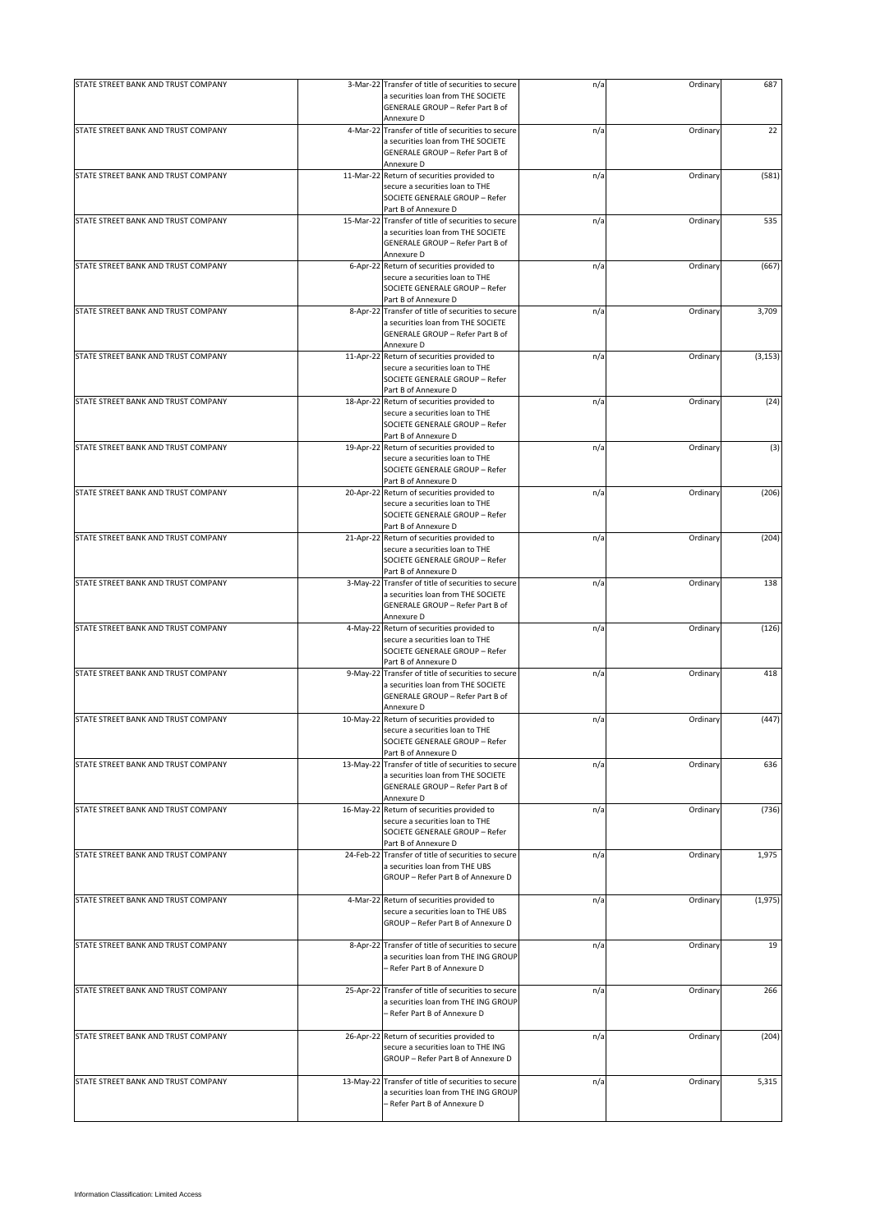| STATE STREET BANK AND TRUST COMPANY |           | 3-Mar-22 Transfer of title of securities to secure                                          | n/a | Ordinary | 687      |
|-------------------------------------|-----------|---------------------------------------------------------------------------------------------|-----|----------|----------|
|                                     |           | a securities loan from THE SOCIETE                                                          |     |          |          |
|                                     |           | GENERALE GROUP - Refer Part B of<br>Annexure D                                              |     |          |          |
| STATE STREET BANK AND TRUST COMPANY | 4-Mar-22  | Transfer of title of securities to secure                                                   | n/a | Ordinary | 22       |
|                                     |           | a securities loan from THE SOCIETE                                                          |     |          |          |
|                                     |           | GENERALE GROUP - Refer Part B of<br>Annexure D                                              |     |          |          |
| STATE STREET BANK AND TRUST COMPANY | 11-Mar-22 | Return of securities provided to                                                            | n/a | Ordinary | (581)    |
|                                     |           | secure a securities loan to THE                                                             |     |          |          |
|                                     |           | SOCIETE GENERALE GROUP - Refer                                                              |     |          |          |
|                                     |           | Part B of Annexure D                                                                        |     |          |          |
| STATE STREET BANK AND TRUST COMPANY |           | 15-Mar-22 Transfer of title of securities to secure<br>a securities loan from THE SOCIETE   | n/a | Ordinary | 535      |
|                                     |           | <b>GENERALE GROUP - Refer Part B of</b>                                                     |     |          |          |
|                                     |           | Annexure D                                                                                  |     |          |          |
| STATE STREET BANK AND TRUST COMPANY |           | 6-Apr-22 Return of securities provided to                                                   | n/a | Ordinary | (667)    |
|                                     |           | secure a securities loan to THE<br>SOCIETE GENERALE GROUP - Refer                           |     |          |          |
|                                     |           | Part B of Annexure D                                                                        |     |          |          |
| STATE STREET BANK AND TRUST COMPANY | 8-Apr-22  | Transfer of title of securities to secure                                                   | n/a | Ordinary | 3,709    |
|                                     |           | a securities loan from THE SOCIETE                                                          |     |          |          |
|                                     |           | GENERALE GROUP - Refer Part B of<br>Annexure D                                              |     |          |          |
| STATE STREET BANK AND TRUST COMPANY | 11-Apr-22 | Return of securities provided to                                                            | n/a | Ordinary | (3, 153) |
|                                     |           | secure a securities loan to THE                                                             |     |          |          |
|                                     |           | SOCIETE GENERALE GROUP - Refer                                                              |     |          |          |
|                                     |           | Part B of Annexure D                                                                        |     |          |          |
| STATE STREET BANK AND TRUST COMPANY | 18-Apr-22 | Return of securities provided to<br>secure a securities loan to THE                         | n/a | Ordinary | (24)     |
|                                     |           | SOCIETE GENERALE GROUP - Refer                                                              |     |          |          |
|                                     |           | Part B of Annexure D                                                                        |     |          |          |
| STATE STREET BANK AND TRUST COMPANY | 19-Apr-22 | Return of securities provided to                                                            | n/a | Ordinary | (3)      |
|                                     |           | secure a securities loan to THE<br>SOCIETE GENERALE GROUP - Refer                           |     |          |          |
|                                     |           | Part B of Annexure D                                                                        |     |          |          |
| STATE STREET BANK AND TRUST COMPANY |           | 20-Apr-22 Return of securities provided to                                                  | n/a | Ordinary | (206)    |
|                                     |           | secure a securities loan to THE                                                             |     |          |          |
|                                     |           | SOCIETE GENERALE GROUP - Refer                                                              |     |          |          |
| STATE STREET BANK AND TRUST COMPANY |           | Part B of Annexure D<br>21-Apr-22 Return of securities provided to                          | n/a | Ordinary | (204)    |
|                                     |           | secure a securities loan to THE                                                             |     |          |          |
|                                     |           | SOCIETE GENERALE GROUP - Refer                                                              |     |          |          |
|                                     |           | Part B of Annexure D                                                                        |     |          |          |
| STATE STREET BANK AND TRUST COMPANY |           | 3-May-22 Transfer of title of securities to secure<br>a securities loan from THE SOCIETE    | n/a | Ordinary | 138      |
|                                     |           | GENERALE GROUP - Refer Part B of                                                            |     |          |          |
|                                     |           | Annexure D                                                                                  |     |          |          |
| STATE STREET BANK AND TRUST COMPANY | 4-May-22  | Return of securities provided to                                                            | n/a | Ordinary | (126)    |
|                                     |           | secure a securities loan to THE<br>SOCIETE GENERALE GROUP - Refer                           |     |          |          |
|                                     |           | Part B of Annexure D                                                                        |     |          |          |
| STATE STREET BANK AND TRUST COMPANY | 9-May-22  | Transfer of title of securities to secure                                                   | n/a | Ordinary | 418      |
|                                     |           | a securities loan from THE SOCIETE                                                          |     |          |          |
|                                     |           | GENERALE GROUP - Refer Part B of<br>Annexure D                                              |     |          |          |
| STATE STREET BANK AND TRUST COMPANY | 10-May-22 | Return of securities provided to                                                            | n/a | Ordinary | (447)    |
|                                     |           | secure a securities loan to THE                                                             |     |          |          |
|                                     |           | SOCIETE GENERALE GROUP - Refer                                                              |     |          |          |
| STATE STREET BANK AND TRUST COMPANY | 13-May-22 | Part B of Annexure D<br>Transfer of title of securities to secure                           | n/a | Ordinary | 636      |
|                                     |           | a securities loan from THE SOCIETE                                                          |     |          |          |
|                                     |           | GENERALE GROUP - Refer Part B of                                                            |     |          |          |
|                                     |           | Annexure D                                                                                  |     |          |          |
| STATE STREET BANK AND TRUST COMPANY |           | 16-May-22 Return of securities provided to<br>secure a securities loan to THE               | n/a | Ordinary | (736)    |
|                                     |           | SOCIETE GENERALE GROUP - Refer                                                              |     |          |          |
|                                     |           | Part B of Annexure D                                                                        |     |          |          |
| STATE STREET BANK AND TRUST COMPANY |           | 24-Feb-22 Transfer of title of securities to secure                                         | n/a | Ordinary | 1,975    |
|                                     |           | a securities loan from THE UBS<br>GROUP - Refer Part B of Annexure D                        |     |          |          |
|                                     |           |                                                                                             |     |          |          |
| STATE STREET BANK AND TRUST COMPANY |           | 4-Mar-22 Return of securities provided to                                                   | n/a | Ordinary | (1, 975) |
|                                     |           | secure a securities loan to THE UBS                                                         |     |          |          |
|                                     |           | GROUP - Refer Part B of Annexure D                                                          |     |          |          |
| STATE STREET BANK AND TRUST COMPANY | 8-Apr-22  | Transfer of title of securities to secure                                                   | n/a | Ordinary | 19       |
|                                     |           | a securities loan from THE ING GROUP                                                        |     |          |          |
|                                     |           | – Refer Part B of Annexure D                                                                |     |          |          |
|                                     |           |                                                                                             |     |          |          |
| STATE STREET BANK AND TRUST COMPANY |           | 25-Apr-22 Transfer of title of securities to secure<br>a securities loan from THE ING GROUP | n/a | Ordinary | 266      |
|                                     |           | - Refer Part B of Annexure D                                                                |     |          |          |
|                                     |           |                                                                                             |     |          |          |
| STATE STREET BANK AND TRUST COMPANY | 26-Apr-22 | Return of securities provided to                                                            | n/a | Ordinary | (204)    |
|                                     |           | secure a securities loan to THE ING<br>GROUP - Refer Part B of Annexure D                   |     |          |          |
|                                     |           |                                                                                             |     |          |          |
| STATE STREET BANK AND TRUST COMPANY | 13-May-22 | Transfer of title of securities to secure                                                   | n/a | Ordinary | 5,315    |
|                                     |           | a securities loan from THE ING GROUP                                                        |     |          |          |
|                                     |           | - Refer Part B of Annexure D                                                                |     |          |          |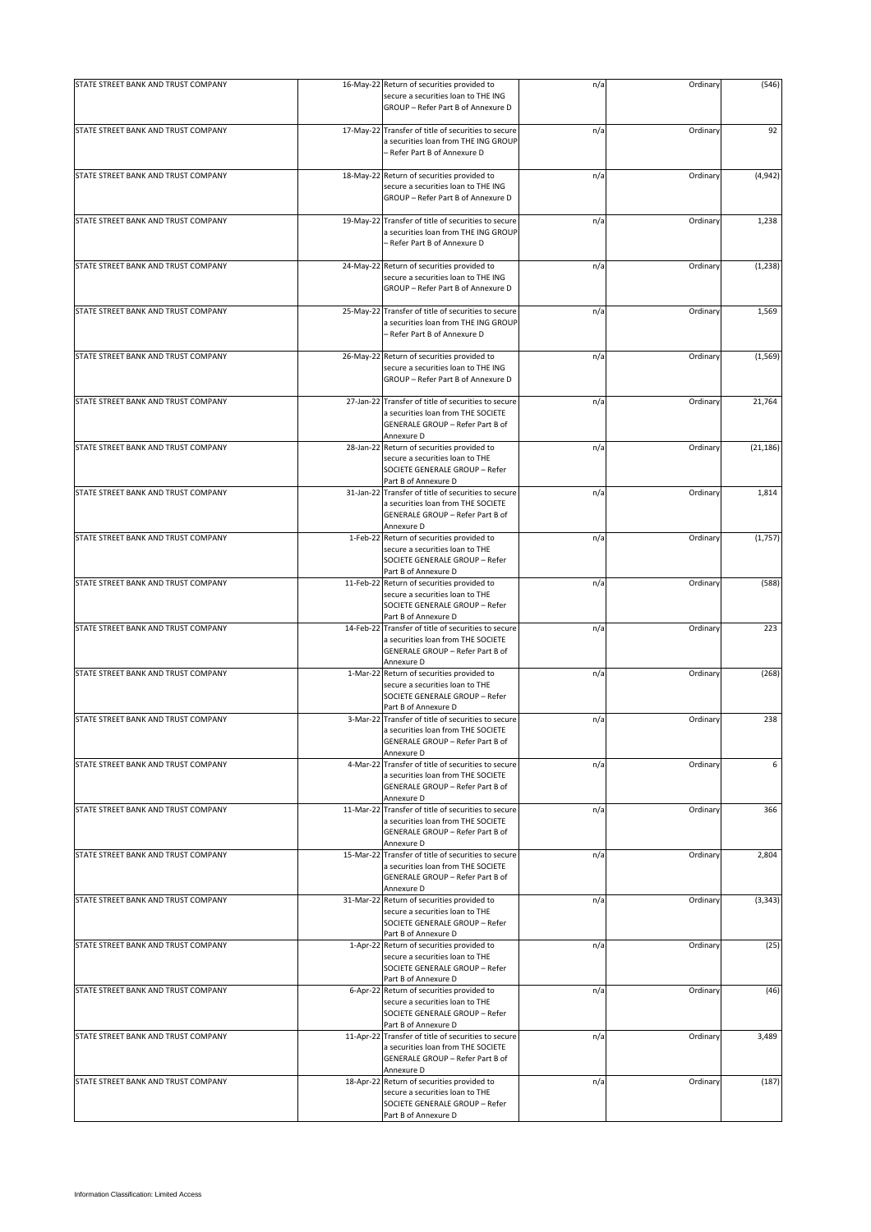| STATE STREET BANK AND TRUST COMPANY |          | 16-May-22 Return of securities provided to                                                                                                  | n/a | Ordinary | (546)     |
|-------------------------------------|----------|---------------------------------------------------------------------------------------------------------------------------------------------|-----|----------|-----------|
|                                     |          | secure a securities loan to THE ING<br>GROUP - Refer Part B of Annexure D                                                                   |     |          |           |
| STATE STREET BANK AND TRUST COMPANY |          | 17-May-22 Transfer of title of securities to secure<br>a securities loan from THE ING GROUP<br>- Refer Part B of Annexure D                 | n/a | Ordinary | 92        |
| STATE STREET BANK AND TRUST COMPANY |          | 18-May-22 Return of securities provided to<br>secure a securities loan to THE ING<br>GROUP - Refer Part B of Annexure D                     | n/a | Ordinary | (4, 942)  |
| STATE STREET BANK AND TRUST COMPANY |          | 19-May-22 Transfer of title of securities to secure<br>a securities loan from THE ING GROUP<br>- Refer Part B of Annexure D                 | n/a | Ordinary | 1,238     |
| STATE STREET BANK AND TRUST COMPANY |          | 24-May-22 Return of securities provided to<br>secure a securities loan to THE ING<br>GROUP - Refer Part B of Annexure D                     | n/a | Ordinary | (1, 238)  |
| STATE STREET BANK AND TRUST COMPANY |          | 25-May-22 Transfer of title of securities to secure<br>a securities loan from THE ING GROUP<br>- Refer Part B of Annexure D                 | n/a | Ordinary | 1,569     |
| STATE STREET BANK AND TRUST COMPANY |          | 26-May-22 Return of securities provided to<br>secure a securities loan to THE ING<br>GROUP - Refer Part B of Annexure D                     | n/a | Ordinary | (1, 569)  |
| STATE STREET BANK AND TRUST COMPANY |          | 27-Jan-22 Transfer of title of securities to secure<br>a securities loan from THE SOCIETE<br>GENERALE GROUP - Refer Part B of<br>Annexure D | n/a | Ordinary | 21,764    |
| STATE STREET BANK AND TRUST COMPANY |          | 28-Jan-22 Return of securities provided to<br>secure a securities loan to THE<br>SOCIETE GENERALE GROUP - Refer<br>Part B of Annexure D     | n/a | Ordinary | (21, 186) |
| STATE STREET BANK AND TRUST COMPANY |          | 31-Jan-22 Transfer of title of securities to secure<br>a securities loan from THE SOCIETE<br>GENERALE GROUP - Refer Part B of<br>Annexure D | n/a | Ordinary | 1,814     |
| STATE STREET BANK AND TRUST COMPANY |          | 1-Feb-22 Return of securities provided to<br>secure a securities loan to THE<br>SOCIETE GENERALE GROUP - Refer<br>Part B of Annexure D      | n/a | Ordinary | (1,757)   |
| STATE STREET BANK AND TRUST COMPANY |          | 11-Feb-22 Return of securities provided to<br>secure a securities loan to THE<br>SOCIETE GENERALE GROUP - Refer<br>Part B of Annexure D     | n/a | Ordinary | (588)     |
| STATE STREET BANK AND TRUST COMPANY |          | 14-Feb-22 Transfer of title of securities to secure<br>a securities loan from THE SOCIETE<br>GENERALE GROUP - Refer Part B of<br>Annexure D | n/a | Ordinary | 223       |
| STATE STREET BANK AND TRUST COMPANY |          | 1-Mar-22 Return of securities provided to<br>secure a securities loan to THE<br>SOCIETE GENERALE GROUP - Refer<br>Part B of Annexure D      | n/a | Ordinary | (268)     |
| STATE STREET BANK AND TRUST COMPANY |          | 3-Mar-22 Transfer of title of securities to secure<br>a securities loan from THE SOCIETE<br>GENERALE GROUP - Refer Part B of<br>Annexure D  | n/a | Ordinary | 238       |
| STATE STREET BANK AND TRUST COMPANY | 4-Mar-22 | Transfer of title of securities to secure<br>a securities loan from THE SOCIETE<br>GENERALE GROUP - Refer Part B of<br>Annexure D           | n/a | Ordinary | 6         |
| STATE STREET BANK AND TRUST COMPANY |          | 11-Mar-22 Transfer of title of securities to secure<br>a securities loan from THE SOCIETE<br>GENERALE GROUP - Refer Part B of<br>Annexure D | n/a | Ordinary | 366       |
| STATE STREET BANK AND TRUST COMPANY |          | 15-Mar-22 Transfer of title of securities to secure<br>a securities loan from THE SOCIETE<br>GENERALE GROUP - Refer Part B of<br>Annexure D | n/a | Ordinary | 2,804     |
| STATE STREET BANK AND TRUST COMPANY |          | 31-Mar-22 Return of securities provided to<br>secure a securities loan to THE<br>SOCIETE GENERALE GROUP - Refer<br>Part B of Annexure D     | n/a | Ordinary | (3, 343)  |
| STATE STREET BANK AND TRUST COMPANY |          | 1-Apr-22 Return of securities provided to<br>secure a securities loan to THE<br>SOCIETE GENERALE GROUP - Refer<br>Part B of Annexure D      | n/a | Ordinary | (25)      |
| STATE STREET BANK AND TRUST COMPANY |          | 6-Apr-22 Return of securities provided to<br>secure a securities loan to THE<br>SOCIETE GENERALE GROUP - Refer<br>Part B of Annexure D      | n/a | Ordinary | (46)      |
| STATE STREET BANK AND TRUST COMPANY |          | 11-Apr-22 Transfer of title of securities to secure<br>a securities loan from THE SOCIETE<br>GENERALE GROUP - Refer Part B of<br>Annexure D | n/a | Ordinary | 3,489     |
| STATE STREET BANK AND TRUST COMPANY |          | 18-Apr-22 Return of securities provided to<br>secure a securities loan to THE<br>SOCIETE GENERALE GROUP - Refer<br>Part B of Annexure D     | n/a | Ordinary | (187)     |
|                                     |          |                                                                                                                                             |     |          |           |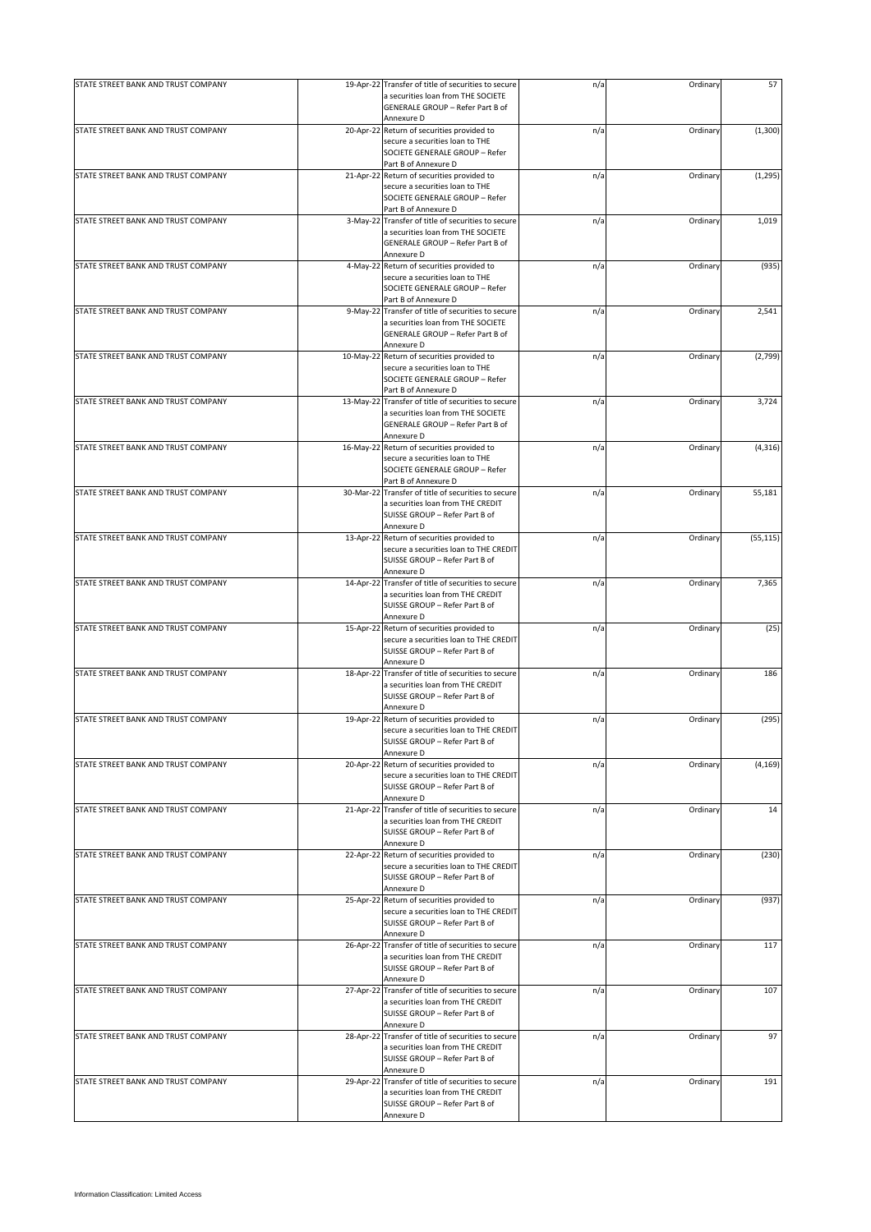| STATE STREET BANK AND TRUST COMPANY | 19-Apr-22 Transfer of title of securities to secure                                       | n/a | Ordinary | 57        |
|-------------------------------------|-------------------------------------------------------------------------------------------|-----|----------|-----------|
|                                     | a securities loan from THE SOCIETE<br>GENERALE GROUP - Refer Part B of<br>Annexure D      |     |          |           |
| STATE STREET BANK AND TRUST COMPANY | 20-Apr-22 Return of securities provided to                                                | n/a | Ordinary | (1,300)   |
|                                     | secure a securities loan to THE<br>SOCIETE GENERALE GROUP - Refer                         |     |          |           |
|                                     | Part B of Annexure D<br>21-Apr-22 Return of securities provided to                        |     |          |           |
| STATE STREET BANK AND TRUST COMPANY | secure a securities loan to THE                                                           | n/a | Ordinary | (1, 295)  |
|                                     | SOCIETE GENERALE GROUP - Refer                                                            |     |          |           |
|                                     | Part B of Annexure D                                                                      |     |          |           |
| STATE STREET BANK AND TRUST COMPANY | 3-May-22 Transfer of title of securities to secure<br>a securities loan from THE SOCIETE  | n/a | Ordinary | 1,019     |
|                                     | GENERALE GROUP - Refer Part B of                                                          |     |          |           |
|                                     | Annexure D                                                                                |     |          |           |
| STATE STREET BANK AND TRUST COMPANY | 4-May-22 Return of securities provided to                                                 | n/a | Ordinary | (935)     |
|                                     | secure a securities loan to THE<br>SOCIETE GENERALE GROUP - Refer<br>Part B of Annexure D |     |          |           |
| STATE STREET BANK AND TRUST COMPANY | 9-May-22 Transfer of title of securities to secure                                        | n/a | Ordinary | 2,541     |
|                                     | a securities loan from THE SOCIETE<br>GENERALE GROUP - Refer Part B of                    |     |          |           |
|                                     | Annexure D                                                                                |     |          |           |
| STATE STREET BANK AND TRUST COMPANY | 10-May-22 Return of securities provided to                                                | n/a | Ordinary | (2,799)   |
|                                     | secure a securities loan to THE                                                           |     |          |           |
|                                     | SOCIETE GENERALE GROUP - Refer                                                            |     |          |           |
|                                     | Part B of Annexure D                                                                      |     |          |           |
| STATE STREET BANK AND TRUST COMPANY | 13-May-22 Transfer of title of securities to secure                                       | n/a | Ordinary | 3,724     |
|                                     | a securities loan from THE SOCIETE<br>GENERALE GROUP - Refer Part B of                    |     |          |           |
|                                     | Annexure D                                                                                |     |          |           |
| STATE STREET BANK AND TRUST COMPANY | 16-May-22 Return of securities provided to                                                | n/a | Ordinary | (4, 316)  |
|                                     | secure a securities loan to THE<br>SOCIETE GENERALE GROUP - Refer<br>Part B of Annexure D |     |          |           |
| STATE STREET BANK AND TRUST COMPANY | 30-Mar-22 Transfer of title of securities to secure                                       | n/a | Ordinary | 55,181    |
|                                     | a securities loan from THE CREDIT                                                         |     |          |           |
|                                     | SUISSE GROUP - Refer Part B of                                                            |     |          |           |
|                                     | Annexure D                                                                                |     |          |           |
| STATE STREET BANK AND TRUST COMPANY | 13-Apr-22 Return of securities provided to                                                | n/a | Ordinary | (55, 115) |
|                                     | secure a securities loan to THE CREDIT                                                    |     |          |           |
|                                     | SUISSE GROUP - Refer Part B of                                                            |     |          |           |
| STATE STREET BANK AND TRUST COMPANY | Annexure D                                                                                |     |          |           |
|                                     | 14-Apr-22 Transfer of title of securities to secure<br>a securities loan from THE CREDIT  | n/a | Ordinary | 7,365     |
|                                     | SUISSE GROUP - Refer Part B of                                                            |     |          |           |
|                                     | Annexure D                                                                                |     |          |           |
| STATE STREET BANK AND TRUST COMPANY | 15-Apr-22 Return of securities provided to                                                | n/a | Ordinary | (25)      |
|                                     | secure a securities loan to THE CREDIT                                                    |     |          |           |
|                                     | SUISSE GROUP - Refer Part B of                                                            |     |          |           |
|                                     | Annexure D                                                                                |     |          |           |
| STATE STREET BANK AND TRUST COMPANY | 18-Apr-22 Transfer of title of securities to secure                                       | n/a | Ordinary | 186       |
|                                     | a securities loan from THE CREDIT<br>SUISSE GROUP - Refer Part B of                       |     |          |           |
|                                     | Annexure D                                                                                |     |          |           |
| STATE STREET BANK AND TRUST COMPANY | 19-Apr-22 Return of securities provided to                                                | n/a | Ordinary | (295)     |
|                                     | secure a securities loan to THE CREDIT                                                    |     |          |           |
|                                     | SUISSE GROUP - Refer Part B of                                                            |     |          |           |
|                                     | Annexure D                                                                                |     |          |           |
| STATE STREET BANK AND TRUST COMPANY | 20-Apr-22 Return of securities provided to                                                | n/a | Ordinary | (4, 169)  |
|                                     | secure a securities loan to THE CREDIT                                                    |     |          |           |
|                                     | SUISSE GROUP - Refer Part B of<br>Annexure D                                              |     |          |           |
| STATE STREET BANK AND TRUST COMPANY | 21-Apr-22 Transfer of title of securities to secure                                       | n/a | Ordinary | 14        |
|                                     | a securities loan from THE CREDIT                                                         |     |          |           |
|                                     | SUISSE GROUP - Refer Part B of                                                            |     |          |           |
|                                     | Annexure D                                                                                |     |          |           |
| STATE STREET BANK AND TRUST COMPANY | 22-Apr-22 Return of securities provided to                                                | n/a | Ordinary | (230)     |
|                                     | secure a securities loan to THE CREDIT                                                    |     |          |           |
|                                     | SUISSE GROUP - Refer Part B of                                                            |     |          |           |
| STATE STREET BANK AND TRUST COMPANY | Annexure D                                                                                |     | Ordinary |           |
|                                     | 25-Apr-22 Return of securities provided to<br>secure a securities loan to THE CREDIT      | n/a |          | (937)     |
|                                     | SUISSE GROUP - Refer Part B of                                                            |     |          |           |
|                                     | Annexure D                                                                                |     |          |           |
| STATE STREET BANK AND TRUST COMPANY | 26-Apr-22 Transfer of title of securities to secure                                       | n/a | Ordinary | 117       |
|                                     | a securities loan from THE CREDIT                                                         |     |          |           |
|                                     | SUISSE GROUP - Refer Part B of                                                            |     |          |           |
|                                     | Annexure D                                                                                |     |          |           |
| STATE STREET BANK AND TRUST COMPANY | 27-Apr-22 Transfer of title of securities to secure<br>a securities loan from THE CREDIT  | n/a | Ordinary | 107       |
|                                     | SUISSE GROUP - Refer Part B of                                                            |     |          |           |
|                                     | Annexure D                                                                                |     |          |           |
| STATE STREET BANK AND TRUST COMPANY | 28-Apr-22 Transfer of title of securities to secure                                       | n/a | Ordinary | 97        |
|                                     | a securities loan from THE CREDIT                                                         |     |          |           |
|                                     | SUISSE GROUP - Refer Part B of                                                            |     |          |           |
|                                     | Annexure D                                                                                |     |          |           |
| STATE STREET BANK AND TRUST COMPANY | 29-Apr-22 Transfer of title of securities to secure                                       | n/a | Ordinary | 191       |
|                                     | a securities loan from THE CREDIT                                                         |     |          |           |
|                                     | SUISSE GROUP - Refer Part B of<br>Annexure D                                              |     |          |           |
|                                     |                                                                                           |     |          |           |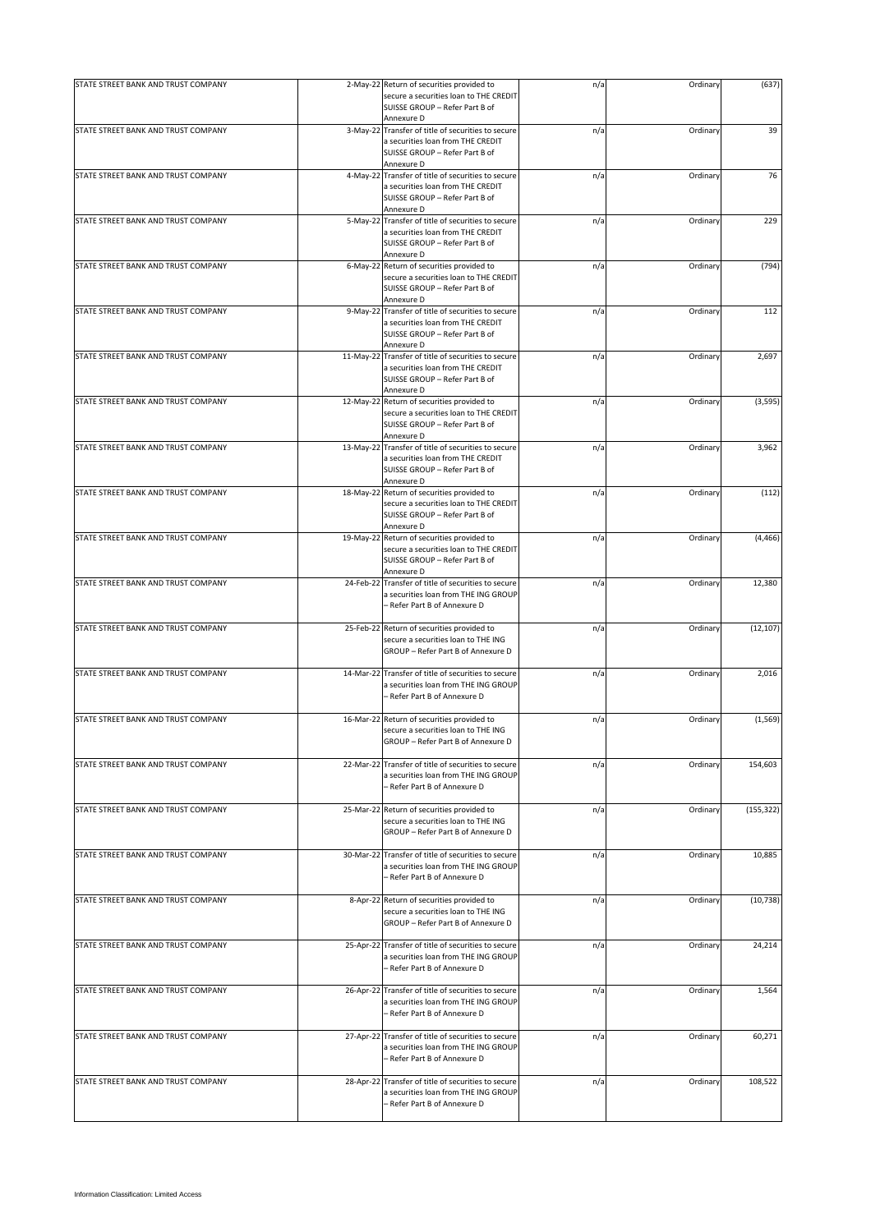| STATE STREET BANK AND TRUST COMPANY |           | 2-May-22 Return of securities provided to                                                                                   | n/a | Ordinary | (637)      |
|-------------------------------------|-----------|-----------------------------------------------------------------------------------------------------------------------------|-----|----------|------------|
|                                     |           | secure a securities loan to THE CREDIT<br>SUISSE GROUP - Refer Part B of<br>Annexure D                                      |     |          |            |
| STATE STREET BANK AND TRUST COMPANY |           | 3-May-22 Transfer of title of securities to secure                                                                          | n/a | Ordinary | 39         |
|                                     |           | a securities loan from THE CREDIT<br>SUISSE GROUP - Refer Part B of<br>Annexure D                                           |     |          |            |
| STATE STREET BANK AND TRUST COMPANY |           | 4-May-22 Transfer of title of securities to secure                                                                          | n/a | Ordinary | 76         |
|                                     |           | a securities loan from THE CREDIT<br>SUISSE GROUP - Refer Part B of<br>Annexure D                                           |     |          |            |
| STATE STREET BANK AND TRUST COMPANY |           | 5-May-22 Transfer of title of securities to secure                                                                          | n/a | Ordinary | 229        |
|                                     |           | a securities loan from THE CREDIT<br>SUISSE GROUP - Refer Part B of<br>Annexure D                                           |     |          |            |
| STATE STREET BANK AND TRUST COMPANY |           | 6-May-22 Return of securities provided to                                                                                   | n/a | Ordinary | (794)      |
|                                     |           | secure a securities loan to THE CREDIT<br>SUISSE GROUP - Refer Part B of<br>Annexure D                                      |     |          |            |
| STATE STREET BANK AND TRUST COMPANY |           | 9-May-22 Transfer of title of securities to secure                                                                          | n/a | Ordinary | 112        |
|                                     |           | a securities loan from THE CREDIT<br>SUISSE GROUP - Refer Part B of<br>Annexure D                                           |     |          |            |
| STATE STREET BANK AND TRUST COMPANY |           | 11-May-22 Transfer of title of securities to secure                                                                         | n/a | Ordinary | 2,697      |
|                                     |           | a securities loan from THE CREDIT<br>SUISSE GROUP - Refer Part B of<br>Annexure D                                           |     |          |            |
| STATE STREET BANK AND TRUST COMPANY |           | 12-May-22 Return of securities provided to                                                                                  | n/a | Ordinary | (3, 595)   |
|                                     |           | secure a securities loan to THE CREDIT<br>SUISSE GROUP - Refer Part B of<br>Annexure D                                      |     |          |            |
| STATE STREET BANK AND TRUST COMPANY |           | 13-May-22 Transfer of title of securities to secure                                                                         | n/a | Ordinary | 3,962      |
|                                     |           | a securities loan from THE CREDIT<br>SUISSE GROUP - Refer Part B of<br>Annexure D                                           |     |          |            |
| STATE STREET BANK AND TRUST COMPANY |           | 18-May-22 Return of securities provided to                                                                                  | n/a | Ordinary | (112)      |
|                                     |           | secure a securities loan to THE CREDIT<br>SUISSE GROUP - Refer Part B of<br>Annexure D                                      |     |          |            |
| STATE STREET BANK AND TRUST COMPANY |           | 19-May-22 Return of securities provided to                                                                                  | n/a | Ordinary | (4, 466)   |
|                                     |           | secure a securities loan to THE CREDIT<br>SUISSE GROUP - Refer Part B of<br>Annexure D                                      |     |          |            |
| STATE STREET BANK AND TRUST COMPANY |           | 24-Feb-22 Transfer of title of securities to secure                                                                         | n/a | Ordinary | 12,380     |
|                                     |           | a securities loan from THE ING GROUP<br>- Refer Part B of Annexure D                                                        |     |          |            |
| STATE STREET BANK AND TRUST COMPANY |           | 25-Feb-22 Return of securities provided to                                                                                  | n/a | Ordinary | (12, 107)  |
|                                     |           | secure a securities loan to THE ING<br>GROUP - Refer Part B of Annexure D                                                   |     |          |            |
| STATE STREET BANK AND TRUST COMPANY |           | 14-Mar-22 Transfer of title of securities to secure                                                                         | n/a | Ordinary | 2,016      |
|                                     |           | a securities loan from THE ING GROUP<br>- Refer Part B of Annexure D                                                        |     |          |            |
| STATE STREET BANK AND TRUST COMPANY |           | 16-Mar-22 Return of securities provided to                                                                                  | n/a | Ordinary | (1, 569)   |
|                                     |           | secure a securities loan to THE ING<br>GROUP - Refer Part B of Annexure D                                                   |     |          |            |
| STATE STREET BANK AND TRUST COMPANY |           | 22-Mar-22 Transfer of title of securities to secure                                                                         | n/a | Ordinary | 154,603    |
|                                     |           | a securities loan from THE ING GROUP<br>- Refer Part B of Annexure D                                                        |     |          |            |
| STATE STREET BANK AND TRUST COMPANY |           | 25-Mar-22 Return of securities provided to                                                                                  | n/a | Ordinary | (155, 322) |
|                                     |           | secure a securities loan to THE ING<br>GROUP - Refer Part B of Annexure D                                                   |     |          |            |
| STATE STREET BANK AND TRUST COMPANY |           | 30-Mar-22 Transfer of title of securities to secure                                                                         | n/a | Ordinary | 10,885     |
|                                     |           | a securities loan from THE ING GROUP<br>- Refer Part B of Annexure D                                                        |     |          |            |
| STATE STREET BANK AND TRUST COMPANY |           | 8-Apr-22 Return of securities provided to<br>secure a securities loan to THE ING<br>GROUP - Refer Part B of Annexure D      | n/a | Ordinary | (10, 738)  |
|                                     |           |                                                                                                                             |     |          |            |
| STATE STREET BANK AND TRUST COMPANY |           | 25-Apr-22 Transfer of title of securities to secure<br>a securities loan from THE ING GROUP<br>- Refer Part B of Annexure D | n/a | Ordinary | 24,214     |
|                                     |           |                                                                                                                             |     |          |            |
| STATE STREET BANK AND TRUST COMPANY |           | 26-Apr-22 Transfer of title of securities to secure<br>a securities loan from THE ING GROUP<br>- Refer Part B of Annexure D | n/a | Ordinary | 1,564      |
| STATE STREET BANK AND TRUST COMPANY |           | 27-Apr-22 Transfer of title of securities to secure                                                                         | n/a | Ordinary | 60,271     |
|                                     |           | a securities loan from THE ING GROUP<br>Refer Part B of Annexure D                                                          |     |          |            |
| STATE STREET BANK AND TRUST COMPANY | 28-Apr-22 | Transfer of title of securities to secure                                                                                   | n/a | Ordinary | 108,522    |
|                                     |           | a securities loan from THE ING GROUP<br>- Refer Part B of Annexure D                                                        |     |          |            |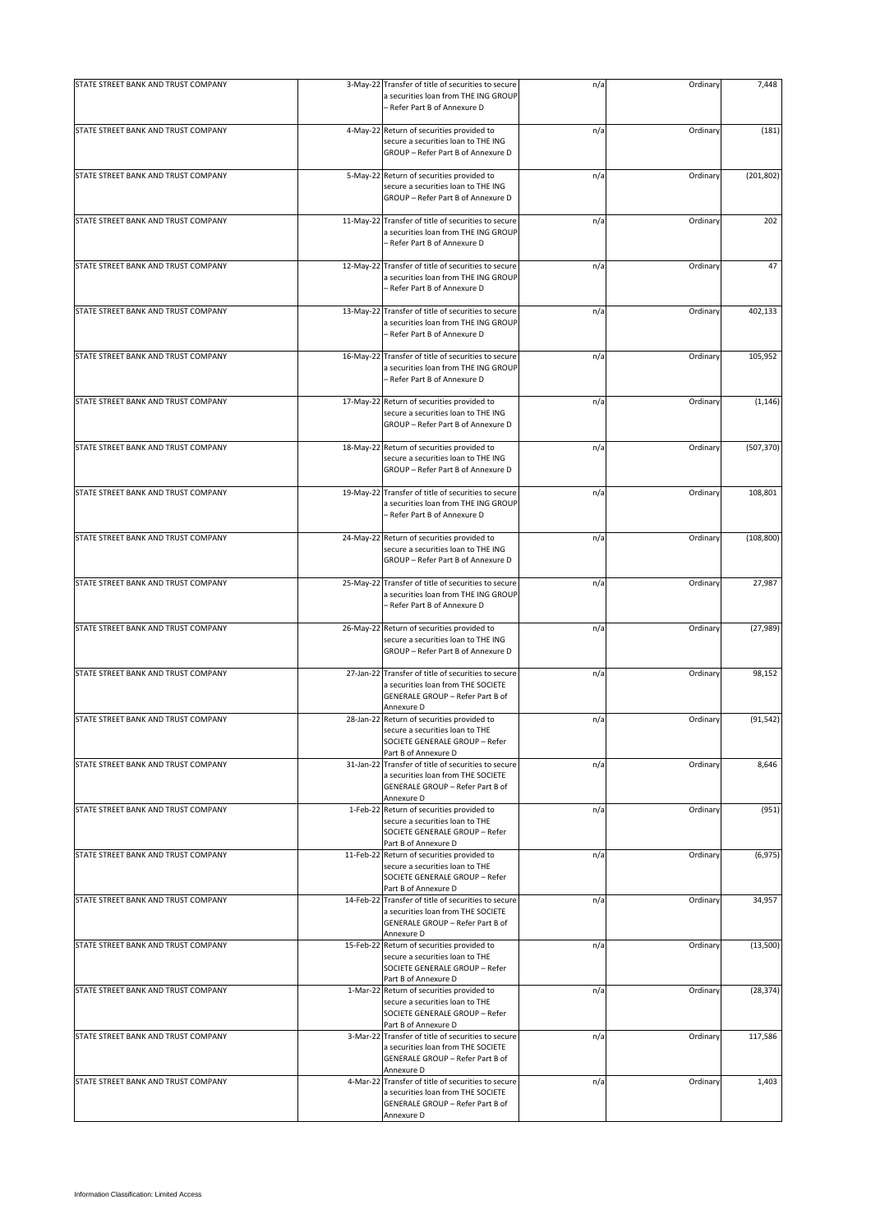| STATE STREET BANK AND TRUST COMPANY | 3-May-22  | Transfer of title of securities to secure<br>a securities loan from THE ING GROUP                                                                         | n/a | Ordinary | 7,448      |
|-------------------------------------|-----------|-----------------------------------------------------------------------------------------------------------------------------------------------------------|-----|----------|------------|
|                                     |           | - Refer Part B of Annexure D                                                                                                                              |     |          |            |
| STATE STREET BANK AND TRUST COMPANY |           | 4-May-22 Return of securities provided to<br>secure a securities loan to THE ING<br>GROUP - Refer Part B of Annexure D                                    | n/a | Ordinary | (181)      |
| STATE STREET BANK AND TRUST COMPANY | 5-May-22  | Return of securities provided to<br>secure a securities loan to THE ING<br>GROUP - Refer Part B of Annexure D                                             | n/a | Ordinary | (201, 802) |
| STATE STREET BANK AND TRUST COMPANY | 11-May-22 | Transfer of title of securities to secure<br>a securities loan from THE ING GROUP<br>- Refer Part B of Annexure D                                         | n/a | Ordinary | 202        |
| STATE STREET BANK AND TRUST COMPANY | 12-May-22 | Transfer of title of securities to secure<br>a securities loan from THE ING GROUP<br>- Refer Part B of Annexure D                                         | n/a | Ordinary | 47         |
| STATE STREET BANK AND TRUST COMPANY | 13-May-22 | Transfer of title of securities to secure<br>a securities loan from THE ING GROUP<br>– Refer Part B of Annexure D                                         | n/a | Ordinary | 402,133    |
| STATE STREET BANK AND TRUST COMPANY | 16-May-22 | Transfer of title of securities to secure<br>a securities loan from THE ING GROUP<br>- Refer Part B of Annexure D                                         | n/a | Ordinary | 105,952    |
| STATE STREET BANK AND TRUST COMPANY |           | 17-May-22 Return of securities provided to<br>secure a securities loan to THE ING<br>GROUP - Refer Part B of Annexure D                                   | n/a | Ordinary | (1, 146)   |
| STATE STREET BANK AND TRUST COMPANY | 18-May-22 | Return of securities provided to<br>secure a securities loan to THE ING<br>GROUP - Refer Part B of Annexure D                                             | n/a | Ordinary | (507, 370) |
| STATE STREET BANK AND TRUST COMPANY | 19-May-22 | Transfer of title of securities to secure<br>a securities loan from THE ING GROUP<br>- Refer Part B of Annexure D                                         | n/a | Ordinary | 108,801    |
| STATE STREET BANK AND TRUST COMPANY | 24-May-22 | Return of securities provided to<br>secure a securities loan to THE ING<br>GROUP - Refer Part B of Annexure D                                             | n/a | Ordinary | (108, 800) |
| STATE STREET BANK AND TRUST COMPANY |           | 25-May-22 Transfer of title of securities to secure<br>a securities loan from THE ING GROUP<br>- Refer Part B of Annexure D                               | n/a | Ordinary | 27,987     |
| STATE STREET BANK AND TRUST COMPANY | 26-May-22 | Return of securities provided to<br>secure a securities loan to THE ING<br>GROUP - Refer Part B of Annexure D                                             | n/a | Ordinary | (27, 989)  |
| STATE STREET BANK AND TRUST COMPANY |           | 27-Jan-22 Transfer of title of securities to secure<br>a securities loan from THE SOCIETE<br>GENERALE GROUP - Refer Part B of                             | n/a | Ordinary | 98,152     |
| STATE STREET BANK AND TRUST COMPANY | 28-Jan-22 | Annexure D<br>Return of securities provided to<br>secure a securities loan to THE<br>SOCIETE GENERALE GROUP - Refer                                       | n/a | Ordinary | (91, 542)  |
| STATE STREET BANK AND TRUST COMPANY | 31-Jan-22 | Part B of Annexure D<br>Transfer of title of securities to secure<br>a securities loan from THE SOCIETE<br>GENERALE GROUP - Refer Part B of<br>Annexure D | n/a | Ordinary | 8,646      |
| STATE STREET BANK AND TRUST COMPANY |           | 1-Feb-22 Return of securities provided to<br>secure a securities loan to THE<br>SOCIETE GENERALE GROUP - Refer<br>Part B of Annexure D                    | n/a | Ordinary | (951)      |
| STATE STREET BANK AND TRUST COMPANY |           | 11-Feb-22 Return of securities provided to<br>secure a securities loan to THE<br>SOCIETE GENERALE GROUP - Refer<br>Part B of Annexure D                   | n/a | Ordinary | (6,975)    |
| STATE STREET BANK AND TRUST COMPANY | 14-Feb-22 | Transfer of title of securities to secure<br>a securities loan from THE SOCIETE<br>GENERALE GROUP - Refer Part B of<br>Annexure D                         | n/a | Ordinary | 34,957     |
| STATE STREET BANK AND TRUST COMPANY | 15-Feb-22 | Return of securities provided to<br>secure a securities loan to THE<br>SOCIETE GENERALE GROUP - Refer<br>Part B of Annexure D                             | n/a | Ordinary | (13,500)   |
| STATE STREET BANK AND TRUST COMPANY |           | 1-Mar-22 Return of securities provided to<br>secure a securities loan to THE<br>SOCIETE GENERALE GROUP - Refer<br>Part B of Annexure D                    | n/a | Ordinary | (28, 374)  |
| STATE STREET BANK AND TRUST COMPANY | 3-Mar-22  | Transfer of title of securities to secure<br>a securities loan from THE SOCIETE<br>GENERALE GROUP - Refer Part B of<br>Annexure D                         | n/a | Ordinary | 117,586    |
| STATE STREET BANK AND TRUST COMPANY | 4-Mar-22  | Transfer of title of securities to secure<br>a securities loan from THE SOCIETE<br>GENERALE GROUP - Refer Part B of<br>Annexure D                         | n/a | Ordinary | 1,403      |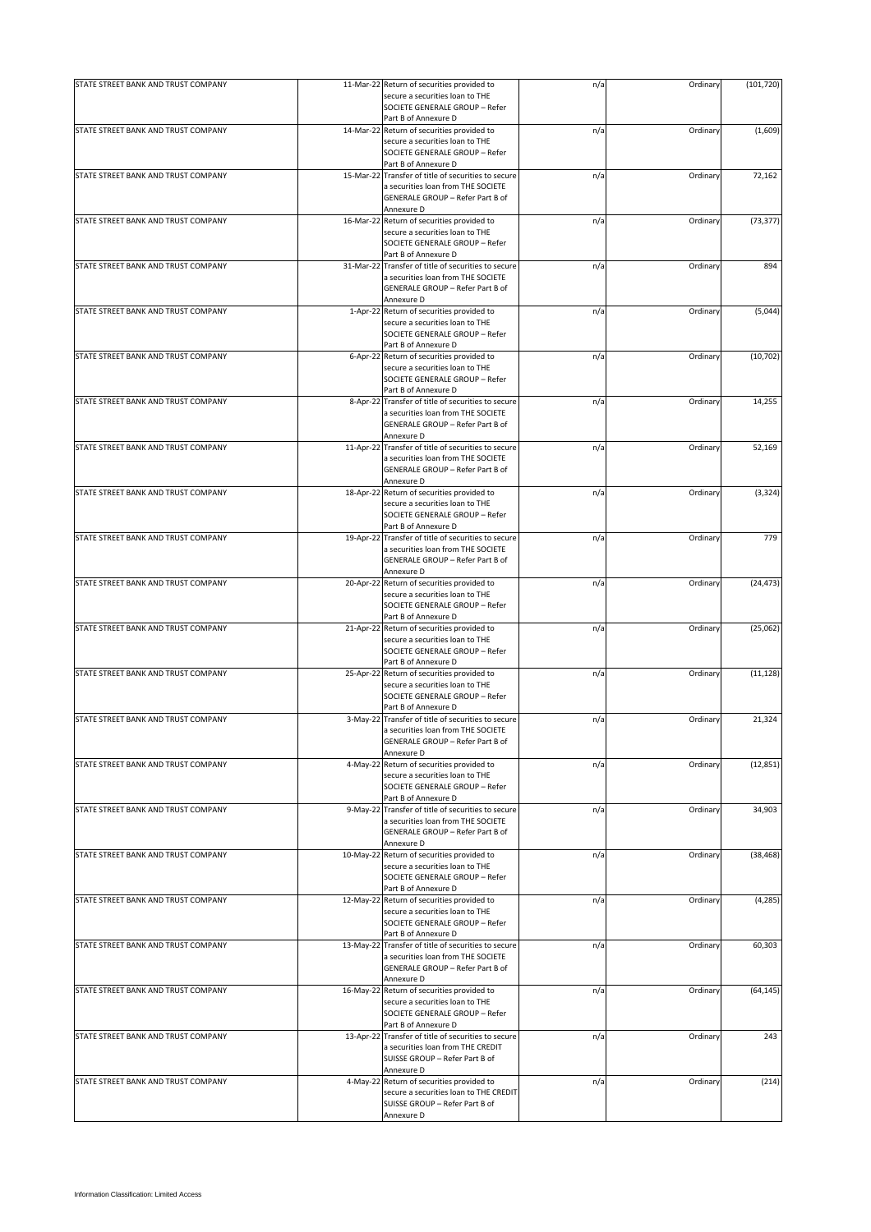| STATE STREET BANK AND TRUST COMPANY | 11-Mar-22 Return of securities provided to                                                                                                                      | n/a | Ordinary | (101, 720) |
|-------------------------------------|-----------------------------------------------------------------------------------------------------------------------------------------------------------------|-----|----------|------------|
|                                     | secure a securities loan to THE<br>SOCIETE GENERALE GROUP - Refer                                                                                               |     |          |            |
|                                     | Part B of Annexure D                                                                                                                                            |     |          |            |
| STATE STREET BANK AND TRUST COMPANY | 14-Mar-22 Return of securities provided to<br>secure a securities loan to THE<br>SOCIETE GENERALE GROUP - Refer                                                 | n/a | Ordinary | (1,609)    |
| STATE STREET BANK AND TRUST COMPANY | Part B of Annexure D<br>15-Mar-22 Transfer of title of securities to secure<br>a securities loan from THE SOCIETE                                               | n/a | Ordinary | 72,162     |
|                                     | GENERALE GROUP - Refer Part B of<br>Annexure D                                                                                                                  |     |          |            |
| STATE STREET BANK AND TRUST COMPANY | 16-Mar-22 Return of securities provided to                                                                                                                      | n/a | Ordinary | (73, 377)  |
|                                     | secure a securities loan to THE<br>SOCIETE GENERALE GROUP - Refer                                                                                               |     |          |            |
|                                     | Part B of Annexure D                                                                                                                                            |     |          |            |
| STATE STREET BANK AND TRUST COMPANY | 31-Mar-22 Transfer of title of securities to secure<br>a securities loan from THE SOCIETE<br>GENERALE GROUP - Refer Part B of<br>Annexure D                     | n/a | Ordinary | 894        |
| STATE STREET BANK AND TRUST COMPANY | 1-Apr-22 Return of securities provided to<br>secure a securities loan to THE<br>SOCIETE GENERALE GROUP - Refer                                                  | n/a | Ordinary | (5,044)    |
| STATE STREET BANK AND TRUST COMPANY | Part B of Annexure D<br>6-Apr-22 Return of securities provided to<br>secure a securities loan to THE                                                            | n/a | Ordinary | (10, 702)  |
|                                     | SOCIETE GENERALE GROUP - Refer<br>Part B of Annexure D                                                                                                          |     |          |            |
| STATE STREET BANK AND TRUST COMPANY | 8-Apr-22 Transfer of title of securities to secure                                                                                                              | n/a | Ordinary | 14,255     |
|                                     | a securities loan from THE SOCIETE<br>GENERALE GROUP - Refer Part B of<br>Annexure D                                                                            |     |          |            |
| STATE STREET BANK AND TRUST COMPANY | 11-Apr-22 Transfer of title of securities to secure<br>a securities loan from THE SOCIETE<br>GENERALE GROUP - Refer Part B of<br>Annexure D                     | n/a | Ordinary | 52,169     |
| STATE STREET BANK AND TRUST COMPANY | 18-Apr-22 Return of securities provided to<br>secure a securities loan to THE<br>SOCIETE GENERALE GROUP - Refer<br>Part B of Annexure D                         | n/a | Ordinary | (3, 324)   |
| STATE STREET BANK AND TRUST COMPANY | 19-Apr-22 Transfer of title of securities to secure<br>a securities loan from THE SOCIETE<br>GENERALE GROUP - Refer Part B of<br>Annexure D                     | n/a | Ordinary | 779        |
| STATE STREET BANK AND TRUST COMPANY | 20-Apr-22 Return of securities provided to<br>secure a securities loan to THE<br>SOCIETE GENERALE GROUP - Refer                                                 | n/a | Ordinary | (24, 473)  |
| STATE STREET BANK AND TRUST COMPANY | Part B of Annexure D<br>21-Apr-22 Return of securities provided to<br>secure a securities loan to THE<br>SOCIETE GENERALE GROUP - Refer<br>Part B of Annexure D | n/a | Ordinary | (25,062)   |
| STATE STREET BANK AND TRUST COMPANY | 25-Apr-22 Return of securities provided to<br>secure a securities loan to THE<br>SOCIETE GENERALE GROUP - Refer<br>Part B of Annexure D                         | n/a | Ordinary | (11, 128)  |
| STATE STREET BANK AND TRUST COMPANY | 3-May-22 Transfer of title of securities to secure<br>a securities loan from THE SOCIETE<br>GENERALE GROUP - Refer Part B of                                    | n/a | Ordinary | 21,324     |
| STATE STREET BANK AND TRUST COMPANY | Annexure D<br>4-May-22 Return of securities provided to                                                                                                         |     | Ordinary | (12, 851)  |
|                                     | secure a securities loan to THE<br>SOCIETE GENERALE GROUP - Refer<br>Part B of Annexure D                                                                       | n/a |          |            |
| STATE STREET BANK AND TRUST COMPANY | 9-May-22 Transfer of title of securities to secure<br>a securities loan from THE SOCIETE<br>GENERALE GROUP - Refer Part B of<br>Annexure D                      | n/a | Ordinary | 34,903     |
| STATE STREET BANK AND TRUST COMPANY | 10-May-22 Return of securities provided to<br>secure a securities loan to THE<br>SOCIETE GENERALE GROUP - Refer<br>Part B of Annexure D                         | n/a | Ordinary | (38, 468)  |
| STATE STREET BANK AND TRUST COMPANY | 12-May-22 Return of securities provided to<br>secure a securities loan to THE<br>SOCIETE GENERALE GROUP - Refer<br>Part B of Annexure D                         | n/a | Ordinary | (4, 285)   |
| STATE STREET BANK AND TRUST COMPANY | 13-May-22 Transfer of title of securities to secure<br>a securities loan from THE SOCIETE<br>GENERALE GROUP - Refer Part B of<br>Annexure D                     | n/a | Ordinary | 60,303     |
| STATE STREET BANK AND TRUST COMPANY | 16-May-22 Return of securities provided to<br>secure a securities loan to THE<br>SOCIETE GENERALE GROUP - Refer<br>Part B of Annexure D                         | n/a | Ordinary | (64, 145)  |
| STATE STREET BANK AND TRUST COMPANY | 13-Apr-22 Transfer of title of securities to secure<br>a securities loan from THE CREDIT<br>SUISSE GROUP - Refer Part B of<br>Annexure D                        | n/a | Ordinary | 243        |
| STATE STREET BANK AND TRUST COMPANY | 4-May-22 Return of securities provided to<br>secure a securities loan to THE CREDIT<br>SUISSE GROUP - Refer Part B of<br>Annexure D                             | n/a | Ordinary | (214)      |
|                                     |                                                                                                                                                                 |     |          |            |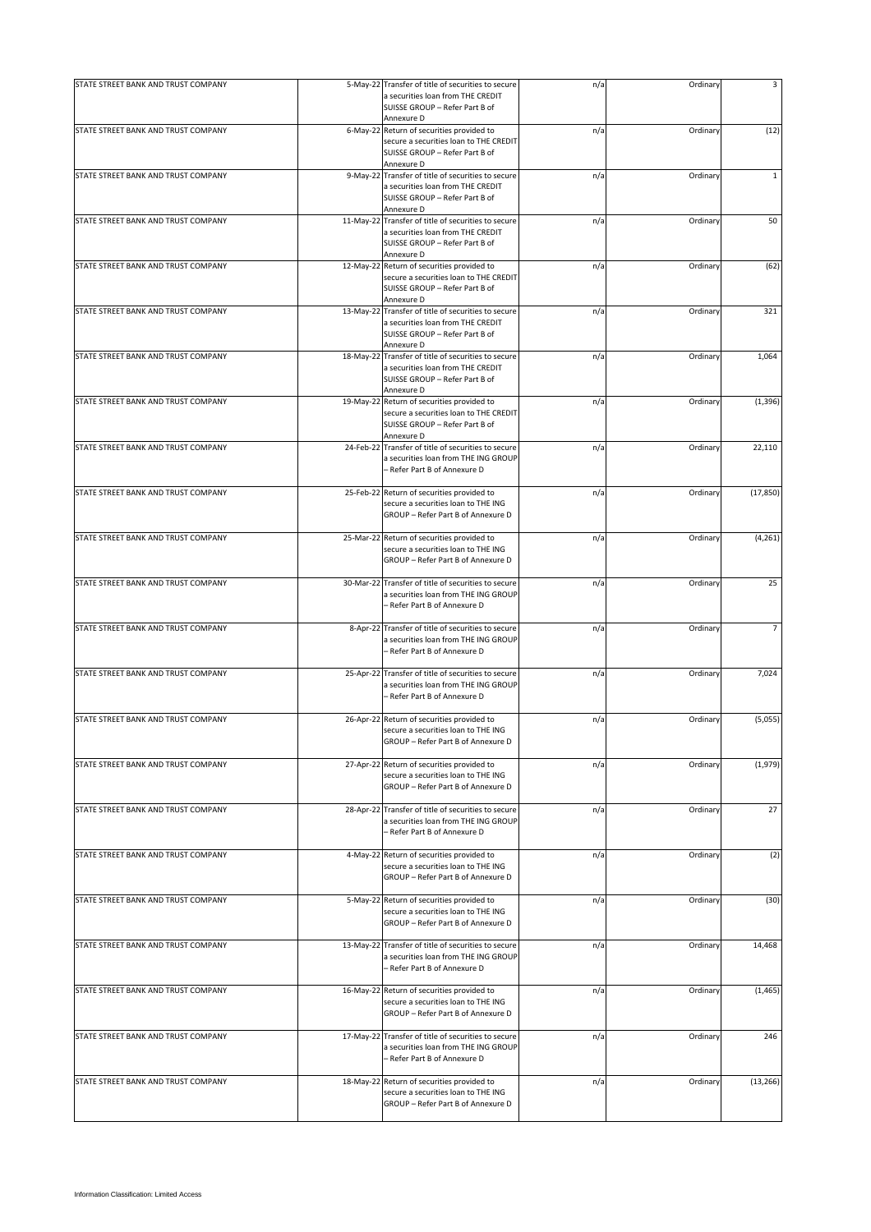| STATE STREET BANK AND TRUST COMPANY |           | 5-May-22 Transfer of title of securities to secure                                                                                       | n/a | Ordinary | 3              |
|-------------------------------------|-----------|------------------------------------------------------------------------------------------------------------------------------------------|-----|----------|----------------|
|                                     |           | a securities loan from THE CREDIT<br>SUISSE GROUP - Refer Part B of                                                                      |     |          |                |
|                                     |           | Annexure D                                                                                                                               |     |          |                |
| STATE STREET BANK AND TRUST COMPANY |           | 6-May-22 Return of securities provided to<br>secure a securities loan to THE CREDIT<br>SUISSE GROUP - Refer Part B of<br>Annexure D      | n/a | Ordinary | (12)           |
| STATE STREET BANK AND TRUST COMPANY |           | 9-May-22 Transfer of title of securities to secure                                                                                       | n/a | Ordinary | $\mathbf{1}$   |
|                                     |           | a securities loan from THE CREDIT<br>SUISSE GROUP - Refer Part B of                                                                      |     |          |                |
|                                     |           | Annexure D<br>11-May-22 Transfer of title of securities to secure                                                                        |     |          |                |
| STATE STREET BANK AND TRUST COMPANY |           | a securities loan from THE CREDIT<br>SUISSE GROUP - Refer Part B of<br>Annexure D                                                        | n/a | Ordinary | 50             |
| STATE STREET BANK AND TRUST COMPANY |           | 12-May-22 Return of securities provided to<br>secure a securities loan to THE CREDIT<br>SUISSE GROUP - Refer Part B of                   | n/a | Ordinary | (62)           |
| STATE STREET BANK AND TRUST COMPANY |           | Annexure D<br>13-May-22 Transfer of title of securities to secure<br>a securities loan from THE CREDIT<br>SUISSE GROUP - Refer Part B of | n/a | Ordinary | 321            |
|                                     |           | Annexure D                                                                                                                               |     |          |                |
| STATE STREET BANK AND TRUST COMPANY |           | 18-May-22 Transfer of title of securities to secure<br>a securities loan from THE CREDIT<br>SUISSE GROUP - Refer Part B of<br>Annexure D | n/a | Ordinary | 1,064          |
| STATE STREET BANK AND TRUST COMPANY |           | 19-May-22 Return of securities provided to<br>secure a securities loan to THE CREDIT<br>SUISSE GROUP - Refer Part B of                   | n/a | Ordinary | (1, 396)       |
| STATE STREET BANK AND TRUST COMPANY |           | Annexure D<br>24-Feb-22 Transfer of title of securities to secure                                                                        | n/a | Ordinary | 22,110         |
|                                     |           | a securities loan from THE ING GROUP<br>Refer Part B of Annexure D                                                                       |     |          |                |
| STATE STREET BANK AND TRUST COMPANY |           | 25-Feb-22 Return of securities provided to                                                                                               | n/a | Ordinary | (17, 850)      |
|                                     |           | secure a securities loan to THE ING<br>GROUP - Refer Part B of Annexure D                                                                |     |          |                |
| STATE STREET BANK AND TRUST COMPANY |           | 25-Mar-22 Return of securities provided to<br>secure a securities loan to THE ING<br>GROUP - Refer Part B of Annexure D                  | n/a | Ordinary | (4, 261)       |
| STATE STREET BANK AND TRUST COMPANY |           | 30-Mar-22 Transfer of title of securities to secure<br>a securities loan from THE ING GROUP<br>- Refer Part B of Annexure D              | n/a | Ordinary | 25             |
|                                     |           |                                                                                                                                          |     |          |                |
| STATE STREET BANK AND TRUST COMPANY |           | 8-Apr-22 Transfer of title of securities to secure<br>a securities loan from THE ING GROUP<br>- Refer Part B of Annexure D               | n/a | Ordinary | $\overline{7}$ |
| STATE STREET BANK AND TRUST COMPANY |           | 25-Apr-22 Transfer of title of securities to secure<br>a securities loan from THE ING GROUP<br>- Refer Part B of Annexure D              | n/a | Ordinary | 7,024          |
|                                     |           |                                                                                                                                          |     |          |                |
| STATE STREET BANK AND TRUST COMPANY |           | 26-Apr-22 Return of securities provided to<br>secure a securities loan to THE ING<br>GROUP - Refer Part B of Annexure D                  | n/a | Ordinary | (5,055)        |
| STATE STREET BANK AND TRUST COMPANY |           | 27-Apr-22 Return of securities provided to                                                                                               | n/a | Ordinary | (1,979)        |
|                                     |           | secure a securities loan to THE ING<br>GROUP - Refer Part B of Annexure D                                                                |     |          |                |
| STATE STREET BANK AND TRUST COMPANY |           | 28-Apr-22 Transfer of title of securities to secure<br>a securities loan from THE ING GROUP<br>- Refer Part B of Annexure D              | n/a | Ordinary | 27             |
| STATE STREET BANK AND TRUST COMPANY |           | 4-May-22 Return of securities provided to                                                                                                | n/a | Ordinary | (2)            |
|                                     |           | secure a securities loan to THE ING<br>GROUP - Refer Part B of Annexure D                                                                |     |          |                |
| STATE STREET BANK AND TRUST COMPANY |           | 5-May-22 Return of securities provided to<br>secure a securities loan to THE ING<br>GROUP - Refer Part B of Annexure D                   | n/a | Ordinary | (30)           |
| STATE STREET BANK AND TRUST COMPANY |           | 13-May-22 Transfer of title of securities to secure<br>a securities loan from THE ING GROUP<br>- Refer Part B of Annexure D              | n/a | Ordinary | 14,468         |
| STATE STREET BANK AND TRUST COMPANY |           | 16-May-22 Return of securities provided to<br>secure a securities loan to THE ING<br>GROUP - Refer Part B of Annexure D                  | n/a | Ordinary | (1, 465)       |
| STATE STREET BANK AND TRUST COMPANY | 17-May-22 | Transfer of title of securities to secure<br>a securities loan from THE ING GROUP<br>- Refer Part B of Annexure D                        | n/a | Ordinary | 246            |
| STATE STREET BANK AND TRUST COMPANY | 18-May-22 | Return of securities provided to<br>secure a securities loan to THE ING<br>GROUP - Refer Part B of Annexure D                            | n/a | Ordinary | (13, 266)      |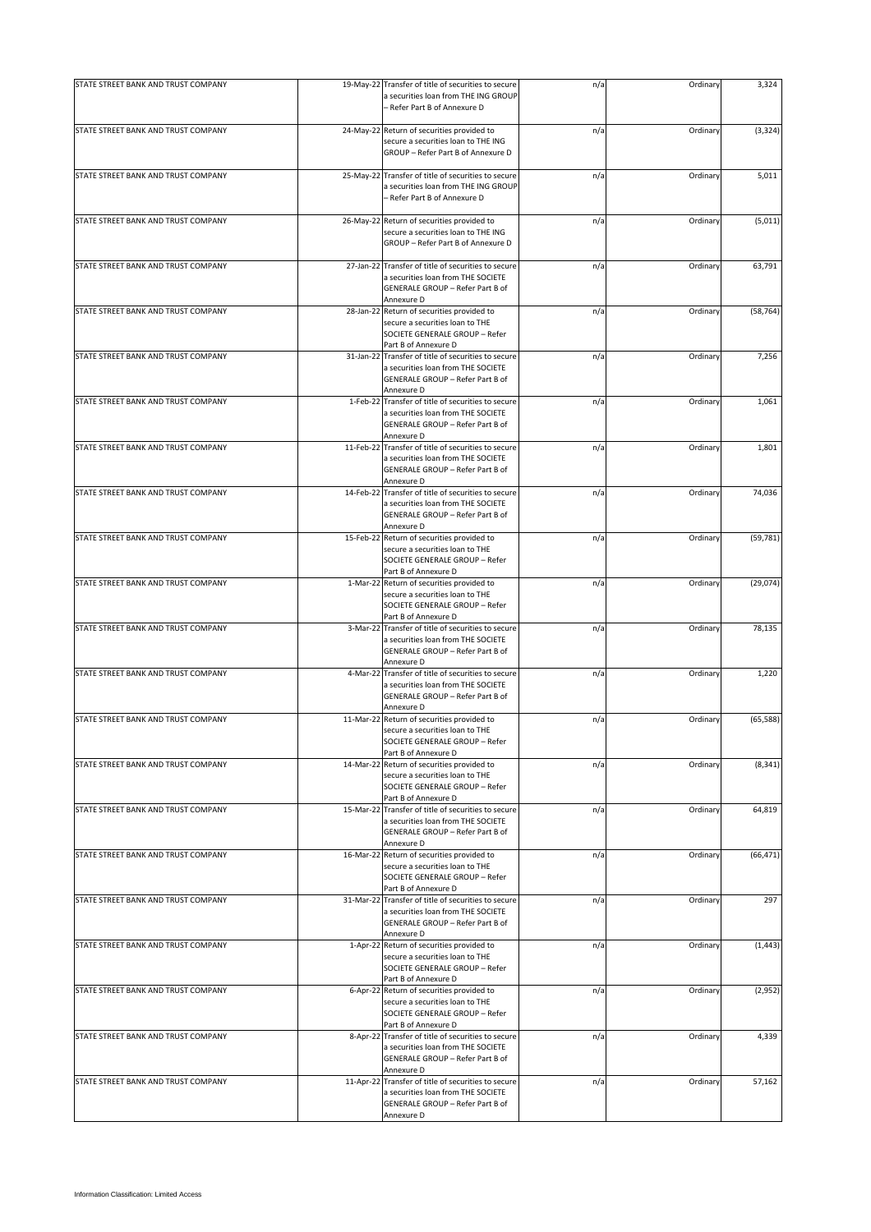| STATE STREET BANK AND TRUST COMPANY<br>24-May-22 Return of securities provided to<br>n/a<br>secure a securities loan to THE ING<br>GROUP - Refer Part B of Annexure D<br>STATE STREET BANK AND TRUST COMPANY<br>25-May-22 Transfer of title of securities to secure<br>n/a<br>a securities loan from THE ING GROUP<br>- Refer Part B of Annexure D<br>STATE STREET BANK AND TRUST COMPANY<br>26-May-22 Return of securities provided to<br>n/a<br>secure a securities loan to THE ING<br>GROUP - Refer Part B of Annexure D<br>STATE STREET BANK AND TRUST COMPANY<br>27-Jan-22 Transfer of title of securities to secure<br>n/a<br>a securities loan from THE SOCIETE<br>GENERALE GROUP - Refer Part B of<br>Annexure D<br>STATE STREET BANK AND TRUST COMPANY<br>28-Jan-22 Return of securities provided to<br>n/a<br>secure a securities loan to THE<br>SOCIETE GENERALE GROUP - Refer | Ordinary<br>Ordinary<br>Ordinary<br>Ordinary<br>Ordinary<br>Ordinary | (3, 324)<br>5,011<br>(5,011)<br>63,791<br>(58, 764) |
|-------------------------------------------------------------------------------------------------------------------------------------------------------------------------------------------------------------------------------------------------------------------------------------------------------------------------------------------------------------------------------------------------------------------------------------------------------------------------------------------------------------------------------------------------------------------------------------------------------------------------------------------------------------------------------------------------------------------------------------------------------------------------------------------------------------------------------------------------------------------------------------------|----------------------------------------------------------------------|-----------------------------------------------------|
|                                                                                                                                                                                                                                                                                                                                                                                                                                                                                                                                                                                                                                                                                                                                                                                                                                                                                           |                                                                      |                                                     |
|                                                                                                                                                                                                                                                                                                                                                                                                                                                                                                                                                                                                                                                                                                                                                                                                                                                                                           |                                                                      |                                                     |
|                                                                                                                                                                                                                                                                                                                                                                                                                                                                                                                                                                                                                                                                                                                                                                                                                                                                                           |                                                                      |                                                     |
|                                                                                                                                                                                                                                                                                                                                                                                                                                                                                                                                                                                                                                                                                                                                                                                                                                                                                           |                                                                      |                                                     |
|                                                                                                                                                                                                                                                                                                                                                                                                                                                                                                                                                                                                                                                                                                                                                                                                                                                                                           |                                                                      |                                                     |
| Part B of Annexure D                                                                                                                                                                                                                                                                                                                                                                                                                                                                                                                                                                                                                                                                                                                                                                                                                                                                      |                                                                      |                                                     |
| STATE STREET BANK AND TRUST COMPANY<br>31-Jan-22 Transfer of title of securities to secure<br>n/a<br>a securities loan from THE SOCIETE<br>GENERALE GROUP - Refer Part B of<br>Annexure D                                                                                                                                                                                                                                                                                                                                                                                                                                                                                                                                                                                                                                                                                                 |                                                                      | 7,256                                               |
| 1-Feb-22 Transfer of title of securities to secure<br>STATE STREET BANK AND TRUST COMPANY<br>n/a<br>a securities loan from THE SOCIETE<br>GENERALE GROUP - Refer Part B of<br>Annexure D                                                                                                                                                                                                                                                                                                                                                                                                                                                                                                                                                                                                                                                                                                  | Ordinary                                                             | 1,061                                               |
| STATE STREET BANK AND TRUST COMPANY<br>11-Feb-22 Transfer of title of securities to secure<br>n/a<br>a securities loan from THE SOCIETE<br>GENERALE GROUP - Refer Part B of<br>Annexure D                                                                                                                                                                                                                                                                                                                                                                                                                                                                                                                                                                                                                                                                                                 | Ordinary                                                             | 1,801                                               |
| STATE STREET BANK AND TRUST COMPANY<br>14-Feb-22 Transfer of title of securities to secure<br>n/a<br>a securities loan from THE SOCIETE<br>GENERALE GROUP - Refer Part B of<br>Annexure D                                                                                                                                                                                                                                                                                                                                                                                                                                                                                                                                                                                                                                                                                                 | Ordinary                                                             | 74,036                                              |
| STATE STREET BANK AND TRUST COMPANY<br>15-Feb-22 Return of securities provided to<br>n/a<br>secure a securities loan to THE<br>SOCIETE GENERALE GROUP - Refer<br>Part B of Annexure D                                                                                                                                                                                                                                                                                                                                                                                                                                                                                                                                                                                                                                                                                                     | Ordinary                                                             | (59, 781)                                           |
| STATE STREET BANK AND TRUST COMPANY<br>1-Mar-22 Return of securities provided to<br>n/a<br>secure a securities loan to THE<br>SOCIETE GENERALE GROUP - Refer<br>Part B of Annexure D                                                                                                                                                                                                                                                                                                                                                                                                                                                                                                                                                                                                                                                                                                      | Ordinary                                                             | (29, 074)                                           |
| STATE STREET BANK AND TRUST COMPANY<br>3-Mar-22 Transfer of title of securities to secure<br>n/a<br>a securities loan from THE SOCIETE<br>GENERALE GROUP - Refer Part B of<br>Annexure D                                                                                                                                                                                                                                                                                                                                                                                                                                                                                                                                                                                                                                                                                                  | Ordinary                                                             | 78,135                                              |
| STATE STREET BANK AND TRUST COMPANY<br>4-Mar-22 Transfer of title of securities to secure<br>n/a<br>a securities loan from THE SOCIETE<br>GENERALE GROUP - Refer Part B of<br>Annexure D                                                                                                                                                                                                                                                                                                                                                                                                                                                                                                                                                                                                                                                                                                  | Ordinary                                                             | 1,220                                               |
| STATE STREET BANK AND TRUST COMPANY<br>11-Mar-22 Return of securities provided to<br>n/a<br>secure a securities loan to THE<br>SOCIETE GENERALE GROUP - Refer<br>Part B of Annexure D                                                                                                                                                                                                                                                                                                                                                                                                                                                                                                                                                                                                                                                                                                     | Ordinary                                                             | (65, 588)                                           |
| STATE STREET BANK AND TRUST COMPANY<br>14-Mar-22 Return of securities provided to<br>n/a<br>secure a securities loan to THE<br>SOCIETE GENERALE GROUP - Refer<br>Part B of Annexure D                                                                                                                                                                                                                                                                                                                                                                                                                                                                                                                                                                                                                                                                                                     | Ordinary                                                             | (8, 341)                                            |
| STATE STREET BANK AND TRUST COMPANY<br>15-Mar-22 Transfer of title of securities to secure<br>n/a<br>a securities loan from THE SOCIETE<br>GENERALE GROUP - Refer Part B of<br>Annexure D                                                                                                                                                                                                                                                                                                                                                                                                                                                                                                                                                                                                                                                                                                 | Ordinary                                                             | 64,819                                              |
| STATE STREET BANK AND TRUST COMPANY<br>16-Mar-22 Return of securities provided to<br>n/a<br>secure a securities loan to THE<br>SOCIETE GENERALE GROUP - Refer<br>Part B of Annexure D                                                                                                                                                                                                                                                                                                                                                                                                                                                                                                                                                                                                                                                                                                     | Ordinary                                                             | (66, 471)                                           |
| STATE STREET BANK AND TRUST COMPANY<br>31-Mar-22 Transfer of title of securities to secure<br>n/a<br>a securities loan from THE SOCIETE<br>GENERALE GROUP - Refer Part B of<br>Annexure D                                                                                                                                                                                                                                                                                                                                                                                                                                                                                                                                                                                                                                                                                                 | Ordinary                                                             | 297                                                 |
| STATE STREET BANK AND TRUST COMPANY<br>1-Apr-22 Return of securities provided to<br>n/a<br>secure a securities loan to THE<br>SOCIETE GENERALE GROUP - Refer<br>Part B of Annexure D                                                                                                                                                                                                                                                                                                                                                                                                                                                                                                                                                                                                                                                                                                      | Ordinary                                                             | (1, 443)                                            |
| STATE STREET BANK AND TRUST COMPANY<br>6-Apr-22 Return of securities provided to<br>n/a<br>secure a securities loan to THE<br>SOCIETE GENERALE GROUP - Refer<br>Part B of Annexure D                                                                                                                                                                                                                                                                                                                                                                                                                                                                                                                                                                                                                                                                                                      | Ordinary                                                             | (2,952)                                             |
| STATE STREET BANK AND TRUST COMPANY<br>8-Apr-22 Transfer of title of securities to secure<br>n/a<br>a securities loan from THE SOCIETE<br>GENERALE GROUP - Refer Part B of<br>Annexure D                                                                                                                                                                                                                                                                                                                                                                                                                                                                                                                                                                                                                                                                                                  | Ordinary                                                             | 4,339                                               |
| STATE STREET BANK AND TRUST COMPANY<br>11-Apr-22 Transfer of title of securities to secure<br>n/a<br>a securities loan from THE SOCIETE<br>GENERALE GROUP - Refer Part B of<br>Annexure D                                                                                                                                                                                                                                                                                                                                                                                                                                                                                                                                                                                                                                                                                                 | Ordinary                                                             | 57,162                                              |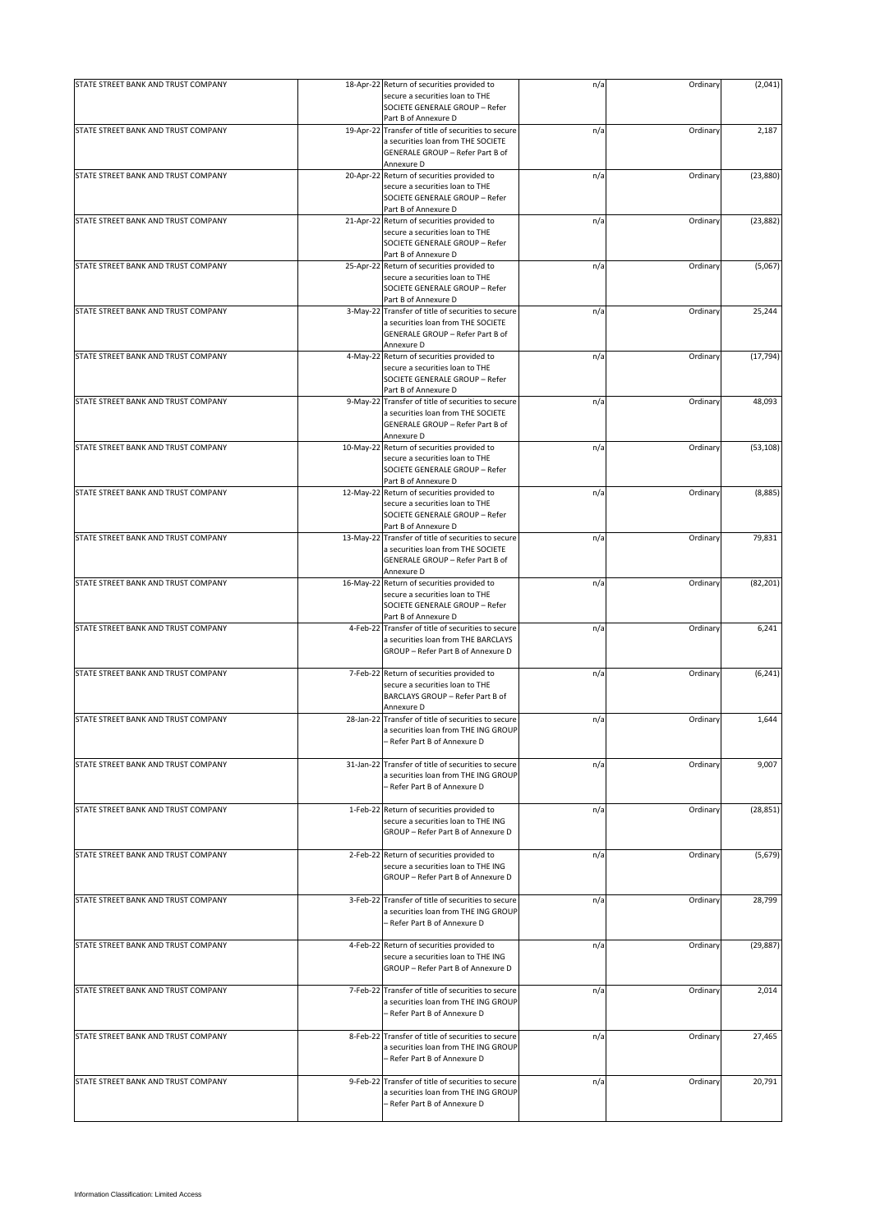| STATE STREET BANK AND TRUST COMPANY |           | 18-Apr-22 Return of securities provided to                                                 | n/a | Ordinary | (2,041)   |
|-------------------------------------|-----------|--------------------------------------------------------------------------------------------|-----|----------|-----------|
|                                     |           | secure a securities loan to THE                                                            |     |          |           |
|                                     |           | SOCIETE GENERALE GROUP - Refer                                                             |     |          |           |
| STATE STREET BANK AND TRUST COMPANY |           | Part B of Annexure D                                                                       |     |          |           |
|                                     |           | 19-Apr-22 Transfer of title of securities to secure<br>a securities loan from THE SOCIETE  | n/a | Ordinary | 2,187     |
|                                     |           | GENERALE GROUP - Refer Part B of                                                           |     |          |           |
|                                     |           | Annexure D                                                                                 |     |          |           |
| STATE STREET BANK AND TRUST COMPANY | 20-Apr-22 | Return of securities provided to                                                           | n/a | Ordinary | (23, 880) |
|                                     |           | secure a securities loan to THE                                                            |     |          |           |
|                                     |           | SOCIETE GENERALE GROUP - Refer                                                             |     |          |           |
|                                     |           | Part B of Annexure D                                                                       |     |          |           |
| STATE STREET BANK AND TRUST COMPANY |           | 21-Apr-22 Return of securities provided to                                                 | n/a | Ordinary | (23, 882) |
|                                     |           | secure a securities loan to THE<br>SOCIETE GENERALE GROUP - Refer                          |     |          |           |
|                                     |           | Part B of Annexure D                                                                       |     |          |           |
| STATE STREET BANK AND TRUST COMPANY |           | 25-Apr-22 Return of securities provided to                                                 | n/a | Ordinary | (5,067)   |
|                                     |           | secure a securities loan to THE                                                            |     |          |           |
|                                     |           | SOCIETE GENERALE GROUP - Refer                                                             |     |          |           |
|                                     |           | Part B of Annexure D                                                                       |     |          |           |
| STATE STREET BANK AND TRUST COMPANY | 3-May-22  | Transfer of title of securities to secure                                                  | n/a | Ordinary | 25,244    |
|                                     |           | a securities loan from THE SOCIETE                                                         |     |          |           |
|                                     |           | GENERALE GROUP - Refer Part B of<br>Annexure D                                             |     |          |           |
| STATE STREET BANK AND TRUST COMPANY | 4-May-22  | Return of securities provided to                                                           | n/a | Ordinary | (17, 794) |
|                                     |           | secure a securities loan to THE                                                            |     |          |           |
|                                     |           | SOCIETE GENERALE GROUP - Refer                                                             |     |          |           |
|                                     |           | Part B of Annexure D                                                                       |     |          |           |
| STATE STREET BANK AND TRUST COMPANY | 9-May-22  | Transfer of title of securities to secure                                                  | n/a | Ordinary | 48,093    |
|                                     |           | a securities loan from THE SOCIETE                                                         |     |          |           |
|                                     |           | GENERALE GROUP - Refer Part B of                                                           |     |          |           |
|                                     |           | Annexure D                                                                                 |     |          |           |
| STATE STREET BANK AND TRUST COMPANY | 10-May-22 | Return of securities provided to                                                           | n/a | Ordinary | (53, 108) |
|                                     |           | secure a securities loan to THE                                                            |     |          |           |
|                                     |           | SOCIETE GENERALE GROUP - Refer                                                             |     |          |           |
| STATE STREET BANK AND TRUST COMPANY |           | Part B of Annexure D<br>12-May-22 Return of securities provided to                         | n/a | Ordinary | (8,885)   |
|                                     |           | secure a securities loan to THE                                                            |     |          |           |
|                                     |           | SOCIETE GENERALE GROUP - Refer                                                             |     |          |           |
|                                     |           | Part B of Annexure D                                                                       |     |          |           |
| STATE STREET BANK AND TRUST COMPANY |           | 13-May-22 Transfer of title of securities to secure                                        | n/a | Ordinary | 79,831    |
|                                     |           | a securities loan from THE SOCIETE                                                         |     |          |           |
|                                     |           | GENERALE GROUP - Refer Part B of                                                           |     |          |           |
|                                     |           | Annexure D                                                                                 |     |          |           |
| STATE STREET BANK AND TRUST COMPANY |           | 16-May-22 Return of securities provided to                                                 | n/a | Ordinary | (82, 201) |
|                                     |           | secure a securities loan to THE                                                            |     |          |           |
|                                     |           | SOCIETE GENERALE GROUP - Refer                                                             |     |          |           |
| STATE STREET BANK AND TRUST COMPANY | 4-Feb-22  | Part B of Annexure D                                                                       |     |          | 6,241     |
|                                     |           | Transfer of title of securities to secure<br>a securities loan from THE BARCLAYS           | n/a | Ordinary |           |
|                                     |           | GROUP - Refer Part B of Annexure D                                                         |     |          |           |
|                                     |           |                                                                                            |     |          |           |
| STATE STREET BANK AND TRUST COMPANY |           | 7-Feb-22 Return of securities provided to                                                  | n/a | Ordinary | (6, 241)  |
|                                     |           | secure a securities loan to THE                                                            |     |          |           |
|                                     |           | BARCLAYS GROUP - Refer Part B of                                                           |     |          |           |
|                                     |           | Annexure D                                                                                 |     |          |           |
| STATE STREET BANK AND TRUST COMPANY |           | 28-Jan-22 Transfer of title of securities to secure                                        | n/a | Ordinary | 1,644     |
|                                     |           | a securities loan from THE ING GROUP                                                       |     |          |           |
|                                     |           | - Refer Part B of Annexure D                                                               |     |          |           |
| STATE STREET BANK AND TRUST COMPANY |           | 31-Jan-22 Transfer of title of securities to secure                                        | n/a | Ordinary | 9,007     |
|                                     |           | a securities loan from THE ING GROUP                                                       |     |          |           |
|                                     |           | - Refer Part B of Annexure D                                                               |     |          |           |
|                                     |           |                                                                                            |     |          |           |
| STATE STREET BANK AND TRUST COMPANY |           | 1-Feb-22 Return of securities provided to                                                  | n/a | Ordinary | (28, 851) |
|                                     |           | secure a securities loan to THE ING                                                        |     |          |           |
|                                     |           | GROUP - Refer Part B of Annexure D                                                         |     |          |           |
|                                     |           |                                                                                            |     |          |           |
| STATE STREET BANK AND TRUST COMPANY |           | 2-Feb-22 Return of securities provided to                                                  | n/a | Ordinary | (5,679)   |
|                                     |           | secure a securities loan to THE ING<br>GROUP - Refer Part B of Annexure D                  |     |          |           |
|                                     |           |                                                                                            |     |          |           |
| STATE STREET BANK AND TRUST COMPANY |           | 3-Feb-22 Transfer of title of securities to secure                                         | n/a | Ordinary | 28,799    |
|                                     |           | a securities loan from THE ING GROUP                                                       |     |          |           |
|                                     |           | - Refer Part B of Annexure D                                                               |     |          |           |
|                                     |           |                                                                                            |     |          |           |
| STATE STREET BANK AND TRUST COMPANY |           | 4-Feb-22 Return of securities provided to                                                  | n/a | Ordinary | (29, 887) |
|                                     |           | secure a securities loan to THE ING                                                        |     |          |           |
|                                     |           | GROUP - Refer Part B of Annexure D                                                         |     |          |           |
|                                     |           |                                                                                            |     |          |           |
| STATE STREET BANK AND TRUST COMPANY |           | 7-Feb-22 Transfer of title of securities to secure<br>a securities loan from THE ING GROUP | n/a | Ordinary | 2,014     |
|                                     |           | - Refer Part B of Annexure D                                                               |     |          |           |
|                                     |           |                                                                                            |     |          |           |
| STATE STREET BANK AND TRUST COMPANY | 8-Feb-22  | Transfer of title of securities to secure                                                  | n/a | Ordinary | 27,465    |
|                                     |           | a securities loan from THE ING GROUP                                                       |     |          |           |
|                                     |           | - Refer Part B of Annexure D                                                               |     |          |           |
|                                     |           |                                                                                            |     |          |           |
| STATE STREET BANK AND TRUST COMPANY | 9-Feb-22  | Transfer of title of securities to secure                                                  | n/a | Ordinary | 20,791    |
|                                     |           | a securities loan from THE ING GROUP                                                       |     |          |           |
|                                     |           | - Refer Part B of Annexure D                                                               |     |          |           |
|                                     |           |                                                                                            |     |          |           |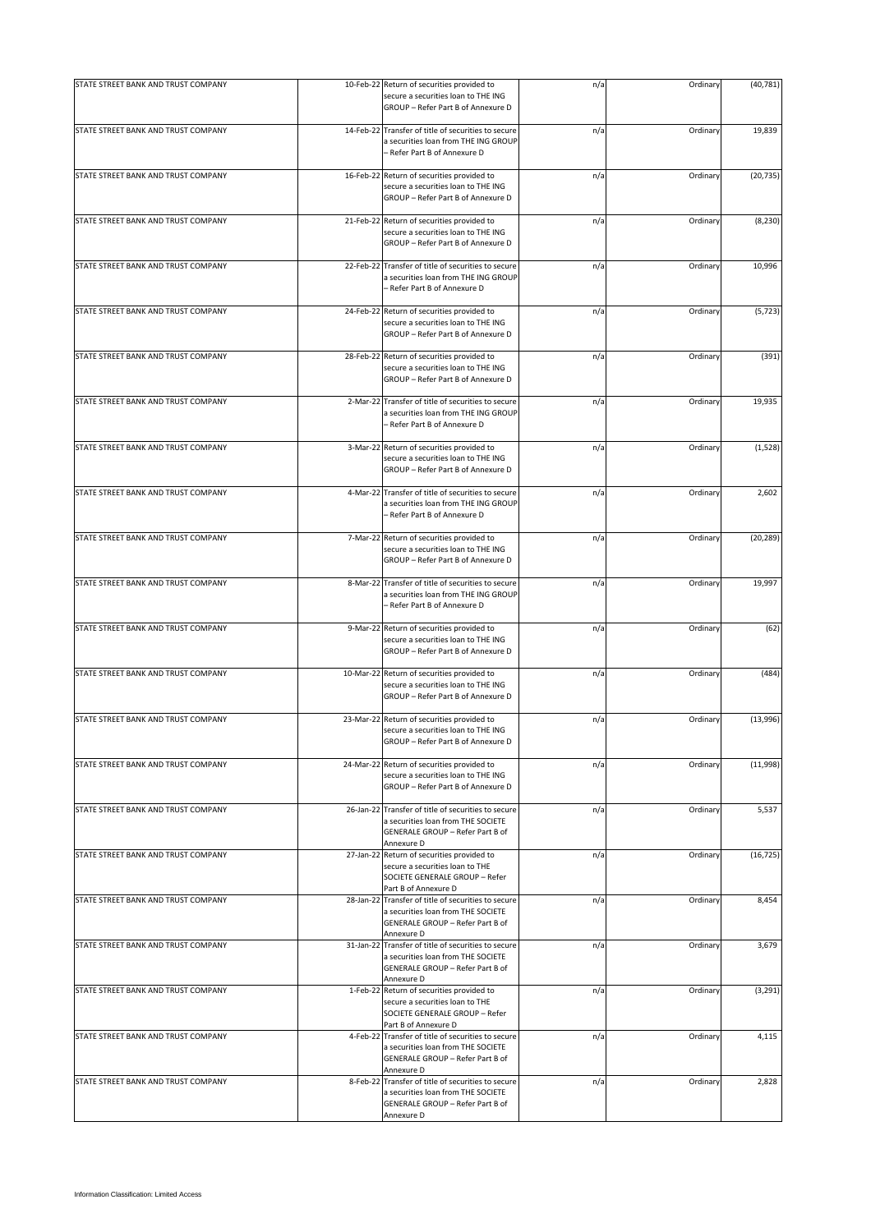| STATE STREET BANK AND TRUST COMPANY |           | 10-Feb-22 Return of securities provided to<br>secure a securities loan to THE ING<br>GROUP - Refer Part B of Annexure D                     | n/a | Ordinary | (40, 781) |
|-------------------------------------|-----------|---------------------------------------------------------------------------------------------------------------------------------------------|-----|----------|-----------|
| STATE STREET BANK AND TRUST COMPANY |           | 14-Feb-22 Transfer of title of securities to secure<br>a securities loan from THE ING GROUP<br>- Refer Part B of Annexure D                 | n/a | Ordinary | 19,839    |
| STATE STREET BANK AND TRUST COMPANY |           | 16-Feb-22 Return of securities provided to<br>secure a securities loan to THE ING<br>GROUP - Refer Part B of Annexure D                     | n/a | Ordinary | (20, 735) |
| STATE STREET BANK AND TRUST COMPANY |           | 21-Feb-22 Return of securities provided to<br>secure a securities loan to THE ING<br>GROUP - Refer Part B of Annexure D                     | n/a | Ordinary | (8, 230)  |
| STATE STREET BANK AND TRUST COMPANY | 22-Feb-22 | Transfer of title of securities to secure<br>a securities loan from THE ING GROUP<br>- Refer Part B of Annexure D                           | n/a | Ordinary | 10,996    |
| STATE STREET BANK AND TRUST COMPANY |           | 24-Feb-22 Return of securities provided to<br>secure a securities loan to THE ING<br>GROUP - Refer Part B of Annexure D                     | n/a | Ordinary | (5, 723)  |
| STATE STREET BANK AND TRUST COMPANY |           | 28-Feb-22 Return of securities provided to<br>secure a securities loan to THE ING<br>GROUP - Refer Part B of Annexure D                     | n/a | Ordinary | (391)     |
| STATE STREET BANK AND TRUST COMPANY | 2-Mar-22  | Transfer of title of securities to secure<br>a securities loan from THE ING GROUP<br>- Refer Part B of Annexure D                           | n/a | Ordinary | 19,935    |
| STATE STREET BANK AND TRUST COMPANY |           | 3-Mar-22 Return of securities provided to<br>secure a securities loan to THE ING<br>GROUP - Refer Part B of Annexure D                      | n/a | Ordinary | (1, 528)  |
| STATE STREET BANK AND TRUST COMPANY |           | 4-Mar-22 Transfer of title of securities to secure<br>a securities loan from THE ING GROUP<br>- Refer Part B of Annexure D                  | n/a | Ordinary | 2,602     |
| STATE STREET BANK AND TRUST COMPANY |           | 7-Mar-22 Return of securities provided to<br>secure a securities loan to THE ING<br>GROUP - Refer Part B of Annexure D                      | n/a | Ordinary | (20, 289) |
| STATE STREET BANK AND TRUST COMPANY |           | 8-Mar-22 Transfer of title of securities to secure<br>a securities loan from THE ING GROUP<br>- Refer Part B of Annexure D                  | n/a | Ordinary | 19,997    |
| STATE STREET BANK AND TRUST COMPANY |           | 9-Mar-22 Return of securities provided to<br>secure a securities loan to THE ING<br>GROUP - Refer Part B of Annexure D                      | n/a | Ordinary | (62)      |
| STATE STREET BANK AND TRUST COMPANY |           | 10-Mar-22 Return of securities provided to<br>secure a securities loan to THE ING<br>GROUP - Refer Part B of Annexure D                     | n/a | Ordinary | (484)     |
| STATE STREET BANK AND TRUST COMPANY |           | 23-Mar-22 Return of securities provided to<br>secure a securities loan to THE ING<br>GROUP - Refer Part B of Annexure D                     | n/a | Ordinary | (13,996)  |
| STATE STREET BANK AND TRUST COMPANY |           | 24-Mar-22 Return of securities provided to<br>secure a securities loan to THE ING<br>GROUP - Refer Part B of Annexure D                     | n/a | Ordinary | (11,998)  |
| STATE STREET BANK AND TRUST COMPANY |           | 26-Jan-22 Transfer of title of securities to secure<br>a securities loan from THE SOCIETE<br>GENERALE GROUP - Refer Part B of<br>Annexure D | n/a | Ordinary | 5,537     |
| STATE STREET BANK AND TRUST COMPANY |           | 27-Jan-22 Return of securities provided to<br>secure a securities loan to THE<br>SOCIETE GENERALE GROUP - Refer<br>Part B of Annexure D     | n/a | Ordinary | (16, 725) |
| STATE STREET BANK AND TRUST COMPANY |           | 28-Jan-22 Transfer of title of securities to secure<br>a securities loan from THE SOCIETE<br>GENERALE GROUP - Refer Part B of<br>Annexure D | n/a | Ordinary | 8,454     |
| STATE STREET BANK AND TRUST COMPANY |           | 31-Jan-22 Transfer of title of securities to secure<br>a securities loan from THE SOCIETE<br>GENERALE GROUP - Refer Part B of<br>Annexure D | n/a | Ordinary | 3,679     |
| STATE STREET BANK AND TRUST COMPANY |           | 1-Feb-22 Return of securities provided to<br>secure a securities loan to THE<br>SOCIETE GENERALE GROUP - Refer<br>Part B of Annexure D      | n/a | Ordinary | (3, 291)  |
| STATE STREET BANK AND TRUST COMPANY |           | 4-Feb-22 Transfer of title of securities to secure<br>a securities loan from THE SOCIETE<br>GENERALE GROUP - Refer Part B of<br>Annexure D  | n/a | Ordinary | 4,115     |
| STATE STREET BANK AND TRUST COMPANY |           | 8-Feb-22 Transfer of title of securities to secure<br>a securities loan from THE SOCIETE<br>GENERALE GROUP - Refer Part B of<br>Annexure D  | n/a | Ordinary | 2,828     |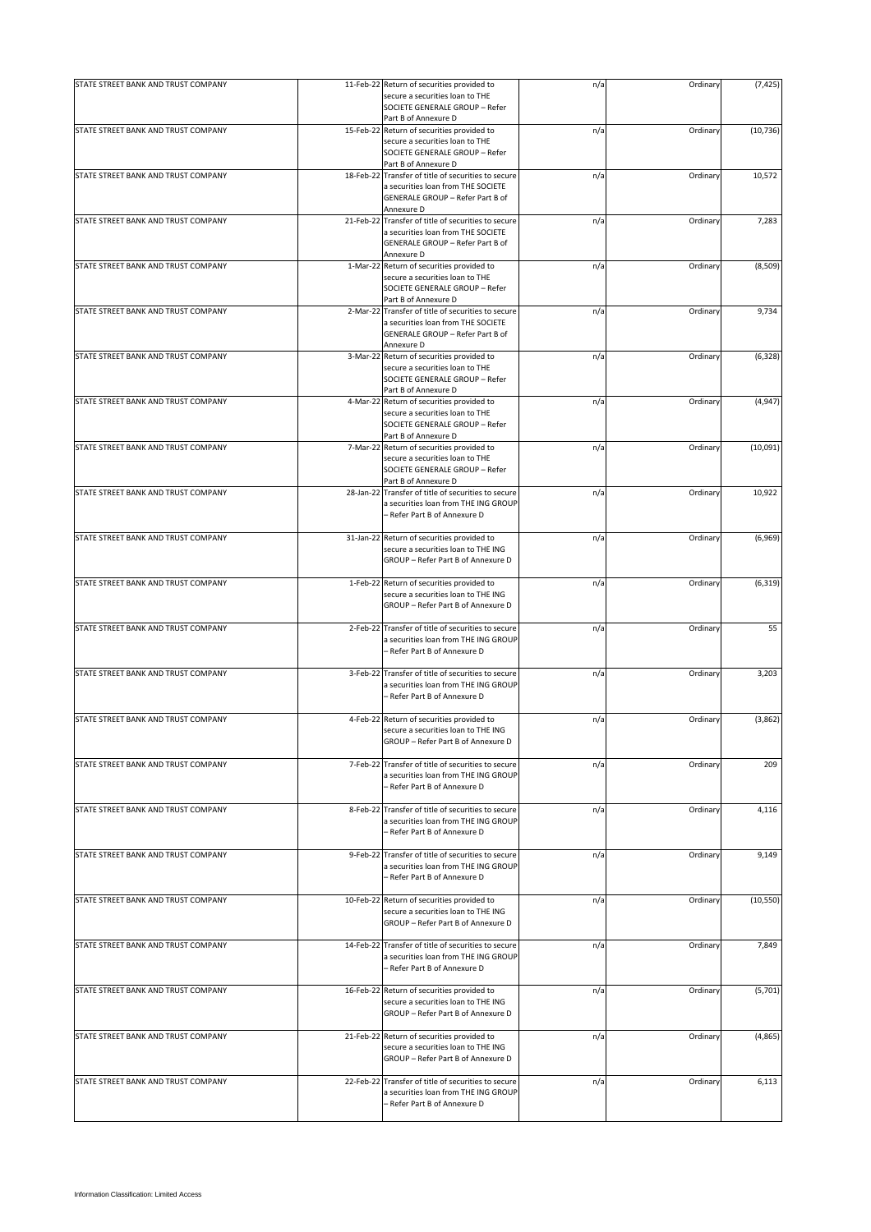| STATE STREET BANK AND TRUST COMPANY |           | 11-Feb-22 Return of securities provided to                                                                                                  | n/a | Ordinary | (7, 425)  |
|-------------------------------------|-----------|---------------------------------------------------------------------------------------------------------------------------------------------|-----|----------|-----------|
|                                     |           | secure a securities loan to THE<br>SOCIETE GENERALE GROUP - Refer<br>Part B of Annexure D                                                   |     |          |           |
| STATE STREET BANK AND TRUST COMPANY |           | 15-Feb-22 Return of securities provided to<br>secure a securities loan to THE<br>SOCIETE GENERALE GROUP - Refer                             | n/a | Ordinary | (10, 736) |
| STATE STREET BANK AND TRUST COMPANY | 18-Feb-22 | Part B of Annexure D<br>Transfer of title of securities to secure                                                                           | n/a | Ordinary | 10,572    |
|                                     |           | a securities loan from THE SOCIETE<br>GENERALE GROUP - Refer Part B of<br>Annexure D                                                        |     |          |           |
| STATE STREET BANK AND TRUST COMPANY |           | 21-Feb-22 Transfer of title of securities to secure<br>a securities loan from THE SOCIETE<br>GENERALE GROUP - Refer Part B of<br>Annexure D | n/a | Ordinary | 7,283     |
| STATE STREET BANK AND TRUST COMPANY |           | 1-Mar-22 Return of securities provided to<br>secure a securities loan to THE<br>SOCIETE GENERALE GROUP - Refer<br>Part B of Annexure D      | n/a | Ordinary | (8,509)   |
| STATE STREET BANK AND TRUST COMPANY | 2-Mar-22  | Transfer of title of securities to secure<br>a securities loan from THE SOCIETE<br>GENERALE GROUP - Refer Part B of<br>Annexure D           | n/a | Ordinary | 9,734     |
| STATE STREET BANK AND TRUST COMPANY | 3-Mar-22  | Return of securities provided to<br>secure a securities loan to THE<br>SOCIETE GENERALE GROUP - Refer<br>Part B of Annexure D               | n/a | Ordinary | (6, 328)  |
| STATE STREET BANK AND TRUST COMPANY |           | 4-Mar-22 Return of securities provided to<br>secure a securities loan to THE<br>SOCIETE GENERALE GROUP - Refer<br>Part B of Annexure D      | n/a | Ordinary | (4, 947)  |
| STATE STREET BANK AND TRUST COMPANY | 7-Mar-22  | Return of securities provided to<br>secure a securities loan to THE<br>SOCIETE GENERALE GROUP - Refer<br>Part B of Annexure D               | n/a | Ordinary | (10,091)  |
| STATE STREET BANK AND TRUST COMPANY |           | 28-Jan-22 Transfer of title of securities to secure<br>a securities loan from THE ING GROUP<br>- Refer Part B of Annexure D                 | n/a | Ordinary | 10,922    |
| STATE STREET BANK AND TRUST COMPANY |           | 31-Jan-22 Return of securities provided to<br>secure a securities loan to THE ING<br>GROUP - Refer Part B of Annexure D                     | n/a | Ordinary | (6,969)   |
| STATE STREET BANK AND TRUST COMPANY |           | 1-Feb-22 Return of securities provided to<br>secure a securities loan to THE ING<br>GROUP - Refer Part B of Annexure D                      | n/a | Ordinary | (6, 319)  |
| STATE STREET BANK AND TRUST COMPANY | 2-Feb-22  | Transfer of title of securities to secure<br>a securities loan from THE ING GROUP<br>- Refer Part B of Annexure D                           | n/a | Ordinary | 55        |
| STATE STREET BANK AND TRUST COMPANY |           | 3-Feb-22 Transfer of title of securities to secure<br>a securities loan from THE ING GROUP<br>– Refer Part B of Annexure D                  | n/a | Ordinary | 3,203     |
| STATE STREET BANK AND TRUST COMPANY |           | 4-Feb-22 Return of securities provided to<br>secure a securities loan to THE ING<br>GROUP - Refer Part B of Annexure D                      | n/a | Ordinary | (3,862)   |
| STATE STREET BANK AND TRUST COMPANY | 7-Feb-22  | Transfer of title of securities to secure<br>a securities loan from THE ING GROUP<br>- Refer Part B of Annexure D                           | n/a | Ordinary | 209       |
| STATE STREET BANK AND TRUST COMPANY | 8-Feb-22  | Transfer of title of securities to secure<br>a securities loan from THE ING GROUP<br>- Refer Part B of Annexure D                           | n/a | Ordinary | 4,116     |
| STATE STREET BANK AND TRUST COMPANY |           | 9-Feb-22 Transfer of title of securities to secure<br>a securities loan from THE ING GROUP<br>- Refer Part B of Annexure D                  | n/a | Ordinary | 9,149     |
| STATE STREET BANK AND TRUST COMPANY | 10-Feb-22 | Return of securities provided to<br>secure a securities loan to THE ING<br>GROUP - Refer Part B of Annexure D                               | n/a | Ordinary | (10, 550) |
| STATE STREET BANK AND TRUST COMPANY |           | 14-Feb-22 Transfer of title of securities to secure<br>a securities loan from THE ING GROUP<br>- Refer Part B of Annexure D                 | n/a | Ordinary | 7,849     |
| STATE STREET BANK AND TRUST COMPANY |           | 16-Feb-22 Return of securities provided to<br>secure a securities loan to THE ING<br>GROUP - Refer Part B of Annexure D                     | n/a | Ordinary | (5,701)   |
| STATE STREET BANK AND TRUST COMPANY |           | 21-Feb-22 Return of securities provided to<br>secure a securities loan to THE ING<br>GROUP - Refer Part B of Annexure D                     | n/a | Ordinary | (4, 865)  |
| STATE STREET BANK AND TRUST COMPANY | 22-Feb-22 | Transfer of title of securities to secure<br>a securities loan from THE ING GROUP<br>- Refer Part B of Annexure D                           | n/a | Ordinary | 6,113     |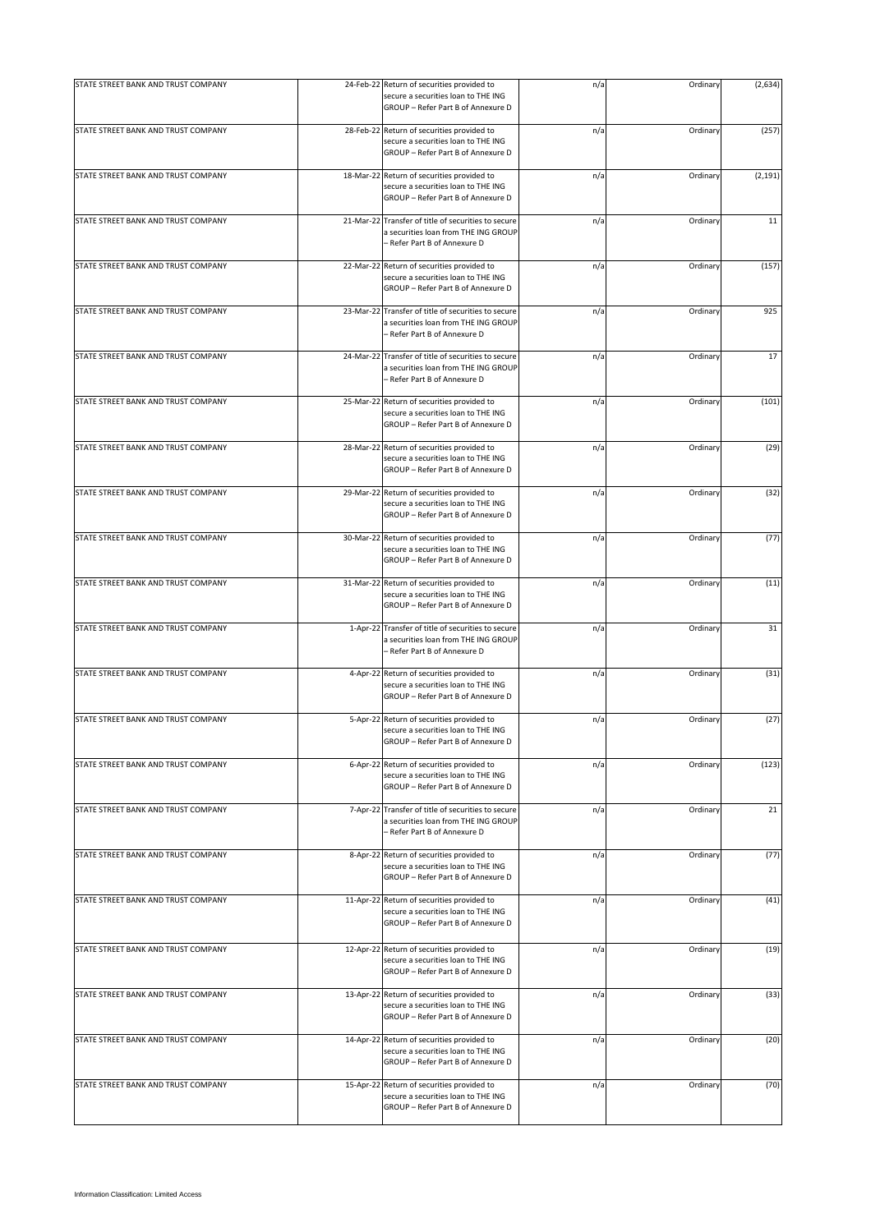| STATE STREET BANK AND TRUST COMPANY | 24-Feb-22 Return of securities provided to<br>secure a securities loan to THE ING<br>GROUP - Refer Part B of Annexure D     | n/a | Ordinary | (2,634)  |
|-------------------------------------|-----------------------------------------------------------------------------------------------------------------------------|-----|----------|----------|
| STATE STREET BANK AND TRUST COMPANY | 28-Feb-22 Return of securities provided to<br>secure a securities loan to THE ING<br>GROUP - Refer Part B of Annexure D     | n/a | Ordinary | (257)    |
| STATE STREET BANK AND TRUST COMPANY | 18-Mar-22 Return of securities provided to<br>secure a securities loan to THE ING<br>GROUP - Refer Part B of Annexure D     | n/a | Ordinary | (2, 191) |
| STATE STREET BANK AND TRUST COMPANY | 21-Mar-22 Transfer of title of securities to secure<br>a securities loan from THE ING GROUP<br>- Refer Part B of Annexure D | n/a | Ordinary | 11       |
| STATE STREET BANK AND TRUST COMPANY | 22-Mar-22 Return of securities provided to<br>secure a securities loan to THE ING<br>GROUP - Refer Part B of Annexure D     | n/a | Ordinary | (157)    |
| STATE STREET BANK AND TRUST COMPANY | 23-Mar-22 Transfer of title of securities to secure<br>a securities loan from THE ING GROUP<br>- Refer Part B of Annexure D | n/a | Ordinary | 925      |
| STATE STREET BANK AND TRUST COMPANY | 24-Mar-22 Transfer of title of securities to secure<br>a securities loan from THE ING GROUP<br>- Refer Part B of Annexure D | n/a | Ordinary | 17       |
| STATE STREET BANK AND TRUST COMPANY | 25-Mar-22 Return of securities provided to<br>secure a securities loan to THE ING<br>GROUP - Refer Part B of Annexure D     | n/a | Ordinary | (101)    |
| STATE STREET BANK AND TRUST COMPANY | 28-Mar-22 Return of securities provided to<br>secure a securities loan to THE ING<br>GROUP - Refer Part B of Annexure D     | n/a | Ordinary | (29)     |
| STATE STREET BANK AND TRUST COMPANY | 29-Mar-22 Return of securities provided to<br>secure a securities loan to THE ING<br>GROUP - Refer Part B of Annexure D     | n/a | Ordinary | (32)     |
| STATE STREET BANK AND TRUST COMPANY | 30-Mar-22 Return of securities provided to<br>secure a securities loan to THE ING<br>GROUP - Refer Part B of Annexure D     | n/a | Ordinary | (77)     |
| STATE STREET BANK AND TRUST COMPANY | 31-Mar-22 Return of securities provided to<br>secure a securities loan to THE ING<br>GROUP - Refer Part B of Annexure D     | n/a | Ordinary | (11)     |
| STATE STREET BANK AND TRUST COMPANY | 1-Apr-22 Transfer of title of securities to secure<br>a securities loan from THE ING GROUP<br>- Refer Part B of Annexure D  | n/a | Ordinary | 31       |
| STATE STREET BANK AND TRUST COMPANY | 4-Apr-22 Return of securities provided to<br>secure a securities loan to THE ING<br>GROUP - Refer Part B of Annexure D      | n/a | Ordinary | (31)     |
| STATE STREET BANK AND TRUST COMPANY | 5-Apr-22 Return of securities provided to<br>secure a securities loan to THE ING<br>GROUP - Refer Part B of Annexure D      | n/a | Ordinary | (27)     |
| STATE STREET BANK AND TRUST COMPANY | 6-Apr-22 Return of securities provided to<br>secure a securities loan to THE ING<br>GROUP - Refer Part B of Annexure D      | n/a | Ordinary | (123)    |
| STATE STREET BANK AND TRUST COMPANY | 7-Apr-22 Transfer of title of securities to secure<br>a securities loan from THE ING GROUP<br>- Refer Part B of Annexure D  | n/a | Ordinary | 21       |
| STATE STREET BANK AND TRUST COMPANY | 8-Apr-22 Return of securities provided to<br>secure a securities loan to THE ING<br>GROUP - Refer Part B of Annexure D      | n/a | Ordinary | (77)     |
| STATE STREET BANK AND TRUST COMPANY | 11-Apr-22 Return of securities provided to<br>secure a securities loan to THE ING<br>GROUP - Refer Part B of Annexure D     | n/a | Ordinary | (41)     |
| STATE STREET BANK AND TRUST COMPANY | 12-Apr-22 Return of securities provided to<br>secure a securities loan to THE ING<br>GROUP - Refer Part B of Annexure D     | n/a | Ordinary | (19)     |
| STATE STREET BANK AND TRUST COMPANY | 13-Apr-22 Return of securities provided to<br>secure a securities loan to THE ING<br>GROUP - Refer Part B of Annexure D     | n/a | Ordinary | (33)     |
| STATE STREET BANK AND TRUST COMPANY | 14-Apr-22 Return of securities provided to<br>secure a securities loan to THE ING<br>GROUP - Refer Part B of Annexure D     | n/a | Ordinary | (20)     |
| STATE STREET BANK AND TRUST COMPANY | 15-Apr-22 Return of securities provided to<br>secure a securities loan to THE ING<br>GROUP - Refer Part B of Annexure D     | n/a | Ordinary | (70)     |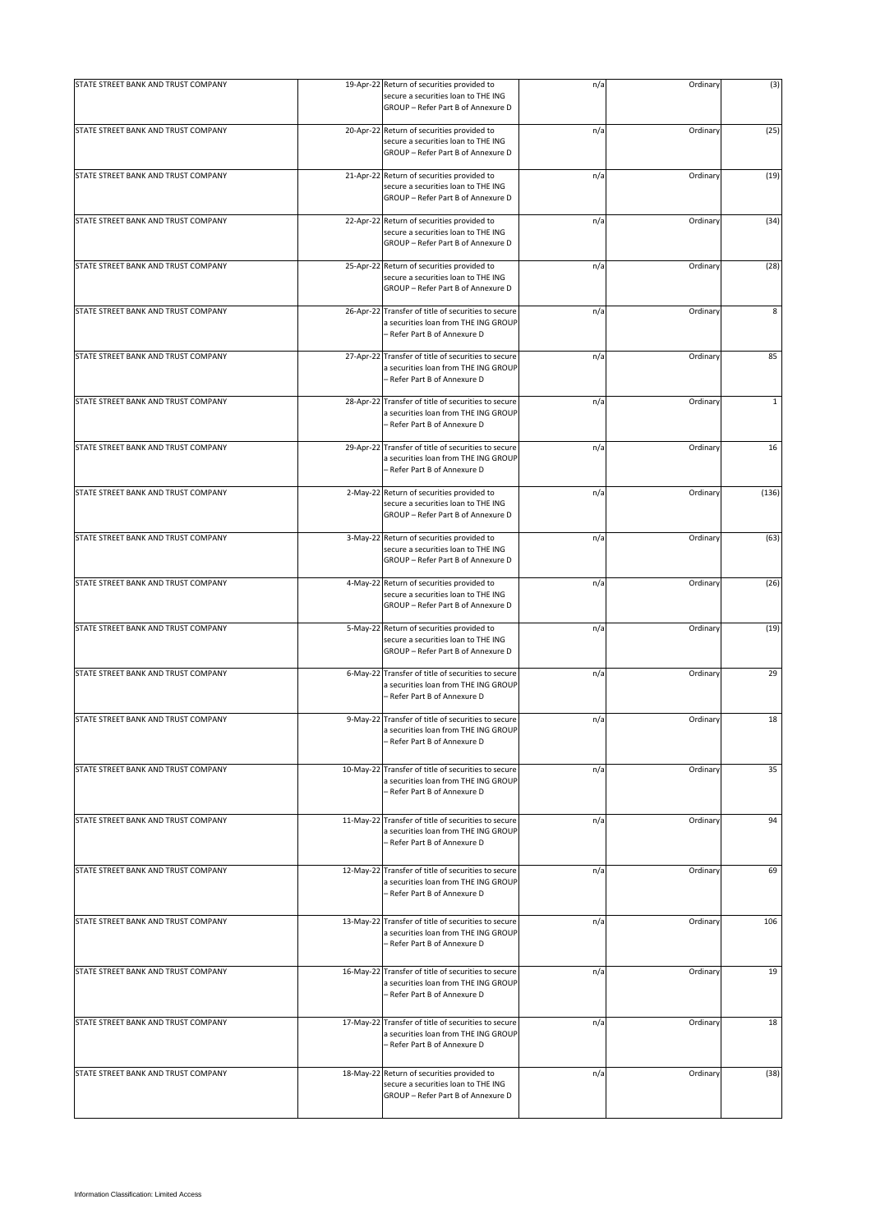| STATE STREET BANK AND TRUST COMPANY |            | 19-Apr-22 Return of securities provided to<br>secure a securities loan to THE ING                                          | n/a | Ordinary | (3)          |
|-------------------------------------|------------|----------------------------------------------------------------------------------------------------------------------------|-----|----------|--------------|
|                                     |            | GROUP - Refer Part B of Annexure D                                                                                         |     |          |              |
| STATE STREET BANK AND TRUST COMPANY |            | 20-Apr-22 Return of securities provided to<br>secure a securities loan to THE ING<br>GROUP - Refer Part B of Annexure D    | n/a | Ordinary | (25)         |
| STATE STREET BANK AND TRUST COMPANY |            | 21-Apr-22 Return of securities provided to<br>secure a securities loan to THE ING<br>GROUP - Refer Part B of Annexure D    | n/a | Ordinary | (19)         |
| STATE STREET BANK AND TRUST COMPANY |            | 22-Apr-22 Return of securities provided to<br>secure a securities loan to THE ING<br>GROUP - Refer Part B of Annexure D    | n/a | Ordinary | (34)         |
| STATE STREET BANK AND TRUST COMPANY | 25-Apr-22  | Return of securities provided to<br>secure a securities loan to THE ING<br>GROUP - Refer Part B of Annexure D              | n/a | Ordinary | (28)         |
| STATE STREET BANK AND TRUST COMPANY | 26-Apr-22  | Transfer of title of securities to secure<br>a securities loan from THE ING GROUP<br>– Refer Part B of Annexure D          | n/a | Ordinary | 8            |
| STATE STREET BANK AND TRUST COMPANY | 27-Apr-22  | Transfer of title of securities to secure<br>a securities loan from THE ING GROUP<br>- Refer Part B of Annexure D          | n/a | Ordinary | 85           |
| STATE STREET BANK AND TRUST COMPANY | 28-Apr-22  | Transfer of title of securities to secure<br>a securities loan from THE ING GROUP<br>- Refer Part B of Annexure D          | n/a | Ordinary | $\mathbf{1}$ |
| STATE STREET BANK AND TRUST COMPANY | 29-Apr-22  | Transfer of title of securities to secure<br>a securities loan from THE ING GROUP<br>- Refer Part B of Annexure D          | n/a | Ordinary | 16           |
| STATE STREET BANK AND TRUST COMPANY | $2-May-22$ | Return of securities provided to<br>secure a securities loan to THE ING<br>GROUP - Refer Part B of Annexure D              | n/a | Ordinary | (136)        |
| STATE STREET BANK AND TRUST COMPANY |            | 3-May-22 Return of securities provided to<br>secure a securities loan to THE ING<br>GROUP - Refer Part B of Annexure D     | n/a | Ordinary | (63)         |
| STATE STREET BANK AND TRUST COMPANY |            | 4-May-22 Return of securities provided to<br>secure a securities loan to THE ING<br>GROUP - Refer Part B of Annexure D     | n/a | Ordinary | (26)         |
| STATE STREET BANK AND TRUST COMPANY | 5-May-22   | Return of securities provided to<br>secure a securities loan to THE ING<br>GROUP - Refer Part B of Annexure D              | n/a | Ordinary | (19)         |
| STATE STREET BANK AND TRUST COMPANY |            | 6-May-22 Transfer of title of securities to secure<br>a securities loan from THE ING GROUP<br>- Refer Part B of Annexure D | n/a | Ordinary | 29           |
| STATE STREET BANK AND TRUST COMPANY |            | 9-May-22 Transfer of title of securities to secure<br>a securities loan from THE ING GROUP<br>- Refer Part B of Annexure D | n/a | Ordinary | 18           |
| STATE STREET BANK AND TRUST COMPANY | 10-May-22  | Transfer of title of securities to secure<br>a securities loan from THE ING GROUP<br>- Refer Part B of Annexure D          | n/a | Ordinary | 35           |
| STATE STREET BANK AND TRUST COMPANY | 11-May-22  | Transfer of title of securities to secure<br>a securities loan from THE ING GROUP<br>- Refer Part B of Annexure D          | n/a | Ordinary | 94           |
| STATE STREET BANK AND TRUST COMPANY | 12-May-22  | Transfer of title of securities to secure<br>a securities loan from THE ING GROUP<br>- Refer Part B of Annexure D          | n/a | Ordinary | 69           |
| STATE STREET BANK AND TRUST COMPANY | 13-May-22  | Transfer of title of securities to secure<br>a securities loan from THE ING GROUP<br>- Refer Part B of Annexure D          | n/a | Ordinary | 106          |
| STATE STREET BANK AND TRUST COMPANY | 16-May-22  | Transfer of title of securities to secure<br>a securities loan from THE ING GROUP<br>– Refer Part B of Annexure D          | n/a | Ordinary | 19           |
| STATE STREET BANK AND TRUST COMPANY | 17-May-22  | Transfer of title of securities to secure<br>a securities loan from THE ING GROUP<br>– Refer Part B of Annexure D          | n/a | Ordinary | 18           |
| STATE STREET BANK AND TRUST COMPANY |            | 18-May-22 Return of securities provided to<br>secure a securities loan to THE ING<br>GROUP - Refer Part B of Annexure D    | n/a | Ordinary | (38)         |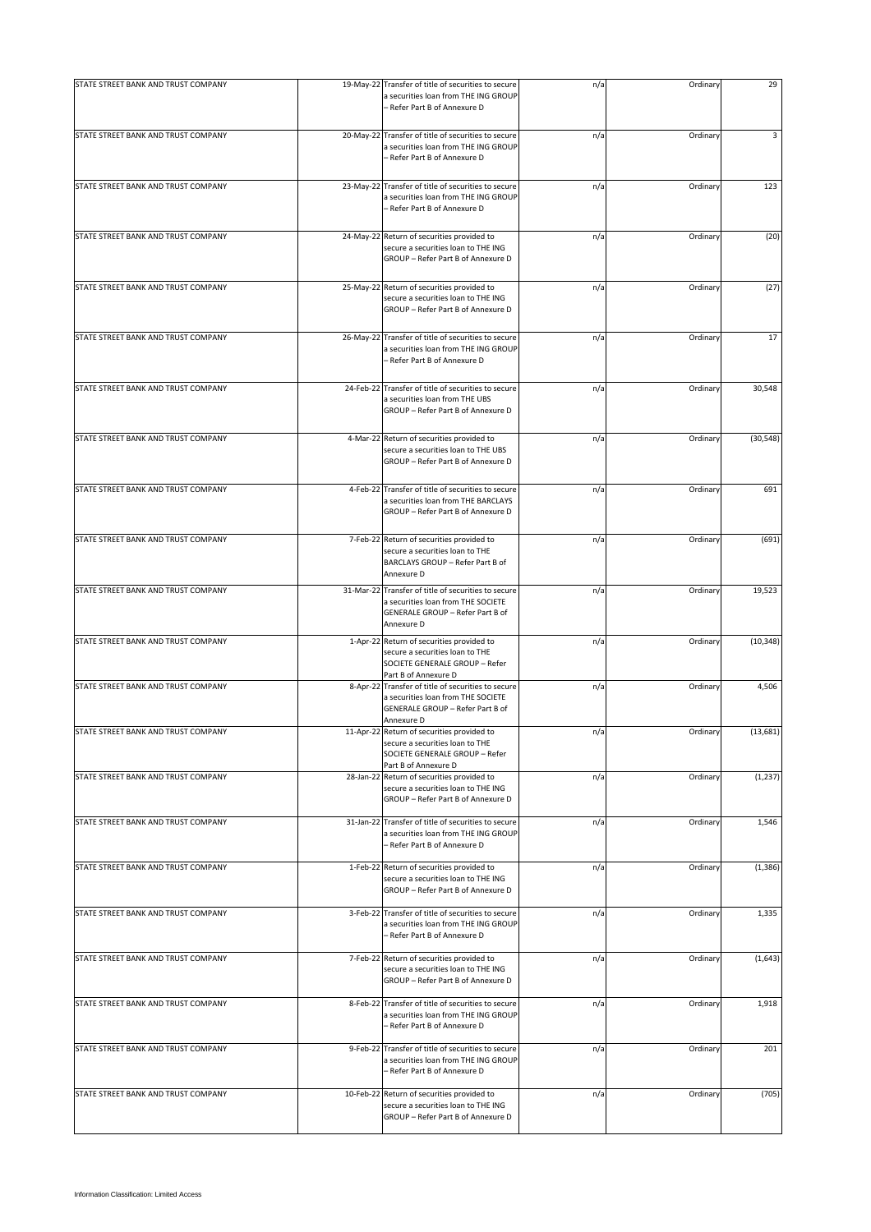| STATE STREET BANK AND TRUST COMPANY |           | 19-May-22 Transfer of title of securities to secure<br>a securities loan from THE ING GROUP<br>- Refer Part B of Annexure D                 | n/a | Ordinary | 29        |
|-------------------------------------|-----------|---------------------------------------------------------------------------------------------------------------------------------------------|-----|----------|-----------|
| STATE STREET BANK AND TRUST COMPANY |           | 20-May-22 Transfer of title of securities to secure<br>a securities loan from THE ING GROUP<br>- Refer Part B of Annexure D                 | n/a | Ordinary | 3         |
| STATE STREET BANK AND TRUST COMPANY |           | 23-May-22 Transfer of title of securities to secure<br>a securities loan from THE ING GROUP<br>- Refer Part B of Annexure D                 | n/a | Ordinary | 123       |
| STATE STREET BANK AND TRUST COMPANY |           | 24-May-22 Return of securities provided to<br>secure a securities loan to THE ING<br>GROUP - Refer Part B of Annexure D                     | n/a | Ordinary | (20)      |
| STATE STREET BANK AND TRUST COMPANY |           | 25-May-22 Return of securities provided to<br>secure a securities loan to THE ING<br>GROUP - Refer Part B of Annexure D                     | n/a | Ordinary | (27)      |
| STATE STREET BANK AND TRUST COMPANY |           | 26-May-22 Transfer of title of securities to secure<br>a securities loan from THE ING GROUP<br>- Refer Part B of Annexure D                 | n/a | Ordinary | 17        |
| STATE STREET BANK AND TRUST COMPANY | 24-Feb-22 | Transfer of title of securities to secure<br>a securities loan from THE UBS<br>GROUP - Refer Part B of Annexure D                           | n/a | Ordinary | 30,548    |
| STATE STREET BANK AND TRUST COMPANY |           | 4-Mar-22 Return of securities provided to<br>secure a securities loan to THE UBS<br>GROUP - Refer Part B of Annexure D                      | n/a | Ordinary | (30, 548) |
| STATE STREET BANK AND TRUST COMPANY | 4-Feb-22  | Transfer of title of securities to secure<br>a securities loan from THE BARCLAYS<br>GROUP - Refer Part B of Annexure D                      | n/a | Ordinary | 691       |
| STATE STREET BANK AND TRUST COMPANY | 7-Feb-22  | Return of securities provided to<br>secure a securities loan to THE<br>BARCLAYS GROUP - Refer Part B of<br>Annexure D                       | n/a | Ordinary | (691)     |
| STATE STREET BANK AND TRUST COMPANY |           | 31-Mar-22 Transfer of title of securities to secure<br>a securities loan from THE SOCIETE<br>GENERALE GROUP - Refer Part B of<br>Annexure D | n/a | Ordinary | 19,523    |
| STATE STREET BANK AND TRUST COMPANY |           | 1-Apr-22 Return of securities provided to<br>secure a securities loan to THE<br>SOCIETE GENERALE GROUP - Refer<br>Part B of Annexure D      | n/a | Ordinary | (10, 348) |
| STATE STREET BANK AND TRUST COMPANY |           | 8-Apr-22 Transfer of title of securities to secure<br>a securities loan from THE SOCIETE<br>GENERALE GROUP - Refer Part B of<br>Annexure D  | n/a | Ordinary | 4,506     |
| STATE STREET BANK AND TRUST COMPANY |           | 11-Apr-22 Return of securities provided to<br>secure a securities loan to THE<br>SOCIETE GENERALE GROUP - Refer<br>Part B of Annexure D     | n/a | Ordinary | (13, 681) |
| STATE STREET BANK AND TRUST COMPANY | 28-Jan-22 | Return of securities provided to<br>secure a securities loan to THE ING<br>GROUP - Refer Part B of Annexure D                               | n/a | Ordinary | (1, 237)  |
| STATE STREET BANK AND TRUST COMPANY |           | 31-Jan-22 Transfer of title of securities to secure<br>a securities loan from THE ING GROUP<br>- Refer Part B of Annexure D                 | n/a | Ordinary | 1,546     |
| STATE STREET BANK AND TRUST COMPANY |           | 1-Feb-22 Return of securities provided to<br>secure a securities loan to THE ING<br>GROUP - Refer Part B of Annexure D                      | n/a | Ordinary | (1, 386)  |
| STATE STREET BANK AND TRUST COMPANY |           | 3-Feb-22 Transfer of title of securities to secure<br>a securities loan from THE ING GROUP<br>- Refer Part B of Annexure D                  | n/a | Ordinary | 1,335     |
| STATE STREET BANK AND TRUST COMPANY |           | 7-Feb-22 Return of securities provided to<br>secure a securities loan to THE ING<br>GROUP - Refer Part B of Annexure D                      | n/a | Ordinary | (1,643)   |
| STATE STREET BANK AND TRUST COMPANY |           | 8-Feb-22 Transfer of title of securities to secure<br>a securities loan from THE ING GROUP<br>- Refer Part B of Annexure D                  | n/a | Ordinary | 1,918     |
| STATE STREET BANK AND TRUST COMPANY |           | 9-Feb-22 Transfer of title of securities to secure<br>a securities loan from THE ING GROUP<br>- Refer Part B of Annexure D                  | n/a | Ordinary | 201       |
| STATE STREET BANK AND TRUST COMPANY |           | 10-Feb-22 Return of securities provided to<br>secure a securities loan to THE ING<br>GROUP - Refer Part B of Annexure D                     | n/a | Ordinary | (705)     |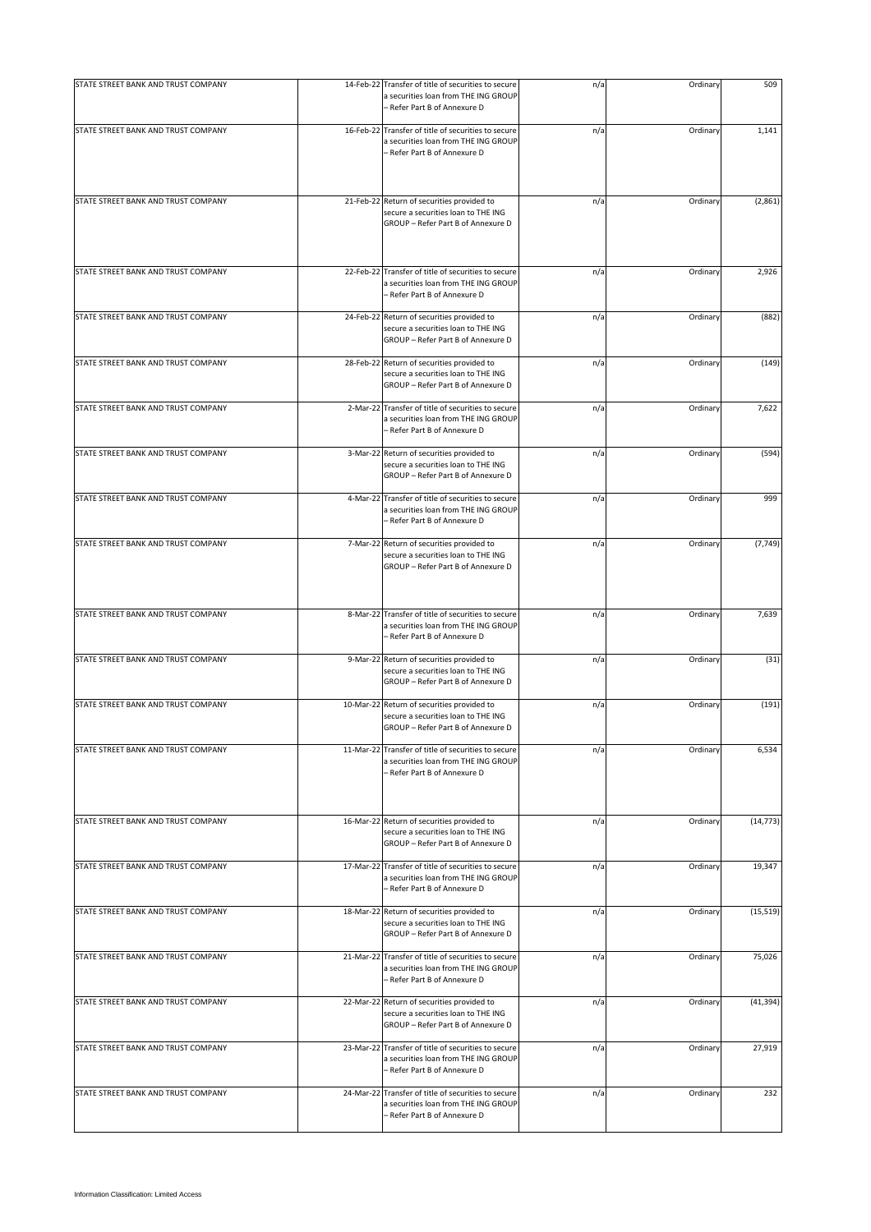| STATE STREET BANK AND TRUST COMPANY | 14-Feb-22 Transfer of title of securities to secure                                                                         | n/a | Ordinary | 509       |
|-------------------------------------|-----------------------------------------------------------------------------------------------------------------------------|-----|----------|-----------|
|                                     | a securities loan from THE ING GROUP<br>- Refer Part B of Annexure D                                                        |     |          |           |
| STATE STREET BANK AND TRUST COMPANY | 16-Feb-22 Transfer of title of securities to secure<br>a securities loan from THE ING GROUP<br>- Refer Part B of Annexure D | n/a | Ordinary | 1,141     |
| STATE STREET BANK AND TRUST COMPANY | 21-Feb-22 Return of securities provided to<br>secure a securities loan to THE ING<br>GROUP - Refer Part B of Annexure D     | n/a | Ordinary | (2,861)   |
| STATE STREET BANK AND TRUST COMPANY | 22-Feb-22 Transfer of title of securities to secure<br>a securities loan from THE ING GROUP<br>- Refer Part B of Annexure D | n/a | Ordinary | 2,926     |
| STATE STREET BANK AND TRUST COMPANY | 24-Feb-22 Return of securities provided to<br>secure a securities loan to THE ING<br>GROUP - Refer Part B of Annexure D     | n/a | Ordinary | (882)     |
| STATE STREET BANK AND TRUST COMPANY | 28-Feb-22 Return of securities provided to<br>secure a securities loan to THE ING<br>GROUP - Refer Part B of Annexure D     | n/a | Ordinary | (149)     |
| STATE STREET BANK AND TRUST COMPANY | 2-Mar-22 Transfer of title of securities to secure<br>a securities loan from THE ING GROUP<br>- Refer Part B of Annexure D  | n/a | Ordinary | 7,622     |
| STATE STREET BANK AND TRUST COMPANY | 3-Mar-22 Return of securities provided to<br>secure a securities loan to THE ING<br>GROUP - Refer Part B of Annexure D      | n/a | Ordinary | (594)     |
| STATE STREET BANK AND TRUST COMPANY | 4-Mar-22 Transfer of title of securities to secure<br>a securities loan from THE ING GROUP<br>- Refer Part B of Annexure D  | n/a | Ordinary | 999       |
| STATE STREET BANK AND TRUST COMPANY | 7-Mar-22 Return of securities provided to<br>secure a securities loan to THE ING<br>GROUP - Refer Part B of Annexure D      | n/a | Ordinary | (7, 749)  |
| STATE STREET BANK AND TRUST COMPANY | 8-Mar-22 Transfer of title of securities to secure<br>a securities loan from THE ING GROUP<br>- Refer Part B of Annexure D  | n/a | Ordinary | 7,639     |
| STATE STREET BANK AND TRUST COMPANY | 9-Mar-22 Return of securities provided to<br>secure a securities loan to THE ING<br>GROUP - Refer Part B of Annexure D      | n/a | Ordinary | (31)      |
| STATE STREET BANK AND TRUST COMPANY | 10-Mar-22 Return of securities provided to<br>secure a securities loan to THE ING<br>GROUP - Refer Part B of Annexure D     | n/a | Ordinary | (191)     |
| STATE STREET BANK AND TRUST COMPANY | 11-Mar-22 Transfer of title of securities to secure<br>a securities loan from THE ING GROUP<br>- Refer Part B of Annexure D | n/a | Ordinary | 6,534     |
| STATE STREET BANK AND TRUST COMPANY | 16-Mar-22 Return of securities provided to<br>secure a securities loan to THE ING<br>GROUP - Refer Part B of Annexure D     | n/a | Ordinary | (14, 773) |
| STATE STREET BANK AND TRUST COMPANY | 17-Mar-22 Transfer of title of securities to secure<br>a securities loan from THE ING GROUP<br>- Refer Part B of Annexure D | n/a | Ordinary | 19,347    |
| STATE STREET BANK AND TRUST COMPANY | 18-Mar-22 Return of securities provided to<br>secure a securities loan to THE ING<br>GROUP - Refer Part B of Annexure D     | n/a | Ordinary | (15, 519) |
| STATE STREET BANK AND TRUST COMPANY | 21-Mar-22 Transfer of title of securities to secure<br>a securities loan from THE ING GROUP<br>- Refer Part B of Annexure D | n/a | Ordinary | 75,026    |
| STATE STREET BANK AND TRUST COMPANY | 22-Mar-22 Return of securities provided to<br>secure a securities loan to THE ING<br>GROUP - Refer Part B of Annexure D     | n/a | Ordinary | (41, 394) |
| STATE STREET BANK AND TRUST COMPANY | 23-Mar-22 Transfer of title of securities to secure<br>a securities loan from THE ING GROUP<br>- Refer Part B of Annexure D | n/a | Ordinary | 27,919    |
| STATE STREET BANK AND TRUST COMPANY | 24-Mar-22 Transfer of title of securities to secure<br>a securities loan from THE ING GROUP<br>- Refer Part B of Annexure D | n/a | Ordinary | 232       |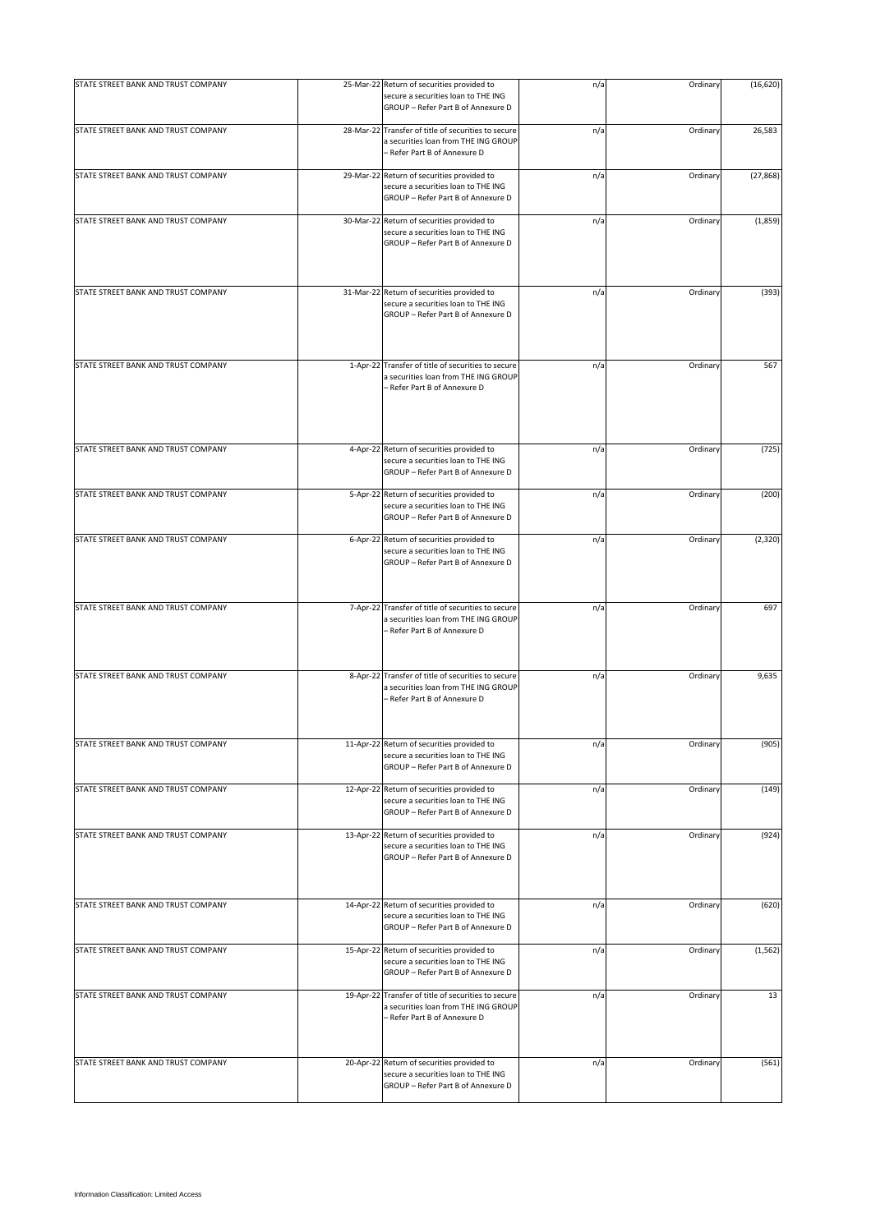| STATE STREET BANK AND TRUST COMPANY |           | 25-Mar-22 Return of securities provided to                                                                                  | n/a | Ordinary | (16, 620) |
|-------------------------------------|-----------|-----------------------------------------------------------------------------------------------------------------------------|-----|----------|-----------|
|                                     |           | secure a securities loan to THE ING<br>GROUP - Refer Part B of Annexure D                                                   |     |          |           |
| STATE STREET BANK AND TRUST COMPANY |           | 28-Mar-22 Transfer of title of securities to secure<br>a securities loan from THE ING GROUP<br>- Refer Part B of Annexure D | n/a | Ordinary | 26,583    |
| STATE STREET BANK AND TRUST COMPANY |           | 29-Mar-22 Return of securities provided to<br>secure a securities loan to THE ING<br>GROUP - Refer Part B of Annexure D     | n/a | Ordinary | (27, 868) |
| STATE STREET BANK AND TRUST COMPANY | 30-Mar-22 | Return of securities provided to<br>secure a securities loan to THE ING<br>GROUP - Refer Part B of Annexure D               | n/a | Ordinary | (1,859)   |
| STATE STREET BANK AND TRUST COMPANY |           | 31-Mar-22 Return of securities provided to<br>secure a securities loan to THE ING<br>GROUP - Refer Part B of Annexure D     | n/a | Ordinary | (393)     |
| STATE STREET BANK AND TRUST COMPANY | 1-Apr-22  | Transfer of title of securities to secure<br>a securities loan from THE ING GROUP<br>- Refer Part B of Annexure D           | n/a | Ordinary | 567       |
| STATE STREET BANK AND TRUST COMPANY | 4-Apr-22  | Return of securities provided to<br>secure a securities loan to THE ING<br>GROUP - Refer Part B of Annexure D               | n/a | Ordinary | (725)     |
| STATE STREET BANK AND TRUST COMPANY |           | 5-Apr-22 Return of securities provided to<br>secure a securities loan to THE ING<br>GROUP - Refer Part B of Annexure D      | n/a | Ordinary | (200)     |
| STATE STREET BANK AND TRUST COMPANY |           | 6-Apr-22 Return of securities provided to<br>secure a securities loan to THE ING<br>GROUP - Refer Part B of Annexure D      | n/a | Ordinary | (2,320)   |
| STATE STREET BANK AND TRUST COMPANY |           | 7-Apr-22 Transfer of title of securities to secure<br>a securities loan from THE ING GROUP<br>- Refer Part B of Annexure D  | n/a | Ordinary | 697       |
| STATE STREET BANK AND TRUST COMPANY |           | 8-Apr-22 Transfer of title of securities to secure<br>a securities loan from THE ING GROUP<br>- Refer Part B of Annexure D  | n/a | Ordinary | 9,635     |
| STATE STREET BANK AND TRUST COMPANY |           | 11-Apr-22 Return of securities provided to<br>secure a securities loan to THE ING<br>GROUP - Refer Part B of Annexure D     | n/a | Ordinary | (905)     |
| STATE STREET BANK AND TRUST COMPANY |           | 12-Apr-22 Return of securities provided to<br>secure a securities loan to THE ING<br>GROUP - Refer Part B of Annexure D     | n/a | Ordinary | (149)     |
| STATE STREET BANK AND TRUST COMPANY |           | 13-Apr-22 Return of securities provided to<br>secure a securities loan to THE ING<br>GROUP - Refer Part B of Annexure D     | n/a | Ordinary | (924)     |
| STATE STREET BANK AND TRUST COMPANY |           | 14-Apr-22 Return of securities provided to<br>secure a securities loan to THE ING<br>GROUP - Refer Part B of Annexure D     | n/a | Ordinary | (620)     |
| STATE STREET BANK AND TRUST COMPANY |           | 15-Apr-22 Return of securities provided to<br>secure a securities loan to THE ING<br>GROUP - Refer Part B of Annexure D     | n/a | Ordinary | (1, 562)  |
| STATE STREET BANK AND TRUST COMPANY |           | 19-Apr-22 Transfer of title of securities to secure<br>a securities loan from THE ING GROUP<br>- Refer Part B of Annexure D | n/a | Ordinary | 13        |
| STATE STREET BANK AND TRUST COMPANY | 20-Apr-22 | Return of securities provided to<br>secure a securities loan to THE ING<br>GROUP - Refer Part B of Annexure D               | n/a | Ordinary | (561)     |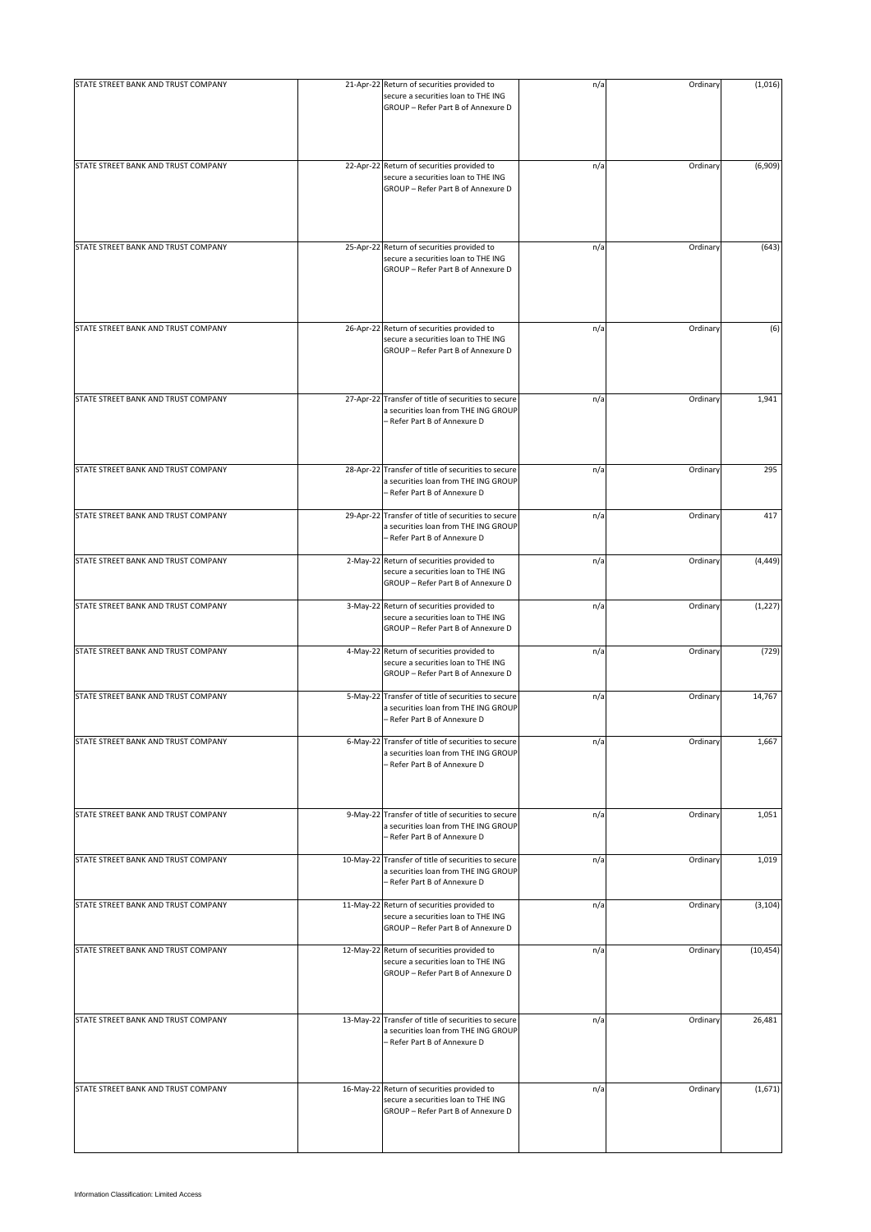| STATE STREET BANK AND TRUST COMPANY |           | 21-Apr-22 Return of securities provided to                                                                                  | n/a | Ordinary | (1,016)   |
|-------------------------------------|-----------|-----------------------------------------------------------------------------------------------------------------------------|-----|----------|-----------|
|                                     |           | secure a securities loan to THE ING<br>GROUP - Refer Part B of Annexure D                                                   |     |          |           |
| STATE STREET BANK AND TRUST COMPANY |           | 22-Apr-22 Return of securities provided to<br>secure a securities loan to THE ING<br>GROUP - Refer Part B of Annexure D     | n/a | Ordinary | (6,909)   |
| STATE STREET BANK AND TRUST COMPANY |           | 25-Apr-22 Return of securities provided to<br>secure a securities loan to THE ING<br>GROUP - Refer Part B of Annexure D     | n/a | Ordinary | (643)     |
| STATE STREET BANK AND TRUST COMPANY |           | 26-Apr-22 Return of securities provided to<br>secure a securities loan to THE ING<br>GROUP - Refer Part B of Annexure D     | n/a | Ordinary | (6)       |
| STATE STREET BANK AND TRUST COMPANY |           | 27-Apr-22 Transfer of title of securities to secure<br>a securities loan from THE ING GROUP<br>- Refer Part B of Annexure D | n/a | Ordinary | 1,941     |
| STATE STREET BANK AND TRUST COMPANY | 28-Apr-22 | Transfer of title of securities to secure<br>a securities loan from THE ING GROUP<br>- Refer Part B of Annexure D           | n/a | Ordinary | 295       |
| STATE STREET BANK AND TRUST COMPANY | 29-Apr-22 | Transfer of title of securities to secure<br>a securities loan from THE ING GROUP<br>- Refer Part B of Annexure D           | n/a | Ordinary | 417       |
| STATE STREET BANK AND TRUST COMPANY |           | 2-May-22 Return of securities provided to<br>secure a securities loan to THE ING<br>GROUP - Refer Part B of Annexure D      | n/a | Ordinary | (4, 449)  |
| STATE STREET BANK AND TRUST COMPANY |           | 3-May-22 Return of securities provided to<br>secure a securities loan to THE ING<br>GROUP - Refer Part B of Annexure D      | n/a | Ordinary | (1, 227)  |
| STATE STREET BANK AND TRUST COMPANY |           | 4-May-22 Return of securities provided to<br>secure a securities loan to THE ING<br>GROUP - Refer Part B of Annexure D      | n/a | Ordinary | (729)     |
| STATE STREET BANK AND TRUST COMPANY | 5-May-22  | Transfer of title of securities to secure<br>a securities loan from THE ING GROUP<br>- Refer Part B of Annexure D           | n/a | Ordinary | 14,767    |
| STATE STREET BANK AND TRUST COMPANY | 6-May-22  | Transfer of title of securities to secure<br>a securities loan from THE ING GROUP<br>- Refer Part B of Annexure D           | n/a | Ordinary | 1,667     |
| STATE STREET BANK AND TRUST COMPANY | 9-May-22  | Transfer of title of securities to secure<br>a securities loan from THE ING GROUP<br>– Refer Part B of Annexure D           | n/a | Ordinary | 1,051     |
| STATE STREET BANK AND TRUST COMPANY | 10-May-22 | Transfer of title of securities to secure<br>a securities loan from THE ING GROUP<br>- Refer Part B of Annexure D           | n/a | Ordinary | 1,019     |
| STATE STREET BANK AND TRUST COMPANY |           | 11-May-22 Return of securities provided to<br>secure a securities loan to THE ING<br>GROUP - Refer Part B of Annexure D     | n/a | Ordinary | (3, 104)  |
| STATE STREET BANK AND TRUST COMPANY |           | 12-May-22 Return of securities provided to<br>secure a securities loan to THE ING<br>GROUP - Refer Part B of Annexure D     | n/a | Ordinary | (10, 454) |
| STATE STREET BANK AND TRUST COMPANY | 13-May-22 | Transfer of title of securities to secure<br>a securities loan from THE ING GROUP<br>- Refer Part B of Annexure D           | n/a | Ordinary | 26,481    |
| STATE STREET BANK AND TRUST COMPANY |           | 16-May-22 Return of securities provided to<br>secure a securities loan to THE ING<br>GROUP - Refer Part B of Annexure D     | n/a | Ordinary | (1,671)   |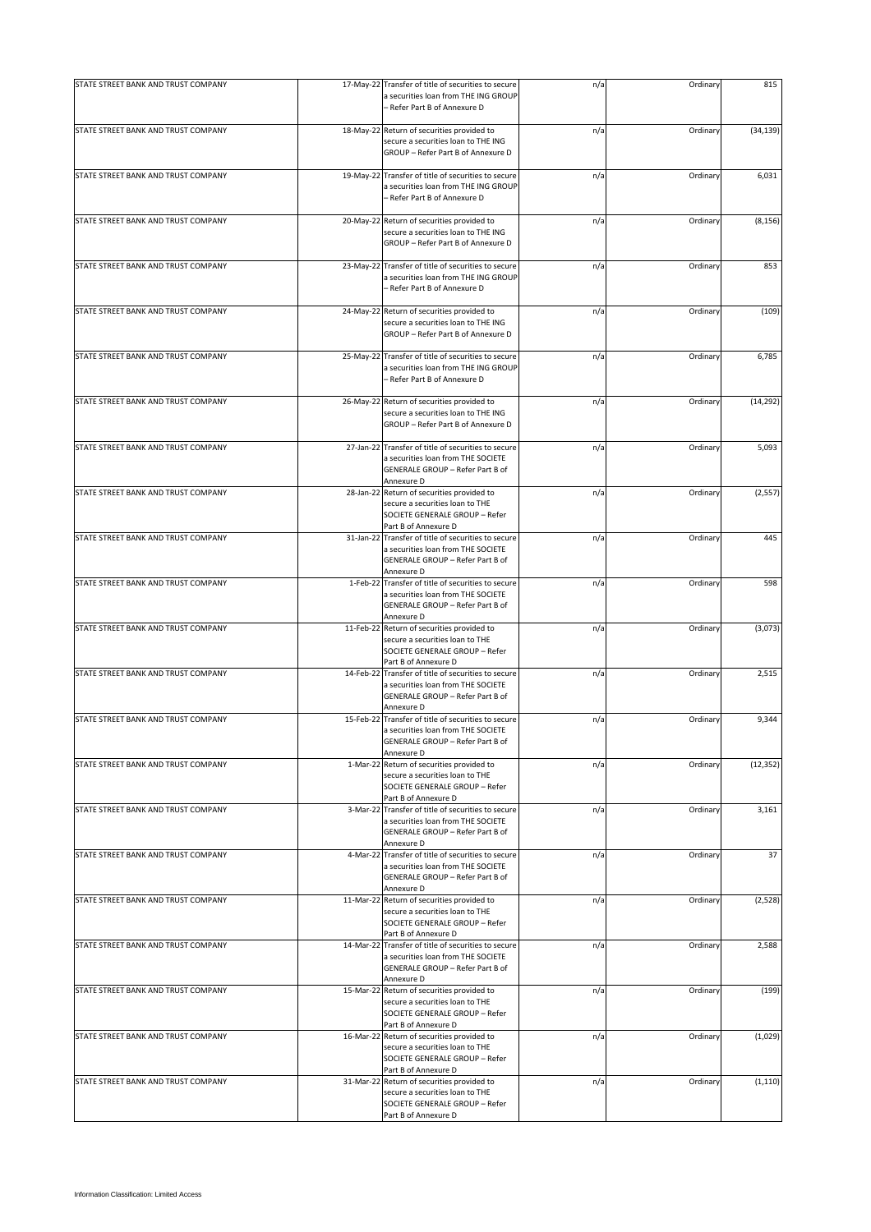| STATE STREET BANK AND TRUST COMPANY |           | 17-May-22 Transfer of title of securities to secure<br>a securities loan from THE ING GROUP                                                 | n/a | Ordinary | 815       |
|-------------------------------------|-----------|---------------------------------------------------------------------------------------------------------------------------------------------|-----|----------|-----------|
|                                     |           | - Refer Part B of Annexure D                                                                                                                |     |          |           |
| STATE STREET BANK AND TRUST COMPANY |           | 18-May-22 Return of securities provided to<br>secure a securities loan to THE ING<br>GROUP - Refer Part B of Annexure D                     | n/a | Ordinary | (34, 139) |
| STATE STREET BANK AND TRUST COMPANY |           | 19-May-22 Transfer of title of securities to secure<br>a securities loan from THE ING GROUP<br>– Refer Part B of Annexure D                 | n/a | Ordinary | 6,031     |
| STATE STREET BANK AND TRUST COMPANY |           | 20-May-22 Return of securities provided to<br>secure a securities loan to THE ING<br>GROUP - Refer Part B of Annexure D                     | n/a | Ordinary | (8, 156)  |
| STATE STREET BANK AND TRUST COMPANY | 23-May-22 | Transfer of title of securities to secure<br>a securities loan from THE ING GROUP<br>- Refer Part B of Annexure D                           | n/a | Ordinary | 853       |
| STATE STREET BANK AND TRUST COMPANY |           | 24-May-22 Return of securities provided to<br>secure a securities loan to THE ING<br>GROUP - Refer Part B of Annexure D                     | n/a | Ordinary | (109)     |
| STATE STREET BANK AND TRUST COMPANY |           | 25-May-22 Transfer of title of securities to secure<br>a securities loan from THE ING GROUP<br>- Refer Part B of Annexure D                 | n/a | Ordinary | 6,785     |
| STATE STREET BANK AND TRUST COMPANY |           | 26-May-22 Return of securities provided to<br>secure a securities loan to THE ING<br>GROUP - Refer Part B of Annexure D                     | n/a | Ordinary | (14, 292) |
| STATE STREET BANK AND TRUST COMPANY |           | 27-Jan-22 Transfer of title of securities to secure<br>a securities loan from THE SOCIETE<br>GENERALE GROUP - Refer Part B of<br>Annexure D | n/a | Ordinary | 5,093     |
| STATE STREET BANK AND TRUST COMPANY |           | 28-Jan-22 Return of securities provided to<br>secure a securities loan to THE<br>SOCIETE GENERALE GROUP - Refer<br>Part B of Annexure D     | n/a | Ordinary | (2, 557)  |
| STATE STREET BANK AND TRUST COMPANY |           | 31-Jan-22 Transfer of title of securities to secure<br>a securities loan from THE SOCIETE<br>GENERALE GROUP - Refer Part B of<br>Annexure D | n/a | Ordinary | 445       |
| STATE STREET BANK AND TRUST COMPANY |           | 1-Feb-22 Transfer of title of securities to secure<br>a securities loan from THE SOCIETE<br>GENERALE GROUP - Refer Part B of<br>Annexure D  | n/a | Ordinary | 598       |
| STATE STREET BANK AND TRUST COMPANY | 11-Feb-22 | Return of securities provided to<br>secure a securities loan to THE<br>SOCIETE GENERALE GROUP - Refer<br>Part B of Annexure D               | n/a | Ordinary | (3,073)   |
| STATE STREET BANK AND TRUST COMPANY | 14-Feb-22 | Transfer of title of securities to secure<br>a securities loan from THE SOCIETE<br>GENERALE GROUP - Refer Part B of<br>Annexure D           | n/a | Ordinary | 2,515     |
| STATE STREET BANK AND TRUST COMPANY |           | 15-Feb-22 Transfer of title of securities to secure<br>a securities loan from THE SOCIETE<br>GENERALE GROUP - Refer Part B of<br>Annexure D | n/a | Ordinary | 9,344     |
| STATE STREET BANK AND TRUST COMPANY | 1-Mar-22  | Return of securities provided to<br>secure a securities loan to THE<br>SOCIETE GENERALE GROUP - Refer<br>Part B of Annexure D               | n/a | Ordinary | (12, 352) |
| STATE STREET BANK AND TRUST COMPANY |           | 3-Mar-22 Transfer of title of securities to secure<br>a securities loan from THE SOCIETE<br>GENERALE GROUP - Refer Part B of<br>Annexure D  | n/a | Ordinary | 3,161     |
| STATE STREET BANK AND TRUST COMPANY |           | 4-Mar-22 Transfer of title of securities to secure<br>a securities loan from THE SOCIETE<br>GENERALE GROUP - Refer Part B of<br>Annexure D  | n/a | Ordinary | 37        |
| STATE STREET BANK AND TRUST COMPANY |           | 11-Mar-22 Return of securities provided to<br>secure a securities loan to THE<br>SOCIETE GENERALE GROUP - Refer<br>Part B of Annexure D     | n/a | Ordinary | (2,528)   |
| STATE STREET BANK AND TRUST COMPANY |           | 14-Mar-22 Transfer of title of securities to secure<br>a securities loan from THE SOCIETE<br>GENERALE GROUP - Refer Part B of<br>Annexure D | n/a | Ordinary | 2,588     |
| STATE STREET BANK AND TRUST COMPANY |           | 15-Mar-22 Return of securities provided to<br>secure a securities loan to THE<br>SOCIETE GENERALE GROUP - Refer<br>Part B of Annexure D     | n/a | Ordinary | (199)     |
| STATE STREET BANK AND TRUST COMPANY |           | 16-Mar-22 Return of securities provided to<br>secure a securities loan to THE<br>SOCIETE GENERALE GROUP - Refer<br>Part B of Annexure D     | n/a | Ordinary | (1,029)   |
| STATE STREET BANK AND TRUST COMPANY |           | 31-Mar-22 Return of securities provided to<br>secure a securities loan to THE<br>SOCIETE GENERALE GROUP - Refer<br>Part B of Annexure D     | n/a | Ordinary | (1, 110)  |
|                                     |           |                                                                                                                                             |     |          |           |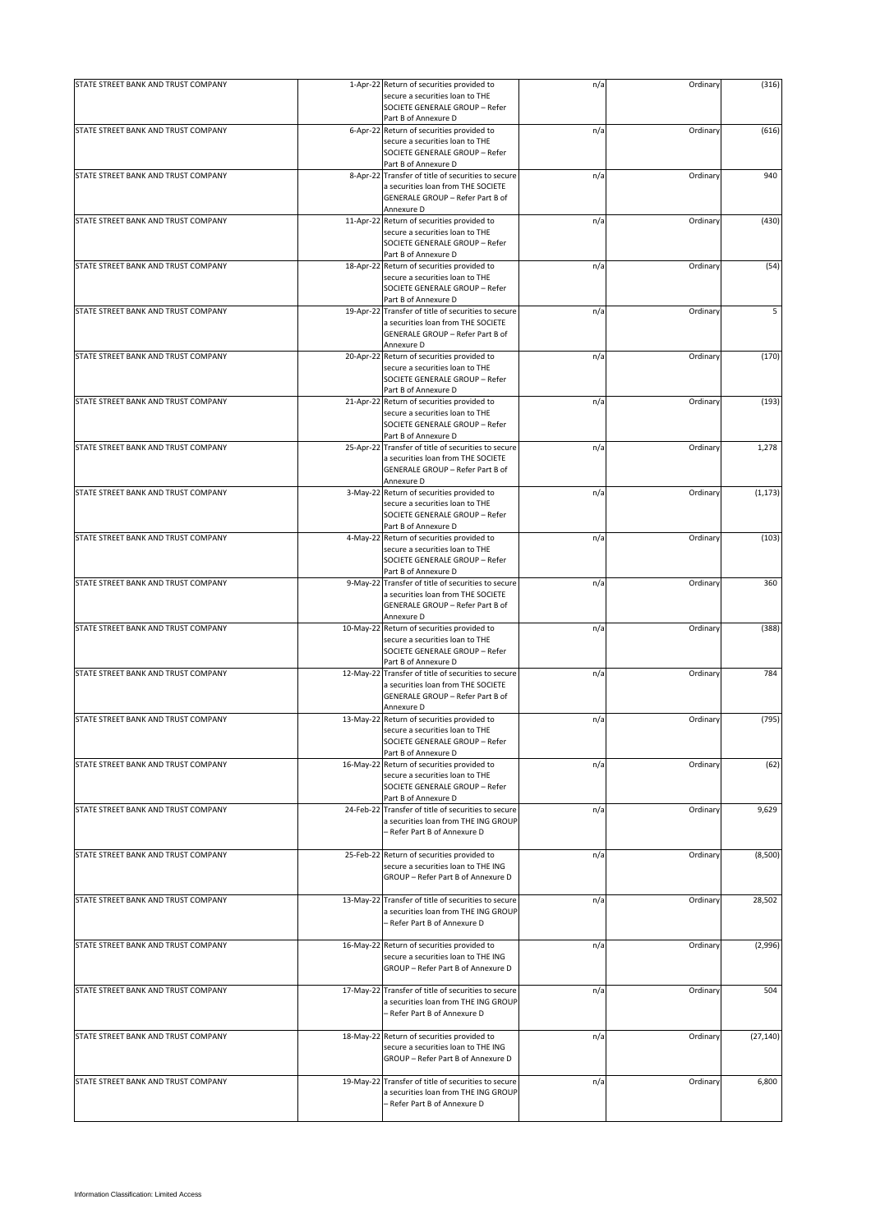| STATE STREET BANK AND TRUST COMPANY |           | 1-Apr-22 Return of securities provided to           | n/a | Ordinary | (316)     |
|-------------------------------------|-----------|-----------------------------------------------------|-----|----------|-----------|
|                                     |           | secure a securities loan to THE                     |     |          |           |
|                                     |           |                                                     |     |          |           |
|                                     |           | SOCIETE GENERALE GROUP - Refer                      |     |          |           |
|                                     |           | Part B of Annexure D                                |     |          |           |
| STATE STREET BANK AND TRUST COMPANY |           | 6-Apr-22 Return of securities provided to           | n/a | Ordinary | (616)     |
|                                     |           | secure a securities loan to THE                     |     |          |           |
|                                     |           | SOCIETE GENERALE GROUP - Refer                      |     |          |           |
|                                     |           | Part B of Annexure D                                |     |          |           |
| STATE STREET BANK AND TRUST COMPANY |           | 8-Apr-22 Transfer of title of securities to secure  | n/a | Ordinary | 940       |
|                                     |           | a securities loan from THE SOCIETE                  |     |          |           |
|                                     |           | GENERALE GROUP - Refer Part B of                    |     |          |           |
|                                     |           |                                                     |     |          |           |
|                                     |           | Annexure D                                          |     |          |           |
| STATE STREET BANK AND TRUST COMPANY |           | 11-Apr-22 Return of securities provided to          | n/a | Ordinary | (430)     |
|                                     |           | secure a securities loan to THE                     |     |          |           |
|                                     |           | SOCIETE GENERALE GROUP - Refer                      |     |          |           |
|                                     |           | Part B of Annexure D                                |     |          |           |
| STATE STREET BANK AND TRUST COMPANY |           | 18-Apr-22 Return of securities provided to          | n/a | Ordinary | (54)      |
|                                     |           | secure a securities loan to THE                     |     |          |           |
|                                     |           |                                                     |     |          |           |
|                                     |           | SOCIETE GENERALE GROUP - Refer                      |     |          |           |
|                                     |           | Part B of Annexure D                                |     |          |           |
| STATE STREET BANK AND TRUST COMPANY | 19-Apr-22 | Transfer of title of securities to secure           | n/a | Ordinary | 5         |
|                                     |           | a securities loan from THE SOCIETE                  |     |          |           |
|                                     |           | GENERALE GROUP - Refer Part B of                    |     |          |           |
|                                     |           | Annexure D                                          |     |          |           |
| STATE STREET BANK AND TRUST COMPANY |           |                                                     |     |          |           |
|                                     | 20-Apr-22 | Return of securities provided to                    | n/a | Ordinary | (170)     |
|                                     |           | secure a securities loan to THE                     |     |          |           |
|                                     |           | SOCIETE GENERALE GROUP - Refer                      |     |          |           |
|                                     |           | Part B of Annexure D                                |     |          |           |
| STATE STREET BANK AND TRUST COMPANY | 21-Apr-22 | Return of securities provided to                    | n/a | Ordinary | (193)     |
|                                     |           | secure a securities loan to THE                     |     |          |           |
|                                     |           | SOCIETE GENERALE GROUP - Refer                      |     |          |           |
|                                     |           | Part B of Annexure D                                |     |          |           |
|                                     |           |                                                     |     |          |           |
| STATE STREET BANK AND TRUST COMPANY | 25-Apr-22 | Transfer of title of securities to secure           | n/a | Ordinary | 1,278     |
|                                     |           | a securities loan from THE SOCIETE                  |     |          |           |
|                                     |           | GENERALE GROUP - Refer Part B of                    |     |          |           |
|                                     |           | Annexure D                                          |     |          |           |
| STATE STREET BANK AND TRUST COMPANY |           | 3-May-22 Return of securities provided to           | n/a | Ordinary | (1, 173)  |
|                                     |           |                                                     |     |          |           |
|                                     |           | secure a securities loan to THE                     |     |          |           |
|                                     |           | SOCIETE GENERALE GROUP - Refer                      |     |          |           |
|                                     |           | Part B of Annexure D                                |     |          |           |
| STATE STREET BANK AND TRUST COMPANY |           | 4-May-22 Return of securities provided to           | n/a | Ordinary | (103)     |
|                                     |           | secure a securities loan to THE                     |     |          |           |
|                                     |           | SOCIETE GENERALE GROUP - Refer                      |     |          |           |
|                                     |           |                                                     |     |          |           |
|                                     |           | Part B of Annexure D                                |     |          |           |
| STATE STREET BANK AND TRUST COMPANY |           | 9-May-22 Transfer of title of securities to secure  | n/a | Ordinary | 360       |
|                                     |           | a securities loan from THE SOCIETE                  |     |          |           |
|                                     |           | GENERALE GROUP - Refer Part B of                    |     |          |           |
|                                     |           | Annexure D                                          |     |          |           |
| STATE STREET BANK AND TRUST COMPANY | 10-May-22 |                                                     |     |          |           |
|                                     |           | Return of securities provided to                    | n/a | Ordinary | (388)     |
|                                     |           | secure a securities loan to THE                     |     |          |           |
|                                     |           | SOCIETE GENERALE GROUP - Refer                      |     |          |           |
|                                     |           | Part B of Annexure D                                |     |          |           |
| STATE STREET BANK AND TRUST COMPANY | 12-May-22 | Transfer of title of securities to secure           | n/a | Ordinary | 784       |
|                                     |           | a securities loan from THE SOCIETE                  |     |          |           |
|                                     |           | GENERALE GROUP - Refer Part B of                    |     |          |           |
|                                     |           |                                                     |     |          |           |
|                                     |           | Annexure D                                          |     |          |           |
| STATE STREET BANK AND TRUST COMPANY | 13-May-22 | Return of securities provided to                    | n/a | Ordinary | (795)     |
|                                     |           | secure a securities loan to THE                     |     |          |           |
|                                     |           | SOCIETE GENERALE GROUP - Refer                      |     |          |           |
|                                     |           | Part B of Annexure D                                |     |          |           |
| STATE STREET BANK AND TRUST COMPANY | 16-May-22 | Return of securities provided to                    | n/a | Ordinary | (62)      |
|                                     |           |                                                     |     |          |           |
|                                     |           | secure a securities loan to THE                     |     |          |           |
|                                     |           | SOCIETE GENERALE GROUP - Refer                      |     |          |           |
|                                     |           | Part B of Annexure D                                |     |          |           |
| STATE STREET BANK AND TRUST COMPANY | 24-Feb-22 | Transfer of title of securities to secure           | n/a | Ordinary | 9,629     |
|                                     |           | a securities loan from THE ING GROUP                |     |          |           |
|                                     |           | – Refer Part B of Annexure D                        |     |          |           |
|                                     |           |                                                     |     |          |           |
| STATE STREET BANK AND TRUST COMPANY |           | 25-Feb-22 Return of securities provided to          |     | Ordinary | (8,500)   |
|                                     |           |                                                     | n/a |          |           |
|                                     |           | secure a securities loan to THE ING                 |     |          |           |
|                                     |           | GROUP - Refer Part B of Annexure D                  |     |          |           |
|                                     |           |                                                     |     |          |           |
| STATE STREET BANK AND TRUST COMPANY |           | 13-May-22 Transfer of title of securities to secure | n/a | Ordinary | 28,502    |
|                                     |           | a securities loan from THE ING GROUP                |     |          |           |
|                                     |           | - Refer Part B of Annexure D                        |     |          |           |
|                                     |           |                                                     |     |          |           |
|                                     |           |                                                     |     |          |           |
| STATE STREET BANK AND TRUST COMPANY |           | 16-May-22 Return of securities provided to          | n/a | Ordinary | (2,996)   |
|                                     |           | secure a securities loan to THE ING                 |     |          |           |
|                                     |           | GROUP - Refer Part B of Annexure D                  |     |          |           |
|                                     |           |                                                     |     |          |           |
| STATE STREET BANK AND TRUST COMPANY |           | 17-May-22 Transfer of title of securities to secure | n/a | Ordinary | 504       |
|                                     |           | a securities loan from THE ING GROUP                |     |          |           |
|                                     |           |                                                     |     |          |           |
|                                     |           | - Refer Part B of Annexure D                        |     |          |           |
|                                     |           |                                                     |     |          |           |
| STATE STREET BANK AND TRUST COMPANY | 18-May-22 | Return of securities provided to                    | n/a | Ordinary | (27, 140) |
|                                     |           | secure a securities loan to THE ING                 |     |          |           |
|                                     |           | GROUP - Refer Part B of Annexure D                  |     |          |           |
|                                     |           |                                                     |     |          |           |
|                                     |           |                                                     |     |          |           |
| STATE STREET BANK AND TRUST COMPANY | 19-May-22 | Transfer of title of securities to secure           | n/a | Ordinary | 6,800     |
|                                     |           | a securities loan from THE ING GROUP                |     |          |           |
|                                     |           | - Refer Part B of Annexure D                        |     |          |           |
|                                     |           |                                                     |     |          |           |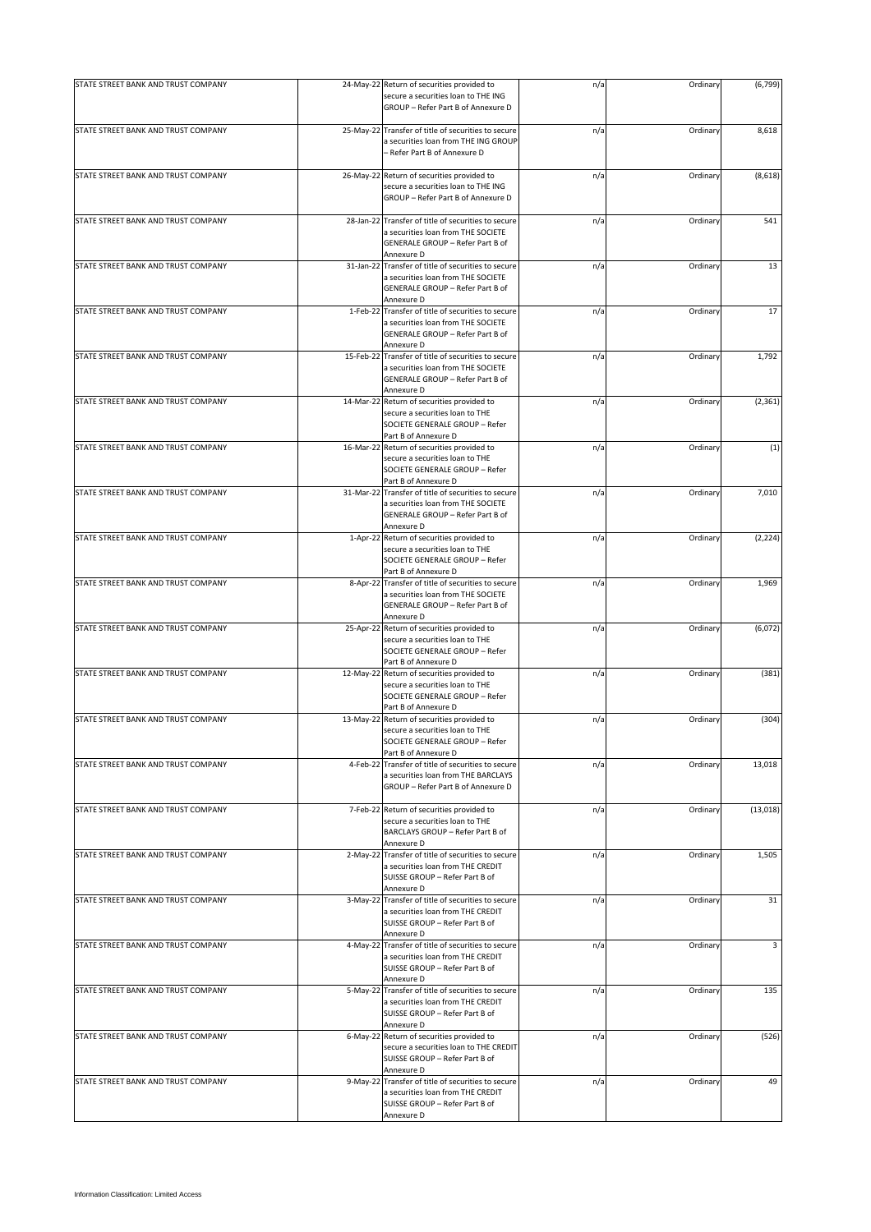|                                     |           | secure a securities loan to THE ING                                                                                                         |     |          |           |
|-------------------------------------|-----------|---------------------------------------------------------------------------------------------------------------------------------------------|-----|----------|-----------|
|                                     |           | GROUP - Refer Part B of Annexure D                                                                                                          |     |          |           |
| STATE STREET BANK AND TRUST COMPANY |           | 25-May-22 Transfer of title of securities to secure<br>a securities loan from THE ING GROUP<br>- Refer Part B of Annexure D                 | n/a | Ordinary | 8,618     |
| STATE STREET BANK AND TRUST COMPANY |           | 26-May-22 Return of securities provided to<br>secure a securities loan to THE ING<br>GROUP - Refer Part B of Annexure D                     | n/a | Ordinary | (8,618)   |
| STATE STREET BANK AND TRUST COMPANY | 28-Jan-22 | Transfer of title of securities to secure<br>a securities loan from THE SOCIETE<br>GENERALE GROUP - Refer Part B of<br>Annexure D           | n/a | Ordinary | 541       |
| STATE STREET BANK AND TRUST COMPANY |           | 31-Jan-22 Transfer of title of securities to secure<br>a securities loan from THE SOCIETE<br>GENERALE GROUP - Refer Part B of<br>Annexure D | n/a | Ordinary | 13        |
| STATE STREET BANK AND TRUST COMPANY |           | 1-Feb-22 Transfer of title of securities to secure<br>a securities loan from THE SOCIETE<br>GENERALE GROUP - Refer Part B of<br>Annexure D  | n/a | Ordinary | 17        |
| STATE STREET BANK AND TRUST COMPANY |           | 15-Feb-22 Transfer of title of securities to secure<br>a securities loan from THE SOCIETE<br>GENERALE GROUP - Refer Part B of<br>Annexure D | n/a | Ordinary | 1,792     |
| STATE STREET BANK AND TRUST COMPANY |           | 14-Mar-22 Return of securities provided to<br>secure a securities loan to THE<br>SOCIETE GENERALE GROUP - Refer<br>Part B of Annexure D     | n/a | Ordinary | (2, 361)  |
| STATE STREET BANK AND TRUST COMPANY |           | 16-Mar-22 Return of securities provided to<br>secure a securities loan to THE<br>SOCIETE GENERALE GROUP - Refer<br>Part B of Annexure D     | n/a | Ordinary | (1)       |
| STATE STREET BANK AND TRUST COMPANY |           | 31-Mar-22 Transfer of title of securities to secure<br>a securities loan from THE SOCIETE<br>GENERALE GROUP - Refer Part B of<br>Annexure D | n/a | Ordinary | 7,010     |
| STATE STREET BANK AND TRUST COMPANY |           | 1-Apr-22 Return of securities provided to<br>secure a securities loan to THE<br>SOCIETE GENERALE GROUP - Refer<br>Part B of Annexure D      | n/a | Ordinary | (2, 224)  |
| STATE STREET BANK AND TRUST COMPANY |           | 8-Apr-22 Transfer of title of securities to secure<br>a securities loan from THE SOCIETE<br>GENERALE GROUP - Refer Part B of<br>Annexure D  | n/a | Ordinary | 1,969     |
| STATE STREET BANK AND TRUST COMPANY |           | 25-Apr-22 Return of securities provided to<br>secure a securities loan to THE<br>SOCIETE GENERALE GROUP - Refer<br>Part B of Annexure D     | n/a | Ordinary | (6,072)   |
| STATE STREET BANK AND TRUST COMPANY |           | 12-May-22 Return of securities provided to<br>secure a securities loan to THE<br>SOCIETE GENERALE GROUP - Refer<br>Part B of Annexure D     | n/a | Ordinary | (381)     |
| STATE STREET BANK AND TRUST COMPANY |           | 13-May-22 Return of securities provided to<br>secure a securities loan to THE<br>SOCIETE GENERALE GROUP - Refer<br>Part B of Annexure D     | n/a | Ordinary | (304)     |
| STATE STREET BANK AND TRUST COMPANY |           | 4-Feb-22 Transfer of title of securities to secure<br>a securities loan from THE BARCLAYS<br>GROUP - Refer Part B of Annexure D             | n/a | Ordinary | 13,018    |
| STATE STREET BANK AND TRUST COMPANY |           | 7-Feb-22 Return of securities provided to<br>secure a securities loan to THE<br>BARCLAYS GROUP - Refer Part B of<br>Annexure D              | n/a | Ordinary | (13, 018) |
| STATE STREET BANK AND TRUST COMPANY |           | 2-May-22 Transfer of title of securities to secure<br>a securities loan from THE CREDIT<br>SUISSE GROUP - Refer Part B of<br>Annexure D     | n/a | Ordinary | 1,505     |
| STATE STREET BANK AND TRUST COMPANY |           | 3-May-22 Transfer of title of securities to secure<br>a securities loan from THE CREDIT<br>SUISSE GROUP - Refer Part B of<br>Annexure D     | n/a | Ordinary | 31        |
| STATE STREET BANK AND TRUST COMPANY |           | 4-May-22 Transfer of title of securities to secure<br>a securities loan from THE CREDIT<br>SUISSE GROUP - Refer Part B of<br>Annexure D     | n/a | Ordinary | 3         |
| STATE STREET BANK AND TRUST COMPANY |           | 5-May-22 Transfer of title of securities to secure<br>a securities loan from THE CREDIT<br>SUISSE GROUP - Refer Part B of<br>Annexure D     | n/a | Ordinary | 135       |
| STATE STREET BANK AND TRUST COMPANY |           | 6-May-22 Return of securities provided to<br>secure a securities loan to THE CREDIT<br>SUISSE GROUP - Refer Part B of<br>Annexure D         | n/a | Ordinary | (526)     |
| STATE STREET BANK AND TRUST COMPANY |           | 9-May-22 Transfer of title of securities to secure<br>a securities loan from THE CREDIT<br>SUISSE GROUP - Refer Part B of<br>Annexure D     | n/a | Ordinary | 49        |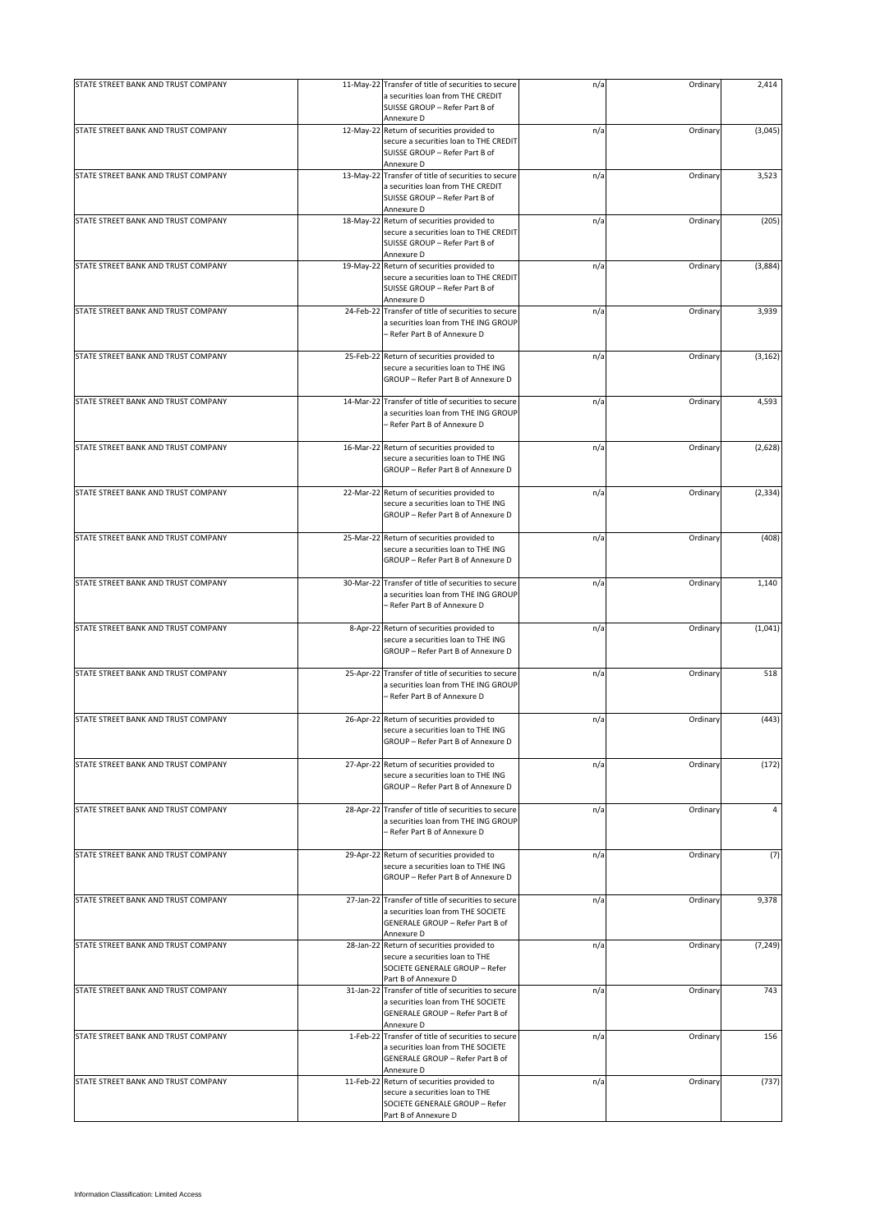|                                     | 11-May-22 Transfer of title of securities to secure<br>a securities loan from THE CREDIT                                                    | n/a | Ordinary | 2,414    |
|-------------------------------------|---------------------------------------------------------------------------------------------------------------------------------------------|-----|----------|----------|
|                                     | SUISSE GROUP - Refer Part B of<br>Annexure D                                                                                                |     |          |          |
| STATE STREET BANK AND TRUST COMPANY | 12-May-22 Return of securities provided to<br>secure a securities loan to THE CREDIT<br>SUISSE GROUP - Refer Part B of<br>Annexure D        | n/a | Ordinary | (3,045)  |
| STATE STREET BANK AND TRUST COMPANY | 13-May-22 Transfer of title of securities to secure<br>a securities loan from THE CREDIT<br>SUISSE GROUP - Refer Part B of<br>Annexure D    | n/a | Ordinary | 3,523    |
| STATE STREET BANK AND TRUST COMPANY | 18-May-22 Return of securities provided to<br>secure a securities loan to THE CREDIT<br>SUISSE GROUP - Refer Part B of<br>Annexure D        | n/a | Ordinary | (205)    |
| STATE STREET BANK AND TRUST COMPANY | 19-May-22 Return of securities provided to<br>secure a securities loan to THE CREDIT<br>SUISSE GROUP - Refer Part B of<br>Annexure D        | n/a | Ordinary | (3,884)  |
| STATE STREET BANK AND TRUST COMPANY | 24-Feb-22 Transfer of title of securities to secure<br>a securities loan from THE ING GROUP<br>– Refer Part B of Annexure D                 | n/a | Ordinary | 3,939    |
| STATE STREET BANK AND TRUST COMPANY | 25-Feb-22 Return of securities provided to<br>secure a securities loan to THE ING<br>GROUP - Refer Part B of Annexure D                     | n/a | Ordinary | (3, 162) |
| STATE STREET BANK AND TRUST COMPANY | 14-Mar-22 Transfer of title of securities to secure<br>a securities loan from THE ING GROUP<br>- Refer Part B of Annexure D                 | n/a | Ordinary | 4,593    |
| STATE STREET BANK AND TRUST COMPANY | 16-Mar-22 Return of securities provided to<br>secure a securities loan to THE ING<br>GROUP - Refer Part B of Annexure D                     | n/a | Ordinary | (2,628)  |
| STATE STREET BANK AND TRUST COMPANY | 22-Mar-22 Return of securities provided to<br>secure a securities loan to THE ING<br>GROUP - Refer Part B of Annexure D                     | n/a | Ordinary | (2, 334) |
| STATE STREET BANK AND TRUST COMPANY | 25-Mar-22 Return of securities provided to<br>secure a securities loan to THE ING<br>GROUP - Refer Part B of Annexure D                     | n/a | Ordinary | (408)    |
| STATE STREET BANK AND TRUST COMPANY | 30-Mar-22 Transfer of title of securities to secure<br>a securities loan from THE ING GROUP<br>- Refer Part B of Annexure D                 | n/a | Ordinary | 1,140    |
| STATE STREET BANK AND TRUST COMPANY | 8-Apr-22 Return of securities provided to<br>secure a securities loan to THE ING<br>GROUP - Refer Part B of Annexure D                      | n/a | Ordinary | (1,041)  |
| STATE STREET BANK AND TRUST COMPANY | 25-Apr-22 Transfer of title of securities to secure<br>a securities loan from THE ING GROUP<br>– Refer Part B of Annexure D                 | n/a | Ordinary | 518      |
| STATE STREET BANK AND TRUST COMPANY | 26-Apr-22 Return of securities provided to<br>secure a securities loan to THE ING<br>GROUP - Refer Part B of Annexure D                     | n/a | Ordinary | (443)    |
| STATE STREET BANK AND TRUST COMPANY | 27-Apr-22 Return of securities provided to<br>secure a securities loan to THE ING<br>GROUP - Refer Part B of Annexure D                     | n/a | Ordinary | (172)    |
| STATE STREET BANK AND TRUST COMPANY | 28-Apr-22 Transfer of title of securities to secure<br>a securities loan from THE ING GROUP<br>- Refer Part B of Annexure D                 | n/a | Ordinary | 4        |
| STATE STREET BANK AND TRUST COMPANY | 29-Apr-22 Return of securities provided to<br>secure a securities loan to THE ING<br>GROUP - Refer Part B of Annexure D                     | n/a | Ordinary | (7)      |
| STATE STREET BANK AND TRUST COMPANY | 27-Jan-22 Transfer of title of securities to secure<br>a securities loan from THE SOCIETE<br>GENERALE GROUP - Refer Part B of<br>Annexure D | n/a | Ordinary | 9,378    |
| STATE STREET BANK AND TRUST COMPANY | 28-Jan-22 Return of securities provided to<br>secure a securities loan to THE<br>SOCIETE GENERALE GROUP - Refer<br>Part B of Annexure D     | n/a | Ordinary | (7, 249) |
| STATE STREET BANK AND TRUST COMPANY | 31-Jan-22 Transfer of title of securities to secure<br>a securities loan from THE SOCIETE<br>GENERALE GROUP - Refer Part B of<br>Annexure D | n/a | Ordinary | 743      |
| STATE STREET BANK AND TRUST COMPANY | 1-Feb-22 Transfer of title of securities to secure<br>a securities loan from THE SOCIETE<br>GENERALE GROUP - Refer Part B of<br>Annexure D  | n/a | Ordinary | 156      |
| STATE STREET BANK AND TRUST COMPANY | 11-Feb-22 Return of securities provided to<br>secure a securities loan to THE<br>SOCIETE GENERALE GROUP - Refer                             | n/a | Ordinary | (737)    |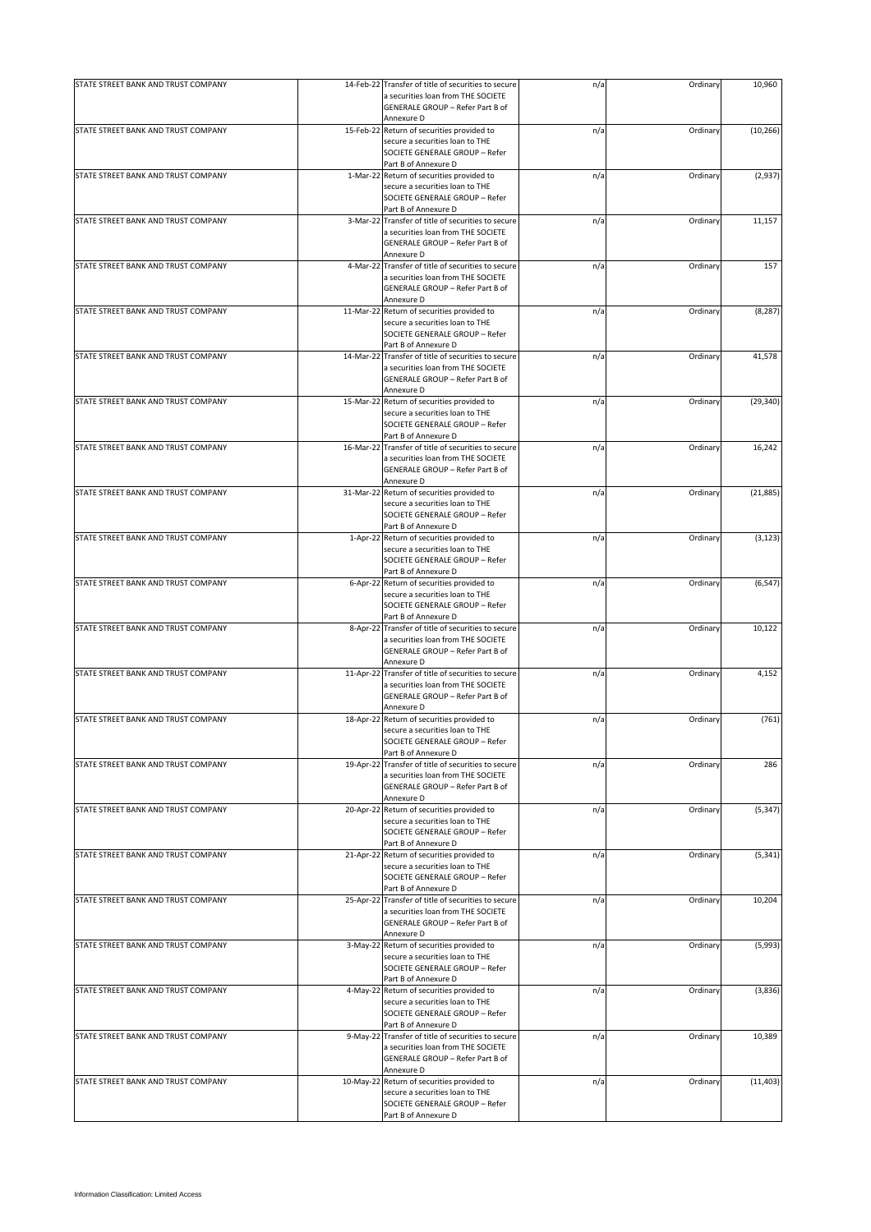| STATE STREET BANK AND TRUST COMPANY |           | 14-Feb-22 Transfer of title of securities to secure                                       | n/a | Ordinary | 10,960    |
|-------------------------------------|-----------|-------------------------------------------------------------------------------------------|-----|----------|-----------|
|                                     |           | a securities loan from THE SOCIETE<br>GENERALE GROUP - Refer Part B of<br>Annexure D      |     |          |           |
| STATE STREET BANK AND TRUST COMPANY |           | 15-Feb-22 Return of securities provided to                                                | n/a | Ordinary | (10, 266) |
|                                     |           | secure a securities loan to THE                                                           |     |          |           |
|                                     |           | SOCIETE GENERALE GROUP - Refer                                                            |     |          |           |
| STATE STREET BANK AND TRUST COMPANY |           | Part B of Annexure D                                                                      |     |          | (2,937)   |
|                                     |           | 1-Mar-22 Return of securities provided to<br>secure a securities loan to THE              | n/a | Ordinary |           |
|                                     |           | SOCIETE GENERALE GROUP - Refer                                                            |     |          |           |
|                                     |           | Part B of Annexure D                                                                      |     |          |           |
| STATE STREET BANK AND TRUST COMPANY |           | 3-Mar-22 Transfer of title of securities to secure                                        | n/a | Ordinary | 11,157    |
|                                     |           | a securities loan from THE SOCIETE                                                        |     |          |           |
|                                     |           | GENERALE GROUP - Refer Part B of                                                          |     |          |           |
|                                     |           | Annexure D                                                                                |     |          |           |
| STATE STREET BANK AND TRUST COMPANY |           | 4-Mar-22 Transfer of title of securities to secure<br>a securities loan from THE SOCIETE  | n/a | Ordinary | 157       |
|                                     |           | GENERALE GROUP - Refer Part B of                                                          |     |          |           |
|                                     |           | Annexure D                                                                                |     |          |           |
| STATE STREET BANK AND TRUST COMPANY |           | 11-Mar-22 Return of securities provided to                                                | n/a | Ordinary | (8, 287)  |
|                                     |           | secure a securities loan to THE                                                           |     |          |           |
|                                     |           | SOCIETE GENERALE GROUP - Refer                                                            |     |          |           |
|                                     |           | Part B of Annexure D                                                                      |     |          |           |
| STATE STREET BANK AND TRUST COMPANY |           | 14-Mar-22 Transfer of title of securities to secure<br>a securities loan from THE SOCIETE | n/a | Ordinary | 41,578    |
|                                     |           | GENERALE GROUP - Refer Part B of                                                          |     |          |           |
|                                     |           | Annexure D                                                                                |     |          |           |
| STATE STREET BANK AND TRUST COMPANY |           | 15-Mar-22 Return of securities provided to                                                | n/a | Ordinary | (29, 340) |
|                                     |           | secure a securities loan to THE                                                           |     |          |           |
|                                     |           | SOCIETE GENERALE GROUP - Refer                                                            |     |          |           |
|                                     |           | Part B of Annexure D                                                                      |     |          |           |
| STATE STREET BANK AND TRUST COMPANY | 16-Mar-22 | Transfer of title of securities to secure                                                 | n/a | Ordinary | 16,242    |
|                                     |           | a securities loan from THE SOCIETE                                                        |     |          |           |
|                                     |           | GENERALE GROUP - Refer Part B of<br>Annexure D                                            |     |          |           |
| STATE STREET BANK AND TRUST COMPANY |           | 31-Mar-22 Return of securities provided to                                                | n/a | Ordinary | (21, 885) |
|                                     |           | secure a securities loan to THE                                                           |     |          |           |
|                                     |           | SOCIETE GENERALE GROUP - Refer                                                            |     |          |           |
|                                     |           | Part B of Annexure D                                                                      |     |          |           |
| STATE STREET BANK AND TRUST COMPANY |           | 1-Apr-22 Return of securities provided to                                                 | n/a | Ordinary | (3, 123)  |
|                                     |           | secure a securities loan to THE                                                           |     |          |           |
|                                     |           | SOCIETE GENERALE GROUP - Refer<br>Part B of Annexure D                                    |     |          |           |
| STATE STREET BANK AND TRUST COMPANY |           | 6-Apr-22 Return of securities provided to                                                 | n/a | Ordinary | (6, 547)  |
|                                     |           | secure a securities loan to THE                                                           |     |          |           |
|                                     |           | SOCIETE GENERALE GROUP - Refer                                                            |     |          |           |
|                                     |           | Part B of Annexure D                                                                      |     |          |           |
| STATE STREET BANK AND TRUST COMPANY |           | 8-Apr-22 Transfer of title of securities to secure                                        | n/a | Ordinary | 10,122    |
|                                     |           | a securities loan from THE SOCIETE                                                        |     |          |           |
|                                     |           | GENERALE GROUP - Refer Part B of                                                          |     |          |           |
| STATE STREET BANK AND TRUST COMPANY |           | Annexure D<br>11-Apr-22 Transfer of title of securities to secure                         |     | Ordinary | 4,152     |
|                                     |           | a securities loan from THE SOCIETE                                                        | n/a |          |           |
|                                     |           | GENERALE GROUP - Refer Part B of                                                          |     |          |           |
|                                     |           | Annexure D                                                                                |     |          |           |
| STATE STREET BANK AND TRUST COMPANY |           | 18-Apr-22 Return of securities provided to                                                | n/a | Ordinary | (761)     |
|                                     |           | secure a securities loan to THE                                                           |     |          |           |
|                                     |           | SOCIETE GENERALE GROUP - Refer                                                            |     |          |           |
| STATE STREET BANK AND TRUST COMPANY |           | Part B of Annexure D<br>19-Apr-22 Transfer of title of securities to secure               |     | Ordinary | 286       |
|                                     |           | a securities loan from THE SOCIETE                                                        | n/a |          |           |
|                                     |           | GENERALE GROUP - Refer Part B of                                                          |     |          |           |
|                                     |           | Annexure D                                                                                |     |          |           |
| STATE STREET BANK AND TRUST COMPANY |           | 20-Apr-22 Return of securities provided to                                                | n/a | Ordinary | (5, 347)  |
|                                     |           | secure a securities loan to THE                                                           |     |          |           |
|                                     |           | SOCIETE GENERALE GROUP - Refer                                                            |     |          |           |
|                                     |           | Part B of Annexure D                                                                      |     |          |           |
| STATE STREET BANK AND TRUST COMPANY |           | 21-Apr-22 Return of securities provided to<br>secure a securities loan to THE             | n/a | Ordinary | (5, 341)  |
|                                     |           | SOCIETE GENERALE GROUP - Refer                                                            |     |          |           |
|                                     |           | Part B of Annexure D                                                                      |     |          |           |
| STATE STREET BANK AND TRUST COMPANY |           | 25-Apr-22 Transfer of title of securities to secure                                       | n/a | Ordinary | 10,204    |
|                                     |           | a securities loan from THE SOCIETE                                                        |     |          |           |
|                                     |           | GENERALE GROUP - Refer Part B of                                                          |     |          |           |
|                                     |           | Annexure D                                                                                |     |          |           |
| STATE STREET BANK AND TRUST COMPANY |           | 3-May-22 Return of securities provided to                                                 | n/a | Ordinary | (5,993)   |
|                                     |           | secure a securities loan to THE<br>SOCIETE GENERALE GROUP - Refer                         |     |          |           |
|                                     |           | Part B of Annexure D                                                                      |     |          |           |
| STATE STREET BANK AND TRUST COMPANY |           | 4-May-22 Return of securities provided to                                                 | n/a | Ordinary | (3,836)   |
|                                     |           | secure a securities loan to THE                                                           |     |          |           |
|                                     |           | SOCIETE GENERALE GROUP - Refer                                                            |     |          |           |
|                                     |           | Part B of Annexure D                                                                      |     |          |           |
| STATE STREET BANK AND TRUST COMPANY |           | 9-May-22 Transfer of title of securities to secure                                        | n/a | Ordinary | 10,389    |
|                                     |           | a securities loan from THE SOCIETE                                                        |     |          |           |
|                                     |           | GENERALE GROUP - Refer Part B of                                                          |     |          |           |
| STATE STREET BANK AND TRUST COMPANY |           | Annexure D<br>10-May-22 Return of securities provided to                                  | n/a | Ordinary | (11, 403) |
|                                     |           | secure a securities loan to THE                                                           |     |          |           |
|                                     |           | SOCIETE GENERALE GROUP - Refer                                                            |     |          |           |
|                                     |           | Part B of Annexure D                                                                      |     |          |           |
|                                     |           |                                                                                           |     |          |           |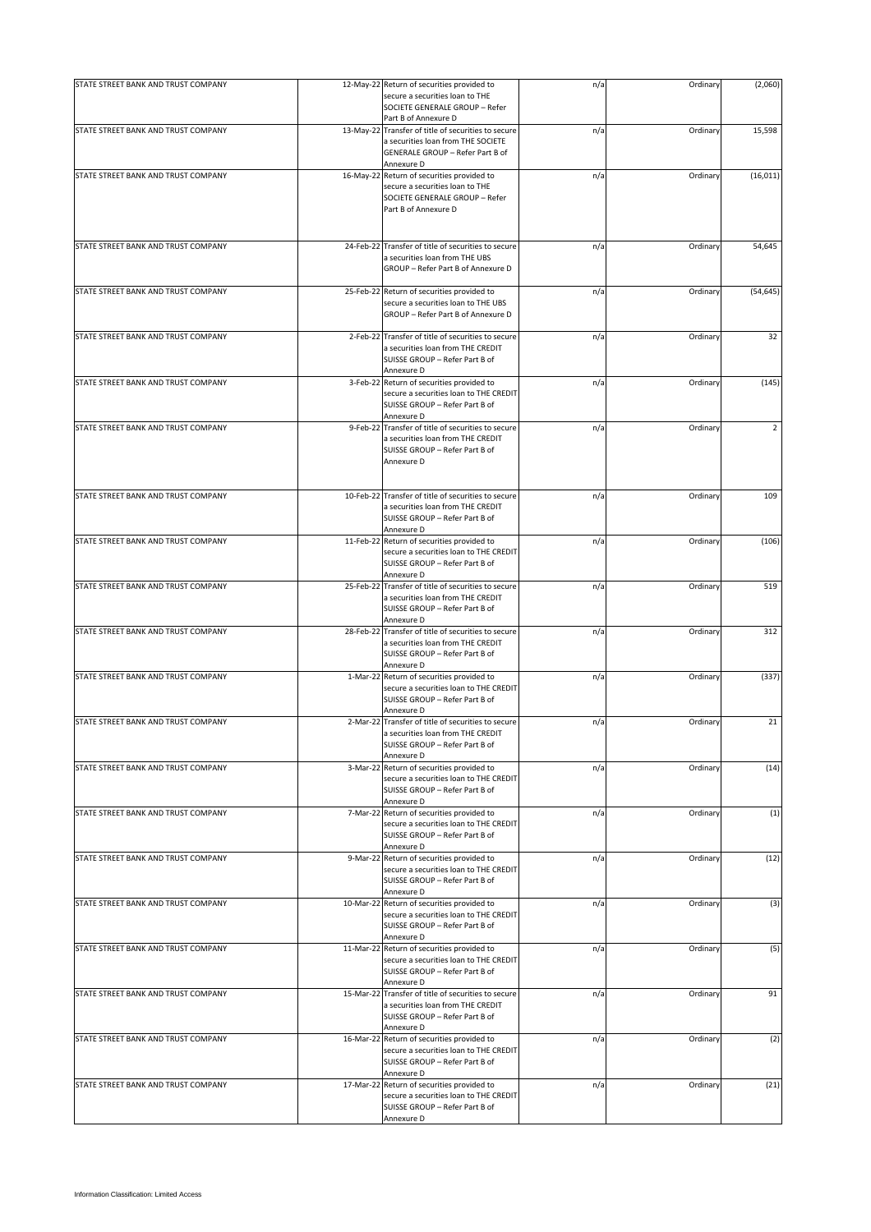| STATE STREET BANK AND TRUST COMPANY |           | 12-May-22 Return of securities provided to<br>secure a securities loan to THE             | n/a | Ordinary | (2,060)        |
|-------------------------------------|-----------|-------------------------------------------------------------------------------------------|-----|----------|----------------|
|                                     |           | SOCIETE GENERALE GROUP - Refer                                                            |     |          |                |
|                                     |           | Part B of Annexure D                                                                      |     |          |                |
| STATE STREET BANK AND TRUST COMPANY |           | 13-May-22 Transfer of title of securities to secure<br>a securities loan from THE SOCIETE | n/a | Ordinary | 15,598         |
|                                     |           | GENERALE GROUP - Refer Part B of                                                          |     |          |                |
|                                     |           | Annexure D                                                                                |     |          |                |
| STATE STREET BANK AND TRUST COMPANY | 16-May-22 | Return of securities provided to<br>secure a securities loan to THE                       | n/a | Ordinary | (16, 011)      |
|                                     |           | SOCIETE GENERALE GROUP - Refer                                                            |     |          |                |
|                                     |           | Part B of Annexure D                                                                      |     |          |                |
|                                     |           |                                                                                           |     |          |                |
| STATE STREET BANK AND TRUST COMPANY | 24-Feb-22 | Transfer of title of securities to secure                                                 | n/a | Ordinary | 54,645         |
|                                     |           | a securities loan from THE UBS                                                            |     |          |                |
|                                     |           | GROUP - Refer Part B of Annexure D                                                        |     |          |                |
| STATE STREET BANK AND TRUST COMPANY | 25-Feb-22 |                                                                                           |     | Ordinary | (54, 645)      |
|                                     |           | Return of securities provided to<br>secure a securities loan to THE UBS                   | n/a |          |                |
|                                     |           | GROUP - Refer Part B of Annexure D                                                        |     |          |                |
| STATE STREET BANK AND TRUST COMPANY |           |                                                                                           |     |          |                |
|                                     |           | 2-Feb-22 Transfer of title of securities to secure<br>a securities loan from THE CREDIT   | n/a | Ordinary | 32             |
|                                     |           | SUISSE GROUP - Refer Part B of                                                            |     |          |                |
|                                     |           | Annexure D                                                                                |     |          |                |
| STATE STREET BANK AND TRUST COMPANY | 3-Feb-22  | Return of securities provided to<br>secure a securities loan to THE CREDIT                | n/a | Ordinary | (145)          |
|                                     |           | SUISSE GROUP - Refer Part B of                                                            |     |          |                |
|                                     |           | Annexure D                                                                                |     |          |                |
| STATE STREET BANK AND TRUST COMPANY | 9-Feb-22  | Transfer of title of securities to secure<br>a securities loan from THE CREDIT            | n/a | Ordinary | $\overline{2}$ |
|                                     |           | SUISSE GROUP - Refer Part B of                                                            |     |          |                |
|                                     |           | Annexure D                                                                                |     |          |                |
|                                     |           |                                                                                           |     |          |                |
| STATE STREET BANK AND TRUST COMPANY |           | 10-Feb-22 Transfer of title of securities to secure                                       | n/a | Ordinary | 109            |
|                                     |           | a securities loan from THE CREDIT                                                         |     |          |                |
|                                     |           | SUISSE GROUP - Refer Part B of                                                            |     |          |                |
| STATE STREET BANK AND TRUST COMPANY | 11-Feb-22 | Annexure D<br>Return of securities provided to                                            | n/a | Ordinary | (106)          |
|                                     |           | secure a securities loan to THE CREDIT                                                    |     |          |                |
|                                     |           | SUISSE GROUP - Refer Part B of                                                            |     |          |                |
| STATE STREET BANK AND TRUST COMPANY | 25-Feb-22 | Annexure D<br>Transfer of title of securities to secure                                   | n/a | Ordinary | 519            |
|                                     |           | a securities loan from THE CREDIT                                                         |     |          |                |
|                                     |           | SUISSE GROUP - Refer Part B of                                                            |     |          |                |
| STATE STREET BANK AND TRUST COMPANY | 28-Feb-22 | Annexure D<br>Transfer of title of securities to secure                                   | n/a | Ordinary | 312            |
|                                     |           | a securities loan from THE CREDIT                                                         |     |          |                |
|                                     |           | SUISSE GROUP - Refer Part B of                                                            |     |          |                |
| STATE STREET BANK AND TRUST COMPANY |           | Annexure D<br>1-Mar-22 Return of securities provided to                                   | n/a | Ordinary | (337)          |
|                                     |           | secure a securities loan to THE CREDIT                                                    |     |          |                |
|                                     |           | SUISSE GROUP - Refer Part B of                                                            |     |          |                |
| STATE STREET BANK AND TRUST COMPANY |           | Annexure D<br>2-Mar-22 Transfer of title of securities to secure                          | n/a | Ordinary | 21             |
|                                     |           | a securities loan from THE CREDIT                                                         |     |          |                |
|                                     |           | SUISSE GROUP - Refer Part B of                                                            |     |          |                |
| STATE STREET BANK AND TRUST COMPANY | 3-Mar-22  | Annexure D<br>Return of securities provided to                                            | n/a | Ordinary | (14)           |
|                                     |           | secure a securities loan to THE CREDIT                                                    |     |          |                |
|                                     |           | SUISSE GROUP - Refer Part B of                                                            |     |          |                |
| STATE STREET BANK AND TRUST COMPANY | 7-Mar-22  | Annexure D<br>Return of securities provided to                                            | n/a | Ordinary | (1)            |
|                                     |           | secure a securities loan to THE CREDIT                                                    |     |          |                |
|                                     |           | SUISSE GROUP - Refer Part B of                                                            |     |          |                |
| STATE STREET BANK AND TRUST COMPANY | 9-Mar-22  | Annexure D<br>Return of securities provided to                                            | n/a | Ordinary | (12)           |
|                                     |           | secure a securities loan to THE CREDIT                                                    |     |          |                |
|                                     |           | SUISSE GROUP - Refer Part B of                                                            |     |          |                |
| STATE STREET BANK AND TRUST COMPANY |           | Annexure D<br>10-Mar-22 Return of securities provided to                                  | n/a | Ordinary | (3)            |
|                                     |           | secure a securities loan to THE CREDIT                                                    |     |          |                |
|                                     |           | SUISSE GROUP - Refer Part B of                                                            |     |          |                |
| STATE STREET BANK AND TRUST COMPANY |           | Annexure D<br>11-Mar-22 Return of securities provided to                                  | n/a | Ordinary | (5)            |
|                                     |           | secure a securities loan to THE CREDIT                                                    |     |          |                |
|                                     |           | SUISSE GROUP - Refer Part B of                                                            |     |          |                |
| STATE STREET BANK AND TRUST COMPANY |           | Annexure D<br>15-Mar-22 Transfer of title of securities to secure                         | n/a | Ordinary | 91             |
|                                     |           | a securities loan from THE CREDIT                                                         |     |          |                |
|                                     |           | SUISSE GROUP - Refer Part B of                                                            |     |          |                |
|                                     |           | Annexure D                                                                                |     |          |                |
| STATE STREET BANK AND TRUST COMPANY |           | 16-Mar-22 Return of securities provided to<br>secure a securities loan to THE CREDIT      | n/a | Ordinary | (2)            |
|                                     |           | SUISSE GROUP - Refer Part B of                                                            |     |          |                |
|                                     |           | Annexure D                                                                                |     |          |                |
| STATE STREET BANK AND TRUST COMPANY | 17-Mar-22 | Return of securities provided to<br>secure a securities loan to THE CREDIT                | n/a | Ordinary | (21)           |
|                                     |           | SUISSE GROUP - Refer Part B of                                                            |     |          |                |
|                                     |           | Annexure D                                                                                |     |          |                |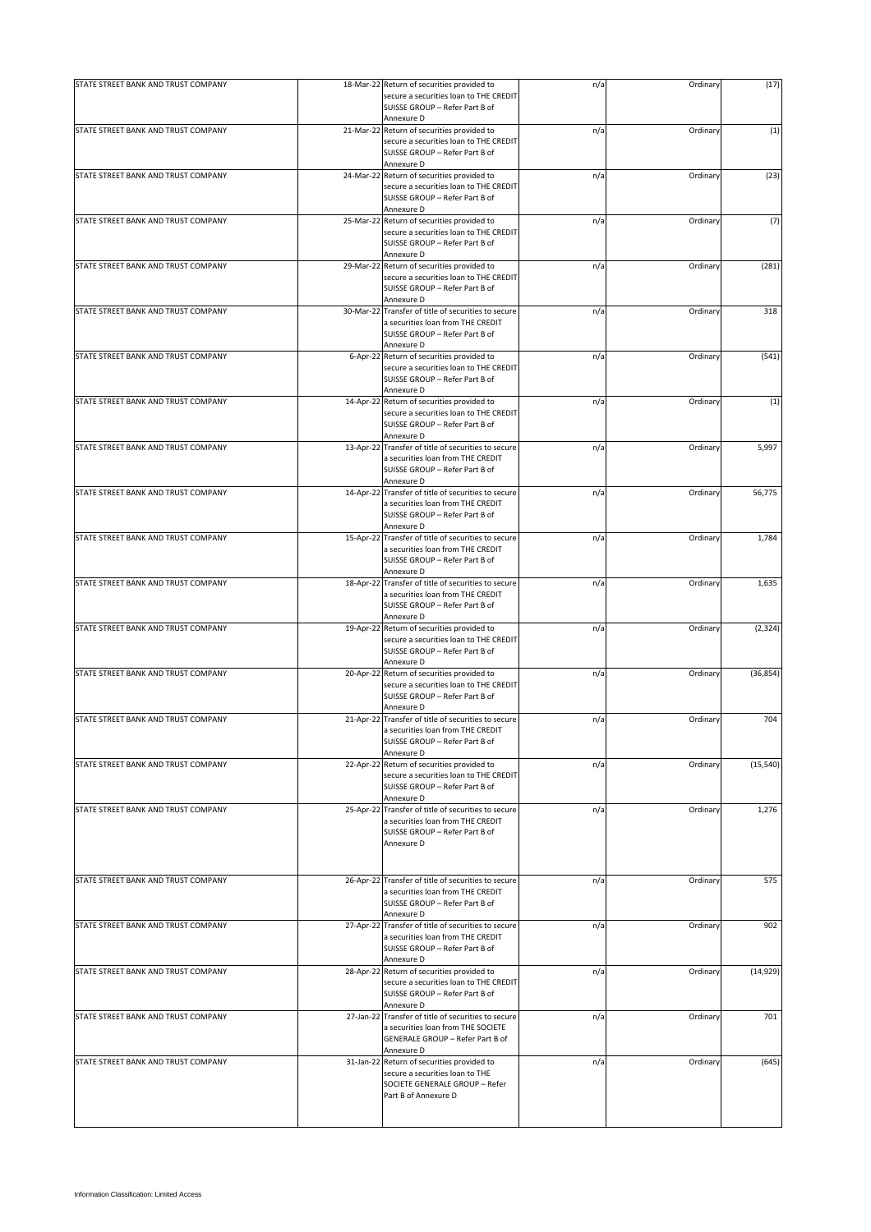| STATE STREET BANK AND TRUST COMPANY |          | 18-Mar-22 Return of securities provided to                                               | n/a | Ordinary | (17)      |
|-------------------------------------|----------|------------------------------------------------------------------------------------------|-----|----------|-----------|
|                                     |          | secure a securities loan to THE CREDIT<br>SUISSE GROUP - Refer Part B of                 |     |          |           |
|                                     |          | Annexure D                                                                               |     |          |           |
| STATE STREET BANK AND TRUST COMPANY |          | 21-Mar-22 Return of securities provided to<br>secure a securities loan to THE CREDIT     | n/a | Ordinary | (1)       |
|                                     |          | SUISSE GROUP - Refer Part B of                                                           |     |          |           |
|                                     |          | Annexure D                                                                               |     |          |           |
| STATE STREET BANK AND TRUST COMPANY |          | 24-Mar-22 Return of securities provided to                                               | n/a | Ordinary | (23)      |
|                                     |          | secure a securities loan to THE CREDIT<br>SUISSE GROUP - Refer Part B of                 |     |          |           |
|                                     |          | Annexure D                                                                               |     |          |           |
| STATE STREET BANK AND TRUST COMPANY |          | 25-Mar-22 Return of securities provided to                                               | n/a | Ordinary | (7)       |
|                                     |          | secure a securities loan to THE CREDIT                                                   |     |          |           |
|                                     |          | SUISSE GROUP - Refer Part B of<br>Annexure D                                             |     |          |           |
| STATE STREET BANK AND TRUST COMPANY |          | 29-Mar-22 Return of securities provided to                                               | n/a | Ordinary | (281)     |
|                                     |          | secure a securities loan to THE CREDIT                                                   |     |          |           |
|                                     |          | SUISSE GROUP - Refer Part B of                                                           |     |          |           |
|                                     |          | Annexure D                                                                               |     |          | 318       |
| STATE STREET BANK AND TRUST COMPANY |          | 30-Mar-22 Transfer of title of securities to secure<br>a securities loan from THE CREDIT | n/a | Ordinary |           |
|                                     |          | SUISSE GROUP - Refer Part B of                                                           |     |          |           |
|                                     |          | Annexure D                                                                               |     |          |           |
| STATE STREET BANK AND TRUST COMPANY | 6-Apr-22 | Return of securities provided to                                                         | n/a | Ordinary | (541)     |
|                                     |          | secure a securities loan to THE CREDIT<br>SUISSE GROUP - Refer Part B of                 |     |          |           |
|                                     |          | Annexure D                                                                               |     |          |           |
| STATE STREET BANK AND TRUST COMPANY |          | 14-Apr-22 Return of securities provided to                                               | n/a | Ordinary | (1)       |
|                                     |          | secure a securities loan to THE CREDIT                                                   |     |          |           |
|                                     |          | SUISSE GROUP - Refer Part B of                                                           |     |          |           |
| STATE STREET BANK AND TRUST COMPANY |          | Annexure D<br>13-Apr-22 Transfer of title of securities to secure                        |     | Ordinary | 5,997     |
|                                     |          | a securities loan from THE CREDIT                                                        | n/a |          |           |
|                                     |          | SUISSE GROUP - Refer Part B of                                                           |     |          |           |
|                                     |          | Annexure D                                                                               |     |          |           |
| STATE STREET BANK AND TRUST COMPANY |          | 14-Apr-22 Transfer of title of securities to secure                                      | n/a | Ordinary | 56,775    |
|                                     |          | a securities loan from THE CREDIT<br>SUISSE GROUP - Refer Part B of                      |     |          |           |
|                                     |          | Annexure D                                                                               |     |          |           |
| STATE STREET BANK AND TRUST COMPANY |          | 15-Apr-22 Transfer of title of securities to secure                                      | n/a | Ordinary | 1,784     |
|                                     |          | a securities loan from THE CREDIT                                                        |     |          |           |
|                                     |          | SUISSE GROUP - Refer Part B of                                                           |     |          |           |
| STATE STREET BANK AND TRUST COMPANY |          | Annexure D<br>18-Apr-22 Transfer of title of securities to secure                        | n/a | Ordinary | 1,635     |
|                                     |          | a securities loan from THE CREDIT                                                        |     |          |           |
|                                     |          | SUISSE GROUP - Refer Part B of                                                           |     |          |           |
|                                     |          | Annexure D                                                                               |     |          |           |
| STATE STREET BANK AND TRUST COMPANY |          | 19-Apr-22 Return of securities provided to                                               | n/a | Ordinary | (2, 324)  |
|                                     |          | secure a securities loan to THE CREDIT<br>SUISSE GROUP - Refer Part B of                 |     |          |           |
|                                     |          | Annexure D                                                                               |     |          |           |
| STATE STREET BANK AND TRUST COMPANY |          | 20-Apr-22 Return of securities provided to                                               | n/a | Ordinary | (36, 854) |
|                                     |          | secure a securities loan to THE CREDIT                                                   |     |          |           |
|                                     |          | SUISSE GROUP - Refer Part B of<br>Annexure D                                             |     |          |           |
| STATE STREET BANK AND TRUST COMPANY |          | 21-Apr-22 Transfer of title of securities to secure                                      | n/a | Ordinary | 704       |
|                                     |          | a securities loan from THE CREDIT                                                        |     |          |           |
|                                     |          | SUISSE GROUP - Refer Part B of                                                           |     |          |           |
|                                     |          | Annexure D                                                                               |     |          |           |
| STATE STREET BANK AND TRUST COMPANY |          | 22-Apr-22 Return of securities provided to<br>secure a securities loan to THE CREDIT     | n/a | Ordinary | (15, 540) |
|                                     |          | SUISSE GROUP - Refer Part B of                                                           |     |          |           |
|                                     |          | Annexure D                                                                               |     |          |           |
| STATE STREET BANK AND TRUST COMPANY |          | 25-Apr-22 Transfer of title of securities to secure                                      | n/a | Ordinary | 1,276     |
|                                     |          | a securities loan from THE CREDIT<br>SUISSE GROUP - Refer Part B of                      |     |          |           |
|                                     |          | Annexure D                                                                               |     |          |           |
|                                     |          |                                                                                          |     |          |           |
|                                     |          |                                                                                          |     |          |           |
| STATE STREET BANK AND TRUST COMPANY |          | 26-Apr-22 Transfer of title of securities to secure                                      | n/a | Ordinary | 575       |
|                                     |          | a securities loan from THE CREDIT                                                        |     |          |           |
|                                     |          | SUISSE GROUP - Refer Part B of<br>Annexure D                                             |     |          |           |
| STATE STREET BANK AND TRUST COMPANY |          | 27-Apr-22 Transfer of title of securities to secure                                      | n/a | Ordinary | 902       |
|                                     |          | a securities loan from THE CREDIT                                                        |     |          |           |
|                                     |          | SUISSE GROUP - Refer Part B of                                                           |     |          |           |
| STATE STREET BANK AND TRUST COMPANY |          | Annexure D<br>28-Apr-22 Return of securities provided to                                 |     |          |           |
|                                     |          | secure a securities loan to THE CREDIT                                                   | n/a | Ordinary | (14, 929) |
|                                     |          | SUISSE GROUP - Refer Part B of                                                           |     |          |           |
|                                     |          | Annexure D                                                                               |     |          |           |
| STATE STREET BANK AND TRUST COMPANY |          | 27-Jan-22 Transfer of title of securities to secure                                      | n/a | Ordinary | 701       |
|                                     |          | a securities loan from THE SOCIETE<br>GENERALE GROUP - Refer Part B of                   |     |          |           |
|                                     |          | Annexure D                                                                               |     |          |           |
| STATE STREET BANK AND TRUST COMPANY |          | 31-Jan-22 Return of securities provided to                                               | n/a | Ordinary | (645)     |
|                                     |          | secure a securities loan to THE                                                          |     |          |           |
|                                     |          | SOCIETE GENERALE GROUP - Refer                                                           |     |          |           |
|                                     |          | Part B of Annexure D                                                                     |     |          |           |
|                                     |          |                                                                                          |     |          |           |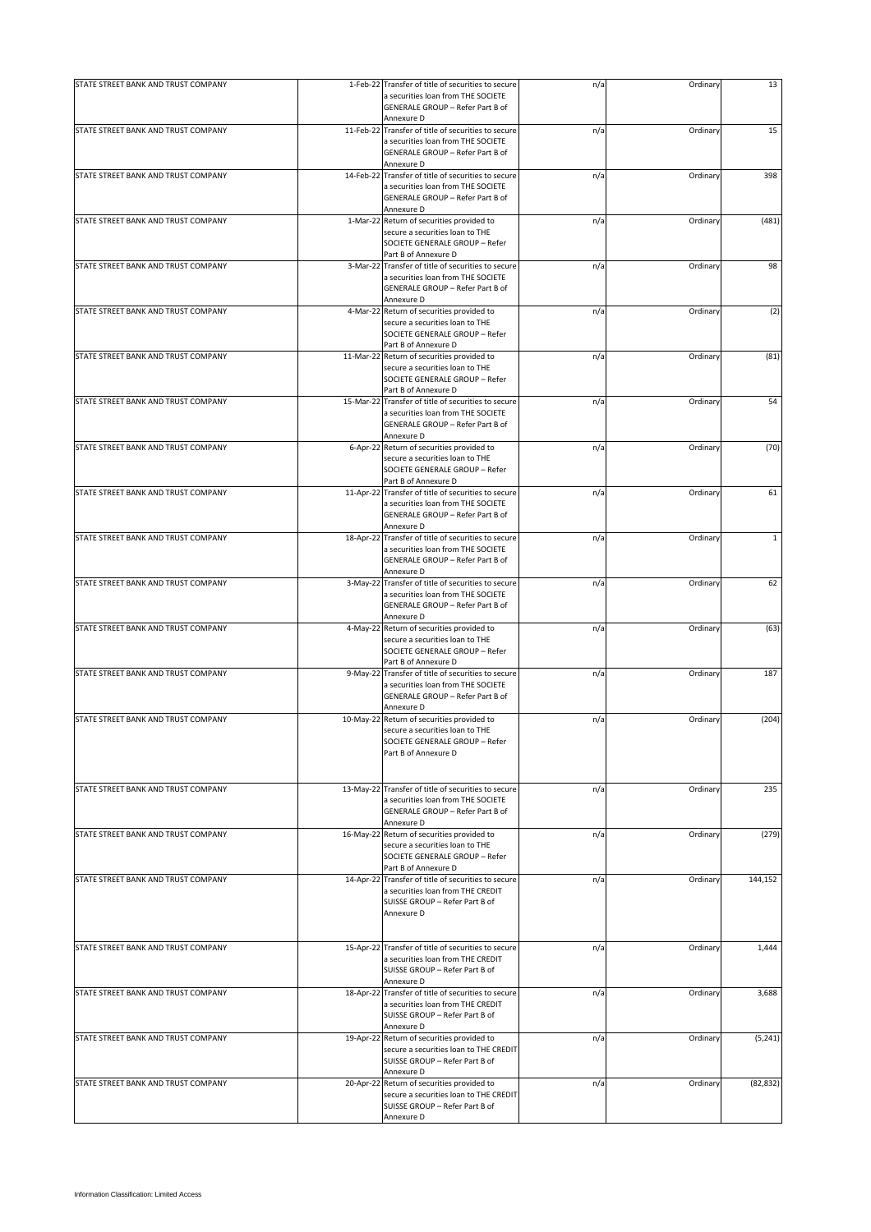| STATE STREET BANK AND TRUST COMPANY |           | 1-Feb-22 Transfer of title of securities to secure                                                                                     | n/a | Ordinary | 13           |
|-------------------------------------|-----------|----------------------------------------------------------------------------------------------------------------------------------------|-----|----------|--------------|
|                                     |           | a securities loan from THE SOCIETE<br><b>GENERALE GROUP - Refer Part B of</b><br>Annexure D                                            |     |          |              |
| STATE STREET BANK AND TRUST COMPANY |           | 11-Feb-22 Transfer of title of securities to secure                                                                                    | n/a | Ordinary | 15           |
|                                     |           | a securities loan from THE SOCIETE<br>GENERALE GROUP - Refer Part B of                                                                 |     |          |              |
|                                     |           | Annexure D                                                                                                                             |     |          |              |
| STATE STREET BANK AND TRUST COMPANY | 14-Feb-22 | Transfer of title of securities to secure<br>a securities loan from THE SOCIETE<br>GENERALE GROUP - Refer Part B of                    | n/a | Ordinary | 398          |
|                                     |           | Annexure D                                                                                                                             |     |          |              |
| STATE STREET BANK AND TRUST COMPANY |           | 1-Mar-22 Return of securities provided to                                                                                              | n/a | Ordinary | (481)        |
|                                     |           | secure a securities loan to THE<br>SOCIETE GENERALE GROUP - Refer                                                                      |     |          |              |
|                                     |           | Part B of Annexure D                                                                                                                   |     |          |              |
| STATE STREET BANK AND TRUST COMPANY |           | 3-Mar-22 Transfer of title of securities to secure<br>a securities loan from THE SOCIETE<br>GENERALE GROUP - Refer Part B of           | n/a | Ordinary | 98           |
|                                     |           | Annexure D                                                                                                                             |     |          |              |
| STATE STREET BANK AND TRUST COMPANY |           | 4-Mar-22 Return of securities provided to<br>secure a securities loan to THE<br>SOCIETE GENERALE GROUP - Refer<br>Part B of Annexure D | n/a | Ordinary | (2)          |
| STATE STREET BANK AND TRUST COMPANY |           | 11-Mar-22 Return of securities provided to                                                                                             | n/a | Ordinary | (81)         |
|                                     |           | secure a securities loan to THE                                                                                                        |     |          |              |
|                                     |           | SOCIETE GENERALE GROUP - Refer                                                                                                         |     |          |              |
| STATE STREET BANK AND TRUST COMPANY |           | Part B of Annexure D<br>15-Mar-22 Transfer of title of securities to secure                                                            | n/a | Ordinary | 54           |
|                                     |           | a securities loan from THE SOCIETE<br><b>GENERALE GROUP - Refer Part B of</b><br>Annexure D                                            |     |          |              |
| STATE STREET BANK AND TRUST COMPANY | 6-Apr-22  | Return of securities provided to                                                                                                       | n/a | Ordinary | (70)         |
|                                     |           | secure a securities loan to THE<br>SOCIETE GENERALE GROUP - Refer<br>Part B of Annexure D                                              |     |          |              |
| STATE STREET BANK AND TRUST COMPANY |           | 11-Apr-22 Transfer of title of securities to secure                                                                                    | n/a | Ordinary | 61           |
|                                     |           | a securities loan from THE SOCIETE<br>GENERALE GROUP - Refer Part B of<br>Annexure D                                                   |     |          |              |
| STATE STREET BANK AND TRUST COMPANY |           | 18-Apr-22 Transfer of title of securities to secure                                                                                    | n/a | Ordinary | $\mathbf{1}$ |
|                                     |           | a securities loan from THE SOCIETE<br>GENERALE GROUP - Refer Part B of<br>Annexure D                                                   |     |          |              |
| STATE STREET BANK AND TRUST COMPANY |           | 3-May-22 Transfer of title of securities to secure                                                                                     | n/a | Ordinary | 62           |
|                                     |           | a securities loan from THE SOCIETE<br>GENERALE GROUP - Refer Part B of<br>Annexure D                                                   |     |          |              |
| STATE STREET BANK AND TRUST COMPANY |           | 4-May-22 Return of securities provided to                                                                                              | n/a | Ordinary | (63)         |
|                                     |           | secure a securities loan to THE<br>SOCIETE GENERALE GROUP - Refer<br>Part B of Annexure D                                              |     |          |              |
| STATE STREET BANK AND TRUST COMPANY |           | 9-May-22 Transfer of title of securities to secure                                                                                     | n/a | Ordinary | 187          |
|                                     |           | a securities loan from THE SOCIETE<br>GENERALE GROUP - Refer Part B of<br>Annexure D                                                   |     |          |              |
| STATE STREET BANK AND TRUST COMPANY |           | 10-May-22 Return of securities provided to                                                                                             | n/a | Ordinary | (204)        |
|                                     |           | secure a securities loan to THE<br>SOCIETE GENERALE GROUP - Refer<br>Part B of Annexure D                                              |     |          |              |
| STATE STREET BANK AND TRUST COMPANY |           | 13-May-22 Transfer of title of securities to secure                                                                                    |     | Ordinary | 235          |
|                                     |           | a securities loan from THE SOCIETE<br>GENERALE GROUP - Refer Part B of<br>Annexure D                                                   | n/a |          |              |
| STATE STREET BANK AND TRUST COMPANY |           | 16-May-22 Return of securities provided to                                                                                             | n/a | Ordinary | (279)        |
|                                     |           | secure a securities loan to THE<br>SOCIETE GENERALE GROUP - Refer<br>Part B of Annexure D                                              |     |          |              |
| STATE STREET BANK AND TRUST COMPANY |           | 14-Apr-22 Transfer of title of securities to secure                                                                                    | n/a | Ordinary | 144,152      |
|                                     |           | a securities loan from THE CREDIT<br>SUISSE GROUP - Refer Part B of<br>Annexure D                                                      |     |          |              |
| STATE STREET BANK AND TRUST COMPANY |           | 15-Apr-22 Transfer of title of securities to secure                                                                                    | n/a | Ordinary | 1,444        |
|                                     |           | a securities loan from THE CREDIT<br>SUISSE GROUP - Refer Part B of<br>Annexure D                                                      |     |          |              |
| STATE STREET BANK AND TRUST COMPANY |           | 18-Apr-22 Transfer of title of securities to secure                                                                                    | n/a | Ordinary | 3,688        |
|                                     |           | a securities loan from THE CREDIT<br>SUISSE GROUP - Refer Part B of<br>Annexure D                                                      |     |          |              |
| STATE STREET BANK AND TRUST COMPANY |           | 19-Apr-22 Return of securities provided to                                                                                             | n/a | Ordinary | (5, 241)     |
|                                     |           | secure a securities loan to THE CREDIT<br>SUISSE GROUP - Refer Part B of<br>Annexure D                                                 |     |          |              |
| STATE STREET BANK AND TRUST COMPANY |           | 20-Apr-22 Return of securities provided to                                                                                             | n/a | Ordinary | (82, 832)    |
|                                     |           | secure a securities loan to THE CREDIT<br>SUISSE GROUP - Refer Part B of<br>Annexure D                                                 |     |          |              |
|                                     |           |                                                                                                                                        |     |          |              |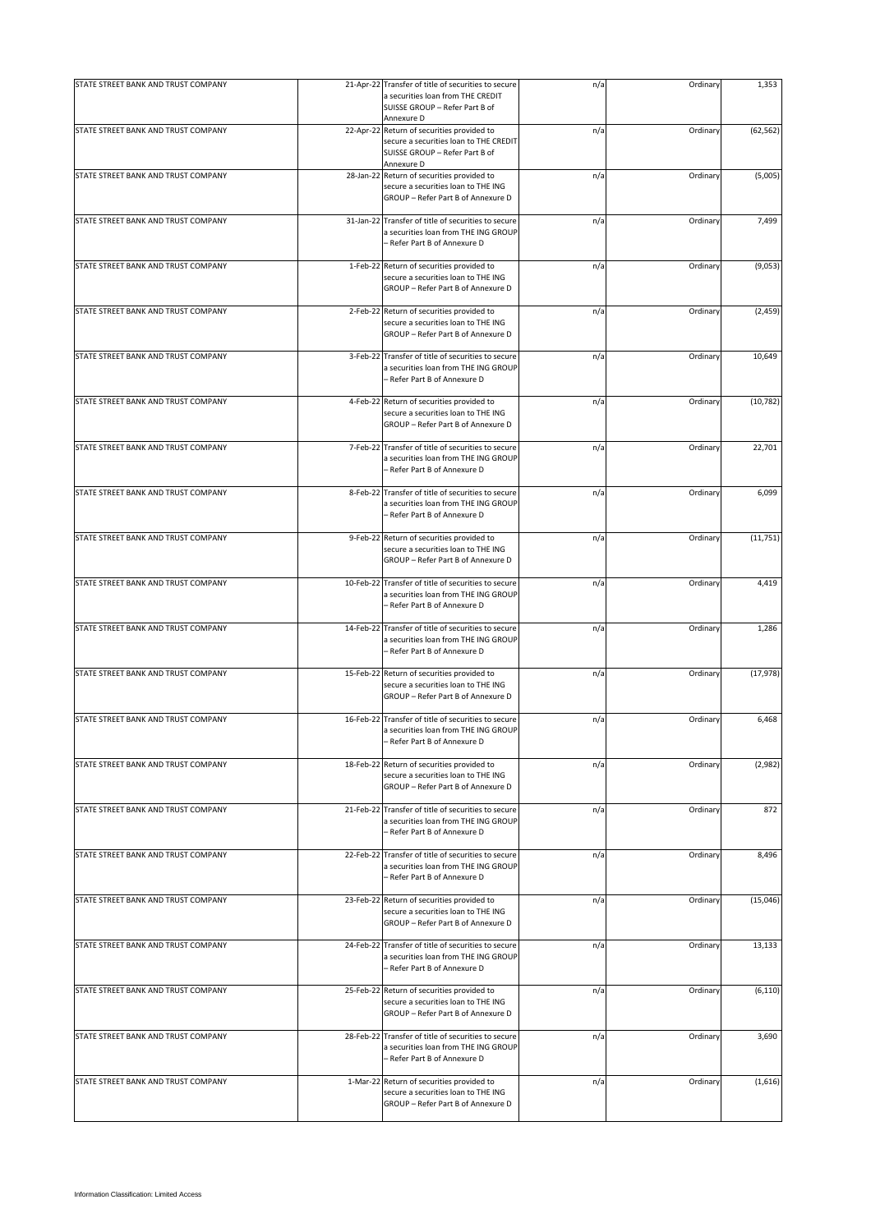| STATE STREET BANK AND TRUST COMPANY |           | 21-Apr-22 Transfer of title of securities to secure                                                                                  |     |          |           |
|-------------------------------------|-----------|--------------------------------------------------------------------------------------------------------------------------------------|-----|----------|-----------|
|                                     |           | a securities loan from THE CREDIT<br>SUISSE GROUP - Refer Part B of<br>Annexure D                                                    | n/a | Ordinary | 1,353     |
| STATE STREET BANK AND TRUST COMPANY |           | 22-Apr-22 Return of securities provided to<br>secure a securities loan to THE CREDIT<br>SUISSE GROUP - Refer Part B of<br>Annexure D | n/a | Ordinary | (62, 562) |
| STATE STREET BANK AND TRUST COMPANY | 28-Jan-22 | Return of securities provided to<br>secure a securities loan to THE ING<br>GROUP - Refer Part B of Annexure D                        | n/a | Ordinary | (5,005)   |
| STATE STREET BANK AND TRUST COMPANY | 31-Jan-22 | Transfer of title of securities to secure<br>a securities loan from THE ING GROUP<br>– Refer Part B of Annexure D                    | n/a | Ordinary | 7,499     |
| STATE STREET BANK AND TRUST COMPANY |           | 1-Feb-22 Return of securities provided to<br>secure a securities loan to THE ING<br>GROUP - Refer Part B of Annexure D               | n/a | Ordinary | (9,053)   |
| STATE STREET BANK AND TRUST COMPANY | 2-Feb-22  | Return of securities provided to<br>secure a securities loan to THE ING<br>GROUP - Refer Part B of Annexure D                        | n/a | Ordinary | (2, 459)  |
| STATE STREET BANK AND TRUST COMPANY | 3-Feb-22  | Transfer of title of securities to secure<br>a securities loan from THE ING GROUP<br>- Refer Part B of Annexure D                    | n/a | Ordinary | 10,649    |
| STATE STREET BANK AND TRUST COMPANY |           | 4-Feb-22 Return of securities provided to<br>secure a securities loan to THE ING<br>GROUP - Refer Part B of Annexure D               | n/a | Ordinary | (10, 782) |
| STATE STREET BANK AND TRUST COMPANY | 7-Feb-22  | Transfer of title of securities to secure<br>a securities loan from THE ING GROUP<br>- Refer Part B of Annexure D                    | n/a | Ordinary | 22,701    |
| STATE STREET BANK AND TRUST COMPANY | 8-Feb-22  | Transfer of title of securities to secure<br>a securities loan from THE ING GROUP<br>- Refer Part B of Annexure D                    | n/a | Ordinary | 6,099     |
| STATE STREET BANK AND TRUST COMPANY |           | 9-Feb-22 Return of securities provided to<br>secure a securities loan to THE ING<br>GROUP - Refer Part B of Annexure D               | n/a | Ordinary | (11, 751) |
| STATE STREET BANK AND TRUST COMPANY |           | 10-Feb-22 Transfer of title of securities to secure<br>a securities loan from THE ING GROUP<br>– Refer Part B of Annexure D          | n/a | Ordinary | 4,419     |
| STATE STREET BANK AND TRUST COMPANY | 14-Feb-22 | Transfer of title of securities to secure<br>a securities loan from THE ING GROUP<br>- Refer Part B of Annexure D                    | n/a | Ordinary | 1,286     |
| STATE STREET BANK AND TRUST COMPANY |           | 15-Feb-22 Return of securities provided to<br>secure a securities loan to THE ING<br>GROUP - Refer Part B of Annexure D              | n/a | Ordinary | (17, 978) |
| STATE STREET BANK AND TRUST COMPANY |           | 16-Feb-22 Transfer of title of securities to secure<br>a securities loan from THE ING GROUP<br>- Refer Part B of Annexure D          | n/a | Ordinary | 6,468     |
| STATE STREET BANK AND TRUST COMPANY | 18-Feb-22 | Return of securities provided to<br>secure a securities loan to THE ING<br>GROUP - Refer Part B of Annexure D                        | n/a | Ordinary | (2,982)   |
| STATE STREET BANK AND TRUST COMPANY | 21-Feb-22 | Transfer of title of securities to secure<br>a securities loan from THE ING GROUP<br>- Refer Part B of Annexure D                    | n/a | Ordinary | 872       |
| STATE STREET BANK AND TRUST COMPANY |           | 22-Feb-22 Transfer of title of securities to secure<br>a securities loan from THE ING GROUP<br>– Refer Part B of Annexure D          | n/a | Ordinary | 8,496     |
| STATE STREET BANK AND TRUST COMPANY | 23-Feb-22 | Return of securities provided to<br>secure a securities loan to THE ING<br>GROUP - Refer Part B of Annexure D                        | n/a | Ordinary | (15,046)  |
| STATE STREET BANK AND TRUST COMPANY |           | 24-Feb-22 Transfer of title of securities to secure<br>a securities loan from THE ING GROUP<br>- Refer Part B of Annexure D          | n/a | Ordinary | 13,133    |
| STATE STREET BANK AND TRUST COMPANY |           | 25-Feb-22 Return of securities provided to<br>secure a securities loan to THE ING<br>GROUP - Refer Part B of Annexure D              | n/a | Ordinary | (6, 110)  |
| STATE STREET BANK AND TRUST COMPANY |           | 28-Feb-22 Transfer of title of securities to secure<br>a securities loan from THE ING GROUP<br>- Refer Part B of Annexure D          | n/a | Ordinary | 3,690     |
| STATE STREET BANK AND TRUST COMPANY |           | 1-Mar-22 Return of securities provided to<br>secure a securities loan to THE ING<br>GROUP - Refer Part B of Annexure D               | n/a | Ordinary | (1,616)   |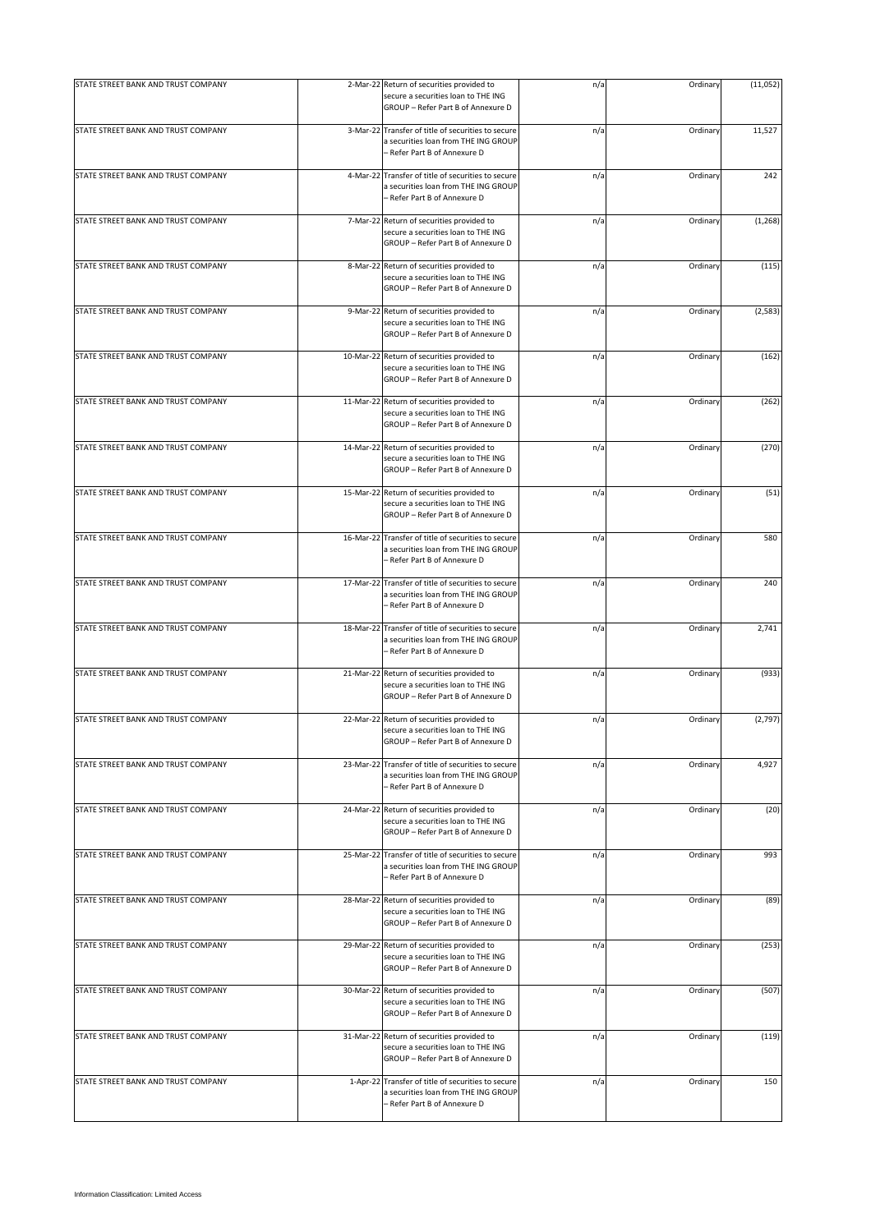| STATE STREET BANK AND TRUST COMPANY |           | 2-Mar-22 Return of securities provided to                                                                                   | n/a | Ordinary | (11,052) |
|-------------------------------------|-----------|-----------------------------------------------------------------------------------------------------------------------------|-----|----------|----------|
|                                     |           | secure a securities loan to THE ING<br>GROUP - Refer Part B of Annexure D                                                   |     |          |          |
| STATE STREET BANK AND TRUST COMPANY |           | 3-Mar-22 Transfer of title of securities to secure<br>a securities loan from THE ING GROUP<br>- Refer Part B of Annexure D  | n/a | Ordinary | 11,527   |
| STATE STREET BANK AND TRUST COMPANY |           | 4-Mar-22 Transfer of title of securities to secure<br>a securities loan from THE ING GROUP<br>- Refer Part B of Annexure D  | n/a | Ordinary | 242      |
| STATE STREET BANK AND TRUST COMPANY |           | 7-Mar-22 Return of securities provided to<br>secure a securities loan to THE ING<br>GROUP - Refer Part B of Annexure D      | n/a | Ordinary | (1, 268) |
| STATE STREET BANK AND TRUST COMPANY |           | 8-Mar-22 Return of securities provided to<br>secure a securities loan to THE ING<br>GROUP - Refer Part B of Annexure D      | n/a | Ordinary | (115)    |
| STATE STREET BANK AND TRUST COMPANY |           | 9-Mar-22 Return of securities provided to<br>secure a securities loan to THE ING<br>GROUP - Refer Part B of Annexure D      | n/a | Ordinary | (2, 583) |
| STATE STREET BANK AND TRUST COMPANY |           | 10-Mar-22 Return of securities provided to<br>secure a securities loan to THE ING<br>GROUP - Refer Part B of Annexure D     | n/a | Ordinary | (162)    |
| STATE STREET BANK AND TRUST COMPANY |           | 11-Mar-22 Return of securities provided to<br>secure a securities loan to THE ING<br>GROUP - Refer Part B of Annexure D     | n/a | Ordinary | (262)    |
| STATE STREET BANK AND TRUST COMPANY |           | 14-Mar-22 Return of securities provided to<br>secure a securities loan to THE ING<br>GROUP - Refer Part B of Annexure D     | n/a | Ordinary | (270)    |
| STATE STREET BANK AND TRUST COMPANY |           | 15-Mar-22 Return of securities provided to<br>secure a securities loan to THE ING<br>GROUP - Refer Part B of Annexure D     | n/a | Ordinary | (51)     |
| STATE STREET BANK AND TRUST COMPANY | 16-Mar-22 | Transfer of title of securities to secure<br>a securities loan from THE ING GROUP<br>- Refer Part B of Annexure D           | n/a | Ordinary | 580      |
| STATE STREET BANK AND TRUST COMPANY |           | 17-Mar-22 Transfer of title of securities to secure<br>a securities loan from THE ING GROUP<br>- Refer Part B of Annexure D | n/a | Ordinary | 240      |
| STATE STREET BANK AND TRUST COMPANY |           | 18-Mar-22 Transfer of title of securities to secure<br>a securities loan from THE ING GROUP<br>- Refer Part B of Annexure D | n/a | Ordinary | 2,741    |
| STATE STREET BANK AND TRUST COMPANY |           | 21-Mar-22 Return of securities provided to<br>secure a securities loan to THE ING<br>GROUP - Refer Part B of Annexure D     | n/a | Ordinary | (933)    |
| STATE STREET BANK AND TRUST COMPANY |           | 22-Mar-22 Return of securities provided to<br>secure a securities loan to THE ING<br>GROUP - Refer Part B of Annexure D     | n/a | Ordinary | (2,797)  |
| STATE STREET BANK AND TRUST COMPANY |           | 23-Mar-22 Transfer of title of securities to secure<br>a securities loan from THE ING GROUP<br>- Refer Part B of Annexure D | n/a | Ordinary | 4,927    |
| STATE STREET BANK AND TRUST COMPANY |           | 24-Mar-22 Return of securities provided to<br>secure a securities loan to THE ING<br>GROUP - Refer Part B of Annexure D     | n/a | Ordinary | (20)     |
| STATE STREET BANK AND TRUST COMPANY |           | 25-Mar-22 Transfer of title of securities to secure<br>a securities loan from THE ING GROUP<br>- Refer Part B of Annexure D | n/a | Ordinary | 993      |
| STATE STREET BANK AND TRUST COMPANY |           | 28-Mar-22 Return of securities provided to<br>secure a securities loan to THE ING<br>GROUP - Refer Part B of Annexure D     | n/a | Ordinary | (89)     |
| STATE STREET BANK AND TRUST COMPANY |           | 29-Mar-22 Return of securities provided to<br>secure a securities loan to THE ING<br>GROUP - Refer Part B of Annexure D     | n/a | Ordinary | (253)    |
| STATE STREET BANK AND TRUST COMPANY |           | 30-Mar-22 Return of securities provided to<br>secure a securities loan to THE ING<br>GROUP - Refer Part B of Annexure D     | n/a | Ordinary | (507)    |
| STATE STREET BANK AND TRUST COMPANY |           | 31-Mar-22 Return of securities provided to<br>secure a securities loan to THE ING<br>GROUP - Refer Part B of Annexure D     | n/a | Ordinary | (119)    |
| STATE STREET BANK AND TRUST COMPANY |           | 1-Apr-22 Transfer of title of securities to secure<br>a securities loan from THE ING GROUP<br>Refer Part B of Annexure D    | n/a | Ordinary | 150      |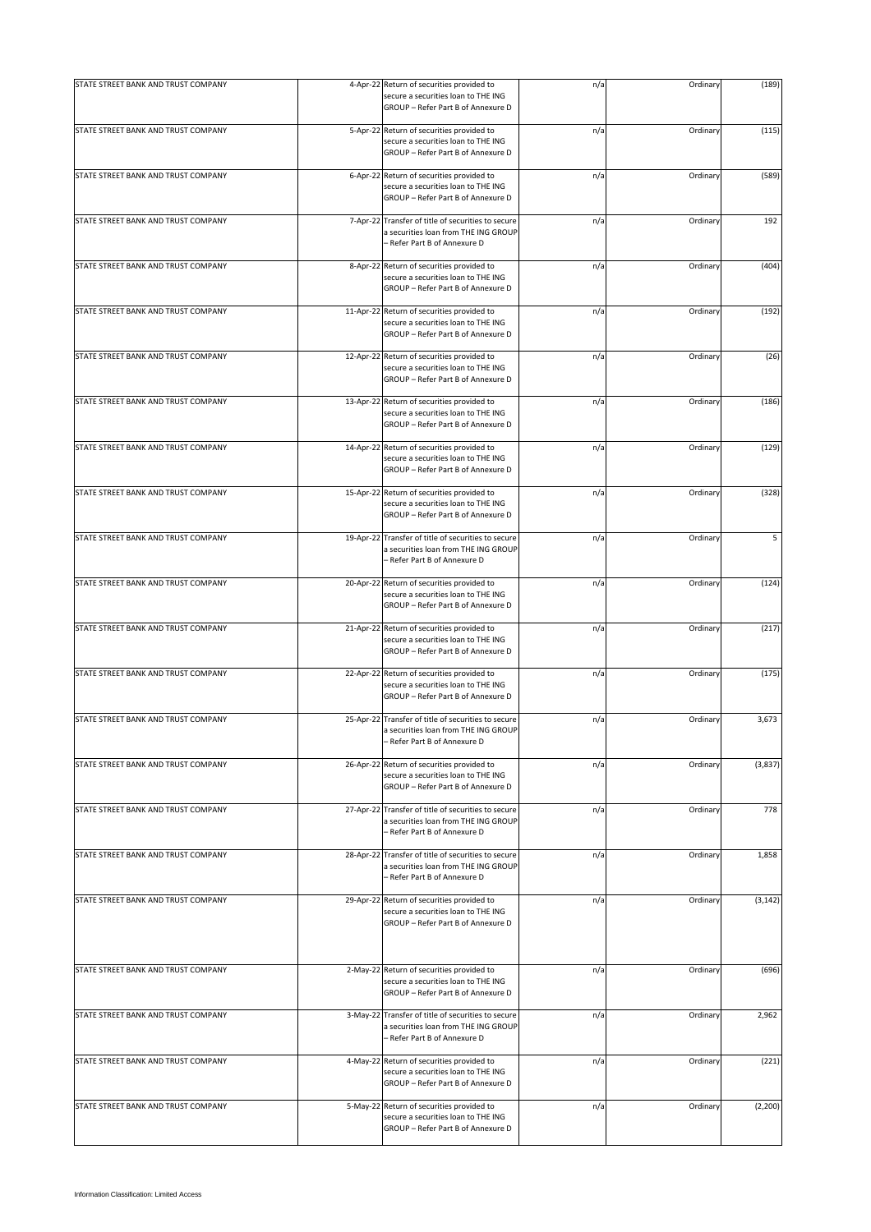| STATE STREET BANK AND TRUST COMPANY |                | 4-Apr-22 Return of securities provided to                                                                                   | n/a | Ordinary | (189)    |
|-------------------------------------|----------------|-----------------------------------------------------------------------------------------------------------------------------|-----|----------|----------|
|                                     |                | secure a securities loan to THE ING<br>GROUP - Refer Part B of Annexure D                                                   |     |          |          |
| STATE STREET BANK AND TRUST COMPANY |                | 5-Apr-22 Return of securities provided to<br>secure a securities loan to THE ING<br>GROUP - Refer Part B of Annexure D      | n/a | Ordinary | (115)    |
| STATE STREET BANK AND TRUST COMPANY | $6 - Apr - 22$ | Return of securities provided to<br>secure a securities loan to THE ING<br>GROUP - Refer Part B of Annexure D               | n/a | Ordinary | (589)    |
| STATE STREET BANK AND TRUST COMPANY | 7-Apr-22       | Transfer of title of securities to secure<br>a securities loan from THE ING GROUP<br>– Refer Part B of Annexure D           | n/a | Ordinary | 192      |
| STATE STREET BANK AND TRUST COMPANY |                | 8-Apr-22 Return of securities provided to<br>secure a securities loan to THE ING<br>GROUP - Refer Part B of Annexure D      | n/a | Ordinary | (404)    |
| STATE STREET BANK AND TRUST COMPANY | 11-Apr-22      | Return of securities provided to<br>secure a securities loan to THE ING<br>GROUP - Refer Part B of Annexure D               | n/a | Ordinary | (192)    |
| STATE STREET BANK AND TRUST COMPANY |                | 12-Apr-22 Return of securities provided to<br>secure a securities loan to THE ING<br>GROUP - Refer Part B of Annexure D     | n/a | Ordinary | (26)     |
| STATE STREET BANK AND TRUST COMPANY |                | 13-Apr-22 Return of securities provided to<br>secure a securities loan to THE ING<br>GROUP - Refer Part B of Annexure D     | n/a | Ordinary | (186)    |
| STATE STREET BANK AND TRUST COMPANY |                | 14-Apr-22 Return of securities provided to<br>secure a securities loan to THE ING<br>GROUP - Refer Part B of Annexure D     | n/a | Ordinary | (129)    |
| STATE STREET BANK AND TRUST COMPANY |                | 15-Apr-22 Return of securities provided to<br>secure a securities loan to THE ING<br>GROUP - Refer Part B of Annexure D     | n/a | Ordinary | (328)    |
| STATE STREET BANK AND TRUST COMPANY |                | 19-Apr-22 Transfer of title of securities to secure<br>a securities loan from THE ING GROUP<br>- Refer Part B of Annexure D | n/a | Ordinary | 5        |
| STATE STREET BANK AND TRUST COMPANY |                | 20-Apr-22 Return of securities provided to<br>secure a securities loan to THE ING<br>GROUP - Refer Part B of Annexure D     | n/a | Ordinary | (124)    |
| STATE STREET BANK AND TRUST COMPANY |                | 21-Apr-22 Return of securities provided to<br>secure a securities loan to THE ING<br>GROUP - Refer Part B of Annexure D     | n/a | Ordinary | (217)    |
| STATE STREET BANK AND TRUST COMPANY |                | 22-Apr-22 Return of securities provided to<br>secure a securities loan to THE ING<br>GROUP - Refer Part B of Annexure D     | n/a | Ordinary | (175)    |
| STATE STREET BANK AND TRUST COMPANY |                | 25-Apr-22 Transfer of title of securities to secure<br>a securities loan from THE ING GROUP<br>- Refer Part B of Annexure D | n/a | Ordinary | 3,673    |
| STATE STREET BANK AND TRUST COMPANY | 26-Apr-22      | Return of securities provided to<br>secure a securities loan to THE ING<br>GROUP - Refer Part B of Annexure D               | n/a | Ordinary | (3,837)  |
| STATE STREET BANK AND TRUST COMPANY | 27-Apr-22      | Transfer of title of securities to secure<br>a securities loan from THE ING GROUP<br>- Refer Part B of Annexure D           | n/a | Ordinary | 778      |
| STATE STREET BANK AND TRUST COMPANY |                | 28-Apr-22 Transfer of title of securities to secure<br>a securities loan from THE ING GROUP<br>- Refer Part B of Annexure D | n/a | Ordinary | 1,858    |
| STATE STREET BANK AND TRUST COMPANY |                | 29-Apr-22 Return of securities provided to<br>secure a securities loan to THE ING<br>GROUP - Refer Part B of Annexure D     | n/a | Ordinary | (3, 142) |
| STATE STREET BANK AND TRUST COMPANY |                | 2-May-22 Return of securities provided to<br>secure a securities loan to THE ING<br>GROUP - Refer Part B of Annexure D      | n/a | Ordinary | (696)    |
| STATE STREET BANK AND TRUST COMPANY |                | 3-May-22 Transfer of title of securities to secure<br>a securities loan from THE ING GROUP<br>- Refer Part B of Annexure D  | n/a | Ordinary | 2,962    |
| STATE STREET BANK AND TRUST COMPANY |                | 4-May-22 Return of securities provided to<br>secure a securities loan to THE ING<br>GROUP - Refer Part B of Annexure D      | n/a | Ordinary | (221)    |
| STATE STREET BANK AND TRUST COMPANY |                | 5-May-22 Return of securities provided to<br>secure a securities loan to THE ING<br>GROUP - Refer Part B of Annexure D      | n/a | Ordinary | (2, 200) |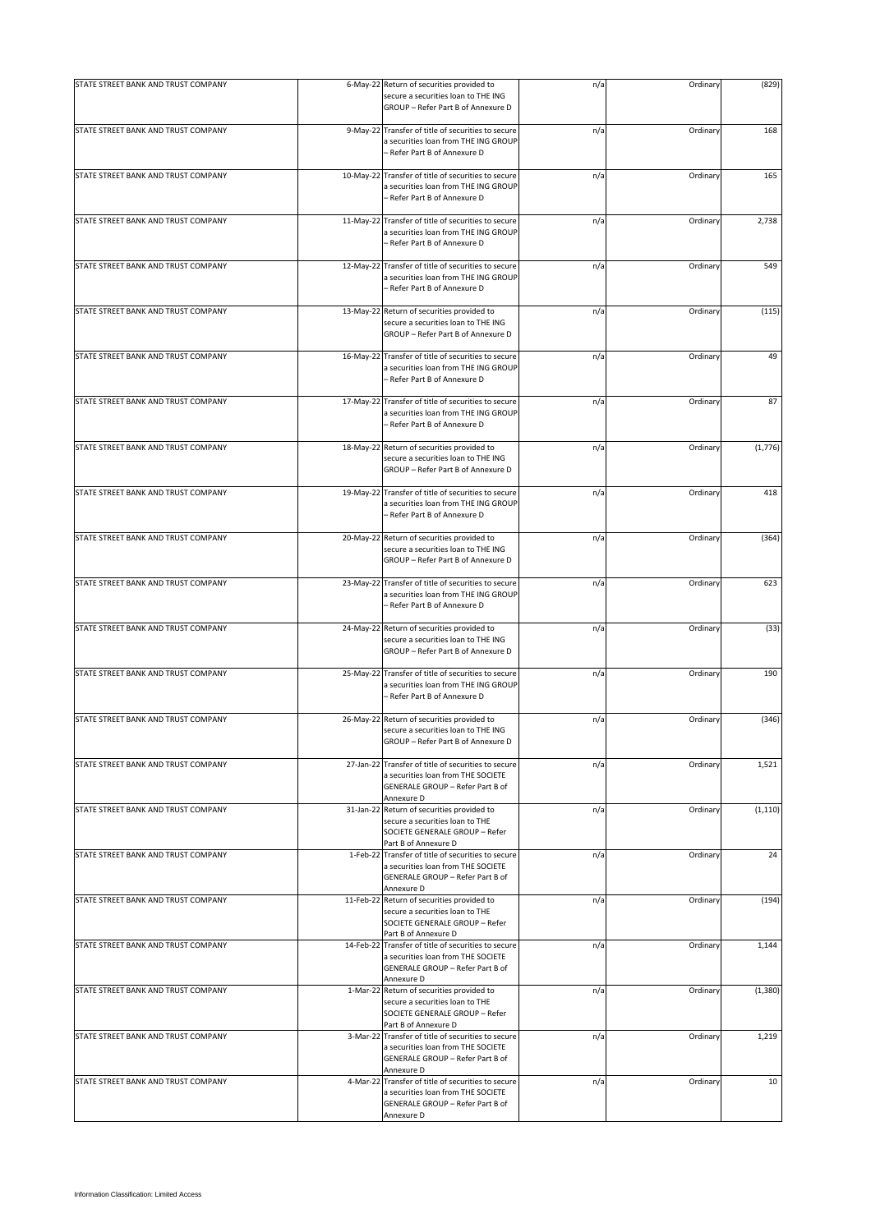| STATE STREET BANK AND TRUST COMPANY |           | 6-May-22 Return of securities provided to<br>secure a securities loan to THE ING<br>GROUP - Refer Part B of Annexure D                      | n/a | Ordinary | (829)    |
|-------------------------------------|-----------|---------------------------------------------------------------------------------------------------------------------------------------------|-----|----------|----------|
| STATE STREET BANK AND TRUST COMPANY |           | 9-May-22 Transfer of title of securities to secure<br>a securities loan from THE ING GROUP<br>- Refer Part B of Annexure D                  | n/a | Ordinary | 168      |
| STATE STREET BANK AND TRUST COMPANY |           | 10-May-22 Transfer of title of securities to secure<br>a securities loan from THE ING GROUP<br>- Refer Part B of Annexure D                 | n/a | Ordinary | 165      |
| STATE STREET BANK AND TRUST COMPANY |           | 11-May-22 Transfer of title of securities to secure<br>a securities loan from THE ING GROUP<br>- Refer Part B of Annexure D                 | n/a | Ordinary | 2,738    |
| STATE STREET BANK AND TRUST COMPANY |           | 12-May-22 Transfer of title of securities to secure<br>a securities loan from THE ING GROUP<br>- Refer Part B of Annexure D                 | n/a | Ordinary | 549      |
| STATE STREET BANK AND TRUST COMPANY |           | 13-May-22 Return of securities provided to<br>secure a securities loan to THE ING<br>GROUP - Refer Part B of Annexure D                     | n/a | Ordinary | (115)    |
| STATE STREET BANK AND TRUST COMPANY |           | 16-May-22 Transfer of title of securities to secure<br>a securities loan from THE ING GROUP<br>– Refer Part B of Annexure D                 | n/a | Ordinary | 49       |
| STATE STREET BANK AND TRUST COMPANY |           | 17-May-22 Transfer of title of securities to secure<br>a securities loan from THE ING GROUP<br>- Refer Part B of Annexure D                 | n/a | Ordinary | 87       |
| STATE STREET BANK AND TRUST COMPANY |           | 18-May-22 Return of securities provided to<br>secure a securities loan to THE ING<br>GROUP - Refer Part B of Annexure D                     | n/a | Ordinary | (1,776)  |
| STATE STREET BANK AND TRUST COMPANY | 19-May-22 | Transfer of title of securities to secure<br>a securities loan from THE ING GROUP<br>- Refer Part B of Annexure D                           | n/a | Ordinary | 418      |
| STATE STREET BANK AND TRUST COMPANY |           | 20-May-22 Return of securities provided to<br>secure a securities loan to THE ING<br>GROUP - Refer Part B of Annexure D                     | n/a | Ordinary | (364)    |
| STATE STREET BANK AND TRUST COMPANY |           | 23-May-22 Transfer of title of securities to secure<br>a securities loan from THE ING GROUP<br>- Refer Part B of Annexure D                 | n/a | Ordinary | 623      |
| STATE STREET BANK AND TRUST COMPANY |           | 24-May-22 Return of securities provided to<br>secure a securities loan to THE ING<br>GROUP - Refer Part B of Annexure D                     | n/a | Ordinary | (33)     |
| STATE STREET BANK AND TRUST COMPANY |           | 25-May-22 Transfer of title of securities to secure<br>a securities loan from THE ING GROUP<br>– Refer Part B of Annexure D                 | n/a | Ordinary | 190      |
| STATE STREET BANK AND TRUST COMPANY |           | 26-May-22 Return of securities provided to<br>secure a securities loan to THE ING<br>GROUP - Refer Part B of Annexure D                     | n/a | Ordinary | (346)    |
| STATE STREET BANK AND TRUST COMPANY |           | 27-Jan-22 Transfer of title of securities to secure<br>a securities loan from THE SOCIETE<br>GENERALE GROUP - Refer Part B of<br>Annexure D | n/a | Ordinary | 1,521    |
| STATE STREET BANK AND TRUST COMPANY |           | 31-Jan-22 Return of securities provided to<br>secure a securities loan to THE<br>SOCIETE GENERALE GROUP - Refer<br>Part B of Annexure D     | n/a | Ordinary | (1, 110) |
| STATE STREET BANK AND TRUST COMPANY |           | 1-Feb-22 Transfer of title of securities to secure<br>a securities loan from THE SOCIETE<br>GENERALE GROUP - Refer Part B of<br>Annexure D  | n/a | Ordinary | 24       |
| STATE STREET BANK AND TRUST COMPANY |           | 11-Feb-22 Return of securities provided to<br>secure a securities loan to THE<br>SOCIETE GENERALE GROUP - Refer<br>Part B of Annexure D     | n/a | Ordinary | (194)    |
| STATE STREET BANK AND TRUST COMPANY |           | 14-Feb-22 Transfer of title of securities to secure<br>a securities loan from THE SOCIETE<br>GENERALE GROUP - Refer Part B of<br>Annexure D | n/a | Ordinary | 1,144    |
| STATE STREET BANK AND TRUST COMPANY |           | 1-Mar-22 Return of securities provided to<br>secure a securities loan to THE<br>SOCIETE GENERALE GROUP - Refer<br>Part B of Annexure D      | n/a | Ordinary | (1,380)  |
| STATE STREET BANK AND TRUST COMPANY |           | 3-Mar-22 Transfer of title of securities to secure<br>a securities loan from THE SOCIETE<br>GENERALE GROUP - Refer Part B of<br>Annexure D  | n/a | Ordinary | 1,219    |
| STATE STREET BANK AND TRUST COMPANY |           | 4-Mar-22 Transfer of title of securities to secure<br>a securities loan from THE SOCIETE<br>GENERALE GROUP - Refer Part B of<br>Annexure D  | n/a | Ordinary | 10       |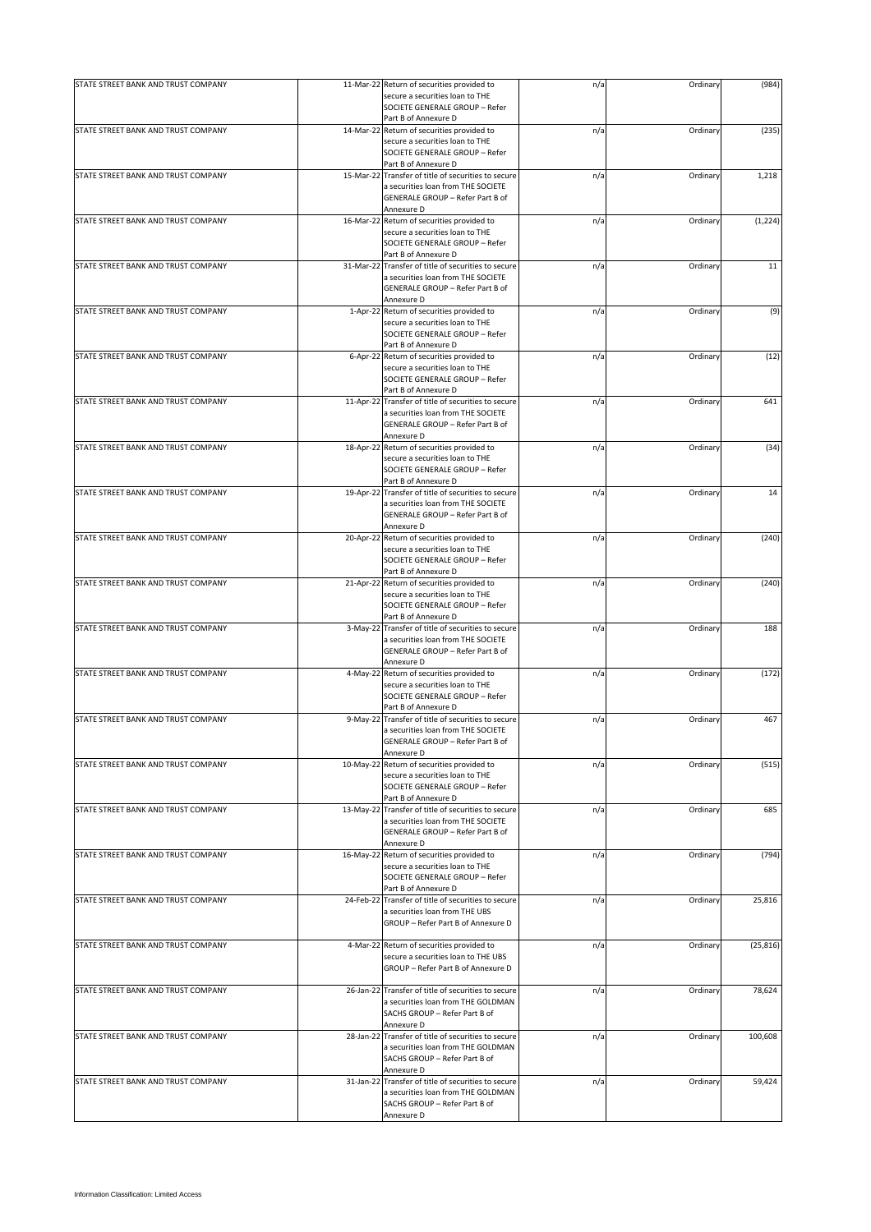| STATE STREET BANK AND TRUST COMPANY | 11-Mar-22 Return of securities provided to                                                                                                 | n/a | Ordinary | (984)     |
|-------------------------------------|--------------------------------------------------------------------------------------------------------------------------------------------|-----|----------|-----------|
|                                     | secure a securities loan to THE<br>SOCIETE GENERALE GROUP - Refer                                                                          |     |          |           |
|                                     | Part B of Annexure D                                                                                                                       |     |          |           |
| STATE STREET BANK AND TRUST COMPANY | 14-Mar-22 Return of securities provided to<br>secure a securities loan to THE<br>SOCIETE GENERALE GROUP - Refer                            | n/a | Ordinary | (235)     |
|                                     | Part B of Annexure D                                                                                                                       |     |          |           |
| STATE STREET BANK AND TRUST COMPANY | 15-Mar-22 Transfer of title of securities to secure<br>a securities loan from THE SOCIETE<br>GENERALE GROUP - Refer Part B of              | n/a | Ordinary | 1,218     |
|                                     | Annexure D                                                                                                                                 |     |          |           |
| STATE STREET BANK AND TRUST COMPANY | 16-Mar-22 Return of securities provided to                                                                                                 | n/a | Ordinary | (1, 224)  |
|                                     | secure a securities loan to THE<br>SOCIETE GENERALE GROUP - Refer<br>Part B of Annexure D                                                  |     |          |           |
| STATE STREET BANK AND TRUST COMPANY | 31-Mar-22 Transfer of title of securities to secure                                                                                        | n/a | Ordinary | 11        |
|                                     | a securities loan from THE SOCIETE<br>GENERALE GROUP - Refer Part B of<br>Annexure D                                                       |     |          |           |
| STATE STREET BANK AND TRUST COMPANY | 1-Apr-22 Return of securities provided to                                                                                                  | n/a | Ordinary | (9)       |
|                                     | secure a securities loan to THE<br>SOCIETE GENERALE GROUP - Refer<br>Part B of Annexure D                                                  |     |          |           |
| STATE STREET BANK AND TRUST COMPANY | 6-Apr-22 Return of securities provided to                                                                                                  | n/a | Ordinary | (12)      |
|                                     | secure a securities loan to THE                                                                                                            |     |          |           |
|                                     | SOCIETE GENERALE GROUP - Refer                                                                                                             |     |          |           |
| STATE STREET BANK AND TRUST COMPANY | Part B of Annexure D<br>11-Apr-22 Transfer of title of securities to secure                                                                | n/a | Ordinary | 641       |
|                                     | a securities loan from THE SOCIETE<br>GENERALE GROUP - Refer Part B of<br>Annexure D                                                       |     |          |           |
| STATE STREET BANK AND TRUST COMPANY | 18-Apr-22 Return of securities provided to                                                                                                 | n/a | Ordinary | (34)      |
|                                     | secure a securities loan to THE<br>SOCIETE GENERALE GROUP - Refer<br>Part B of Annexure D                                                  |     |          |           |
| STATE STREET BANK AND TRUST COMPANY | 19-Apr-22 Transfer of title of securities to secure                                                                                        | n/a | Ordinary | 14        |
|                                     | a securities loan from THE SOCIETE<br>GENERALE GROUP - Refer Part B of<br>Annexure D                                                       |     |          |           |
| STATE STREET BANK AND TRUST COMPANY | 20-Apr-22 Return of securities provided to                                                                                                 | n/a | Ordinary | (240)     |
|                                     | secure a securities loan to THE<br>SOCIETE GENERALE GROUP - Refer                                                                          |     |          |           |
| STATE STREET BANK AND TRUST COMPANY | Part B of Annexure D<br>21-Apr-22 Return of securities provided to                                                                         | n/a | Ordinary | (240)     |
|                                     | secure a securities loan to THE<br>SOCIETE GENERALE GROUP - Refer<br>Part B of Annexure D                                                  |     |          |           |
| STATE STREET BANK AND TRUST COMPANY | 3-May-22 Transfer of title of securities to secure<br>a securities loan from THE SOCIETE<br>GENERALE GROUP - Refer Part B of<br>Annexure D | n/a | Ordinary | 188       |
| STATE STREET BANK AND TRUST COMPANY | 4-May-22 Return of securities provided to                                                                                                  | n/a | Ordinary | (172)     |
|                                     | secure a securities loan to THE<br>SOCIETE GENERALE GROUP - Refer<br>Part B of Annexure D                                                  |     |          |           |
| STATE STREET BANK AND TRUST COMPANY | 9-May-22 Transfer of title of securities to secure                                                                                         | n/a | Ordinary | 467       |
|                                     | a securities loan from THE SOCIETE<br>GENERALE GROUP - Refer Part B of<br>Annexure D                                                       |     |          |           |
| STATE STREET BANK AND TRUST COMPANY | 10-May-22 Return of securities provided to                                                                                                 | n/a | Ordinary | (515)     |
|                                     | secure a securities loan to THE<br>SOCIETE GENERALE GROUP - Refer<br>Part B of Annexure D                                                  |     |          |           |
| STATE STREET BANK AND TRUST COMPANY | 13-May-22 Transfer of title of securities to secure                                                                                        | n/a | Ordinary | 685       |
|                                     | a securities loan from THE SOCIETE<br>GENERALE GROUP - Refer Part B of<br>Annexure D                                                       |     |          |           |
| STATE STREET BANK AND TRUST COMPANY | 16-May-22 Return of securities provided to                                                                                                 | n/a | Ordinary | (794)     |
|                                     | secure a securities loan to THE<br>SOCIETE GENERALE GROUP - Refer<br>Part B of Annexure D                                                  |     |          |           |
| STATE STREET BANK AND TRUST COMPANY | 24-Feb-22 Transfer of title of securities to secure                                                                                        | n/a | Ordinary | 25,816    |
|                                     | a securities loan from THE UBS<br>GROUP - Refer Part B of Annexure D                                                                       |     |          |           |
| STATE STREET BANK AND TRUST COMPANY | 4-Mar-22 Return of securities provided to                                                                                                  | n/a | Ordinary | (25, 816) |
|                                     | secure a securities loan to THE UBS<br>GROUP - Refer Part B of Annexure D                                                                  |     |          |           |
| STATE STREET BANK AND TRUST COMPANY | 26-Jan-22 Transfer of title of securities to secure<br>a securities loan from THE GOLDMAN<br>SACHS GROUP - Refer Part B of                 | n/a | Ordinary | 78,624    |
| STATE STREET BANK AND TRUST COMPANY | Annexure D<br>28-Jan-22 Transfer of title of securities to secure                                                                          | n/a | Ordinary | 100,608   |
|                                     | a securities loan from THE GOLDMAN<br>SACHS GROUP - Refer Part B of<br>Annexure D                                                          |     |          |           |
| STATE STREET BANK AND TRUST COMPANY | 31-Jan-22 Transfer of title of securities to secure                                                                                        | n/a | Ordinary | 59,424    |
|                                     | a securities loan from THE GOLDMAN<br>SACHS GROUP - Refer Part B of<br>Annexure D                                                          |     |          |           |
|                                     |                                                                                                                                            |     |          |           |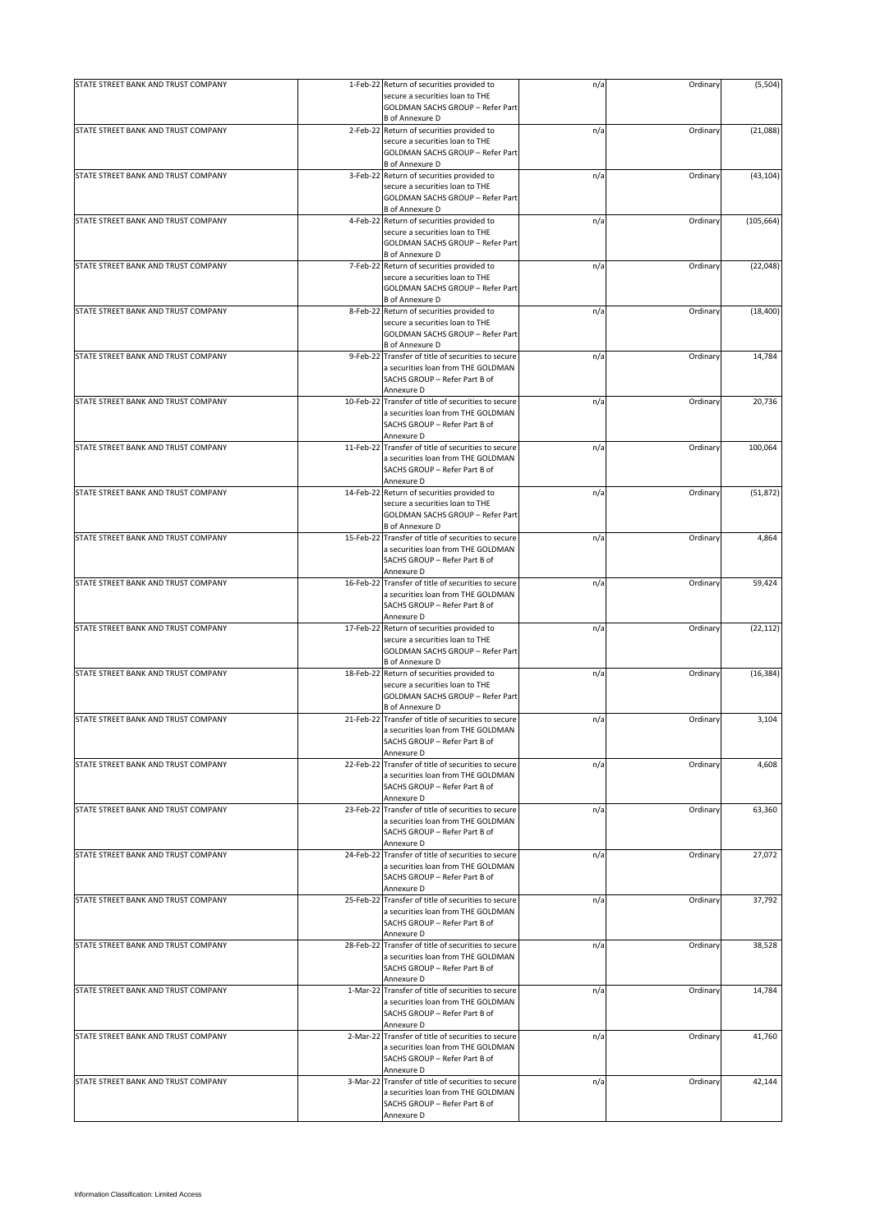| STATE STREET BANK AND TRUST COMPANY | 1-Feb-22 Return of securities provided to                                                                                                   | n/a | Ordinary | (5,504)    |
|-------------------------------------|---------------------------------------------------------------------------------------------------------------------------------------------|-----|----------|------------|
|                                     | secure a securities loan to THE<br>GOLDMAN SACHS GROUP - Refer Part                                                                         |     |          |            |
|                                     | <b>B</b> of Annexure D                                                                                                                      |     |          |            |
| STATE STREET BANK AND TRUST COMPANY | 2-Feb-22 Return of securities provided to<br>secure a securities loan to THE<br><b>GOLDMAN SACHS GROUP - Refer Part</b><br>B of Annexure D  | n/a | Ordinary | (21,088)   |
| STATE STREET BANK AND TRUST COMPANY | 3-Feb-22 Return of securities provided to<br>secure a securities loan to THE<br>GOLDMAN SACHS GROUP - Refer Part<br><b>B</b> of Annexure D  | n/a | Ordinary | (43, 104)  |
| STATE STREET BANK AND TRUST COMPANY | 4-Feb-22 Return of securities provided to                                                                                                   | n/a | Ordinary | (105, 664) |
|                                     | secure a securities loan to THE<br>GOLDMAN SACHS GROUP - Refer Part<br><b>B</b> of Annexure D                                               |     |          |            |
| STATE STREET BANK AND TRUST COMPANY | 7-Feb-22 Return of securities provided to<br>secure a securities loan to THE<br>GOLDMAN SACHS GROUP - Refer Part<br><b>B</b> of Annexure D  | n/a | Ordinary | (22, 048)  |
| STATE STREET BANK AND TRUST COMPANY | 8-Feb-22 Return of securities provided to<br>secure a securities loan to THE<br>GOLDMAN SACHS GROUP - Refer Part<br><b>B</b> of Annexure D  | n/a | Ordinary | (18, 400)  |
| STATE STREET BANK AND TRUST COMPANY | 9-Feb-22 Transfer of title of securities to secure<br>a securities loan from THE GOLDMAN<br>SACHS GROUP - Refer Part B of<br>Annexure D     | n/a | Ordinary | 14,784     |
| STATE STREET BANK AND TRUST COMPANY | 10-Feb-22 Transfer of title of securities to secure<br>a securities loan from THE GOLDMAN<br>SACHS GROUP - Refer Part B of<br>Annexure D    | n/a | Ordinary | 20,736     |
| STATE STREET BANK AND TRUST COMPANY | 11-Feb-22 Transfer of title of securities to secure<br>a securities loan from THE GOLDMAN<br>SACHS GROUP - Refer Part B of<br>Annexure D    | n/a | Ordinary | 100,064    |
| STATE STREET BANK AND TRUST COMPANY | 14-Feb-22 Return of securities provided to<br>secure a securities loan to THE<br>GOLDMAN SACHS GROUP - Refer Part<br><b>B</b> of Annexure D | n/a | Ordinary | (51, 872)  |
| STATE STREET BANK AND TRUST COMPANY | 15-Feb-22 Transfer of title of securities to secure<br>a securities loan from THE GOLDMAN<br>SACHS GROUP - Refer Part B of<br>Annexure D    | n/a | Ordinary | 4,864      |
| STATE STREET BANK AND TRUST COMPANY | 16-Feb-22 Transfer of title of securities to secure<br>a securities loan from THE GOLDMAN<br>SACHS GROUP - Refer Part B of<br>Annexure D    | n/a | Ordinary | 59,424     |
| STATE STREET BANK AND TRUST COMPANY | 17-Feb-22 Return of securities provided to<br>secure a securities loan to THE<br>GOLDMAN SACHS GROUP - Refer Part<br><b>B</b> of Annexure D | n/a | Ordinary | (22, 112)  |
| STATE STREET BANK AND TRUST COMPANY | 18-Feb-22 Return of securities provided to<br>secure a securities loan to THE<br>GOLDMAN SACHS GROUP - Refer Part<br><b>B</b> of Annexure D | n/a | Ordinary | (16, 384)  |
| STATE STREET BANK AND TRUST COMPANY | 21-Feb-22 Transfer of title of securities to secure<br>a securities loan from THE GOLDMAN<br>SACHS GROUP - Refer Part B of<br>Annexure D    | n/a | Ordinary | 3,104      |
| STATE STREET BANK AND TRUST COMPANY | 22-Feb-22 Transfer of title of securities to secure<br>a securities loan from THE GOLDMAN<br>SACHS GROUP - Refer Part B of<br>Annexure D    | n/a | Ordinary | 4,608      |
| STATE STREET BANK AND TRUST COMPANY | 23-Feb-22 Transfer of title of securities to secure<br>a securities loan from THE GOLDMAN<br>SACHS GROUP - Refer Part B of<br>Annexure D    | n/a | Ordinary | 63,360     |
| STATE STREET BANK AND TRUST COMPANY | 24-Feb-22 Transfer of title of securities to secure<br>a securities loan from THE GOLDMAN<br>SACHS GROUP - Refer Part B of<br>Annexure D    | n/a | Ordinary | 27,072     |
| STATE STREET BANK AND TRUST COMPANY | 25-Feb-22 Transfer of title of securities to secure<br>a securities loan from THE GOLDMAN<br>SACHS GROUP - Refer Part B of<br>Annexure D    | n/a | Ordinary | 37,792     |
| STATE STREET BANK AND TRUST COMPANY | 28-Feb-22 Transfer of title of securities to secure<br>a securities loan from THE GOLDMAN<br>SACHS GROUP - Refer Part B of<br>Annexure D    | n/a | Ordinary | 38,528     |
| STATE STREET BANK AND TRUST COMPANY | 1-Mar-22 Transfer of title of securities to secure<br>a securities loan from THE GOLDMAN<br>SACHS GROUP - Refer Part B of<br>Annexure D     | n/a | Ordinary | 14,784     |
| STATE STREET BANK AND TRUST COMPANY | 2-Mar-22 Transfer of title of securities to secure<br>a securities loan from THE GOLDMAN<br>SACHS GROUP - Refer Part B of<br>Annexure D     | n/a | Ordinary | 41,760     |
| STATE STREET BANK AND TRUST COMPANY | 3-Mar-22 Transfer of title of securities to secure<br>a securities loan from THE GOLDMAN<br>SACHS GROUP - Refer Part B of<br>Annexure D     | n/a | Ordinary | 42,144     |
|                                     |                                                                                                                                             |     |          |            |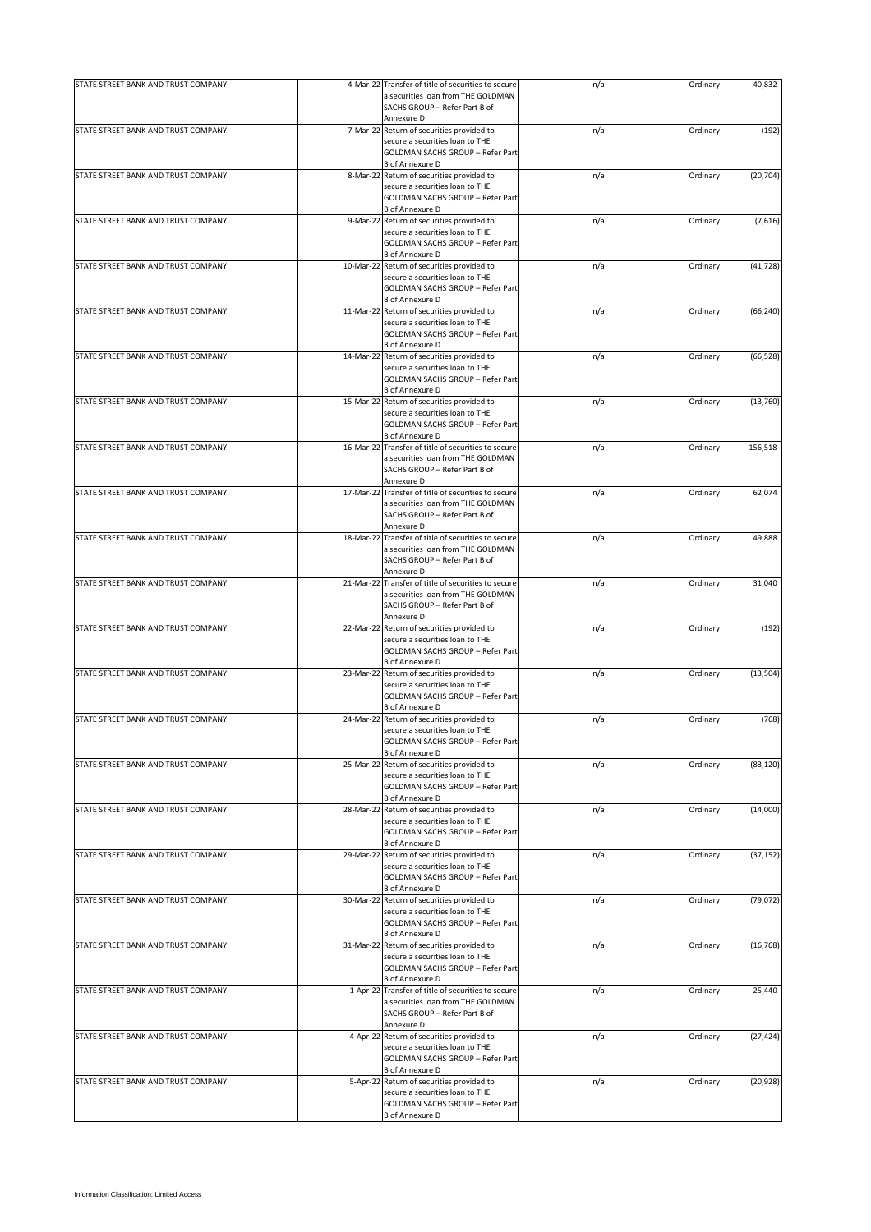| STATE STREET BANK AND TRUST COMPANY | 4-Mar-22  | Transfer of title of securities to secure<br>a securities loan from THE GOLDMAN<br>SACHS GROUP - Refer Part B of<br>Annexure D             | n/a | Ordinary | 40,832    |
|-------------------------------------|-----------|--------------------------------------------------------------------------------------------------------------------------------------------|-----|----------|-----------|
|                                     |           |                                                                                                                                            |     |          |           |
| STATE STREET BANK AND TRUST COMPANY |           | 7-Mar-22 Return of securities provided to<br>secure a securities loan to THE<br>GOLDMAN SACHS GROUP - Refer Part<br><b>B</b> of Annexure D | n/a | Ordinary | (192)     |
| STATE STREET BANK AND TRUST COMPANY |           | 8-Mar-22 Return of securities provided to                                                                                                  | n/a | Ordinary | (20, 704) |
|                                     |           | secure a securities loan to THE<br>GOLDMAN SACHS GROUP - Refer Part<br><b>B</b> of Annexure D                                              |     |          |           |
| STATE STREET BANK AND TRUST COMPANY |           | 9-Mar-22 Return of securities provided to                                                                                                  | n/a | Ordinary | (7,616)   |
|                                     |           | secure a securities loan to THE<br>GOLDMAN SACHS GROUP - Refer Part<br><b>B</b> of Annexure D                                              |     |          |           |
| STATE STREET BANK AND TRUST COMPANY |           | 10-Mar-22 Return of securities provided to<br>secure a securities loan to THE<br>GOLDMAN SACHS GROUP - Refer Part                          | n/a | Ordinary | (41, 728) |
|                                     |           | <b>B</b> of Annexure D                                                                                                                     |     |          |           |
| STATE STREET BANK AND TRUST COMPANY | 11-Mar-22 | Return of securities provided to<br>secure a securities loan to THE<br>GOLDMAN SACHS GROUP - Refer Part<br><b>B</b> of Annexure D          | n/a | Ordinary | (66, 240) |
| STATE STREET BANK AND TRUST COMPANY | 14-Mar-22 | Return of securities provided to                                                                                                           | n/a | Ordinary | (66, 528) |
|                                     |           | secure a securities loan to THE<br>GOLDMAN SACHS GROUP - Refer Part<br>B of Annexure D                                                     |     |          |           |
| STATE STREET BANK AND TRUST COMPANY |           | 15-Mar-22 Return of securities provided to                                                                                                 | n/a | Ordinary | (13, 760) |
|                                     |           | secure a securities loan to THE<br>GOLDMAN SACHS GROUP - Refer Part<br><b>B</b> of Annexure D                                              |     |          |           |
| STATE STREET BANK AND TRUST COMPANY | 16-Mar-22 | Transfer of title of securities to secure                                                                                                  | n/a | Ordinary | 156,518   |
|                                     |           | a securities loan from THE GOLDMAN<br>SACHS GROUP - Refer Part B of<br>Annexure D                                                          |     |          |           |
| STATE STREET BANK AND TRUST COMPANY |           | 17-Mar-22 Transfer of title of securities to secure                                                                                        | n/a | Ordinary | 62,074    |
|                                     |           | a securities loan from THE GOLDMAN<br>SACHS GROUP - Refer Part B of<br>Annexure D                                                          |     |          |           |
| STATE STREET BANK AND TRUST COMPANY |           | 18-Mar-22 Transfer of title of securities to secure                                                                                        | n/a | Ordinary | 49,888    |
|                                     |           | a securities loan from THE GOLDMAN<br>SACHS GROUP - Refer Part B of<br>Annexure D                                                          |     |          |           |
| STATE STREET BANK AND TRUST COMPANY | 21-Mar-22 | Transfer of title of securities to secure                                                                                                  | n/a | Ordinary | 31,040    |
|                                     |           | a securities loan from THE GOLDMAN<br>SACHS GROUP - Refer Part B of<br>Annexure D                                                          |     |          |           |
| STATE STREET BANK AND TRUST COMPANY | 22-Mar-22 | Return of securities provided to                                                                                                           | n/a | Ordinary | (192)     |
|                                     |           | secure a securities loan to THE<br>GOLDMAN SACHS GROUP - Refer Part<br><b>B</b> of Annexure D                                              |     |          |           |
| STATE STREET BANK AND TRUST COMPANY |           | 23-Mar-22 Return of securities provided to                                                                                                 | n/a | Ordinary | (13, 504) |
|                                     |           | secure a securities loan to THE<br>GOLDMAN SACHS GROUP - Refer Part<br><b>B</b> of Annexure D                                              |     |          |           |
| STATE STREET BANK AND TRUST COMPANY | 24-Mar-22 | Return of securities provided to                                                                                                           | n/a | Ordinary | (768)     |
|                                     |           | secure a securities loan to THE<br>GOLDMAN SACHS GROUP - Refer Part<br><b>B</b> of Annexure D                                              |     |          |           |
| STATE STREET BANK AND TRUST COMPANY | 25-Mar-22 | Return of securities provided to                                                                                                           | n/a | Ordinary | (83, 120) |
|                                     |           | secure a securities loan to THE<br>GOLDMAN SACHS GROUP - Refer Part<br><b>B</b> of Annexure D                                              |     |          |           |
| STATE STREET BANK AND TRUST COMPANY |           | 28-Mar-22 Return of securities provided to                                                                                                 | n/a | Ordinary | (14,000)  |
|                                     |           | secure a securities loan to THE<br>GOLDMAN SACHS GROUP - Refer Part<br><b>B</b> of Annexure D                                              |     |          |           |
| STATE STREET BANK AND TRUST COMPANY | 29-Mar-22 | Return of securities provided to                                                                                                           | n/a | Ordinary | (37, 152) |
|                                     |           | secure a securities loan to THE<br><b>GOLDMAN SACHS GROUP - Refer Part</b><br><b>B</b> of Annexure D                                       |     |          |           |
| STATE STREET BANK AND TRUST COMPANY | 30-Mar-22 | Return of securities provided to<br>secure a securities loan to THE<br>GOLDMAN SACHS GROUP - Refer Part                                    | n/a | Ordinary | (79, 072) |
|                                     |           | <b>B</b> of Annexure D                                                                                                                     |     |          |           |
| STATE STREET BANK AND TRUST COMPANY | 31-Mar-22 | Return of securities provided to<br>secure a securities loan to THE<br>GOLDMAN SACHS GROUP - Refer Part<br><b>B</b> of Annexure D          | n/a | Ordinary | (16, 768) |
| STATE STREET BANK AND TRUST COMPANY |           | 1-Apr-22 Transfer of title of securities to secure                                                                                         | n/a | Ordinary | 25,440    |
|                                     |           | a securities loan from THE GOLDMAN<br>SACHS GROUP - Refer Part B of<br>Annexure D                                                          |     |          |           |
| STATE STREET BANK AND TRUST COMPANY |           | 4-Apr-22 Return of securities provided to                                                                                                  | n/a | Ordinary | (27, 424) |
|                                     |           | secure a securities loan to THE<br><b>GOLDMAN SACHS GROUP - Refer Part</b><br><b>B</b> of Annexure D                                       |     |          |           |
| STATE STREET BANK AND TRUST COMPANY |           | 5-Apr-22 Return of securities provided to<br>secure a securities loan to THE<br>GOLDMAN SACHS GROUP - Refer Part<br><b>B</b> of Annexure D | n/a | Ordinary | (20, 928) |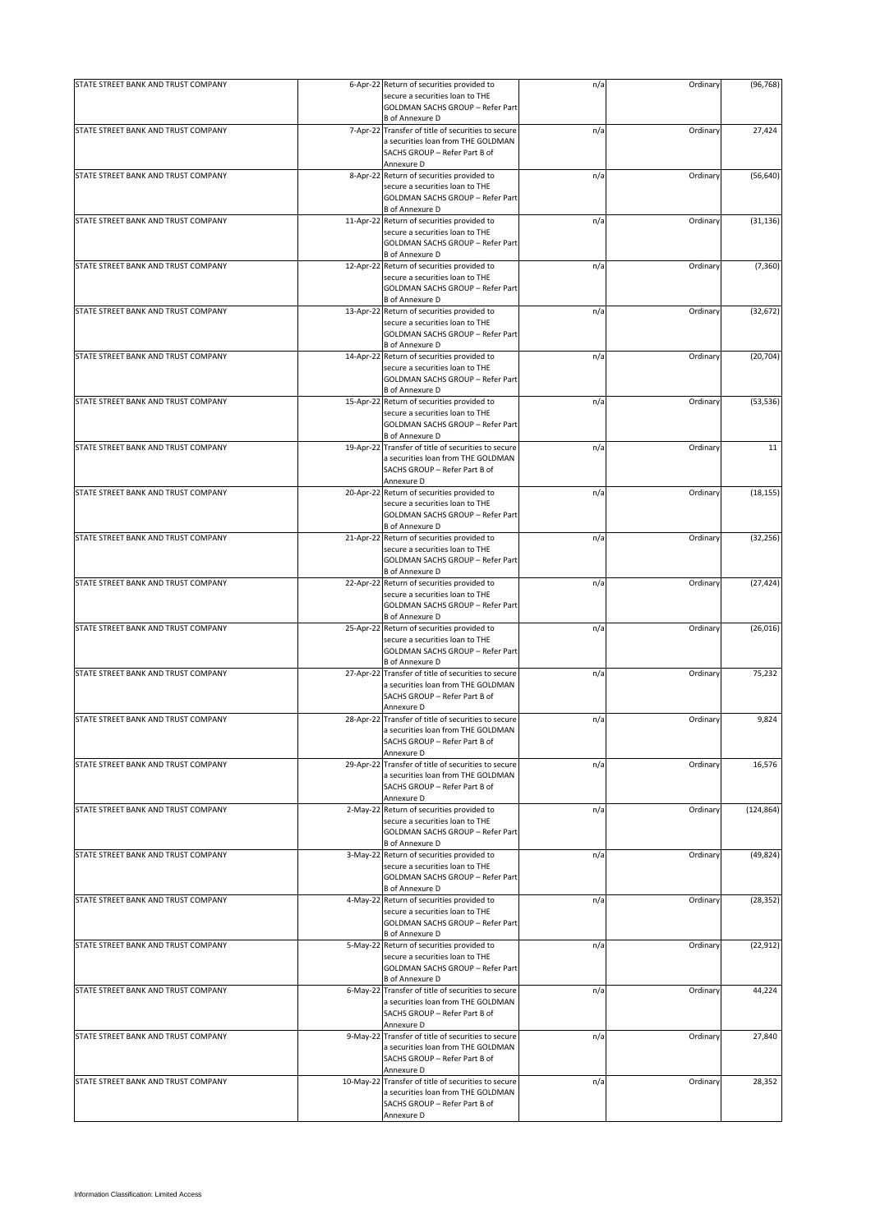| STATE STREET BANK AND TRUST COMPANY | 6-Apr-22 Return of securities provided to                                                                                                   | n/a | Ordinary | (96, 768)  |
|-------------------------------------|---------------------------------------------------------------------------------------------------------------------------------------------|-----|----------|------------|
|                                     | secure a securities loan to THE<br>GOLDMAN SACHS GROUP - Refer Part                                                                         |     |          |            |
|                                     | <b>B</b> of Annexure D                                                                                                                      |     |          |            |
| STATE STREET BANK AND TRUST COMPANY | 7-Apr-22 Transfer of title of securities to secure<br>a securities loan from THE GOLDMAN<br>SACHS GROUP - Refer Part B of<br>Annexure D     | n/a | Ordinary | 27,424     |
| STATE STREET BANK AND TRUST COMPANY | 8-Apr-22 Return of securities provided to<br>secure a securities loan to THE<br>GOLDMAN SACHS GROUP - Refer Part                            | n/a | Ordinary | (56, 640)  |
| STATE STREET BANK AND TRUST COMPANY | <b>B</b> of Annexure D<br>11-Apr-22 Return of securities provided to                                                                        | n/a | Ordinary | (31, 136)  |
|                                     | secure a securities loan to THE<br>GOLDMAN SACHS GROUP - Refer Part<br><b>B</b> of Annexure D                                               |     |          |            |
| STATE STREET BANK AND TRUST COMPANY | 12-Apr-22 Return of securities provided to<br>secure a securities loan to THE<br>GOLDMAN SACHS GROUP - Refer Part<br><b>B</b> of Annexure D | n/a | Ordinary | (7, 360)   |
| STATE STREET BANK AND TRUST COMPANY | 13-Apr-22 Return of securities provided to<br>secure a securities loan to THE<br>GOLDMAN SACHS GROUP - Refer Part<br><b>B</b> of Annexure D | n/a | Ordinary | (32, 672)  |
| STATE STREET BANK AND TRUST COMPANY | 14-Apr-22 Return of securities provided to<br>secure a securities loan to THE<br>GOLDMAN SACHS GROUP - Refer Part<br><b>B</b> of Annexure D | n/a | Ordinary | (20, 704)  |
|                                     |                                                                                                                                             |     |          |            |
| STATE STREET BANK AND TRUST COMPANY | 15-Apr-22 Return of securities provided to<br>secure a securities loan to THE<br>GOLDMAN SACHS GROUP - Refer Part<br><b>B</b> of Annexure D | n/a | Ordinary | (53, 536)  |
| STATE STREET BANK AND TRUST COMPANY | 19-Apr-22 Transfer of title of securities to secure<br>a securities loan from THE GOLDMAN<br>SACHS GROUP - Refer Part B of<br>Annexure D    | n/a | Ordinary | 11         |
| STATE STREET BANK AND TRUST COMPANY | 20-Apr-22 Return of securities provided to<br>secure a securities loan to THE<br>GOLDMAN SACHS GROUP - Refer Part<br><b>B</b> of Annexure D | n/a | Ordinary | (18, 155)  |
| STATE STREET BANK AND TRUST COMPANY | 21-Apr-22 Return of securities provided to<br>secure a securities loan to THE<br>GOLDMAN SACHS GROUP - Refer Part<br><b>B</b> of Annexure D | n/a | Ordinary | (32, 256)  |
| STATE STREET BANK AND TRUST COMPANY | 22-Apr-22 Return of securities provided to<br>secure a securities loan to THE<br>GOLDMAN SACHS GROUP - Refer Part<br><b>B</b> of Annexure D | n/a | Ordinary | (27, 424)  |
| STATE STREET BANK AND TRUST COMPANY | 25-Apr-22 Return of securities provided to<br>secure a securities loan to THE<br>GOLDMAN SACHS GROUP - Refer Part<br><b>B</b> of Annexure D | n/a | Ordinary | (26, 016)  |
| STATE STREET BANK AND TRUST COMPANY | 27-Apr-22 Transfer of title of securities to secure<br>a securities loan from THE GOLDMAN<br>SACHS GROUP - Refer Part B of<br>Annexure D    | n/a | Ordinary | 75,232     |
| STATE STREET BANK AND TRUST COMPANY | 28-Apr-22 Transfer of title of securities to secure<br>a securities loan from THE GOLDMAN<br>SACHS GROUP - Refer Part B of<br>Annexure D    | n/a | Ordinary | 9,824      |
| STATE STREET BANK AND TRUST COMPANY | 29-Apr-22 Transfer of title of securities to secure<br>a securities loan from THE GOLDMAN<br>SACHS GROUP - Refer Part B of<br>Annexure D    | n/a | Ordinary | 16,576     |
| STATE STREET BANK AND TRUST COMPANY | 2-May-22 Return of securities provided to<br>secure a securities loan to THE<br>GOLDMAN SACHS GROUP - Refer Part<br><b>B</b> of Annexure D  | n/a | Ordinary | (124, 864) |
| STATE STREET BANK AND TRUST COMPANY | 3-May-22 Return of securities provided to<br>secure a securities loan to THE<br>GOLDMAN SACHS GROUP - Refer Part<br><b>B</b> of Annexure D  | n/a | Ordinary | (49, 824)  |
| STATE STREET BANK AND TRUST COMPANY | 4-May-22 Return of securities provided to<br>secure a securities loan to THE<br>GOLDMAN SACHS GROUP - Refer Part<br><b>B</b> of Annexure D  | n/a | Ordinary | (28, 352)  |
| STATE STREET BANK AND TRUST COMPANY | 5-May-22 Return of securities provided to<br>secure a securities loan to THE<br>GOLDMAN SACHS GROUP - Refer Part<br><b>B</b> of Annexure D  | n/a | Ordinary | (22, 912)  |
| STATE STREET BANK AND TRUST COMPANY | 6-May-22 Transfer of title of securities to secure<br>a securities loan from THE GOLDMAN<br>SACHS GROUP - Refer Part B of<br>Annexure D     | n/a | Ordinary | 44,224     |
| STATE STREET BANK AND TRUST COMPANY | 9-May-22 Transfer of title of securities to secure<br>a securities loan from THE GOLDMAN<br>SACHS GROUP - Refer Part B of<br>Annexure D     | n/a | Ordinary | 27,840     |
| STATE STREET BANK AND TRUST COMPANY | 10-May-22 Transfer of title of securities to secure<br>a securities loan from THE GOLDMAN<br>SACHS GROUP - Refer Part B of<br>Annexure D    | n/a | Ordinary | 28,352     |
|                                     |                                                                                                                                             |     |          |            |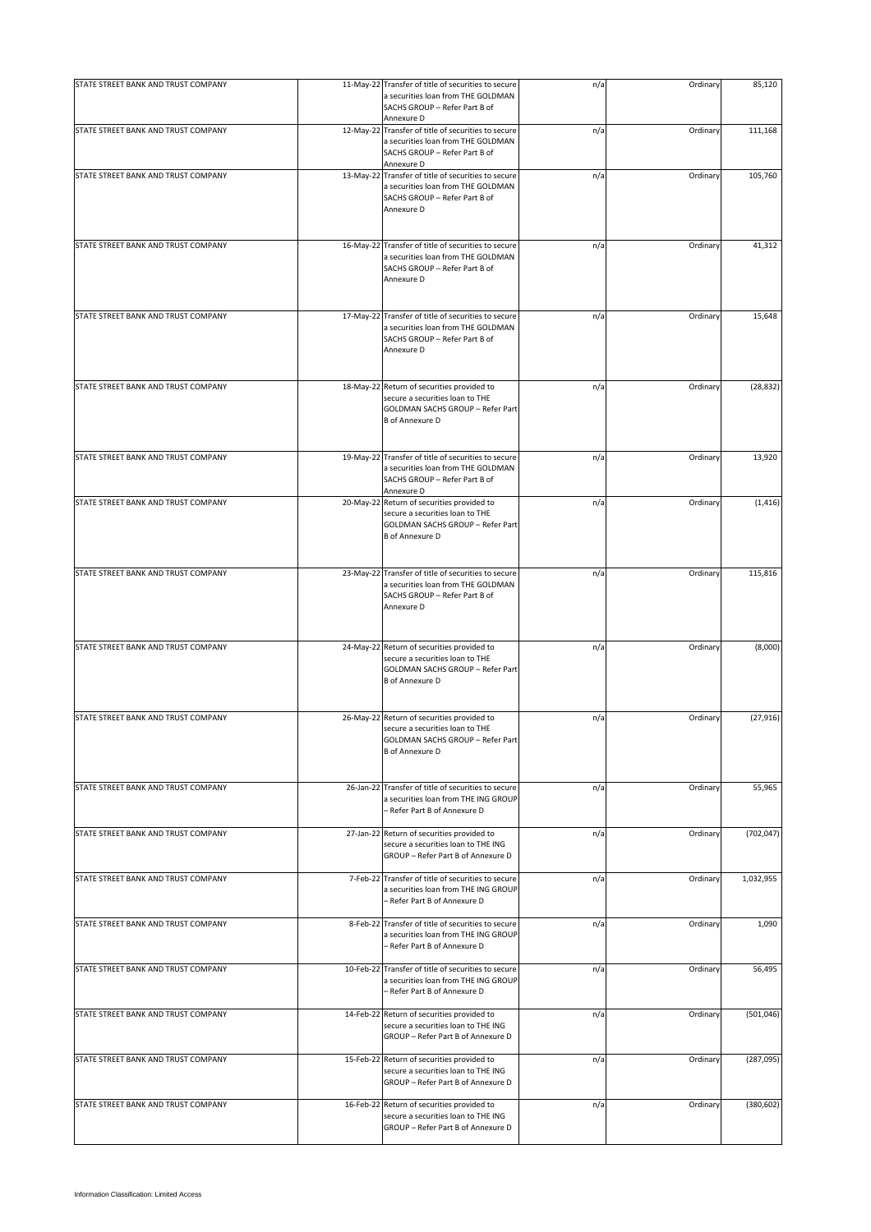| STATE STREET BANK AND TRUST COMPANY | 11-May-22 Transfer of title of securities to secure<br>a securities loan from THE GOLDMAN                                                          | n/a | Ordinary | 85,120     |
|-------------------------------------|----------------------------------------------------------------------------------------------------------------------------------------------------|-----|----------|------------|
|                                     | SACHS GROUP - Refer Part B of<br>Annexure D                                                                                                        |     |          |            |
| STATE STREET BANK AND TRUST COMPANY | 12-May-22 Transfer of title of securities to secure<br>a securities loan from THE GOLDMAN<br>SACHS GROUP - Refer Part B of<br>Annexure D           | n/a | Ordinary | 111,168    |
| STATE STREET BANK AND TRUST COMPANY | 13-May-22 Transfer of title of securities to secure<br>a securities loan from THE GOLDMAN<br>SACHS GROUP - Refer Part B of<br>Annexure D           | n/a | Ordinary | 105,760    |
| STATE STREET BANK AND TRUST COMPANY | 16-May-22 Transfer of title of securities to secure<br>a securities loan from THE GOLDMAN<br>SACHS GROUP - Refer Part B of<br>Annexure D           | n/a | Ordinary | 41,312     |
| STATE STREET BANK AND TRUST COMPANY | 17-May-22 Transfer of title of securities to secure<br>a securities loan from THE GOLDMAN<br>SACHS GROUP - Refer Part B of<br>Annexure D           | n/a | Ordinary | 15,648     |
| STATE STREET BANK AND TRUST COMPANY | 18-May-22 Return of securities provided to<br>secure a securities loan to THE<br><b>GOLDMAN SACHS GROUP - Refer Part</b><br><b>B</b> of Annexure D | n/a | Ordinary | (28, 832)  |
| STATE STREET BANK AND TRUST COMPANY | 19-May-22 Transfer of title of securities to secure<br>a securities loan from THE GOLDMAN<br>SACHS GROUP - Refer Part B of<br>Annexure D           | n/a | Ordinary | 13,920     |
| STATE STREET BANK AND TRUST COMPANY | 20-May-22 Return of securities provided to<br>secure a securities loan to THE<br>GOLDMAN SACHS GROUP - Refer Part<br><b>B</b> of Annexure D        | n/a | Ordinary | (1, 416)   |
| STATE STREET BANK AND TRUST COMPANY | 23-May-22 Transfer of title of securities to secure<br>a securities loan from THE GOLDMAN<br>SACHS GROUP - Refer Part B of<br>Annexure D           | n/a | Ordinary | 115,816    |
| STATE STREET BANK AND TRUST COMPANY | 24-May-22 Return of securities provided to<br>secure a securities loan to THE<br>GOLDMAN SACHS GROUP - Refer Part<br><b>B</b> of Annexure D        | n/a | Ordinary | (8,000)    |
| STATE STREET BANK AND TRUST COMPANY | 26-May-22 Return of securities provided to<br>secure a securities loan to THE<br>GOLDMAN SACHS GROUP - Refer Part<br><b>B</b> of Annexure D        | n/a | Ordinary | (27, 916)  |
| STATE STREET BANK AND TRUST COMPANY | 26-Jan-22 Transfer of title of securities to secure<br>a securities loan from THE ING GROUP<br>- Refer Part B of Annexure D                        | n/a | Ordinary | 55,965     |
| STATE STREET BANK AND TRUST COMPANY | 27-Jan-22 Return of securities provided to<br>secure a securities loan to THE ING<br>GROUP - Refer Part B of Annexure D                            | n/a | Ordinary | (702, 047) |
| STATE STREET BANK AND TRUST COMPANY | 7-Feb-22 Transfer of title of securities to secure<br>a securities loan from THE ING GROUP<br>- Refer Part B of Annexure D                         | n/a | Ordinary | 1,032,955  |
| STATE STREET BANK AND TRUST COMPANY | 8-Feb-22 Transfer of title of securities to secure<br>a securities loan from THE ING GROUP<br>- Refer Part B of Annexure D                         | n/a | Ordinary | 1,090      |
| STATE STREET BANK AND TRUST COMPANY | 10-Feb-22 Transfer of title of securities to secure<br>a securities loan from THE ING GROUP<br>- Refer Part B of Annexure D                        | n/a | Ordinary | 56,495     |
| STATE STREET BANK AND TRUST COMPANY | 14-Feb-22 Return of securities provided to<br>secure a securities loan to THE ING<br>GROUP - Refer Part B of Annexure D                            | n/a | Ordinary | (501, 046) |
| STATE STREET BANK AND TRUST COMPANY | 15-Feb-22 Return of securities provided to<br>secure a securities loan to THE ING<br>GROUP - Refer Part B of Annexure D                            | n/a | Ordinary | (287,095)  |
| STATE STREET BANK AND TRUST COMPANY | 16-Feb-22 Return of securities provided to<br>secure a securities loan to THE ING<br>GROUP - Refer Part B of Annexure D                            | n/a | Ordinary | (380, 602) |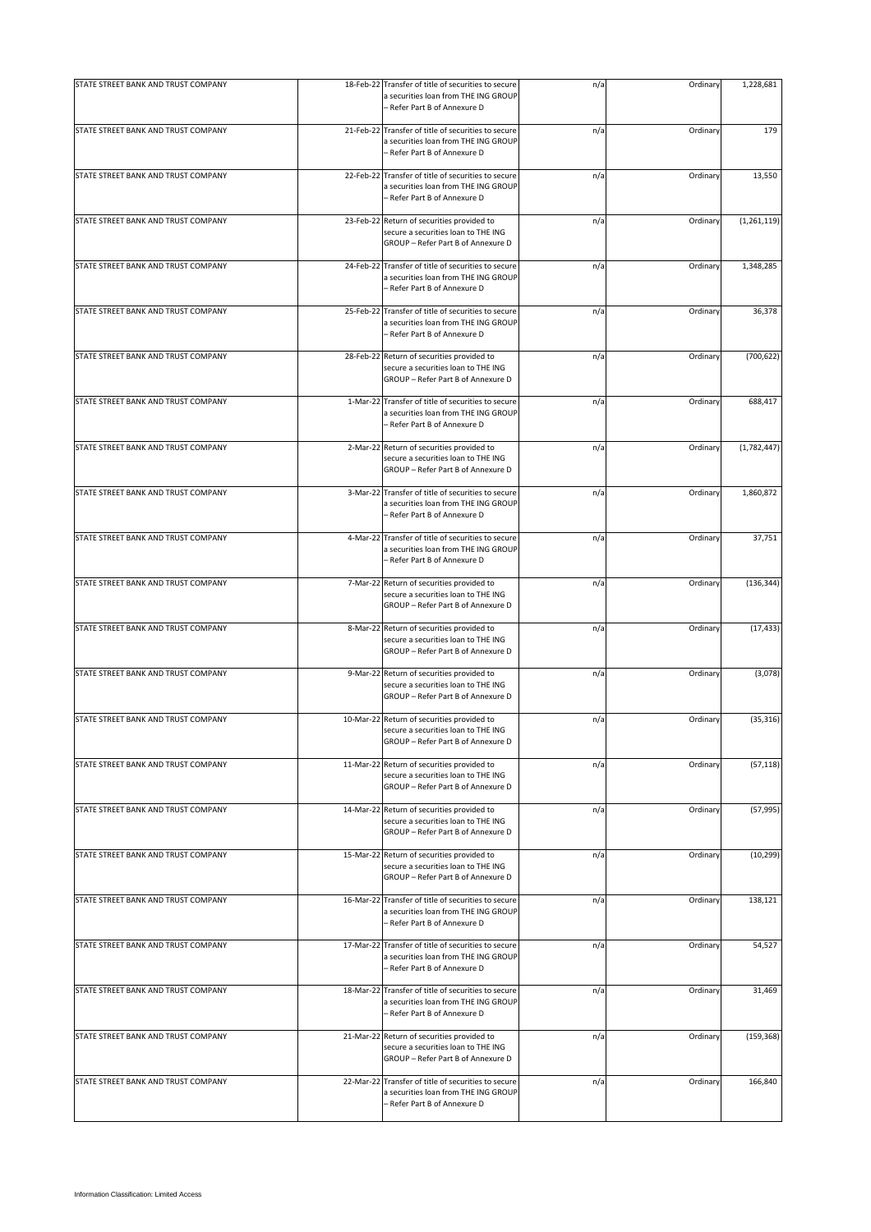| STATE STREET BANK AND TRUST COMPANY |           | 18-Feb-22 Transfer of title of securities to secure<br>a securities loan from THE ING GROUP<br>- Refer Part B of Annexure D | n/a | Ordinary | 1,228,681     |
|-------------------------------------|-----------|-----------------------------------------------------------------------------------------------------------------------------|-----|----------|---------------|
| STATE STREET BANK AND TRUST COMPANY |           | 21-Feb-22 Transfer of title of securities to secure<br>a securities loan from THE ING GROUP<br>- Refer Part B of Annexure D | n/a | Ordinary | 179           |
| STATE STREET BANK AND TRUST COMPANY |           | 22-Feb-22 Transfer of title of securities to secure<br>a securities loan from THE ING GROUP<br>- Refer Part B of Annexure D | n/a | Ordinary | 13,550        |
| STATE STREET BANK AND TRUST COMPANY |           | 23-Feb-22 Return of securities provided to<br>secure a securities loan to THE ING<br>GROUP - Refer Part B of Annexure D     | n/a | Ordinary | (1, 261, 119) |
| STATE STREET BANK AND TRUST COMPANY | 24-Feb-22 | Transfer of title of securities to secure<br>a securities loan from THE ING GROUP<br>- Refer Part B of Annexure D           | n/a | Ordinary | 1,348,285     |
| STATE STREET BANK AND TRUST COMPANY |           | 25-Feb-22 Transfer of title of securities to secure<br>a securities loan from THE ING GROUP<br>- Refer Part B of Annexure D | n/a | Ordinary | 36,378        |
| STATE STREET BANK AND TRUST COMPANY |           | 28-Feb-22 Return of securities provided to<br>secure a securities loan to THE ING<br>GROUP - Refer Part B of Annexure D     | n/a | Ordinary | (700, 622)    |
| STATE STREET BANK AND TRUST COMPANY | 1-Mar-22  | Transfer of title of securities to secure<br>a securities loan from THE ING GROUP<br>- Refer Part B of Annexure D           | n/a | Ordinary | 688,417       |
| STATE STREET BANK AND TRUST COMPANY |           | 2-Mar-22 Return of securities provided to<br>secure a securities loan to THE ING<br>GROUP - Refer Part B of Annexure D      | n/a | Ordinary | (1,782,447)   |
| STATE STREET BANK AND TRUST COMPANY |           | 3-Mar-22 Transfer of title of securities to secure<br>a securities loan from THE ING GROUP<br>- Refer Part B of Annexure D  | n/a | Ordinary | 1,860,872     |
| STATE STREET BANK AND TRUST COMPANY | 4-Mar-22  | Transfer of title of securities to secure<br>a securities loan from THE ING GROUP<br>- Refer Part B of Annexure D           | n/a | Ordinary | 37,751        |
| STATE STREET BANK AND TRUST COMPANY |           | 7-Mar-22 Return of securities provided to<br>secure a securities loan to THE ING<br>GROUP - Refer Part B of Annexure D      | n/a | Ordinary | (136, 344)    |
| STATE STREET BANK AND TRUST COMPANY |           | 8-Mar-22 Return of securities provided to<br>secure a securities loan to THE ING<br>GROUP - Refer Part B of Annexure D      | n/a | Ordinary | (17, 433)     |
| STATE STREET BANK AND TRUST COMPANY |           | 9-Mar-22 Return of securities provided to<br>secure a securities loan to THE ING<br>GROUP - Refer Part B of Annexure D      | n/a | Ordinary | (3,078)       |
| STATE STREET BANK AND TRUST COMPANY |           | 10-Mar-22 Return of securities provided to<br>secure a securities loan to THE ING<br>GROUP - Refer Part B of Annexure D     | n/a | Ordinary | (35, 316)     |
| STATE STREET BANK AND TRUST COMPANY |           | 11-Mar-22 Return of securities provided to<br>secure a securities loan to THE ING<br>GROUP - Refer Part B of Annexure D     | n/a | Ordinary | (57, 118)     |
| STATE STREET BANK AND TRUST COMPANY |           | 14-Mar-22 Return of securities provided to<br>secure a securities loan to THE ING<br>GROUP - Refer Part B of Annexure D     | n/a | Ordinary | (57, 995)     |
| STATE STREET BANK AND TRUST COMPANY |           | 15-Mar-22 Return of securities provided to<br>secure a securities loan to THE ING<br>GROUP - Refer Part B of Annexure D     | n/a | Ordinary | (10, 299)     |
| STATE STREET BANK AND TRUST COMPANY |           | 16-Mar-22 Transfer of title of securities to secure<br>a securities loan from THE ING GROUP<br>- Refer Part B of Annexure D | n/a | Ordinary | 138,121       |
| STATE STREET BANK AND TRUST COMPANY |           | 17-Mar-22 Transfer of title of securities to secure<br>a securities loan from THE ING GROUP<br>- Refer Part B of Annexure D | n/a | Ordinary | 54,527        |
| STATE STREET BANK AND TRUST COMPANY |           | 18-Mar-22 Transfer of title of securities to secure<br>a securities loan from THE ING GROUP<br>- Refer Part B of Annexure D | n/a | Ordinary | 31,469        |
| STATE STREET BANK AND TRUST COMPANY |           | 21-Mar-22 Return of securities provided to<br>secure a securities loan to THE ING<br>GROUP - Refer Part B of Annexure D     | n/a | Ordinary | (159, 368)    |
| STATE STREET BANK AND TRUST COMPANY |           | 22-Mar-22 Transfer of title of securities to secure<br>a securities loan from THE ING GROUP<br>Refer Part B of Annexure D   | n/a | Ordinary | 166,840       |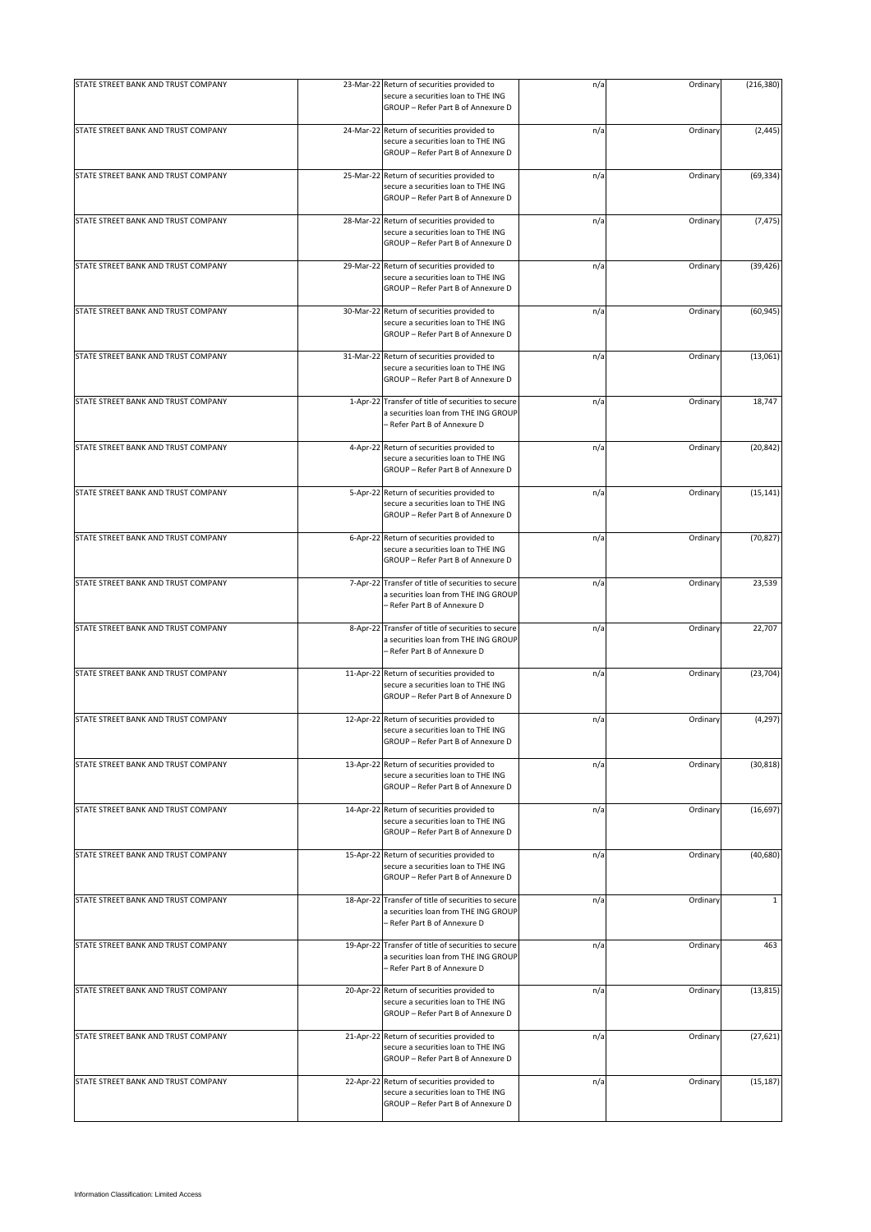| STATE STREET BANK AND TRUST COMPANY |          | 23-Mar-22 Return of securities provided to                                                                                  | n/a | Ordinary | (216, 380)   |
|-------------------------------------|----------|-----------------------------------------------------------------------------------------------------------------------------|-----|----------|--------------|
|                                     |          | secure a securities loan to THE ING<br>GROUP - Refer Part B of Annexure D                                                   |     |          |              |
| STATE STREET BANK AND TRUST COMPANY |          | 24-Mar-22 Return of securities provided to<br>secure a securities loan to THE ING<br>GROUP - Refer Part B of Annexure D     | n/a | Ordinary | (2, 445)     |
| STATE STREET BANK AND TRUST COMPANY |          | 25-Mar-22 Return of securities provided to<br>secure a securities loan to THE ING<br>GROUP - Refer Part B of Annexure D     | n/a | Ordinary | (69, 334)    |
| STATE STREET BANK AND TRUST COMPANY |          | 28-Mar-22 Return of securities provided to<br>secure a securities loan to THE ING<br>GROUP - Refer Part B of Annexure D     | n/a | Ordinary | (7, 475)     |
| STATE STREET BANK AND TRUST COMPANY |          | 29-Mar-22 Return of securities provided to<br>secure a securities loan to THE ING<br>GROUP - Refer Part B of Annexure D     | n/a | Ordinary | (39, 426)    |
| STATE STREET BANK AND TRUST COMPANY |          | 30-Mar-22 Return of securities provided to<br>secure a securities loan to THE ING<br>GROUP - Refer Part B of Annexure D     | n/a | Ordinary | (60, 945)    |
| STATE STREET BANK AND TRUST COMPANY |          | 31-Mar-22 Return of securities provided to<br>secure a securities loan to THE ING<br>GROUP - Refer Part B of Annexure D     | n/a | Ordinary | (13,061)     |
| STATE STREET BANK AND TRUST COMPANY | 1-Apr-22 | Transfer of title of securities to secure<br>a securities loan from THE ING GROUP<br>- Refer Part B of Annexure D           | n/a | Ordinary | 18,747       |
| STATE STREET BANK AND TRUST COMPANY |          | 4-Apr-22 Return of securities provided to<br>secure a securities loan to THE ING<br>GROUP - Refer Part B of Annexure D      | n/a | Ordinary | (20, 842)    |
| STATE STREET BANK AND TRUST COMPANY |          | 5-Apr-22 Return of securities provided to<br>secure a securities loan to THE ING<br>GROUP - Refer Part B of Annexure D      | n/a | Ordinary | (15, 141)    |
| STATE STREET BANK AND TRUST COMPANY |          | 6-Apr-22 Return of securities provided to<br>secure a securities loan to THE ING<br>GROUP - Refer Part B of Annexure D      | n/a | Ordinary | (70, 827)    |
| STATE STREET BANK AND TRUST COMPANY |          | 7-Apr-22 Transfer of title of securities to secure<br>a securities loan from THE ING GROUP<br>- Refer Part B of Annexure D  | n/a | Ordinary | 23,539       |
| STATE STREET BANK AND TRUST COMPANY |          | 8-Apr-22 Transfer of title of securities to secure<br>a securities loan from THE ING GROUP<br>- Refer Part B of Annexure D  | n/a | Ordinary | 22,707       |
| STATE STREET BANK AND TRUST COMPANY |          | 11-Apr-22 Return of securities provided to<br>secure a securities loan to THE ING<br>GROUP - Refer Part B of Annexure D     | n/a | Ordinary | (23, 704)    |
| STATE STREET BANK AND TRUST COMPANY |          | 12-Apr-22 Return of securities provided to<br>secure a securities loan to THE ING<br>GROUP - Refer Part B of Annexure D     | n/a | Ordinary | (4, 297)     |
| STATE STREET BANK AND TRUST COMPANY |          | 13-Apr-22 Return of securities provided to<br>secure a securities loan to THE ING<br>GROUP - Refer Part B of Annexure D     | n/a | Ordinary | (30, 818)    |
| STATE STREET BANK AND TRUST COMPANY |          | 14-Apr-22 Return of securities provided to<br>secure a securities loan to THE ING<br>GROUP - Refer Part B of Annexure D     | n/a | Ordinary | (16, 697)    |
| STATE STREET BANK AND TRUST COMPANY |          | 15-Apr-22 Return of securities provided to<br>secure a securities loan to THE ING<br>GROUP - Refer Part B of Annexure D     | n/a | Ordinary | (40, 680)    |
| STATE STREET BANK AND TRUST COMPANY |          | 18-Apr-22 Transfer of title of securities to secure<br>a securities loan from THE ING GROUP<br>- Refer Part B of Annexure D | n/a | Ordinary | $\mathbf{1}$ |
| STATE STREET BANK AND TRUST COMPANY |          | 19-Apr-22 Transfer of title of securities to secure<br>a securities loan from THE ING GROUP<br>- Refer Part B of Annexure D | n/a | Ordinary | 463          |
| STATE STREET BANK AND TRUST COMPANY |          | 20-Apr-22 Return of securities provided to<br>secure a securities loan to THE ING<br>GROUP - Refer Part B of Annexure D     | n/a | Ordinary | (13, 815)    |
| STATE STREET BANK AND TRUST COMPANY |          | 21-Apr-22 Return of securities provided to<br>secure a securities loan to THE ING<br>GROUP - Refer Part B of Annexure D     | n/a | Ordinary | (27, 621)    |
| STATE STREET BANK AND TRUST COMPANY |          | 22-Apr-22 Return of securities provided to<br>secure a securities loan to THE ING<br>GROUP - Refer Part B of Annexure D     | n/a | Ordinary | (15, 187)    |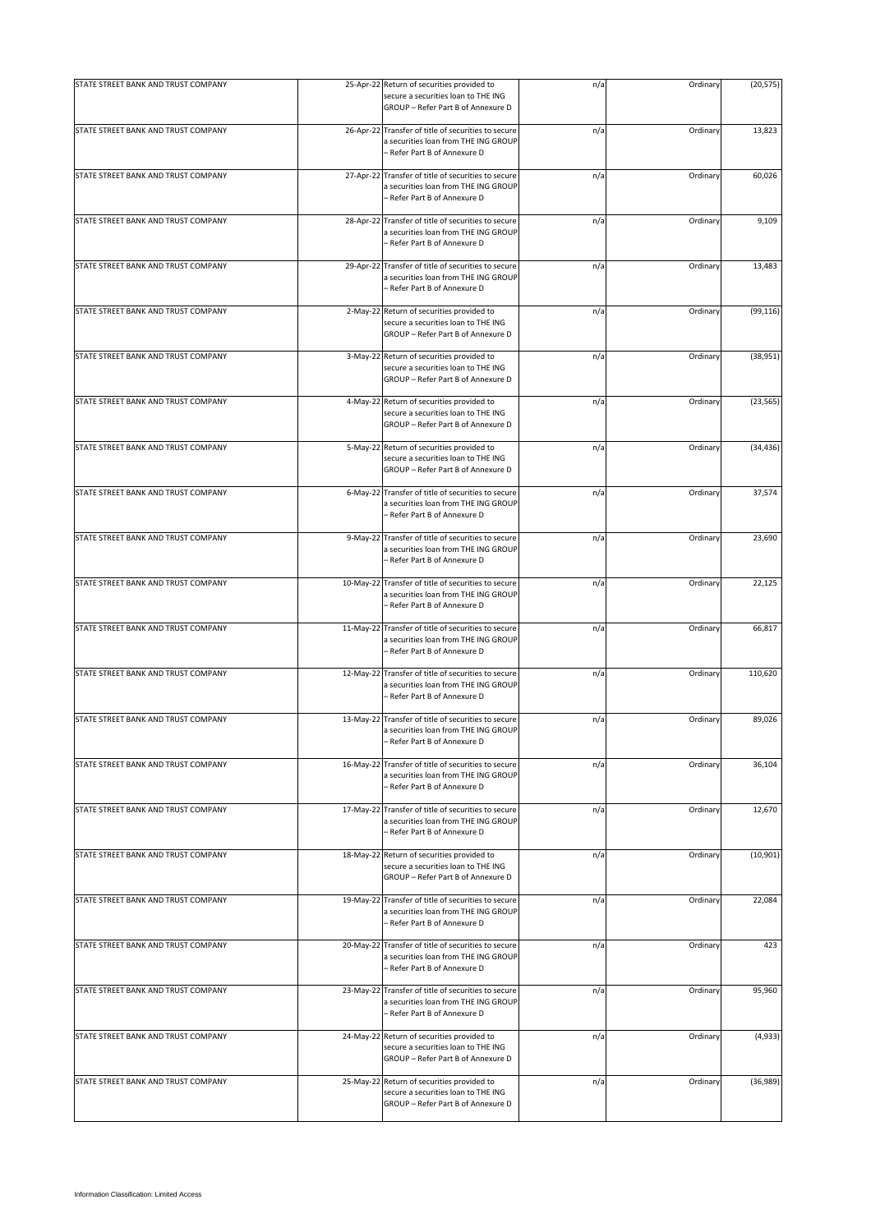| STATE STREET BANK AND TRUST COMPANY |           | 25-Apr-22 Return of securities provided to                                                                                  | n/a | Ordinary | (20, 575) |
|-------------------------------------|-----------|-----------------------------------------------------------------------------------------------------------------------------|-----|----------|-----------|
|                                     |           | secure a securities loan to THE ING<br>GROUP - Refer Part B of Annexure D                                                   |     |          |           |
| STATE STREET BANK AND TRUST COMPANY |           | 26-Apr-22 Transfer of title of securities to secure<br>a securities loan from THE ING GROUP<br>- Refer Part B of Annexure D | n/a | Ordinary | 13,823    |
| STATE STREET BANK AND TRUST COMPANY |           | 27-Apr-22 Transfer of title of securities to secure<br>a securities loan from THE ING GROUP<br>- Refer Part B of Annexure D | n/a | Ordinary | 60,026    |
| STATE STREET BANK AND TRUST COMPANY |           | 28-Apr-22 Transfer of title of securities to secure<br>a securities loan from THE ING GROUP<br>- Refer Part B of Annexure D | n/a | Ordinary | 9,109     |
| STATE STREET BANK AND TRUST COMPANY | 29-Apr-22 | Transfer of title of securities to secure<br>a securities loan from THE ING GROUP<br>- Refer Part B of Annexure D           | n/a | Ordinary | 13,483    |
| STATE STREET BANK AND TRUST COMPANY |           | 2-May-22 Return of securities provided to<br>secure a securities loan to THE ING<br>GROUP - Refer Part B of Annexure D      | n/a | Ordinary | (99, 116) |
| STATE STREET BANK AND TRUST COMPANY |           | 3-May-22 Return of securities provided to<br>secure a securities loan to THE ING<br>GROUP - Refer Part B of Annexure D      | n/a | Ordinary | (38, 951) |
| STATE STREET BANK AND TRUST COMPANY |           | 4-May-22 Return of securities provided to<br>secure a securities loan to THE ING<br>GROUP - Refer Part B of Annexure D      | n/a | Ordinary | (23, 565) |
| STATE STREET BANK AND TRUST COMPANY |           | 5-May-22 Return of securities provided to<br>secure a securities loan to THE ING<br>GROUP - Refer Part B of Annexure D      | n/a | Ordinary | (34, 436) |
| STATE STREET BANK AND TRUST COMPANY |           | 6-May-22 Transfer of title of securities to secure<br>a securities loan from THE ING GROUP<br>- Refer Part B of Annexure D  | n/a | Ordinary | 37,574    |
| STATE STREET BANK AND TRUST COMPANY | 9-May-22  | Transfer of title of securities to secure<br>a securities loan from THE ING GROUP<br>- Refer Part B of Annexure D           | n/a | Ordinary | 23,690    |
| STATE STREET BANK AND TRUST COMPANY |           | 10-May-22 Transfer of title of securities to secure<br>a securities loan from THE ING GROUP<br>- Refer Part B of Annexure D | n/a | Ordinary | 22,125    |
| STATE STREET BANK AND TRUST COMPANY |           | 11-May-22 Transfer of title of securities to secure<br>a securities loan from THE ING GROUP<br>- Refer Part B of Annexure D | n/a | Ordinary | 66,817    |
| STATE STREET BANK AND TRUST COMPANY |           | 12-May-22 Transfer of title of securities to secure<br>a securities loan from THE ING GROUP<br>- Refer Part B of Annexure D | n/a | Ordinary | 110,620   |
| STATE STREET BANK AND TRUST COMPANY |           | 13-May-22 Transfer of title of securities to secure<br>a securities loan from THE ING GROUP<br>Refer Part B of Annexure D   | n/a | Ordinary | 89,026    |
| STATE STREET BANK AND TRUST COMPANY |           | 16-May-22 Transfer of title of securities to secure<br>a securities loan from THE ING GROUP<br>Refer Part B of Annexure D   | n/a | Ordinary | 36,104    |
| STATE STREET BANK AND TRUST COMPANY | 17-May-22 | Transfer of title of securities to secure<br>a securities loan from THE ING GROUP<br>- Refer Part B of Annexure D           | n/a | Ordinary | 12,670    |
| STATE STREET BANK AND TRUST COMPANY |           | 18-May-22 Return of securities provided to<br>secure a securities loan to THE ING<br>GROUP - Refer Part B of Annexure D     | n/a | Ordinary | (10, 901) |
| STATE STREET BANK AND TRUST COMPANY |           | 19-May-22 Transfer of title of securities to secure<br>a securities loan from THE ING GROUP<br>- Refer Part B of Annexure D | n/a | Ordinary | 22,084    |
| STATE STREET BANK AND TRUST COMPANY |           | 20-May-22 Transfer of title of securities to secure<br>a securities loan from THE ING GROUP<br>- Refer Part B of Annexure D | n/a | Ordinary | 423       |
| STATE STREET BANK AND TRUST COMPANY |           | 23-May-22 Transfer of title of securities to secure<br>a securities loan from THE ING GROUP<br>- Refer Part B of Annexure D | n/a | Ordinary | 95,960    |
| STATE STREET BANK AND TRUST COMPANY |           | 24-May-22 Return of securities provided to<br>secure a securities loan to THE ING<br>GROUP - Refer Part B of Annexure D     | n/a | Ordinary | (4,933)   |
| STATE STREET BANK AND TRUST COMPANY |           | 25-May-22 Return of securities provided to<br>secure a securities loan to THE ING<br>GROUP - Refer Part B of Annexure D     | n/a | Ordinary | (36,989)  |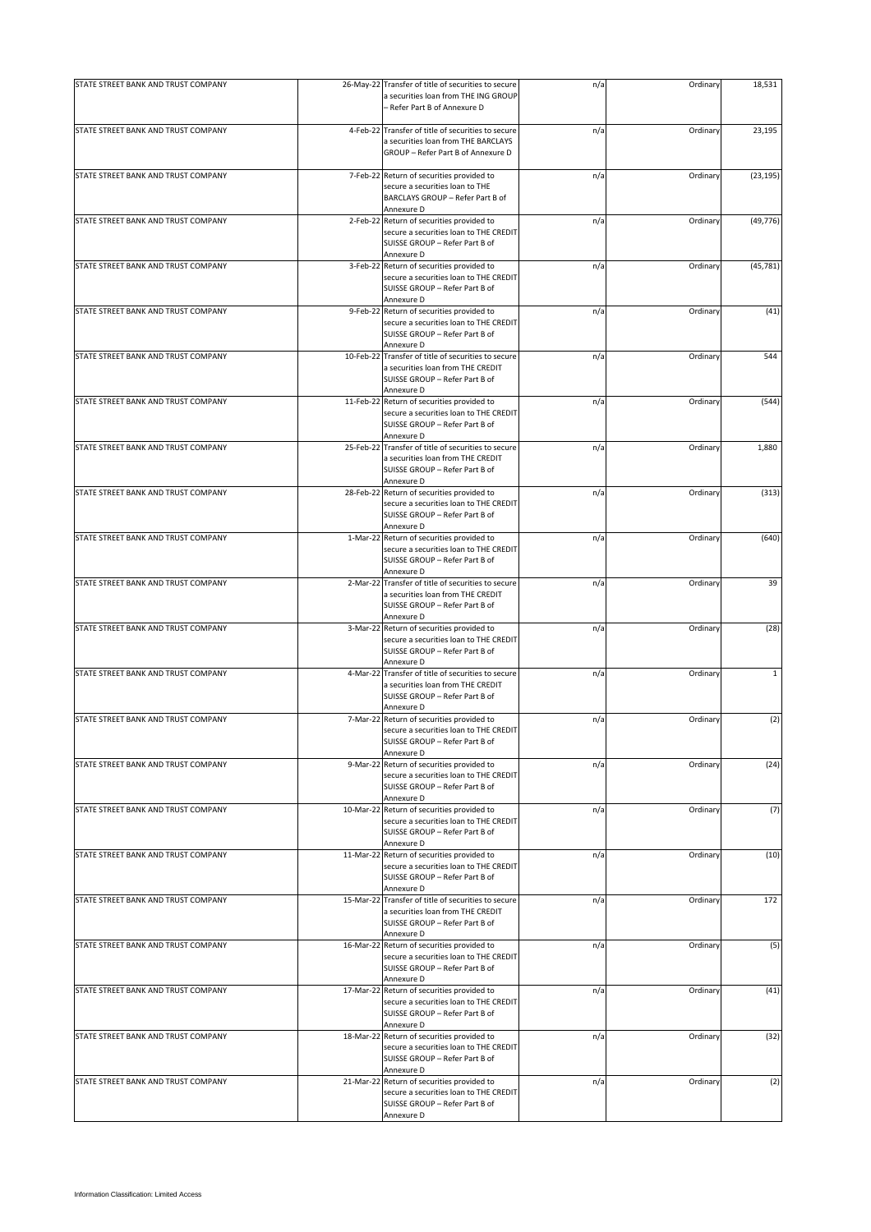| STATE STREET BANK AND TRUST COMPANY |           | 26-May-22 Transfer of title of securities to secure                                                                                      | n/a | Ordinary | 18,531       |
|-------------------------------------|-----------|------------------------------------------------------------------------------------------------------------------------------------------|-----|----------|--------------|
|                                     |           | a securities loan from THE ING GROUP<br>- Refer Part B of Annexure D                                                                     |     |          |              |
|                                     |           |                                                                                                                                          |     |          |              |
| STATE STREET BANK AND TRUST COMPANY |           | 4-Feb-22 Transfer of title of securities to secure<br>a securities loan from THE BARCLAYS<br>GROUP - Refer Part B of Annexure D          | n/a | Ordinary | 23,195       |
| STATE STREET BANK AND TRUST COMPANY |           | 7-Feb-22 Return of securities provided to                                                                                                | n/a | Ordinary | (23, 195)    |
|                                     |           | secure a securities loan to THE<br>BARCLAYS GROUP - Refer Part B of<br>Annexure D                                                        |     |          |              |
| STATE STREET BANK AND TRUST COMPANY |           | 2-Feb-22 Return of securities provided to                                                                                                | n/a | Ordinary | (49, 776)    |
|                                     |           | secure a securities loan to THE CREDIT<br>SUISSE GROUP - Refer Part B of<br>Annexure D                                                   |     |          |              |
| STATE STREET BANK AND TRUST COMPANY |           | 3-Feb-22 Return of securities provided to<br>secure a securities loan to THE CREDIT<br>SUISSE GROUP - Refer Part B of<br>Annexure D      | n/a | Ordinary | (45, 781)    |
| STATE STREET BANK AND TRUST COMPANY | 9-Feb-22  | Return of securities provided to<br>secure a securities loan to THE CREDIT<br>SUISSE GROUP - Refer Part B of                             | n/a | Ordinary | (41)         |
|                                     |           | Annexure D                                                                                                                               |     |          |              |
| STATE STREET BANK AND TRUST COMPANY | 10-Feb-22 | Transfer of title of securities to secure<br>a securities loan from THE CREDIT<br>SUISSE GROUP - Refer Part B of<br>Annexure D           | n/a | Ordinary | 544          |
| STATE STREET BANK AND TRUST COMPANY | 11-Feb-22 | Return of securities provided to<br>secure a securities loan to THE CREDIT<br>SUISSE GROUP - Refer Part B of<br>Annexure D               | n/a | Ordinary | (544)        |
| STATE STREET BANK AND TRUST COMPANY | 25-Feb-22 | Transfer of title of securities to secure<br>a securities loan from THE CREDIT<br>SUISSE GROUP - Refer Part B of<br>Annexure D           | n/a | Ordinary | 1,880        |
| STATE STREET BANK AND TRUST COMPANY |           | 28-Feb-22 Return of securities provided to<br>secure a securities loan to THE CREDIT<br>SUISSE GROUP - Refer Part B of                   | n/a | Ordinary | (313)        |
| STATE STREET BANK AND TRUST COMPANY |           | Annexure D<br>1-Mar-22 Return of securities provided to<br>secure a securities loan to THE CREDIT<br>SUISSE GROUP - Refer Part B of      | n/a | Ordinary | (640)        |
|                                     |           | Annexure D                                                                                                                               |     |          |              |
| STATE STREET BANK AND TRUST COMPANY |           | 2-Mar-22 Transfer of title of securities to secure<br>a securities loan from THE CREDIT<br>SUISSE GROUP - Refer Part B of<br>Annexure D  | n/a | Ordinary | 39           |
| STATE STREET BANK AND TRUST COMPANY | 3-Mar-22  | Return of securities provided to<br>secure a securities loan to THE CREDIT<br>SUISSE GROUP - Refer Part B of<br>Annexure D               | n/a | Ordinary | (28)         |
| STATE STREET BANK AND TRUST COMPANY | 4-Mar-22  | Transfer of title of securities to secure<br>a securities loan from THE CREDIT<br>SUISSE GROUP - Refer Part B of<br>Annexure D           | n/a | Ordinary | $\mathbf{1}$ |
| STATE STREET BANK AND TRUST COMPANY |           | 7-Mar-22 Return of securities provided to<br>secure a securities loan to THE CREDIT<br>SUISSE GROUP - Refer Part B of                    | n/a | Ordinary | (2)          |
| STATE STREET BANK AND TRUST COMPANY | 9-Mar-22  | Annexure D<br>Return of securities provided to<br>secure a securities loan to THE CREDIT<br>SUISSE GROUP - Refer Part B of<br>Annexure D | n/a | Ordinary | (24)         |
| STATE STREET BANK AND TRUST COMPANY |           | 10-Mar-22 Return of securities provided to<br>secure a securities loan to THE CREDIT<br>SUISSE GROUP - Refer Part B of<br>Annexure D     | n/a | Ordinary | (7)          |
| STATE STREET BANK AND TRUST COMPANY |           | 11-Mar-22 Return of securities provided to<br>secure a securities loan to THE CREDIT<br>SUISSE GROUP - Refer Part B of<br>Annexure D     | n/a | Ordinary | (10)         |
| STATE STREET BANK AND TRUST COMPANY | 15-Mar-22 | Transfer of title of securities to secure<br>a securities loan from THE CREDIT<br>SUISSE GROUP - Refer Part B of<br>Annexure D           | n/a | Ordinary | 172          |
| STATE STREET BANK AND TRUST COMPANY | 16-Mar-22 | Return of securities provided to<br>secure a securities loan to THE CREDIT<br>SUISSE GROUP - Refer Part B of<br>Annexure D               | n/a | Ordinary | (5)          |
| STATE STREET BANK AND TRUST COMPANY |           | 17-Mar-22 Return of securities provided to<br>secure a securities loan to THE CREDIT<br>SUISSE GROUP - Refer Part B of<br>Annexure D     | n/a | Ordinary | (41)         |
| STATE STREET BANK AND TRUST COMPANY |           | 18-Mar-22 Return of securities provided to<br>secure a securities loan to THE CREDIT<br>SUISSE GROUP - Refer Part B of<br>Annexure D     | n/a | Ordinary | (32)         |
| STATE STREET BANK AND TRUST COMPANY |           | 21-Mar-22 Return of securities provided to<br>secure a securities loan to THE CREDIT<br>SUISSE GROUP - Refer Part B of<br>Annexure D     | n/a | Ordinary | (2)          |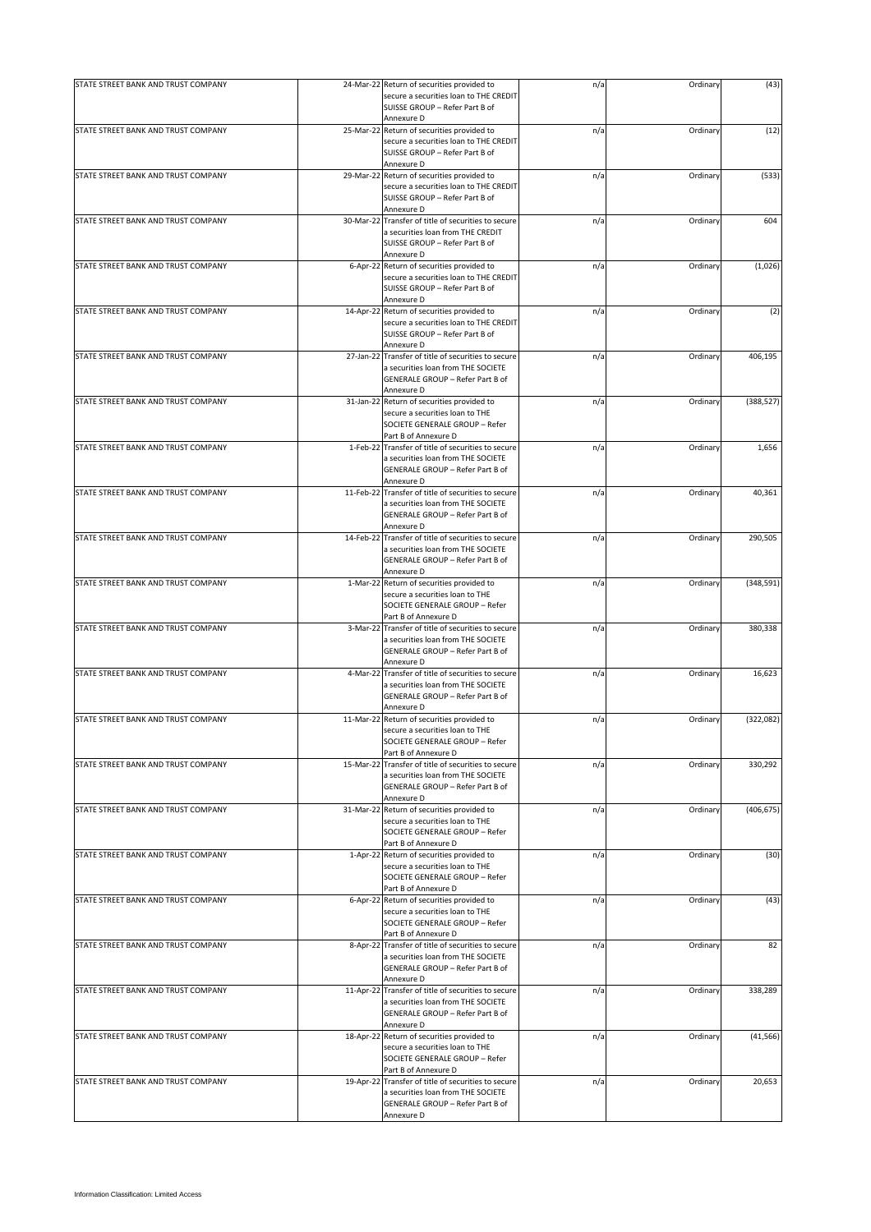| STATE STREET BANK AND TRUST COMPANY |           | 24-Mar-22 Return of securities provided to                                          | n/a | Ordinary | (43)       |
|-------------------------------------|-----------|-------------------------------------------------------------------------------------|-----|----------|------------|
|                                     |           | secure a securities loan to THE CREDIT                                              |     |          |            |
|                                     |           | SUISSE GROUP - Refer Part B of                                                      |     |          |            |
| STATE STREET BANK AND TRUST COMPANY | 25-Mar-22 | Annexure D<br>Return of securities provided to                                      | n/a | Ordinary | (12)       |
|                                     |           | secure a securities loan to THE CREDIT                                              |     |          |            |
|                                     |           | SUISSE GROUP - Refer Part B of                                                      |     |          |            |
|                                     |           | Annexure D                                                                          |     |          |            |
| STATE STREET BANK AND TRUST COMPANY | 29-Mar-22 | Return of securities provided to                                                    | n/a | Ordinary | (533)      |
|                                     |           | secure a securities loan to THE CREDIT                                              |     |          |            |
|                                     |           | SUISSE GROUP - Refer Part B of                                                      |     |          |            |
|                                     |           | Annexure D                                                                          |     |          |            |
| STATE STREET BANK AND TRUST COMPANY |           | 30-Mar-22 Transfer of title of securities to secure                                 | n/a | Ordinary | 604        |
|                                     |           | a securities loan from THE CREDIT                                                   |     |          |            |
|                                     |           | SUISSE GROUP - Refer Part B of                                                      |     |          |            |
|                                     |           | Annexure D                                                                          |     |          |            |
| STATE STREET BANK AND TRUST COMPANY |           | 6-Apr-22 Return of securities provided to<br>secure a securities loan to THE CREDIT | n/a | Ordinary | (1,026)    |
|                                     |           | SUISSE GROUP - Refer Part B of                                                      |     |          |            |
|                                     |           | Annexure D                                                                          |     |          |            |
| STATE STREET BANK AND TRUST COMPANY | 14-Apr-22 | Return of securities provided to                                                    | n/a | Ordinary | (2)        |
|                                     |           | secure a securities loan to THE CREDIT                                              |     |          |            |
|                                     |           | SUISSE GROUP - Refer Part B of                                                      |     |          |            |
|                                     |           | Annexure D                                                                          |     |          |            |
| STATE STREET BANK AND TRUST COMPANY | 27-Jan-22 | Transfer of title of securities to secure                                           | n/a | Ordinary | 406,195    |
|                                     |           | a securities loan from THE SOCIETE                                                  |     |          |            |
|                                     |           | GENERALE GROUP - Refer Part B of                                                    |     |          |            |
|                                     |           | Annexure D                                                                          |     |          |            |
| STATE STREET BANK AND TRUST COMPANY | 31-Jan-22 | Return of securities provided to                                                    | n/a | Ordinary | (388, 527) |
|                                     |           | secure a securities loan to THE                                                     |     |          |            |
|                                     |           | SOCIETE GENERALE GROUP - Refer                                                      |     |          |            |
|                                     |           | Part B of Annexure D                                                                |     |          |            |
| STATE STREET BANK AND TRUST COMPANY | 1-Feb-22  | Transfer of title of securities to secure                                           | n/a | Ordinary | 1,656      |
|                                     |           | a securities loan from THE SOCIETE                                                  |     |          |            |
|                                     |           | GENERALE GROUP - Refer Part B of<br>Annexure D                                      |     |          |            |
| STATE STREET BANK AND TRUST COMPANY |           | 11-Feb-22 Transfer of title of securities to secure                                 | n/a | Ordinary | 40,361     |
|                                     |           | a securities loan from THE SOCIETE                                                  |     |          |            |
|                                     |           | GENERALE GROUP - Refer Part B of                                                    |     |          |            |
|                                     |           | Annexure D                                                                          |     |          |            |
| STATE STREET BANK AND TRUST COMPANY |           | 14-Feb-22 Transfer of title of securities to secure                                 | n/a | Ordinary | 290,505    |
|                                     |           | a securities loan from THE SOCIETE                                                  |     |          |            |
|                                     |           | GENERALE GROUP - Refer Part B of                                                    |     |          |            |
|                                     |           | Annexure D                                                                          |     |          |            |
| STATE STREET BANK AND TRUST COMPANY |           | 1-Mar-22 Return of securities provided to                                           | n/a | Ordinary | (348, 591) |
|                                     |           | secure a securities loan to THE                                                     |     |          |            |
|                                     |           | SOCIETE GENERALE GROUP - Refer                                                      |     |          |            |
|                                     |           | Part B of Annexure D                                                                |     |          |            |
| STATE STREET BANK AND TRUST COMPANY | 3-Mar-22  | Transfer of title of securities to secure                                           | n/a | Ordinary | 380,338    |
|                                     |           | a securities loan from THE SOCIETE                                                  |     |          |            |
|                                     |           | GENERALE GROUP - Refer Part B of                                                    |     |          |            |
|                                     |           | Annexure D                                                                          |     |          |            |
| STATE STREET BANK AND TRUST COMPANY | 4-Mar-22  | Transfer of title of securities to secure                                           | n/a | Ordinary | 16,623     |
|                                     |           | a securities loan from THE SOCIETE<br>GENERALE GROUP - Refer Part B of              |     |          |            |
|                                     |           | Annexure D                                                                          |     |          |            |
| STATE STREET BANK AND TRUST COMPANY | 11-Mar-22 | Return of securities provided to                                                    | n/a | Ordinary | (322, 082) |
|                                     |           | secure a securities loan to THE                                                     |     |          |            |
|                                     |           | SOCIETE GENERALE GROUP - Refer                                                      |     |          |            |
|                                     |           | Part B of Annexure D                                                                |     |          |            |
| STATE STREET BANK AND TRUST COMPANY | 15-Mar-22 | Transfer of title of securities to secure                                           | n/a | Ordinary | 330,292    |
|                                     |           | a securities loan from THE SOCIETE                                                  |     |          |            |
|                                     |           | <b>GENERALE GROUP - Refer Part B of</b>                                             |     |          |            |
|                                     |           | Annexure D                                                                          |     |          |            |
| STATE STREET BANK AND TRUST COMPANY |           | 31-Mar-22 Return of securities provided to                                          | n/a | Ordinary | (406, 675) |
|                                     |           | secure a securities loan to THE                                                     |     |          |            |
|                                     |           | SOCIETE GENERALE GROUP - Refer                                                      |     |          |            |
| STATE STREET BANK AND TRUST COMPANY |           | Part B of Annexure D<br>1-Apr-22 Return of securities provided to                   | n/a | Ordinary | (30)       |
|                                     |           | secure a securities loan to THE                                                     |     |          |            |
|                                     |           | SOCIETE GENERALE GROUP - Refer                                                      |     |          |            |
|                                     |           | Part B of Annexure D                                                                |     |          |            |
| STATE STREET BANK AND TRUST COMPANY | 6-Apr-22  | Return of securities provided to                                                    | n/a | Ordinary | (43)       |
|                                     |           | secure a securities loan to THE                                                     |     |          |            |
|                                     |           | SOCIETE GENERALE GROUP - Refer                                                      |     |          |            |
|                                     |           | Part B of Annexure D                                                                |     |          |            |
| STATE STREET BANK AND TRUST COMPANY | 8-Apr-22  | Transfer of title of securities to secure                                           | n/a | Ordinary | 82         |
|                                     |           | a securities loan from THE SOCIETE                                                  |     |          |            |
|                                     |           | GENERALE GROUP - Refer Part B of                                                    |     |          |            |
|                                     |           | Annexure D                                                                          |     |          |            |
| STATE STREET BANK AND TRUST COMPANY |           | 11-Apr-22 Transfer of title of securities to secure                                 | n/a | Ordinary | 338,289    |
|                                     |           | a securities loan from THE SOCIETE                                                  |     |          |            |
|                                     |           | GENERALE GROUP - Refer Part B of<br>Annexure D                                      |     |          |            |
| STATE STREET BANK AND TRUST COMPANY |           | 18-Apr-22 Return of securities provided to                                          | n/a | Ordinary | (41, 566)  |
|                                     |           | secure a securities loan to THE                                                     |     |          |            |
|                                     |           | SOCIETE GENERALE GROUP - Refer                                                      |     |          |            |
|                                     |           | Part B of Annexure D                                                                |     |          |            |
| STATE STREET BANK AND TRUST COMPANY | 19-Apr-22 | Transfer of title of securities to secure                                           | n/a | Ordinary | 20,653     |
|                                     |           | a securities loan from THE SOCIETE                                                  |     |          |            |
|                                     |           | GENERALE GROUP - Refer Part B of                                                    |     |          |            |
|                                     |           | Annexure D                                                                          |     |          |            |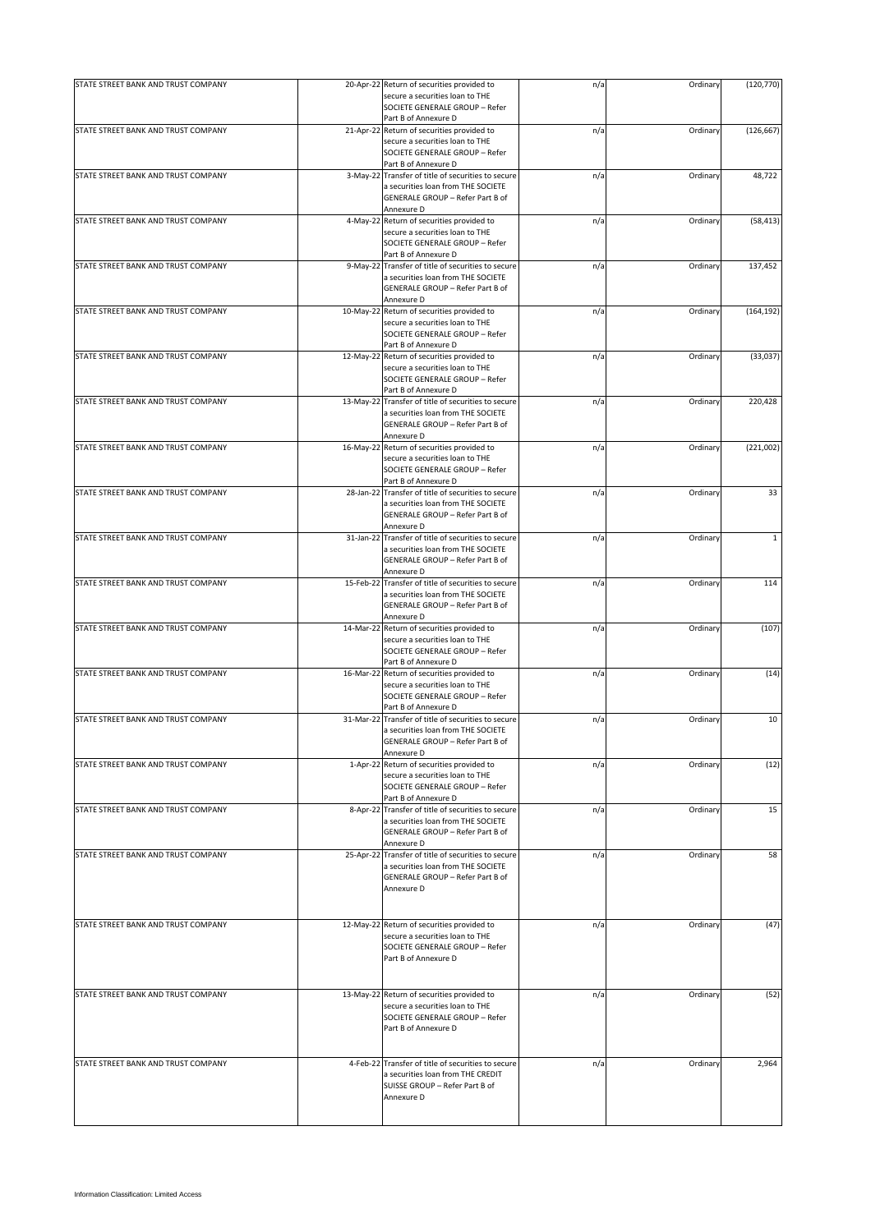| STATE STREET BANK AND TRUST COMPANY |           | 20-Apr-22 Return of securities provided to                                                | n/a | Ordinary | (120, 770)   |
|-------------------------------------|-----------|-------------------------------------------------------------------------------------------|-----|----------|--------------|
|                                     |           | secure a securities loan to THE<br>SOCIETE GENERALE GROUP - Refer<br>Part B of Annexure D |     |          |              |
| STATE STREET BANK AND TRUST COMPANY |           | 21-Apr-22 Return of securities provided to                                                | n/a | Ordinary | (126, 667)   |
|                                     |           | secure a securities loan to THE<br>SOCIETE GENERALE GROUP - Refer<br>Part B of Annexure D |     |          |              |
| STATE STREET BANK AND TRUST COMPANY |           | 3-May-22 Transfer of title of securities to secure                                        | n/a | Ordinary | 48,722       |
|                                     |           | a securities loan from THE SOCIETE                                                        |     |          |              |
|                                     |           | GENERALE GROUP - Refer Part B of                                                          |     |          |              |
|                                     |           | Annexure D                                                                                |     |          |              |
| STATE STREET BANK AND TRUST COMPANY |           | 4-May-22 Return of securities provided to                                                 | n/a | Ordinary | (58, 413)    |
|                                     |           | secure a securities loan to THE                                                           |     |          |              |
|                                     |           | SOCIETE GENERALE GROUP - Refer                                                            |     |          |              |
|                                     |           | Part B of Annexure D                                                                      |     |          |              |
| STATE STREET BANK AND TRUST COMPANY |           | 9-May-22 Transfer of title of securities to secure                                        | n/a | Ordinary | 137,452      |
|                                     |           | a securities loan from THE SOCIETE                                                        |     |          |              |
|                                     |           | GENERALE GROUP - Refer Part B of                                                          |     |          |              |
|                                     |           | Annexure D                                                                                |     |          |              |
| STATE STREET BANK AND TRUST COMPANY | 10-May-22 | Return of securities provided to                                                          | n/a | Ordinary | (164, 192)   |
|                                     |           | secure a securities loan to THE                                                           |     |          |              |
|                                     |           | SOCIETE GENERALE GROUP - Refer                                                            |     |          |              |
|                                     |           | Part B of Annexure D                                                                      |     |          |              |
| STATE STREET BANK AND TRUST COMPANY |           | 12-May-22 Return of securities provided to                                                | n/a | Ordinary | (33,037)     |
|                                     |           | secure a securities loan to THE                                                           |     |          |              |
|                                     |           | SOCIETE GENERALE GROUP - Refer                                                            |     |          |              |
|                                     |           | Part B of Annexure D                                                                      |     |          |              |
| STATE STREET BANK AND TRUST COMPANY |           | 13-May-22 Transfer of title of securities to secure                                       | n/a | Ordinary | 220,428      |
|                                     |           | a securities loan from THE SOCIETE                                                        |     |          |              |
|                                     |           | GENERALE GROUP - Refer Part B of                                                          |     |          |              |
|                                     |           | Annexure D                                                                                |     |          |              |
| STATE STREET BANK AND TRUST COMPANY |           | 16-May-22 Return of securities provided to                                                | n/a | Ordinary | (221,002)    |
|                                     |           | secure a securities loan to THE                                                           |     |          |              |
|                                     |           | SOCIETE GENERALE GROUP - Refer                                                            |     |          |              |
|                                     |           | Part B of Annexure D                                                                      |     |          |              |
| STATE STREET BANK AND TRUST COMPANY |           | 28-Jan-22 Transfer of title of securities to secure                                       | n/a | Ordinary | 33           |
|                                     |           | a securities loan from THE SOCIETE                                                        |     |          |              |
|                                     |           | GENERALE GROUP - Refer Part B of                                                          |     |          |              |
|                                     |           | Annexure D                                                                                |     |          |              |
| STATE STREET BANK AND TRUST COMPANY |           | 31-Jan-22 Transfer of title of securities to secure                                       | n/a | Ordinary | $\mathbf{1}$ |
|                                     |           | a securities loan from THE SOCIETE                                                        |     |          |              |
|                                     |           | GENERALE GROUP - Refer Part B of                                                          |     |          |              |
|                                     |           | Annexure D                                                                                |     |          | 114          |
| STATE STREET BANK AND TRUST COMPANY |           | 15-Feb-22 Transfer of title of securities to secure                                       | n/a | Ordinary |              |
|                                     |           | a securities loan from THE SOCIETE                                                        |     |          |              |
|                                     |           | GENERALE GROUP - Refer Part B of                                                          |     |          |              |
| STATE STREET BANK AND TRUST COMPANY |           | Annexure D<br>14-Mar-22 Return of securities provided to                                  | n/a | Ordinary | (107)        |
|                                     |           | secure a securities loan to THE                                                           |     |          |              |
|                                     |           | SOCIETE GENERALE GROUP - Refer                                                            |     |          |              |
|                                     |           | Part B of Annexure D                                                                      |     |          |              |
| STATE STREET BANK AND TRUST COMPANY |           | 16-Mar-22 Return of securities provided to                                                | n/a | Ordinary | (14)         |
|                                     |           | secure a securities loan to THE                                                           |     |          |              |
|                                     |           | SOCIETE GENERALE GROUP - Refer                                                            |     |          |              |
|                                     |           | Part B of Annexure D                                                                      |     |          |              |
| STATE STREET BANK AND TRUST COMPANY |           | 31-Mar-22 Transfer of title of securities to secure                                       | n/a | Ordinary | 10           |
|                                     |           | a securities loan from THE SOCIETE                                                        |     |          |              |
|                                     |           | GENERALE GROUP - Refer Part B of                                                          |     |          |              |
|                                     |           | Annexure D                                                                                |     |          |              |
| STATE STREET BANK AND TRUST COMPANY |           | 1-Apr-22 Return of securities provided to                                                 | n/a | Ordinary | (12)         |
|                                     |           | secure a securities loan to THE                                                           |     |          |              |
|                                     |           | SOCIETE GENERALE GROUP - Refer                                                            |     |          |              |
|                                     |           | Part B of Annexure D                                                                      |     |          |              |
| STATE STREET BANK AND TRUST COMPANY |           | 8-Apr-22 Transfer of title of securities to secure                                        | n/a | Ordinary | 15           |
|                                     |           | a securities loan from THE SOCIETE                                                        |     |          |              |
|                                     |           | GENERALE GROUP - Refer Part B of                                                          |     |          |              |
|                                     |           | Annexure D                                                                                |     |          |              |
| STATE STREET BANK AND TRUST COMPANY |           | 25-Apr-22 Transfer of title of securities to secure                                       | n/a | Ordinary | 58           |
|                                     |           | a securities loan from THE SOCIETE                                                        |     |          |              |
|                                     |           | GENERALE GROUP - Refer Part B of                                                          |     |          |              |
|                                     |           | Annexure D                                                                                |     |          |              |
|                                     |           |                                                                                           |     |          |              |
|                                     |           |                                                                                           |     |          |              |
| STATE STREET BANK AND TRUST COMPANY |           | 12-May-22 Return of securities provided to                                                | n/a | Ordinary | (47)         |
|                                     |           | secure a securities loan to THE                                                           |     |          |              |
|                                     |           | SOCIETE GENERALE GROUP - Refer                                                            |     |          |              |
|                                     |           | Part B of Annexure D                                                                      |     |          |              |
|                                     |           |                                                                                           |     |          |              |
|                                     |           |                                                                                           |     |          |              |
| STATE STREET BANK AND TRUST COMPANY |           | 13-May-22 Return of securities provided to                                                | n/a | Ordinary | (52)         |
|                                     |           | secure a securities loan to THE                                                           |     |          |              |
|                                     |           | SOCIETE GENERALE GROUP - Refer                                                            |     |          |              |
|                                     |           | Part B of Annexure D                                                                      |     |          |              |
|                                     |           |                                                                                           |     |          |              |
|                                     |           |                                                                                           |     |          |              |
| STATE STREET BANK AND TRUST COMPANY |           | 4-Feb-22 Transfer of title of securities to secure                                        | n/a | Ordinary | 2,964        |
|                                     |           | a securities loan from THE CREDIT                                                         |     |          |              |
|                                     |           | SUISSE GROUP - Refer Part B of                                                            |     |          |              |
|                                     |           | Annexure D                                                                                |     |          |              |
|                                     |           |                                                                                           |     |          |              |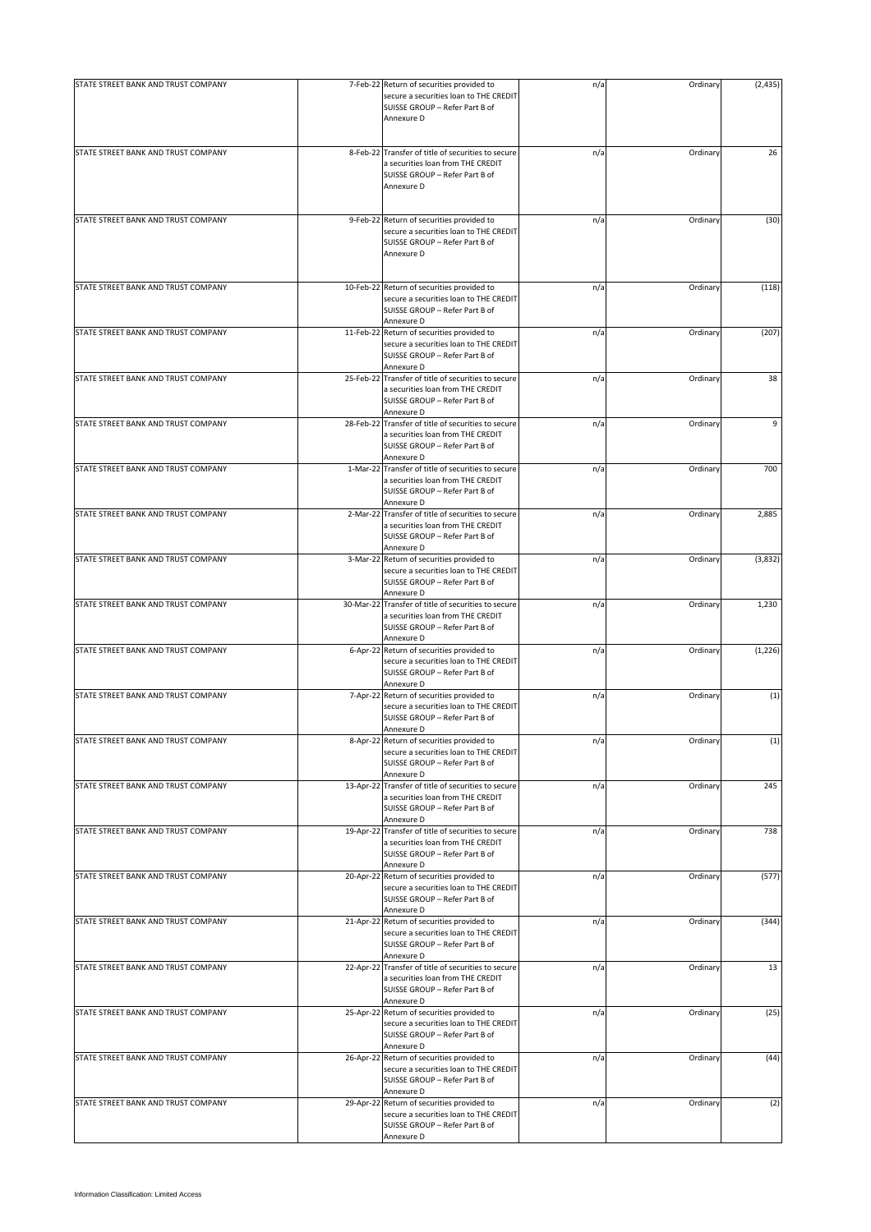| STATE STREET BANK AND TRUST COMPANY |           | 7-Feb-22 Return of securities provided to                                                                                                | n/a | Ordinary | (2, 435) |
|-------------------------------------|-----------|------------------------------------------------------------------------------------------------------------------------------------------|-----|----------|----------|
|                                     |           | secure a securities loan to THE CREDIT<br>SUISSE GROUP - Refer Part B of<br>Annexure D                                                   |     |          |          |
| STATE STREET BANK AND TRUST COMPANY |           | 8-Feb-22 Transfer of title of securities to secure<br>a securities loan from THE CREDIT<br>SUISSE GROUP - Refer Part B of<br>Annexure D  | n/a | Ordinary | 26       |
| STATE STREET BANK AND TRUST COMPANY |           | 9-Feb-22 Return of securities provided to<br>secure a securities loan to THE CREDIT<br>SUISSE GROUP - Refer Part B of<br>Annexure D      | n/a | Ordinary | (30)     |
| STATE STREET BANK AND TRUST COMPANY |           | 10-Feb-22 Return of securities provided to<br>secure a securities loan to THE CREDIT<br>SUISSE GROUP - Refer Part B of<br>Annexure D     | n/a | Ordinary | (118)    |
| STATE STREET BANK AND TRUST COMPANY |           | 11-Feb-22 Return of securities provided to<br>secure a securities loan to THE CREDIT<br>SUISSE GROUP - Refer Part B of<br>Annexure D     | n/a | Ordinary | (207)    |
| STATE STREET BANK AND TRUST COMPANY |           | 25-Feb-22 Transfer of title of securities to secure<br>a securities loan from THE CREDIT<br>SUISSE GROUP - Refer Part B of<br>Annexure D | n/a | Ordinary | 38       |
| STATE STREET BANK AND TRUST COMPANY |           | 28-Feb-22 Transfer of title of securities to secure<br>a securities loan from THE CREDIT<br>SUISSE GROUP - Refer Part B of<br>Annexure D | n/a | Ordinary | 9        |
| STATE STREET BANK AND TRUST COMPANY |           | 1-Mar-22 Transfer of title of securities to secure<br>a securities loan from THE CREDIT<br>SUISSE GROUP - Refer Part B of<br>Annexure D  | n/a | Ordinary | 700      |
| STATE STREET BANK AND TRUST COMPANY |           | 2-Mar-22 Transfer of title of securities to secure<br>a securities loan from THE CREDIT<br>SUISSE GROUP - Refer Part B of<br>Annexure D  | n/a | Ordinary | 2,885    |
| STATE STREET BANK AND TRUST COMPANY |           | 3-Mar-22 Return of securities provided to<br>secure a securities loan to THE CREDIT<br>SUISSE GROUP - Refer Part B of<br>Annexure D      | n/a | Ordinary | (3,832)  |
| STATE STREET BANK AND TRUST COMPANY |           | 30-Mar-22 Transfer of title of securities to secure<br>a securities loan from THE CREDIT<br>SUISSE GROUP - Refer Part B of<br>Annexure D | n/a | Ordinary | 1,230    |
| STATE STREET BANK AND TRUST COMPANY |           | 6-Apr-22 Return of securities provided to<br>secure a securities loan to THE CREDIT<br>SUISSE GROUP - Refer Part B of<br>Annexure D      | n/a | Ordinary | (1, 226) |
| STATE STREET BANK AND TRUST COMPANY |           | 7-Apr-22 Return of securities provided to<br>secure a securities loan to THE CREDIT<br>SUISSE GROUP - Refer Part B of<br>Annexure D      | n/a | Ordinary | (1)      |
| STATE STREET BANK AND TRUST COMPANY |           | 8-Apr-22 Return of securities provided to<br>secure a securities loan to THE CREDIT<br>SUISSE GROUP - Refer Part B of<br>Annexure D      | n/a | Ordinary | (1)      |
| STATE STREET BANK AND TRUST COMPANY |           | 13-Apr-22 Transfer of title of securities to secure<br>a securities loan from THE CREDIT<br>SUISSE GROUP - Refer Part B of<br>Annexure D | n/a | Ordinary | 245      |
| STATE STREET BANK AND TRUST COMPANY |           | 19-Apr-22 Transfer of title of securities to secure<br>a securities loan from THE CREDIT<br>SUISSE GROUP - Refer Part B of<br>Annexure D | n/a | Ordinary | 738      |
| STATE STREET BANK AND TRUST COMPANY |           | 20-Apr-22 Return of securities provided to<br>secure a securities loan to THE CREDIT<br>SUISSE GROUP - Refer Part B of<br>Annexure D     | n/a | Ordinary | (577)    |
| STATE STREET BANK AND TRUST COMPANY |           | 21-Apr-22 Return of securities provided to<br>secure a securities loan to THE CREDIT<br>SUISSE GROUP - Refer Part B of<br>Annexure D     | n/a | Ordinary | (344)    |
| STATE STREET BANK AND TRUST COMPANY |           | 22-Apr-22 Transfer of title of securities to secure<br>a securities loan from THE CREDIT<br>SUISSE GROUP - Refer Part B of<br>Annexure D | n/a | Ordinary | 13       |
| STATE STREET BANK AND TRUST COMPANY |           | 25-Apr-22 Return of securities provided to<br>secure a securities loan to THE CREDIT<br>SUISSE GROUP - Refer Part B of<br>Annexure D     | n/a | Ordinary | (25)     |
| STATE STREET BANK AND TRUST COMPANY |           | 26-Apr-22 Return of securities provided to<br>secure a securities loan to THE CREDIT<br>SUISSE GROUP - Refer Part B of<br>Annexure D     | n/a | Ordinary | (44)     |
| STATE STREET BANK AND TRUST COMPANY | 29-Apr-22 | Return of securities provided to<br>secure a securities loan to THE CREDIT<br>SUISSE GROUP - Refer Part B of<br>Annexure D               | n/a | Ordinary | (2)      |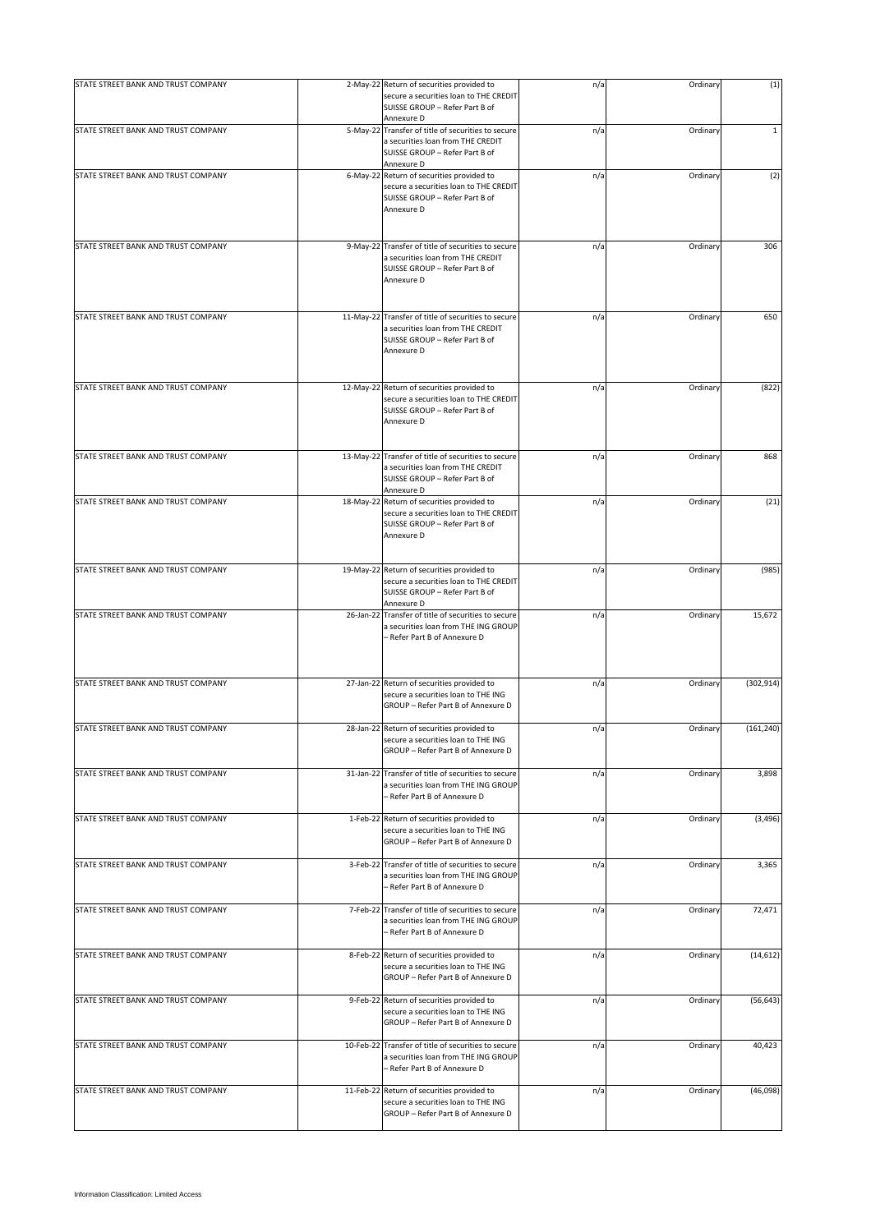| STATE STREET BANK AND TRUST COMPANY |           | 2-May-22 Return of securities provided to                                                                                                | n/a | Ordinary | (1)          |
|-------------------------------------|-----------|------------------------------------------------------------------------------------------------------------------------------------------|-----|----------|--------------|
|                                     |           | secure a securities loan to THE CREDIT<br>SUISSE GROUP - Refer Part B of<br>Annexure D                                                   |     |          |              |
| STATE STREET BANK AND TRUST COMPANY |           | 5-May-22 Transfer of title of securities to secure<br>a securities loan from THE CREDIT<br>SUISSE GROUP - Refer Part B of<br>Annexure D  | n/a | Ordinary | $\mathbf{1}$ |
| STATE STREET BANK AND TRUST COMPANY |           | 6-May-22 Return of securities provided to<br>secure a securities loan to THE CREDIT<br>SUISSE GROUP - Refer Part B of<br>Annexure D      | n/a | Ordinary | (2)          |
| STATE STREET BANK AND TRUST COMPANY | 9-May-22  | Transfer of title of securities to secure<br>a securities loan from THE CREDIT<br>SUISSE GROUP - Refer Part B of<br>Annexure D           | n/a | Ordinary | 306          |
| STATE STREET BANK AND TRUST COMPANY | 11-May-22 | Transfer of title of securities to secure<br>a securities loan from THE CREDIT<br>SUISSE GROUP - Refer Part B of<br>Annexure D           | n/a | Ordinary | 650          |
| STATE STREET BANK AND TRUST COMPANY |           | 12-May-22 Return of securities provided to<br>secure a securities loan to THE CREDIT<br>SUISSE GROUP - Refer Part B of<br>Annexure D     | n/a | Ordinary | (822)        |
| STATE STREET BANK AND TRUST COMPANY |           | 13-May-22 Transfer of title of securities to secure<br>a securities loan from THE CREDIT<br>SUISSE GROUP - Refer Part B of<br>Annexure D | n/a | Ordinary | 868          |
| STATE STREET BANK AND TRUST COMPANY |           | 18-May-22 Return of securities provided to<br>secure a securities loan to THE CREDIT<br>SUISSE GROUP - Refer Part B of<br>Annexure D     | n/a | Ordinary | (21)         |
| STATE STREET BANK AND TRUST COMPANY |           | 19-May-22 Return of securities provided to<br>secure a securities loan to THE CREDIT<br>SUISSE GROUP - Refer Part B of<br>Annexure D     | n/a | Ordinary | (985)        |
| STATE STREET BANK AND TRUST COMPANY |           | 26-Jan-22 Transfer of title of securities to secure<br>a securities loan from THE ING GROUP<br>- Refer Part B of Annexure D              | n/a | Ordinary | 15,672       |
| STATE STREET BANK AND TRUST COMPANY |           | 27-Jan-22 Return of securities provided to<br>secure a securities loan to THE ING<br>GROUP - Refer Part B of Annexure D                  | n/a | Ordinary | (302, 914)   |
| STATE STREET BANK AND TRUST COMPANY |           | 28-Jan-22 Return of securities provided to<br>secure a securities loan to THE ING<br>GROUP - Refer Part B of Annexure D                  | n/a | Ordinary | (161, 240)   |
| STATE STREET BANK AND TRUST COMPANY |           | 31-Jan-22 Transfer of title of securities to secure<br>a securities loan from THE ING GROUP<br>- Refer Part B of Annexure D              | n/a | Ordinary | 3,898        |
| STATE STREET BANK AND TRUST COMPANY |           | 1-Feb-22 Return of securities provided to<br>secure a securities loan to THE ING<br>GROUP - Refer Part B of Annexure D                   | n/a | Ordinary | (3, 496)     |
| STATE STREET BANK AND TRUST COMPANY |           | 3-Feb-22 Transfer of title of securities to secure<br>a securities loan from THE ING GROUP<br>- Refer Part B of Annexure D               | n/a | Ordinary | 3,365        |
| STATE STREET BANK AND TRUST COMPANY |           | 7-Feb-22 Transfer of title of securities to secure<br>a securities loan from THE ING GROUP<br>- Refer Part B of Annexure D               | n/a | Ordinary | 72,471       |
| STATE STREET BANK AND TRUST COMPANY |           | 8-Feb-22 Return of securities provided to<br>secure a securities loan to THE ING<br>GROUP - Refer Part B of Annexure D                   | n/a | Ordinary | (14, 612)    |
| STATE STREET BANK AND TRUST COMPANY |           | 9-Feb-22 Return of securities provided to<br>secure a securities loan to THE ING<br>GROUP - Refer Part B of Annexure D                   | n/a | Ordinary | (56, 643)    |
| STATE STREET BANK AND TRUST COMPANY |           | 10-Feb-22 Transfer of title of securities to secure<br>a securities loan from THE ING GROUP<br>- Refer Part B of Annexure D              | n/a | Ordinary | 40,423       |
| STATE STREET BANK AND TRUST COMPANY |           | 11-Feb-22 Return of securities provided to<br>secure a securities loan to THE ING<br>GROUP - Refer Part B of Annexure D                  | n/a | Ordinary | (46,098)     |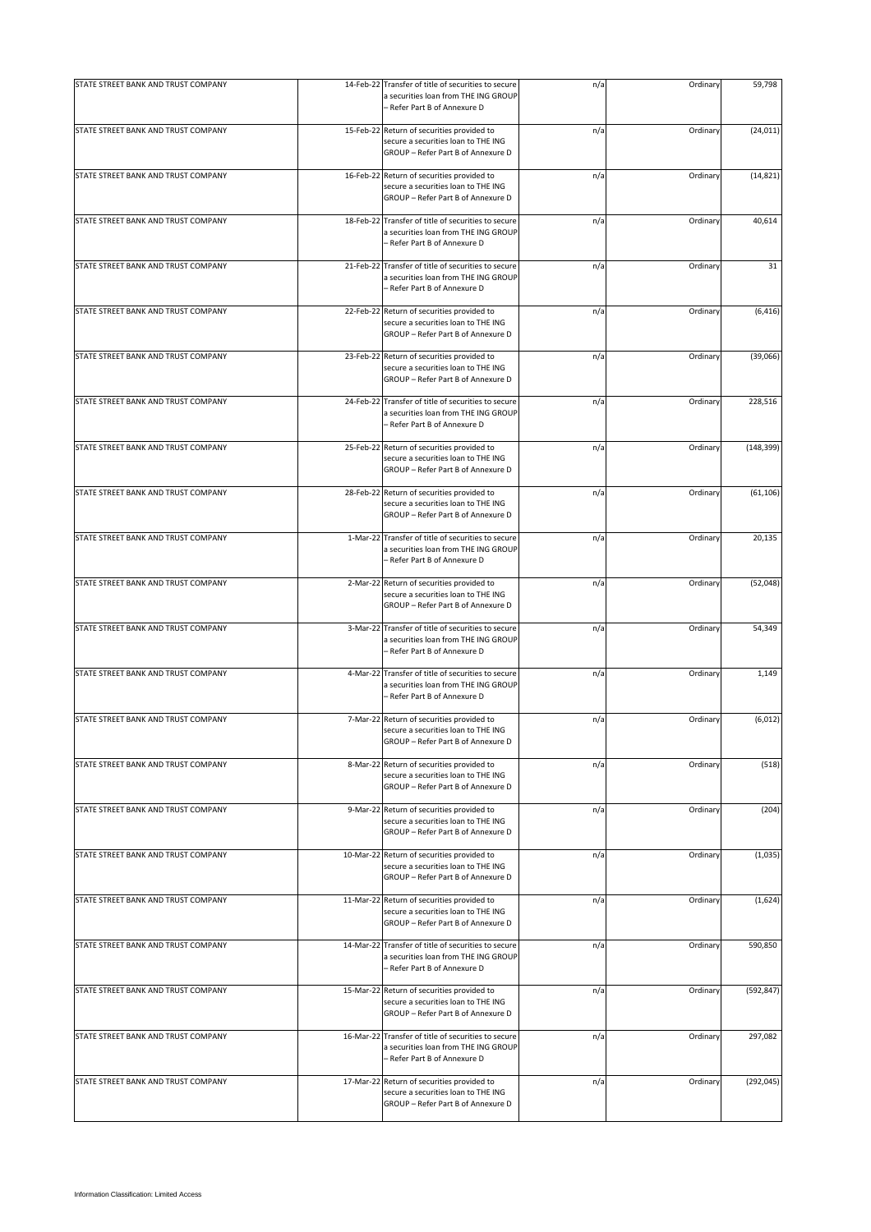| STATE STREET BANK AND TRUST COMPANY |           | 14-Feb-22 Transfer of title of securities to secure<br>a securities loan from THE ING GROUP<br>- Refer Part B of Annexure D | n/a | Ordinary | 59,798     |
|-------------------------------------|-----------|-----------------------------------------------------------------------------------------------------------------------------|-----|----------|------------|
| STATE STREET BANK AND TRUST COMPANY |           | 15-Feb-22 Return of securities provided to<br>secure a securities loan to THE ING<br>GROUP - Refer Part B of Annexure D     | n/a | Ordinary | (24, 011)  |
| STATE STREET BANK AND TRUST COMPANY |           | 16-Feb-22 Return of securities provided to<br>secure a securities loan to THE ING<br>GROUP - Refer Part B of Annexure D     | n/a | Ordinary | (14, 821)  |
| STATE STREET BANK AND TRUST COMPANY |           | 18-Feb-22 Transfer of title of securities to secure<br>a securities loan from THE ING GROUP<br>- Refer Part B of Annexure D | n/a | Ordinary | 40,614     |
| STATE STREET BANK AND TRUST COMPANY | 21-Feb-22 | Transfer of title of securities to secure<br>a securities loan from THE ING GROUP<br>- Refer Part B of Annexure D           | n/a | Ordinary | 31         |
| STATE STREET BANK AND TRUST COMPANY |           | 22-Feb-22 Return of securities provided to<br>secure a securities loan to THE ING<br>GROUP - Refer Part B of Annexure D     | n/a | Ordinary | (6, 416)   |
| STATE STREET BANK AND TRUST COMPANY |           | 23-Feb-22 Return of securities provided to<br>secure a securities loan to THE ING<br>GROUP - Refer Part B of Annexure D     | n/a | Ordinary | (39,066)   |
| STATE STREET BANK AND TRUST COMPANY |           | 24-Feb-22 Transfer of title of securities to secure<br>a securities loan from THE ING GROUP<br>- Refer Part B of Annexure D | n/a | Ordinary | 228,516    |
| STATE STREET BANK AND TRUST COMPANY |           | 25-Feb-22 Return of securities provided to<br>secure a securities loan to THE ING<br>GROUP - Refer Part B of Annexure D     | n/a | Ordinary | (148, 399) |
| STATE STREET BANK AND TRUST COMPANY |           | 28-Feb-22 Return of securities provided to<br>secure a securities loan to THE ING<br>GROUP - Refer Part B of Annexure D     | n/a | Ordinary | (61, 106)  |
| STATE STREET BANK AND TRUST COMPANY | 1-Mar-22  | Transfer of title of securities to secure<br>a securities loan from THE ING GROUP<br>- Refer Part B of Annexure D           | n/a | Ordinary | 20,135     |
| STATE STREET BANK AND TRUST COMPANY |           | 2-Mar-22 Return of securities provided to<br>secure a securities loan to THE ING<br>GROUP - Refer Part B of Annexure D      | n/a | Ordinary | (52,048)   |
| STATE STREET BANK AND TRUST COMPANY |           | 3-Mar-22 Transfer of title of securities to secure<br>a securities loan from THE ING GROUP<br>- Refer Part B of Annexure D  | n/a | Ordinary | 54,349     |
| STATE STREET BANK AND TRUST COMPANY |           | 4-Mar-22 Transfer of title of securities to secure<br>a securities loan from THE ING GROUP<br>- Refer Part B of Annexure D  | n/a | Ordinary | 1,149      |
| STATE STREET BANK AND TRUST COMPANY |           | 7-Mar-22 Return of securities provided to<br>secure a securities loan to THE ING<br>GROUP - Refer Part B of Annexure D      | n/a | Ordinary | (6, 012)   |
| STATE STREET BANK AND TRUST COMPANY |           | 8-Mar-22 Return of securities provided to<br>secure a securities loan to THE ING<br>GROUP - Refer Part B of Annexure D      | n/a | Ordinary | (518)      |
| STATE STREET BANK AND TRUST COMPANY |           | 9-Mar-22 Return of securities provided to<br>secure a securities loan to THE ING<br>GROUP - Refer Part B of Annexure D      | n/a | Ordinary | (204)      |
| STATE STREET BANK AND TRUST COMPANY |           | 10-Mar-22 Return of securities provided to<br>secure a securities loan to THE ING<br>GROUP - Refer Part B of Annexure D     | n/a | Ordinary | (1,035)    |
| STATE STREET BANK AND TRUST COMPANY |           | 11-Mar-22 Return of securities provided to<br>secure a securities loan to THE ING<br>GROUP - Refer Part B of Annexure D     | n/a | Ordinary | (1,624)    |
| STATE STREET BANK AND TRUST COMPANY |           | 14-Mar-22 Transfer of title of securities to secure<br>a securities loan from THE ING GROUP<br>- Refer Part B of Annexure D | n/a | Ordinary | 590,850    |
| STATE STREET BANK AND TRUST COMPANY |           | 15-Mar-22 Return of securities provided to<br>secure a securities loan to THE ING<br>GROUP - Refer Part B of Annexure D     | n/a | Ordinary | (592, 847) |
| STATE STREET BANK AND TRUST COMPANY |           | 16-Mar-22 Transfer of title of securities to secure<br>a securities loan from THE ING GROUP<br>- Refer Part B of Annexure D | n/a | Ordinary | 297,082    |
| STATE STREET BANK AND TRUST COMPANY |           | 17-Mar-22 Return of securities provided to<br>secure a securities loan to THE ING<br>GROUP - Refer Part B of Annexure D     | n/a | Ordinary | (292, 045) |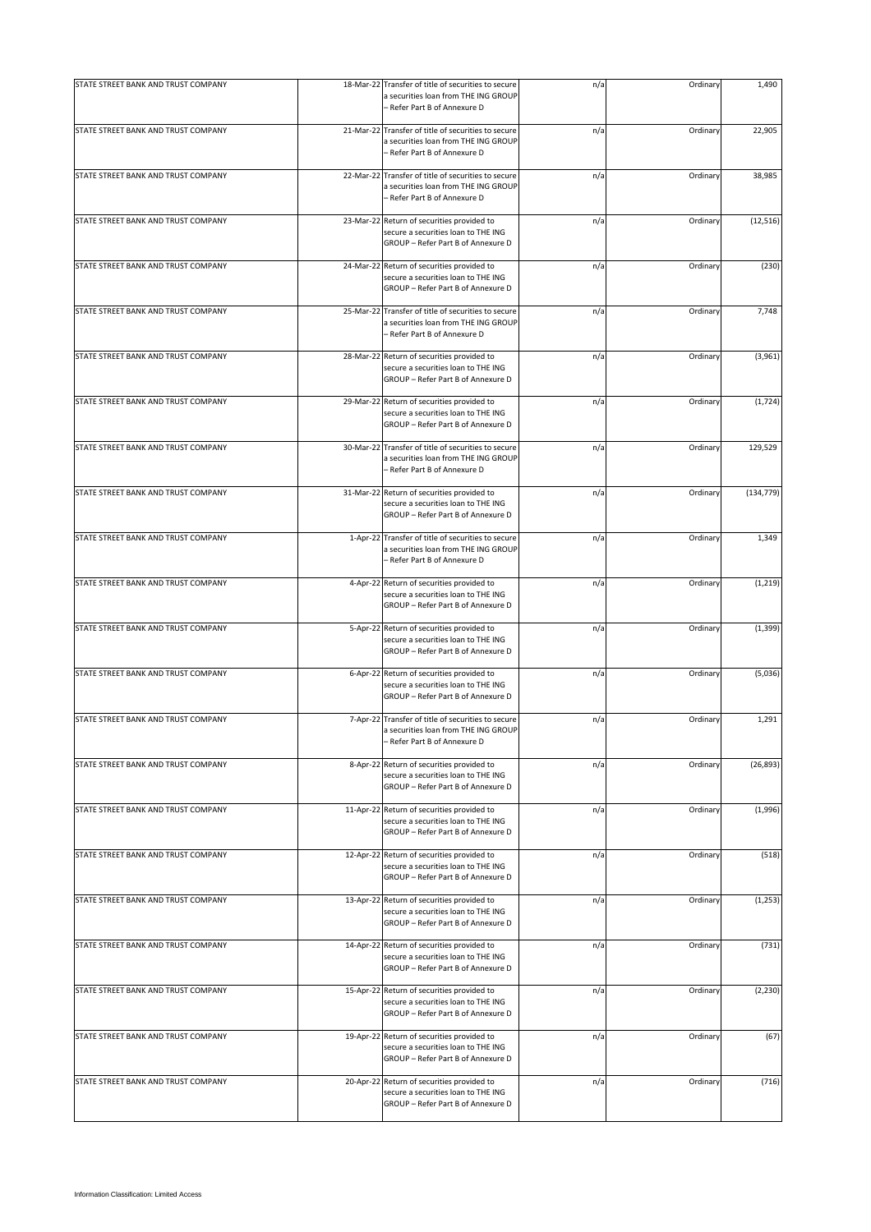| STATE STREET BANK AND TRUST COMPANY |          | 18-Mar-22 Transfer of title of securities to secure<br>a securities loan from THE ING GROUP<br>- Refer Part B of Annexure D | n/a | Ordinary | 1,490      |
|-------------------------------------|----------|-----------------------------------------------------------------------------------------------------------------------------|-----|----------|------------|
| STATE STREET BANK AND TRUST COMPANY |          | 21-Mar-22 Transfer of title of securities to secure<br>a securities loan from THE ING GROUP<br>- Refer Part B of Annexure D | n/a | Ordinary | 22,905     |
| STATE STREET BANK AND TRUST COMPANY |          | 22-Mar-22 Transfer of title of securities to secure<br>a securities loan from THE ING GROUP<br>- Refer Part B of Annexure D | n/a | Ordinary | 38,985     |
| STATE STREET BANK AND TRUST COMPANY |          | 23-Mar-22 Return of securities provided to<br>secure a securities loan to THE ING<br>GROUP - Refer Part B of Annexure D     | n/a | Ordinary | (12, 516)  |
| STATE STREET BANK AND TRUST COMPANY |          | 24-Mar-22 Return of securities provided to<br>secure a securities loan to THE ING<br>GROUP - Refer Part B of Annexure D     | n/a | Ordinary | (230)      |
| STATE STREET BANK AND TRUST COMPANY |          | 25-Mar-22 Transfer of title of securities to secure<br>a securities loan from THE ING GROUP<br>- Refer Part B of Annexure D | n/a | Ordinary | 7,748      |
| STATE STREET BANK AND TRUST COMPANY |          | 28-Mar-22 Return of securities provided to<br>secure a securities loan to THE ING<br>GROUP - Refer Part B of Annexure D     | n/a | Ordinary | (3,961)    |
| STATE STREET BANK AND TRUST COMPANY |          | 29-Mar-22 Return of securities provided to<br>secure a securities loan to THE ING<br>GROUP - Refer Part B of Annexure D     | n/a | Ordinary | (1, 724)   |
| STATE STREET BANK AND TRUST COMPANY |          | 30-Mar-22 Transfer of title of securities to secure<br>a securities loan from THE ING GROUP<br>- Refer Part B of Annexure D | n/a | Ordinary | 129,529    |
| STATE STREET BANK AND TRUST COMPANY |          | 31-Mar-22 Return of securities provided to<br>secure a securities loan to THE ING<br>GROUP - Refer Part B of Annexure D     | n/a | Ordinary | (134, 779) |
| STATE STREET BANK AND TRUST COMPANY | 1-Apr-22 | Transfer of title of securities to secure<br>a securities loan from THE ING GROUP<br>- Refer Part B of Annexure D           | n/a | Ordinary | 1,349      |
| STATE STREET BANK AND TRUST COMPANY |          | 4-Apr-22 Return of securities provided to<br>secure a securities loan to THE ING<br>GROUP - Refer Part B of Annexure D      | n/a | Ordinary | (1, 219)   |
| STATE STREET BANK AND TRUST COMPANY |          | 5-Apr-22 Return of securities provided to<br>secure a securities loan to THE ING<br>GROUP - Refer Part B of Annexure D      | n/a | Ordinary | (1, 399)   |
| STATE STREET BANK AND TRUST COMPANY |          | 6-Apr-22 Return of securities provided to<br>secure a securities loan to THE ING<br>GROUP - Refer Part B of Annexure D      | n/a | Ordinary | (5,036)    |
| STATE STREET BANK AND TRUST COMPANY |          | 7-Apr-22 Transfer of title of securities to secure<br>a securities loan from THE ING GROUP<br>Refer Part B of Annexure D    | n/a | Ordinary | 1,291      |
| STATE STREET BANK AND TRUST COMPANY |          | 8-Apr-22 Return of securities provided to<br>secure a securities loan to THE ING<br>GROUP - Refer Part B of Annexure D      | n/a | Ordinary | (26, 893)  |
| STATE STREET BANK AND TRUST COMPANY |          | 11-Apr-22 Return of securities provided to<br>secure a securities loan to THE ING<br>GROUP - Refer Part B of Annexure D     | n/a | Ordinary | (1,996)    |
| STATE STREET BANK AND TRUST COMPANY |          | 12-Apr-22 Return of securities provided to<br>secure a securities loan to THE ING<br>GROUP - Refer Part B of Annexure D     | n/a | Ordinary | (518)      |
| STATE STREET BANK AND TRUST COMPANY |          | 13-Apr-22 Return of securities provided to<br>secure a securities loan to THE ING<br>GROUP - Refer Part B of Annexure D     | n/a | Ordinary | (1, 253)   |
| STATE STREET BANK AND TRUST COMPANY |          | 14-Apr-22 Return of securities provided to<br>secure a securities loan to THE ING<br>GROUP - Refer Part B of Annexure D     | n/a | Ordinary | (731)      |
| STATE STREET BANK AND TRUST COMPANY |          | 15-Apr-22 Return of securities provided to<br>secure a securities loan to THE ING<br>GROUP - Refer Part B of Annexure D     | n/a | Ordinary | (2, 230)   |
| STATE STREET BANK AND TRUST COMPANY |          | 19-Apr-22 Return of securities provided to<br>secure a securities loan to THE ING<br>GROUP - Refer Part B of Annexure D     | n/a | Ordinary | (67)       |
| STATE STREET BANK AND TRUST COMPANY |          | 20-Apr-22 Return of securities provided to<br>secure a securities loan to THE ING<br>GROUP - Refer Part B of Annexure D     | n/a | Ordinary | (716)      |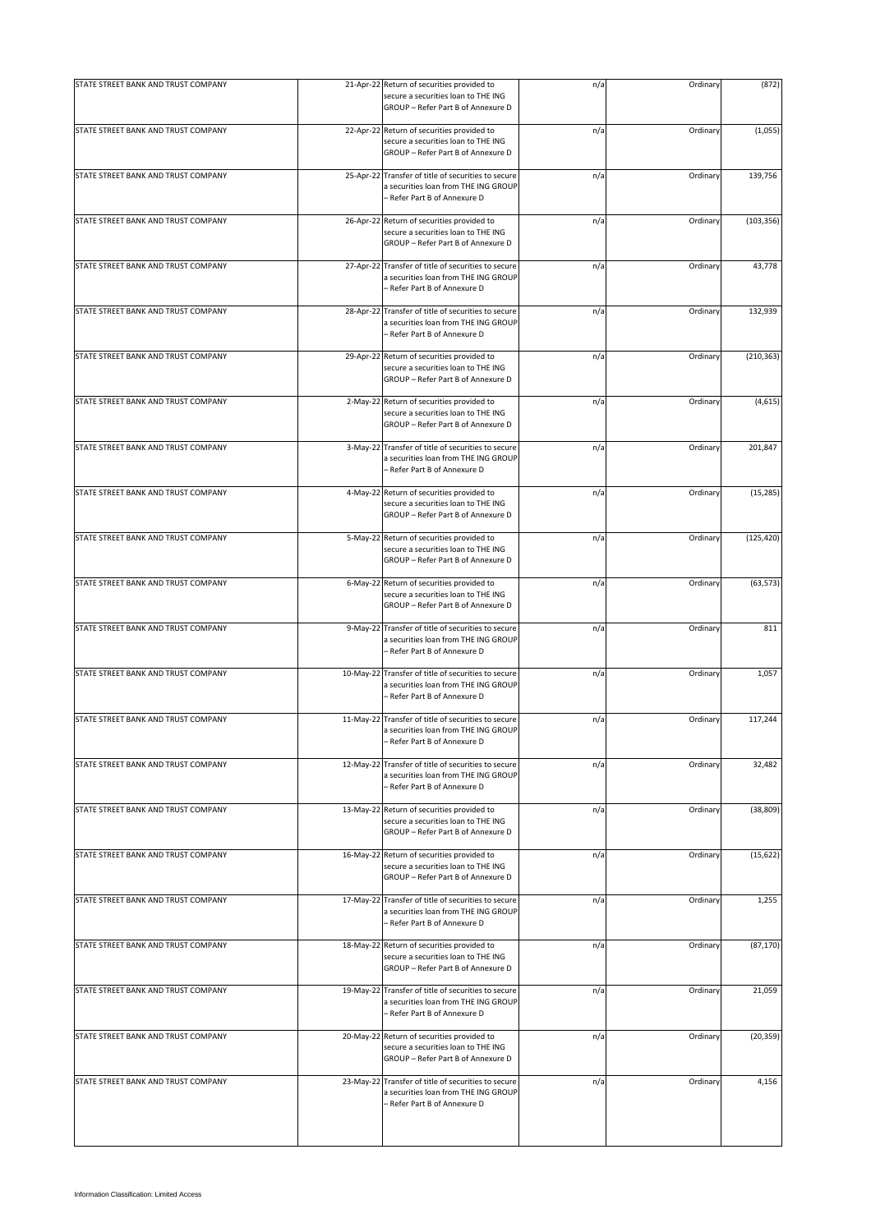| STATE STREET BANK AND TRUST COMPANY |           | 21-Apr-22 Return of securities provided to                                                                                  | n/a | Ordinary | (872)      |
|-------------------------------------|-----------|-----------------------------------------------------------------------------------------------------------------------------|-----|----------|------------|
|                                     |           | secure a securities loan to THE ING<br>GROUP - Refer Part B of Annexure D                                                   |     |          |            |
| STATE STREET BANK AND TRUST COMPANY |           | 22-Apr-22 Return of securities provided to<br>secure a securities loan to THE ING<br>GROUP - Refer Part B of Annexure D     | n/a | Ordinary | (1,055)    |
| STATE STREET BANK AND TRUST COMPANY |           | 25-Apr-22 Transfer of title of securities to secure<br>a securities loan from THE ING GROUP<br>- Refer Part B of Annexure D | n/a | Ordinary | 139,756    |
| STATE STREET BANK AND TRUST COMPANY |           | 26-Apr-22 Return of securities provided to<br>secure a securities loan to THE ING<br>GROUP - Refer Part B of Annexure D     | n/a | Ordinary | (103, 356) |
| STATE STREET BANK AND TRUST COMPANY | 27-Apr-22 | Transfer of title of securities to secure<br>a securities loan from THE ING GROUP<br>- Refer Part B of Annexure D           | n/a | Ordinary | 43,778     |
| STATE STREET BANK AND TRUST COMPANY |           | 28-Apr-22 Transfer of title of securities to secure<br>a securities loan from THE ING GROUP<br>- Refer Part B of Annexure D | n/a | Ordinary | 132,939    |
| STATE STREET BANK AND TRUST COMPANY |           | 29-Apr-22 Return of securities provided to<br>secure a securities loan to THE ING<br>GROUP - Refer Part B of Annexure D     | n/a | Ordinary | (210, 363) |
| STATE STREET BANK AND TRUST COMPANY |           | 2-May-22 Return of securities provided to<br>secure a securities loan to THE ING<br>GROUP - Refer Part B of Annexure D      | n/a | Ordinary | (4, 615)   |
| STATE STREET BANK AND TRUST COMPANY |           | 3-May-22 Transfer of title of securities to secure<br>a securities loan from THE ING GROUP<br>Refer Part B of Annexure D    | n/a | Ordinary | 201,847    |
| STATE STREET BANK AND TRUST COMPANY |           | 4-May-22 Return of securities provided to<br>secure a securities loan to THE ING<br>GROUP - Refer Part B of Annexure D      | n/a | Ordinary | (15, 285)  |
| STATE STREET BANK AND TRUST COMPANY |           | 5-May-22 Return of securities provided to<br>secure a securities loan to THE ING<br>GROUP - Refer Part B of Annexure D      | n/a | Ordinary | (125, 420) |
| STATE STREET BANK AND TRUST COMPANY |           | 6-May-22 Return of securities provided to<br>secure a securities loan to THE ING<br>GROUP - Refer Part B of Annexure D      | n/a | Ordinary | (63, 573)  |
| STATE STREET BANK AND TRUST COMPANY |           | 9-May-22 Transfer of title of securities to secure<br>a securities loan from THE ING GROUP<br>- Refer Part B of Annexure D  | n/a | Ordinary | 811        |
| STATE STREET BANK AND TRUST COMPANY |           | 10-May-22 Transfer of title of securities to secure<br>a securities loan from THE ING GROUP<br>- Refer Part B of Annexure D | n/a | Ordinary | 1,057      |
| STATE STREET BANK AND TRUST COMPANY |           | 11-May-22 Transfer of title of securities to secure<br>a securities loan from THE ING GROUP<br>Refer Part B of Annexure D   | n/a | Ordinary | 117,244    |
| STATE STREET BANK AND TRUST COMPANY |           | 12-May-22 Transfer of title of securities to secure<br>a securities loan from THE ING GROUP<br>Refer Part B of Annexure D   | n/a | Ordinary | 32,482     |
| STATE STREET BANK AND TRUST COMPANY |           | 13-May-22 Return of securities provided to<br>secure a securities loan to THE ING<br>GROUP - Refer Part B of Annexure D     | n/a | Ordinary | (38, 809)  |
| STATE STREET BANK AND TRUST COMPANY |           | 16-May-22 Return of securities provided to<br>secure a securities loan to THE ING<br>GROUP - Refer Part B of Annexure D     | n/a | Ordinary | (15, 622)  |
| STATE STREET BANK AND TRUST COMPANY |           | 17-May-22 Transfer of title of securities to secure<br>a securities loan from THE ING GROUP<br>- Refer Part B of Annexure D | n/a | Ordinary | 1,255      |
| STATE STREET BANK AND TRUST COMPANY |           | 18-May-22 Return of securities provided to<br>secure a securities loan to THE ING<br>GROUP - Refer Part B of Annexure D     | n/a | Ordinary | (87, 170)  |
| STATE STREET BANK AND TRUST COMPANY |           | 19-May-22 Transfer of title of securities to secure<br>a securities loan from THE ING GROUP<br>- Refer Part B of Annexure D | n/a | Ordinary | 21,059     |
| STATE STREET BANK AND TRUST COMPANY |           | 20-May-22 Return of securities provided to<br>secure a securities loan to THE ING<br>GROUP - Refer Part B of Annexure D     | n/a | Ordinary | (20, 359)  |
| STATE STREET BANK AND TRUST COMPANY |           | 23-May-22 Transfer of title of securities to secure<br>a securities loan from THE ING GROUP<br>- Refer Part B of Annexure D | n/a | Ordinary | 4,156      |
|                                     |           |                                                                                                                             |     |          |            |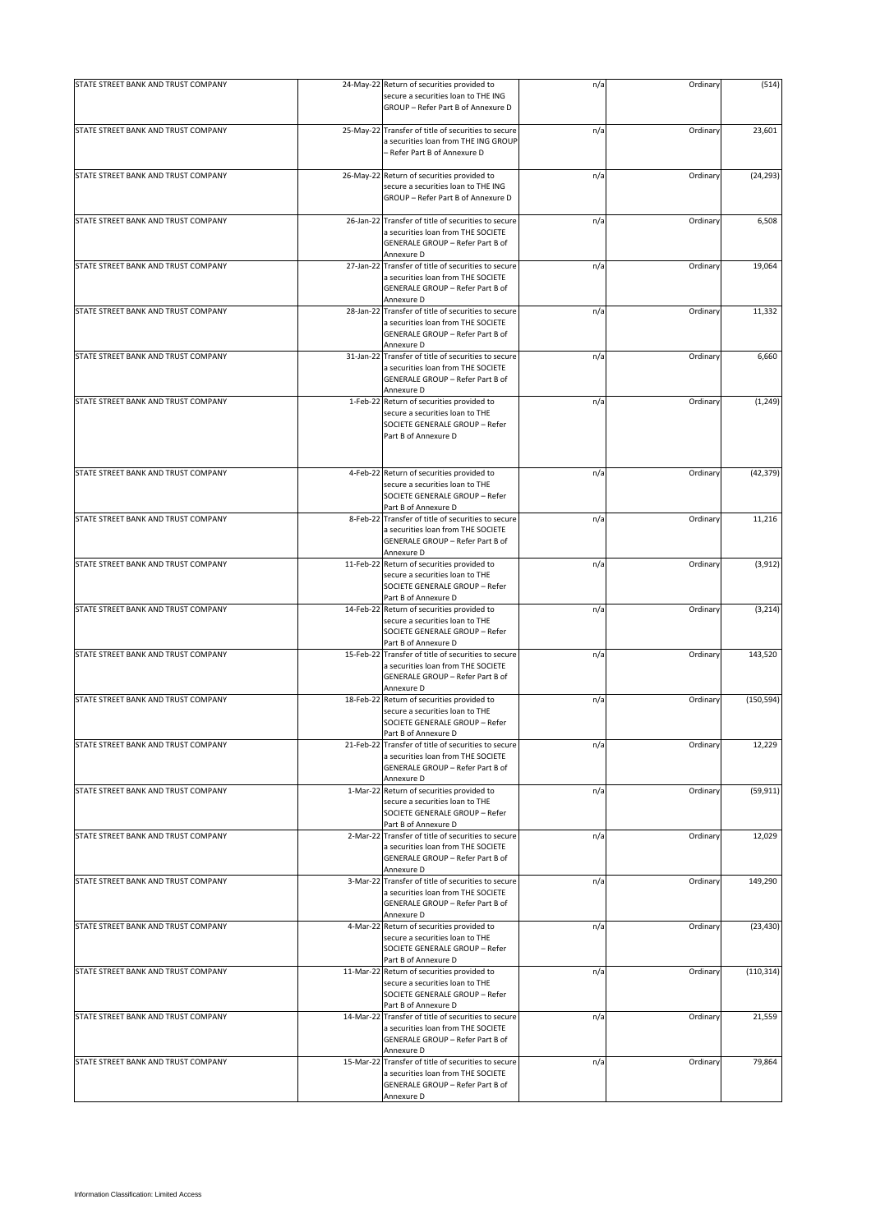| STATE STREET BANK AND TRUST COMPANY |           | 24-May-22 Return of securities provided to                                                                                                  | n/a | Ordinary | (514)      |
|-------------------------------------|-----------|---------------------------------------------------------------------------------------------------------------------------------------------|-----|----------|------------|
|                                     |           | secure a securities loan to THE ING<br>GROUP - Refer Part B of Annexure D                                                                   |     |          |            |
| STATE STREET BANK AND TRUST COMPANY |           | 25-May-22 Transfer of title of securities to secure<br>a securities loan from THE ING GROUP<br>- Refer Part B of Annexure D                 | n/a | Ordinary | 23,601     |
| STATE STREET BANK AND TRUST COMPANY |           | 26-May-22 Return of securities provided to<br>secure a securities loan to THE ING<br>GROUP - Refer Part B of Annexure D                     | n/a | Ordinary | (24, 293)  |
| STATE STREET BANK AND TRUST COMPANY |           | 26-Jan-22 Transfer of title of securities to secure<br>a securities loan from THE SOCIETE<br>GENERALE GROUP - Refer Part B of<br>Annexure D | n/a | Ordinary | 6,508      |
| STATE STREET BANK AND TRUST COMPANY |           | 27-Jan-22 Transfer of title of securities to secure<br>a securities loan from THE SOCIETE<br>GENERALE GROUP - Refer Part B of<br>Annexure D | n/a | Ordinary | 19,064     |
| STATE STREET BANK AND TRUST COMPANY |           | 28-Jan-22 Transfer of title of securities to secure<br>a securities loan from THE SOCIETE<br>GENERALE GROUP - Refer Part B of<br>Annexure D | n/a | Ordinary | 11,332     |
| STATE STREET BANK AND TRUST COMPANY |           | 31-Jan-22 Transfer of title of securities to secure<br>a securities loan from THE SOCIETE<br>GENERALE GROUP - Refer Part B of<br>Annexure D | n/a | Ordinary | 6,660      |
| STATE STREET BANK AND TRUST COMPANY |           | 1-Feb-22 Return of securities provided to<br>secure a securities loan to THE<br>SOCIETE GENERALE GROUP - Refer<br>Part B of Annexure D      | n/a | Ordinary | (1, 249)   |
| STATE STREET BANK AND TRUST COMPANY |           | 4-Feb-22 Return of securities provided to<br>secure a securities loan to THE<br>SOCIETE GENERALE GROUP - Refer<br>Part B of Annexure D      | n/a | Ordinary | (42, 379)  |
| STATE STREET BANK AND TRUST COMPANY |           | 8-Feb-22 Transfer of title of securities to secure<br>a securities loan from THE SOCIETE<br>GENERALE GROUP - Refer Part B of<br>Annexure D  | n/a | Ordinary | 11,216     |
| STATE STREET BANK AND TRUST COMPANY |           | 11-Feb-22 Return of securities provided to<br>secure a securities loan to THE<br>SOCIETE GENERALE GROUP - Refer<br>Part B of Annexure D     | n/a | Ordinary | (3, 912)   |
| STATE STREET BANK AND TRUST COMPANY |           | 14-Feb-22 Return of securities provided to<br>secure a securities loan to THE<br>SOCIETE GENERALE GROUP - Refer<br>Part B of Annexure D     | n/a | Ordinary | (3, 214)   |
| STATE STREET BANK AND TRUST COMPANY |           | 15-Feb-22 Transfer of title of securities to secure<br>a securities loan from THE SOCIETE<br>GENERALE GROUP - Refer Part B of<br>Annexure D | n/a | Ordinary | 143,520    |
| STATE STREET BANK AND TRUST COMPANY | 18-Feb-22 | Return of securities provided to<br>secure a securities loan to THE<br>SOCIETE GENERALE GROUP - Refer<br>Part B of Annexure D               | n/a | Ordinary | (150, 594) |
| STATE STREET BANK AND TRUST COMPANY |           | 21-Feb-22 Transfer of title of securities to secure<br>a securities loan from THE SOCIETE<br>GENERALE GROUP - Refer Part B of<br>Annexure D | n/a | Ordinary | 12,229     |
| STATE STREET BANK AND TRUST COMPANY |           | 1-Mar-22 Return of securities provided to<br>secure a securities loan to THE<br>SOCIETE GENERALE GROUP - Refer<br>Part B of Annexure D      | n/a | Ordinary | (59, 911)  |
| STATE STREET BANK AND TRUST COMPANY |           | 2-Mar-22 Transfer of title of securities to secure<br>a securities loan from THE SOCIETE<br>GENERALE GROUP - Refer Part B of<br>Annexure D  | n/a | Ordinary | 12,029     |
| STATE STREET BANK AND TRUST COMPANY |           | 3-Mar-22 Transfer of title of securities to secure<br>a securities loan from THE SOCIETE<br>GENERALE GROUP - Refer Part B of<br>Annexure D  | n/a | Ordinary | 149,290    |
| STATE STREET BANK AND TRUST COMPANY |           | 4-Mar-22 Return of securities provided to<br>secure a securities loan to THE<br>SOCIETE GENERALE GROUP - Refer<br>Part B of Annexure D      | n/a | Ordinary | (23, 430)  |
| STATE STREET BANK AND TRUST COMPANY |           | 11-Mar-22 Return of securities provided to<br>secure a securities loan to THE<br>SOCIETE GENERALE GROUP - Refer<br>Part B of Annexure D     | n/a | Ordinary | (110, 314) |
| STATE STREET BANK AND TRUST COMPANY |           | 14-Mar-22 Transfer of title of securities to secure<br>a securities loan from THE SOCIETE<br>GENERALE GROUP - Refer Part B of<br>Annexure D | n/a | Ordinary | 21,559     |
| STATE STREET BANK AND TRUST COMPANY |           | 15-Mar-22 Transfer of title of securities to secure<br>a securities loan from THE SOCIETE<br>GENERALE GROUP - Refer Part B of<br>Annexure D | n/a | Ordinary | 79,864     |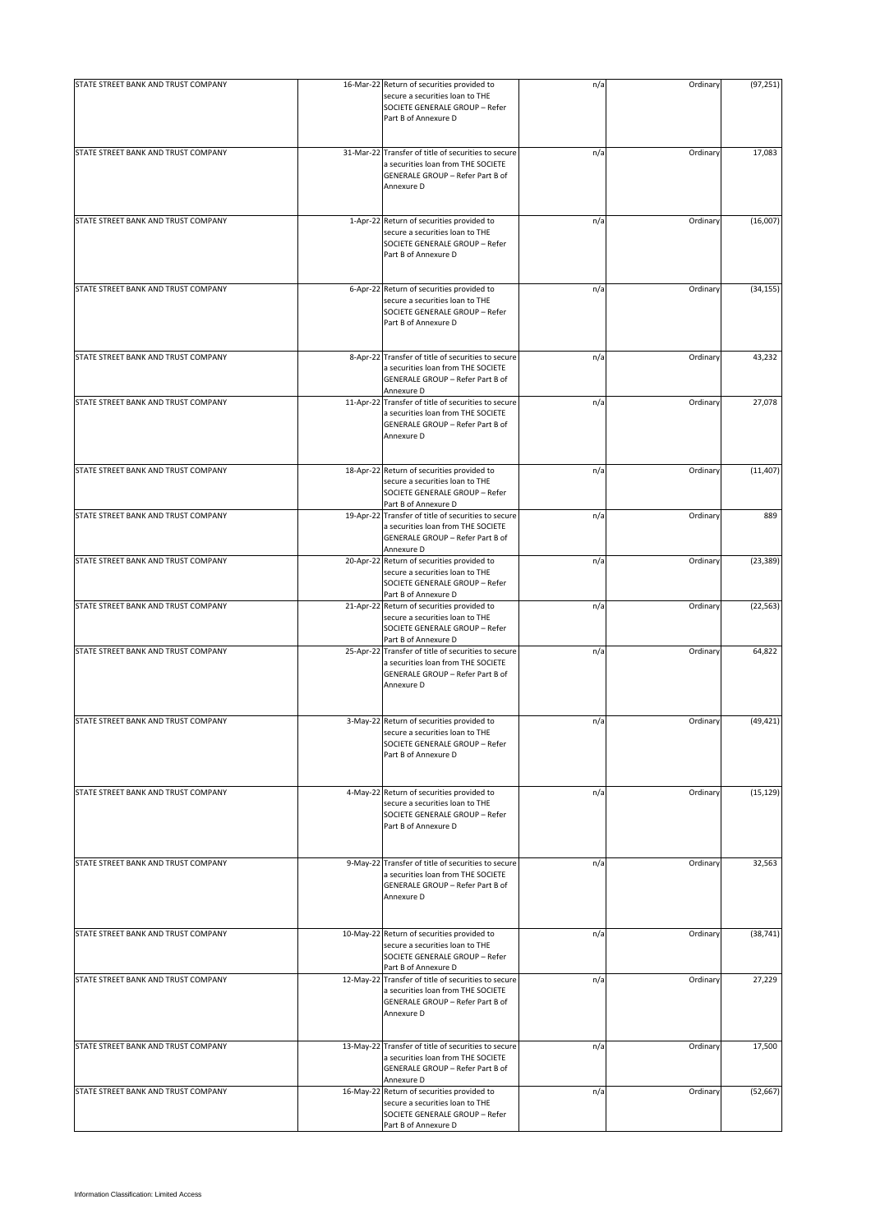| STATE STREET BANK AND TRUST COMPANY |           | 16-Mar-22 Return of securities provided to<br>secure a securities loan to THE<br>SOCIETE GENERALE GROUP - Refer<br>Part B of Annexure D     | n/a | Ordinary | (97, 251) |
|-------------------------------------|-----------|---------------------------------------------------------------------------------------------------------------------------------------------|-----|----------|-----------|
| STATE STREET BANK AND TRUST COMPANY |           | 31-Mar-22 Transfer of title of securities to secure<br>a securities loan from THE SOCIETE<br>GENERALE GROUP - Refer Part B of<br>Annexure D | n/a | Ordinary | 17,083    |
| STATE STREET BANK AND TRUST COMPANY |           | 1-Apr-22 Return of securities provided to<br>secure a securities loan to THE<br>SOCIETE GENERALE GROUP - Refer<br>Part B of Annexure D      | n/a | Ordinary | (16,007)  |
| STATE STREET BANK AND TRUST COMPANY | 6-Apr-22  | Return of securities provided to<br>secure a securities loan to THE<br>SOCIETE GENERALE GROUP - Refer<br>Part B of Annexure D               | n/a | Ordinary | (34, 155) |
| STATE STREET BANK AND TRUST COMPANY | 8-Apr-22  | Transfer of title of securities to secure<br>a securities loan from THE SOCIETE<br>GENERALE GROUP - Refer Part B of<br>Annexure D           | n/a | Ordinary | 43,232    |
| STATE STREET BANK AND TRUST COMPANY |           | 11-Apr-22 Transfer of title of securities to secure<br>a securities loan from THE SOCIETE<br>GENERALE GROUP - Refer Part B of<br>Annexure D | n/a | Ordinary | 27,078    |
| STATE STREET BANK AND TRUST COMPANY |           | 18-Apr-22 Return of securities provided to<br>secure a securities loan to THE<br>SOCIETE GENERALE GROUP - Refer<br>Part B of Annexure D     | n/a | Ordinary | (11, 407) |
| STATE STREET BANK AND TRUST COMPANY | 19-Apr-22 | Transfer of title of securities to secure<br>a securities loan from THE SOCIETE<br>GENERALE GROUP - Refer Part B of<br>Annexure D           | n/a | Ordinary | 889       |
| STATE STREET BANK AND TRUST COMPANY |           | 20-Apr-22 Return of securities provided to<br>secure a securities loan to THE<br>SOCIETE GENERALE GROUP - Refer<br>Part B of Annexure D     | n/a | Ordinary | (23, 389) |
| STATE STREET BANK AND TRUST COMPANY |           | 21-Apr-22 Return of securities provided to<br>secure a securities loan to THE<br>SOCIETE GENERALE GROUP - Refer<br>Part B of Annexure D     | n/a | Ordinary | (22, 563) |
| STATE STREET BANK AND TRUST COMPANY |           | 25-Apr-22 Transfer of title of securities to secure<br>a securities loan from THE SOCIETE<br>GENERALE GROUP - Refer Part B of<br>Annexure D | n/a | Ordinary | 64,822    |
| STATE STREET BANK AND TRUST COMPANY |           | 3-May-22 Return of securities provided to<br>secure a securities loan to THE<br>SOCIETE GENERALE GROUP - Refer<br>Part B of Annexure D      | n/a | Ordinary | (49, 421) |
| STATE STREET BANK AND TRUST COMPANY |           | 4-May-22 Return of securities provided to<br>secure a securities loan to THE<br>SOCIETE GENERALE GROUP - Refer<br>Part B of Annexure D      | n/a | Ordinary | (15, 129) |
| STATE STREET BANK AND TRUST COMPANY |           | 9-May-22 Transfer of title of securities to secure<br>a securities loan from THE SOCIETE<br>GENERALE GROUP - Refer Part B of<br>Annexure D  | n/a | Ordinary | 32,563    |
| STATE STREET BANK AND TRUST COMPANY | 10-May-22 | Return of securities provided to<br>secure a securities loan to THE<br>SOCIETE GENERALE GROUP - Refer<br>Part B of Annexure D               | n/a | Ordinary | (38, 741) |
| STATE STREET BANK AND TRUST COMPANY | 12-May-22 | Transfer of title of securities to secure<br>a securities loan from THE SOCIETE<br>GENERALE GROUP - Refer Part B of<br>Annexure D           | n/a | Ordinary | 27,229    |
| STATE STREET BANK AND TRUST COMPANY | 13-May-22 | Transfer of title of securities to secure<br>a securities loan from THE SOCIETE<br>GENERALE GROUP - Refer Part B of<br>Annexure D           | n/a | Ordinary | 17,500    |
| STATE STREET BANK AND TRUST COMPANY |           | 16-May-22 Return of securities provided to<br>secure a securities loan to THE<br>SOCIETE GENERALE GROUP - Refer<br>Part B of Annexure D     | n/a | Ordinary | (52, 667) |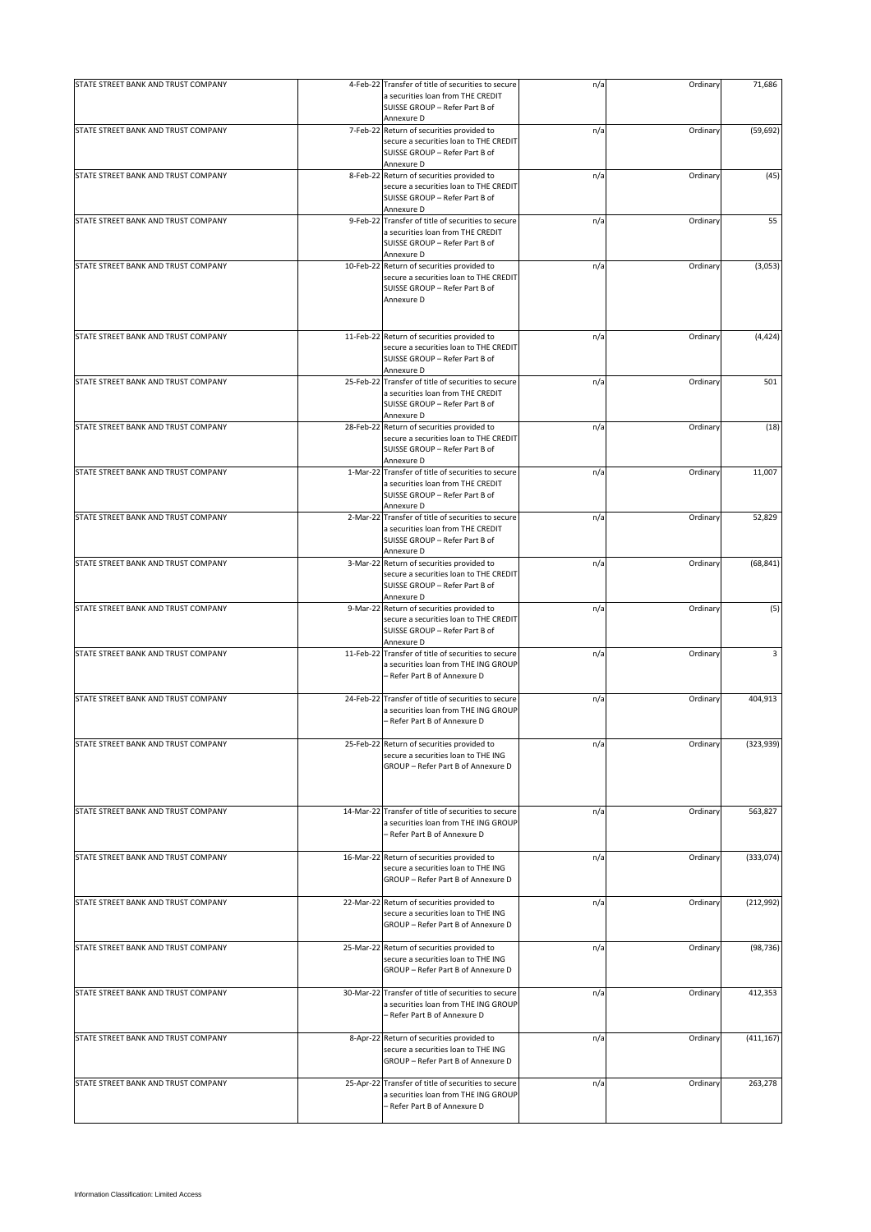| STATE STREET BANK AND TRUST COMPANY | 4-Feb-22 Transfer of title of securities to secure                                          | n/a | Ordinary | 71,686     |
|-------------------------------------|---------------------------------------------------------------------------------------------|-----|----------|------------|
|                                     | a securities loan from THE CREDIT                                                           |     |          |            |
|                                     | SUISSE GROUP - Refer Part B of                                                              |     |          |            |
|                                     | Annexure D                                                                                  |     |          |            |
| STATE STREET BANK AND TRUST COMPANY | 7-Feb-22 Return of securities provided to                                                   | n/a | Ordinary | (59, 692)  |
|                                     | secure a securities loan to THE CREDIT<br>SUISSE GROUP - Refer Part B of                    |     |          |            |
|                                     | Annexure D                                                                                  |     |          |            |
| STATE STREET BANK AND TRUST COMPANY | 8-Feb-22 Return of securities provided to                                                   | n/a | Ordinary | (45)       |
|                                     | secure a securities loan to THE CREDIT                                                      |     |          |            |
|                                     | SUISSE GROUP - Refer Part B of                                                              |     |          |            |
|                                     | Annexure D                                                                                  |     |          |            |
| STATE STREET BANK AND TRUST COMPANY | 9-Feb-22 Transfer of title of securities to secure<br>a securities loan from THE CREDIT     | n/a | Ordinary | 55         |
|                                     | SUISSE GROUP - Refer Part B of                                                              |     |          |            |
|                                     | Annexure D                                                                                  |     |          |            |
| STATE STREET BANK AND TRUST COMPANY | 10-Feb-22 Return of securities provided to                                                  | n/a | Ordinary | (3,053)    |
|                                     | secure a securities loan to THE CREDIT                                                      |     |          |            |
|                                     | SUISSE GROUP - Refer Part B of                                                              |     |          |            |
|                                     | Annexure D                                                                                  |     |          |            |
|                                     |                                                                                             |     |          |            |
| STATE STREET BANK AND TRUST COMPANY | 11-Feb-22 Return of securities provided to                                                  | n/a | Ordinary | (4, 424)   |
|                                     | secure a securities loan to THE CREDIT                                                      |     |          |            |
|                                     | SUISSE GROUP - Refer Part B of                                                              |     |          |            |
|                                     | Annexure D                                                                                  |     |          |            |
| STATE STREET BANK AND TRUST COMPANY | 25-Feb-22 Transfer of title of securities to secure                                         | n/a | Ordinary | 501        |
|                                     | a securities loan from THE CREDIT<br>SUISSE GROUP - Refer Part B of                         |     |          |            |
|                                     | Annexure D                                                                                  |     |          |            |
| STATE STREET BANK AND TRUST COMPANY | 28-Feb-22 Return of securities provided to                                                  | n/a | Ordinary | (18)       |
|                                     | secure a securities loan to THE CREDIT                                                      |     |          |            |
|                                     | SUISSE GROUP - Refer Part B of                                                              |     |          |            |
| STATE STREET BANK AND TRUST COMPANY | Annexure D<br>1-Mar-22 Transfer of title of securities to secure                            | n/a | Ordinary | 11,007     |
|                                     | a securities loan from THE CREDIT                                                           |     |          |            |
|                                     | SUISSE GROUP - Refer Part B of                                                              |     |          |            |
|                                     | Annexure D                                                                                  |     |          |            |
| STATE STREET BANK AND TRUST COMPANY | 2-Mar-22 Transfer of title of securities to secure                                          | n/a | Ordinary | 52,829     |
|                                     | a securities loan from THE CREDIT                                                           |     |          |            |
|                                     | SUISSE GROUP - Refer Part B of<br>Annexure D                                                |     |          |            |
| STATE STREET BANK AND TRUST COMPANY | 3-Mar-22 Return of securities provided to                                                   | n/a | Ordinary | (68, 841)  |
|                                     | secure a securities loan to THE CREDIT                                                      |     |          |            |
|                                     | SUISSE GROUP - Refer Part B of                                                              |     |          |            |
|                                     | Annexure D                                                                                  |     |          |            |
| STATE STREET BANK AND TRUST COMPANY | 9-Mar-22 Return of securities provided to<br>secure a securities loan to THE CREDIT         | n/a | Ordinary | (5)        |
|                                     | SUISSE GROUP - Refer Part B of                                                              |     |          |            |
|                                     | Annexure D                                                                                  |     |          |            |
| STATE STREET BANK AND TRUST COMPANY | 11-Feb-22 Transfer of title of securities to secure                                         | n/a | Ordinary | 3          |
|                                     | a securities loan from THE ING GROUP                                                        |     |          |            |
|                                     | - Refer Part B of Annexure D                                                                |     |          |            |
| STATE STREET BANK AND TRUST COMPANY | 24-Feb-22 Transfer of title of securities to secure                                         | n/a | Ordinary | 404,913    |
|                                     | a securities loan from THE ING GROUP                                                        |     |          |            |
|                                     | - Refer Part B of Annexure D                                                                |     |          |            |
|                                     |                                                                                             |     |          |            |
| STATE STREET BANK AND TRUST COMPANY | 25-Feb-22 Return of securities provided to<br>secure a securities loan to THE ING           | n/a | Ordinary | (323, 939) |
|                                     | GROUP - Refer Part B of Annexure D                                                          |     |          |            |
|                                     |                                                                                             |     |          |            |
|                                     |                                                                                             |     |          |            |
| STATE STREET BANK AND TRUST COMPANY | 14-Mar-22 Transfer of title of securities to secure                                         |     |          | 563,827    |
|                                     | a securities loan from THE ING GROUP                                                        | n/a | Ordinary |            |
|                                     | - Refer Part B of Annexure D                                                                |     |          |            |
|                                     |                                                                                             |     |          |            |
| STATE STREET BANK AND TRUST COMPANY | 16-Mar-22 Return of securities provided to                                                  | n/a | Ordinary | (333,074)  |
|                                     | secure a securities loan to THE ING                                                         |     |          |            |
|                                     | GROUP - Refer Part B of Annexure D                                                          |     |          |            |
| STATE STREET BANK AND TRUST COMPANY | 22-Mar-22 Return of securities provided to                                                  | n/a | Ordinary | (212, 992) |
|                                     | secure a securities loan to THE ING                                                         |     |          |            |
|                                     | GROUP - Refer Part B of Annexure D                                                          |     |          |            |
|                                     |                                                                                             |     |          |            |
| STATE STREET BANK AND TRUST COMPANY | 25-Mar-22 Return of securities provided to<br>secure a securities loan to THE ING           | n/a | Ordinary | (98, 736)  |
|                                     | GROUP - Refer Part B of Annexure D                                                          |     |          |            |
|                                     |                                                                                             |     |          |            |
| STATE STREET BANK AND TRUST COMPANY | 30-Mar-22 Transfer of title of securities to secure                                         | n/a | Ordinary | 412,353    |
|                                     | a securities loan from THE ING GROUP                                                        |     |          |            |
|                                     | - Refer Part B of Annexure D                                                                |     |          |            |
| STATE STREET BANK AND TRUST COMPANY | 8-Apr-22 Return of securities provided to                                                   | n/a | Ordinary | (411, 167) |
|                                     | secure a securities loan to THE ING                                                         |     |          |            |
|                                     | GROUP - Refer Part B of Annexure D                                                          |     |          |            |
|                                     |                                                                                             |     |          |            |
| STATE STREET BANK AND TRUST COMPANY | 25-Apr-22 Transfer of title of securities to secure<br>a securities loan from THE ING GROUP | n/a | Ordinary | 263,278    |
|                                     | - Refer Part B of Annexure D                                                                |     |          |            |
|                                     |                                                                                             |     |          |            |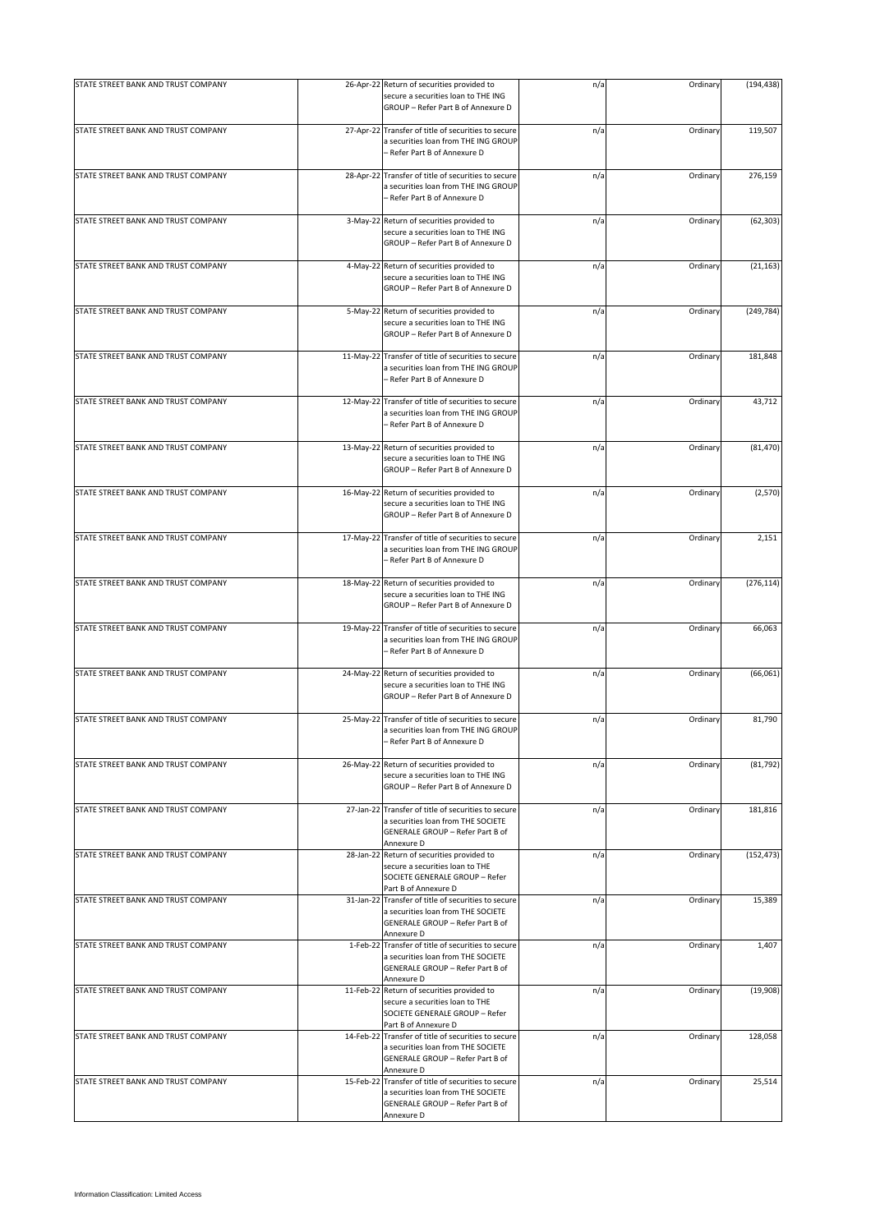| STATE STREET BANK AND TRUST COMPANY |           | 26-Apr-22 Return of securities provided to<br>secure a securities loan to THE ING<br>GROUP - Refer Part B of Annexure D                     | n/a | Ordinary | (194, 438) |
|-------------------------------------|-----------|---------------------------------------------------------------------------------------------------------------------------------------------|-----|----------|------------|
| STATE STREET BANK AND TRUST COMPANY |           | 27-Apr-22 Transfer of title of securities to secure<br>a securities loan from THE ING GROUP<br>- Refer Part B of Annexure D                 | n/a | Ordinary | 119,507    |
| STATE STREET BANK AND TRUST COMPANY |           | 28-Apr-22 Transfer of title of securities to secure<br>a securities loan from THE ING GROUP<br>- Refer Part B of Annexure D                 | n/a | Ordinary | 276,159    |
| STATE STREET BANK AND TRUST COMPANY | 3-May-22  | Return of securities provided to<br>secure a securities loan to THE ING<br>GROUP - Refer Part B of Annexure D                               | n/a | Ordinary | (62, 303)  |
| STATE STREET BANK AND TRUST COMPANY |           | 4-May-22 Return of securities provided to<br>secure a securities loan to THE ING<br>GROUP - Refer Part B of Annexure D                      | n/a | Ordinary | (21, 163)  |
| STATE STREET BANK AND TRUST COMPANY |           | 5-May-22 Return of securities provided to<br>secure a securities loan to THE ING<br>GROUP - Refer Part B of Annexure D                      | n/a | Ordinary | (249, 784) |
| STATE STREET BANK AND TRUST COMPANY |           | 11-May-22 Transfer of title of securities to secure<br>a securities loan from THE ING GROUP<br>- Refer Part B of Annexure D                 | n/a | Ordinary | 181,848    |
| STATE STREET BANK AND TRUST COMPANY | 12-May-22 | Transfer of title of securities to secure<br>a securities loan from THE ING GROUP<br>- Refer Part B of Annexure D                           | n/a | Ordinary | 43,712     |
| STATE STREET BANK AND TRUST COMPANY |           | 13-May-22 Return of securities provided to<br>secure a securities loan to THE ING<br>GROUP - Refer Part B of Annexure D                     | n/a | Ordinary | (81, 470)  |
| STATE STREET BANK AND TRUST COMPANY |           | 16-May-22 Return of securities provided to<br>secure a securities loan to THE ING<br>GROUP - Refer Part B of Annexure D                     | n/a | Ordinary | (2,570)    |
| STATE STREET BANK AND TRUST COMPANY | 17-May-22 | Transfer of title of securities to secure<br>a securities loan from THE ING GROUP<br>- Refer Part B of Annexure D                           | n/a | Ordinary | 2,151      |
| STATE STREET BANK AND TRUST COMPANY |           | 18-May-22 Return of securities provided to<br>secure a securities loan to THE ING<br>GROUP - Refer Part B of Annexure D                     | n/a | Ordinary | (276, 114) |
| STATE STREET BANK AND TRUST COMPANY |           | 19-May-22 Transfer of title of securities to secure<br>a securities loan from THE ING GROUP<br>- Refer Part B of Annexure D                 | n/a | Ordinary | 66,063     |
| STATE STREET BANK AND TRUST COMPANY |           | 24-May-22 Return of securities provided to<br>secure a securities loan to THE ING<br>GROUP - Refer Part B of Annexure D                     | n/a | Ordinary | (66, 061)  |
| STATE STREET BANK AND TRUST COMPANY |           | 25-May-22 Transfer of title of securities to secure<br>a securities loan from THE ING GROUP<br>Refer Part B of Annexure D                   | n/a | Ordinary | 81,790     |
| STATE STREET BANK AND TRUST COMPANY |           | 26-May-22 Return of securities provided to<br>secure a securities loan to THE ING<br>GROUP - Refer Part B of Annexure D                     | n/a | Ordinary | (81, 792)  |
| STATE STREET BANK AND TRUST COMPANY |           | 27-Jan-22 Transfer of title of securities to secure<br>a securities loan from THE SOCIETE<br>GENERALE GROUP - Refer Part B of<br>Annexure D | n/a | Ordinary | 181,816    |
| STATE STREET BANK AND TRUST COMPANY |           | 28-Jan-22 Return of securities provided to<br>secure a securities loan to THE<br>SOCIETE GENERALE GROUP - Refer<br>Part B of Annexure D     | n/a | Ordinary | (152, 473) |
| STATE STREET BANK AND TRUST COMPANY |           | 31-Jan-22 Transfer of title of securities to secure<br>a securities loan from THE SOCIETE<br>GENERALE GROUP - Refer Part B of<br>Annexure D | n/a | Ordinary | 15,389     |
| STATE STREET BANK AND TRUST COMPANY |           | 1-Feb-22 Transfer of title of securities to secure<br>a securities loan from THE SOCIETE<br>GENERALE GROUP - Refer Part B of<br>Annexure D  | n/a | Ordinary | 1,407      |
| STATE STREET BANK AND TRUST COMPANY |           | 11-Feb-22 Return of securities provided to<br>secure a securities loan to THE<br>SOCIETE GENERALE GROUP - Refer<br>Part B of Annexure D     | n/a | Ordinary | (19,908)   |
| STATE STREET BANK AND TRUST COMPANY |           | 14-Feb-22 Transfer of title of securities to secure<br>a securities loan from THE SOCIETE<br>GENERALE GROUP - Refer Part B of<br>Annexure D | n/a | Ordinary | 128,058    |
| STATE STREET BANK AND TRUST COMPANY |           | 15-Feb-22 Transfer of title of securities to secure<br>a securities loan from THE SOCIETE<br>GENERALE GROUP - Refer Part B of<br>Annexure D | n/a | Ordinary | 25,514     |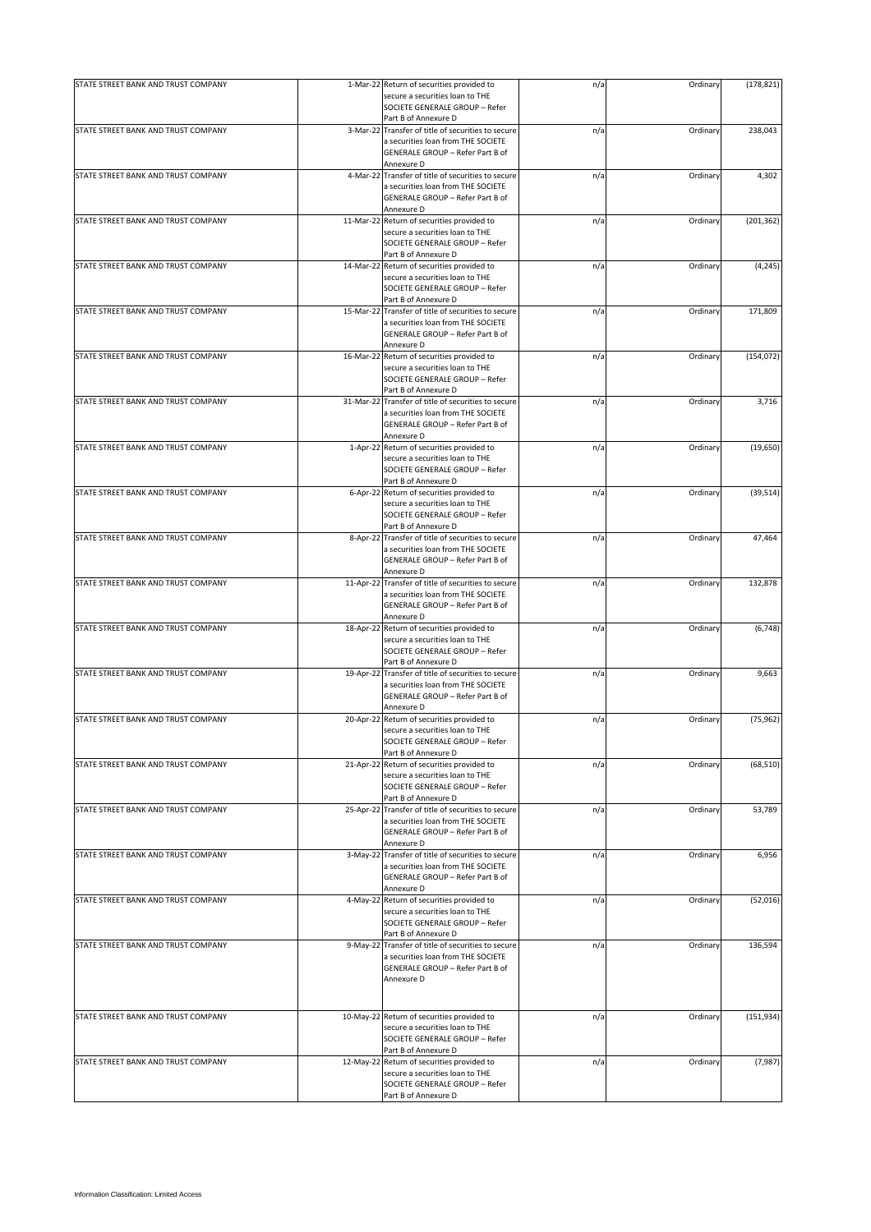| STATE STREET BANK AND TRUST COMPANY |           | 1-Mar-22 Return of securities provided to                                     |     | Ordinary | (178, 821) |
|-------------------------------------|-----------|-------------------------------------------------------------------------------|-----|----------|------------|
|                                     |           | secure a securities loan to THE                                               | n/a |          |            |
|                                     |           | SOCIETE GENERALE GROUP - Refer                                                |     |          |            |
| STATE STREET BANK AND TRUST COMPANY |           | Part B of Annexure D<br>3-Mar-22 Transfer of title of securities to secure    | n/a | Ordinary | 238,043    |
|                                     |           | a securities loan from THE SOCIETE                                            |     |          |            |
|                                     |           | GENERALE GROUP - Refer Part B of                                              |     |          |            |
|                                     |           | Annexure D                                                                    |     |          |            |
| STATE STREET BANK AND TRUST COMPANY |           | 4-Mar-22 Transfer of title of securities to secure                            | n/a | Ordinary | 4,302      |
|                                     |           | a securities loan from THE SOCIETE                                            |     |          |            |
|                                     |           | GENERALE GROUP - Refer Part B of<br>Annexure D                                |     |          |            |
| STATE STREET BANK AND TRUST COMPANY |           | 11-Mar-22 Return of securities provided to                                    | n/a | Ordinary | (201, 362) |
|                                     |           | secure a securities loan to THE                                               |     |          |            |
|                                     |           | SOCIETE GENERALE GROUP - Refer                                                |     |          |            |
| STATE STREET BANK AND TRUST COMPANY |           | Part B of Annexure D                                                          |     | Ordinary |            |
|                                     |           | 14-Mar-22 Return of securities provided to<br>secure a securities loan to THE | n/a |          | (4, 245)   |
|                                     |           | SOCIETE GENERALE GROUP - Refer                                                |     |          |            |
|                                     |           | Part B of Annexure D                                                          |     |          |            |
| STATE STREET BANK AND TRUST COMPANY |           | 15-Mar-22 Transfer of title of securities to secure                           | n/a | Ordinary | 171,809    |
|                                     |           | a securities loan from THE SOCIETE                                            |     |          |            |
|                                     |           | GENERALE GROUP - Refer Part B of<br>Annexure D                                |     |          |            |
| STATE STREET BANK AND TRUST COMPANY | 16-Mar-22 | Return of securities provided to                                              | n/a | Ordinary | (154, 072) |
|                                     |           | secure a securities loan to THE                                               |     |          |            |
|                                     |           | SOCIETE GENERALE GROUP - Refer                                                |     |          |            |
|                                     |           | Part B of Annexure D                                                          |     |          |            |
| STATE STREET BANK AND TRUST COMPANY |           | 31-Mar-22 Transfer of title of securities to secure                           | n/a | Ordinary | 3,716      |
|                                     |           | a securities loan from THE SOCIETE<br>GENERALE GROUP - Refer Part B of        |     |          |            |
|                                     |           | Annexure D                                                                    |     |          |            |
| STATE STREET BANK AND TRUST COMPANY |           | 1-Apr-22 Return of securities provided to                                     | n/a | Ordinary | (19, 650)  |
|                                     |           | secure a securities loan to THE                                               |     |          |            |
|                                     |           | SOCIETE GENERALE GROUP - Refer                                                |     |          |            |
| STATE STREET BANK AND TRUST COMPANY |           | Part B of Annexure D                                                          |     | Ordinary |            |
|                                     |           | 6-Apr-22 Return of securities provided to<br>secure a securities loan to THE  | n/a |          | (39, 514)  |
|                                     |           | SOCIETE GENERALE GROUP - Refer                                                |     |          |            |
|                                     |           | Part B of Annexure D                                                          |     |          |            |
| STATE STREET BANK AND TRUST COMPANY |           | 8-Apr-22 Transfer of title of securities to secure                            | n/a | Ordinary | 47,464     |
|                                     |           | a securities loan from THE SOCIETE                                            |     |          |            |
|                                     |           | GENERALE GROUP - Refer Part B of<br>Annexure D                                |     |          |            |
| STATE STREET BANK AND TRUST COMPANY | 11-Apr-22 | Transfer of title of securities to secure                                     | n/a | Ordinary | 132,878    |
|                                     |           | a securities loan from THE SOCIETE                                            |     |          |            |
|                                     |           | GENERALE GROUP - Refer Part B of                                              |     |          |            |
|                                     |           | Annexure D                                                                    |     |          |            |
| STATE STREET BANK AND TRUST COMPANY |           | 18-Apr-22 Return of securities provided to                                    | n/a | Ordinary | (6,748)    |
|                                     |           | secure a securities loan to THE<br>SOCIETE GENERALE GROUP - Refer             |     |          |            |
|                                     |           | Part B of Annexure D                                                          |     |          |            |
| STATE STREET BANK AND TRUST COMPANY |           | 19-Apr-22 Transfer of title of securities to secure                           | n/a | Ordinary | 9,663      |
|                                     |           | a securities loan from THE SOCIETE                                            |     |          |            |
|                                     |           | GENERALE GROUP - Refer Part B of                                              |     |          |            |
| STATE STREET BANK AND TRUST COMPANY | 20-Apr-22 | Annexure D                                                                    |     | Ordinary |            |
|                                     |           | Return of securities provided to<br>secure a securities loan to THE           | n/a |          | (75, 962)  |
|                                     |           | SOCIETE GENERALE GROUP - Refer                                                |     |          |            |
|                                     |           | Part B of Annexure D                                                          |     |          |            |
| STATE STREET BANK AND TRUST COMPANY |           | 21-Apr-22 Return of securities provided to                                    | n/a | Ordinary | (68, 510)  |
|                                     |           | secure a securities loan to THE                                               |     |          |            |
|                                     |           | SOCIETE GENERALE GROUP - Refer<br>Part B of Annexure D                        |     |          |            |
| STATE STREET BANK AND TRUST COMPANY |           | 25-Apr-22 Transfer of title of securities to secure                           | n/a | Ordinary | 53,789     |
|                                     |           | a securities loan from THE SOCIETE                                            |     |          |            |
|                                     |           | GENERALE GROUP - Refer Part B of                                              |     |          |            |
|                                     |           | Annexure D                                                                    |     |          |            |
| STATE STREET BANK AND TRUST COMPANY |           | 3-May-22 Transfer of title of securities to secure                            | n/a | Ordinary | 6,956      |
|                                     |           | a securities loan from THE SOCIETE<br>GENERALE GROUP - Refer Part B of        |     |          |            |
|                                     |           | Annexure D                                                                    |     |          |            |
| STATE STREET BANK AND TRUST COMPANY |           | 4-May-22 Return of securities provided to                                     | n/a | Ordinary | (52, 016)  |
|                                     |           | secure a securities loan to THE                                               |     |          |            |
|                                     |           | SOCIETE GENERALE GROUP - Refer                                                |     |          |            |
| STATE STREET BANK AND TRUST COMPANY | 9-May-22  | Part B of Annexure D<br>Transfer of title of securities to secure             | n/a | Ordinary | 136,594    |
|                                     |           | a securities loan from THE SOCIETE                                            |     |          |            |
|                                     |           | GENERALE GROUP - Refer Part B of                                              |     |          |            |
|                                     |           | Annexure D                                                                    |     |          |            |
|                                     |           |                                                                               |     |          |            |
|                                     |           |                                                                               |     |          |            |
| STATE STREET BANK AND TRUST COMPANY |           | 10-May-22 Return of securities provided to                                    | n/a | Ordinary | (151, 934) |
|                                     |           | secure a securities loan to THE<br>SOCIETE GENERALE GROUP - Refer             |     |          |            |
|                                     |           | Part B of Annexure D                                                          |     |          |            |
| STATE STREET BANK AND TRUST COMPANY | 12-May-22 | Return of securities provided to                                              | n/a | Ordinary | (7,987)    |
|                                     |           | secure a securities loan to THE                                               |     |          |            |
|                                     |           | SOCIETE GENERALE GROUP - Refer                                                |     |          |            |
|                                     |           | Part B of Annexure D                                                          |     |          |            |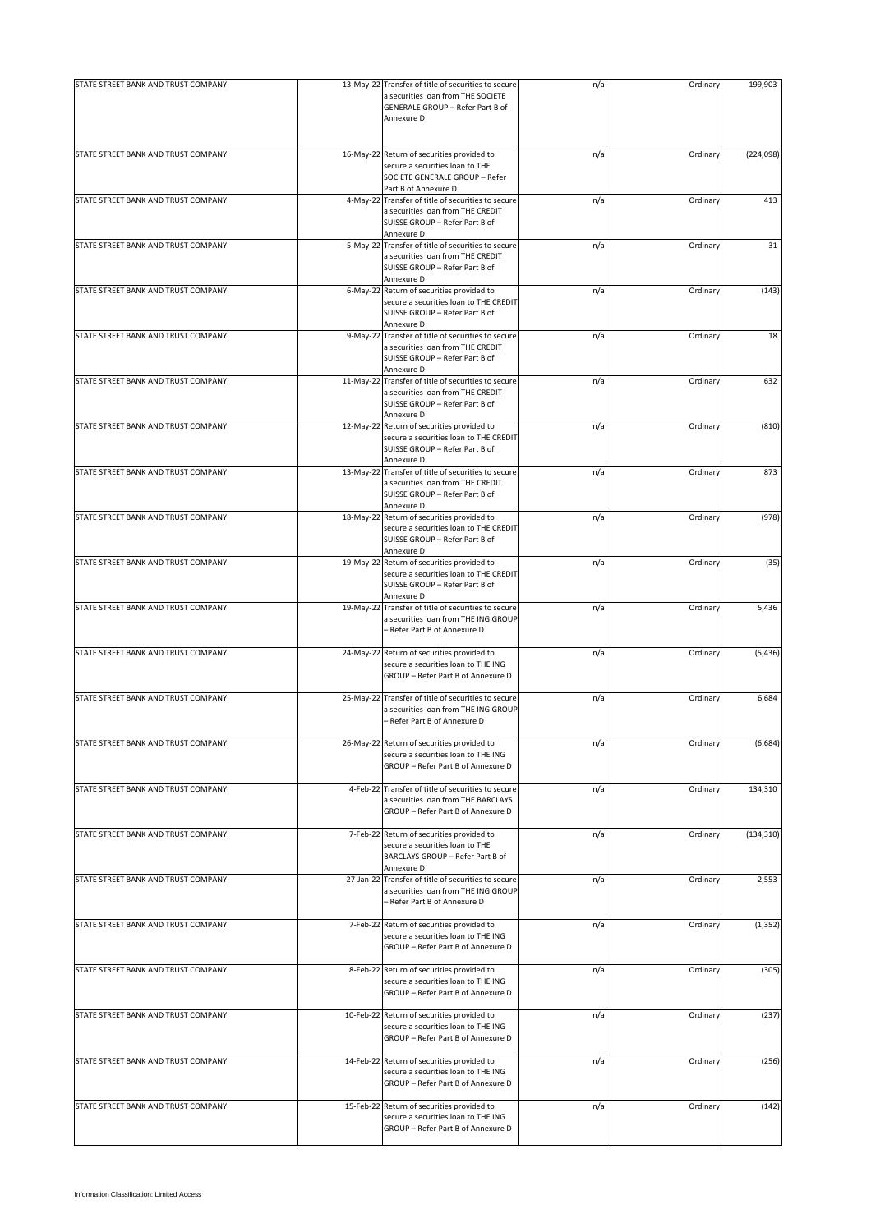| STATE STREET BANK AND TRUST COMPANY | 13-May-22 Transfer of title of securities to secure                                                             | n/a | Ordinary | 199,903    |
|-------------------------------------|-----------------------------------------------------------------------------------------------------------------|-----|----------|------------|
|                                     | a securities loan from THE SOCIETE<br>GENERALE GROUP - Refer Part B of<br>Annexure D                            |     |          |            |
|                                     |                                                                                                                 |     |          |            |
| STATE STREET BANK AND TRUST COMPANY | 16-May-22 Return of securities provided to<br>secure a securities loan to THE<br>SOCIETE GENERALE GROUP - Refer | n/a | Ordinary | (224, 098) |
|                                     | Part B of Annexure D                                                                                            |     |          |            |
| STATE STREET BANK AND TRUST COMPANY | 4-May-22 Transfer of title of securities to secure                                                              | n/a | Ordinary | 413        |
|                                     | a securities loan from THE CREDIT<br>SUISSE GROUP - Refer Part B of<br>Annexure D                               |     |          |            |
| STATE STREET BANK AND TRUST COMPANY | 5-May-22 Transfer of title of securities to secure                                                              | n/a | Ordinary | 31         |
|                                     | a securities loan from THE CREDIT<br>SUISSE GROUP - Refer Part B of<br>Annexure D                               |     |          |            |
| STATE STREET BANK AND TRUST COMPANY | 6-May-22 Return of securities provided to                                                                       | n/a | Ordinary | (143)      |
|                                     | secure a securities loan to THE CREDIT<br>SUISSE GROUP - Refer Part B of<br>Annexure D                          |     |          |            |
| STATE STREET BANK AND TRUST COMPANY | 9-May-22 Transfer of title of securities to secure                                                              | n/a | Ordinary | 18         |
|                                     | a securities loan from THE CREDIT<br>SUISSE GROUP - Refer Part B of<br>Annexure D                               |     |          |            |
| STATE STREET BANK AND TRUST COMPANY | 11-May-22 Transfer of title of securities to secure                                                             | n/a | Ordinary | 632        |
|                                     | a securities loan from THE CREDIT<br>SUISSE GROUP - Refer Part B of                                             |     |          |            |
| STATE STREET BANK AND TRUST COMPANY | Annexure D<br>12-May-22 Return of securities provided to                                                        | n/a | Ordinary | (810)      |
|                                     | secure a securities loan to THE CREDIT<br>SUISSE GROUP - Refer Part B of<br>Annexure D                          |     |          |            |
| STATE STREET BANK AND TRUST COMPANY | 13-May-22 Transfer of title of securities to secure                                                             | n/a | Ordinary | 873        |
|                                     | a securities loan from THE CREDIT<br>SUISSE GROUP - Refer Part B of<br>Annexure D                               |     |          |            |
| STATE STREET BANK AND TRUST COMPANY | 18-May-22 Return of securities provided to                                                                      | n/a | Ordinary | (978)      |
|                                     | secure a securities loan to THE CREDIT<br>SUISSE GROUP - Refer Part B of                                        |     |          |            |
| STATE STREET BANK AND TRUST COMPANY | Annexure D<br>19-May-22 Return of securities provided to                                                        | n/a | Ordinary | (35)       |
|                                     | secure a securities loan to THE CREDIT<br>SUISSE GROUP - Refer Part B of<br>Annexure D                          |     |          |            |
| STATE STREET BANK AND TRUST COMPANY | 19-May-22 Transfer of title of securities to secure                                                             | n/a | Ordinary | 5,436      |
|                                     | a securities loan from THE ING GROUP<br>- Refer Part B of Annexure D                                            |     |          |            |
| STATE STREET BANK AND TRUST COMPANY | 24-May-22 Return of securities provided to                                                                      | n/a | Ordinary | (5, 436)   |
|                                     | secure a securities loan to THE ING<br>GROUP - Refer Part B of Annexure D                                       |     |          |            |
| STATE STREET BANK AND TRUST COMPANY | 25-May-22 Transfer of title of securities to secure                                                             | n/a | Ordinary | 6,684      |
|                                     | a securities loan from THE ING GROUP<br>- Refer Part B of Annexure D                                            |     |          |            |
| STATE STREET BANK AND TRUST COMPANY | 26-May-22 Return of securities provided to                                                                      | n/a | Ordinary | (6,684)    |
|                                     | secure a securities loan to THE ING<br>GROUP - Refer Part B of Annexure D                                       |     |          |            |
| STATE STREET BANK AND TRUST COMPANY | 4-Feb-22 Transfer of title of securities to secure                                                              | n/a | Ordinary | 134,310    |
|                                     | a securities loan from THE BARCLAYS<br>GROUP - Refer Part B of Annexure D                                       |     |          |            |
| STATE STREET BANK AND TRUST COMPANY | 7-Feb-22 Return of securities provided to                                                                       | n/a | Ordinary | (134, 310) |
|                                     | secure a securities loan to THE<br>BARCLAYS GROUP - Refer Part B of<br>Annexure D                               |     |          |            |
| STATE STREET BANK AND TRUST COMPANY | 27-Jan-22 Transfer of title of securities to secure                                                             | n/a | Ordinary | 2,553      |
|                                     | a securities loan from THE ING GROUP<br>- Refer Part B of Annexure D                                            |     |          |            |
| STATE STREET BANK AND TRUST COMPANY | 7-Feb-22 Return of securities provided to                                                                       | n/a | Ordinary | (1, 352)   |
|                                     | secure a securities loan to THE ING<br>GROUP - Refer Part B of Annexure D                                       |     |          |            |
| STATE STREET BANK AND TRUST COMPANY | 8-Feb-22 Return of securities provided to                                                                       | n/a | Ordinary | (305)      |
|                                     | secure a securities loan to THE ING<br>GROUP - Refer Part B of Annexure D                                       |     |          |            |
| STATE STREET BANK AND TRUST COMPANY | 10-Feb-22 Return of securities provided to                                                                      | n/a | Ordinary | (237)      |
|                                     | secure a securities loan to THE ING<br>GROUP - Refer Part B of Annexure D                                       |     |          |            |
| STATE STREET BANK AND TRUST COMPANY | 14-Feb-22 Return of securities provided to                                                                      | n/a | Ordinary | (256)      |
|                                     | secure a securities loan to THE ING<br>GROUP - Refer Part B of Annexure D                                       |     |          |            |
| STATE STREET BANK AND TRUST COMPANY | 15-Feb-22 Return of securities provided to                                                                      | n/a | Ordinary | (142)      |
|                                     | secure a securities loan to THE ING<br>GROUP - Refer Part B of Annexure D                                       |     |          |            |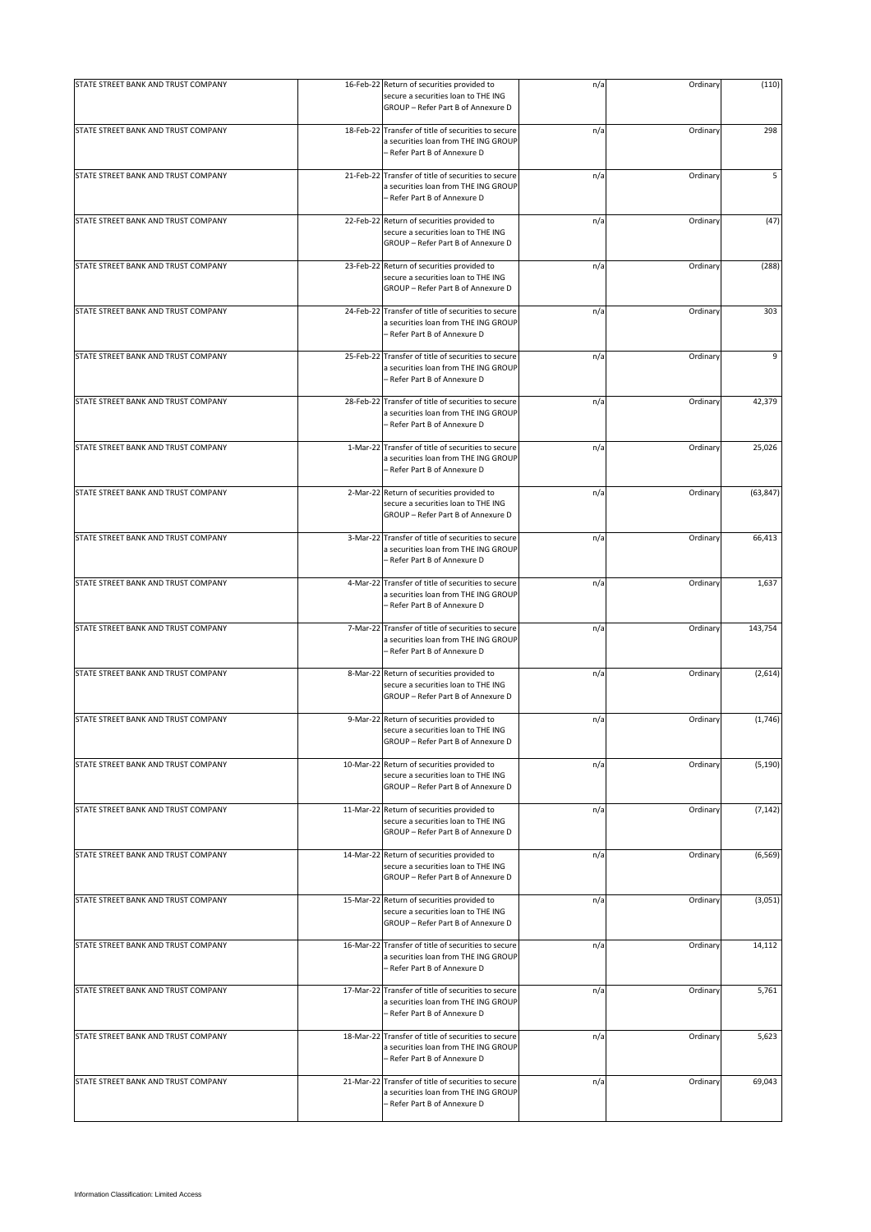| STATE STREET BANK AND TRUST COMPANY |           | 16-Feb-22 Return of securities provided to                                                                                  | n/a | Ordinary | (110)     |
|-------------------------------------|-----------|-----------------------------------------------------------------------------------------------------------------------------|-----|----------|-----------|
|                                     |           | secure a securities loan to THE ING<br>GROUP - Refer Part B of Annexure D                                                   |     |          |           |
| STATE STREET BANK AND TRUST COMPANY |           | 18-Feb-22 Transfer of title of securities to secure<br>a securities loan from THE ING GROUP<br>- Refer Part B of Annexure D | n/a | Ordinary | 298       |
| STATE STREET BANK AND TRUST COMPANY |           | 21-Feb-22 Transfer of title of securities to secure<br>a securities loan from THE ING GROUP<br>- Refer Part B of Annexure D | n/a | Ordinary | 5         |
| STATE STREET BANK AND TRUST COMPANY |           | 22-Feb-22 Return of securities provided to<br>secure a securities loan to THE ING<br>GROUP - Refer Part B of Annexure D     | n/a | Ordinary | (47)      |
| STATE STREET BANK AND TRUST COMPANY |           | 23-Feb-22 Return of securities provided to<br>secure a securities loan to THE ING<br>GROUP - Refer Part B of Annexure D     | n/a | Ordinary | (288)     |
| STATE STREET BANK AND TRUST COMPANY |           | 24-Feb-22 Transfer of title of securities to secure<br>a securities loan from THE ING GROUP<br>- Refer Part B of Annexure D | n/a | Ordinary | 303       |
| STATE STREET BANK AND TRUST COMPANY |           | 25-Feb-22 Transfer of title of securities to secure<br>a securities loan from THE ING GROUP<br>- Refer Part B of Annexure D | n/a | Ordinary | 9         |
| STATE STREET BANK AND TRUST COMPANY |           | 28-Feb-22 Transfer of title of securities to secure<br>a securities loan from THE ING GROUP<br>- Refer Part B of Annexure D | n/a | Ordinary | 42,379    |
| STATE STREET BANK AND TRUST COMPANY |           | 1-Mar-22 Transfer of title of securities to secure<br>a securities loan from THE ING GROUP<br>- Refer Part B of Annexure D  | n/a | Ordinary | 25,026    |
| STATE STREET BANK AND TRUST COMPANY |           | 2-Mar-22 Return of securities provided to<br>secure a securities loan to THE ING<br>GROUP - Refer Part B of Annexure D      | n/a | Ordinary | (63, 847) |
| STATE STREET BANK AND TRUST COMPANY |           | 3-Mar-22 Transfer of title of securities to secure<br>a securities loan from THE ING GROUP<br>- Refer Part B of Annexure D  | n/a | Ordinary | 66,413    |
| STATE STREET BANK AND TRUST COMPANY |           | 4-Mar-22 Transfer of title of securities to secure<br>a securities loan from THE ING GROUP<br>- Refer Part B of Annexure D  | n/a | Ordinary | 1,637     |
| STATE STREET BANK AND TRUST COMPANY |           | 7-Mar-22 Transfer of title of securities to secure<br>a securities loan from THE ING GROUP<br>- Refer Part B of Annexure D  | n/a | Ordinary | 143,754   |
| STATE STREET BANK AND TRUST COMPANY |           | 8-Mar-22 Return of securities provided to<br>secure a securities loan to THE ING<br>GROUP - Refer Part B of Annexure D      | n/a | Ordinary | (2,614)   |
| STATE STREET BANK AND TRUST COMPANY |           | 9-Mar-22 Return of securities provided to<br>secure a securities loan to THE ING<br>GROUP - Refer Part B of Annexure D      | n/a | Ordinary | (1,746)   |
| STATE STREET BANK AND TRUST COMPANY |           | 10-Mar-22 Return of securities provided to<br>secure a securities loan to THE ING<br>GROUP - Refer Part B of Annexure D     | n/a | Ordinary | (5, 190)  |
| STATE STREET BANK AND TRUST COMPANY |           | 11-Mar-22 Return of securities provided to<br>secure a securities loan to THE ING<br>GROUP - Refer Part B of Annexure D     | n/a | Ordinary | (7, 142)  |
| STATE STREET BANK AND TRUST COMPANY |           | 14-Mar-22 Return of securities provided to<br>secure a securities loan to THE ING<br>GROUP - Refer Part B of Annexure D     | n/a | Ordinary | (6, 569)  |
| STATE STREET BANK AND TRUST COMPANY |           | 15-Mar-22 Return of securities provided to<br>secure a securities loan to THE ING<br>GROUP - Refer Part B of Annexure D     | n/a | Ordinary | (3,051)   |
| STATE STREET BANK AND TRUST COMPANY |           | 16-Mar-22 Transfer of title of securities to secure<br>a securities loan from THE ING GROUP<br>- Refer Part B of Annexure D | n/a | Ordinary | 14,112    |
| STATE STREET BANK AND TRUST COMPANY |           | 17-Mar-22 Transfer of title of securities to secure<br>a securities loan from THE ING GROUP<br>- Refer Part B of Annexure D | n/a | Ordinary | 5,761     |
| STATE STREET BANK AND TRUST COMPANY |           | 18-Mar-22 Transfer of title of securities to secure<br>a securities loan from THE ING GROUP<br>Refer Part B of Annexure D   | n/a | Ordinary | 5,623     |
| STATE STREET BANK AND TRUST COMPANY | 21-Mar-22 | Transfer of title of securities to secure<br>a securities loan from THE ING GROUP<br>- Refer Part B of Annexure D           | n/a | Ordinary | 69,043    |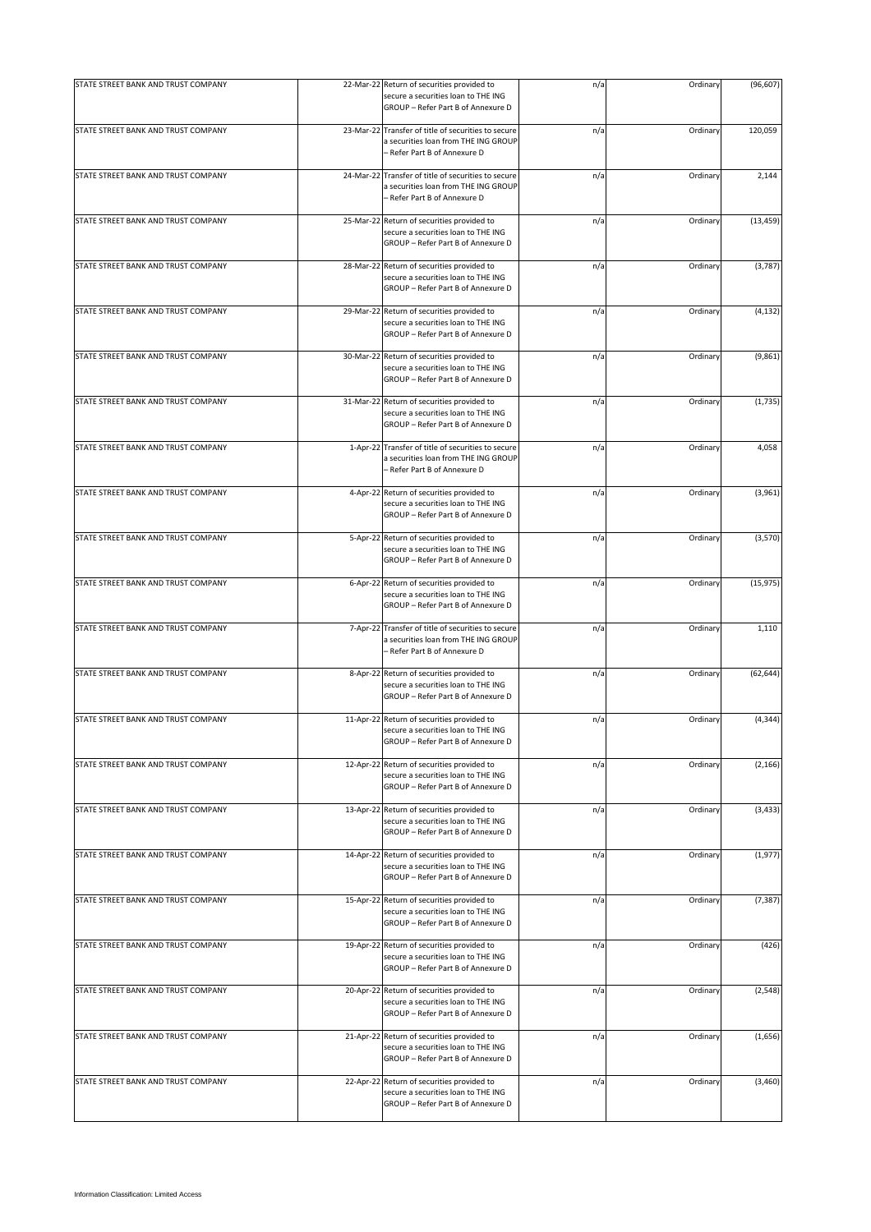| STATE STREET BANK AND TRUST COMPANY | 22-Mar-22 Return of securities provided to                                                                                  | n/a | Ordinary | (96, 607) |
|-------------------------------------|-----------------------------------------------------------------------------------------------------------------------------|-----|----------|-----------|
|                                     | secure a securities loan to THE ING<br>GROUP - Refer Part B of Annexure D                                                   |     |          |           |
| STATE STREET BANK AND TRUST COMPANY | 23-Mar-22 Transfer of title of securities to secure<br>a securities loan from THE ING GROUP<br>- Refer Part B of Annexure D | n/a | Ordinary | 120,059   |
| STATE STREET BANK AND TRUST COMPANY | 24-Mar-22 Transfer of title of securities to secure<br>a securities loan from THE ING GROUP<br>- Refer Part B of Annexure D | n/a | Ordinary | 2,144     |
| STATE STREET BANK AND TRUST COMPANY | 25-Mar-22 Return of securities provided to<br>secure a securities loan to THE ING<br>GROUP - Refer Part B of Annexure D     | n/a | Ordinary | (13, 459) |
| STATE STREET BANK AND TRUST COMPANY | 28-Mar-22 Return of securities provided to<br>secure a securities loan to THE ING<br>GROUP - Refer Part B of Annexure D     | n/a | Ordinary | (3,787)   |
| STATE STREET BANK AND TRUST COMPANY | 29-Mar-22 Return of securities provided to<br>secure a securities loan to THE ING<br>GROUP - Refer Part B of Annexure D     | n/a | Ordinary | (4, 132)  |
| STATE STREET BANK AND TRUST COMPANY | 30-Mar-22 Return of securities provided to<br>secure a securities loan to THE ING<br>GROUP - Refer Part B of Annexure D     | n/a | Ordinary | (9,861)   |
| STATE STREET BANK AND TRUST COMPANY | 31-Mar-22 Return of securities provided to<br>secure a securities loan to THE ING<br>GROUP - Refer Part B of Annexure D     | n/a | Ordinary | (1,735)   |
| STATE STREET BANK AND TRUST COMPANY | 1-Apr-22 Transfer of title of securities to secure<br>a securities loan from THE ING GROUP<br>- Refer Part B of Annexure D  | n/a | Ordinary | 4,058     |
| STATE STREET BANK AND TRUST COMPANY | 4-Apr-22 Return of securities provided to<br>secure a securities loan to THE ING<br>GROUP - Refer Part B of Annexure D      | n/a | Ordinary | (3,961)   |
| STATE STREET BANK AND TRUST COMPANY | 5-Apr-22 Return of securities provided to<br>secure a securities loan to THE ING<br>GROUP - Refer Part B of Annexure D      | n/a | Ordinary | (3,570)   |
| STATE STREET BANK AND TRUST COMPANY | 6-Apr-22 Return of securities provided to<br>secure a securities loan to THE ING<br>GROUP - Refer Part B of Annexure D      | n/a | Ordinary | (15, 975) |
| STATE STREET BANK AND TRUST COMPANY | 7-Apr-22 Transfer of title of securities to secure<br>a securities loan from THE ING GROUP<br>- Refer Part B of Annexure D  | n/a | Ordinary | 1,110     |
| STATE STREET BANK AND TRUST COMPANY | 8-Apr-22 Return of securities provided to<br>secure a securities loan to THE ING<br>GROUP - Refer Part B of Annexure D      | n/a | Ordinary | (62, 644) |
| STATE STREET BANK AND TRUST COMPANY | 11-Apr-22 Return of securities provided to<br>secure a securities loan to THE ING<br>GROUP - Refer Part B of Annexure D     | n/a | Ordinary | (4, 344)  |
| STATE STREET BANK AND TRUST COMPANY | 12-Apr-22 Return of securities provided to<br>secure a securities loan to THE ING<br>GROUP - Refer Part B of Annexure D     | n/a | Ordinary | (2, 166)  |
| STATE STREET BANK AND TRUST COMPANY | 13-Apr-22 Return of securities provided to<br>secure a securities loan to THE ING<br>GROUP - Refer Part B of Annexure D     | n/a | Ordinary | (3, 433)  |
| STATE STREET BANK AND TRUST COMPANY | 14-Apr-22 Return of securities provided to<br>secure a securities loan to THE ING<br>GROUP - Refer Part B of Annexure D     | n/a | Ordinary | (1, 977)  |
| STATE STREET BANK AND TRUST COMPANY | 15-Apr-22 Return of securities provided to<br>secure a securities loan to THE ING<br>GROUP - Refer Part B of Annexure D     | n/a | Ordinary | (7, 387)  |
| STATE STREET BANK AND TRUST COMPANY | 19-Apr-22 Return of securities provided to<br>secure a securities loan to THE ING<br>GROUP - Refer Part B of Annexure D     | n/a | Ordinary | (426)     |
| STATE STREET BANK AND TRUST COMPANY | 20-Apr-22 Return of securities provided to<br>secure a securities loan to THE ING<br>GROUP - Refer Part B of Annexure D     | n/a | Ordinary | (2, 548)  |
| STATE STREET BANK AND TRUST COMPANY | 21-Apr-22 Return of securities provided to<br>secure a securities loan to THE ING<br>GROUP - Refer Part B of Annexure D     | n/a | Ordinary | (1,656)   |
| STATE STREET BANK AND TRUST COMPANY | 22-Apr-22 Return of securities provided to<br>secure a securities loan to THE ING<br>GROUP - Refer Part B of Annexure D     | n/a | Ordinary | (3,460)   |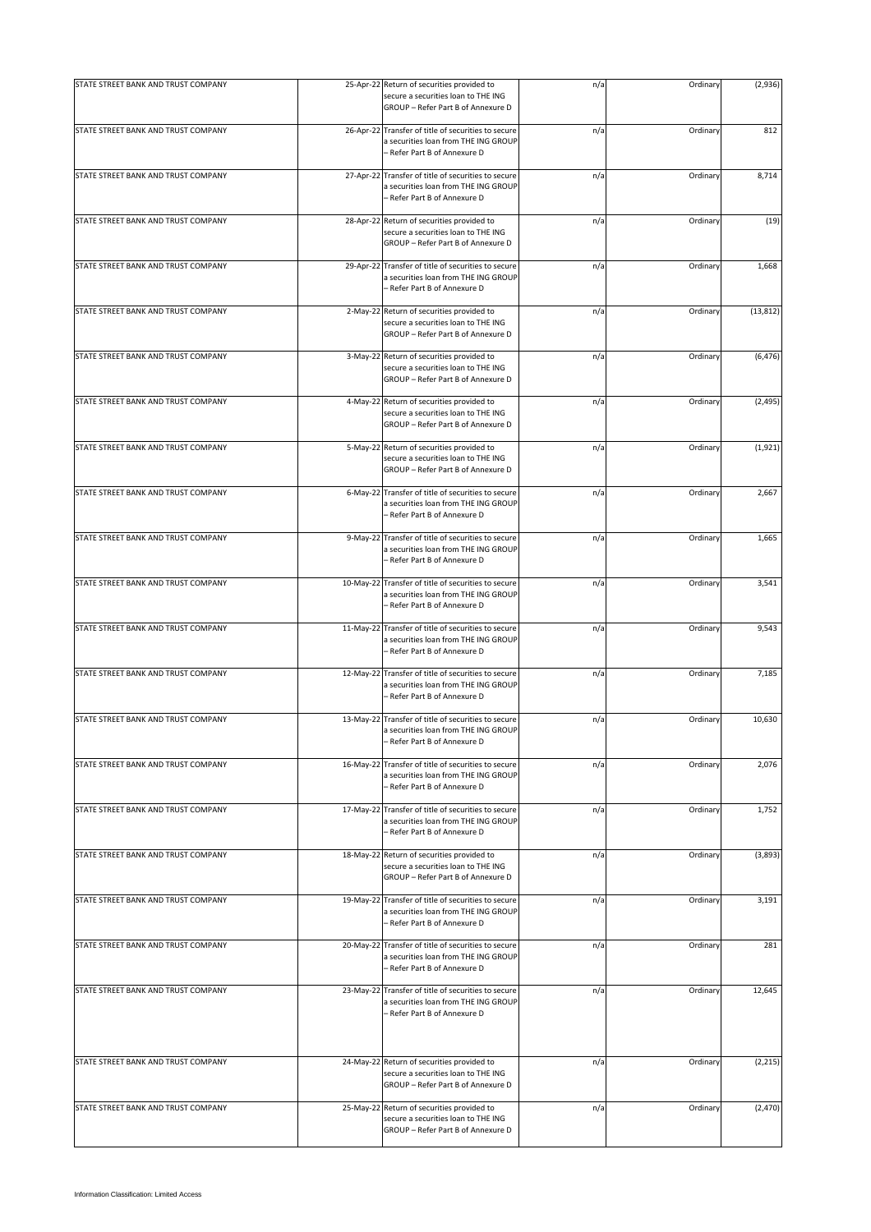| STATE STREET BANK AND TRUST COMPANY |           | 25-Apr-22 Return of securities provided to                                                                                  | n/a | Ordinary | (2,936)   |
|-------------------------------------|-----------|-----------------------------------------------------------------------------------------------------------------------------|-----|----------|-----------|
|                                     |           | secure a securities loan to THE ING<br>GROUP - Refer Part B of Annexure D                                                   |     |          |           |
| STATE STREET BANK AND TRUST COMPANY |           | 26-Apr-22 Transfer of title of securities to secure<br>a securities loan from THE ING GROUP<br>- Refer Part B of Annexure D | n/a | Ordinary | 812       |
| STATE STREET BANK AND TRUST COMPANY |           | 27-Apr-22 Transfer of title of securities to secure<br>a securities loan from THE ING GROUP<br>- Refer Part B of Annexure D | n/a | Ordinary | 8,714     |
| STATE STREET BANK AND TRUST COMPANY |           | 28-Apr-22 Return of securities provided to<br>secure a securities loan to THE ING<br>GROUP - Refer Part B of Annexure D     | n/a | Ordinary | (19)      |
| STATE STREET BANK AND TRUST COMPANY | 29-Apr-22 | Transfer of title of securities to secure<br>a securities loan from THE ING GROUP<br>- Refer Part B of Annexure D           | n/a | Ordinary | 1,668     |
| STATE STREET BANK AND TRUST COMPANY |           | 2-May-22 Return of securities provided to<br>secure a securities loan to THE ING<br>GROUP - Refer Part B of Annexure D      | n/a | Ordinary | (13, 812) |
| STATE STREET BANK AND TRUST COMPANY |           | 3-May-22 Return of securities provided to<br>secure a securities loan to THE ING<br>GROUP - Refer Part B of Annexure D      | n/a | Ordinary | (6, 476)  |
| STATE STREET BANK AND TRUST COMPANY |           | 4-May-22 Return of securities provided to<br>secure a securities loan to THE ING<br>GROUP - Refer Part B of Annexure D      | n/a | Ordinary | (2, 495)  |
| STATE STREET BANK AND TRUST COMPANY |           | 5-May-22 Return of securities provided to<br>secure a securities loan to THE ING<br>GROUP - Refer Part B of Annexure D      | n/a | Ordinary | (1,921)   |
| STATE STREET BANK AND TRUST COMPANY |           | 6-May-22 Transfer of title of securities to secure<br>a securities loan from THE ING GROUP<br>- Refer Part B of Annexure D  | n/a | Ordinary | 2,667     |
| STATE STREET BANK AND TRUST COMPANY | 9-May-22  | Transfer of title of securities to secure<br>a securities loan from THE ING GROUP<br>- Refer Part B of Annexure D           | n/a | Ordinary | 1,665     |
| STATE STREET BANK AND TRUST COMPANY |           | 10-May-22 Transfer of title of securities to secure<br>a securities loan from THE ING GROUP<br>- Refer Part B of Annexure D | n/a | Ordinary | 3,541     |
| STATE STREET BANK AND TRUST COMPANY |           | 11-May-22 Transfer of title of securities to secure<br>a securities loan from THE ING GROUP<br>- Refer Part B of Annexure D | n/a | Ordinary | 9,543     |
| STATE STREET BANK AND TRUST COMPANY |           | 12-May-22 Transfer of title of securities to secure<br>a securities loan from THE ING GROUP<br>- Refer Part B of Annexure D | n/a | Ordinary | 7,185     |
| STATE STREET BANK AND TRUST COMPANY |           | 13-May-22 Transfer of title of securities to secure<br>a securities loan from THE ING GROUP<br>Refer Part B of Annexure D   | n/a | Ordinary | 10,630    |
| STATE STREET BANK AND TRUST COMPANY |           | 16-May-22 Transfer of title of securities to secure<br>a securities loan from THE ING GROUP<br>Refer Part B of Annexure D   | n/a | Ordinary | 2,076     |
| STATE STREET BANK AND TRUST COMPANY | 17-May-22 | Transfer of title of securities to secure<br>a securities loan from THE ING GROUP<br>- Refer Part B of Annexure D           | n/a | Ordinary | 1,752     |
| STATE STREET BANK AND TRUST COMPANY |           | 18-May-22 Return of securities provided to<br>secure a securities loan to THE ING<br>GROUP - Refer Part B of Annexure D     | n/a | Ordinary | (3,893)   |
| STATE STREET BANK AND TRUST COMPANY |           | 19-May-22 Transfer of title of securities to secure<br>a securities loan from THE ING GROUP<br>- Refer Part B of Annexure D | n/a | Ordinary | 3,191     |
| STATE STREET BANK AND TRUST COMPANY |           | 20-May-22 Transfer of title of securities to secure<br>a securities loan from THE ING GROUP<br>- Refer Part B of Annexure D | n/a | Ordinary | 281       |
| STATE STREET BANK AND TRUST COMPANY |           | 23-May-22 Transfer of title of securities to secure<br>a securities loan from THE ING GROUP<br>- Refer Part B of Annexure D | n/a | Ordinary | 12,645    |
| STATE STREET BANK AND TRUST COMPANY |           | 24-May-22 Return of securities provided to<br>secure a securities loan to THE ING<br>GROUP - Refer Part B of Annexure D     | n/a | Ordinary | (2, 215)  |
| STATE STREET BANK AND TRUST COMPANY |           | 25-May-22 Return of securities provided to<br>secure a securities loan to THE ING<br>GROUP - Refer Part B of Annexure D     | n/a | Ordinary | (2,470)   |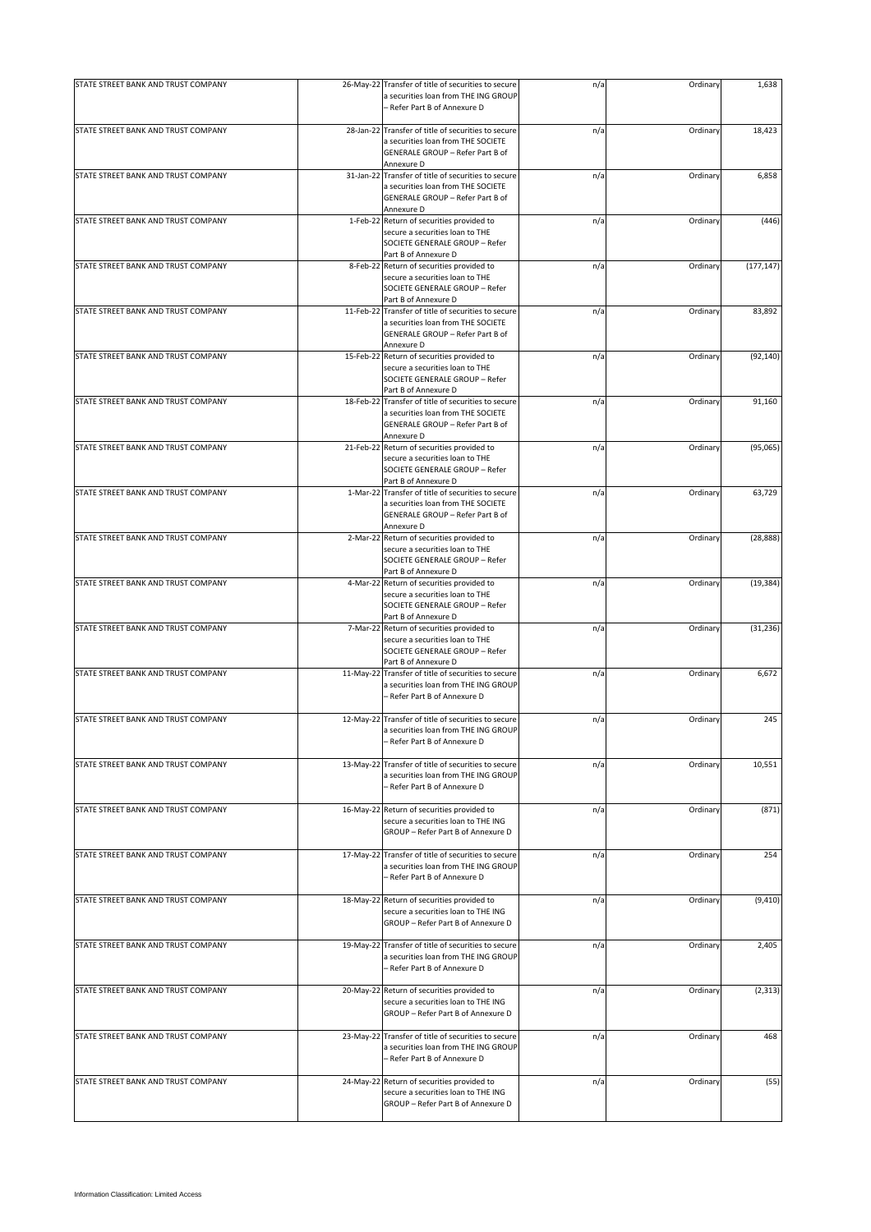| STATE STREET BANK AND TRUST COMPANY |           | 26-May-22 Transfer of title of securities to secure                                         | n/a | Ordinary | 1,638      |
|-------------------------------------|-----------|---------------------------------------------------------------------------------------------|-----|----------|------------|
|                                     |           | a securities loan from THE ING GROUP<br>- Refer Part B of Annexure D                        |     |          |            |
| STATE STREET BANK AND TRUST COMPANY |           | 28-Jan-22 Transfer of title of securities to secure<br>a securities loan from THE SOCIETE   | n/a | Ordinary | 18,423     |
|                                     |           | GENERALE GROUP - Refer Part B of<br>Annexure D                                              |     |          |            |
| STATE STREET BANK AND TRUST COMPANY |           | 31-Jan-22 Transfer of title of securities to secure                                         | n/a | Ordinary | 6,858      |
|                                     |           | a securities loan from THE SOCIETE                                                          |     |          |            |
|                                     |           | GENERALE GROUP - Refer Part B of<br>Annexure D                                              |     |          |            |
| STATE STREET BANK AND TRUST COMPANY |           | 1-Feb-22 Return of securities provided to                                                   | n/a | Ordinary | (446)      |
|                                     |           | secure a securities loan to THE                                                             |     |          |            |
|                                     |           | SOCIETE GENERALE GROUP - Refer                                                              |     |          |            |
| STATE STREET BANK AND TRUST COMPANY |           | Part B of Annexure D<br>8-Feb-22 Return of securities provided to                           | n/a | Ordinary | (177, 147) |
|                                     |           | secure a securities loan to THE                                                             |     |          |            |
|                                     |           | SOCIETE GENERALE GROUP - Refer                                                              |     |          |            |
|                                     |           | Part B of Annexure D                                                                        |     |          |            |
| STATE STREET BANK AND TRUST COMPANY |           | 11-Feb-22 Transfer of title of securities to secure<br>a securities loan from THE SOCIETE   | n/a | Ordinary | 83,892     |
|                                     |           | GENERALE GROUP - Refer Part B of                                                            |     |          |            |
|                                     |           | Annexure D                                                                                  |     |          |            |
| STATE STREET BANK AND TRUST COMPANY | 15-Feb-22 | Return of securities provided to                                                            | n/a | Ordinary | (92, 140)  |
|                                     |           | secure a securities loan to THE<br>SOCIETE GENERALE GROUP - Refer                           |     |          |            |
|                                     |           | Part B of Annexure D                                                                        |     |          |            |
| STATE STREET BANK AND TRUST COMPANY | 18-Feb-22 | Transfer of title of securities to secure                                                   | n/a | Ordinary | 91,160     |
|                                     |           | a securities loan from THE SOCIETE                                                          |     |          |            |
|                                     |           | GENERALE GROUP - Refer Part B of                                                            |     |          |            |
| STATE STREET BANK AND TRUST COMPANY |           | Annexure D<br>21-Feb-22 Return of securities provided to                                    | n/a | Ordinary | (95,065)   |
|                                     |           | secure a securities loan to THE                                                             |     |          |            |
|                                     |           | SOCIETE GENERALE GROUP - Refer                                                              |     |          |            |
|                                     |           | Part B of Annexure D                                                                        |     |          |            |
| STATE STREET BANK AND TRUST COMPANY |           | 1-Mar-22 Transfer of title of securities to secure                                          | n/a | Ordinary | 63,729     |
|                                     |           | a securities loan from THE SOCIETE<br>GENERALE GROUP - Refer Part B of                      |     |          |            |
|                                     |           | Annexure D                                                                                  |     |          |            |
| STATE STREET BANK AND TRUST COMPANY |           | 2-Mar-22 Return of securities provided to                                                   | n/a | Ordinary | (28, 888)  |
|                                     |           | secure a securities loan to THE                                                             |     |          |            |
|                                     |           | SOCIETE GENERALE GROUP - Refer<br>Part B of Annexure D                                      |     |          |            |
| STATE STREET BANK AND TRUST COMPANY |           | 4-Mar-22 Return of securities provided to                                                   | n/a | Ordinary | (19, 384)  |
|                                     |           | secure a securities loan to THE                                                             |     |          |            |
|                                     |           | SOCIETE GENERALE GROUP - Refer                                                              |     |          |            |
| STATE STREET BANK AND TRUST COMPANY |           | Part B of Annexure D<br>7-Mar-22 Return of securities provided to                           | n/a | Ordinary | (31, 236)  |
|                                     |           | secure a securities loan to THE                                                             |     |          |            |
|                                     |           | SOCIETE GENERALE GROUP - Refer                                                              |     |          |            |
|                                     |           | Part B of Annexure D                                                                        |     |          |            |
| STATE STREET BANK AND TRUST COMPANY | 11-May-22 | Transfer of title of securities to secure<br>a securities loan from THE ING GROUP           | n/a | Ordinary | 6,672      |
|                                     |           | - Refer Part B of Annexure D                                                                |     |          |            |
|                                     |           |                                                                                             |     |          |            |
| STATE STREET BANK AND TRUST COMPANY |           | 12-May-22 Transfer of title of securities to secure                                         | n/a | Ordinary | 245        |
|                                     |           | a securities loan from THE ING GROUP<br>Refer Part B of Annexure D                          |     |          |            |
|                                     |           |                                                                                             |     |          |            |
| STATE STREET BANK AND TRUST COMPANY |           | 13-May-22 Transfer of title of securities to secure                                         | n/a | Ordinary | 10,551     |
|                                     |           | a securities loan from THE ING GROUP                                                        |     |          |            |
|                                     |           | - Refer Part B of Annexure D                                                                |     |          |            |
| STATE STREET BANK AND TRUST COMPANY |           | 16-May-22 Return of securities provided to                                                  | n/a | Ordinary | (871)      |
|                                     |           | secure a securities loan to THE ING                                                         |     |          |            |
|                                     |           | GROUP - Refer Part B of Annexure D                                                          |     |          |            |
|                                     |           |                                                                                             |     |          |            |
| STATE STREET BANK AND TRUST COMPANY |           | 17-May-22 Transfer of title of securities to secure<br>a securities loan from THE ING GROUP | n/a | Ordinary | 254        |
|                                     |           | - Refer Part B of Annexure D                                                                |     |          |            |
|                                     |           |                                                                                             |     |          |            |
| STATE STREET BANK AND TRUST COMPANY |           | 18-May-22 Return of securities provided to                                                  | n/a | Ordinary | (9, 410)   |
|                                     |           | secure a securities loan to THE ING<br>GROUP - Refer Part B of Annexure D                   |     |          |            |
|                                     |           |                                                                                             |     |          |            |
| STATE STREET BANK AND TRUST COMPANY |           | 19-May-22 Transfer of title of securities to secure                                         | n/a | Ordinary | 2,405      |
|                                     |           | a securities loan from THE ING GROUP                                                        |     |          |            |
|                                     |           | – Refer Part B of Annexure D                                                                |     |          |            |
| STATE STREET BANK AND TRUST COMPANY |           | 20-May-22 Return of securities provided to                                                  | n/a | Ordinary | (2, 313)   |
|                                     |           | secure a securities loan to THE ING                                                         |     |          |            |
|                                     |           | GROUP - Refer Part B of Annexure D                                                          |     |          |            |
|                                     |           |                                                                                             |     |          |            |
| STATE STREET BANK AND TRUST COMPANY | 23-May-22 | Transfer of title of securities to secure<br>a securities loan from THE ING GROUP           | n/a | Ordinary | 468        |
|                                     |           | - Refer Part B of Annexure D                                                                |     |          |            |
|                                     |           |                                                                                             |     |          |            |
| STATE STREET BANK AND TRUST COMPANY | 24-May-22 | Return of securities provided to                                                            | n/a | Ordinary | (55)       |
|                                     |           | secure a securities loan to THE ING<br>GROUP - Refer Part B of Annexure D                   |     |          |            |
|                                     |           |                                                                                             |     |          |            |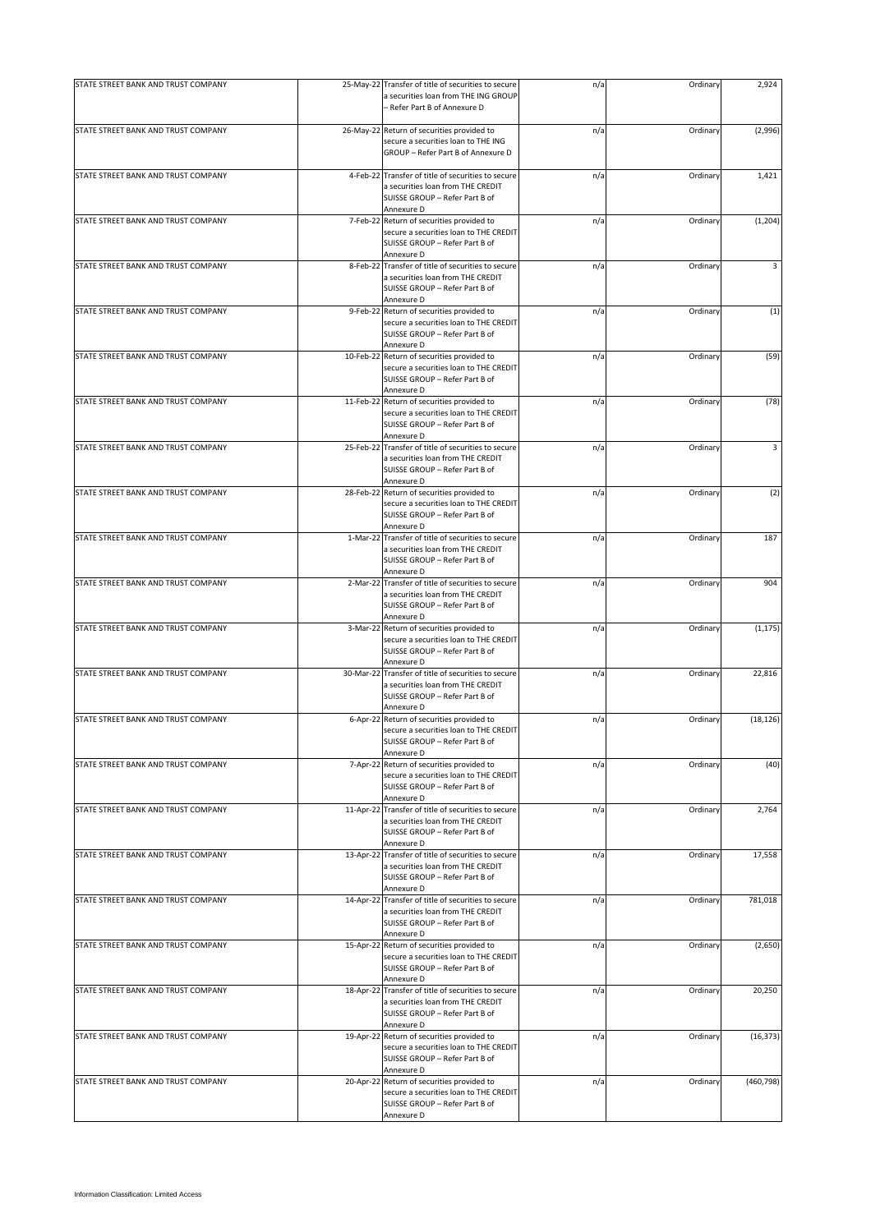| STATE STREET BANK AND TRUST COMPANY |           | 25-May-22 Transfer of title of securities to secure                                                                                      | n/a | Ordinary | 2,924      |
|-------------------------------------|-----------|------------------------------------------------------------------------------------------------------------------------------------------|-----|----------|------------|
|                                     |           | a securities loan from THE ING GROUP<br>- Refer Part B of Annexure D                                                                     |     |          |            |
|                                     |           |                                                                                                                                          |     |          |            |
| STATE STREET BANK AND TRUST COMPANY |           | 26-May-22 Return of securities provided to<br>secure a securities loan to THE ING<br>GROUP - Refer Part B of Annexure D                  | n/a | Ordinary | (2,996)    |
| STATE STREET BANK AND TRUST COMPANY |           | 4-Feb-22 Transfer of title of securities to secure                                                                                       | n/a | Ordinary | 1,421      |
|                                     |           | a securities loan from THE CREDIT<br>SUISSE GROUP - Refer Part B of<br>Annexure D                                                        |     |          |            |
| STATE STREET BANK AND TRUST COMPANY |           | 7-Feb-22 Return of securities provided to                                                                                                | n/a | Ordinary | (1, 204)   |
|                                     |           | secure a securities loan to THE CREDIT<br>SUISSE GROUP - Refer Part B of<br>Annexure D                                                   |     |          |            |
| STATE STREET BANK AND TRUST COMPANY |           | 8-Feb-22 Transfer of title of securities to secure<br>a securities loan from THE CREDIT<br>SUISSE GROUP - Refer Part B of<br>Annexure D  | n/a | Ordinary | 3          |
| STATE STREET BANK AND TRUST COMPANY |           | 9-Feb-22 Return of securities provided to<br>secure a securities loan to THE CREDIT<br>SUISSE GROUP - Refer Part B of                    | n/a | Ordinary | (1)        |
|                                     |           | Annexure D                                                                                                                               |     |          |            |
| STATE STREET BANK AND TRUST COMPANY | 10-Feb-22 | Return of securities provided to<br>secure a securities loan to THE CREDIT<br>SUISSE GROUP - Refer Part B of<br>Annexure D               | n/a | Ordinary | (59)       |
| STATE STREET BANK AND TRUST COMPANY |           | 11-Feb-22 Return of securities provided to<br>secure a securities loan to THE CREDIT<br>SUISSE GROUP - Refer Part B of<br>Annexure D     | n/a | Ordinary | (78)       |
| STATE STREET BANK AND TRUST COMPANY |           | 25-Feb-22 Transfer of title of securities to secure<br>a securities loan from THE CREDIT<br>SUISSE GROUP - Refer Part B of               | n/a | Ordinary | 3          |
| STATE STREET BANK AND TRUST COMPANY |           | Annexure D<br>28-Feb-22 Return of securities provided to<br>secure a securities loan to THE CREDIT<br>SUISSE GROUP - Refer Part B of     | n/a | Ordinary | (2)        |
| STATE STREET BANK AND TRUST COMPANY |           | Annexure D<br>1-Mar-22 Transfer of title of securities to secure<br>a securities loan from THE CREDIT<br>SUISSE GROUP - Refer Part B of  | n/a | Ordinary | 187        |
|                                     |           | Annexure D                                                                                                                               |     |          |            |
| STATE STREET BANK AND TRUST COMPANY |           | 2-Mar-22 Transfer of title of securities to secure<br>a securities loan from THE CREDIT<br>SUISSE GROUP - Refer Part B of<br>Annexure D  | n/a | Ordinary | 904        |
| STATE STREET BANK AND TRUST COMPANY |           | 3-Mar-22 Return of securities provided to<br>secure a securities loan to THE CREDIT<br>SUISSE GROUP - Refer Part B of                    | n/a | Ordinary | (1, 175)   |
| STATE STREET BANK AND TRUST COMPANY |           | Annexure D<br>30-Mar-22 Transfer of title of securities to secure<br>a securities loan from THE CREDIT<br>SUISSE GROUP - Refer Part B of | n/a | Ordinary | 22,816     |
| STATE STREET BANK AND TRUST COMPANY |           | Annexure D<br>6-Apr-22 Return of securities provided to                                                                                  |     |          |            |
|                                     |           | secure a securities loan to THE CREDIT<br>SUISSE GROUP - Refer Part B of<br>Annexure D                                                   | n/a | Ordinary | (18, 126)  |
| STATE STREET BANK AND TRUST COMPANY |           | 7-Apr-22 Return of securities provided to<br>secure a securities loan to THE CREDIT<br>SUISSE GROUP - Refer Part B of<br>Annexure D      | n/a | Ordinary | (40)       |
| STATE STREET BANK AND TRUST COMPANY |           | 11-Apr-22 Transfer of title of securities to secure<br>a securities loan from THE CREDIT<br>SUISSE GROUP - Refer Part B of<br>Annexure D | n/a | Ordinary | 2,764      |
| STATE STREET BANK AND TRUST COMPANY |           | 13-Apr-22 Transfer of title of securities to secure<br>a securities loan from THE CREDIT<br>SUISSE GROUP - Refer Part B of<br>Annexure D | n/a | Ordinary | 17,558     |
| STATE STREET BANK AND TRUST COMPANY |           | 14-Apr-22 Transfer of title of securities to secure<br>a securities loan from THE CREDIT<br>SUISSE GROUP - Refer Part B of<br>Annexure D | n/a | Ordinary | 781,018    |
| STATE STREET BANK AND TRUST COMPANY |           | 15-Apr-22 Return of securities provided to<br>secure a securities loan to THE CREDIT<br>SUISSE GROUP - Refer Part B of<br>Annexure D     | n/a | Ordinary | (2,650)    |
| STATE STREET BANK AND TRUST COMPANY |           | 18-Apr-22 Transfer of title of securities to secure<br>a securities loan from THE CREDIT<br>SUISSE GROUP - Refer Part B of<br>Annexure D | n/a | Ordinary | 20,250     |
| STATE STREET BANK AND TRUST COMPANY |           | 19-Apr-22 Return of securities provided to<br>secure a securities loan to THE CREDIT<br>SUISSE GROUP - Refer Part B of<br>Annexure D     | n/a | Ordinary | (16, 373)  |
| STATE STREET BANK AND TRUST COMPANY |           | 20-Apr-22 Return of securities provided to<br>secure a securities loan to THE CREDIT<br>SUISSE GROUP - Refer Part B of<br>Annexure D     | n/a | Ordinary | (460, 798) |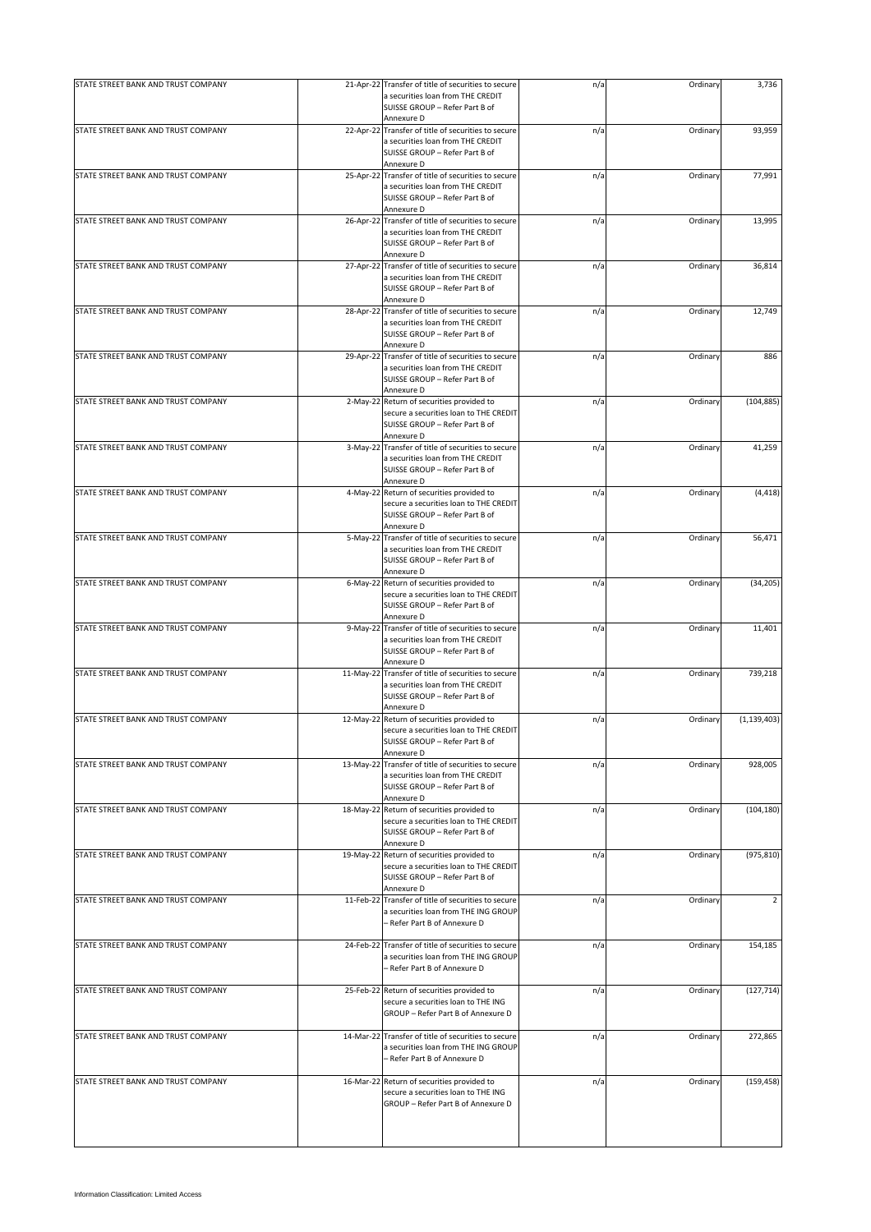| STATE STREET BANK AND TRUST COMPANY | 21-Apr-22 Transfer of title of securities to secure                                         | n/a | Ordinary | 3,736          |
|-------------------------------------|---------------------------------------------------------------------------------------------|-----|----------|----------------|
|                                     | a securities loan from THE CREDIT<br>SUISSE GROUP - Refer Part B of                         |     |          |                |
|                                     | Annexure D                                                                                  |     |          |                |
| STATE STREET BANK AND TRUST COMPANY | 22-Apr-22 Transfer of title of securities to secure                                         | n/a | Ordinary | 93,959         |
|                                     | a securities loan from THE CREDIT<br>SUISSE GROUP - Refer Part B of                         |     |          |                |
| STATE STREET BANK AND TRUST COMPANY | Annexure D<br>25-Apr-22 Transfer of title of securities to secure                           | n/a | Ordinary | 77,991         |
|                                     | a securities loan from THE CREDIT                                                           |     |          |                |
|                                     | SUISSE GROUP - Refer Part B of                                                              |     |          |                |
| STATE STREET BANK AND TRUST COMPANY | Annexure D<br>26-Apr-22 Transfer of title of securities to secure                           | n/a | Ordinary | 13,995         |
|                                     | a securities loan from THE CREDIT                                                           |     |          |                |
|                                     | SUISSE GROUP - Refer Part B of                                                              |     |          |                |
|                                     | Annexure D                                                                                  |     |          |                |
| STATE STREET BANK AND TRUST COMPANY | 27-Apr-22 Transfer of title of securities to secure<br>a securities loan from THE CREDIT    | n/a | Ordinary | 36,814         |
|                                     | SUISSE GROUP - Refer Part B of                                                              |     |          |                |
|                                     | Annexure D                                                                                  |     |          |                |
| STATE STREET BANK AND TRUST COMPANY | 28-Apr-22 Transfer of title of securities to secure                                         | n/a | Ordinary | 12,749         |
|                                     | a securities loan from THE CREDIT                                                           |     |          |                |
|                                     | SUISSE GROUP - Refer Part B of                                                              |     |          |                |
| STATE STREET BANK AND TRUST COMPANY | Annexure D<br>29-Apr-22 Transfer of title of securities to secure                           | n/a | Ordinary | 886            |
|                                     | a securities loan from THE CREDIT                                                           |     |          |                |
|                                     | SUISSE GROUP - Refer Part B of                                                              |     |          |                |
|                                     | Annexure D                                                                                  |     |          |                |
| STATE STREET BANK AND TRUST COMPANY | 2-May-22 Return of securities provided to                                                   | n/a | Ordinary | (104, 885)     |
|                                     | secure a securities loan to THE CREDIT<br>SUISSE GROUP - Refer Part B of                    |     |          |                |
|                                     | Annexure D                                                                                  |     |          |                |
| STATE STREET BANK AND TRUST COMPANY | 3-May-22 Transfer of title of securities to secure                                          | n/a | Ordinary | 41,259         |
|                                     | a securities loan from THE CREDIT                                                           |     |          |                |
|                                     | SUISSE GROUP - Refer Part B of                                                              |     |          |                |
| STATE STREET BANK AND TRUST COMPANY | Annexure D<br>4-May-22 Return of securities provided to                                     | n/a | Ordinary | (4, 418)       |
|                                     | secure a securities loan to THE CREDIT                                                      |     |          |                |
|                                     | SUISSE GROUP - Refer Part B of                                                              |     |          |                |
|                                     | Annexure D                                                                                  |     |          |                |
| STATE STREET BANK AND TRUST COMPANY | 5-May-22 Transfer of title of securities to secure                                          | n/a | Ordinary | 56,471         |
|                                     | a securities loan from THE CREDIT<br>SUISSE GROUP - Refer Part B of                         |     |          |                |
|                                     | Annexure D                                                                                  |     |          |                |
| STATE STREET BANK AND TRUST COMPANY | 6-May-22 Return of securities provided to                                                   | n/a | Ordinary | (34, 205)      |
|                                     | secure a securities loan to THE CREDIT                                                      |     |          |                |
|                                     | SUISSE GROUP - Refer Part B of                                                              |     |          |                |
| STATE STREET BANK AND TRUST COMPANY | Annexure D<br>9-May-22 Transfer of title of securities to secure                            | n/a | Ordinary | 11,401         |
|                                     | a securities loan from THE CREDIT                                                           |     |          |                |
|                                     | SUISSE GROUP - Refer Part B of                                                              |     |          |                |
|                                     | Annexure D                                                                                  |     |          |                |
| STATE STREET BANK AND TRUST COMPANY | 11-May-22 Transfer of title of securities to secure                                         | n/a | Ordinary | 739,218        |
|                                     | a securities loan from THE CREDIT<br>SUISSE GROUP - Refer Part B of                         |     |          |                |
|                                     | Annexure D                                                                                  |     |          |                |
| STATE STREET BANK AND TRUST COMPANY | 12-May-22 Return of securities provided to                                                  | n/a | Ordinary | (1, 139, 403)  |
|                                     | secure a securities loan to THE CREDIT                                                      |     |          |                |
|                                     | SUISSE GROUP - Refer Part B of                                                              |     |          |                |
| STATE STREET BANK AND TRUST COMPANY | Annexure D<br>13-May-22 Transfer of title of securities to secure                           | n/a | Ordinary | 928,005        |
|                                     | a securities loan from THE CREDIT                                                           |     |          |                |
|                                     | SUISSE GROUP - Refer Part B of                                                              |     |          |                |
|                                     | Annexure D                                                                                  |     |          |                |
| STATE STREET BANK AND TRUST COMPANY | 18-May-22 Return of securities provided to                                                  | n/a | Ordinary | (104, 180)     |
|                                     | secure a securities loan to THE CREDIT<br>SUISSE GROUP - Refer Part B of                    |     |          |                |
|                                     | Annexure D                                                                                  |     |          |                |
| STATE STREET BANK AND TRUST COMPANY | 19-May-22 Return of securities provided to                                                  | n/a | Ordinary | (975, 810)     |
|                                     | secure a securities loan to THE CREDIT                                                      |     |          |                |
|                                     | SUISSE GROUP - Refer Part B of<br>Annexure D                                                |     |          |                |
| STATE STREET BANK AND TRUST COMPANY | 11-Feb-22 Transfer of title of securities to secure                                         | n/a | Ordinary | $\overline{2}$ |
|                                     | a securities loan from THE ING GROUP                                                        |     |          |                |
|                                     | - Refer Part B of Annexure D                                                                |     |          |                |
|                                     |                                                                                             |     |          |                |
| STATE STREET BANK AND TRUST COMPANY | 24-Feb-22 Transfer of title of securities to secure<br>a securities loan from THE ING GROUP | n/a | Ordinary | 154,185        |
|                                     | - Refer Part B of Annexure D                                                                |     |          |                |
|                                     |                                                                                             |     |          |                |
| STATE STREET BANK AND TRUST COMPANY | 25-Feb-22 Return of securities provided to                                                  | n/a | Ordinary | (127, 714)     |
|                                     | secure a securities loan to THE ING<br>GROUP - Refer Part B of Annexure D                   |     |          |                |
|                                     |                                                                                             |     |          |                |
| STATE STREET BANK AND TRUST COMPANY | 14-Mar-22 Transfer of title of securities to secure                                         | n/a | Ordinary | 272,865        |
|                                     | a securities loan from THE ING GROUP                                                        |     |          |                |
|                                     | - Refer Part B of Annexure D                                                                |     |          |                |
| STATE STREET BANK AND TRUST COMPANY | 16-Mar-22 Return of securities provided to                                                  | n/a | Ordinary | (159, 458)     |
|                                     | secure a securities loan to THE ING                                                         |     |          |                |
|                                     | GROUP - Refer Part B of Annexure D                                                          |     |          |                |
|                                     |                                                                                             |     |          |                |
|                                     |                                                                                             |     |          |                |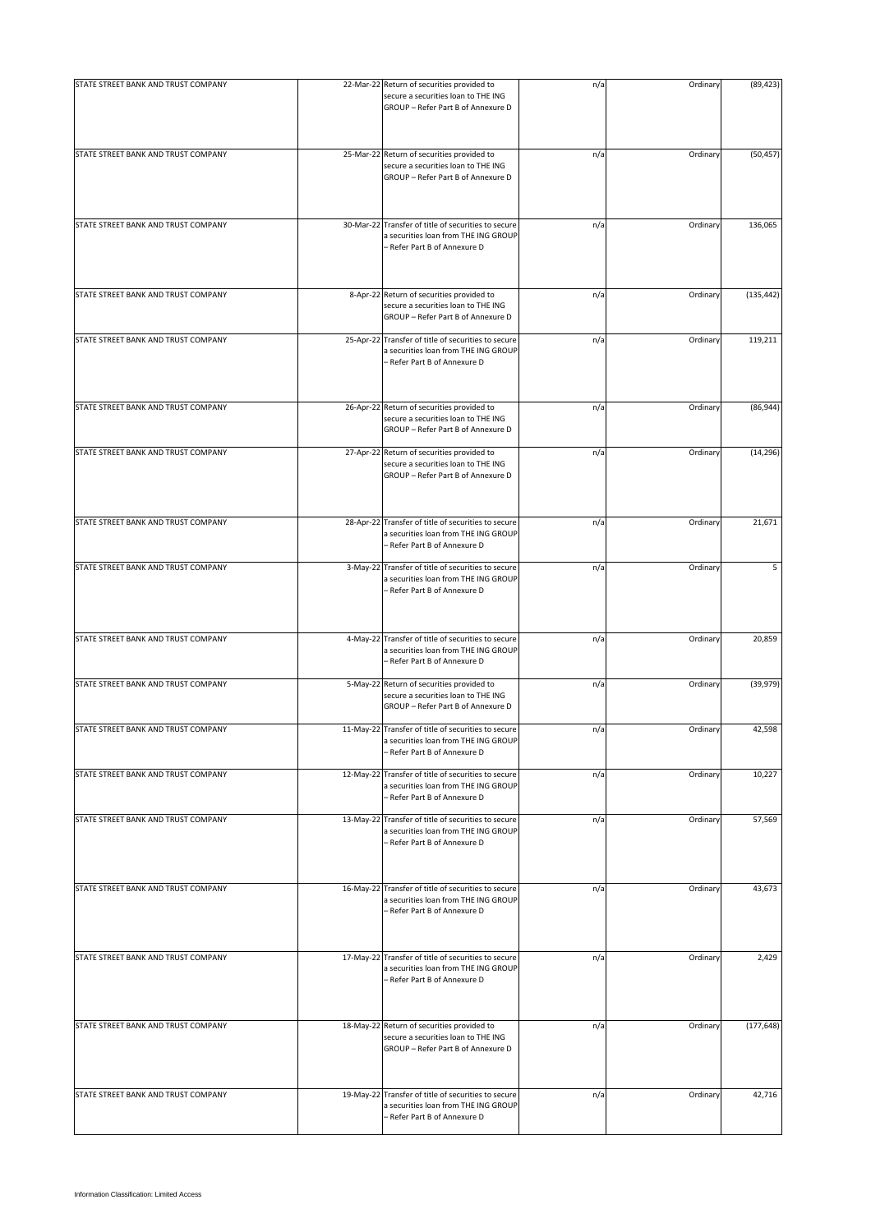| STATE STREET BANK AND TRUST COMPANY |           | 22-Mar-22 Return of securities provided to<br>secure a securities loan to THE ING                                           | n/a | Ordinary | (89, 423)  |
|-------------------------------------|-----------|-----------------------------------------------------------------------------------------------------------------------------|-----|----------|------------|
|                                     |           | GROUP - Refer Part B of Annexure D                                                                                          |     |          |            |
| STATE STREET BANK AND TRUST COMPANY |           | 25-Mar-22 Return of securities provided to<br>secure a securities loan to THE ING<br>GROUP - Refer Part B of Annexure D     | n/a | Ordinary | (50, 457)  |
| STATE STREET BANK AND TRUST COMPANY |           | 30-Mar-22 Transfer of title of securities to secure<br>a securities loan from THE ING GROUP<br>- Refer Part B of Annexure D | n/a | Ordinary | 136,065    |
| STATE STREET BANK AND TRUST COMPANY | 8-Apr-22  | Return of securities provided to<br>secure a securities loan to THE ING<br>GROUP - Refer Part B of Annexure D               | n/a | Ordinary | (135, 442) |
| STATE STREET BANK AND TRUST COMPANY | 25-Apr-22 | Transfer of title of securities to secure<br>a securities loan from THE ING GROUP<br>- Refer Part B of Annexure D           | n/a | Ordinary | 119,211    |
| STATE STREET BANK AND TRUST COMPANY |           | 26-Apr-22 Return of securities provided to<br>secure a securities loan to THE ING<br>GROUP - Refer Part B of Annexure D     | n/a | Ordinary | (86, 944)  |
| STATE STREET BANK AND TRUST COMPANY |           | 27-Apr-22 Return of securities provided to<br>secure a securities loan to THE ING<br>GROUP - Refer Part B of Annexure D     | n/a | Ordinary | (14, 296)  |
| STATE STREET BANK AND TRUST COMPANY | 28-Apr-22 | Transfer of title of securities to secure<br>a securities loan from THE ING GROUP<br>- Refer Part B of Annexure D           | n/a | Ordinary | 21,671     |
| STATE STREET BANK AND TRUST COMPANY | 3-May-22  | Transfer of title of securities to secure<br>a securities loan from THE ING GROUP<br>- Refer Part B of Annexure D           | n/a | Ordinary | 5          |
| STATE STREET BANK AND TRUST COMPANY | 4-May-22  | Transfer of title of securities to secure<br>a securities loan from THE ING GROUP<br>– Refer Part B of Annexure D           | n/a | Ordinary | 20,859     |
| STATE STREET BANK AND TRUST COMPANY | 5-May-22  | Return of securities provided to<br>secure a securities loan to THE ING<br>GROUP - Refer Part B of Annexure D               | n/a | Ordinary | (39, 979)  |
| STATE STREET BANK AND TRUST COMPANY |           | 11-May-22 Transfer of title of securities to secure<br>a securities loan from THE ING GROUP<br>- Refer Part B of Annexure D | n/a | Ordinary | 42,598     |
| STATE STREET BANK AND TRUST COMPANY | 12-May-22 | Transfer of title of securities to secure<br>a securities loan from THE ING GROUP<br>- Refer Part B of Annexure D           | n/a | Ordinary | 10,227     |
| STATE STREET BANK AND TRUST COMPANY |           | 13-May-22 Transfer of title of securities to secure<br>a securities loan from THE ING GROUP<br>- Refer Part B of Annexure D | n/a | Ordinary | 57,569     |
| STATE STREET BANK AND TRUST COMPANY | 16-May-22 | Transfer of title of securities to secure<br>a securities loan from THE ING GROUP<br>- Refer Part B of Annexure D           | n/a | Ordinary | 43,673     |
| STATE STREET BANK AND TRUST COMPANY |           | 17-May-22 Transfer of title of securities to secure<br>a securities loan from THE ING GROUP<br>- Refer Part B of Annexure D | n/a | Ordinary | 2,429      |
| STATE STREET BANK AND TRUST COMPANY |           | 18-May-22 Return of securities provided to<br>secure a securities loan to THE ING<br>GROUP - Refer Part B of Annexure D     | n/a | Ordinary | (177, 648) |
| STATE STREET BANK AND TRUST COMPANY | 19-May-22 | Transfer of title of securities to secure<br>a securities loan from THE ING GROUP<br>- Refer Part B of Annexure D           | n/a | Ordinary | 42,716     |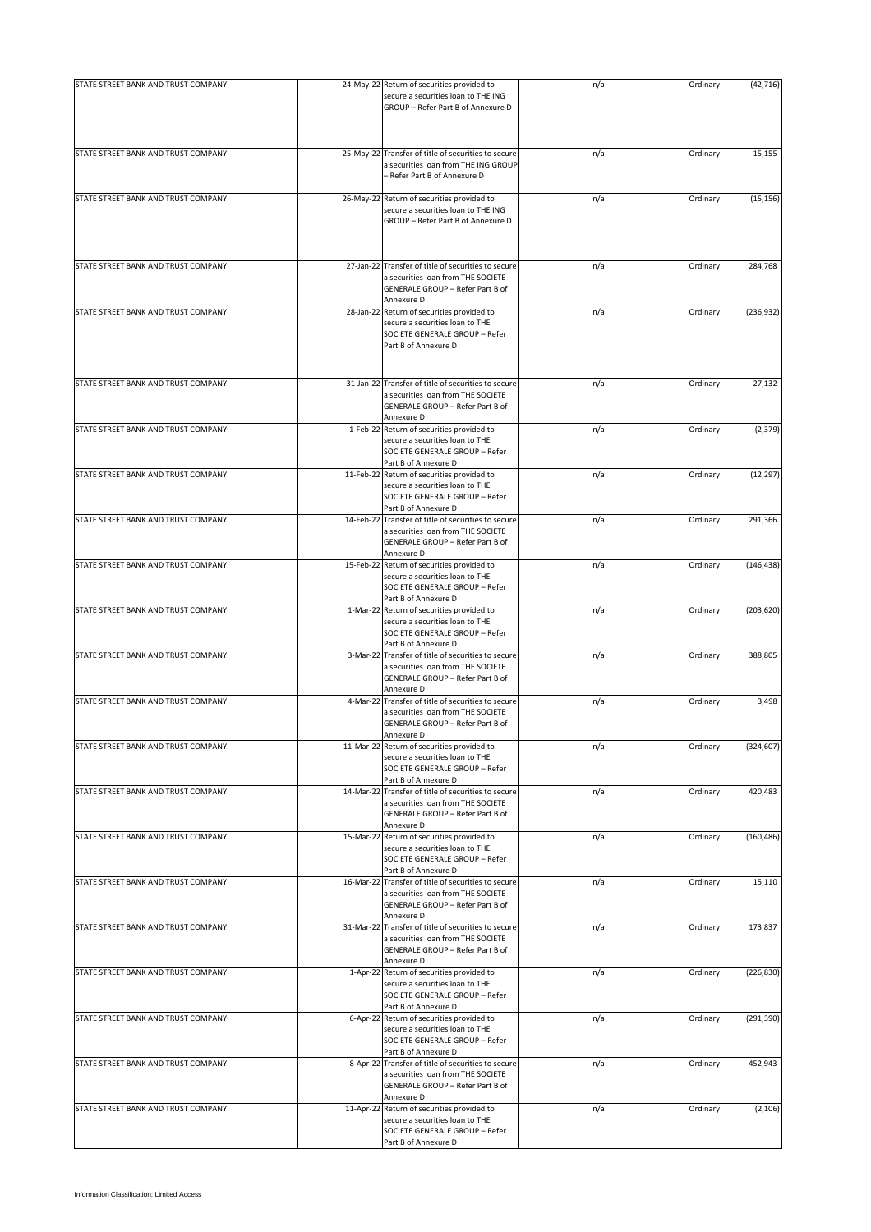| STATE STREET BANK AND TRUST COMPANY |           |                                                                                                                                             |     |          |            |
|-------------------------------------|-----------|---------------------------------------------------------------------------------------------------------------------------------------------|-----|----------|------------|
|                                     |           | 24-May-22 Return of securities provided to<br>secure a securities loan to THE ING<br>GROUP - Refer Part B of Annexure D                     | n/a | Ordinary | (42, 716)  |
| STATE STREET BANK AND TRUST COMPANY |           | 25-May-22 Transfer of title of securities to secure<br>a securities loan from THE ING GROUP<br>- Refer Part B of Annexure D                 | n/a | Ordinary | 15,155     |
| STATE STREET BANK AND TRUST COMPANY |           | 26-May-22 Return of securities provided to<br>secure a securities loan to THE ING<br>GROUP - Refer Part B of Annexure D                     | n/a | Ordinary | (15, 156)  |
| STATE STREET BANK AND TRUST COMPANY | 27-Jan-22 | Transfer of title of securities to secure<br>a securities loan from THE SOCIETE<br>GENERALE GROUP - Refer Part B of<br>Annexure D           | n/a | Ordinary | 284,768    |
| STATE STREET BANK AND TRUST COMPANY |           | 28-Jan-22 Return of securities provided to<br>secure a securities loan to THE<br>SOCIETE GENERALE GROUP - Refer<br>Part B of Annexure D     | n/a | Ordinary | (236, 932) |
| STATE STREET BANK AND TRUST COMPANY |           | 31-Jan-22 Transfer of title of securities to secure<br>a securities loan from THE SOCIETE<br>GENERALE GROUP - Refer Part B of<br>Annexure D | n/a | Ordinary | 27,132     |
| STATE STREET BANK AND TRUST COMPANY |           | 1-Feb-22 Return of securities provided to<br>secure a securities loan to THE<br>SOCIETE GENERALE GROUP - Refer<br>Part B of Annexure D      | n/a | Ordinary | (2, 379)   |
| STATE STREET BANK AND TRUST COMPANY |           | 11-Feb-22 Return of securities provided to<br>secure a securities loan to THE<br>SOCIETE GENERALE GROUP - Refer<br>Part B of Annexure D     | n/a | Ordinary | (12, 297)  |
| STATE STREET BANK AND TRUST COMPANY |           | 14-Feb-22 Transfer of title of securities to secure<br>a securities loan from THE SOCIETE<br>GENERALE GROUP - Refer Part B of<br>Annexure D | n/a | Ordinary | 291,366    |
| STATE STREET BANK AND TRUST COMPANY |           | 15-Feb-22 Return of securities provided to<br>secure a securities loan to THE<br>SOCIETE GENERALE GROUP - Refer<br>Part B of Annexure D     | n/a | Ordinary | (146, 438) |
| STATE STREET BANK AND TRUST COMPANY |           | 1-Mar-22 Return of securities provided to<br>secure a securities loan to THE<br>SOCIETE GENERALE GROUP - Refer<br>Part B of Annexure D      | n/a | Ordinary | (203, 620) |
| STATE STREET BANK AND TRUST COMPANY | 3-Mar-22  | Transfer of title of securities to secure<br>a securities loan from THE SOCIETE<br>GENERALE GROUP - Refer Part B of<br>Annexure D           | n/a | Ordinary | 388,805    |
| STATE STREET BANK AND TRUST COMPANY | 4-Mar-22  | Transfer of title of securities to secure<br>a securities loan from THE SOCIETE<br>GENERALE GROUP - Refer Part B of<br>Annexure D           | n/a | Ordinary | 3,498      |
| STATE STREET BANK AND TRUST COMPANY |           | 11-Mar-22 Return of securities provided to<br>secure a securities loan to THE<br>SOCIETE GENERALE GROUP - Refer<br>Part B of Annexure D     | n/a | Ordinary | (324, 607) |
| STATE STREET BANK AND TRUST COMPANY |           | 14-Mar-22 Transfer of title of securities to secure<br>a securities loan from THE SOCIETE<br>GENERALE GROUP - Refer Part B of<br>Annexure D | n/a | Ordinary | 420,483    |
| STATE STREET BANK AND TRUST COMPANY |           | 15-Mar-22 Return of securities provided to<br>secure a securities loan to THE<br>SOCIETE GENERALE GROUP - Refer<br>Part B of Annexure D     | n/a | Ordinary | (160, 486) |
| STATE STREET BANK AND TRUST COMPANY |           | 16-Mar-22 Transfer of title of securities to secure<br>a securities loan from THE SOCIETE<br>GENERALE GROUP - Refer Part B of<br>Annexure D | n/a | Ordinary | 15,110     |
| STATE STREET BANK AND TRUST COMPANY |           | 31-Mar-22 Transfer of title of securities to secure<br>a securities loan from THE SOCIETE<br>GENERALE GROUP - Refer Part B of<br>Annexure D | n/a | Ordinary | 173,837    |
| STATE STREET BANK AND TRUST COMPANY |           | 1-Apr-22 Return of securities provided to<br>secure a securities loan to THE<br>SOCIETE GENERALE GROUP - Refer<br>Part B of Annexure D      | n/a | Ordinary | (226, 830) |
| STATE STREET BANK AND TRUST COMPANY |           | 6-Apr-22 Return of securities provided to<br>secure a securities loan to THE<br>SOCIETE GENERALE GROUP - Refer<br>Part B of Annexure D      | n/a | Ordinary | (291, 390) |
| STATE STREET BANK AND TRUST COMPANY |           | 8-Apr-22 Transfer of title of securities to secure<br>a securities loan from THE SOCIETE<br>GENERALE GROUP - Refer Part B of<br>Annexure D  | n/a | Ordinary | 452,943    |
| STATE STREET BANK AND TRUST COMPANY |           | 11-Apr-22 Return of securities provided to<br>secure a securities loan to THE<br>SOCIETE GENERALE GROUP - Refer<br>Part B of Annexure D     | n/a | Ordinary | (2, 106)   |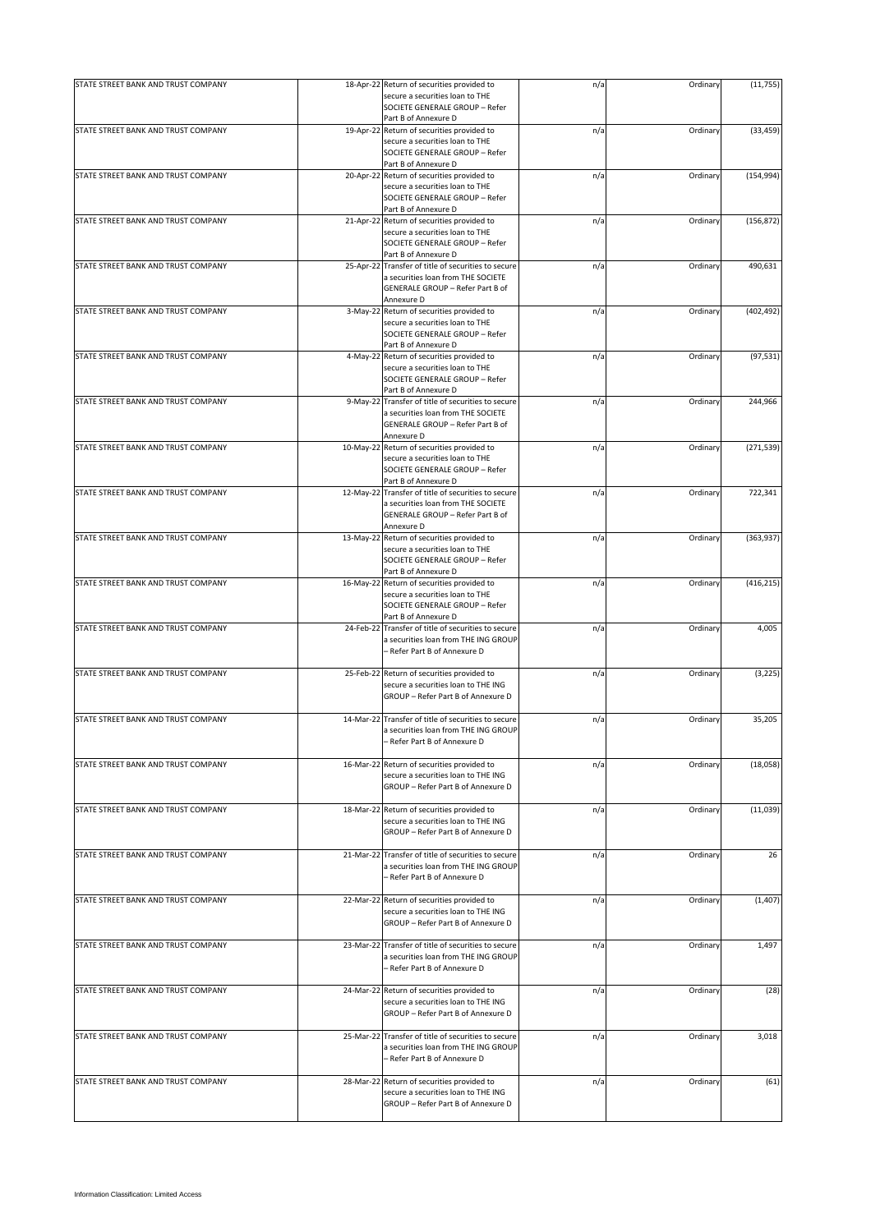| STATE STREET BANK AND TRUST COMPANY |           | 18-Apr-22 Return of securities provided to                                                                              | n/a | Ordinary | (11, 755)  |
|-------------------------------------|-----------|-------------------------------------------------------------------------------------------------------------------------|-----|----------|------------|
|                                     |           | secure a securities loan to THE<br>SOCIETE GENERALE GROUP - Refer                                                       |     |          |            |
| STATE STREET BANK AND TRUST COMPANY |           | Part B of Annexure D<br>19-Apr-22 Return of securities provided to                                                      | n/a | Ordinary |            |
|                                     |           | secure a securities loan to THE<br>SOCIETE GENERALE GROUP - Refer<br>Part B of Annexure D                               |     |          | (33, 459)  |
| STATE STREET BANK AND TRUST COMPANY |           | 20-Apr-22 Return of securities provided to                                                                              | n/a | Ordinary | (154, 994) |
|                                     |           | secure a securities loan to THE<br>SOCIETE GENERALE GROUP - Refer<br>Part B of Annexure D                               |     |          |            |
| STATE STREET BANK AND TRUST COMPANY |           | 21-Apr-22 Return of securities provided to                                                                              | n/a | Ordinary | (156, 872) |
|                                     |           | secure a securities loan to THE<br>SOCIETE GENERALE GROUP - Refer<br>Part B of Annexure D                               |     |          |            |
| STATE STREET BANK AND TRUST COMPANY |           | 25-Apr-22 Transfer of title of securities to secure                                                                     | n/a | Ordinary | 490,631    |
|                                     |           | a securities loan from THE SOCIETE<br>GENERALE GROUP - Refer Part B of<br>Annexure D                                    |     |          |            |
| STATE STREET BANK AND TRUST COMPANY |           | 3-May-22 Return of securities provided to                                                                               | n/a | Ordinary | (402, 492) |
|                                     |           | secure a securities loan to THE<br>SOCIETE GENERALE GROUP - Refer<br>Part B of Annexure D                               |     |          |            |
| STATE STREET BANK AND TRUST COMPANY |           | 4-May-22 Return of securities provided to                                                                               | n/a | Ordinary | (97, 531)  |
|                                     |           | secure a securities loan to THE<br>SOCIETE GENERALE GROUP - Refer<br>Part B of Annexure D                               |     |          |            |
| STATE STREET BANK AND TRUST COMPANY |           | 9-May-22 Transfer of title of securities to secure                                                                      | n/a | Ordinary | 244,966    |
|                                     |           | a securities loan from THE SOCIETE<br>GENERALE GROUP - Refer Part B of<br>Annexure D                                    |     |          |            |
| STATE STREET BANK AND TRUST COMPANY |           | 10-May-22 Return of securities provided to                                                                              | n/a | Ordinary | (271, 539) |
|                                     |           | secure a securities loan to THE<br>SOCIETE GENERALE GROUP - Refer<br>Part B of Annexure D                               |     |          |            |
| STATE STREET BANK AND TRUST COMPANY |           | 12-May-22 Transfer of title of securities to secure                                                                     | n/a | Ordinary | 722,341    |
|                                     |           | a securities loan from THE SOCIETE<br>GENERALE GROUP - Refer Part B of<br>Annexure D                                    |     |          |            |
| STATE STREET BANK AND TRUST COMPANY |           | 13-May-22 Return of securities provided to                                                                              | n/a | Ordinary | (363,937)  |
|                                     |           | secure a securities loan to THE<br>SOCIETE GENERALE GROUP - Refer<br>Part B of Annexure D                               |     |          |            |
| STATE STREET BANK AND TRUST COMPANY |           | 16-May-22 Return of securities provided to                                                                              | n/a | Ordinary | (416, 215) |
|                                     |           | secure a securities loan to THE                                                                                         |     |          |            |
|                                     |           | SOCIETE GENERALE GROUP - Refer                                                                                          |     |          |            |
|                                     |           | Part B of Annexure D                                                                                                    |     |          |            |
| STATE STREET BANK AND TRUST COMPANY | 24-Feb-22 | Transfer of title of securities to secure<br>a securities loan from THE ING GROUP<br>- Refer Part B of Annexure D       | n/a | Ordinary | 4,005      |
| STATE STREET BANK AND TRUST COMPANY |           | 25-Feb-22 Return of securities provided to                                                                              | n/a | Ordinary | (3, 225)   |
|                                     |           | secure a securities loan to THE ING<br>GROUP - Refer Part B of Annexure D                                               |     |          |            |
| STATE STREET BANK AND TRUST COMPANY |           | 14-Mar-22 Transfer of title of securities to secure                                                                     | n/a | Ordinary | 35,205     |
|                                     |           | a securities loan from THE ING GROUP<br>Refer Part B of Annexure D                                                      |     |          |            |
| STATE STREET BANK AND TRUST COMPANY |           | 16-Mar-22 Return of securities provided to                                                                              | n/a | Ordinary | (18,058)   |
|                                     |           | secure a securities loan to THE ING<br>GROUP - Refer Part B of Annexure D                                               |     |          |            |
| STATE STREET BANK AND TRUST COMPANY |           | 18-Mar-22 Return of securities provided to                                                                              | n/a | Ordinary | (11,039)   |
|                                     |           | secure a securities loan to THE ING<br>GROUP - Refer Part B of Annexure D                                               |     |          |            |
| STATE STREET BANK AND TRUST COMPANY |           | 21-Mar-22 Transfer of title of securities to secure                                                                     | n/a | Ordinary | 26         |
|                                     |           | a securities loan from THE ING GROUP<br>- Refer Part B of Annexure D                                                    |     |          |            |
| STATE STREET BANK AND TRUST COMPANY |           | 22-Mar-22 Return of securities provided to<br>secure a securities loan to THE ING<br>GROUP - Refer Part B of Annexure D | n/a | Ordinary | (1, 407)   |
| STATE STREET BANK AND TRUST COMPANY |           | 23-Mar-22 Transfer of title of securities to secure                                                                     | n/a | Ordinary | 1,497      |
|                                     |           | a securities loan from THE ING GROUP<br>- Refer Part B of Annexure D                                                    |     |          |            |
| STATE STREET BANK AND TRUST COMPANY |           | 24-Mar-22 Return of securities provided to                                                                              | n/a | Ordinary | (28)       |
|                                     |           | secure a securities loan to THE ING<br>GROUP - Refer Part B of Annexure D                                               |     |          |            |
| STATE STREET BANK AND TRUST COMPANY |           | 25-Mar-22 Transfer of title of securities to secure                                                                     | n/a | Ordinary | 3,018      |
|                                     |           | a securities loan from THE ING GROUP<br>- Refer Part B of Annexure D                                                    |     |          |            |
| STATE STREET BANK AND TRUST COMPANY |           | 28-Mar-22 Return of securities provided to                                                                              | n/a | Ordinary | (61)       |
|                                     |           | secure a securities loan to THE ING<br>GROUP - Refer Part B of Annexure D                                               |     |          |            |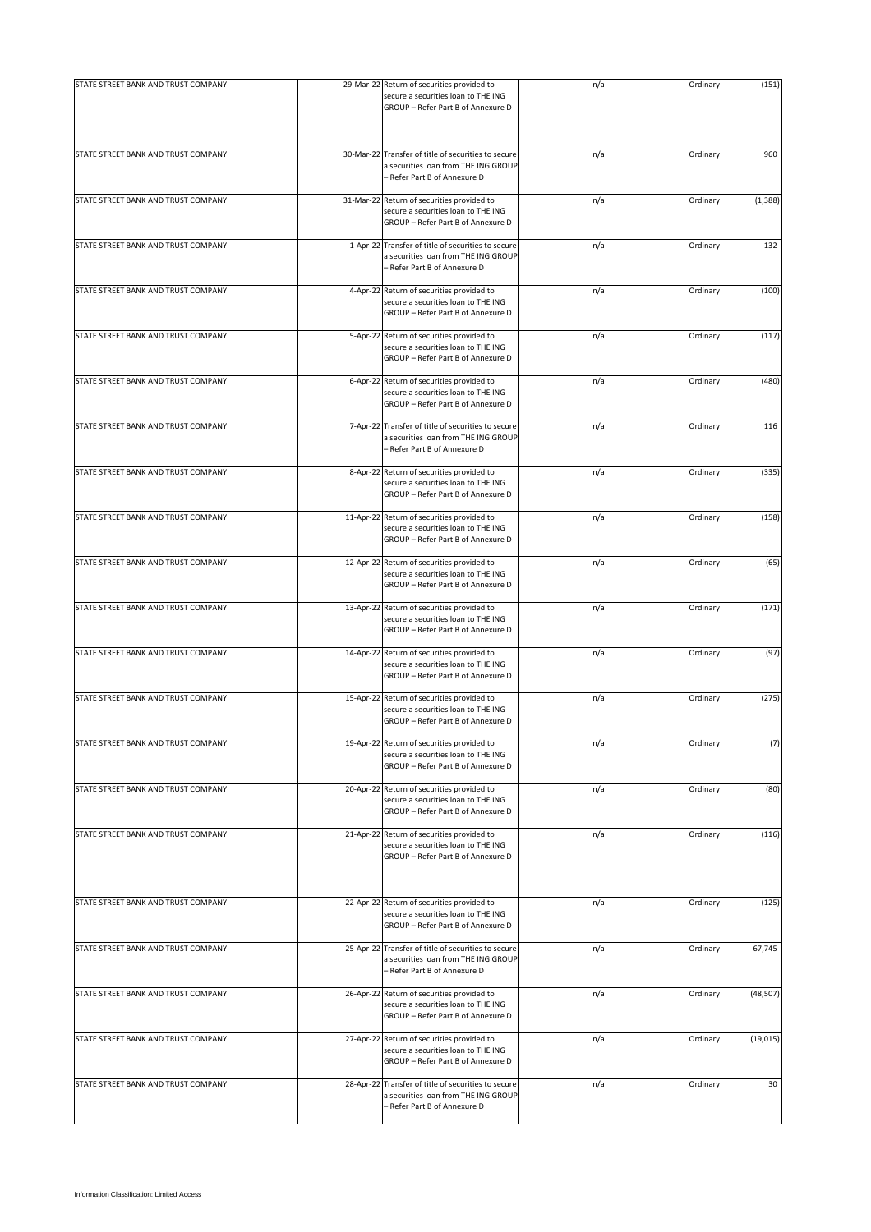| STATE STREET BANK AND TRUST COMPANY | 29-Mar-22 Return of securities provided to                                                                                  | n/a | Ordinary | (151)     |
|-------------------------------------|-----------------------------------------------------------------------------------------------------------------------------|-----|----------|-----------|
|                                     | secure a securities loan to THE ING<br>GROUP - Refer Part B of Annexure D                                                   |     |          |           |
| STATE STREET BANK AND TRUST COMPANY | 30-Mar-22 Transfer of title of securities to secure<br>a securities loan from THE ING GROUP<br>- Refer Part B of Annexure D | n/a | Ordinary | 960       |
| STATE STREET BANK AND TRUST COMPANY | 31-Mar-22 Return of securities provided to<br>secure a securities loan to THE ING<br>GROUP - Refer Part B of Annexure D     | n/a | Ordinary | (1, 388)  |
| STATE STREET BANK AND TRUST COMPANY | 1-Apr-22 Transfer of title of securities to secure<br>a securities loan from THE ING GROUP<br>- Refer Part B of Annexure D  | n/a | Ordinary | 132       |
| STATE STREET BANK AND TRUST COMPANY | 4-Apr-22 Return of securities provided to<br>secure a securities loan to THE ING<br>GROUP - Refer Part B of Annexure D      | n/a | Ordinary | (100)     |
| STATE STREET BANK AND TRUST COMPANY | 5-Apr-22 Return of securities provided to<br>secure a securities loan to THE ING<br>GROUP - Refer Part B of Annexure D      | n/a | Ordinary | (117)     |
| STATE STREET BANK AND TRUST COMPANY | 6-Apr-22 Return of securities provided to<br>secure a securities loan to THE ING<br>GROUP - Refer Part B of Annexure D      | n/a | Ordinary | (480)     |
| STATE STREET BANK AND TRUST COMPANY | 7-Apr-22 Transfer of title of securities to secure<br>a securities loan from THE ING GROUP<br>- Refer Part B of Annexure D  | n/a | Ordinary | 116       |
| STATE STREET BANK AND TRUST COMPANY | 8-Apr-22 Return of securities provided to<br>secure a securities loan to THE ING<br>GROUP - Refer Part B of Annexure D      | n/a | Ordinary | (335)     |
| STATE STREET BANK AND TRUST COMPANY | 11-Apr-22 Return of securities provided to<br>secure a securities loan to THE ING<br>GROUP - Refer Part B of Annexure D     | n/a | Ordinary | (158)     |
| STATE STREET BANK AND TRUST COMPANY | 12-Apr-22 Return of securities provided to<br>secure a securities loan to THE ING<br>GROUP - Refer Part B of Annexure D     | n/a | Ordinary | (65)      |
| STATE STREET BANK AND TRUST COMPANY | 13-Apr-22 Return of securities provided to<br>secure a securities loan to THE ING<br>GROUP - Refer Part B of Annexure D     | n/a | Ordinary | (171)     |
| STATE STREET BANK AND TRUST COMPANY | 14-Apr-22 Return of securities provided to<br>secure a securities loan to THE ING<br>GROUP - Refer Part B of Annexure D     | n/a | Ordinary | (97)      |
| STATE STREET BANK AND TRUST COMPANY | 15-Apr-22 Return of securities provided to<br>secure a securities loan to THE ING<br>GROUP - Refer Part B of Annexure D     | n/a | Ordinary | (275)     |
| STATE STREET BANK AND TRUST COMPANY | 19-Apr-22 Return of securities provided to<br>secure a securities loan to THE ING<br>GROUP - Refer Part B of Annexure D     | n/a | Ordinary | (7)       |
| STATE STREET BANK AND TRUST COMPANY | 20-Apr-22 Return of securities provided to<br>secure a securities loan to THE ING<br>GROUP - Refer Part B of Annexure D     | n/a | Ordinary | (80)      |
| STATE STREET BANK AND TRUST COMPANY | 21-Apr-22 Return of securities provided to<br>secure a securities loan to THE ING<br>GROUP - Refer Part B of Annexure D     | n/a | Ordinary | (116)     |
| STATE STREET BANK AND TRUST COMPANY | 22-Apr-22 Return of securities provided to<br>secure a securities loan to THE ING<br>GROUP - Refer Part B of Annexure D     | n/a | Ordinary | (125)     |
| STATE STREET BANK AND TRUST COMPANY | 25-Apr-22 Transfer of title of securities to secure<br>a securities loan from THE ING GROUP<br>- Refer Part B of Annexure D | n/a | Ordinary | 67,745    |
| STATE STREET BANK AND TRUST COMPANY | 26-Apr-22 Return of securities provided to<br>secure a securities loan to THE ING<br>GROUP - Refer Part B of Annexure D     | n/a | Ordinary | (48, 507) |
| STATE STREET BANK AND TRUST COMPANY | 27-Apr-22 Return of securities provided to<br>secure a securities loan to THE ING<br>GROUP - Refer Part B of Annexure D     | n/a | Ordinary | (19, 015) |
| STATE STREET BANK AND TRUST COMPANY | 28-Apr-22 Transfer of title of securities to secure<br>a securities loan from THE ING GROUP<br>- Refer Part B of Annexure D | n/a | Ordinary | 30        |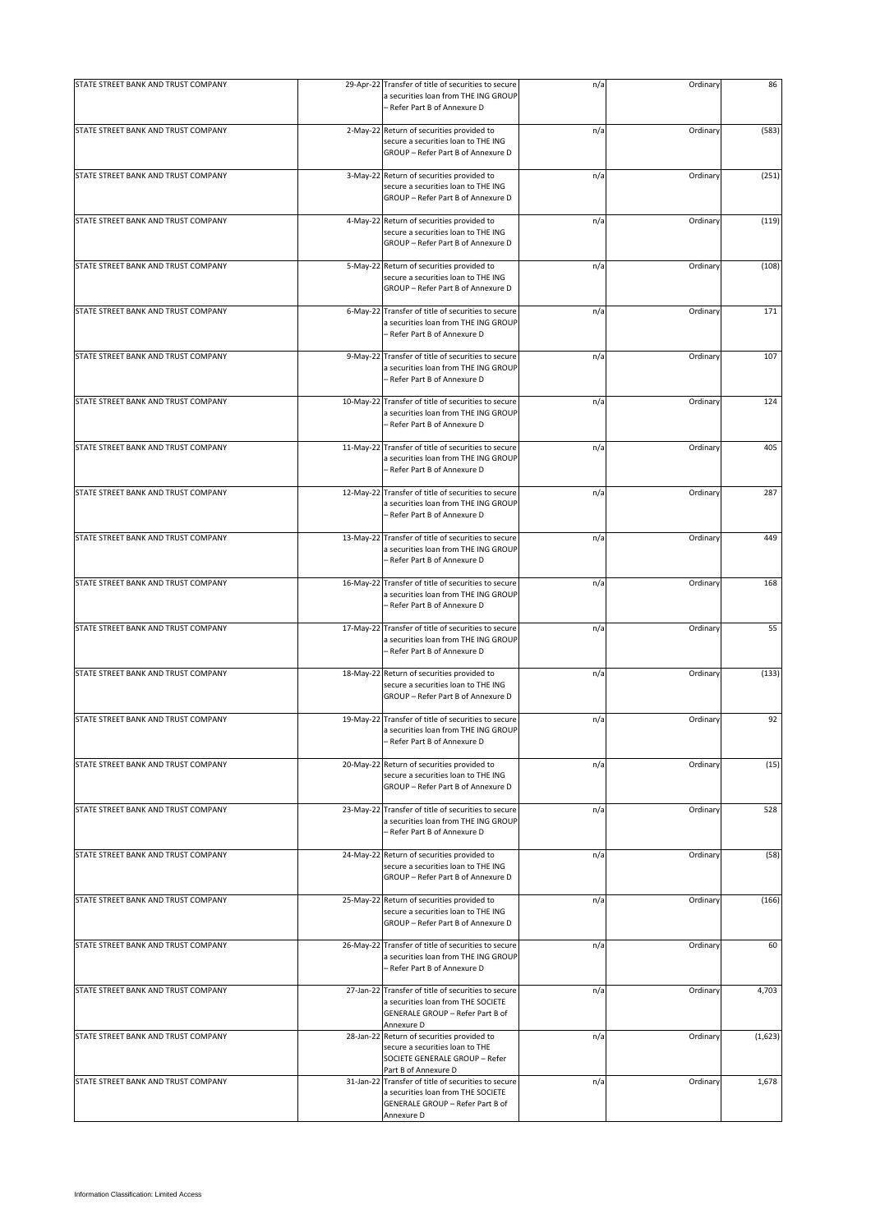| STATE STREET BANK AND TRUST COMPANY |           | 29-Apr-22 Transfer of title of securities to secure                                                                                         | n/a | Ordinary | 86      |
|-------------------------------------|-----------|---------------------------------------------------------------------------------------------------------------------------------------------|-----|----------|---------|
|                                     |           | a securities loan from THE ING GROUP<br>- Refer Part B of Annexure D                                                                        |     |          |         |
| STATE STREET BANK AND TRUST COMPANY |           | 2-May-22 Return of securities provided to<br>secure a securities loan to THE ING<br>GROUP - Refer Part B of Annexure D                      | n/a | Ordinary | (583)   |
| STATE STREET BANK AND TRUST COMPANY |           | 3-May-22 Return of securities provided to<br>secure a securities loan to THE ING<br>GROUP - Refer Part B of Annexure D                      | n/a | Ordinary | (251)   |
| STATE STREET BANK AND TRUST COMPANY |           | 4-May-22 Return of securities provided to<br>secure a securities loan to THE ING<br>GROUP - Refer Part B of Annexure D                      | n/a | Ordinary | (119)   |
| STATE STREET BANK AND TRUST COMPANY | 5-May-22  | Return of securities provided to<br>secure a securities loan to THE ING<br>GROUP - Refer Part B of Annexure D                               | n/a | Ordinary | (108)   |
| STATE STREET BANK AND TRUST COMPANY | 6-May-22  | Transfer of title of securities to secure<br>a securities loan from THE ING GROUP<br>- Refer Part B of Annexure D                           | n/a | Ordinary | 171     |
| STATE STREET BANK AND TRUST COMPANY |           | 9-May-22 Transfer of title of securities to secure<br>a securities loan from THE ING GROUP<br>- Refer Part B of Annexure D                  | n/a | Ordinary | 107     |
| STATE STREET BANK AND TRUST COMPANY | 10-May-22 | Transfer of title of securities to secure<br>a securities loan from THE ING GROUP<br>– Refer Part B of Annexure D                           | n/a | Ordinary | 124     |
| STATE STREET BANK AND TRUST COMPANY | 11-May-22 | Transfer of title of securities to secure<br>a securities loan from THE ING GROUP<br>- Refer Part B of Annexure D                           | n/a | Ordinary | 405     |
| STATE STREET BANK AND TRUST COMPANY | 12-May-22 | Transfer of title of securities to secure<br>a securities loan from THE ING GROUP<br>- Refer Part B of Annexure D                           | n/a | Ordinary | 287     |
| STATE STREET BANK AND TRUST COMPANY | 13-May-22 | Transfer of title of securities to secure<br>a securities loan from THE ING GROUP<br>- Refer Part B of Annexure D                           | n/a | Ordinary | 449     |
| STATE STREET BANK AND TRUST COMPANY |           | 16-May-22 Transfer of title of securities to secure<br>a securities loan from THE ING GROUP<br>– Refer Part B of Annexure D                 | n/a | Ordinary | 168     |
| STATE STREET BANK AND TRUST COMPANY | 17-May-22 | Transfer of title of securities to secure<br>a securities loan from THE ING GROUP<br>- Refer Part B of Annexure D                           | n/a | Ordinary | 55      |
| STATE STREET BANK AND TRUST COMPANY |           | 18-May-22 Return of securities provided to<br>secure a securities loan to THE ING<br>GROUP - Refer Part B of Annexure D                     | n/a | Ordinary | (133)   |
| STATE STREET BANK AND TRUST COMPANY |           | 19-May-22 Transfer of title of securities to secure<br>a securities loan from THE ING GROUP<br>- Refer Part B of Annexure D                 | n/a | Ordinary | 92      |
| STATE STREET BANK AND TRUST COMPANY | 20-May-22 | Return of securities provided to<br>secure a securities loan to THE ING<br>GROUP - Refer Part B of Annexure D                               | n/a | Ordinary | (15)    |
| STATE STREET BANK AND TRUST COMPANY | 23-May-22 | Transfer of title of securities to secure<br>a securities loan from THE ING GROUP<br>- Refer Part B of Annexure D                           | n/a | Ordinary | 528     |
| STATE STREET BANK AND TRUST COMPANY |           | 24-May-22 Return of securities provided to<br>secure a securities loan to THE ING<br>GROUP - Refer Part B of Annexure D                     | n/a | Ordinary | (58)    |
| STATE STREET BANK AND TRUST COMPANY | 25-May-22 | Return of securities provided to<br>secure a securities loan to THE ING<br>GROUP - Refer Part B of Annexure D                               | n/a | Ordinary | (166)   |
| STATE STREET BANK AND TRUST COMPANY | 26-May-22 | Transfer of title of securities to secure<br>a securities loan from THE ING GROUP<br>- Refer Part B of Annexure D                           | n/a | Ordinary | 60      |
| STATE STREET BANK AND TRUST COMPANY |           | 27-Jan-22 Transfer of title of securities to secure<br>a securities loan from THE SOCIETE<br>GENERALE GROUP - Refer Part B of<br>Annexure D | n/a | Ordinary | 4,703   |
| STATE STREET BANK AND TRUST COMPANY | 28-Jan-22 | Return of securities provided to<br>secure a securities loan to THE<br>SOCIETE GENERALE GROUP - Refer<br>Part B of Annexure D               | n/a | Ordinary | (1,623) |
| STATE STREET BANK AND TRUST COMPANY | 31-Jan-22 | Transfer of title of securities to secure<br>a securities loan from THE SOCIETE<br>GENERALE GROUP - Refer Part B of<br>Annexure D           | n/a | Ordinary | 1,678   |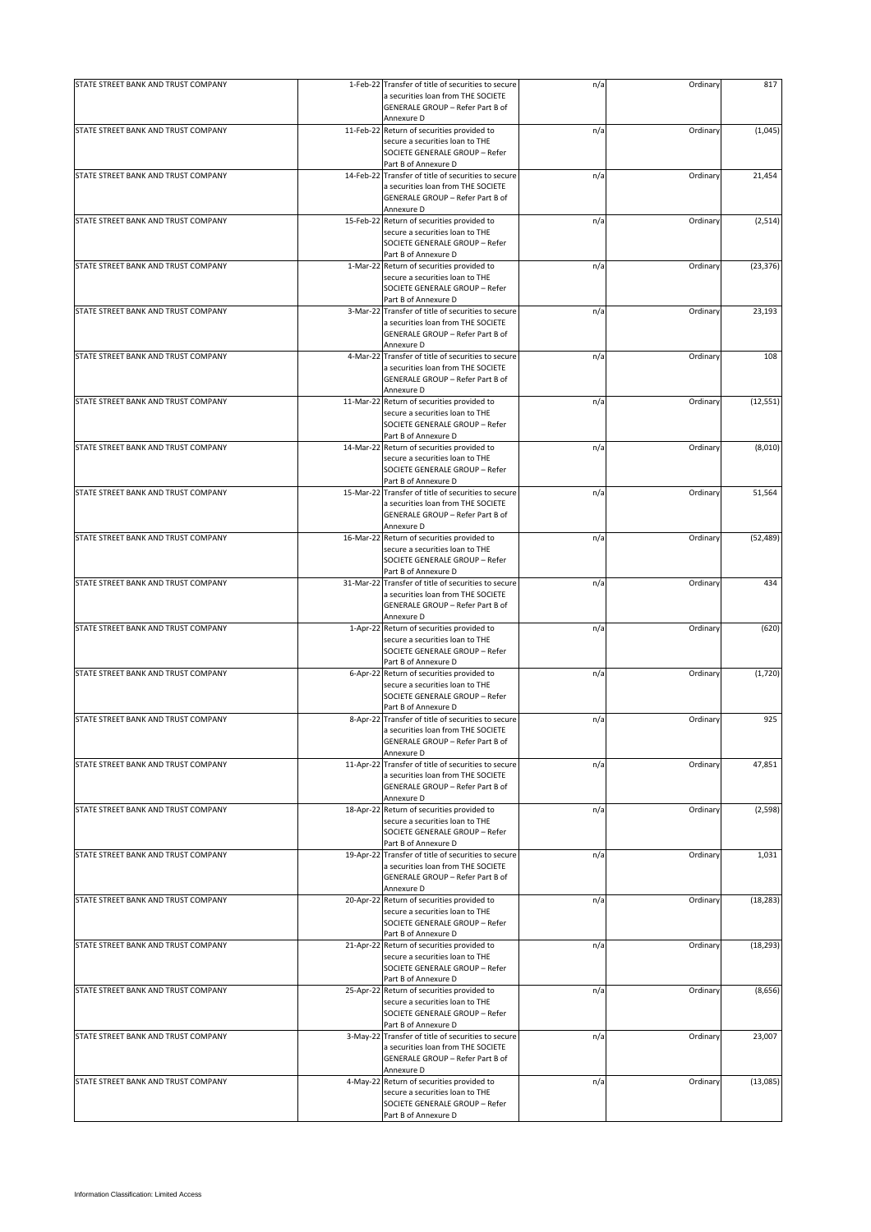| STATE STREET BANK AND TRUST COMPANY | 1-Feb-22 Transfer of title of securities to secure                                                             | n/a | Ordinary | 817       |
|-------------------------------------|----------------------------------------------------------------------------------------------------------------|-----|----------|-----------|
|                                     | a securities loan from THE SOCIETE<br>GENERALE GROUP - Refer Part B of<br>Annexure D                           |     |          |           |
| STATE STREET BANK AND TRUST COMPANY | 11-Feb-22 Return of securities provided to                                                                     | n/a | Ordinary | (1,045)   |
|                                     | secure a securities loan to THE<br>SOCIETE GENERALE GROUP - Refer<br>Part B of Annexure D                      |     |          |           |
| STATE STREET BANK AND TRUST COMPANY | 14-Feb-22 Transfer of title of securities to secure                                                            | n/a | Ordinary | 21,454    |
|                                     | a securities loan from THE SOCIETE<br>GENERALE GROUP - Refer Part B of                                         |     |          |           |
|                                     | Annexure D                                                                                                     |     |          |           |
| STATE STREET BANK AND TRUST COMPANY | 15-Feb-22 Return of securities provided to<br>secure a securities loan to THE                                  | n/a | Ordinary | (2,514)   |
|                                     | SOCIETE GENERALE GROUP - Refer                                                                                 |     |          |           |
| STATE STREET BANK AND TRUST COMPANY | Part B of Annexure D<br>1-Mar-22 Return of securities provided to                                              | n/a | Ordinary | (23, 376) |
|                                     | secure a securities loan to THE<br>SOCIETE GENERALE GROUP - Refer                                              |     |          |           |
| STATE STREET BANK AND TRUST COMPANY | Part B of Annexure D<br>3-Mar-22 Transfer of title of securities to secure                                     | n/a | Ordinary | 23,193    |
|                                     | a securities loan from THE SOCIETE<br>GENERALE GROUP - Refer Part B of<br>Annexure D                           |     |          |           |
| STATE STREET BANK AND TRUST COMPANY | 4-Mar-22 Transfer of title of securities to secure                                                             | n/a | Ordinary | 108       |
|                                     | a securities loan from THE SOCIETE                                                                             |     |          |           |
|                                     | GENERALE GROUP - Refer Part B of<br>Annexure D                                                                 |     |          |           |
| STATE STREET BANK AND TRUST COMPANY | 11-Mar-22 Return of securities provided to                                                                     | n/a | Ordinary | (12, 551) |
|                                     | secure a securities loan to THE<br>SOCIETE GENERALE GROUP - Refer<br>Part B of Annexure D                      |     |          |           |
| STATE STREET BANK AND TRUST COMPANY | 14-Mar-22 Return of securities provided to                                                                     | n/a | Ordinary | (8,010)   |
|                                     | secure a securities loan to THE<br>SOCIETE GENERALE GROUP - Refer<br>Part B of Annexure D                      |     |          |           |
| STATE STREET BANK AND TRUST COMPANY | 15-Mar-22 Transfer of title of securities to secure                                                            | n/a | Ordinary | 51,564    |
|                                     | a securities loan from THE SOCIETE<br>GENERALE GROUP - Refer Part B of<br>Annexure D                           |     |          |           |
| STATE STREET BANK AND TRUST COMPANY | 16-Mar-22 Return of securities provided to<br>secure a securities loan to THE                                  | n/a | Ordinary | (52, 489) |
|                                     | SOCIETE GENERALE GROUP - Refer                                                                                 |     |          |           |
| STATE STREET BANK AND TRUST COMPANY | Part B of Annexure D<br>31-Mar-22 Transfer of title of securities to secure                                    |     | Ordinary | 434       |
|                                     | a securities loan from THE SOCIETE<br>GENERALE GROUP - Refer Part B of<br>Annexure D                           | n/a |          |           |
| STATE STREET BANK AND TRUST COMPANY | 1-Apr-22 Return of securities provided to                                                                      | n/a | Ordinary | (620)     |
|                                     | secure a securities loan to THE<br>SOCIETE GENERALE GROUP - Refer                                              |     |          |           |
|                                     | Part B of Annexure D                                                                                           |     |          |           |
| STATE STREET BANK AND TRUST COMPANY | 6-Apr-22 Return of securities provided to<br>secure a securities loan to THE<br>SOCIETE GENERALE GROUP - Refer | n/a | Ordinary | (1,720)   |
|                                     | Part B of Annexure D                                                                                           |     |          |           |
| STATE STREET BANK AND TRUST COMPANY | 8-Apr-22 Transfer of title of securities to secure                                                             | n/a | Ordinary | 925       |
|                                     | a securities loan from THE SOCIETE<br>GENERALE GROUP - Refer Part B of                                         |     |          |           |
|                                     | Annexure D                                                                                                     |     |          |           |
| STATE STREET BANK AND TRUST COMPANY | 11-Apr-22 Transfer of title of securities to secure                                                            | n/a | Ordinary | 47,851    |
|                                     | a securities loan from THE SOCIETE<br>GENERALE GROUP - Refer Part B of                                         |     |          |           |
|                                     | Annexure D                                                                                                     |     |          |           |
| STATE STREET BANK AND TRUST COMPANY | 18-Apr-22 Return of securities provided to                                                                     | n/a | Ordinary | (2, 598)  |
|                                     | secure a securities loan to THE<br>SOCIETE GENERALE GROUP - Refer                                              |     |          |           |
|                                     | Part B of Annexure D                                                                                           |     |          |           |
| STATE STREET BANK AND TRUST COMPANY | 19-Apr-22 Transfer of title of securities to secure                                                            | n/a | Ordinary | 1,031     |
|                                     | a securities loan from THE SOCIETE<br>GENERALE GROUP - Refer Part B of                                         |     |          |           |
|                                     | Annexure D                                                                                                     |     |          |           |
| STATE STREET BANK AND TRUST COMPANY | 20-Apr-22 Return of securities provided to                                                                     | n/a | Ordinary | (18, 283) |
|                                     | secure a securities loan to THE<br>SOCIETE GENERALE GROUP - Refer                                              |     |          |           |
|                                     | Part B of Annexure D                                                                                           |     |          |           |
| STATE STREET BANK AND TRUST COMPANY | 21-Apr-22 Return of securities provided to                                                                     | n/a | Ordinary | (18, 293) |
|                                     | secure a securities loan to THE<br>SOCIETE GENERALE GROUP - Refer<br>Part B of Annexure D                      |     |          |           |
| STATE STREET BANK AND TRUST COMPANY | 25-Apr-22 Return of securities provided to                                                                     | n/a | Ordinary | (8,656)   |
|                                     | secure a securities loan to THE<br>SOCIETE GENERALE GROUP - Refer                                              |     |          |           |
|                                     | Part B of Annexure D                                                                                           |     |          |           |
| STATE STREET BANK AND TRUST COMPANY | 3-May-22 Transfer of title of securities to secure<br>a securities loan from THE SOCIETE                       | n/a | Ordinary | 23,007    |
|                                     | GENERALE GROUP - Refer Part B of                                                                               |     |          |           |
|                                     | Annexure D                                                                                                     |     |          |           |
| STATE STREET BANK AND TRUST COMPANY | 4-May-22 Return of securities provided to<br>secure a securities loan to THE                                   | n/a | Ordinary | (13,085)  |
|                                     | SOCIETE GENERALE GROUP - Refer                                                                                 |     |          |           |
|                                     | Part B of Annexure D                                                                                           |     |          |           |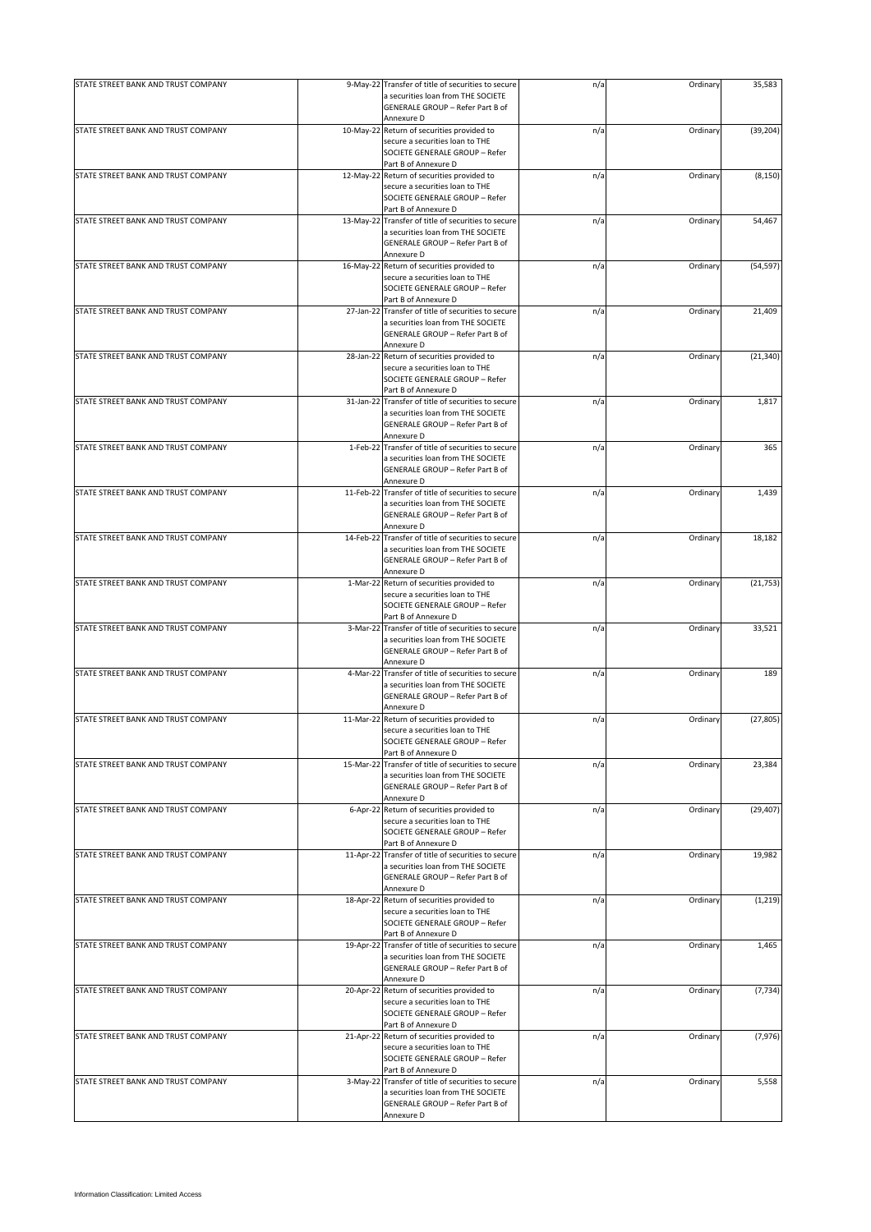| STATE STREET BANK AND TRUST COMPANY | 9-May-22 Transfer of title of securities to secure                                        | n/a | Ordinary | 35,583    |
|-------------------------------------|-------------------------------------------------------------------------------------------|-----|----------|-----------|
|                                     | a securities loan from THE SOCIETE<br>GENERALE GROUP - Refer Part B of<br>Annexure D      |     |          |           |
| STATE STREET BANK AND TRUST COMPANY | 10-May-22 Return of securities provided to                                                | n/a | Ordinary | (39, 204) |
|                                     | secure a securities loan to THE<br>SOCIETE GENERALE GROUP - Refer<br>Part B of Annexure D |     |          |           |
| STATE STREET BANK AND TRUST COMPANY | 12-May-22 Return of securities provided to                                                | n/a | Ordinary | (8, 150)  |
|                                     | secure a securities loan to THE                                                           |     |          |           |
|                                     | SOCIETE GENERALE GROUP - Refer                                                            |     |          |           |
|                                     | Part B of Annexure D                                                                      |     |          |           |
| STATE STREET BANK AND TRUST COMPANY | 13-May-22 Transfer of title of securities to secure                                       | n/a | Ordinary | 54,467    |
|                                     | a securities loan from THE SOCIETE<br>GENERALE GROUP - Refer Part B of                    |     |          |           |
|                                     | Annexure D                                                                                |     |          |           |
| STATE STREET BANK AND TRUST COMPANY | 16-May-22 Return of securities provided to                                                | n/a | Ordinary | (54, 597) |
|                                     | secure a securities loan to THE<br>SOCIETE GENERALE GROUP - Refer                         |     |          |           |
| STATE STREET BANK AND TRUST COMPANY | Part B of Annexure D<br>27-Jan-22 Transfer of title of securities to secure               | n/a | Ordinary | 21,409    |
|                                     | a securities loan from THE SOCIETE                                                        |     |          |           |
|                                     | GENERALE GROUP - Refer Part B of                                                          |     |          |           |
|                                     | Annexure D                                                                                |     |          |           |
| STATE STREET BANK AND TRUST COMPANY | 28-Jan-22 Return of securities provided to                                                | n/a | Ordinary | (21, 340) |
|                                     | secure a securities loan to THE                                                           |     |          |           |
|                                     | SOCIETE GENERALE GROUP - Refer                                                            |     |          |           |
|                                     | Part B of Annexure D                                                                      |     |          |           |
| STATE STREET BANK AND TRUST COMPANY | 31-Jan-22 Transfer of title of securities to secure                                       | n/a | Ordinary | 1,817     |
|                                     | a securities loan from THE SOCIETE                                                        |     |          |           |
|                                     | GENERALE GROUP - Refer Part B of                                                          |     |          |           |
|                                     | Annexure D                                                                                |     |          |           |
| STATE STREET BANK AND TRUST COMPANY | 1-Feb-22 Transfer of title of securities to secure                                        | n/a | Ordinary | 365       |
|                                     | a securities loan from THE SOCIETE                                                        |     |          |           |
|                                     | GENERALE GROUP - Refer Part B of                                                          |     |          |           |
|                                     | Annexure D                                                                                |     |          |           |
| STATE STREET BANK AND TRUST COMPANY | 11-Feb-22 Transfer of title of securities to secure                                       | n/a | Ordinary | 1,439     |
|                                     | a securities loan from THE SOCIETE                                                        |     |          |           |
|                                     | GENERALE GROUP - Refer Part B of                                                          |     |          |           |
|                                     | Annexure D                                                                                |     |          |           |
| STATE STREET BANK AND TRUST COMPANY | 14-Feb-22 Transfer of title of securities to secure                                       | n/a | Ordinary | 18,182    |
|                                     | a securities loan from THE SOCIETE                                                        |     |          |           |
|                                     | GENERALE GROUP - Refer Part B of                                                          |     |          |           |
|                                     | Annexure D                                                                                |     |          |           |
| STATE STREET BANK AND TRUST COMPANY | 1-Mar-22 Return of securities provided to                                                 | n/a | Ordinary | (21, 753) |
|                                     | secure a securities loan to THE                                                           |     |          |           |
|                                     | SOCIETE GENERALE GROUP - Refer                                                            |     |          |           |
|                                     | Part B of Annexure D                                                                      |     |          |           |
| STATE STREET BANK AND TRUST COMPANY | 3-Mar-22 Transfer of title of securities to secure                                        | n/a | Ordinary | 33,521    |
|                                     | a securities loan from THE SOCIETE                                                        |     |          |           |
|                                     | GENERALE GROUP - Refer Part B of                                                          |     |          |           |
|                                     | Annexure D                                                                                |     |          |           |
| STATE STREET BANK AND TRUST COMPANY | 4-Mar-22 Transfer of title of securities to secure                                        | n/a | Ordinary | 189       |
|                                     | a securities loan from THE SOCIETE                                                        |     |          |           |
|                                     | GENERALE GROUP - Refer Part B of                                                          |     |          |           |
| STATE STREET BANK AND TRUST COMPANY | Annexure D<br>11-Mar-22 Return of securities provided to                                  |     | Ordinary |           |
|                                     | secure a securities loan to THE                                                           | n/a |          | (27, 805) |
|                                     | SOCIETE GENERALE GROUP - Refer                                                            |     |          |           |
|                                     | Part B of Annexure D                                                                      |     |          |           |
| STATE STREET BANK AND TRUST COMPANY | 15-Mar-22 Transfer of title of securities to secure                                       | n/a | Ordinary | 23,384    |
|                                     | a securities loan from THE SOCIETE                                                        |     |          |           |
|                                     | GENERALE GROUP - Refer Part B of                                                          |     |          |           |
|                                     | Annexure D                                                                                |     |          |           |
| STATE STREET BANK AND TRUST COMPANY | 6-Apr-22 Return of securities provided to                                                 | n/a | Ordinary | (29, 407) |
|                                     | secure a securities loan to THE                                                           |     |          |           |
|                                     | SOCIETE GENERALE GROUP - Refer                                                            |     |          |           |
|                                     | Part B of Annexure D                                                                      |     |          |           |
| STATE STREET BANK AND TRUST COMPANY | 11-Apr-22 Transfer of title of securities to secure                                       | n/a | Ordinary | 19,982    |
|                                     | a securities loan from THE SOCIETE                                                        |     |          |           |
|                                     | GENERALE GROUP - Refer Part B of                                                          |     |          |           |
|                                     | Annexure D                                                                                |     |          |           |
| STATE STREET BANK AND TRUST COMPANY | 18-Apr-22 Return of securities provided to<br>secure a securities loan to THE             | n/a | Ordinary | (1, 219)  |
|                                     | SOCIETE GENERALE GROUP - Refer                                                            |     |          |           |
|                                     | Part B of Annexure D                                                                      |     |          |           |
| STATE STREET BANK AND TRUST COMPANY | 19-Apr-22 Transfer of title of securities to secure                                       | n/a | Ordinary | 1,465     |
|                                     | a securities loan from THE SOCIETE                                                        |     |          |           |
|                                     | GENERALE GROUP - Refer Part B of                                                          |     |          |           |
|                                     | Annexure D                                                                                |     |          |           |
| STATE STREET BANK AND TRUST COMPANY | 20-Apr-22 Return of securities provided to                                                | n/a | Ordinary | (7, 734)  |
|                                     | secure a securities loan to THE                                                           |     |          |           |
|                                     | SOCIETE GENERALE GROUP - Refer                                                            |     |          |           |
|                                     | Part B of Annexure D                                                                      |     |          |           |
| STATE STREET BANK AND TRUST COMPANY | 21-Apr-22 Return of securities provided to                                                | n/a | Ordinary | (7, 976)  |
|                                     | secure a securities loan to THE                                                           |     |          |           |
|                                     | SOCIETE GENERALE GROUP - Refer                                                            |     |          |           |
|                                     | Part B of Annexure D                                                                      |     |          |           |
| STATE STREET BANK AND TRUST COMPANY | 3-May-22 Transfer of title of securities to secure                                        | n/a | Ordinary | 5,558     |
|                                     | a securities loan from THE SOCIETE                                                        |     |          |           |
|                                     | GENERALE GROUP - Refer Part B of<br>Annexure D                                            |     |          |           |
|                                     |                                                                                           |     |          |           |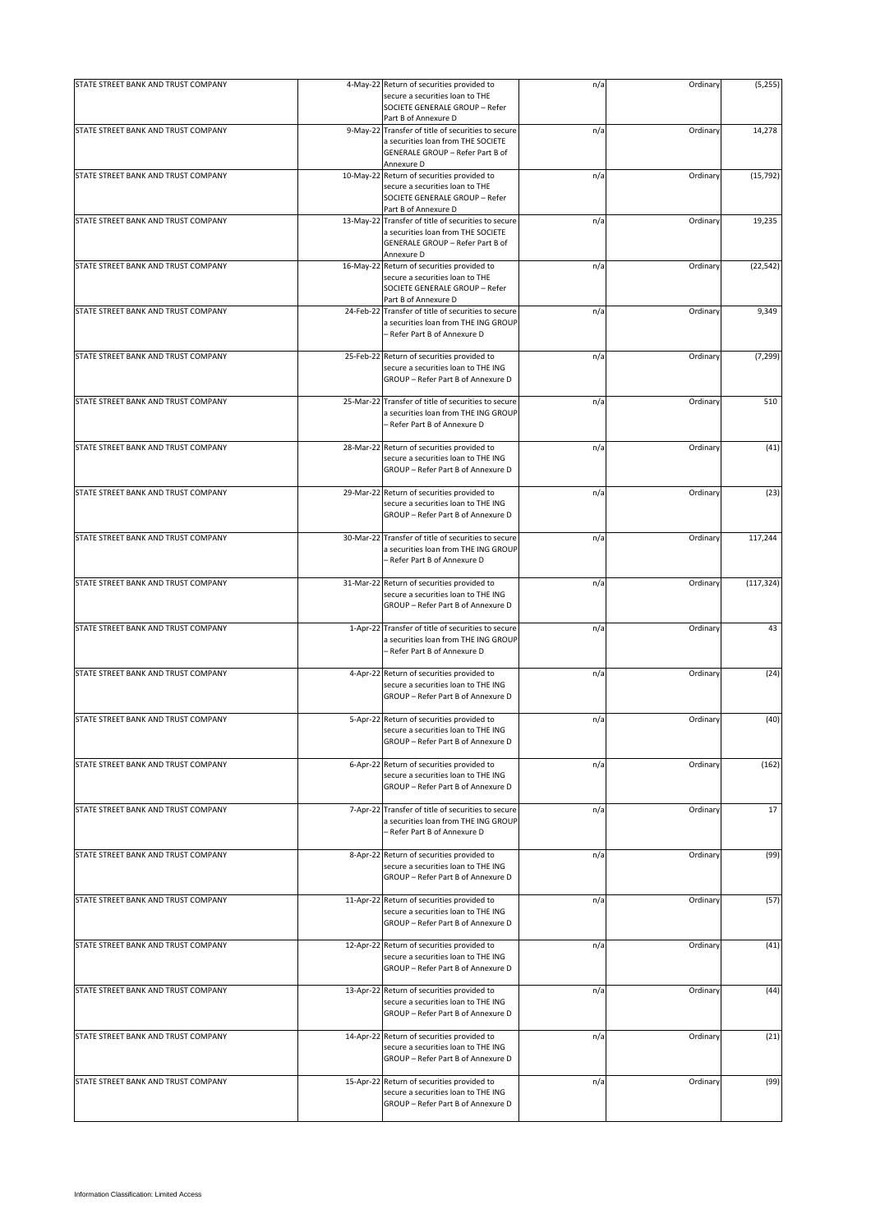| STATE STREET BANK AND TRUST COMPANY |           | 4-May-22 Return of securities provided to                                                | n/a | Ordinary | (5,255)    |
|-------------------------------------|-----------|------------------------------------------------------------------------------------------|-----|----------|------------|
|                                     |           | secure a securities loan to THE<br>SOCIETE GENERALE GROUP - Refer                        |     |          |            |
|                                     |           | Part B of Annexure D                                                                     |     |          |            |
| STATE STREET BANK AND TRUST COMPANY |           | 9-May-22 Transfer of title of securities to secure<br>a securities loan from THE SOCIETE | n/a | Ordinary | 14,278     |
|                                     |           | GENERALE GROUP - Refer Part B of                                                         |     |          |            |
| STATE STREET BANK AND TRUST COMPANY |           | Annexure D<br>10-May-22 Return of securities provided to                                 | n/a | Ordinary | (15, 792)  |
|                                     |           | secure a securities loan to THE                                                          |     |          |            |
|                                     |           | SOCIETE GENERALE GROUP - Refer                                                           |     |          |            |
|                                     |           | Part B of Annexure D                                                                     |     |          |            |
| STATE STREET BANK AND TRUST COMPANY |           | 13-May-22 Transfer of title of securities to secure                                      | n/a | Ordinary | 19,235     |
|                                     |           | a securities loan from THE SOCIETE                                                       |     |          |            |
|                                     |           | GENERALE GROUP - Refer Part B of                                                         |     |          |            |
|                                     |           | Annexure D                                                                               |     |          |            |
| STATE STREET BANK AND TRUST COMPANY |           | 16-May-22 Return of securities provided to                                               | n/a | Ordinary | (22, 542)  |
|                                     |           | secure a securities loan to THE<br>SOCIETE GENERALE GROUP - Refer                        |     |          |            |
|                                     |           | Part B of Annexure D                                                                     |     |          |            |
| STATE STREET BANK AND TRUST COMPANY |           | 24-Feb-22 Transfer of title of securities to secure                                      | n/a | Ordinary | 9,349      |
|                                     |           | a securities loan from THE ING GROUP                                                     |     |          |            |
|                                     |           | - Refer Part B of Annexure D                                                             |     |          |            |
|                                     |           |                                                                                          |     |          |            |
| STATE STREET BANK AND TRUST COMPANY |           | 25-Feb-22 Return of securities provided to                                               | n/a | Ordinary | (7, 299)   |
|                                     |           | secure a securities loan to THE ING                                                      |     |          |            |
|                                     |           | GROUP - Refer Part B of Annexure D                                                       |     |          |            |
|                                     |           |                                                                                          |     |          |            |
| STATE STREET BANK AND TRUST COMPANY | 25-Mar-22 | Transfer of title of securities to secure                                                | n/a | Ordinary | 510        |
|                                     |           | a securities loan from THE ING GROUP                                                     |     |          |            |
|                                     |           | - Refer Part B of Annexure D                                                             |     |          |            |
|                                     |           |                                                                                          |     |          |            |
| STATE STREET BANK AND TRUST COMPANY |           | 28-Mar-22 Return of securities provided to                                               | n/a | Ordinary | (41)       |
|                                     |           | secure a securities loan to THE ING<br>GROUP - Refer Part B of Annexure D                |     |          |            |
|                                     |           |                                                                                          |     |          |            |
| STATE STREET BANK AND TRUST COMPANY |           | 29-Mar-22 Return of securities provided to                                               | n/a | Ordinary | (23)       |
|                                     |           | secure a securities loan to THE ING                                                      |     |          |            |
|                                     |           | GROUP - Refer Part B of Annexure D                                                       |     |          |            |
|                                     |           |                                                                                          |     |          |            |
| STATE STREET BANK AND TRUST COMPANY | 30-Mar-22 | Transfer of title of securities to secure                                                | n/a | Ordinary | 117,244    |
|                                     |           | a securities loan from THE ING GROUP                                                     |     |          |            |
|                                     |           | - Refer Part B of Annexure D                                                             |     |          |            |
|                                     |           |                                                                                          |     |          |            |
| STATE STREET BANK AND TRUST COMPANY |           | 31-Mar-22 Return of securities provided to                                               | n/a | Ordinary | (117, 324) |
|                                     |           | secure a securities loan to THE ING                                                      |     |          |            |
|                                     |           | GROUP - Refer Part B of Annexure D                                                       |     |          |            |
|                                     |           |                                                                                          |     |          |            |
| STATE STREET BANK AND TRUST COMPANY |           | 1-Apr-22 Transfer of title of securities to secure                                       | n/a | Ordinary | 43         |
|                                     |           | a securities loan from THE ING GROUP<br>- Refer Part B of Annexure D                     |     |          |            |
|                                     |           |                                                                                          |     |          |            |
| STATE STREET BANK AND TRUST COMPANY |           | 4-Apr-22 Return of securities provided to                                                | n/a | Ordinary | (24)       |
|                                     |           | secure a securities loan to THE ING                                                      |     |          |            |
|                                     |           | GROUP - Refer Part B of Annexure D                                                       |     |          |            |
|                                     |           |                                                                                          |     |          |            |
| STATE STREET BANK AND TRUST COMPANY |           | 5-Apr-22 Return of securities provided to                                                | n/a | Ordinary | (40)       |
|                                     |           | secure a securities loan to THE ING                                                      |     |          |            |
|                                     |           | GROUP - Refer Part B of Annexure D                                                       |     |          |            |
|                                     |           |                                                                                          |     |          |            |
| STATE STREET BANK AND TRUST COMPANY |           | 6-Apr-22 Return of securities provided to                                                | n/a | Ordinary | (162)      |
|                                     |           | secure a securities loan to THE ING                                                      |     |          |            |
|                                     |           | GROUP - Refer Part B of Annexure D                                                       |     |          |            |
| STATE STREET BANK AND TRUST COMPANY |           | 7-Apr-22 Transfer of title of securities to secure                                       | n/a | Ordinary | 17         |
|                                     |           | a securities loan from THE ING GROUP                                                     |     |          |            |
|                                     |           | - Refer Part B of Annexure D                                                             |     |          |            |
|                                     |           |                                                                                          |     |          |            |
| STATE STREET BANK AND TRUST COMPANY |           | 8-Apr-22 Return of securities provided to                                                | n/a | Ordinary | (99)       |
|                                     |           | secure a securities loan to THE ING                                                      |     |          |            |
|                                     |           | GROUP - Refer Part B of Annexure D                                                       |     |          |            |
|                                     |           |                                                                                          |     |          |            |
| STATE STREET BANK AND TRUST COMPANY |           | 11-Apr-22 Return of securities provided to                                               | n/a | Ordinary | (57)       |
|                                     |           | secure a securities loan to THE ING                                                      |     |          |            |
|                                     |           | GROUP - Refer Part B of Annexure D                                                       |     |          |            |
|                                     |           |                                                                                          |     |          |            |
| STATE STREET BANK AND TRUST COMPANY |           | 12-Apr-22 Return of securities provided to                                               | n/a | Ordinary | (41)       |
|                                     |           | secure a securities loan to THE ING                                                      |     |          |            |
|                                     |           | GROUP - Refer Part B of Annexure D                                                       |     |          |            |
|                                     |           |                                                                                          |     |          |            |
| STATE STREET BANK AND TRUST COMPANY |           | 13-Apr-22 Return of securities provided to                                               | n/a | Ordinary | (44)       |
|                                     |           | secure a securities loan to THE ING<br>GROUP - Refer Part B of Annexure D                |     |          |            |
|                                     |           |                                                                                          |     |          |            |
| STATE STREET BANK AND TRUST COMPANY |           | 14-Apr-22 Return of securities provided to                                               | n/a | Ordinary | (21)       |
|                                     |           | secure a securities loan to THE ING                                                      |     |          |            |
|                                     |           | GROUP - Refer Part B of Annexure D                                                       |     |          |            |
|                                     |           |                                                                                          |     |          |            |
| STATE STREET BANK AND TRUST COMPANY |           | 15-Apr-22 Return of securities provided to                                               | n/a | Ordinary | (99)       |
|                                     |           | secure a securities loan to THE ING                                                      |     |          |            |
|                                     |           | GROUP - Refer Part B of Annexure D                                                       |     |          |            |
|                                     |           |                                                                                          |     |          |            |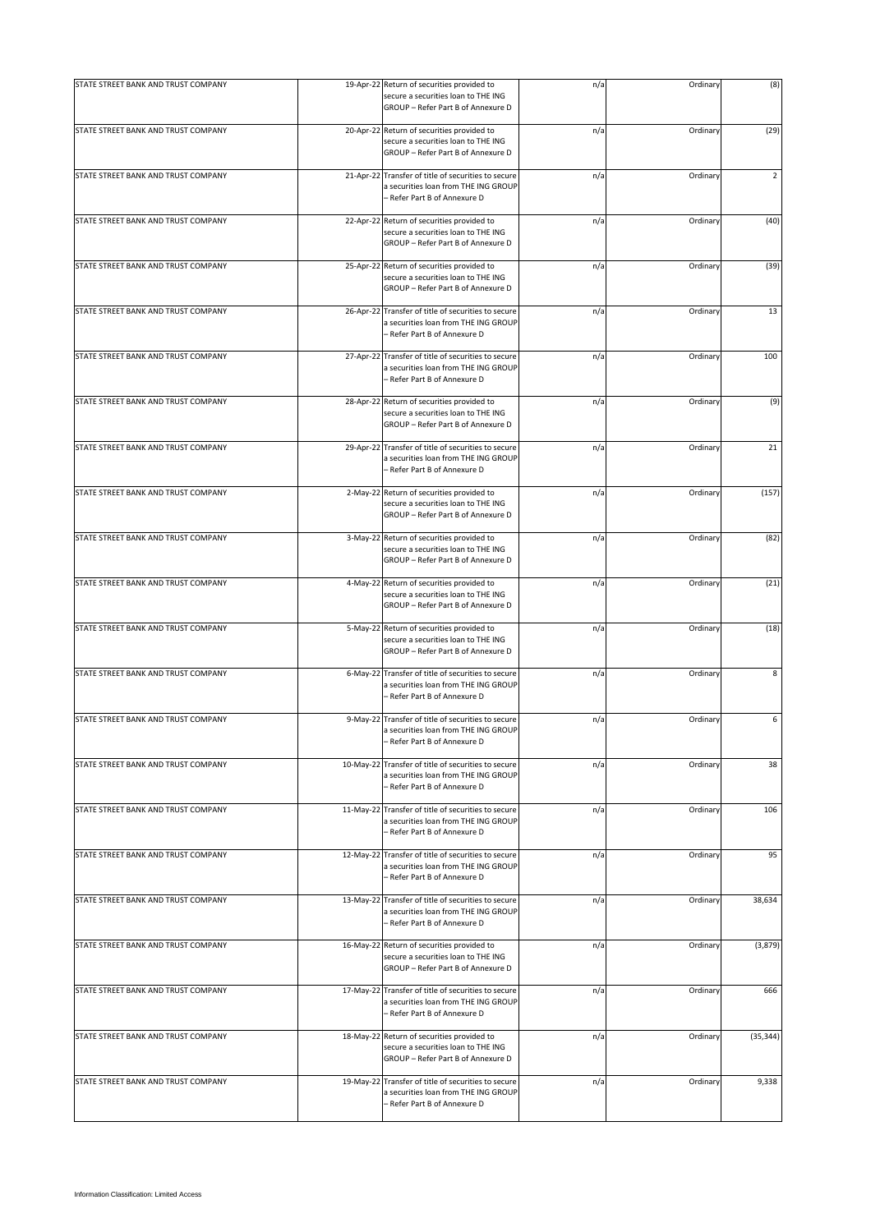| STATE STREET BANK AND TRUST COMPANY |            | 19-Apr-22 Return of securities provided to<br>secure a securities loan to THE ING<br>GROUP - Refer Part B of Annexure D     | n/a | Ordinary | (8)            |
|-------------------------------------|------------|-----------------------------------------------------------------------------------------------------------------------------|-----|----------|----------------|
| STATE STREET BANK AND TRUST COMPANY |            | 20-Apr-22 Return of securities provided to<br>secure a securities loan to THE ING<br>GROUP - Refer Part B of Annexure D     | n/a | Ordinary | (29)           |
| STATE STREET BANK AND TRUST COMPANY |            | 21-Apr-22 Transfer of title of securities to secure<br>a securities loan from THE ING GROUP<br>– Refer Part B of Annexure D | n/a | Ordinary | $\overline{2}$ |
| STATE STREET BANK AND TRUST COMPANY |            | 22-Apr-22 Return of securities provided to<br>secure a securities loan to THE ING<br>GROUP - Refer Part B of Annexure D     | n/a | Ordinary | (40)           |
| STATE STREET BANK AND TRUST COMPANY | 25-Apr-22  | Return of securities provided to<br>secure a securities loan to THE ING<br>GROUP - Refer Part B of Annexure D               | n/a | Ordinary | (39)           |
| STATE STREET BANK AND TRUST COMPANY | 26-Apr-22  | Transfer of title of securities to secure<br>a securities loan from THE ING GROUP<br>– Refer Part B of Annexure D           | n/a | Ordinary | 13             |
| STATE STREET BANK AND TRUST COMPANY | 27-Apr-22  | Transfer of title of securities to secure<br>a securities loan from THE ING GROUP<br>- Refer Part B of Annexure D           | n/a | Ordinary | 100            |
| STATE STREET BANK AND TRUST COMPANY |            | 28-Apr-22 Return of securities provided to<br>secure a securities loan to THE ING<br>GROUP - Refer Part B of Annexure D     | n/a | Ordinary | (9)            |
| STATE STREET BANK AND TRUST COMPANY | 29-Apr-22  | Transfer of title of securities to secure<br>a securities loan from THE ING GROUP<br>– Refer Part B of Annexure D           | n/a | Ordinary | 21             |
| STATE STREET BANK AND TRUST COMPANY | $2-May-22$ | Return of securities provided to<br>secure a securities loan to THE ING<br>GROUP - Refer Part B of Annexure D               | n/a | Ordinary | (157)          |
| STATE STREET BANK AND TRUST COMPANY |            | 3-May-22 Return of securities provided to<br>secure a securities loan to THE ING<br>GROUP - Refer Part B of Annexure D      | n/a | Ordinary | (82)           |
| STATE STREET BANK AND TRUST COMPANY |            | 4-May-22 Return of securities provided to<br>secure a securities loan to THE ING<br>GROUP - Refer Part B of Annexure D      | n/a | Ordinary | (21)           |
| STATE STREET BANK AND TRUST COMPANY | 5-May-22   | Return of securities provided to<br>secure a securities loan to THE ING<br>GROUP - Refer Part B of Annexure D               | n/a | Ordinary | (18)           |
| STATE STREET BANK AND TRUST COMPANY |            | 6-May-22 Transfer of title of securities to secure<br>a securities loan from THE ING GROUP<br>- Refer Part B of Annexure D  | n/a | Ordinary | 8              |
| STATE STREET BANK AND TRUST COMPANY |            | 9-May-22 Transfer of title of securities to secure<br>a securities loan from THE ING GROUP<br>- Refer Part B of Annexure D  | n/a | Ordinary | 6              |
| STATE STREET BANK AND TRUST COMPANY | 10-May-22  | Transfer of title of securities to secure<br>a securities loan from THE ING GROUP<br>- Refer Part B of Annexure D           | n/a | Ordinary | 38             |
| STATE STREET BANK AND TRUST COMPANY | 11-May-22  | Transfer of title of securities to secure<br>a securities loan from THE ING GROUP<br>– Refer Part B of Annexure D           | n/a | Ordinary | 106            |
| STATE STREET BANK AND TRUST COMPANY |            | 12-May-22 Transfer of title of securities to secure<br>a securities loan from THE ING GROUP<br>- Refer Part B of Annexure D | n/a | Ordinary | 95             |
| STATE STREET BANK AND TRUST COMPANY |            | 13-May-22 Transfer of title of securities to secure<br>a securities loan from THE ING GROUP<br>- Refer Part B of Annexure D | n/a | Ordinary | 38,634         |
| STATE STREET BANK AND TRUST COMPANY | 16-May-22  | Return of securities provided to<br>secure a securities loan to THE ING<br>GROUP - Refer Part B of Annexure D               | n/a | Ordinary | (3,879)        |
| STATE STREET BANK AND TRUST COMPANY |            | 17-May-22 Transfer of title of securities to secure<br>a securities loan from THE ING GROUP<br>- Refer Part B of Annexure D | n/a | Ordinary | 666            |
| STATE STREET BANK AND TRUST COMPANY | 18-May-22  | Return of securities provided to<br>secure a securities loan to THE ING<br>GROUP - Refer Part B of Annexure D               | n/a | Ordinary | (35, 344)      |
| STATE STREET BANK AND TRUST COMPANY | 19-May-22  | Transfer of title of securities to secure<br>a securities loan from THE ING GROUP<br>- Refer Part B of Annexure D           | n/a | Ordinary | 9,338          |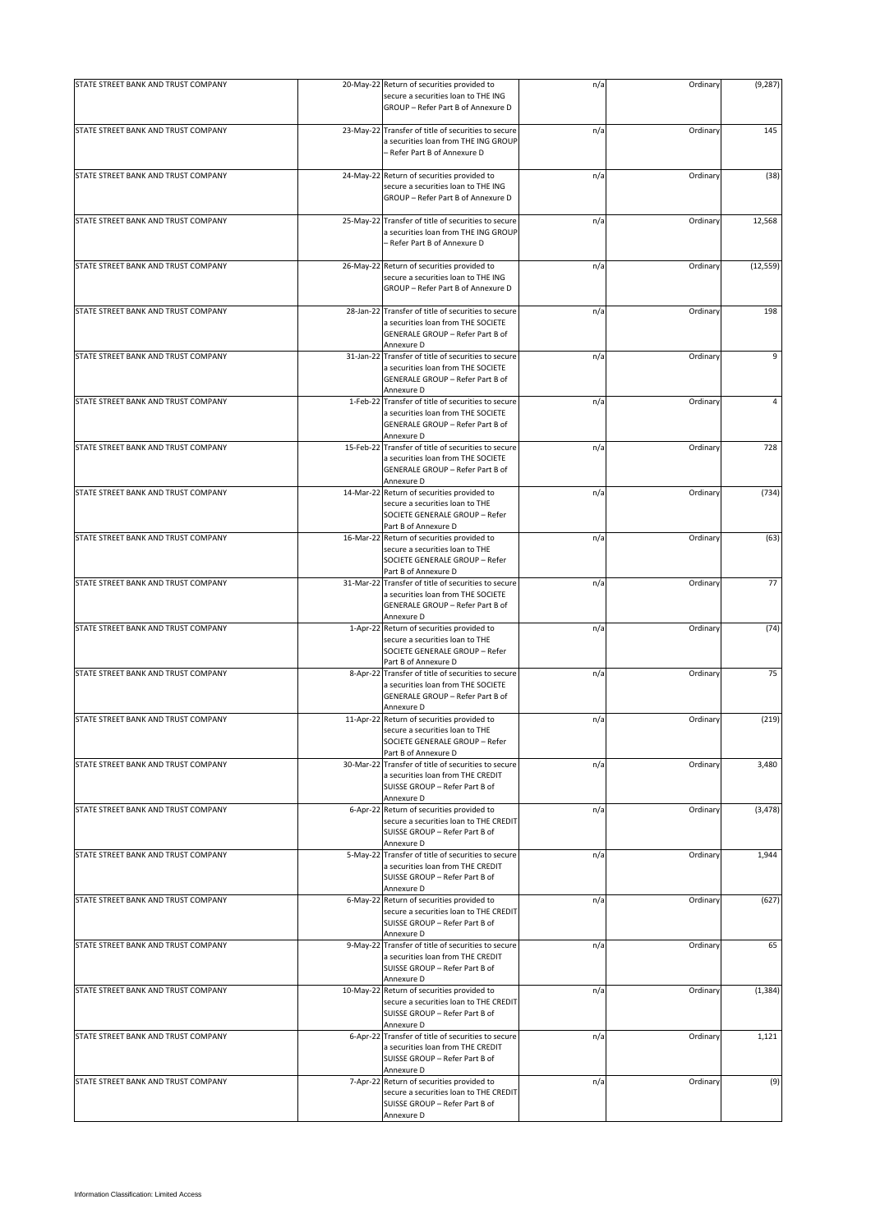| STATE STREET BANK AND TRUST COMPANY |             | 20-May-22 Return of securities provided to                                                | n/a | Ordinary | (9, 287)  |
|-------------------------------------|-------------|-------------------------------------------------------------------------------------------|-----|----------|-----------|
|                                     |             | secure a securities loan to THE ING<br>GROUP - Refer Part B of Annexure D                 |     |          |           |
| STATE STREET BANK AND TRUST COMPANY |             | 23-May-22 Transfer of title of securities to secure                                       | n/a | Ordinary | 145       |
|                                     |             | a securities loan from THE ING GROUP<br>- Refer Part B of Annexure D                      |     |          |           |
| STATE STREET BANK AND TRUST COMPANY |             | 24-May-22 Return of securities provided to                                                | n/a | Ordinary | (38)      |
|                                     |             | secure a securities loan to THE ING<br>GROUP - Refer Part B of Annexure D                 |     |          |           |
| STATE STREET BANK AND TRUST COMPANY |             | 25-May-22 Transfer of title of securities to secure                                       | n/a | Ordinary | 12,568    |
|                                     |             | a securities loan from THE ING GROUP<br>- Refer Part B of Annexure D                      |     |          |           |
| STATE STREET BANK AND TRUST COMPANY | 26-May-22   | Return of securities provided to                                                          | n/a | Ordinary | (12, 559) |
|                                     |             | secure a securities loan to THE ING<br>GROUP - Refer Part B of Annexure D                 |     |          |           |
| STATE STREET BANK AND TRUST COMPANY |             | 28-Jan-22 Transfer of title of securities to secure                                       | n/a | Ordinary | 198       |
|                                     |             | a securities loan from THE SOCIETE<br>GENERALE GROUP - Refer Part B of<br>Annexure D      |     |          |           |
| STATE STREET BANK AND TRUST COMPANY | 31-Jan-22   | Transfer of title of securities to secure                                                 | n/a | Ordinary | 9         |
|                                     |             | a securities loan from THE SOCIETE<br>GENERALE GROUP - Refer Part B of<br>Annexure D      |     |          |           |
| STATE STREET BANK AND TRUST COMPANY | 1-Feb-22    | Transfer of title of securities to secure                                                 | n/a | Ordinary | 4         |
|                                     |             | a securities loan from THE SOCIETE<br>GENERALE GROUP - Refer Part B of<br>Annexure D      |     |          |           |
| STATE STREET BANK AND TRUST COMPANY | 15-Feb-22   | Transfer of title of securities to secure                                                 | n/a | Ordinary | 728       |
|                                     |             | a securities loan from THE SOCIETE<br>GENERALE GROUP - Refer Part B of<br>Annexure D      |     |          |           |
| STATE STREET BANK AND TRUST COMPANY | 14-Mar-22   | Return of securities provided to                                                          | n/a | Ordinary | (734)     |
|                                     |             | secure a securities loan to THE<br>SOCIETE GENERALE GROUP - Refer<br>Part B of Annexure D |     |          |           |
| STATE STREET BANK AND TRUST COMPANY |             | 16-Mar-22 Return of securities provided to                                                | n/a | Ordinary | (63)      |
|                                     |             | secure a securities loan to THE                                                           |     |          |           |
|                                     |             | SOCIETE GENERALE GROUP - Refer<br>Part B of Annexure D                                    |     |          |           |
| STATE STREET BANK AND TRUST COMPANY |             | 31-Mar-22 Transfer of title of securities to secure                                       | n/a | Ordinary | 77        |
|                                     |             | a securities loan from THE SOCIETE<br>GENERALE GROUP - Refer Part B of                    |     |          |           |
|                                     |             | Annexure D                                                                                |     |          |           |
| STATE STREET BANK AND TRUST COMPANY | $1-Apr-22$  | Return of securities provided to                                                          | n/a | Ordinary | (74)      |
|                                     |             | secure a securities loan to THE<br>SOCIETE GENERALE GROUP - Refer                         |     |          |           |
|                                     |             | Part B of Annexure D                                                                      |     |          |           |
| STATE STREET BANK AND TRUST COMPANY | 8-Apr-22    | Transfer of title of securities to secure<br>a securities loan from THE SOCIETE           | n/a | Ordinary | 75        |
|                                     |             | GENERALE GROUP - Refer Part B of                                                          |     |          |           |
| STATE STREET BANK AND TRUST COMPANY |             | Annexure D<br>11-Apr-22 Return of securities provided to                                  | n/a | Ordinary | (219)     |
|                                     |             | secure a securities loan to THE                                                           |     |          |           |
|                                     |             | SOCIETE GENERALE GROUP - Refer<br>Part B of Annexure D                                    |     |          |           |
| STATE STREET BANK AND TRUST COMPANY | 30-Mar-22   | Transfer of title of securities to secure                                                 | n/a | Ordinary | 3,480     |
|                                     |             | a securities loan from THE CREDIT                                                         |     |          |           |
|                                     |             | SUISSE GROUP - Refer Part B of<br>Annexure D                                              |     |          |           |
| STATE STREET BANK AND TRUST COMPANY |             | 6-Apr-22 Return of securities provided to                                                 | n/a | Ordinary | (3, 478)  |
|                                     |             | secure a securities loan to THE CREDIT<br>SUISSE GROUP - Refer Part B of<br>Annexure D    |     |          |           |
| STATE STREET BANK AND TRUST COMPANY |             | 5-May-22 Transfer of title of securities to secure                                        | n/a | Ordinary | 1,944     |
|                                     |             | a securities loan from THE CREDIT<br>SUISSE GROUP - Refer Part B of                       |     |          |           |
| STATE STREET BANK AND TRUST COMPANY | $6$ -May-22 | Annexure D<br>Return of securities provided to                                            | n/a | Ordinary | (627)     |
|                                     |             | secure a securities loan to THE CREDIT<br>SUISSE GROUP - Refer Part B of                  |     |          |           |
| STATE STREET BANK AND TRUST COMPANY | 9-May-22    | Annexure D<br>Transfer of title of securities to secure                                   | n/a | Ordinary | 65        |
|                                     |             | a securities loan from THE CREDIT<br>SUISSE GROUP - Refer Part B of                       |     |          |           |
| STATE STREET BANK AND TRUST COMPANY |             | Annexure D<br>10-May-22 Return of securities provided to                                  | n/a | Ordinary | (1, 384)  |
|                                     |             | secure a securities loan to THE CREDIT<br>SUISSE GROUP - Refer Part B of                  |     |          |           |
| STATE STREET BANK AND TRUST COMPANY |             | Annexure D<br>6-Apr-22 Transfer of title of securities to secure                          | n/a | Ordinary | 1,121     |
|                                     |             | a securities loan from THE CREDIT<br>SUISSE GROUP - Refer Part B of                       |     |          |           |
| STATE STREET BANK AND TRUST COMPANY |             | Annexure D<br>7-Apr-22 Return of securities provided to                                   | n/a | Ordinary | (9)       |
|                                     |             | secure a securities loan to THE CREDIT<br>SUISSE GROUP - Refer Part B of<br>Annexure D    |     |          |           |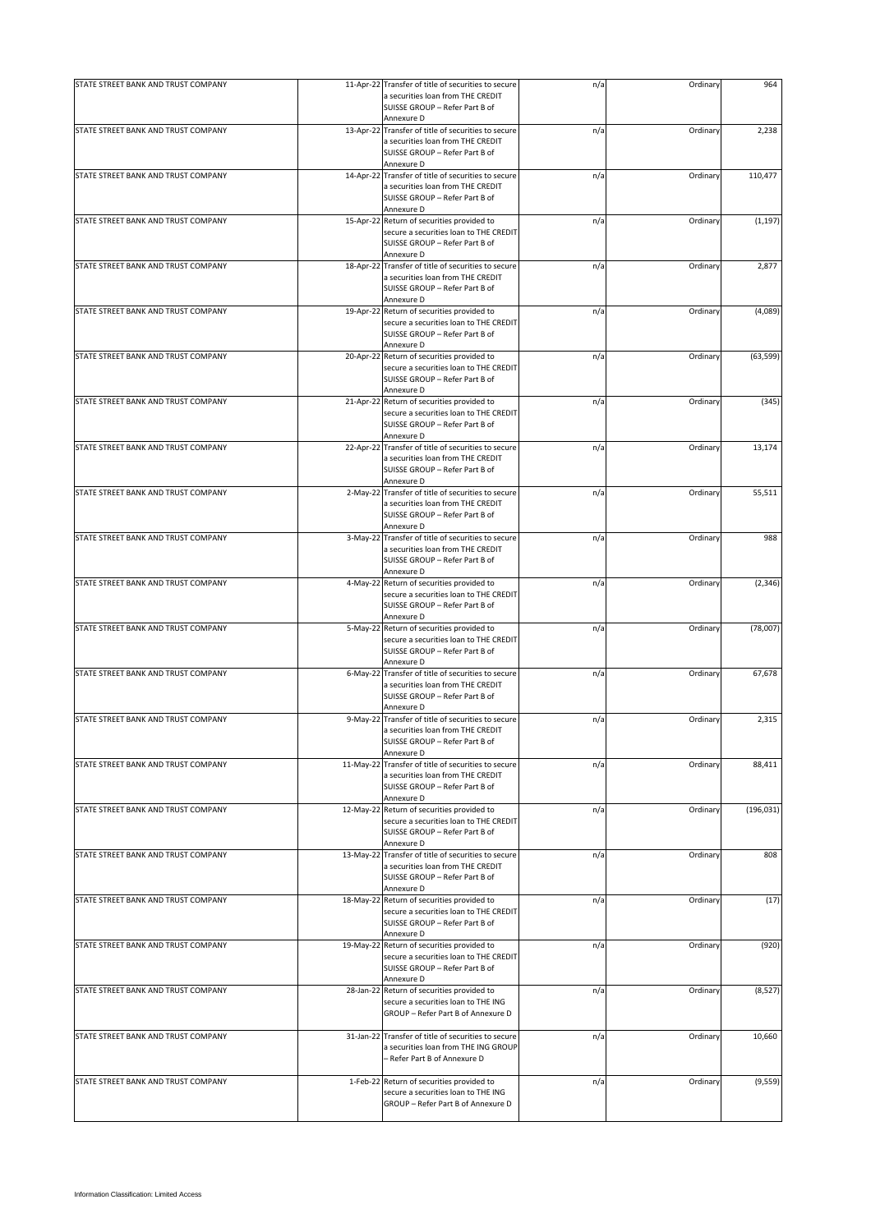| STATE STREET BANK AND TRUST COMPANY |           | 11-Apr-22 Transfer of title of securities to secure                                                                        | n/a | Ordinary | 964        |
|-------------------------------------|-----------|----------------------------------------------------------------------------------------------------------------------------|-----|----------|------------|
|                                     |           | a securities loan from THE CREDIT<br>SUISSE GROUP - Refer Part B of                                                        |     |          |            |
|                                     |           | Annexure D                                                                                                                 |     |          |            |
| STATE STREET BANK AND TRUST COMPANY |           | 13-Apr-22 Transfer of title of securities to secure<br>a securities loan from THE CREDIT<br>SUISSE GROUP - Refer Part B of | n/a | Ordinary | 2,238      |
|                                     |           | Annexure D                                                                                                                 |     |          |            |
| STATE STREET BANK AND TRUST COMPANY |           | 14-Apr-22 Transfer of title of securities to secure                                                                        | n/a | Ordinary | 110,477    |
|                                     |           | a securities loan from THE CREDIT                                                                                          |     |          |            |
|                                     |           | SUISSE GROUP - Refer Part B of                                                                                             |     |          |            |
|                                     |           | Annexure D                                                                                                                 |     |          |            |
| STATE STREET BANK AND TRUST COMPANY |           | 15-Apr-22 Return of securities provided to                                                                                 | n/a | Ordinary | (1, 197)   |
|                                     |           | secure a securities loan to THE CREDIT                                                                                     |     |          |            |
|                                     |           | SUISSE GROUP - Refer Part B of                                                                                             |     |          |            |
| STATE STREET BANK AND TRUST COMPANY |           | Annexure D                                                                                                                 |     | Ordinary | 2,877      |
|                                     |           | 18-Apr-22 Transfer of title of securities to secure<br>a securities loan from THE CREDIT                                   | n/a |          |            |
|                                     |           | SUISSE GROUP - Refer Part B of                                                                                             |     |          |            |
|                                     |           | Annexure D                                                                                                                 |     |          |            |
| STATE STREET BANK AND TRUST COMPANY |           | 19-Apr-22 Return of securities provided to                                                                                 | n/a | Ordinary | (4,089)    |
|                                     |           | secure a securities loan to THE CREDIT                                                                                     |     |          |            |
|                                     |           | SUISSE GROUP - Refer Part B of                                                                                             |     |          |            |
|                                     |           | Annexure D                                                                                                                 |     |          |            |
| STATE STREET BANK AND TRUST COMPANY | 20-Apr-22 | Return of securities provided to                                                                                           | n/a | Ordinary | (63, 599)  |
|                                     |           | secure a securities loan to THE CREDIT                                                                                     |     |          |            |
|                                     |           | SUISSE GROUP - Refer Part B of                                                                                             |     |          |            |
|                                     |           | Annexure D                                                                                                                 |     |          |            |
| STATE STREET BANK AND TRUST COMPANY |           | 21-Apr-22 Return of securities provided to                                                                                 | n/a | Ordinary | (345)      |
|                                     |           | secure a securities loan to THE CREDIT                                                                                     |     |          |            |
|                                     |           | SUISSE GROUP - Refer Part B of                                                                                             |     |          |            |
|                                     |           | Annexure D                                                                                                                 |     |          |            |
| STATE STREET BANK AND TRUST COMPANY |           | 22-Apr-22 Transfer of title of securities to secure                                                                        | n/a | Ordinary | 13,174     |
|                                     |           | a securities loan from THE CREDIT<br>SUISSE GROUP - Refer Part B of                                                        |     |          |            |
|                                     |           | Annexure D                                                                                                                 |     |          |            |
| STATE STREET BANK AND TRUST COMPANY |           | 2-May-22 Transfer of title of securities to secure                                                                         | n/a | Ordinary | 55,511     |
|                                     |           | a securities loan from THE CREDIT                                                                                          |     |          |            |
|                                     |           | SUISSE GROUP - Refer Part B of                                                                                             |     |          |            |
|                                     |           | Annexure D                                                                                                                 |     |          |            |
| STATE STREET BANK AND TRUST COMPANY |           | 3-May-22 Transfer of title of securities to secure                                                                         | n/a | Ordinary | 988        |
|                                     |           | a securities loan from THE CREDIT                                                                                          |     |          |            |
|                                     |           | SUISSE GROUP - Refer Part B of                                                                                             |     |          |            |
|                                     |           | Annexure D                                                                                                                 |     |          |            |
| STATE STREET BANK AND TRUST COMPANY |           | 4-May-22 Return of securities provided to                                                                                  | n/a | Ordinary | (2, 346)   |
|                                     |           | secure a securities loan to THE CREDIT                                                                                     |     |          |            |
|                                     |           | SUISSE GROUP - Refer Part B of                                                                                             |     |          |            |
|                                     |           | Annexure D                                                                                                                 |     |          |            |
| STATE STREET BANK AND TRUST COMPANY |           | 5-May-22 Return of securities provided to                                                                                  | n/a | Ordinary | (78,007)   |
|                                     |           | secure a securities loan to THE CREDIT                                                                                     |     |          |            |
|                                     |           | SUISSE GROUP - Refer Part B of                                                                                             |     |          |            |
|                                     |           | Annexure D                                                                                                                 |     |          |            |
| STATE STREET BANK AND TRUST COMPANY |           | 6-May-22 Transfer of title of securities to secure<br>a securities loan from THE CREDIT                                    | n/a | Ordinary | 67,678     |
|                                     |           | SUISSE GROUP - Refer Part B of                                                                                             |     |          |            |
|                                     |           | Annexure D                                                                                                                 |     |          |            |
| STATE STREET BANK AND TRUST COMPANY |           | 9-May-22 Transfer of title of securities to secure                                                                         | n/a | Ordinary | 2,315      |
|                                     |           | a securities loan from THE CREDIT                                                                                          |     |          |            |
|                                     |           | SUISSE GROUP - Refer Part B of                                                                                             |     |          |            |
|                                     |           | Annexure D                                                                                                                 |     |          |            |
| STATE STREET BANK AND TRUST COMPANY |           | 11-May-22 Transfer of title of securities to secure                                                                        | n/a | Ordinary | 88,411     |
|                                     |           | a securities loan from THE CREDIT                                                                                          |     |          |            |
|                                     |           | SUISSE GROUP - Refer Part B of                                                                                             |     |          |            |
|                                     |           | Annexure D                                                                                                                 |     |          |            |
| STATE STREET BANK AND TRUST COMPANY |           | 12-May-22 Return of securities provided to                                                                                 | n/a | Ordinary | (196, 031) |
|                                     |           | secure a securities loan to THE CREDIT                                                                                     |     |          |            |
|                                     |           | SUISSE GROUP - Refer Part B of                                                                                             |     |          |            |
| STATE STREET BANK AND TRUST COMPANY |           | Annexure D<br>13-May-22 Transfer of title of securities to secure                                                          |     | Ordinary | 808        |
|                                     |           | a securities loan from THE CREDIT                                                                                          | n/a |          |            |
|                                     |           | SUISSE GROUP - Refer Part B of                                                                                             |     |          |            |
|                                     |           | Annexure D                                                                                                                 |     |          |            |
| STATE STREET BANK AND TRUST COMPANY |           | 18-May-22 Return of securities provided to                                                                                 | n/a | Ordinary | (17)       |
|                                     |           | secure a securities loan to THE CREDIT                                                                                     |     |          |            |
|                                     |           | SUISSE GROUP - Refer Part B of                                                                                             |     |          |            |
|                                     |           | Annexure D                                                                                                                 |     |          |            |
| STATE STREET BANK AND TRUST COMPANY |           | 19-May-22 Return of securities provided to                                                                                 | n/a | Ordinary | (920)      |
|                                     |           | secure a securities loan to THE CREDIT                                                                                     |     |          |            |
|                                     |           | SUISSE GROUP - Refer Part B of                                                                                             |     |          |            |
|                                     |           | Annexure D                                                                                                                 |     |          |            |
| STATE STREET BANK AND TRUST COMPANY |           | 28-Jan-22 Return of securities provided to                                                                                 | n/a | Ordinary | (8, 527)   |
|                                     |           | secure a securities loan to THE ING                                                                                        |     |          |            |
|                                     |           | GROUP - Refer Part B of Annexure D                                                                                         |     |          |            |
|                                     |           |                                                                                                                            |     |          |            |
| STATE STREET BANK AND TRUST COMPANY |           | 31-Jan-22 Transfer of title of securities to secure                                                                        | n/a | Ordinary | 10,660     |
|                                     |           | a securities loan from THE ING GROUP<br>- Refer Part B of Annexure D                                                       |     |          |            |
|                                     |           |                                                                                                                            |     |          |            |
| STATE STREET BANK AND TRUST COMPANY |           | 1-Feb-22 Return of securities provided to                                                                                  | n/a | Ordinary | (9, 559)   |
|                                     |           | secure a securities loan to THE ING                                                                                        |     |          |            |
|                                     |           | GROUP - Refer Part B of Annexure D                                                                                         |     |          |            |
|                                     |           |                                                                                                                            |     |          |            |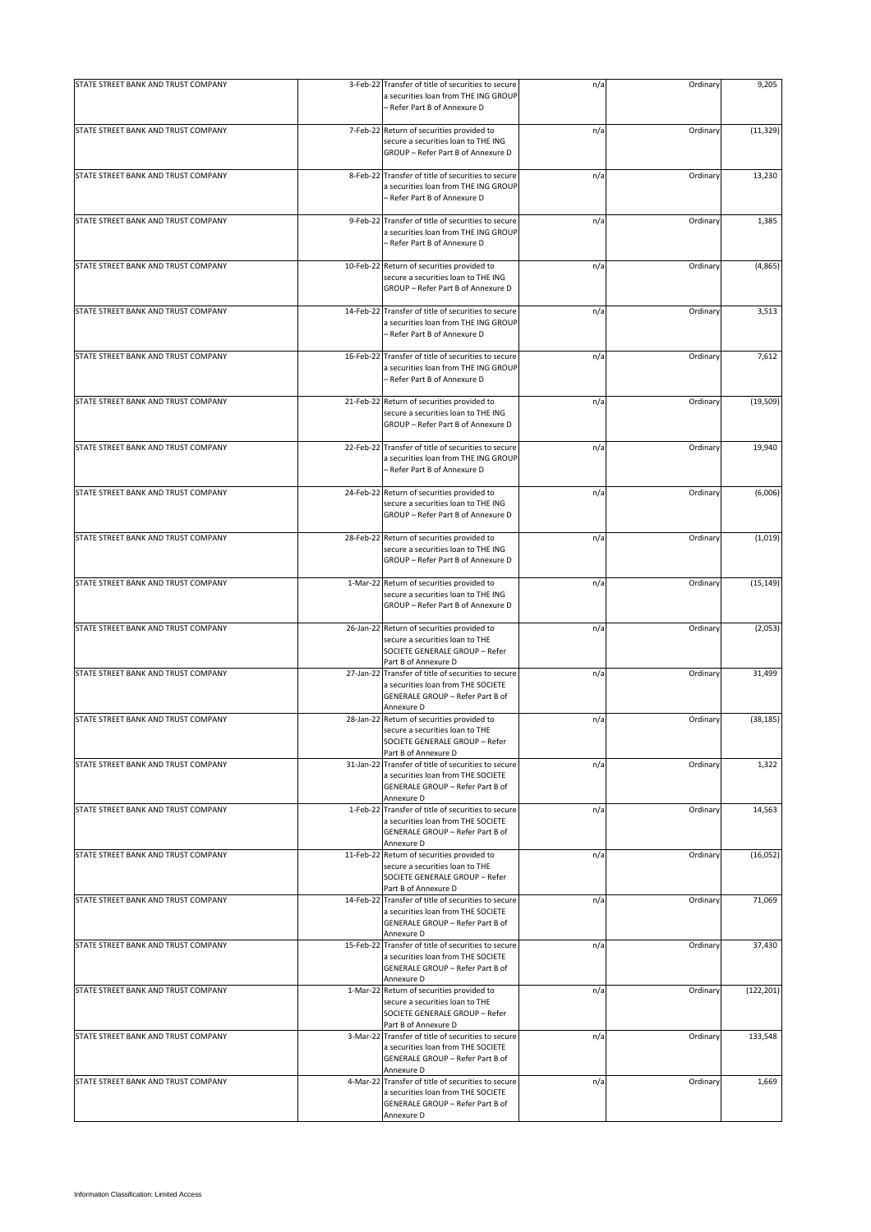| STATE STREET BANK AND TRUST COMPANY | 3-Feb-22 Transfer of title of securities to secure<br>a securities loan from THE ING GROUP<br>- Refer Part B of Annexure D                                          | n/a | Ordinary | 9,205      |
|-------------------------------------|---------------------------------------------------------------------------------------------------------------------------------------------------------------------|-----|----------|------------|
| STATE STREET BANK AND TRUST COMPANY | 7-Feb-22 Return of securities provided to<br>secure a securities loan to THE ING<br>GROUP - Refer Part B of Annexure D                                              | n/a | Ordinary | (11, 329)  |
| STATE STREET BANK AND TRUST COMPANY | 8-Feb-22 Transfer of title of securities to secure<br>a securities loan from THE ING GROUP<br>- Refer Part B of Annexure D                                          | n/a | Ordinary | 13,230     |
| STATE STREET BANK AND TRUST COMPANY | 9-Feb-22 Transfer of title of securities to secure<br>a securities loan from THE ING GROUP<br>- Refer Part B of Annexure D                                          | n/a | Ordinary | 1,385      |
| STATE STREET BANK AND TRUST COMPANY | 10-Feb-22 Return of securities provided to<br>secure a securities loan to THE ING<br>GROUP - Refer Part B of Annexure D                                             | n/a | Ordinary | (4,865)    |
| STATE STREET BANK AND TRUST COMPANY | 14-Feb-22 Transfer of title of securities to secure<br>a securities loan from THE ING GROUP<br>- Refer Part B of Annexure D                                         | n/a | Ordinary | 3,513      |
| STATE STREET BANK AND TRUST COMPANY | 16-Feb-22 Transfer of title of securities to secure<br>a securities loan from THE ING GROUP<br>- Refer Part B of Annexure D                                         | n/a | Ordinary | 7,612      |
| STATE STREET BANK AND TRUST COMPANY | 21-Feb-22 Return of securities provided to<br>secure a securities loan to THE ING<br>GROUP - Refer Part B of Annexure D                                             | n/a | Ordinary | (19, 509)  |
| STATE STREET BANK AND TRUST COMPANY | 22-Feb-22 Transfer of title of securities to secure<br>a securities loan from THE ING GROUP<br>- Refer Part B of Annexure D                                         | n/a | Ordinary | 19,940     |
| STATE STREET BANK AND TRUST COMPANY | 24-Feb-22 Return of securities provided to<br>secure a securities loan to THE ING<br>GROUP - Refer Part B of Annexure D                                             | n/a | Ordinary | (6,006)    |
| STATE STREET BANK AND TRUST COMPANY | 28-Feb-22 Return of securities provided to<br>secure a securities loan to THE ING<br>GROUP - Refer Part B of Annexure D                                             | n/a | Ordinary | (1,019)    |
| STATE STREET BANK AND TRUST COMPANY | 1-Mar-22 Return of securities provided to<br>secure a securities loan to THE ING<br>GROUP - Refer Part B of Annexure D                                              | n/a | Ordinary | (15, 149)  |
| STATE STREET BANK AND TRUST COMPANY | 26-Jan-22 Return of securities provided to<br>secure a securities loan to THE<br>SOCIETE GENERALE GROUP - Refer                                                     | n/a | Ordinary | (2,053)    |
| STATE STREET BANK AND TRUST COMPANY | Part B of Annexure D<br>27-Jan-22 Transfer of title of securities to secure<br>a securities loan from THE SOCIETE<br>GENERALE GROUP - Refer Part B of<br>Annexure D | n/a | Ordinary | 31,499     |
| STATE STREET BANK AND TRUST COMPANY | 28-Jan-22 Return of securities provided to<br>secure a securities loan to THE<br>SOCIETE GENERALE GROUP - Refer                                                     | n/a | Ordinary | (38, 185)  |
| STATE STREET BANK AND TRUST COMPANY | Part B of Annexure D<br>31-Jan-22 Transfer of title of securities to secure<br>a securities loan from THE SOCIETE<br>GENERALE GROUP - Refer Part B of<br>Annexure D | n/a | Ordinary | 1,322      |
| STATE STREET BANK AND TRUST COMPANY | 1-Feb-22 Transfer of title of securities to secure<br>a securities loan from THE SOCIETE<br>GENERALE GROUP - Refer Part B of<br>Annexure D                          | n/a | Ordinary | 14,563     |
| STATE STREET BANK AND TRUST COMPANY | 11-Feb-22 Return of securities provided to<br>secure a securities loan to THE<br>SOCIETE GENERALE GROUP - Refer<br>Part B of Annexure D                             | n/a | Ordinary | (16, 052)  |
| STATE STREET BANK AND TRUST COMPANY | 14-Feb-22 Transfer of title of securities to secure<br>a securities loan from THE SOCIETE<br>GENERALE GROUP - Refer Part B of<br>Annexure D                         | n/a | Ordinary | 71,069     |
| STATE STREET BANK AND TRUST COMPANY | 15-Feb-22 Transfer of title of securities to secure<br>a securities loan from THE SOCIETE<br>GENERALE GROUP - Refer Part B of<br>Annexure D                         | n/a | Ordinary | 37,430     |
| STATE STREET BANK AND TRUST COMPANY | 1-Mar-22 Return of securities provided to<br>secure a securities loan to THE<br>SOCIETE GENERALE GROUP - Refer<br>Part B of Annexure D                              | n/a | Ordinary | (122, 201) |
| STATE STREET BANK AND TRUST COMPANY | 3-Mar-22 Transfer of title of securities to secure<br>a securities loan from THE SOCIETE<br>GENERALE GROUP - Refer Part B of<br>Annexure D                          | n/a | Ordinary | 133,548    |
| STATE STREET BANK AND TRUST COMPANY | 4-Mar-22 Transfer of title of securities to secure<br>a securities loan from THE SOCIETE<br>GENERALE GROUP - Refer Part B of<br>Annexure D                          | n/a | Ordinary | 1,669      |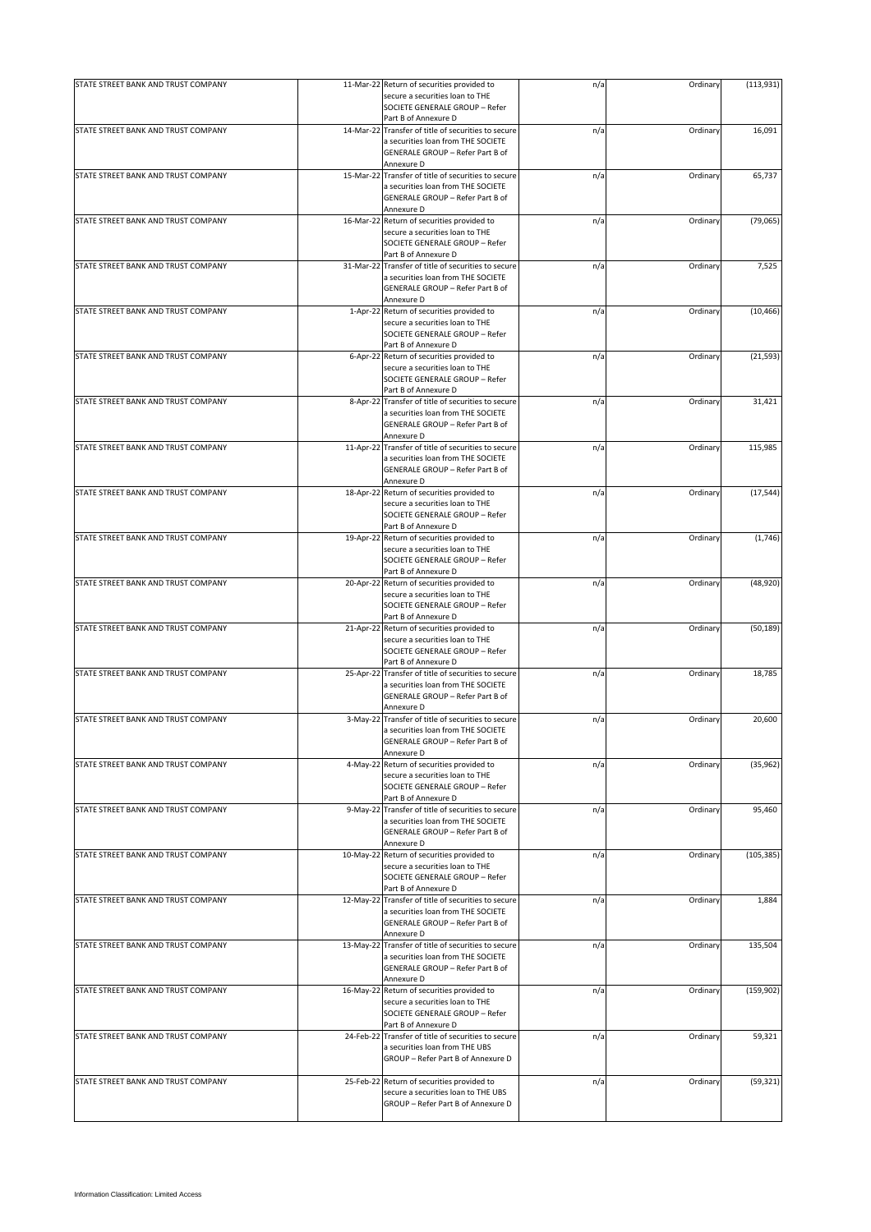| STATE STREET BANK AND TRUST COMPANY |           | 11-Mar-22 Return of securities provided to          | n/a | Ordinary | (113, 931) |
|-------------------------------------|-----------|-----------------------------------------------------|-----|----------|------------|
|                                     |           | secure a securities loan to THE                     |     |          |            |
|                                     |           |                                                     |     |          |            |
|                                     |           | SOCIETE GENERALE GROUP - Refer                      |     |          |            |
|                                     |           | Part B of Annexure D                                |     |          |            |
| STATE STREET BANK AND TRUST COMPANY |           | 14-Mar-22 Transfer of title of securities to secure | n/a | Ordinary | 16,091     |
|                                     |           | a securities loan from THE SOCIETE                  |     |          |            |
|                                     |           | GENERALE GROUP - Refer Part B of                    |     |          |            |
|                                     |           | Annexure D                                          |     |          |            |
| STATE STREET BANK AND TRUST COMPANY |           | 15-Mar-22 Transfer of title of securities to secure | n/a | Ordinary | 65,737     |
|                                     |           | a securities loan from THE SOCIETE                  |     |          |            |
|                                     |           |                                                     |     |          |            |
|                                     |           | GENERALE GROUP - Refer Part B of                    |     |          |            |
|                                     |           | Annexure D                                          |     |          |            |
| STATE STREET BANK AND TRUST COMPANY |           | 16-Mar-22 Return of securities provided to          | n/a | Ordinary | (79,065)   |
|                                     |           | secure a securities loan to THE                     |     |          |            |
|                                     |           | SOCIETE GENERALE GROUP - Refer                      |     |          |            |
|                                     |           | Part B of Annexure D                                |     |          |            |
|                                     |           |                                                     |     |          |            |
| STATE STREET BANK AND TRUST COMPANY |           | 31-Mar-22 Transfer of title of securities to secure | n/a | Ordinary | 7,525      |
|                                     |           | a securities loan from THE SOCIETE                  |     |          |            |
|                                     |           | GENERALE GROUP - Refer Part B of                    |     |          |            |
|                                     |           | Annexure D                                          |     |          |            |
| STATE STREET BANK AND TRUST COMPANY |           | 1-Apr-22 Return of securities provided to           | n/a | Ordinary | (10, 466)  |
|                                     |           | secure a securities loan to THE                     |     |          |            |
|                                     |           |                                                     |     |          |            |
|                                     |           | SOCIETE GENERALE GROUP - Refer                      |     |          |            |
|                                     |           | Part B of Annexure D                                |     |          |            |
| STATE STREET BANK AND TRUST COMPANY | 6-Apr-22  | Return of securities provided to                    | n/a | Ordinary | (21, 593)  |
|                                     |           | secure a securities loan to THE                     |     |          |            |
|                                     |           | SOCIETE GENERALE GROUP - Refer                      |     |          |            |
|                                     |           | Part B of Annexure D                                |     |          |            |
|                                     |           |                                                     |     |          |            |
| STATE STREET BANK AND TRUST COMPANY |           | 8-Apr-22 Transfer of title of securities to secure  | n/a | Ordinary | 31,421     |
|                                     |           | a securities loan from THE SOCIETE                  |     |          |            |
|                                     |           | GENERALE GROUP - Refer Part B of                    |     |          |            |
|                                     |           | Annexure D                                          |     |          |            |
| STATE STREET BANK AND TRUST COMPANY |           | 11-Apr-22 Transfer of title of securities to secure | n/a | Ordinary | 115,985    |
|                                     |           |                                                     |     |          |            |
|                                     |           | a securities loan from THE SOCIETE                  |     |          |            |
|                                     |           | GENERALE GROUP - Refer Part B of                    |     |          |            |
|                                     |           | Annexure D                                          |     |          |            |
| STATE STREET BANK AND TRUST COMPANY |           | 18-Apr-22 Return of securities provided to          | n/a | Ordinary | (17, 544)  |
|                                     |           | secure a securities loan to THE                     |     |          |            |
|                                     |           | SOCIETE GENERALE GROUP - Refer                      |     |          |            |
|                                     |           |                                                     |     |          |            |
|                                     |           | Part B of Annexure D                                |     |          |            |
| STATE STREET BANK AND TRUST COMPANY |           | 19-Apr-22 Return of securities provided to          | n/a | Ordinary | (1,746)    |
|                                     |           | secure a securities loan to THE                     |     |          |            |
|                                     |           | SOCIETE GENERALE GROUP - Refer                      |     |          |            |
|                                     |           |                                                     |     |          |            |
|                                     |           | Part B of Annexure D                                |     |          |            |
| STATE STREET BANK AND TRUST COMPANY |           | 20-Apr-22 Return of securities provided to          | n/a | Ordinary | (48, 920)  |
|                                     |           | secure a securities loan to THE                     |     |          |            |
|                                     |           | SOCIETE GENERALE GROUP - Refer                      |     |          |            |
|                                     |           | Part B of Annexure D                                |     |          |            |
|                                     |           |                                                     |     |          |            |
| STATE STREET BANK AND TRUST COMPANY |           | 21-Apr-22 Return of securities provided to          | n/a | Ordinary | (50, 189)  |
|                                     |           | secure a securities loan to THE                     |     |          |            |
|                                     |           | SOCIETE GENERALE GROUP - Refer                      |     |          |            |
|                                     |           | Part B of Annexure D                                |     |          |            |
| STATE STREET BANK AND TRUST COMPANY | 25-Apr-22 | Transfer of title of securities to secure           | n/a | Ordinary | 18,785     |
|                                     |           | a securities loan from THE SOCIETE                  |     |          |            |
|                                     |           |                                                     |     |          |            |
|                                     |           | GENERALE GROUP - Refer Part B of                    |     |          |            |
|                                     |           | Annexure D                                          |     |          |            |
| STATE STREET BANK AND TRUST COMPANY |           | 3-May-22 Transfer of title of securities to secure  | n/a | Ordinary | 20,600     |
|                                     |           | a securities loan from THE SOCIETE                  |     |          |            |
|                                     |           | GENERALE GROUP - Refer Part B of                    |     |          |            |
|                                     |           |                                                     |     |          |            |
|                                     |           | Annexure D                                          |     |          |            |
| STATE STREET BANK AND TRUST COMPANY |           | 4-May-22 Return of securities provided to           | n/a | Ordinary | (35, 962)  |
|                                     |           | secure a securities loan to THE                     |     |          |            |
|                                     |           | SOCIETE GENERALE GROUP - Refer                      |     |          |            |
|                                     |           | Part B of Annexure D                                |     |          |            |
| STATE STREET BANK AND TRUST COMPANY |           | 9-May-22 Transfer of title of securities to secure  | n/a | Ordinary | 95,460     |
|                                     |           |                                                     |     |          |            |
|                                     |           | a securities loan from THE SOCIETE                  |     |          |            |
|                                     |           | GENERALE GROUP - Refer Part B of                    |     |          |            |
|                                     |           | Annexure D                                          |     |          |            |
| STATE STREET BANK AND TRUST COMPANY |           | 10-May-22 Return of securities provided to          | n/a | Ordinary | (105, 385) |
|                                     |           | secure a securities loan to THE                     |     |          |            |
|                                     |           | SOCIETE GENERALE GROUP - Refer                      |     |          |            |
|                                     |           | Part B of Annexure D                                |     |          |            |
|                                     |           |                                                     |     |          |            |
| STATE STREET BANK AND TRUST COMPANY |           | 12-May-22 Transfer of title of securities to secure | n/a | Ordinary | 1,884      |
|                                     |           | a securities loan from THE SOCIETE                  |     |          |            |
|                                     |           | GENERALE GROUP - Refer Part B of                    |     |          |            |
|                                     |           | Annexure D                                          |     |          |            |
|                                     |           |                                                     |     |          |            |
| STATE STREET BANK AND TRUST COMPANY |           | 13-May-22 Transfer of title of securities to secure | n/a | Ordinary | 135,504    |
|                                     |           | a securities loan from THE SOCIETE                  |     |          |            |
|                                     |           | GENERALE GROUP - Refer Part B of                    |     |          |            |
|                                     |           | Annexure D                                          |     |          |            |
| STATE STREET BANK AND TRUST COMPANY |           | 16-May-22 Return of securities provided to          | n/a | Ordinary | (159, 902) |
|                                     |           |                                                     |     |          |            |
|                                     |           | secure a securities loan to THE                     |     |          |            |
|                                     |           | SOCIETE GENERALE GROUP - Refer                      |     |          |            |
|                                     |           | Part B of Annexure D                                |     |          |            |
| STATE STREET BANK AND TRUST COMPANY | 24-Feb-22 | Transfer of title of securities to secure           | n/a | Ordinary | 59,321     |
|                                     |           | a securities loan from THE UBS                      |     |          |            |
|                                     |           | GROUP - Refer Part B of Annexure D                  |     |          |            |
|                                     |           |                                                     |     |          |            |
|                                     |           |                                                     |     |          |            |
| STATE STREET BANK AND TRUST COMPANY |           | 25-Feb-22 Return of securities provided to          | n/a | Ordinary | (59, 321)  |
|                                     |           | secure a securities loan to THE UBS                 |     |          |            |
|                                     |           | GROUP - Refer Part B of Annexure D                  |     |          |            |
|                                     |           |                                                     |     |          |            |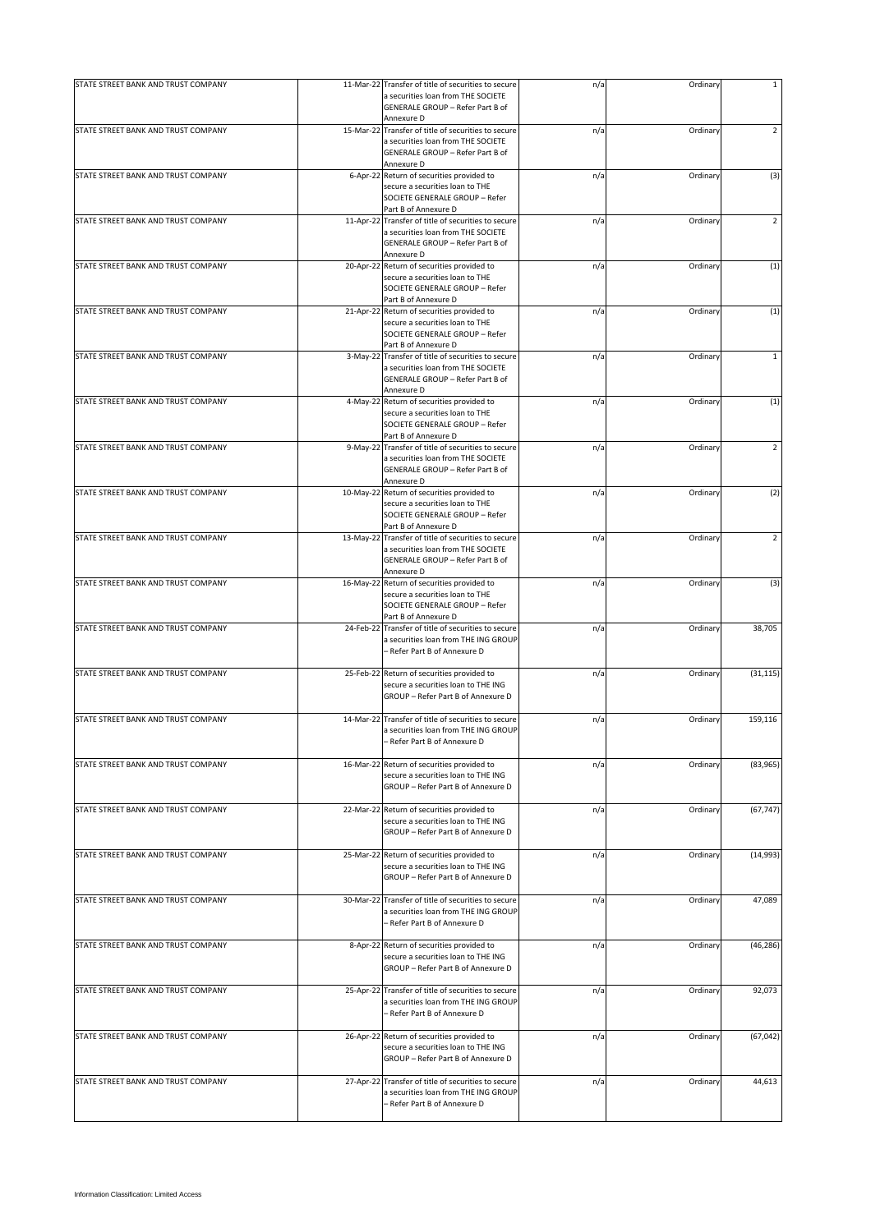| STATE STREET BANK AND TRUST COMPANY |           | 11-Mar-22 Transfer of title of securities to secure                                                                                         | n/a | Ordinary | $\mathbf{1}$   |
|-------------------------------------|-----------|---------------------------------------------------------------------------------------------------------------------------------------------|-----|----------|----------------|
|                                     |           | a securities loan from THE SOCIETE<br>GENERALE GROUP - Refer Part B of                                                                      |     |          |                |
|                                     |           | Annexure D                                                                                                                                  |     |          |                |
| STATE STREET BANK AND TRUST COMPANY |           | 15-Mar-22 Transfer of title of securities to secure<br>a securities loan from THE SOCIETE<br>GENERALE GROUP - Refer Part B of<br>Annexure D | n/a | Ordinary | $\overline{2}$ |
| STATE STREET BANK AND TRUST COMPANY |           | 6-Apr-22 Return of securities provided to                                                                                                   | n/a | Ordinary | (3)            |
|                                     |           | secure a securities loan to THE<br>SOCIETE GENERALE GROUP - Refer<br>Part B of Annexure D                                                   |     |          |                |
| STATE STREET BANK AND TRUST COMPANY |           | 11-Apr-22 Transfer of title of securities to secure                                                                                         | n/a | Ordinary | $\overline{2}$ |
|                                     |           | a securities loan from THE SOCIETE<br>GENERALE GROUP - Refer Part B of<br>Annexure D                                                        |     |          |                |
| STATE STREET BANK AND TRUST COMPANY |           | 20-Apr-22 Return of securities provided to<br>secure a securities loan to THE<br>SOCIETE GENERALE GROUP - Refer<br>Part B of Annexure D     | n/a | Ordinary | (1)            |
| STATE STREET BANK AND TRUST COMPANY |           | 21-Apr-22 Return of securities provided to                                                                                                  | n/a | Ordinary | (1)            |
|                                     |           | secure a securities loan to THE<br>SOCIETE GENERALE GROUP - Refer<br>Part B of Annexure D                                                   |     |          |                |
| STATE STREET BANK AND TRUST COMPANY | 3-May-22  | Transfer of title of securities to secure                                                                                                   | n/a | Ordinary | $\mathbf{1}$   |
|                                     |           | a securities loan from THE SOCIETE<br>GENERALE GROUP - Refer Part B of<br>Annexure D                                                        |     |          |                |
| STATE STREET BANK AND TRUST COMPANY |           | 4-May-22 Return of securities provided to                                                                                                   | n/a | Ordinary | (1)            |
|                                     |           | secure a securities loan to THE<br>SOCIETE GENERALE GROUP - Refer<br>Part B of Annexure D                                                   |     |          |                |
| STATE STREET BANK AND TRUST COMPANY |           | 9-May-22 Transfer of title of securities to secure                                                                                          | n/a | Ordinary | 2              |
|                                     |           | a securities loan from THE SOCIETE<br>GENERALE GROUP - Refer Part B of<br>Annexure D                                                        |     |          |                |
| STATE STREET BANK AND TRUST COMPANY |           | 10-May-22 Return of securities provided to                                                                                                  | n/a | Ordinary | (2)            |
|                                     |           | secure a securities loan to THE<br>SOCIETE GENERALE GROUP - Refer<br>Part B of Annexure D                                                   |     |          |                |
| STATE STREET BANK AND TRUST COMPANY |           | 13-May-22 Transfer of title of securities to secure                                                                                         | n/a | Ordinary | $\overline{2}$ |
|                                     |           | a securities loan from THE SOCIETE<br>GENERALE GROUP - Refer Part B of<br>Annexure D                                                        |     |          |                |
| STATE STREET BANK AND TRUST COMPANY |           | 16-May-22 Return of securities provided to                                                                                                  | n/a | Ordinary | (3)            |
|                                     |           | secure a securities loan to THE                                                                                                             |     |          |                |
|                                     |           | SOCIETE GENERALE GROUP - Refer                                                                                                              |     |          |                |
|                                     |           | Part B of Annexure D                                                                                                                        |     |          |                |
| STATE STREET BANK AND TRUST COMPANY | 24-Feb-22 | Transfer of title of securities to secure<br>a securities loan from THE ING GROUP<br>- Refer Part B of Annexure D                           | n/a | Ordinary | 38,705         |
| STATE STREET BANK AND TRUST COMPANY |           | 25-Feb-22 Return of securities provided to                                                                                                  | n/a | Ordinary | (31, 115)      |
|                                     |           | secure a securities loan to THE ING<br>GROUP - Refer Part B of Annexure D                                                                   |     |          |                |
| STATE STREET BANK AND TRUST COMPANY |           | 14-Mar-22 Transfer of title of securities to secure                                                                                         | n/a | Ordinary | 159,116        |
|                                     |           | a securities loan from THE ING GROUP<br>Refer Part B of Annexure D                                                                          |     |          |                |
| STATE STREET BANK AND TRUST COMPANY |           | 16-Mar-22 Return of securities provided to                                                                                                  | n/a | Ordinary | (83, 965)      |
|                                     |           | secure a securities loan to THE ING<br>GROUP - Refer Part B of Annexure D                                                                   |     |          |                |
| STATE STREET BANK AND TRUST COMPANY |           | 22-Mar-22 Return of securities provided to                                                                                                  | n/a | Ordinary | (67, 747)      |
|                                     |           | secure a securities loan to THE ING<br>GROUP - Refer Part B of Annexure D                                                                   |     |          |                |
| STATE STREET BANK AND TRUST COMPANY |           | 25-Mar-22 Return of securities provided to                                                                                                  | n/a | Ordinary | (14,993)       |
|                                     |           | secure a securities loan to THE ING<br>GROUP - Refer Part B of Annexure D                                                                   |     |          |                |
| STATE STREET BANK AND TRUST COMPANY |           | 30-Mar-22 Transfer of title of securities to secure<br>a securities loan from THE ING GROUP<br>- Refer Part B of Annexure D                 | n/a | Ordinary | 47,089         |
|                                     |           |                                                                                                                                             |     |          |                |
| STATE STREET BANK AND TRUST COMPANY |           | 8-Apr-22 Return of securities provided to<br>secure a securities loan to THE ING<br>GROUP - Refer Part B of Annexure D                      | n/a | Ordinary | (46, 286)      |
| STATE STREET BANK AND TRUST COMPANY |           | 25-Apr-22 Transfer of title of securities to secure                                                                                         | n/a | Ordinary | 92,073         |
|                                     |           | a securities loan from THE ING GROUP<br>- Refer Part B of Annexure D                                                                        |     |          |                |
| STATE STREET BANK AND TRUST COMPANY |           | 26-Apr-22 Return of securities provided to                                                                                                  | n/a | Ordinary | (67, 042)      |
|                                     |           | secure a securities loan to THE ING<br>GROUP - Refer Part B of Annexure D                                                                   |     |          |                |
| STATE STREET BANK AND TRUST COMPANY | 27-Apr-22 | Transfer of title of securities to secure                                                                                                   | n/a | Ordinary | 44,613         |
|                                     |           | a securities loan from THE ING GROUP<br>- Refer Part B of Annexure D                                                                        |     |          |                |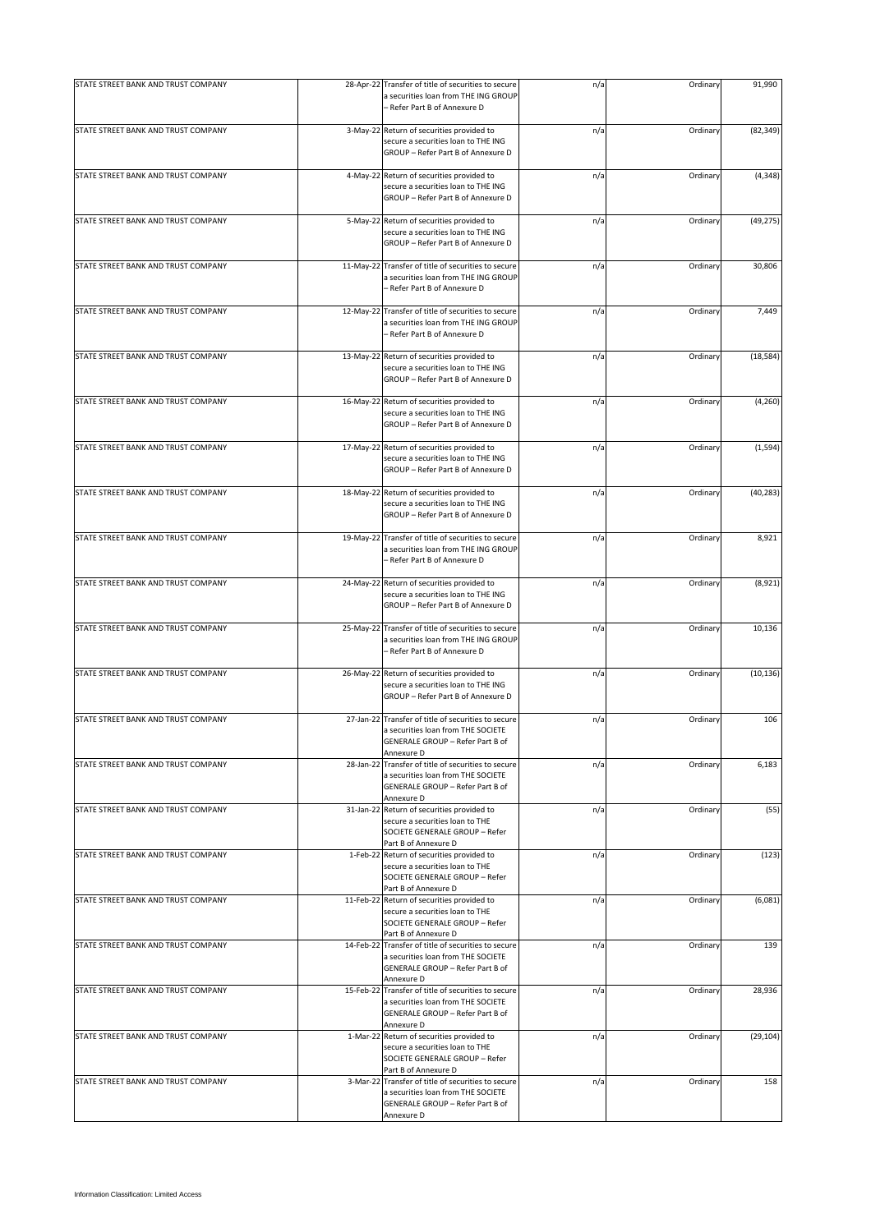| STATE STREET BANK AND TRUST COMPANY |           | 28-Apr-22 Transfer of title of securities to secure<br>a securities loan from THE ING GROUP                                                 | n/a | Ordinary | 91,990    |
|-------------------------------------|-----------|---------------------------------------------------------------------------------------------------------------------------------------------|-----|----------|-----------|
|                                     |           | - Refer Part B of Annexure D                                                                                                                |     |          |           |
| STATE STREET BANK AND TRUST COMPANY |           | 3-May-22 Return of securities provided to<br>secure a securities loan to THE ING<br>GROUP - Refer Part B of Annexure D                      | n/a | Ordinary | (82, 349) |
| STATE STREET BANK AND TRUST COMPANY |           | 4-May-22 Return of securities provided to<br>secure a securities loan to THE ING<br>GROUP - Refer Part B of Annexure D                      | n/a | Ordinary | (4, 348)  |
| STATE STREET BANK AND TRUST COMPANY |           | 5-May-22 Return of securities provided to<br>secure a securities loan to THE ING<br>GROUP - Refer Part B of Annexure D                      | n/a | Ordinary | (49, 275) |
| STATE STREET BANK AND TRUST COMPANY | 11-May-22 | Transfer of title of securities to secure<br>a securities loan from THE ING GROUP<br>- Refer Part B of Annexure D                           | n/a | Ordinary | 30,806    |
| STATE STREET BANK AND TRUST COMPANY |           | 12-May-22 Transfer of title of securities to secure<br>a securities loan from THE ING GROUP<br>- Refer Part B of Annexure D                 | n/a | Ordinary | 7,449     |
| STATE STREET BANK AND TRUST COMPANY |           | 13-May-22 Return of securities provided to<br>secure a securities loan to THE ING<br>GROUP - Refer Part B of Annexure D                     | n/a | Ordinary | (18, 584) |
| STATE STREET BANK AND TRUST COMPANY |           | 16-May-22 Return of securities provided to<br>secure a securities loan to THE ING<br>GROUP - Refer Part B of Annexure D                     | n/a | Ordinary | (4, 260)  |
| STATE STREET BANK AND TRUST COMPANY |           | 17-May-22 Return of securities provided to<br>secure a securities loan to THE ING<br>GROUP - Refer Part B of Annexure D                     | n/a | Ordinary | (1, 594)  |
| STATE STREET BANK AND TRUST COMPANY |           | 18-May-22 Return of securities provided to<br>secure a securities loan to THE ING<br>GROUP - Refer Part B of Annexure D                     | n/a | Ordinary | (40, 283) |
| STATE STREET BANK AND TRUST COMPANY | 19-May-22 | Transfer of title of securities to secure<br>a securities loan from THE ING GROUP<br>- Refer Part B of Annexure D                           | n/a | Ordinary | 8,921     |
| STATE STREET BANK AND TRUST COMPANY |           | 24-May-22 Return of securities provided to<br>secure a securities loan to THE ING<br>GROUP - Refer Part B of Annexure D                     | n/a | Ordinary | (8,921)   |
| STATE STREET BANK AND TRUST COMPANY |           | 25-May-22 Transfer of title of securities to secure<br>a securities loan from THE ING GROUP<br>- Refer Part B of Annexure D                 | n/a | Ordinary | 10,136    |
| STATE STREET BANK AND TRUST COMPANY |           | 26-May-22 Return of securities provided to<br>secure a securities loan to THE ING<br>GROUP - Refer Part B of Annexure D                     | n/a | Ordinary | (10, 136) |
| STATE STREET BANK AND TRUST COMPANY |           | 27-Jan-22 Transfer of title of securities to secure<br>a securities loan from THE SOCIETE<br>GENERALE GROUP - Refer Part B of<br>Annexure D | n/a | Ordinary | 106       |
| STATE STREET BANK AND TRUST COMPANY | 28-Jan-22 | Transfer of title of securities to secure<br>a securities loan from THE SOCIETE<br>GENERALE GROUP - Refer Part B of<br>Annexure D           | n/a | Ordinary | 6,183     |
| STATE STREET BANK AND TRUST COMPANY |           | 31-Jan-22 Return of securities provided to<br>secure a securities loan to THE<br>SOCIETE GENERALE GROUP - Refer<br>Part B of Annexure D     | n/a | Ordinary | (55)      |
| STATE STREET BANK AND TRUST COMPANY |           | 1-Feb-22 Return of securities provided to<br>secure a securities loan to THE<br>SOCIETE GENERALE GROUP - Refer<br>Part B of Annexure D      | n/a | Ordinary | (123)     |
| STATE STREET BANK AND TRUST COMPANY |           | 11-Feb-22 Return of securities provided to<br>secure a securities loan to THE<br>SOCIETE GENERALE GROUP - Refer<br>Part B of Annexure D     | n/a | Ordinary | (6,081)   |
| STATE STREET BANK AND TRUST COMPANY |           | 14-Feb-22 Transfer of title of securities to secure<br>a securities loan from THE SOCIETE<br>GENERALE GROUP - Refer Part B of<br>Annexure D | n/a | Ordinary | 139       |
| STATE STREET BANK AND TRUST COMPANY |           | 15-Feb-22 Transfer of title of securities to secure<br>a securities loan from THE SOCIETE<br>GENERALE GROUP - Refer Part B of<br>Annexure D | n/a | Ordinary | 28,936    |
| STATE STREET BANK AND TRUST COMPANY |           | 1-Mar-22 Return of securities provided to<br>secure a securities loan to THE<br>SOCIETE GENERALE GROUP - Refer<br>Part B of Annexure D      | n/a | Ordinary | (29, 104) |
| STATE STREET BANK AND TRUST COMPANY |           | 3-Mar-22 Transfer of title of securities to secure<br>a securities loan from THE SOCIETE<br>GENERALE GROUP - Refer Part B of<br>Annexure D  | n/a | Ordinary | 158       |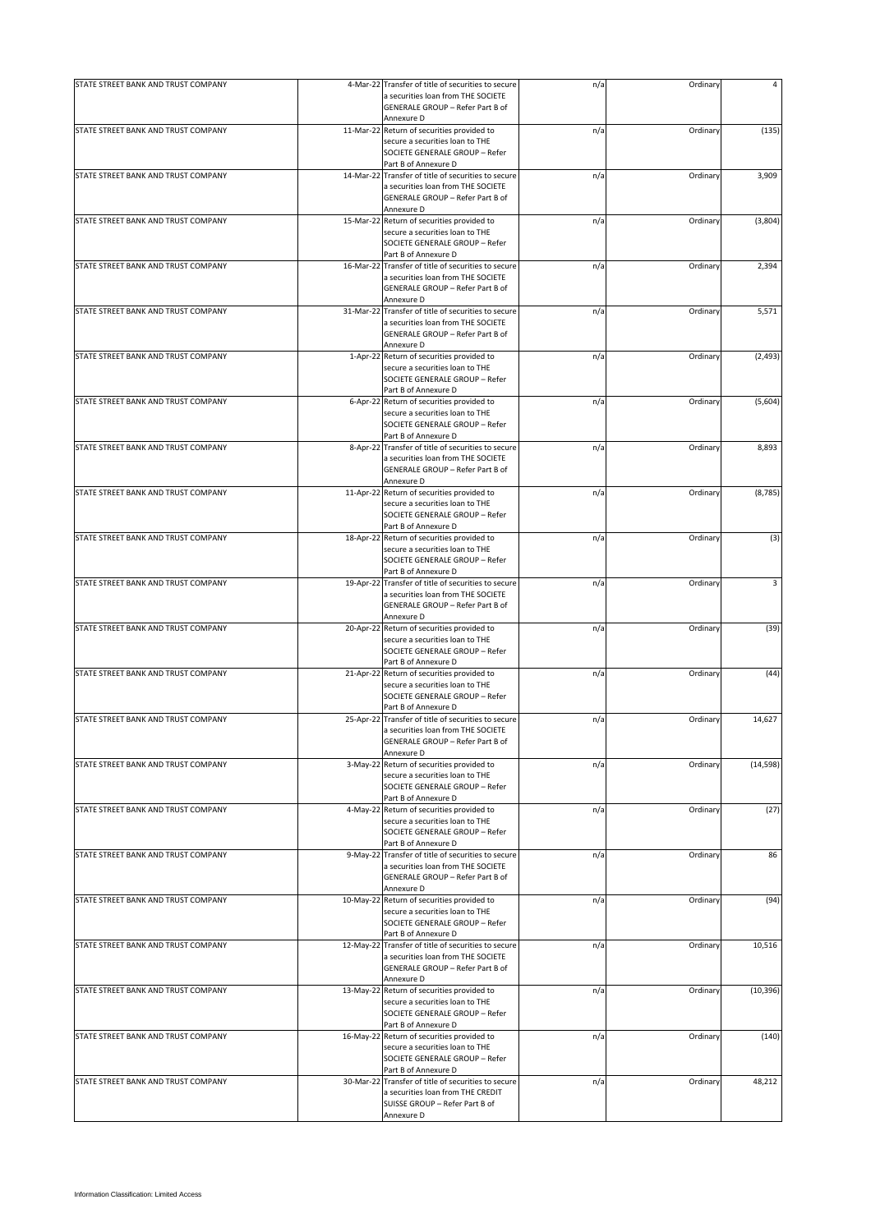| STATE STREET BANK AND TRUST COMPANY |            | 4-Mar-22 Transfer of title of securities to secure                              | n/a | Ordinary | 4         |
|-------------------------------------|------------|---------------------------------------------------------------------------------|-----|----------|-----------|
|                                     |            | a securities loan from THE SOCIETE                                              |     |          |           |
|                                     |            | GENERALE GROUP - Refer Part B of                                                |     |          |           |
|                                     |            | Annexure D                                                                      |     |          |           |
| STATE STREET BANK AND TRUST COMPANY | 11-Mar-22  | Return of securities provided to                                                | n/a | Ordinary | (135)     |
|                                     |            | secure a securities loan to THE                                                 |     |          |           |
|                                     |            | SOCIETE GENERALE GROUP - Refer<br>Part B of Annexure D                          |     |          |           |
| STATE STREET BANK AND TRUST COMPANY | 14-Mar-22  | Transfer of title of securities to secure                                       | n/a | Ordinary | 3,909     |
|                                     |            | a securities loan from THE SOCIETE                                              |     |          |           |
|                                     |            | GENERALE GROUP - Refer Part B of                                                |     |          |           |
|                                     |            | Annexure D                                                                      |     |          |           |
| STATE STREET BANK AND TRUST COMPANY |            | 15-Mar-22 Return of securities provided to                                      | n/a | Ordinary | (3,804)   |
|                                     |            | secure a securities loan to THE                                                 |     |          |           |
|                                     |            | SOCIETE GENERALE GROUP - Refer                                                  |     |          |           |
| STATE STREET BANK AND TRUST COMPANY |            | Part B of Annexure D<br>16-Mar-22 Transfer of title of securities to secure     | n/a | Ordinary | 2,394     |
|                                     |            | a securities loan from THE SOCIETE                                              |     |          |           |
|                                     |            | GENERALE GROUP - Refer Part B of                                                |     |          |           |
|                                     |            | Annexure D                                                                      |     |          |           |
| STATE STREET BANK AND TRUST COMPANY | 31-Mar-22  | Transfer of title of securities to secure                                       | n/a | Ordinary | 5,571     |
|                                     |            | a securities loan from THE SOCIETE                                              |     |          |           |
|                                     |            | GENERALE GROUP - Refer Part B of                                                |     |          |           |
| STATE STREET BANK AND TRUST COMPANY |            | Annexure D                                                                      |     |          |           |
|                                     | $1-Apr-22$ | Return of securities provided to<br>secure a securities loan to THE             | n/a | Ordinary | (2, 493)  |
|                                     |            | SOCIETE GENERALE GROUP - Refer                                                  |     |          |           |
|                                     |            | Part B of Annexure D                                                            |     |          |           |
| STATE STREET BANK AND TRUST COMPANY | 6-Apr-22   | Return of securities provided to                                                | n/a | Ordinary | (5,604)   |
|                                     |            | secure a securities loan to THE                                                 |     |          |           |
|                                     |            | SOCIETE GENERALE GROUP - Refer                                                  |     |          |           |
|                                     |            | Part B of Annexure D                                                            |     |          |           |
| STATE STREET BANK AND TRUST COMPANY | 8-Apr-22   | Transfer of title of securities to secure<br>a securities loan from THE SOCIETE | n/a | Ordinary | 8,893     |
|                                     |            | GENERALE GROUP - Refer Part B of                                                |     |          |           |
|                                     |            | Annexure D                                                                      |     |          |           |
| STATE STREET BANK AND TRUST COMPANY |            | 11-Apr-22 Return of securities provided to                                      | n/a | Ordinary | (8, 785)  |
|                                     |            | secure a securities loan to THE                                                 |     |          |           |
|                                     |            | SOCIETE GENERALE GROUP - Refer                                                  |     |          |           |
|                                     |            | Part B of Annexure D                                                            |     |          |           |
| STATE STREET BANK AND TRUST COMPANY |            | 18-Apr-22 Return of securities provided to                                      | n/a | Ordinary | (3)       |
|                                     |            | secure a securities loan to THE<br>SOCIETE GENERALE GROUP - Refer               |     |          |           |
|                                     |            | Part B of Annexure D                                                            |     |          |           |
| STATE STREET BANK AND TRUST COMPANY |            | 19-Apr-22 Transfer of title of securities to secure                             | n/a | Ordinary | 3         |
|                                     |            | a securities loan from THE SOCIETE                                              |     |          |           |
|                                     |            | GENERALE GROUP - Refer Part B of                                                |     |          |           |
|                                     |            | Annexure D                                                                      |     |          |           |
| STATE STREET BANK AND TRUST COMPANY | 20-Apr-22  | Return of securities provided to                                                | n/a | Ordinary | (39)      |
|                                     |            | secure a securities loan to THE<br>SOCIETE GENERALE GROUP - Refer               |     |          |           |
|                                     |            | Part B of Annexure D                                                            |     |          |           |
| STATE STREET BANK AND TRUST COMPANY | 21-Apr-22  | Return of securities provided to                                                | n/a | Ordinary | (44)      |
|                                     |            | secure a securities loan to THE                                                 |     |          |           |
|                                     |            | SOCIETE GENERALE GROUP - Refer                                                  |     |          |           |
|                                     |            | Part B of Annexure D                                                            |     |          |           |
| STATE STREET BANK AND TRUST COMPANY |            | 25-Apr-22 Transfer of title of securities to secure                             | n/a | Ordinary | 14,627    |
|                                     |            | a securities loan from THE SOCIETE<br>GENERALE GROUP - Refer Part B of          |     |          |           |
|                                     |            | Annexure D                                                                      |     |          |           |
| STATE STREET BANK AND TRUST COMPANY | 3-May-22   | Return of securities provided to                                                | n/a | Ordinary | (14, 598) |
|                                     |            | secure a securities loan to THE                                                 |     |          |           |
|                                     |            | SOCIETE GENERALE GROUP - Refer                                                  |     |          |           |
|                                     |            | Part B of Annexure D                                                            |     |          |           |
| STATE STREET BANK AND TRUST COMPANY |            | 4-May-22 Return of securities provided to                                       | n/a | Ordinary | (27)      |
|                                     |            | secure a securities loan to THE<br>SOCIETE GENERALE GROUP - Refer               |     |          |           |
|                                     |            | Part B of Annexure D                                                            |     |          |           |
| STATE STREET BANK AND TRUST COMPANY |            | 9-May-22 Transfer of title of securities to secure                              | n/a | Ordinary | 86        |
|                                     |            | a securities loan from THE SOCIETE                                              |     |          |           |
|                                     |            | GENERALE GROUP - Refer Part B of                                                |     |          |           |
|                                     |            | Annexure D                                                                      |     |          |           |
| STATE STREET BANK AND TRUST COMPANY | 10-May-22  | Return of securities provided to                                                | n/a | Ordinary | (94)      |
|                                     |            | secure a securities loan to THE<br>SOCIETE GENERALE GROUP - Refer               |     |          |           |
|                                     |            | Part B of Annexure D                                                            |     |          |           |
| STATE STREET BANK AND TRUST COMPANY | 12-May-22  | Transfer of title of securities to secure                                       | n/a | Ordinary | 10,516    |
|                                     |            | a securities loan from THE SOCIETE                                              |     |          |           |
|                                     |            | GENERALE GROUP - Refer Part B of                                                |     |          |           |
|                                     |            | Annexure D                                                                      |     |          |           |
| STATE STREET BANK AND TRUST COMPANY |            | 13-May-22 Return of securities provided to                                      | n/a | Ordinary | (10, 396) |
|                                     |            | secure a securities loan to THE<br>SOCIETE GENERALE GROUP - Refer               |     |          |           |
|                                     |            | Part B of Annexure D                                                            |     |          |           |
| STATE STREET BANK AND TRUST COMPANY | 16-May-22  | Return of securities provided to                                                | n/a | Ordinary | (140)     |
|                                     |            | secure a securities loan to THE                                                 |     |          |           |
|                                     |            | SOCIETE GENERALE GROUP - Refer                                                  |     |          |           |
|                                     |            | Part B of Annexure D                                                            |     |          |           |
| STATE STREET BANK AND TRUST COMPANY | 30-Mar-22  | Transfer of title of securities to secure                                       | n/a | Ordinary | 48,212    |
|                                     |            | a securities loan from THE CREDIT<br>SUISSE GROUP - Refer Part B of             |     |          |           |
|                                     |            | Annexure D                                                                      |     |          |           |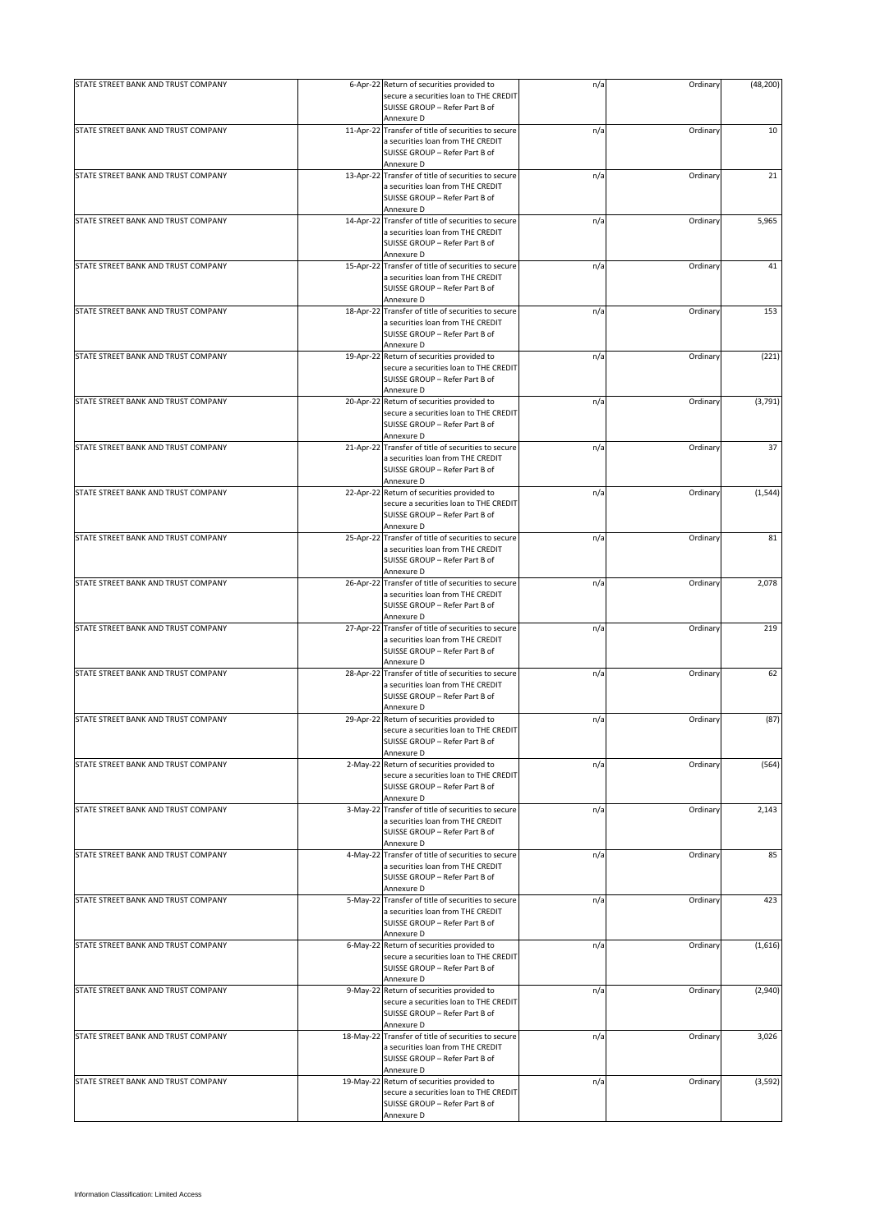| STATE STREET BANK AND TRUST COMPANY |            | 6-Apr-22 Return of securities provided to<br>secure a securities loan to THE CREDIT<br>SUISSE GROUP - Refer Part B of | n/a | Ordinary | (48, 200) |
|-------------------------------------|------------|-----------------------------------------------------------------------------------------------------------------------|-----|----------|-----------|
|                                     |            | Annexure D                                                                                                            |     |          |           |
| STATE STREET BANK AND TRUST COMPANY |            | 11-Apr-22 Transfer of title of securities to secure<br>a securities loan from THE CREDIT                              | n/a | Ordinary | 10        |
|                                     |            | SUISSE GROUP - Refer Part B of<br>Annexure D                                                                          |     |          |           |
| STATE STREET BANK AND TRUST COMPANY |            | 13-Apr-22 Transfer of title of securities to secure                                                                   | n/a | Ordinary | 21        |
|                                     |            | a securities loan from THE CREDIT<br>SUISSE GROUP - Refer Part B of                                                   |     |          |           |
|                                     |            | Annexure D                                                                                                            |     |          |           |
| STATE STREET BANK AND TRUST COMPANY |            | 14-Apr-22 Transfer of title of securities to secure                                                                   | n/a | Ordinary | 5,965     |
|                                     |            | a securities loan from THE CREDIT                                                                                     |     |          |           |
|                                     |            | SUISSE GROUP - Refer Part B of<br>Annexure D                                                                          |     |          |           |
| STATE STREET BANK AND TRUST COMPANY |            | 15-Apr-22 Transfer of title of securities to secure                                                                   | n/a | Ordinary | 41        |
|                                     |            | a securities loan from THE CREDIT<br>SUISSE GROUP - Refer Part B of<br>Annexure D                                     |     |          |           |
|                                     |            |                                                                                                                       |     |          |           |
| STATE STREET BANK AND TRUST COMPANY | 18-Apr-22  | Transfer of title of securities to secure<br>a securities loan from THE CREDIT<br>SUISSE GROUP - Refer Part B of      | n/a | Ordinary | 153       |
|                                     |            | Annexure D                                                                                                            |     |          |           |
| STATE STREET BANK AND TRUST COMPANY | 19-Apr-22  | Return of securities provided to<br>secure a securities loan to THE CREDIT<br>SUISSE GROUP - Refer Part B of          | n/a | Ordinary | (221)     |
|                                     |            | Annexure D                                                                                                            |     |          |           |
| STATE STREET BANK AND TRUST COMPANY | 20-Apr-22  | Return of securities provided to<br>secure a securities loan to THE CREDIT<br>SUISSE GROUP - Refer Part B of          | n/a | Ordinary | (3,791)   |
|                                     |            | Annexure D                                                                                                            |     |          |           |
| STATE STREET BANK AND TRUST COMPANY | 21-Apr-22  | Transfer of title of securities to secure                                                                             | n/a | Ordinary | 37        |
|                                     |            | a securities loan from THE CREDIT<br>SUISSE GROUP - Refer Part B of<br>Annexure D                                     |     |          |           |
| STATE STREET BANK AND TRUST COMPANY |            | 22-Apr-22 Return of securities provided to                                                                            | n/a | Ordinary | (1, 544)  |
|                                     |            | secure a securities loan to THE CREDIT<br>SUISSE GROUP - Refer Part B of<br>Annexure D                                |     |          |           |
| STATE STREET BANK AND TRUST COMPANY |            | 25-Apr-22 Transfer of title of securities to secure                                                                   |     |          | 81        |
|                                     |            | a securities loan from THE CREDIT<br>SUISSE GROUP - Refer Part B of                                                   | n/a | Ordinary |           |
|                                     |            | Annexure D                                                                                                            |     |          |           |
| STATE STREET BANK AND TRUST COMPANY |            | 26-Apr-22 Transfer of title of securities to secure                                                                   | n/a | Ordinary | 2,078     |
|                                     |            | a securities loan from THE CREDIT                                                                                     |     |          |           |
|                                     |            | SUISSE GROUP - Refer Part B of                                                                                        |     |          |           |
|                                     |            | Annexure D                                                                                                            |     |          |           |
| STATE STREET BANK AND TRUST COMPANY | 27-Apr-22  | Transfer of title of securities to secure                                                                             | n/a | Ordinary | 219       |
|                                     |            | a securities loan from THE CREDIT                                                                                     |     |          |           |
|                                     |            | SUISSE GROUP - Refer Part B of                                                                                        |     |          |           |
|                                     |            | Annexure D                                                                                                            |     |          |           |
| STATE STREET BANK AND TRUST COMPANY | 28-Apr-22  | Transfer of title of securities to secure                                                                             | n/a | Ordinary | 62        |
|                                     |            | a securities loan from THE CREDIT                                                                                     |     |          |           |
|                                     |            | SUISSE GROUP - Refer Part B of                                                                                        |     |          |           |
|                                     |            | Annexure D                                                                                                            |     |          |           |
| STATE STREET BANK AND TRUST COMPANY |            | 29-Apr-22 Return of securities provided to                                                                            | n/a | Ordinary | (87)      |
|                                     |            | secure a securities loan to THE CREDIT                                                                                |     |          |           |
|                                     |            | SUISSE GROUP - Refer Part B of                                                                                        |     |          |           |
|                                     |            | Annexure D                                                                                                            |     |          |           |
| STATE STREET BANK AND TRUST COMPANY | $2-May-22$ | Return of securities provided to                                                                                      | n/a | Ordinary | (564)     |
|                                     |            | secure a securities loan to THE CREDIT                                                                                |     |          |           |
|                                     |            | SUISSE GROUP - Refer Part B of                                                                                        |     |          |           |
|                                     |            | Annexure D                                                                                                            |     |          |           |
| STATE STREET BANK AND TRUST COMPANY |            | 3-May-22 Transfer of title of securities to secure                                                                    | n/a | Ordinary | 2,143     |
|                                     |            | a securities loan from THE CREDIT<br>SUISSE GROUP - Refer Part B of                                                   |     |          |           |
|                                     |            | Annexure D                                                                                                            |     |          |           |
| STATE STREET BANK AND TRUST COMPANY |            | 4-May-22 Transfer of title of securities to secure                                                                    | n/a | Ordinary | 85        |
|                                     |            | a securities loan from THE CREDIT                                                                                     |     |          |           |
|                                     |            | SUISSE GROUP - Refer Part B of                                                                                        |     |          |           |
|                                     |            | Annexure D                                                                                                            |     |          |           |
| STATE STREET BANK AND TRUST COMPANY |            | 5-May-22 Transfer of title of securities to secure                                                                    | n/a | Ordinary | 423       |
|                                     |            | a securities loan from THE CREDIT                                                                                     |     |          |           |
|                                     |            | SUISSE GROUP - Refer Part B of                                                                                        |     |          |           |
|                                     |            | Annexure D                                                                                                            |     |          |           |
| STATE STREET BANK AND TRUST COMPANY | 6-May-22   | Return of securities provided to                                                                                      | n/a | Ordinary | (1,616)   |
|                                     |            | secure a securities loan to THE CREDIT                                                                                |     |          |           |
|                                     |            | SUISSE GROUP - Refer Part B of                                                                                        |     |          |           |
|                                     |            | Annexure D                                                                                                            |     |          |           |
| STATE STREET BANK AND TRUST COMPANY |            | 9-May-22 Return of securities provided to                                                                             | n/a | Ordinary | (2,940)   |
|                                     |            | secure a securities loan to THE CREDIT                                                                                |     |          |           |
|                                     |            | SUISSE GROUP - Refer Part B of<br>Annexure D                                                                          |     |          |           |
| STATE STREET BANK AND TRUST COMPANY | 18-May-22  | Transfer of title of securities to secure                                                                             | n/a | Ordinary | 3,026     |
|                                     |            | a securities loan from THE CREDIT                                                                                     |     |          |           |
|                                     |            | SUISSE GROUP - Refer Part B of                                                                                        |     |          |           |
|                                     |            | Annexure D                                                                                                            |     |          |           |
| STATE STREET BANK AND TRUST COMPANY | 19-May-22  | Return of securities provided to                                                                                      | n/a | Ordinary | (3, 592)  |
|                                     |            | secure a securities loan to THE CREDIT                                                                                |     |          |           |
|                                     |            | SUISSE GROUP - Refer Part B of                                                                                        |     |          |           |
|                                     |            | Annexure D                                                                                                            |     |          |           |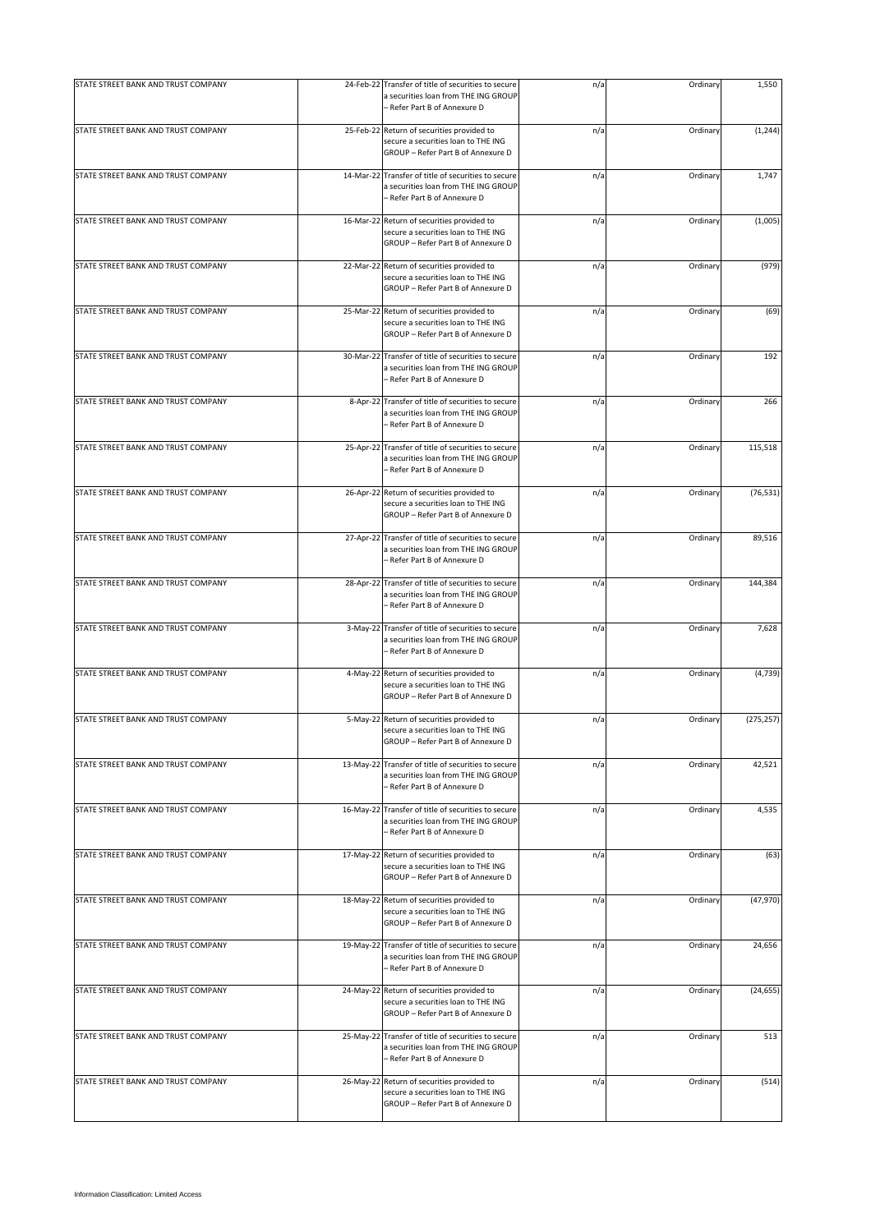| STATE STREET BANK AND TRUST COMPANY | 24-Feb-22  | Transfer of title of securities to secure<br>a securities loan from THE ING GROUP<br>- Refer Part B of Annexure D           | n/a | Ordinary | 1,550      |
|-------------------------------------|------------|-----------------------------------------------------------------------------------------------------------------------------|-----|----------|------------|
| STATE STREET BANK AND TRUST COMPANY |            | 25-Feb-22 Return of securities provided to<br>secure a securities loan to THE ING<br>GROUP - Refer Part B of Annexure D     | n/a | Ordinary | (1, 244)   |
| STATE STREET BANK AND TRUST COMPANY |            | 14-Mar-22 Transfer of title of securities to secure<br>a securities loan from THE ING GROUP<br>– Refer Part B of Annexure D | n/a | Ordinary | 1,747      |
| STATE STREET BANK AND TRUST COMPANY | 16-Mar-22  | Return of securities provided to<br>secure a securities loan to THE ING<br>GROUP - Refer Part B of Annexure D               | n/a | Ordinary | (1,005)    |
| STATE STREET BANK AND TRUST COMPANY | 22-Mar-22  | Return of securities provided to<br>secure a securities loan to THE ING<br>GROUP - Refer Part B of Annexure D               | n/a | Ordinary | (979)      |
| STATE STREET BANK AND TRUST COMPANY | 25-Mar-22  | Return of securities provided to<br>secure a securities loan to THE ING<br>GROUP - Refer Part B of Annexure D               | n/a | Ordinary | (69)       |
| STATE STREET BANK AND TRUST COMPANY | 30-Mar-22  | Transfer of title of securities to secure<br>a securities loan from THE ING GROUP<br>– Refer Part B of Annexure D           | n/a | Ordinary | 192        |
| STATE STREET BANK AND TRUST COMPANY | 8-Apr-22   | Transfer of title of securities to secure<br>a securities loan from THE ING GROUP<br>- Refer Part B of Annexure D           | n/a | Ordinary | 266        |
| STATE STREET BANK AND TRUST COMPANY | 25-Apr-22  | Transfer of title of securities to secure<br>a securities loan from THE ING GROUP<br>– Refer Part B of Annexure D           | n/a | Ordinary | 115,518    |
| STATE STREET BANK AND TRUST COMPANY |            | 26-Apr-22 Return of securities provided to<br>secure a securities loan to THE ING<br>GROUP - Refer Part B of Annexure D     | n/a | Ordinary | (76, 531)  |
| STATE STREET BANK AND TRUST COMPANY | 27-Apr-22  | Transfer of title of securities to secure<br>a securities loan from THE ING GROUP<br>– Refer Part B of Annexure D           | n/a | Ordinary | 89,516     |
| STATE STREET BANK AND TRUST COMPANY |            | 28-Apr-22 Transfer of title of securities to secure<br>a securities loan from THE ING GROUP<br>- Refer Part B of Annexure D | n/a | Ordinary | 144,384    |
| STATE STREET BANK AND TRUST COMPANY | $3-May-22$ | Transfer of title of securities to secure<br>a securities loan from THE ING GROUP<br>- Refer Part B of Annexure D           | n/a | Ordinary | 7,628      |
| STATE STREET BANK AND TRUST COMPANY |            | 4-May-22 Return of securities provided to<br>secure a securities loan to THE ING<br>GROUP - Refer Part B of Annexure D      | n/a | Ordinary | (4, 739)   |
| STATE STREET BANK AND TRUST COMPANY |            | 5-May-22 Return of securities provided to<br>secure a securities loan to THE ING<br>GROUP - Refer Part B of Annexure D      | n/a | Ordinary | (275, 257) |
| STATE STREET BANK AND TRUST COMPANY | 13-May-22  | Transfer of title of securities to secure<br>a securities loan from THE ING GROUP<br>- Refer Part B of Annexure D           | n/a | Ordinary | 42,521     |
| STATE STREET BANK AND TRUST COMPANY | 16-May-22  | Transfer of title of securities to secure<br>a securities loan from THE ING GROUP<br>– Refer Part B of Annexure D           | n/a | Ordinary | 4,535      |
| STATE STREET BANK AND TRUST COMPANY |            | 17-May-22 Return of securities provided to<br>secure a securities loan to THE ING<br>GROUP - Refer Part B of Annexure D     | n/a | Ordinary | (63)       |
| STATE STREET BANK AND TRUST COMPANY |            | 18-May-22 Return of securities provided to<br>secure a securities loan to THE ING<br>GROUP - Refer Part B of Annexure D     | n/a | Ordinary | (47, 970)  |
| STATE STREET BANK AND TRUST COMPANY | 19-May-22  | Transfer of title of securities to secure<br>a securities loan from THE ING GROUP<br>– Refer Part B of Annexure D           | n/a | Ordinary | 24,656     |
| STATE STREET BANK AND TRUST COMPANY |            | 24-May-22 Return of securities provided to<br>secure a securities loan to THE ING<br>GROUP - Refer Part B of Annexure D     | n/a | Ordinary | (24, 655)  |
| STATE STREET BANK AND TRUST COMPANY | 25-May-22  | Transfer of title of securities to secure<br>a securities loan from THE ING GROUP<br>- Refer Part B of Annexure D           | n/a | Ordinary | 513        |
| STATE STREET BANK AND TRUST COMPANY | 26-May-22  | Return of securities provided to<br>secure a securities loan to THE ING<br>GROUP - Refer Part B of Annexure D               | n/a | Ordinary | (514)      |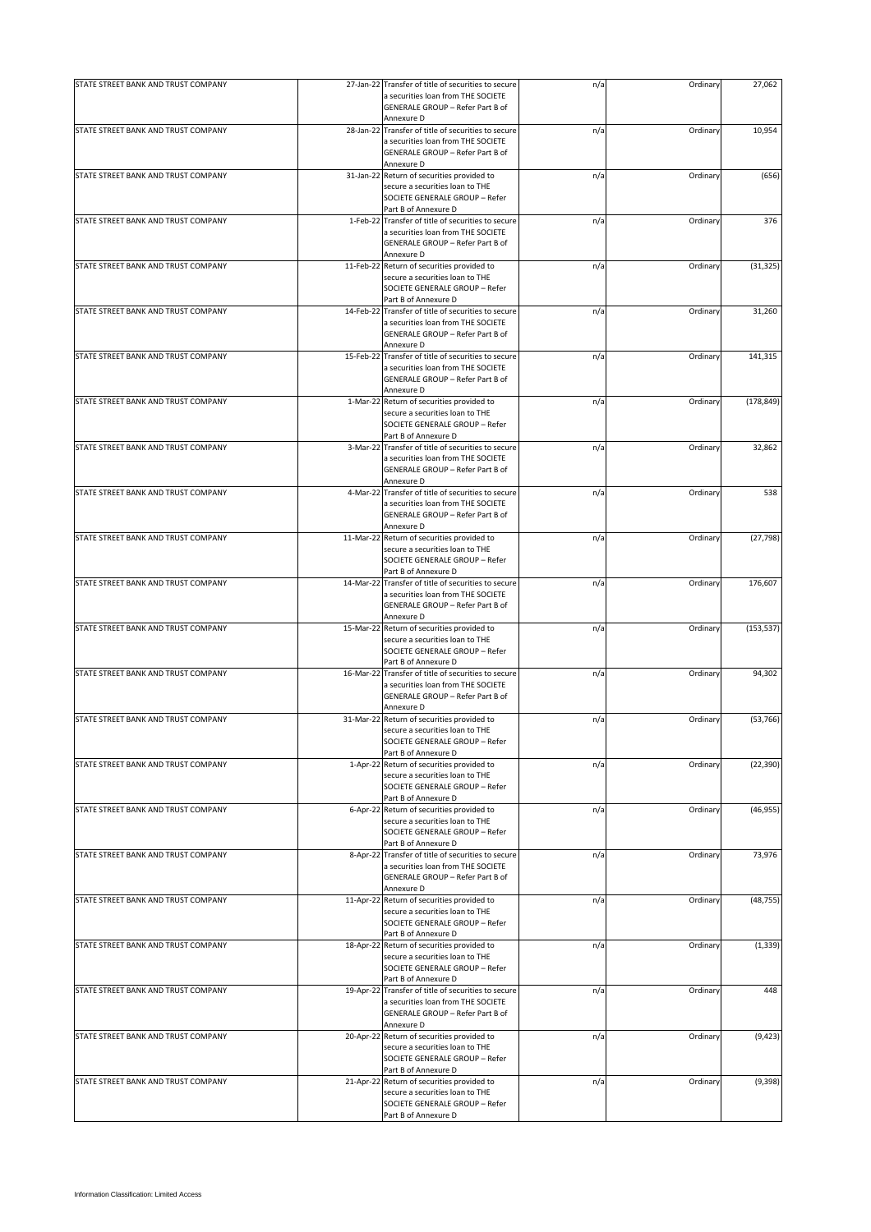| STATE STREET BANK AND TRUST COMPANY |           | 27-Jan-22 Transfer of title of securities to secure                                                                                                   | n/a | Ordinary | 27,062     |
|-------------------------------------|-----------|-------------------------------------------------------------------------------------------------------------------------------------------------------|-----|----------|------------|
|                                     |           | a securities loan from THE SOCIETE<br>GENERALE GROUP - Refer Part B of<br>Annexure D                                                                  |     |          |            |
| STATE STREET BANK AND TRUST COMPANY |           | 28-Jan-22 Transfer of title of securities to secure<br>a securities loan from THE SOCIETE<br>GENERALE GROUP - Refer Part B of                         | n/a | Ordinary | 10,954     |
| STATE STREET BANK AND TRUST COMPANY |           | Annexure D<br>31-Jan-22 Return of securities provided to<br>secure a securities loan to THE<br>SOCIETE GENERALE GROUP - Refer<br>Part B of Annexure D | n/a | Ordinary | (656)      |
| STATE STREET BANK AND TRUST COMPANY |           | 1-Feb-22 Transfer of title of securities to secure<br>a securities loan from THE SOCIETE<br>GENERALE GROUP - Refer Part B of<br>Annexure D            | n/a | Ordinary | 376        |
| STATE STREET BANK AND TRUST COMPANY |           | 11-Feb-22 Return of securities provided to<br>secure a securities loan to THE<br>SOCIETE GENERALE GROUP - Refer<br>Part B of Annexure D               | n/a | Ordinary | (31, 325)  |
| STATE STREET BANK AND TRUST COMPANY | 14-Feb-22 | Transfer of title of securities to secure<br>a securities loan from THE SOCIETE<br>GENERALE GROUP - Refer Part B of<br>Annexure D                     | n/a | Ordinary | 31,260     |
| STATE STREET BANK AND TRUST COMPANY |           | 15-Feb-22 Transfer of title of securities to secure<br>a securities loan from THE SOCIETE<br>GENERALE GROUP - Refer Part B of<br>Annexure D           | n/a | Ordinary | 141,315    |
| STATE STREET BANK AND TRUST COMPANY |           | 1-Mar-22 Return of securities provided to<br>secure a securities loan to THE<br>SOCIETE GENERALE GROUP - Refer<br>Part B of Annexure D                | n/a | Ordinary | (178, 849) |
| STATE STREET BANK AND TRUST COMPANY | 3-Mar-22  | Transfer of title of securities to secure<br>a securities loan from THE SOCIETE<br>GENERALE GROUP - Refer Part B of<br>Annexure D                     | n/a | Ordinary | 32,862     |
| STATE STREET BANK AND TRUST COMPANY |           | 4-Mar-22 Transfer of title of securities to secure<br>a securities loan from THE SOCIETE<br>GENERALE GROUP - Refer Part B of<br>Annexure D            | n/a | Ordinary | 538        |
| STATE STREET BANK AND TRUST COMPANY |           | 11-Mar-22 Return of securities provided to<br>secure a securities loan to THE<br>SOCIETE GENERALE GROUP - Refer<br>Part B of Annexure D               | n/a | Ordinary | (27, 798)  |
| STATE STREET BANK AND TRUST COMPANY |           | 14-Mar-22 Transfer of title of securities to secure<br>a securities loan from THE SOCIETE<br>GENERALE GROUP - Refer Part B of<br>Annexure D           | n/a | Ordinary | 176,607    |
| STATE STREET BANK AND TRUST COMPANY |           | 15-Mar-22 Return of securities provided to<br>secure a securities loan to THE<br>SOCIETE GENERALE GROUP - Refer<br>Part B of Annexure D               | n/a | Ordinary | (153, 537) |
| STATE STREET BANK AND TRUST COMPANY |           | 16-Mar-22 Transfer of title of securities to secure<br>a securities loan from THE SOCIETE<br>GENERALE GROUP - Refer Part B of<br>Annexure D           | n/a | Ordinary | 94,302     |
| STATE STREET BANK AND TRUST COMPANY |           | 31-Mar-22 Return of securities provided to<br>secure a securities loan to THE<br>SOCIETE GENERALE GROUP - Refer<br>Part B of Annexure D               | n/a | Ordinary | (53, 766)  |
| STATE STREET BANK AND TRUST COMPANY |           | 1-Apr-22 Return of securities provided to<br>secure a securities loan to THE<br>SOCIETE GENERALE GROUP - Refer<br>Part B of Annexure D                | n/a | Ordinary | (22, 390)  |
| STATE STREET BANK AND TRUST COMPANY |           | 6-Apr-22 Return of securities provided to<br>secure a securities loan to THE<br>SOCIETE GENERALE GROUP - Refer<br>Part B of Annexure D                | n/a | Ordinary | (46, 955)  |
| STATE STREET BANK AND TRUST COMPANY |           | 8-Apr-22 Transfer of title of securities to secure<br>a securities loan from THE SOCIETE<br>GENERALE GROUP - Refer Part B of<br>Annexure D            | n/a | Ordinary | 73,976     |
| STATE STREET BANK AND TRUST COMPANY |           | 11-Apr-22 Return of securities provided to<br>secure a securities loan to THE<br>SOCIETE GENERALE GROUP - Refer<br>Part B of Annexure D               | n/a | Ordinary | (48, 755)  |
| STATE STREET BANK AND TRUST COMPANY |           | 18-Apr-22 Return of securities provided to<br>secure a securities loan to THE<br>SOCIETE GENERALE GROUP - Refer<br>Part B of Annexure D               | n/a | Ordinary | (1, 339)   |
| STATE STREET BANK AND TRUST COMPANY |           | 19-Apr-22 Transfer of title of securities to secure<br>a securities loan from THE SOCIETE<br>GENERALE GROUP - Refer Part B of<br>Annexure D           | n/a | Ordinary | 448        |
| STATE STREET BANK AND TRUST COMPANY |           | 20-Apr-22 Return of securities provided to<br>secure a securities loan to THE<br>SOCIETE GENERALE GROUP - Refer<br>Part B of Annexure D               | n/a | Ordinary | (9, 423)   |
| STATE STREET BANK AND TRUST COMPANY |           | 21-Apr-22 Return of securities provided to<br>secure a securities loan to THE<br>SOCIETE GENERALE GROUP - Refer<br>Part B of Annexure D               | n/a | Ordinary | (9, 398)   |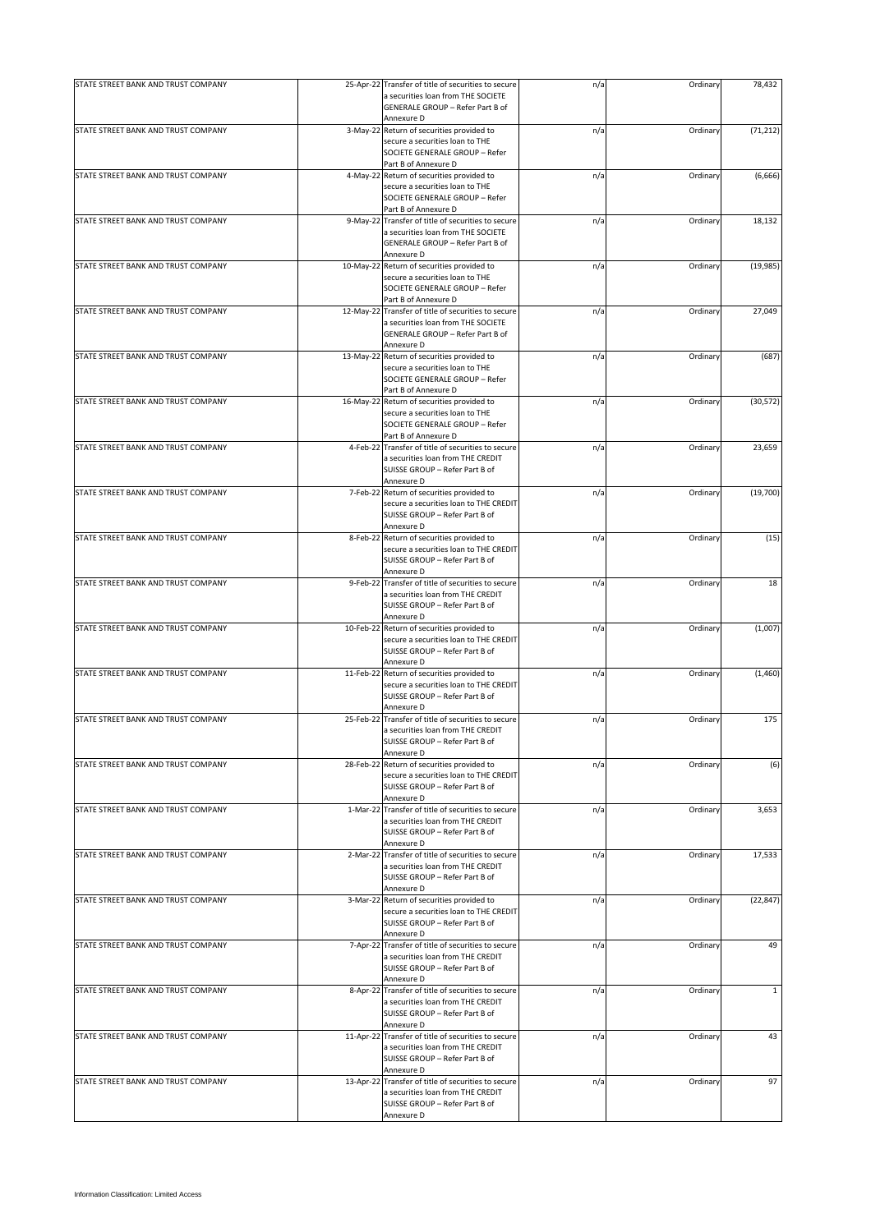| a securities loan from THE SOCIETE<br>GENERALE GROUP - Refer Part B of<br>Annexure D<br>STATE STREET BANK AND TRUST COMPANY<br>3-May-22 Return of securities provided to<br>(71, 212)<br>n/a<br>Ordinary<br>secure a securities loan to THE<br>SOCIETE GENERALE GROUP - Refer<br>Part B of Annexure D<br>STATE STREET BANK AND TRUST COMPANY<br>4-May-22 Return of securities provided to<br>(6,666)<br>n/a<br>Ordinary<br>secure a securities loan to THE<br>SOCIETE GENERALE GROUP - Refer<br>Part B of Annexure D<br>STATE STREET BANK AND TRUST COMPANY<br>9-May-22 Transfer of title of securities to secure<br>n/a<br>Ordinary<br>18,132<br>a securities loan from THE SOCIETE<br>GENERALE GROUP - Refer Part B of<br>Annexure D<br>STATE STREET BANK AND TRUST COMPANY<br>10-May-22 Return of securities provided to<br>(19, 985)<br>n/a<br>Ordinary<br>secure a securities loan to THE<br>SOCIETE GENERALE GROUP - Refer<br>Part B of Annexure D<br>STATE STREET BANK AND TRUST COMPANY<br>12-May-22 Transfer of title of securities to secure<br>27,049<br>n/a<br>Ordinary<br>a securities loan from THE SOCIETE<br>GENERALE GROUP - Refer Part B of<br>Annexure D<br>STATE STREET BANK AND TRUST COMPANY<br>13-May-22 Return of securities provided to<br>Ordinary<br>(687)<br>n/a<br>secure a securities loan to THE<br>SOCIETE GENERALE GROUP - Refer<br>Part B of Annexure D<br>STATE STREET BANK AND TRUST COMPANY<br>Ordinary<br>(30, 572)<br>16-May-22 Return of securities provided to<br>n/a<br>secure a securities loan to THE<br>SOCIETE GENERALE GROUP - Refer<br>Part B of Annexure D<br>STATE STREET BANK AND TRUST COMPANY<br>Transfer of title of securities to secure<br>23,659<br>4-Feb-22<br>n/a<br>Ordinary<br>a securities loan from THE CREDIT<br>SUISSE GROUP - Refer Part B of<br>Annexure D<br>STATE STREET BANK AND TRUST COMPANY<br>(19,700)<br>7-Feb-22 Return of securities provided to<br>Ordinary<br>n/a<br>secure a securities loan to THE CREDIT<br>SUISSE GROUP - Refer Part B of<br>Annexure D<br>STATE STREET BANK AND TRUST COMPANY<br>8-Feb-22 Return of securities provided to<br>(15)<br>n/a<br>Ordinary<br>secure a securities loan to THE CREDIT<br>SUISSE GROUP - Refer Part B of<br>Annexure D<br>STATE STREET BANK AND TRUST COMPANY<br>9-Feb-22 Transfer of title of securities to secure<br>n/a<br>Ordinary<br>18<br>a securities loan from THE CREDIT<br>SUISSE GROUP - Refer Part B of<br>Annexure D<br>STATE STREET BANK AND TRUST COMPANY<br>10-Feb-22 Return of securities provided to<br>Ordinary<br>(1,007)<br>n/a<br>secure a securities loan to THE CREDIT<br>SUISSE GROUP - Refer Part B of<br>Annexure D<br>STATE STREET BANK AND TRUST COMPANY<br>11-Feb-22 Return of securities provided to<br>n/a<br>Ordinary<br>secure a securities loan to THE CREDIT<br>SUISSE GROUP - Refer Part B of<br>Annexure D<br>STATE STREET BANK AND TRUST COMPANY<br>25-Feb-22 Transfer of title of securities to secure<br>Ordinary<br>175<br>n/a<br>a securities loan from THE CREDIT<br>SUISSE GROUP - Refer Part B of<br>Annexure D<br>STATE STREET BANK AND TRUST COMPANY<br>28-Feb-22 Return of securities provided to<br>Ordinary<br>n/a<br>secure a securities loan to THE CREDIT<br>SUISSE GROUP - Refer Part B of<br>Annexure D<br>STATE STREET BANK AND TRUST COMPANY<br>3,653<br>1-Mar-22 Transfer of title of securities to secure<br>Ordinary<br>n/a<br>a securities loan from THE CREDIT<br>SUISSE GROUP - Refer Part B of<br>Annexure D<br>STATE STREET BANK AND TRUST COMPANY<br>2-Mar-22 Transfer of title of securities to secure<br>n/a<br>Ordinary<br>17,533<br>a securities loan from THE CREDIT<br>SUISSE GROUP - Refer Part B of<br>Annexure D<br>STATE STREET BANK AND TRUST COMPANY<br>3-Mar-22 Return of securities provided to<br>(22, 847)<br>n/a<br>Ordinary<br>secure a securities loan to THE CREDIT<br>SUISSE GROUP - Refer Part B of<br>Annexure D<br>STATE STREET BANK AND TRUST COMPANY<br>7-Apr-22 Transfer of title of securities to secure<br>Ordinary<br>49<br>n/a<br>a securities loan from THE CREDIT<br>SUISSE GROUP - Refer Part B of<br>Annexure D<br>STATE STREET BANK AND TRUST COMPANY<br>8-Apr-22 Transfer of title of securities to secure<br>Ordinary<br>$\mathbf{1}$<br>n/a<br>a securities loan from THE CREDIT<br>SUISSE GROUP - Refer Part B of<br>Annexure D<br>STATE STREET BANK AND TRUST COMPANY<br>11-Apr-22 Transfer of title of securities to secure<br>n/a<br>Ordinary<br>43<br>a securities loan from THE CREDIT<br>SUISSE GROUP - Refer Part B of<br>Annexure D<br>97<br>STATE STREET BANK AND TRUST COMPANY<br>13-Apr-22 Transfer of title of securities to secure<br>n/a<br>Ordinary<br>a securities loan from THE CREDIT<br>SUISSE GROUP - Refer Part B of<br>Annexure D | STATE STREET BANK AND TRUST COMPANY | 25-Apr-22 Transfer of title of securities to secure | n/a | Ordinary | 78,432 |
|-------------------------------------------------------------------------------------------------------------------------------------------------------------------------------------------------------------------------------------------------------------------------------------------------------------------------------------------------------------------------------------------------------------------------------------------------------------------------------------------------------------------------------------------------------------------------------------------------------------------------------------------------------------------------------------------------------------------------------------------------------------------------------------------------------------------------------------------------------------------------------------------------------------------------------------------------------------------------------------------------------------------------------------------------------------------------------------------------------------------------------------------------------------------------------------------------------------------------------------------------------------------------------------------------------------------------------------------------------------------------------------------------------------------------------------------------------------------------------------------------------------------------------------------------------------------------------------------------------------------------------------------------------------------------------------------------------------------------------------------------------------------------------------------------------------------------------------------------------------------------------------------------------------------------------------------------------------------------------------------------------------------------------------------------------------------------------------------------------------------------------------------------------------------------------------------------------------------------------------------------------------------------------------------------------------------------------------------------------------------------------------------------------------------------------------------------------------------------------------------------------------------------------------------------------------------------------------------------------------------------------------------------------------------------------------------------------------------------------------------------------------------------------------------------------------------------------------------------------------------------------------------------------------------------------------------------------------------------------------------------------------------------------------------------------------------------------------------------------------------------------------------------------------------------------------------------------------------------------------------------------------------------------------------------------------------------------------------------------------------------------------------------------------------------------------------------------------------------------------------------------------------------------------------------------------------------------------------------------------------------------------------------------------------------------------------------------------------------------------------------------------------------------------------------------------------------------------------------------------------------------------------------------------------------------------------------------------------------------------------------------------------------------------------------------------------------------------------------------------------------------------------------------------------------------------------------------------------------------------------------------------------------------------------------------------------------------------------------------------------------------------------------------------------------------------------------------------------------------------------------------------------------------------------------------------------------------------------------------------------------------------------------------------------------------------------------------------------------------------------------------------------------------------------------|-------------------------------------|-----------------------------------------------------|-----|----------|--------|
|                                                                                                                                                                                                                                                                                                                                                                                                                                                                                                                                                                                                                                                                                                                                                                                                                                                                                                                                                                                                                                                                                                                                                                                                                                                                                                                                                                                                                                                                                                                                                                                                                                                                                                                                                                                                                                                                                                                                                                                                                                                                                                                                                                                                                                                                                                                                                                                                                                                                                                                                                                                                                                                                                                                                                                                                                                                                                                                                                                                                                                                                                                                                                                                                                                                                                                                                                                                                                                                                                                                                                                                                                                                                                                                                                                                                                                                                                                                                                                                                                                                                                                                                                                                                                                                                                                                                                                                                                                                                                                                                                                                                                                                                                                                                                                                                 |                                     |                                                     |     |          |        |
|                                                                                                                                                                                                                                                                                                                                                                                                                                                                                                                                                                                                                                                                                                                                                                                                                                                                                                                                                                                                                                                                                                                                                                                                                                                                                                                                                                                                                                                                                                                                                                                                                                                                                                                                                                                                                                                                                                                                                                                                                                                                                                                                                                                                                                                                                                                                                                                                                                                                                                                                                                                                                                                                                                                                                                                                                                                                                                                                                                                                                                                                                                                                                                                                                                                                                                                                                                                                                                                                                                                                                                                                                                                                                                                                                                                                                                                                                                                                                                                                                                                                                                                                                                                                                                                                                                                                                                                                                                                                                                                                                                                                                                                                                                                                                                                                 |                                     |                                                     |     |          |        |
|                                                                                                                                                                                                                                                                                                                                                                                                                                                                                                                                                                                                                                                                                                                                                                                                                                                                                                                                                                                                                                                                                                                                                                                                                                                                                                                                                                                                                                                                                                                                                                                                                                                                                                                                                                                                                                                                                                                                                                                                                                                                                                                                                                                                                                                                                                                                                                                                                                                                                                                                                                                                                                                                                                                                                                                                                                                                                                                                                                                                                                                                                                                                                                                                                                                                                                                                                                                                                                                                                                                                                                                                                                                                                                                                                                                                                                                                                                                                                                                                                                                                                                                                                                                                                                                                                                                                                                                                                                                                                                                                                                                                                                                                                                                                                                                                 |                                     |                                                     |     |          |        |
|                                                                                                                                                                                                                                                                                                                                                                                                                                                                                                                                                                                                                                                                                                                                                                                                                                                                                                                                                                                                                                                                                                                                                                                                                                                                                                                                                                                                                                                                                                                                                                                                                                                                                                                                                                                                                                                                                                                                                                                                                                                                                                                                                                                                                                                                                                                                                                                                                                                                                                                                                                                                                                                                                                                                                                                                                                                                                                                                                                                                                                                                                                                                                                                                                                                                                                                                                                                                                                                                                                                                                                                                                                                                                                                                                                                                                                                                                                                                                                                                                                                                                                                                                                                                                                                                                                                                                                                                                                                                                                                                                                                                                                                                                                                                                                                                 |                                     |                                                     |     |          |        |
|                                                                                                                                                                                                                                                                                                                                                                                                                                                                                                                                                                                                                                                                                                                                                                                                                                                                                                                                                                                                                                                                                                                                                                                                                                                                                                                                                                                                                                                                                                                                                                                                                                                                                                                                                                                                                                                                                                                                                                                                                                                                                                                                                                                                                                                                                                                                                                                                                                                                                                                                                                                                                                                                                                                                                                                                                                                                                                                                                                                                                                                                                                                                                                                                                                                                                                                                                                                                                                                                                                                                                                                                                                                                                                                                                                                                                                                                                                                                                                                                                                                                                                                                                                                                                                                                                                                                                                                                                                                                                                                                                                                                                                                                                                                                                                                                 |                                     |                                                     |     |          |        |
|                                                                                                                                                                                                                                                                                                                                                                                                                                                                                                                                                                                                                                                                                                                                                                                                                                                                                                                                                                                                                                                                                                                                                                                                                                                                                                                                                                                                                                                                                                                                                                                                                                                                                                                                                                                                                                                                                                                                                                                                                                                                                                                                                                                                                                                                                                                                                                                                                                                                                                                                                                                                                                                                                                                                                                                                                                                                                                                                                                                                                                                                                                                                                                                                                                                                                                                                                                                                                                                                                                                                                                                                                                                                                                                                                                                                                                                                                                                                                                                                                                                                                                                                                                                                                                                                                                                                                                                                                                                                                                                                                                                                                                                                                                                                                                                                 |                                     |                                                     |     |          |        |
| (1,460)<br>(6)                                                                                                                                                                                                                                                                                                                                                                                                                                                                                                                                                                                                                                                                                                                                                                                                                                                                                                                                                                                                                                                                                                                                                                                                                                                                                                                                                                                                                                                                                                                                                                                                                                                                                                                                                                                                                                                                                                                                                                                                                                                                                                                                                                                                                                                                                                                                                                                                                                                                                                                                                                                                                                                                                                                                                                                                                                                                                                                                                                                                                                                                                                                                                                                                                                                                                                                                                                                                                                                                                                                                                                                                                                                                                                                                                                                                                                                                                                                                                                                                                                                                                                                                                                                                                                                                                                                                                                                                                                                                                                                                                                                                                                                                                                                                                                                  |                                     |                                                     |     |          |        |
|                                                                                                                                                                                                                                                                                                                                                                                                                                                                                                                                                                                                                                                                                                                                                                                                                                                                                                                                                                                                                                                                                                                                                                                                                                                                                                                                                                                                                                                                                                                                                                                                                                                                                                                                                                                                                                                                                                                                                                                                                                                                                                                                                                                                                                                                                                                                                                                                                                                                                                                                                                                                                                                                                                                                                                                                                                                                                                                                                                                                                                                                                                                                                                                                                                                                                                                                                                                                                                                                                                                                                                                                                                                                                                                                                                                                                                                                                                                                                                                                                                                                                                                                                                                                                                                                                                                                                                                                                                                                                                                                                                                                                                                                                                                                                                                                 |                                     |                                                     |     |          |        |
|                                                                                                                                                                                                                                                                                                                                                                                                                                                                                                                                                                                                                                                                                                                                                                                                                                                                                                                                                                                                                                                                                                                                                                                                                                                                                                                                                                                                                                                                                                                                                                                                                                                                                                                                                                                                                                                                                                                                                                                                                                                                                                                                                                                                                                                                                                                                                                                                                                                                                                                                                                                                                                                                                                                                                                                                                                                                                                                                                                                                                                                                                                                                                                                                                                                                                                                                                                                                                                                                                                                                                                                                                                                                                                                                                                                                                                                                                                                                                                                                                                                                                                                                                                                                                                                                                                                                                                                                                                                                                                                                                                                                                                                                                                                                                                                                 |                                     |                                                     |     |          |        |
|                                                                                                                                                                                                                                                                                                                                                                                                                                                                                                                                                                                                                                                                                                                                                                                                                                                                                                                                                                                                                                                                                                                                                                                                                                                                                                                                                                                                                                                                                                                                                                                                                                                                                                                                                                                                                                                                                                                                                                                                                                                                                                                                                                                                                                                                                                                                                                                                                                                                                                                                                                                                                                                                                                                                                                                                                                                                                                                                                                                                                                                                                                                                                                                                                                                                                                                                                                                                                                                                                                                                                                                                                                                                                                                                                                                                                                                                                                                                                                                                                                                                                                                                                                                                                                                                                                                                                                                                                                                                                                                                                                                                                                                                                                                                                                                                 |                                     |                                                     |     |          |        |
|                                                                                                                                                                                                                                                                                                                                                                                                                                                                                                                                                                                                                                                                                                                                                                                                                                                                                                                                                                                                                                                                                                                                                                                                                                                                                                                                                                                                                                                                                                                                                                                                                                                                                                                                                                                                                                                                                                                                                                                                                                                                                                                                                                                                                                                                                                                                                                                                                                                                                                                                                                                                                                                                                                                                                                                                                                                                                                                                                                                                                                                                                                                                                                                                                                                                                                                                                                                                                                                                                                                                                                                                                                                                                                                                                                                                                                                                                                                                                                                                                                                                                                                                                                                                                                                                                                                                                                                                                                                                                                                                                                                                                                                                                                                                                                                                 |                                     |                                                     |     |          |        |
|                                                                                                                                                                                                                                                                                                                                                                                                                                                                                                                                                                                                                                                                                                                                                                                                                                                                                                                                                                                                                                                                                                                                                                                                                                                                                                                                                                                                                                                                                                                                                                                                                                                                                                                                                                                                                                                                                                                                                                                                                                                                                                                                                                                                                                                                                                                                                                                                                                                                                                                                                                                                                                                                                                                                                                                                                                                                                                                                                                                                                                                                                                                                                                                                                                                                                                                                                                                                                                                                                                                                                                                                                                                                                                                                                                                                                                                                                                                                                                                                                                                                                                                                                                                                                                                                                                                                                                                                                                                                                                                                                                                                                                                                                                                                                                                                 |                                     |                                                     |     |          |        |
|                                                                                                                                                                                                                                                                                                                                                                                                                                                                                                                                                                                                                                                                                                                                                                                                                                                                                                                                                                                                                                                                                                                                                                                                                                                                                                                                                                                                                                                                                                                                                                                                                                                                                                                                                                                                                                                                                                                                                                                                                                                                                                                                                                                                                                                                                                                                                                                                                                                                                                                                                                                                                                                                                                                                                                                                                                                                                                                                                                                                                                                                                                                                                                                                                                                                                                                                                                                                                                                                                                                                                                                                                                                                                                                                                                                                                                                                                                                                                                                                                                                                                                                                                                                                                                                                                                                                                                                                                                                                                                                                                                                                                                                                                                                                                                                                 |                                     |                                                     |     |          |        |
|                                                                                                                                                                                                                                                                                                                                                                                                                                                                                                                                                                                                                                                                                                                                                                                                                                                                                                                                                                                                                                                                                                                                                                                                                                                                                                                                                                                                                                                                                                                                                                                                                                                                                                                                                                                                                                                                                                                                                                                                                                                                                                                                                                                                                                                                                                                                                                                                                                                                                                                                                                                                                                                                                                                                                                                                                                                                                                                                                                                                                                                                                                                                                                                                                                                                                                                                                                                                                                                                                                                                                                                                                                                                                                                                                                                                                                                                                                                                                                                                                                                                                                                                                                                                                                                                                                                                                                                                                                                                                                                                                                                                                                                                                                                                                                                                 |                                     |                                                     |     |          |        |
|                                                                                                                                                                                                                                                                                                                                                                                                                                                                                                                                                                                                                                                                                                                                                                                                                                                                                                                                                                                                                                                                                                                                                                                                                                                                                                                                                                                                                                                                                                                                                                                                                                                                                                                                                                                                                                                                                                                                                                                                                                                                                                                                                                                                                                                                                                                                                                                                                                                                                                                                                                                                                                                                                                                                                                                                                                                                                                                                                                                                                                                                                                                                                                                                                                                                                                                                                                                                                                                                                                                                                                                                                                                                                                                                                                                                                                                                                                                                                                                                                                                                                                                                                                                                                                                                                                                                                                                                                                                                                                                                                                                                                                                                                                                                                                                                 |                                     |                                                     |     |          |        |
|                                                                                                                                                                                                                                                                                                                                                                                                                                                                                                                                                                                                                                                                                                                                                                                                                                                                                                                                                                                                                                                                                                                                                                                                                                                                                                                                                                                                                                                                                                                                                                                                                                                                                                                                                                                                                                                                                                                                                                                                                                                                                                                                                                                                                                                                                                                                                                                                                                                                                                                                                                                                                                                                                                                                                                                                                                                                                                                                                                                                                                                                                                                                                                                                                                                                                                                                                                                                                                                                                                                                                                                                                                                                                                                                                                                                                                                                                                                                                                                                                                                                                                                                                                                                                                                                                                                                                                                                                                                                                                                                                                                                                                                                                                                                                                                                 |                                     |                                                     |     |          |        |
|                                                                                                                                                                                                                                                                                                                                                                                                                                                                                                                                                                                                                                                                                                                                                                                                                                                                                                                                                                                                                                                                                                                                                                                                                                                                                                                                                                                                                                                                                                                                                                                                                                                                                                                                                                                                                                                                                                                                                                                                                                                                                                                                                                                                                                                                                                                                                                                                                                                                                                                                                                                                                                                                                                                                                                                                                                                                                                                                                                                                                                                                                                                                                                                                                                                                                                                                                                                                                                                                                                                                                                                                                                                                                                                                                                                                                                                                                                                                                                                                                                                                                                                                                                                                                                                                                                                                                                                                                                                                                                                                                                                                                                                                                                                                                                                                 |                                     |                                                     |     |          |        |
|                                                                                                                                                                                                                                                                                                                                                                                                                                                                                                                                                                                                                                                                                                                                                                                                                                                                                                                                                                                                                                                                                                                                                                                                                                                                                                                                                                                                                                                                                                                                                                                                                                                                                                                                                                                                                                                                                                                                                                                                                                                                                                                                                                                                                                                                                                                                                                                                                                                                                                                                                                                                                                                                                                                                                                                                                                                                                                                                                                                                                                                                                                                                                                                                                                                                                                                                                                                                                                                                                                                                                                                                                                                                                                                                                                                                                                                                                                                                                                                                                                                                                                                                                                                                                                                                                                                                                                                                                                                                                                                                                                                                                                                                                                                                                                                                 |                                     |                                                     |     |          |        |
|                                                                                                                                                                                                                                                                                                                                                                                                                                                                                                                                                                                                                                                                                                                                                                                                                                                                                                                                                                                                                                                                                                                                                                                                                                                                                                                                                                                                                                                                                                                                                                                                                                                                                                                                                                                                                                                                                                                                                                                                                                                                                                                                                                                                                                                                                                                                                                                                                                                                                                                                                                                                                                                                                                                                                                                                                                                                                                                                                                                                                                                                                                                                                                                                                                                                                                                                                                                                                                                                                                                                                                                                                                                                                                                                                                                                                                                                                                                                                                                                                                                                                                                                                                                                                                                                                                                                                                                                                                                                                                                                                                                                                                                                                                                                                                                                 |                                     |                                                     |     |          |        |
|                                                                                                                                                                                                                                                                                                                                                                                                                                                                                                                                                                                                                                                                                                                                                                                                                                                                                                                                                                                                                                                                                                                                                                                                                                                                                                                                                                                                                                                                                                                                                                                                                                                                                                                                                                                                                                                                                                                                                                                                                                                                                                                                                                                                                                                                                                                                                                                                                                                                                                                                                                                                                                                                                                                                                                                                                                                                                                                                                                                                                                                                                                                                                                                                                                                                                                                                                                                                                                                                                                                                                                                                                                                                                                                                                                                                                                                                                                                                                                                                                                                                                                                                                                                                                                                                                                                                                                                                                                                                                                                                                                                                                                                                                                                                                                                                 |                                     |                                                     |     |          |        |
|                                                                                                                                                                                                                                                                                                                                                                                                                                                                                                                                                                                                                                                                                                                                                                                                                                                                                                                                                                                                                                                                                                                                                                                                                                                                                                                                                                                                                                                                                                                                                                                                                                                                                                                                                                                                                                                                                                                                                                                                                                                                                                                                                                                                                                                                                                                                                                                                                                                                                                                                                                                                                                                                                                                                                                                                                                                                                                                                                                                                                                                                                                                                                                                                                                                                                                                                                                                                                                                                                                                                                                                                                                                                                                                                                                                                                                                                                                                                                                                                                                                                                                                                                                                                                                                                                                                                                                                                                                                                                                                                                                                                                                                                                                                                                                                                 |                                     |                                                     |     |          |        |
|                                                                                                                                                                                                                                                                                                                                                                                                                                                                                                                                                                                                                                                                                                                                                                                                                                                                                                                                                                                                                                                                                                                                                                                                                                                                                                                                                                                                                                                                                                                                                                                                                                                                                                                                                                                                                                                                                                                                                                                                                                                                                                                                                                                                                                                                                                                                                                                                                                                                                                                                                                                                                                                                                                                                                                                                                                                                                                                                                                                                                                                                                                                                                                                                                                                                                                                                                                                                                                                                                                                                                                                                                                                                                                                                                                                                                                                                                                                                                                                                                                                                                                                                                                                                                                                                                                                                                                                                                                                                                                                                                                                                                                                                                                                                                                                                 |                                     |                                                     |     |          |        |
|                                                                                                                                                                                                                                                                                                                                                                                                                                                                                                                                                                                                                                                                                                                                                                                                                                                                                                                                                                                                                                                                                                                                                                                                                                                                                                                                                                                                                                                                                                                                                                                                                                                                                                                                                                                                                                                                                                                                                                                                                                                                                                                                                                                                                                                                                                                                                                                                                                                                                                                                                                                                                                                                                                                                                                                                                                                                                                                                                                                                                                                                                                                                                                                                                                                                                                                                                                                                                                                                                                                                                                                                                                                                                                                                                                                                                                                                                                                                                                                                                                                                                                                                                                                                                                                                                                                                                                                                                                                                                                                                                                                                                                                                                                                                                                                                 |                                     |                                                     |     |          |        |
|                                                                                                                                                                                                                                                                                                                                                                                                                                                                                                                                                                                                                                                                                                                                                                                                                                                                                                                                                                                                                                                                                                                                                                                                                                                                                                                                                                                                                                                                                                                                                                                                                                                                                                                                                                                                                                                                                                                                                                                                                                                                                                                                                                                                                                                                                                                                                                                                                                                                                                                                                                                                                                                                                                                                                                                                                                                                                                                                                                                                                                                                                                                                                                                                                                                                                                                                                                                                                                                                                                                                                                                                                                                                                                                                                                                                                                                                                                                                                                                                                                                                                                                                                                                                                                                                                                                                                                                                                                                                                                                                                                                                                                                                                                                                                                                                 |                                     |                                                     |     |          |        |
|                                                                                                                                                                                                                                                                                                                                                                                                                                                                                                                                                                                                                                                                                                                                                                                                                                                                                                                                                                                                                                                                                                                                                                                                                                                                                                                                                                                                                                                                                                                                                                                                                                                                                                                                                                                                                                                                                                                                                                                                                                                                                                                                                                                                                                                                                                                                                                                                                                                                                                                                                                                                                                                                                                                                                                                                                                                                                                                                                                                                                                                                                                                                                                                                                                                                                                                                                                                                                                                                                                                                                                                                                                                                                                                                                                                                                                                                                                                                                                                                                                                                                                                                                                                                                                                                                                                                                                                                                                                                                                                                                                                                                                                                                                                                                                                                 |                                     |                                                     |     |          |        |
|                                                                                                                                                                                                                                                                                                                                                                                                                                                                                                                                                                                                                                                                                                                                                                                                                                                                                                                                                                                                                                                                                                                                                                                                                                                                                                                                                                                                                                                                                                                                                                                                                                                                                                                                                                                                                                                                                                                                                                                                                                                                                                                                                                                                                                                                                                                                                                                                                                                                                                                                                                                                                                                                                                                                                                                                                                                                                                                                                                                                                                                                                                                                                                                                                                                                                                                                                                                                                                                                                                                                                                                                                                                                                                                                                                                                                                                                                                                                                                                                                                                                                                                                                                                                                                                                                                                                                                                                                                                                                                                                                                                                                                                                                                                                                                                                 |                                     |                                                     |     |          |        |
|                                                                                                                                                                                                                                                                                                                                                                                                                                                                                                                                                                                                                                                                                                                                                                                                                                                                                                                                                                                                                                                                                                                                                                                                                                                                                                                                                                                                                                                                                                                                                                                                                                                                                                                                                                                                                                                                                                                                                                                                                                                                                                                                                                                                                                                                                                                                                                                                                                                                                                                                                                                                                                                                                                                                                                                                                                                                                                                                                                                                                                                                                                                                                                                                                                                                                                                                                                                                                                                                                                                                                                                                                                                                                                                                                                                                                                                                                                                                                                                                                                                                                                                                                                                                                                                                                                                                                                                                                                                                                                                                                                                                                                                                                                                                                                                                 |                                     |                                                     |     |          |        |
|                                                                                                                                                                                                                                                                                                                                                                                                                                                                                                                                                                                                                                                                                                                                                                                                                                                                                                                                                                                                                                                                                                                                                                                                                                                                                                                                                                                                                                                                                                                                                                                                                                                                                                                                                                                                                                                                                                                                                                                                                                                                                                                                                                                                                                                                                                                                                                                                                                                                                                                                                                                                                                                                                                                                                                                                                                                                                                                                                                                                                                                                                                                                                                                                                                                                                                                                                                                                                                                                                                                                                                                                                                                                                                                                                                                                                                                                                                                                                                                                                                                                                                                                                                                                                                                                                                                                                                                                                                                                                                                                                                                                                                                                                                                                                                                                 |                                     |                                                     |     |          |        |
|                                                                                                                                                                                                                                                                                                                                                                                                                                                                                                                                                                                                                                                                                                                                                                                                                                                                                                                                                                                                                                                                                                                                                                                                                                                                                                                                                                                                                                                                                                                                                                                                                                                                                                                                                                                                                                                                                                                                                                                                                                                                                                                                                                                                                                                                                                                                                                                                                                                                                                                                                                                                                                                                                                                                                                                                                                                                                                                                                                                                                                                                                                                                                                                                                                                                                                                                                                                                                                                                                                                                                                                                                                                                                                                                                                                                                                                                                                                                                                                                                                                                                                                                                                                                                                                                                                                                                                                                                                                                                                                                                                                                                                                                                                                                                                                                 |                                     |                                                     |     |          |        |
|                                                                                                                                                                                                                                                                                                                                                                                                                                                                                                                                                                                                                                                                                                                                                                                                                                                                                                                                                                                                                                                                                                                                                                                                                                                                                                                                                                                                                                                                                                                                                                                                                                                                                                                                                                                                                                                                                                                                                                                                                                                                                                                                                                                                                                                                                                                                                                                                                                                                                                                                                                                                                                                                                                                                                                                                                                                                                                                                                                                                                                                                                                                                                                                                                                                                                                                                                                                                                                                                                                                                                                                                                                                                                                                                                                                                                                                                                                                                                                                                                                                                                                                                                                                                                                                                                                                                                                                                                                                                                                                                                                                                                                                                                                                                                                                                 |                                     |                                                     |     |          |        |
|                                                                                                                                                                                                                                                                                                                                                                                                                                                                                                                                                                                                                                                                                                                                                                                                                                                                                                                                                                                                                                                                                                                                                                                                                                                                                                                                                                                                                                                                                                                                                                                                                                                                                                                                                                                                                                                                                                                                                                                                                                                                                                                                                                                                                                                                                                                                                                                                                                                                                                                                                                                                                                                                                                                                                                                                                                                                                                                                                                                                                                                                                                                                                                                                                                                                                                                                                                                                                                                                                                                                                                                                                                                                                                                                                                                                                                                                                                                                                                                                                                                                                                                                                                                                                                                                                                                                                                                                                                                                                                                                                                                                                                                                                                                                                                                                 |                                     |                                                     |     |          |        |
|                                                                                                                                                                                                                                                                                                                                                                                                                                                                                                                                                                                                                                                                                                                                                                                                                                                                                                                                                                                                                                                                                                                                                                                                                                                                                                                                                                                                                                                                                                                                                                                                                                                                                                                                                                                                                                                                                                                                                                                                                                                                                                                                                                                                                                                                                                                                                                                                                                                                                                                                                                                                                                                                                                                                                                                                                                                                                                                                                                                                                                                                                                                                                                                                                                                                                                                                                                                                                                                                                                                                                                                                                                                                                                                                                                                                                                                                                                                                                                                                                                                                                                                                                                                                                                                                                                                                                                                                                                                                                                                                                                                                                                                                                                                                                                                                 |                                     |                                                     |     |          |        |
|                                                                                                                                                                                                                                                                                                                                                                                                                                                                                                                                                                                                                                                                                                                                                                                                                                                                                                                                                                                                                                                                                                                                                                                                                                                                                                                                                                                                                                                                                                                                                                                                                                                                                                                                                                                                                                                                                                                                                                                                                                                                                                                                                                                                                                                                                                                                                                                                                                                                                                                                                                                                                                                                                                                                                                                                                                                                                                                                                                                                                                                                                                                                                                                                                                                                                                                                                                                                                                                                                                                                                                                                                                                                                                                                                                                                                                                                                                                                                                                                                                                                                                                                                                                                                                                                                                                                                                                                                                                                                                                                                                                                                                                                                                                                                                                                 |                                     |                                                     |     |          |        |
|                                                                                                                                                                                                                                                                                                                                                                                                                                                                                                                                                                                                                                                                                                                                                                                                                                                                                                                                                                                                                                                                                                                                                                                                                                                                                                                                                                                                                                                                                                                                                                                                                                                                                                                                                                                                                                                                                                                                                                                                                                                                                                                                                                                                                                                                                                                                                                                                                                                                                                                                                                                                                                                                                                                                                                                                                                                                                                                                                                                                                                                                                                                                                                                                                                                                                                                                                                                                                                                                                                                                                                                                                                                                                                                                                                                                                                                                                                                                                                                                                                                                                                                                                                                                                                                                                                                                                                                                                                                                                                                                                                                                                                                                                                                                                                                                 |                                     |                                                     |     |          |        |
|                                                                                                                                                                                                                                                                                                                                                                                                                                                                                                                                                                                                                                                                                                                                                                                                                                                                                                                                                                                                                                                                                                                                                                                                                                                                                                                                                                                                                                                                                                                                                                                                                                                                                                                                                                                                                                                                                                                                                                                                                                                                                                                                                                                                                                                                                                                                                                                                                                                                                                                                                                                                                                                                                                                                                                                                                                                                                                                                                                                                                                                                                                                                                                                                                                                                                                                                                                                                                                                                                                                                                                                                                                                                                                                                                                                                                                                                                                                                                                                                                                                                                                                                                                                                                                                                                                                                                                                                                                                                                                                                                                                                                                                                                                                                                                                                 |                                     |                                                     |     |          |        |
|                                                                                                                                                                                                                                                                                                                                                                                                                                                                                                                                                                                                                                                                                                                                                                                                                                                                                                                                                                                                                                                                                                                                                                                                                                                                                                                                                                                                                                                                                                                                                                                                                                                                                                                                                                                                                                                                                                                                                                                                                                                                                                                                                                                                                                                                                                                                                                                                                                                                                                                                                                                                                                                                                                                                                                                                                                                                                                                                                                                                                                                                                                                                                                                                                                                                                                                                                                                                                                                                                                                                                                                                                                                                                                                                                                                                                                                                                                                                                                                                                                                                                                                                                                                                                                                                                                                                                                                                                                                                                                                                                                                                                                                                                                                                                                                                 |                                     |                                                     |     |          |        |
|                                                                                                                                                                                                                                                                                                                                                                                                                                                                                                                                                                                                                                                                                                                                                                                                                                                                                                                                                                                                                                                                                                                                                                                                                                                                                                                                                                                                                                                                                                                                                                                                                                                                                                                                                                                                                                                                                                                                                                                                                                                                                                                                                                                                                                                                                                                                                                                                                                                                                                                                                                                                                                                                                                                                                                                                                                                                                                                                                                                                                                                                                                                                                                                                                                                                                                                                                                                                                                                                                                                                                                                                                                                                                                                                                                                                                                                                                                                                                                                                                                                                                                                                                                                                                                                                                                                                                                                                                                                                                                                                                                                                                                                                                                                                                                                                 |                                     |                                                     |     |          |        |
|                                                                                                                                                                                                                                                                                                                                                                                                                                                                                                                                                                                                                                                                                                                                                                                                                                                                                                                                                                                                                                                                                                                                                                                                                                                                                                                                                                                                                                                                                                                                                                                                                                                                                                                                                                                                                                                                                                                                                                                                                                                                                                                                                                                                                                                                                                                                                                                                                                                                                                                                                                                                                                                                                                                                                                                                                                                                                                                                                                                                                                                                                                                                                                                                                                                                                                                                                                                                                                                                                                                                                                                                                                                                                                                                                                                                                                                                                                                                                                                                                                                                                                                                                                                                                                                                                                                                                                                                                                                                                                                                                                                                                                                                                                                                                                                                 |                                     |                                                     |     |          |        |
|                                                                                                                                                                                                                                                                                                                                                                                                                                                                                                                                                                                                                                                                                                                                                                                                                                                                                                                                                                                                                                                                                                                                                                                                                                                                                                                                                                                                                                                                                                                                                                                                                                                                                                                                                                                                                                                                                                                                                                                                                                                                                                                                                                                                                                                                                                                                                                                                                                                                                                                                                                                                                                                                                                                                                                                                                                                                                                                                                                                                                                                                                                                                                                                                                                                                                                                                                                                                                                                                                                                                                                                                                                                                                                                                                                                                                                                                                                                                                                                                                                                                                                                                                                                                                                                                                                                                                                                                                                                                                                                                                                                                                                                                                                                                                                                                 |                                     |                                                     |     |          |        |
|                                                                                                                                                                                                                                                                                                                                                                                                                                                                                                                                                                                                                                                                                                                                                                                                                                                                                                                                                                                                                                                                                                                                                                                                                                                                                                                                                                                                                                                                                                                                                                                                                                                                                                                                                                                                                                                                                                                                                                                                                                                                                                                                                                                                                                                                                                                                                                                                                                                                                                                                                                                                                                                                                                                                                                                                                                                                                                                                                                                                                                                                                                                                                                                                                                                                                                                                                                                                                                                                                                                                                                                                                                                                                                                                                                                                                                                                                                                                                                                                                                                                                                                                                                                                                                                                                                                                                                                                                                                                                                                                                                                                                                                                                                                                                                                                 |                                     |                                                     |     |          |        |
|                                                                                                                                                                                                                                                                                                                                                                                                                                                                                                                                                                                                                                                                                                                                                                                                                                                                                                                                                                                                                                                                                                                                                                                                                                                                                                                                                                                                                                                                                                                                                                                                                                                                                                                                                                                                                                                                                                                                                                                                                                                                                                                                                                                                                                                                                                                                                                                                                                                                                                                                                                                                                                                                                                                                                                                                                                                                                                                                                                                                                                                                                                                                                                                                                                                                                                                                                                                                                                                                                                                                                                                                                                                                                                                                                                                                                                                                                                                                                                                                                                                                                                                                                                                                                                                                                                                                                                                                                                                                                                                                                                                                                                                                                                                                                                                                 |                                     |                                                     |     |          |        |
|                                                                                                                                                                                                                                                                                                                                                                                                                                                                                                                                                                                                                                                                                                                                                                                                                                                                                                                                                                                                                                                                                                                                                                                                                                                                                                                                                                                                                                                                                                                                                                                                                                                                                                                                                                                                                                                                                                                                                                                                                                                                                                                                                                                                                                                                                                                                                                                                                                                                                                                                                                                                                                                                                                                                                                                                                                                                                                                                                                                                                                                                                                                                                                                                                                                                                                                                                                                                                                                                                                                                                                                                                                                                                                                                                                                                                                                                                                                                                                                                                                                                                                                                                                                                                                                                                                                                                                                                                                                                                                                                                                                                                                                                                                                                                                                                 |                                     |                                                     |     |          |        |
|                                                                                                                                                                                                                                                                                                                                                                                                                                                                                                                                                                                                                                                                                                                                                                                                                                                                                                                                                                                                                                                                                                                                                                                                                                                                                                                                                                                                                                                                                                                                                                                                                                                                                                                                                                                                                                                                                                                                                                                                                                                                                                                                                                                                                                                                                                                                                                                                                                                                                                                                                                                                                                                                                                                                                                                                                                                                                                                                                                                                                                                                                                                                                                                                                                                                                                                                                                                                                                                                                                                                                                                                                                                                                                                                                                                                                                                                                                                                                                                                                                                                                                                                                                                                                                                                                                                                                                                                                                                                                                                                                                                                                                                                                                                                                                                                 |                                     |                                                     |     |          |        |
|                                                                                                                                                                                                                                                                                                                                                                                                                                                                                                                                                                                                                                                                                                                                                                                                                                                                                                                                                                                                                                                                                                                                                                                                                                                                                                                                                                                                                                                                                                                                                                                                                                                                                                                                                                                                                                                                                                                                                                                                                                                                                                                                                                                                                                                                                                                                                                                                                                                                                                                                                                                                                                                                                                                                                                                                                                                                                                                                                                                                                                                                                                                                                                                                                                                                                                                                                                                                                                                                                                                                                                                                                                                                                                                                                                                                                                                                                                                                                                                                                                                                                                                                                                                                                                                                                                                                                                                                                                                                                                                                                                                                                                                                                                                                                                                                 |                                     |                                                     |     |          |        |
|                                                                                                                                                                                                                                                                                                                                                                                                                                                                                                                                                                                                                                                                                                                                                                                                                                                                                                                                                                                                                                                                                                                                                                                                                                                                                                                                                                                                                                                                                                                                                                                                                                                                                                                                                                                                                                                                                                                                                                                                                                                                                                                                                                                                                                                                                                                                                                                                                                                                                                                                                                                                                                                                                                                                                                                                                                                                                                                                                                                                                                                                                                                                                                                                                                                                                                                                                                                                                                                                                                                                                                                                                                                                                                                                                                                                                                                                                                                                                                                                                                                                                                                                                                                                                                                                                                                                                                                                                                                                                                                                                                                                                                                                                                                                                                                                 |                                     |                                                     |     |          |        |
|                                                                                                                                                                                                                                                                                                                                                                                                                                                                                                                                                                                                                                                                                                                                                                                                                                                                                                                                                                                                                                                                                                                                                                                                                                                                                                                                                                                                                                                                                                                                                                                                                                                                                                                                                                                                                                                                                                                                                                                                                                                                                                                                                                                                                                                                                                                                                                                                                                                                                                                                                                                                                                                                                                                                                                                                                                                                                                                                                                                                                                                                                                                                                                                                                                                                                                                                                                                                                                                                                                                                                                                                                                                                                                                                                                                                                                                                                                                                                                                                                                                                                                                                                                                                                                                                                                                                                                                                                                                                                                                                                                                                                                                                                                                                                                                                 |                                     |                                                     |     |          |        |
|                                                                                                                                                                                                                                                                                                                                                                                                                                                                                                                                                                                                                                                                                                                                                                                                                                                                                                                                                                                                                                                                                                                                                                                                                                                                                                                                                                                                                                                                                                                                                                                                                                                                                                                                                                                                                                                                                                                                                                                                                                                                                                                                                                                                                                                                                                                                                                                                                                                                                                                                                                                                                                                                                                                                                                                                                                                                                                                                                                                                                                                                                                                                                                                                                                                                                                                                                                                                                                                                                                                                                                                                                                                                                                                                                                                                                                                                                                                                                                                                                                                                                                                                                                                                                                                                                                                                                                                                                                                                                                                                                                                                                                                                                                                                                                                                 |                                     |                                                     |     |          |        |
|                                                                                                                                                                                                                                                                                                                                                                                                                                                                                                                                                                                                                                                                                                                                                                                                                                                                                                                                                                                                                                                                                                                                                                                                                                                                                                                                                                                                                                                                                                                                                                                                                                                                                                                                                                                                                                                                                                                                                                                                                                                                                                                                                                                                                                                                                                                                                                                                                                                                                                                                                                                                                                                                                                                                                                                                                                                                                                                                                                                                                                                                                                                                                                                                                                                                                                                                                                                                                                                                                                                                                                                                                                                                                                                                                                                                                                                                                                                                                                                                                                                                                                                                                                                                                                                                                                                                                                                                                                                                                                                                                                                                                                                                                                                                                                                                 |                                     |                                                     |     |          |        |
|                                                                                                                                                                                                                                                                                                                                                                                                                                                                                                                                                                                                                                                                                                                                                                                                                                                                                                                                                                                                                                                                                                                                                                                                                                                                                                                                                                                                                                                                                                                                                                                                                                                                                                                                                                                                                                                                                                                                                                                                                                                                                                                                                                                                                                                                                                                                                                                                                                                                                                                                                                                                                                                                                                                                                                                                                                                                                                                                                                                                                                                                                                                                                                                                                                                                                                                                                                                                                                                                                                                                                                                                                                                                                                                                                                                                                                                                                                                                                                                                                                                                                                                                                                                                                                                                                                                                                                                                                                                                                                                                                                                                                                                                                                                                                                                                 |                                     |                                                     |     |          |        |
|                                                                                                                                                                                                                                                                                                                                                                                                                                                                                                                                                                                                                                                                                                                                                                                                                                                                                                                                                                                                                                                                                                                                                                                                                                                                                                                                                                                                                                                                                                                                                                                                                                                                                                                                                                                                                                                                                                                                                                                                                                                                                                                                                                                                                                                                                                                                                                                                                                                                                                                                                                                                                                                                                                                                                                                                                                                                                                                                                                                                                                                                                                                                                                                                                                                                                                                                                                                                                                                                                                                                                                                                                                                                                                                                                                                                                                                                                                                                                                                                                                                                                                                                                                                                                                                                                                                                                                                                                                                                                                                                                                                                                                                                                                                                                                                                 |                                     |                                                     |     |          |        |
|                                                                                                                                                                                                                                                                                                                                                                                                                                                                                                                                                                                                                                                                                                                                                                                                                                                                                                                                                                                                                                                                                                                                                                                                                                                                                                                                                                                                                                                                                                                                                                                                                                                                                                                                                                                                                                                                                                                                                                                                                                                                                                                                                                                                                                                                                                                                                                                                                                                                                                                                                                                                                                                                                                                                                                                                                                                                                                                                                                                                                                                                                                                                                                                                                                                                                                                                                                                                                                                                                                                                                                                                                                                                                                                                                                                                                                                                                                                                                                                                                                                                                                                                                                                                                                                                                                                                                                                                                                                                                                                                                                                                                                                                                                                                                                                                 |                                     |                                                     |     |          |        |
|                                                                                                                                                                                                                                                                                                                                                                                                                                                                                                                                                                                                                                                                                                                                                                                                                                                                                                                                                                                                                                                                                                                                                                                                                                                                                                                                                                                                                                                                                                                                                                                                                                                                                                                                                                                                                                                                                                                                                                                                                                                                                                                                                                                                                                                                                                                                                                                                                                                                                                                                                                                                                                                                                                                                                                                                                                                                                                                                                                                                                                                                                                                                                                                                                                                                                                                                                                                                                                                                                                                                                                                                                                                                                                                                                                                                                                                                                                                                                                                                                                                                                                                                                                                                                                                                                                                                                                                                                                                                                                                                                                                                                                                                                                                                                                                                 |                                     |                                                     |     |          |        |
|                                                                                                                                                                                                                                                                                                                                                                                                                                                                                                                                                                                                                                                                                                                                                                                                                                                                                                                                                                                                                                                                                                                                                                                                                                                                                                                                                                                                                                                                                                                                                                                                                                                                                                                                                                                                                                                                                                                                                                                                                                                                                                                                                                                                                                                                                                                                                                                                                                                                                                                                                                                                                                                                                                                                                                                                                                                                                                                                                                                                                                                                                                                                                                                                                                                                                                                                                                                                                                                                                                                                                                                                                                                                                                                                                                                                                                                                                                                                                                                                                                                                                                                                                                                                                                                                                                                                                                                                                                                                                                                                                                                                                                                                                                                                                                                                 |                                     |                                                     |     |          |        |
|                                                                                                                                                                                                                                                                                                                                                                                                                                                                                                                                                                                                                                                                                                                                                                                                                                                                                                                                                                                                                                                                                                                                                                                                                                                                                                                                                                                                                                                                                                                                                                                                                                                                                                                                                                                                                                                                                                                                                                                                                                                                                                                                                                                                                                                                                                                                                                                                                                                                                                                                                                                                                                                                                                                                                                                                                                                                                                                                                                                                                                                                                                                                                                                                                                                                                                                                                                                                                                                                                                                                                                                                                                                                                                                                                                                                                                                                                                                                                                                                                                                                                                                                                                                                                                                                                                                                                                                                                                                                                                                                                                                                                                                                                                                                                                                                 |                                     |                                                     |     |          |        |
|                                                                                                                                                                                                                                                                                                                                                                                                                                                                                                                                                                                                                                                                                                                                                                                                                                                                                                                                                                                                                                                                                                                                                                                                                                                                                                                                                                                                                                                                                                                                                                                                                                                                                                                                                                                                                                                                                                                                                                                                                                                                                                                                                                                                                                                                                                                                                                                                                                                                                                                                                                                                                                                                                                                                                                                                                                                                                                                                                                                                                                                                                                                                                                                                                                                                                                                                                                                                                                                                                                                                                                                                                                                                                                                                                                                                                                                                                                                                                                                                                                                                                                                                                                                                                                                                                                                                                                                                                                                                                                                                                                                                                                                                                                                                                                                                 |                                     |                                                     |     |          |        |
|                                                                                                                                                                                                                                                                                                                                                                                                                                                                                                                                                                                                                                                                                                                                                                                                                                                                                                                                                                                                                                                                                                                                                                                                                                                                                                                                                                                                                                                                                                                                                                                                                                                                                                                                                                                                                                                                                                                                                                                                                                                                                                                                                                                                                                                                                                                                                                                                                                                                                                                                                                                                                                                                                                                                                                                                                                                                                                                                                                                                                                                                                                                                                                                                                                                                                                                                                                                                                                                                                                                                                                                                                                                                                                                                                                                                                                                                                                                                                                                                                                                                                                                                                                                                                                                                                                                                                                                                                                                                                                                                                                                                                                                                                                                                                                                                 |                                     |                                                     |     |          |        |
|                                                                                                                                                                                                                                                                                                                                                                                                                                                                                                                                                                                                                                                                                                                                                                                                                                                                                                                                                                                                                                                                                                                                                                                                                                                                                                                                                                                                                                                                                                                                                                                                                                                                                                                                                                                                                                                                                                                                                                                                                                                                                                                                                                                                                                                                                                                                                                                                                                                                                                                                                                                                                                                                                                                                                                                                                                                                                                                                                                                                                                                                                                                                                                                                                                                                                                                                                                                                                                                                                                                                                                                                                                                                                                                                                                                                                                                                                                                                                                                                                                                                                                                                                                                                                                                                                                                                                                                                                                                                                                                                                                                                                                                                                                                                                                                                 |                                     |                                                     |     |          |        |
|                                                                                                                                                                                                                                                                                                                                                                                                                                                                                                                                                                                                                                                                                                                                                                                                                                                                                                                                                                                                                                                                                                                                                                                                                                                                                                                                                                                                                                                                                                                                                                                                                                                                                                                                                                                                                                                                                                                                                                                                                                                                                                                                                                                                                                                                                                                                                                                                                                                                                                                                                                                                                                                                                                                                                                                                                                                                                                                                                                                                                                                                                                                                                                                                                                                                                                                                                                                                                                                                                                                                                                                                                                                                                                                                                                                                                                                                                                                                                                                                                                                                                                                                                                                                                                                                                                                                                                                                                                                                                                                                                                                                                                                                                                                                                                                                 |                                     |                                                     |     |          |        |
|                                                                                                                                                                                                                                                                                                                                                                                                                                                                                                                                                                                                                                                                                                                                                                                                                                                                                                                                                                                                                                                                                                                                                                                                                                                                                                                                                                                                                                                                                                                                                                                                                                                                                                                                                                                                                                                                                                                                                                                                                                                                                                                                                                                                                                                                                                                                                                                                                                                                                                                                                                                                                                                                                                                                                                                                                                                                                                                                                                                                                                                                                                                                                                                                                                                                                                                                                                                                                                                                                                                                                                                                                                                                                                                                                                                                                                                                                                                                                                                                                                                                                                                                                                                                                                                                                                                                                                                                                                                                                                                                                                                                                                                                                                                                                                                                 |                                     |                                                     |     |          |        |
|                                                                                                                                                                                                                                                                                                                                                                                                                                                                                                                                                                                                                                                                                                                                                                                                                                                                                                                                                                                                                                                                                                                                                                                                                                                                                                                                                                                                                                                                                                                                                                                                                                                                                                                                                                                                                                                                                                                                                                                                                                                                                                                                                                                                                                                                                                                                                                                                                                                                                                                                                                                                                                                                                                                                                                                                                                                                                                                                                                                                                                                                                                                                                                                                                                                                                                                                                                                                                                                                                                                                                                                                                                                                                                                                                                                                                                                                                                                                                                                                                                                                                                                                                                                                                                                                                                                                                                                                                                                                                                                                                                                                                                                                                                                                                                                                 |                                     |                                                     |     |          |        |
|                                                                                                                                                                                                                                                                                                                                                                                                                                                                                                                                                                                                                                                                                                                                                                                                                                                                                                                                                                                                                                                                                                                                                                                                                                                                                                                                                                                                                                                                                                                                                                                                                                                                                                                                                                                                                                                                                                                                                                                                                                                                                                                                                                                                                                                                                                                                                                                                                                                                                                                                                                                                                                                                                                                                                                                                                                                                                                                                                                                                                                                                                                                                                                                                                                                                                                                                                                                                                                                                                                                                                                                                                                                                                                                                                                                                                                                                                                                                                                                                                                                                                                                                                                                                                                                                                                                                                                                                                                                                                                                                                                                                                                                                                                                                                                                                 |                                     |                                                     |     |          |        |
|                                                                                                                                                                                                                                                                                                                                                                                                                                                                                                                                                                                                                                                                                                                                                                                                                                                                                                                                                                                                                                                                                                                                                                                                                                                                                                                                                                                                                                                                                                                                                                                                                                                                                                                                                                                                                                                                                                                                                                                                                                                                                                                                                                                                                                                                                                                                                                                                                                                                                                                                                                                                                                                                                                                                                                                                                                                                                                                                                                                                                                                                                                                                                                                                                                                                                                                                                                                                                                                                                                                                                                                                                                                                                                                                                                                                                                                                                                                                                                                                                                                                                                                                                                                                                                                                                                                                                                                                                                                                                                                                                                                                                                                                                                                                                                                                 |                                     |                                                     |     |          |        |
|                                                                                                                                                                                                                                                                                                                                                                                                                                                                                                                                                                                                                                                                                                                                                                                                                                                                                                                                                                                                                                                                                                                                                                                                                                                                                                                                                                                                                                                                                                                                                                                                                                                                                                                                                                                                                                                                                                                                                                                                                                                                                                                                                                                                                                                                                                                                                                                                                                                                                                                                                                                                                                                                                                                                                                                                                                                                                                                                                                                                                                                                                                                                                                                                                                                                                                                                                                                                                                                                                                                                                                                                                                                                                                                                                                                                                                                                                                                                                                                                                                                                                                                                                                                                                                                                                                                                                                                                                                                                                                                                                                                                                                                                                                                                                                                                 |                                     |                                                     |     |          |        |
|                                                                                                                                                                                                                                                                                                                                                                                                                                                                                                                                                                                                                                                                                                                                                                                                                                                                                                                                                                                                                                                                                                                                                                                                                                                                                                                                                                                                                                                                                                                                                                                                                                                                                                                                                                                                                                                                                                                                                                                                                                                                                                                                                                                                                                                                                                                                                                                                                                                                                                                                                                                                                                                                                                                                                                                                                                                                                                                                                                                                                                                                                                                                                                                                                                                                                                                                                                                                                                                                                                                                                                                                                                                                                                                                                                                                                                                                                                                                                                                                                                                                                                                                                                                                                                                                                                                                                                                                                                                                                                                                                                                                                                                                                                                                                                                                 |                                     |                                                     |     |          |        |
|                                                                                                                                                                                                                                                                                                                                                                                                                                                                                                                                                                                                                                                                                                                                                                                                                                                                                                                                                                                                                                                                                                                                                                                                                                                                                                                                                                                                                                                                                                                                                                                                                                                                                                                                                                                                                                                                                                                                                                                                                                                                                                                                                                                                                                                                                                                                                                                                                                                                                                                                                                                                                                                                                                                                                                                                                                                                                                                                                                                                                                                                                                                                                                                                                                                                                                                                                                                                                                                                                                                                                                                                                                                                                                                                                                                                                                                                                                                                                                                                                                                                                                                                                                                                                                                                                                                                                                                                                                                                                                                                                                                                                                                                                                                                                                                                 |                                     |                                                     |     |          |        |
|                                                                                                                                                                                                                                                                                                                                                                                                                                                                                                                                                                                                                                                                                                                                                                                                                                                                                                                                                                                                                                                                                                                                                                                                                                                                                                                                                                                                                                                                                                                                                                                                                                                                                                                                                                                                                                                                                                                                                                                                                                                                                                                                                                                                                                                                                                                                                                                                                                                                                                                                                                                                                                                                                                                                                                                                                                                                                                                                                                                                                                                                                                                                                                                                                                                                                                                                                                                                                                                                                                                                                                                                                                                                                                                                                                                                                                                                                                                                                                                                                                                                                                                                                                                                                                                                                                                                                                                                                                                                                                                                                                                                                                                                                                                                                                                                 |                                     |                                                     |     |          |        |
|                                                                                                                                                                                                                                                                                                                                                                                                                                                                                                                                                                                                                                                                                                                                                                                                                                                                                                                                                                                                                                                                                                                                                                                                                                                                                                                                                                                                                                                                                                                                                                                                                                                                                                                                                                                                                                                                                                                                                                                                                                                                                                                                                                                                                                                                                                                                                                                                                                                                                                                                                                                                                                                                                                                                                                                                                                                                                                                                                                                                                                                                                                                                                                                                                                                                                                                                                                                                                                                                                                                                                                                                                                                                                                                                                                                                                                                                                                                                                                                                                                                                                                                                                                                                                                                                                                                                                                                                                                                                                                                                                                                                                                                                                                                                                                                                 |                                     |                                                     |     |          |        |
|                                                                                                                                                                                                                                                                                                                                                                                                                                                                                                                                                                                                                                                                                                                                                                                                                                                                                                                                                                                                                                                                                                                                                                                                                                                                                                                                                                                                                                                                                                                                                                                                                                                                                                                                                                                                                                                                                                                                                                                                                                                                                                                                                                                                                                                                                                                                                                                                                                                                                                                                                                                                                                                                                                                                                                                                                                                                                                                                                                                                                                                                                                                                                                                                                                                                                                                                                                                                                                                                                                                                                                                                                                                                                                                                                                                                                                                                                                                                                                                                                                                                                                                                                                                                                                                                                                                                                                                                                                                                                                                                                                                                                                                                                                                                                                                                 |                                     |                                                     |     |          |        |
|                                                                                                                                                                                                                                                                                                                                                                                                                                                                                                                                                                                                                                                                                                                                                                                                                                                                                                                                                                                                                                                                                                                                                                                                                                                                                                                                                                                                                                                                                                                                                                                                                                                                                                                                                                                                                                                                                                                                                                                                                                                                                                                                                                                                                                                                                                                                                                                                                                                                                                                                                                                                                                                                                                                                                                                                                                                                                                                                                                                                                                                                                                                                                                                                                                                                                                                                                                                                                                                                                                                                                                                                                                                                                                                                                                                                                                                                                                                                                                                                                                                                                                                                                                                                                                                                                                                                                                                                                                                                                                                                                                                                                                                                                                                                                                                                 |                                     |                                                     |     |          |        |
|                                                                                                                                                                                                                                                                                                                                                                                                                                                                                                                                                                                                                                                                                                                                                                                                                                                                                                                                                                                                                                                                                                                                                                                                                                                                                                                                                                                                                                                                                                                                                                                                                                                                                                                                                                                                                                                                                                                                                                                                                                                                                                                                                                                                                                                                                                                                                                                                                                                                                                                                                                                                                                                                                                                                                                                                                                                                                                                                                                                                                                                                                                                                                                                                                                                                                                                                                                                                                                                                                                                                                                                                                                                                                                                                                                                                                                                                                                                                                                                                                                                                                                                                                                                                                                                                                                                                                                                                                                                                                                                                                                                                                                                                                                                                                                                                 |                                     |                                                     |     |          |        |
|                                                                                                                                                                                                                                                                                                                                                                                                                                                                                                                                                                                                                                                                                                                                                                                                                                                                                                                                                                                                                                                                                                                                                                                                                                                                                                                                                                                                                                                                                                                                                                                                                                                                                                                                                                                                                                                                                                                                                                                                                                                                                                                                                                                                                                                                                                                                                                                                                                                                                                                                                                                                                                                                                                                                                                                                                                                                                                                                                                                                                                                                                                                                                                                                                                                                                                                                                                                                                                                                                                                                                                                                                                                                                                                                                                                                                                                                                                                                                                                                                                                                                                                                                                                                                                                                                                                                                                                                                                                                                                                                                                                                                                                                                                                                                                                                 |                                     |                                                     |     |          |        |
|                                                                                                                                                                                                                                                                                                                                                                                                                                                                                                                                                                                                                                                                                                                                                                                                                                                                                                                                                                                                                                                                                                                                                                                                                                                                                                                                                                                                                                                                                                                                                                                                                                                                                                                                                                                                                                                                                                                                                                                                                                                                                                                                                                                                                                                                                                                                                                                                                                                                                                                                                                                                                                                                                                                                                                                                                                                                                                                                                                                                                                                                                                                                                                                                                                                                                                                                                                                                                                                                                                                                                                                                                                                                                                                                                                                                                                                                                                                                                                                                                                                                                                                                                                                                                                                                                                                                                                                                                                                                                                                                                                                                                                                                                                                                                                                                 |                                     |                                                     |     |          |        |
|                                                                                                                                                                                                                                                                                                                                                                                                                                                                                                                                                                                                                                                                                                                                                                                                                                                                                                                                                                                                                                                                                                                                                                                                                                                                                                                                                                                                                                                                                                                                                                                                                                                                                                                                                                                                                                                                                                                                                                                                                                                                                                                                                                                                                                                                                                                                                                                                                                                                                                                                                                                                                                                                                                                                                                                                                                                                                                                                                                                                                                                                                                                                                                                                                                                                                                                                                                                                                                                                                                                                                                                                                                                                                                                                                                                                                                                                                                                                                                                                                                                                                                                                                                                                                                                                                                                                                                                                                                                                                                                                                                                                                                                                                                                                                                                                 |                                     |                                                     |     |          |        |
|                                                                                                                                                                                                                                                                                                                                                                                                                                                                                                                                                                                                                                                                                                                                                                                                                                                                                                                                                                                                                                                                                                                                                                                                                                                                                                                                                                                                                                                                                                                                                                                                                                                                                                                                                                                                                                                                                                                                                                                                                                                                                                                                                                                                                                                                                                                                                                                                                                                                                                                                                                                                                                                                                                                                                                                                                                                                                                                                                                                                                                                                                                                                                                                                                                                                                                                                                                                                                                                                                                                                                                                                                                                                                                                                                                                                                                                                                                                                                                                                                                                                                                                                                                                                                                                                                                                                                                                                                                                                                                                                                                                                                                                                                                                                                                                                 |                                     |                                                     |     |          |        |
|                                                                                                                                                                                                                                                                                                                                                                                                                                                                                                                                                                                                                                                                                                                                                                                                                                                                                                                                                                                                                                                                                                                                                                                                                                                                                                                                                                                                                                                                                                                                                                                                                                                                                                                                                                                                                                                                                                                                                                                                                                                                                                                                                                                                                                                                                                                                                                                                                                                                                                                                                                                                                                                                                                                                                                                                                                                                                                                                                                                                                                                                                                                                                                                                                                                                                                                                                                                                                                                                                                                                                                                                                                                                                                                                                                                                                                                                                                                                                                                                                                                                                                                                                                                                                                                                                                                                                                                                                                                                                                                                                                                                                                                                                                                                                                                                 |                                     |                                                     |     |          |        |
|                                                                                                                                                                                                                                                                                                                                                                                                                                                                                                                                                                                                                                                                                                                                                                                                                                                                                                                                                                                                                                                                                                                                                                                                                                                                                                                                                                                                                                                                                                                                                                                                                                                                                                                                                                                                                                                                                                                                                                                                                                                                                                                                                                                                                                                                                                                                                                                                                                                                                                                                                                                                                                                                                                                                                                                                                                                                                                                                                                                                                                                                                                                                                                                                                                                                                                                                                                                                                                                                                                                                                                                                                                                                                                                                                                                                                                                                                                                                                                                                                                                                                                                                                                                                                                                                                                                                                                                                                                                                                                                                                                                                                                                                                                                                                                                                 |                                     |                                                     |     |          |        |
|                                                                                                                                                                                                                                                                                                                                                                                                                                                                                                                                                                                                                                                                                                                                                                                                                                                                                                                                                                                                                                                                                                                                                                                                                                                                                                                                                                                                                                                                                                                                                                                                                                                                                                                                                                                                                                                                                                                                                                                                                                                                                                                                                                                                                                                                                                                                                                                                                                                                                                                                                                                                                                                                                                                                                                                                                                                                                                                                                                                                                                                                                                                                                                                                                                                                                                                                                                                                                                                                                                                                                                                                                                                                                                                                                                                                                                                                                                                                                                                                                                                                                                                                                                                                                                                                                                                                                                                                                                                                                                                                                                                                                                                                                                                                                                                                 |                                     |                                                     |     |          |        |
|                                                                                                                                                                                                                                                                                                                                                                                                                                                                                                                                                                                                                                                                                                                                                                                                                                                                                                                                                                                                                                                                                                                                                                                                                                                                                                                                                                                                                                                                                                                                                                                                                                                                                                                                                                                                                                                                                                                                                                                                                                                                                                                                                                                                                                                                                                                                                                                                                                                                                                                                                                                                                                                                                                                                                                                                                                                                                                                                                                                                                                                                                                                                                                                                                                                                                                                                                                                                                                                                                                                                                                                                                                                                                                                                                                                                                                                                                                                                                                                                                                                                                                                                                                                                                                                                                                                                                                                                                                                                                                                                                                                                                                                                                                                                                                                                 |                                     |                                                     |     |          |        |
|                                                                                                                                                                                                                                                                                                                                                                                                                                                                                                                                                                                                                                                                                                                                                                                                                                                                                                                                                                                                                                                                                                                                                                                                                                                                                                                                                                                                                                                                                                                                                                                                                                                                                                                                                                                                                                                                                                                                                                                                                                                                                                                                                                                                                                                                                                                                                                                                                                                                                                                                                                                                                                                                                                                                                                                                                                                                                                                                                                                                                                                                                                                                                                                                                                                                                                                                                                                                                                                                                                                                                                                                                                                                                                                                                                                                                                                                                                                                                                                                                                                                                                                                                                                                                                                                                                                                                                                                                                                                                                                                                                                                                                                                                                                                                                                                 |                                     |                                                     |     |          |        |
|                                                                                                                                                                                                                                                                                                                                                                                                                                                                                                                                                                                                                                                                                                                                                                                                                                                                                                                                                                                                                                                                                                                                                                                                                                                                                                                                                                                                                                                                                                                                                                                                                                                                                                                                                                                                                                                                                                                                                                                                                                                                                                                                                                                                                                                                                                                                                                                                                                                                                                                                                                                                                                                                                                                                                                                                                                                                                                                                                                                                                                                                                                                                                                                                                                                                                                                                                                                                                                                                                                                                                                                                                                                                                                                                                                                                                                                                                                                                                                                                                                                                                                                                                                                                                                                                                                                                                                                                                                                                                                                                                                                                                                                                                                                                                                                                 |                                     |                                                     |     |          |        |
|                                                                                                                                                                                                                                                                                                                                                                                                                                                                                                                                                                                                                                                                                                                                                                                                                                                                                                                                                                                                                                                                                                                                                                                                                                                                                                                                                                                                                                                                                                                                                                                                                                                                                                                                                                                                                                                                                                                                                                                                                                                                                                                                                                                                                                                                                                                                                                                                                                                                                                                                                                                                                                                                                                                                                                                                                                                                                                                                                                                                                                                                                                                                                                                                                                                                                                                                                                                                                                                                                                                                                                                                                                                                                                                                                                                                                                                                                                                                                                                                                                                                                                                                                                                                                                                                                                                                                                                                                                                                                                                                                                                                                                                                                                                                                                                                 |                                     |                                                     |     |          |        |
|                                                                                                                                                                                                                                                                                                                                                                                                                                                                                                                                                                                                                                                                                                                                                                                                                                                                                                                                                                                                                                                                                                                                                                                                                                                                                                                                                                                                                                                                                                                                                                                                                                                                                                                                                                                                                                                                                                                                                                                                                                                                                                                                                                                                                                                                                                                                                                                                                                                                                                                                                                                                                                                                                                                                                                                                                                                                                                                                                                                                                                                                                                                                                                                                                                                                                                                                                                                                                                                                                                                                                                                                                                                                                                                                                                                                                                                                                                                                                                                                                                                                                                                                                                                                                                                                                                                                                                                                                                                                                                                                                                                                                                                                                                                                                                                                 |                                     |                                                     |     |          |        |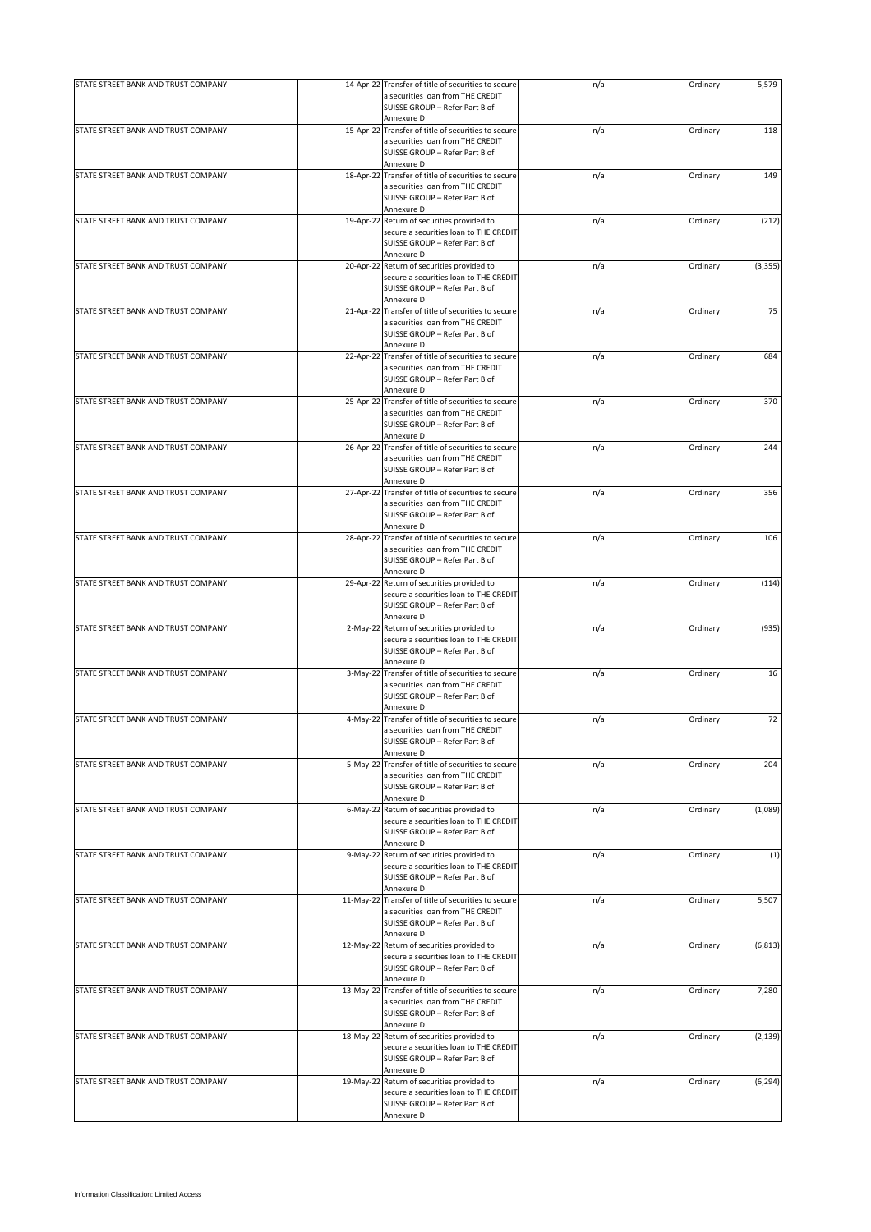| STATE STREET BANK AND TRUST COMPANY |           | 14-Apr-22 Transfer of title of securities to secure                                                                                                | n/a | Ordinary | 5,579    |
|-------------------------------------|-----------|----------------------------------------------------------------------------------------------------------------------------------------------------|-----|----------|----------|
|                                     |           | a securities loan from THE CREDIT<br>SUISSE GROUP - Refer Part B of                                                                                |     |          |          |
|                                     |           | Annexure D                                                                                                                                         |     |          |          |
| STATE STREET BANK AND TRUST COMPANY |           | 15-Apr-22 Transfer of title of securities to secure<br>a securities loan from THE CREDIT<br>SUISSE GROUP - Refer Part B of                         | n/a | Ordinary | 118      |
|                                     |           | Annexure D                                                                                                                                         |     |          |          |
| STATE STREET BANK AND TRUST COMPANY |           | 18-Apr-22 Transfer of title of securities to secure<br>a securities loan from THE CREDIT<br>SUISSE GROUP - Refer Part B of                         | n/a | Ordinary | 149      |
|                                     |           | Annexure D                                                                                                                                         |     |          |          |
| STATE STREET BANK AND TRUST COMPANY |           | 19-Apr-22 Return of securities provided to<br>secure a securities loan to THE CREDIT<br>SUISSE GROUP - Refer Part B of<br>Annexure D               | n/a | Ordinary | (212)    |
| STATE STREET BANK AND TRUST COMPANY |           | 20-Apr-22 Return of securities provided to<br>secure a securities loan to THE CREDIT<br>SUISSE GROUP - Refer Part B of                             | n/a | Ordinary | (3, 355) |
| STATE STREET BANK AND TRUST COMPANY |           | Annexure D<br>21-Apr-22 Transfer of title of securities to secure<br>a securities loan from THE CREDIT<br>SUISSE GROUP - Refer Part B of           | n/a | Ordinary | 75       |
|                                     |           | Annexure D                                                                                                                                         |     |          |          |
| STATE STREET BANK AND TRUST COMPANY | 22-Apr-22 | Transfer of title of securities to secure<br>a securities loan from THE CREDIT<br>SUISSE GROUP - Refer Part B of<br>Annexure D                     | n/a | Ordinary | 684      |
| STATE STREET BANK AND TRUST COMPANY |           | 25-Apr-22 Transfer of title of securities to secure<br>a securities loan from THE CREDIT<br>SUISSE GROUP - Refer Part B of<br>Annexure D           | n/a | Ordinary | 370      |
| STATE STREET BANK AND TRUST COMPANY |           | 26-Apr-22 Transfer of title of securities to secure<br>a securities loan from THE CREDIT<br>SUISSE GROUP - Refer Part B of                         | n/a | Ordinary | 244      |
| STATE STREET BANK AND TRUST COMPANY |           | Annexure D<br>27-Apr-22 Transfer of title of securities to secure<br>a securities loan from THE CREDIT<br>SUISSE GROUP - Refer Part B of           | n/a | Ordinary | 356      |
| STATE STREET BANK AND TRUST COMPANY |           | Annexure D<br>28-Apr-22 Transfer of title of securities to secure<br>a securities loan from THE CREDIT<br>SUISSE GROUP - Refer Part B of           | n/a | Ordinary | 106      |
|                                     |           | Annexure D                                                                                                                                         |     |          |          |
| STATE STREET BANK AND TRUST COMPANY |           | 29-Apr-22 Return of securities provided to<br>secure a securities loan to THE CREDIT<br>SUISSE GROUP - Refer Part B of                             | n/a | Ordinary | (114)    |
|                                     |           | Annexure D                                                                                                                                         |     |          |          |
| STATE STREET BANK AND TRUST COMPANY |           | 2-May-22 Return of securities provided to<br>secure a securities loan to THE CREDIT<br>SUISSE GROUP - Refer Part B of<br>Annexure D                | n/a | Ordinary | (935)    |
| STATE STREET BANK AND TRUST COMPANY | 3-May-22  | Transfer of title of securities to secure<br>a securities loan from THE CREDIT<br>SUISSE GROUP - Refer Part B of<br>Annexure D                     | n/a | Ordinary | 16       |
| STATE STREET BANK AND TRUST COMPANY |           | 4-May-22 Transfer of title of securities to secure<br>a securities loan from THE CREDIT<br>SUISSE GROUP - Refer Part B of                          | n/a | Ordinary | 72       |
|                                     |           | Annexure D                                                                                                                                         |     |          |          |
| STATE STREET BANK AND TRUST COMPANY |           | 5-May-22 Transfer of title of securities to secure<br>a securities loan from THE CREDIT<br>SUISSE GROUP - Refer Part B of<br>Annexure D            | n/a | Ordinary | 204      |
| STATE STREET BANK AND TRUST COMPANY |           | 6-May-22 Return of securities provided to<br>secure a securities loan to THE CREDIT<br>SUISSE GROUP - Refer Part B of<br>Annexure D                | n/a | Ordinary | (1,089)  |
| STATE STREET BANK AND TRUST COMPANY |           | 9-May-22 Return of securities provided to<br>secure a securities loan to THE CREDIT<br>SUISSE GROUP - Refer Part B of<br>Annexure D                | n/a | Ordinary | (1)      |
| STATE STREET BANK AND TRUST COMPANY |           | 11-May-22 Transfer of title of securities to secure<br>a securities loan from THE CREDIT<br>SUISSE GROUP - Refer Part B of                         | n/a | Ordinary | 5,507    |
| STATE STREET BANK AND TRUST COMPANY |           | Annexure D<br>12-May-22 Return of securities provided to<br>secure a securities loan to THE CREDIT<br>SUISSE GROUP - Refer Part B of<br>Annexure D | n/a | Ordinary | (6, 813) |
| STATE STREET BANK AND TRUST COMPANY |           | 13-May-22 Transfer of title of securities to secure<br>a securities loan from THE CREDIT<br>SUISSE GROUP - Refer Part B of<br>Annexure D           | n/a | Ordinary | 7,280    |
| STATE STREET BANK AND TRUST COMPANY |           | 18-May-22 Return of securities provided to<br>secure a securities loan to THE CREDIT<br>SUISSE GROUP - Refer Part B of<br>Annexure D               | n/a | Ordinary | (2, 139) |
| STATE STREET BANK AND TRUST COMPANY |           | 19-May-22 Return of securities provided to<br>secure a securities loan to THE CREDIT<br>SUISSE GROUP - Refer Part B of<br>Annexure D               | n/a | Ordinary | (6, 294) |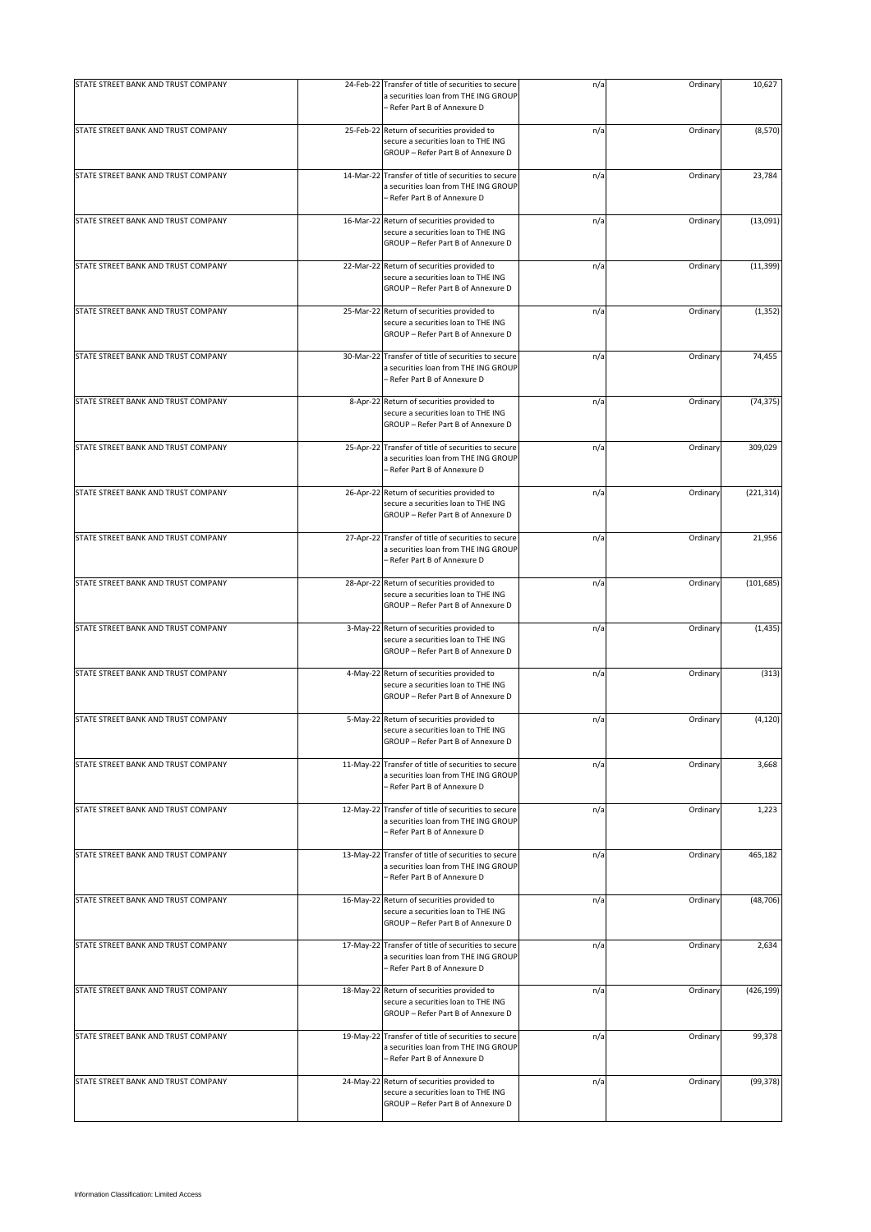| STATE STREET BANK AND TRUST COMPANY | 24-Feb-22  | Transfer of title of securities to secure<br>a securities loan from THE ING GROUP<br>- Refer Part B of Annexure D           | n/a | Ordinary | 10,627     |
|-------------------------------------|------------|-----------------------------------------------------------------------------------------------------------------------------|-----|----------|------------|
| STATE STREET BANK AND TRUST COMPANY |            | 25-Feb-22 Return of securities provided to<br>secure a securities loan to THE ING<br>GROUP - Refer Part B of Annexure D     | n/a | Ordinary | (8,570)    |
| STATE STREET BANK AND TRUST COMPANY |            | 14-Mar-22 Transfer of title of securities to secure<br>a securities loan from THE ING GROUP<br>– Refer Part B of Annexure D | n/a | Ordinary | 23,784     |
| STATE STREET BANK AND TRUST COMPANY | 16-Mar-22  | Return of securities provided to<br>secure a securities loan to THE ING<br>GROUP - Refer Part B of Annexure D               | n/a | Ordinary | (13,091)   |
| STATE STREET BANK AND TRUST COMPANY | 22-Mar-22  | Return of securities provided to<br>secure a securities loan to THE ING<br>GROUP - Refer Part B of Annexure D               | n/a | Ordinary | (11, 399)  |
| STATE STREET BANK AND TRUST COMPANY | 25-Mar-22  | Return of securities provided to<br>secure a securities loan to THE ING<br>GROUP - Refer Part B of Annexure D               | n/a | Ordinary | (1, 352)   |
| STATE STREET BANK AND TRUST COMPANY | 30-Mar-22  | Transfer of title of securities to secure<br>a securities loan from THE ING GROUP<br>- Refer Part B of Annexure D           | n/a | Ordinary | 74,455     |
| STATE STREET BANK AND TRUST COMPANY |            | 8-Apr-22 Return of securities provided to<br>secure a securities loan to THE ING<br>GROUP - Refer Part B of Annexure D      | n/a | Ordinary | (74, 375)  |
| STATE STREET BANK AND TRUST COMPANY | 25-Apr-22  | Transfer of title of securities to secure<br>a securities loan from THE ING GROUP<br>- Refer Part B of Annexure D           | n/a | Ordinary | 309,029    |
| STATE STREET BANK AND TRUST COMPANY |            | 26-Apr-22 Return of securities provided to<br>secure a securities loan to THE ING<br>GROUP - Refer Part B of Annexure D     | n/a | Ordinary | (221, 314) |
| STATE STREET BANK AND TRUST COMPANY | 27-Apr-22  | Transfer of title of securities to secure<br>a securities loan from THE ING GROUP<br>- Refer Part B of Annexure D           | n/a | Ordinary | 21,956     |
| STATE STREET BANK AND TRUST COMPANY |            | 28-Apr-22 Return of securities provided to<br>secure a securities loan to THE ING<br>GROUP - Refer Part B of Annexure D     | n/a | Ordinary | (101, 685) |
| STATE STREET BANK AND TRUST COMPANY | $3-May-22$ | Return of securities provided to<br>secure a securities loan to THE ING<br>GROUP - Refer Part B of Annexure D               | n/a | Ordinary | (1, 435)   |
| STATE STREET BANK AND TRUST COMPANY |            | 4-May-22 Return of securities provided to<br>secure a securities loan to THE ING<br>GROUP - Refer Part B of Annexure D      | n/a | Ordinary | (313)      |
| STATE STREET BANK AND TRUST COMPANY |            | 5-May-22 Return of securities provided to<br>secure a securities loan to THE ING<br>GROUP - Refer Part B of Annexure D      | n/a | Ordinary | (4, 120)   |
| STATE STREET BANK AND TRUST COMPANY | 11-May-22  | Transfer of title of securities to secure<br>a securities loan from THE ING GROUP<br>- Refer Part B of Annexure D           | n/a | Ordinary | 3,668      |
| STATE STREET BANK AND TRUST COMPANY | 12-May-22  | Transfer of title of securities to secure<br>a securities loan from THE ING GROUP<br>– Refer Part B of Annexure D           | n/a | Ordinary | 1,223      |
| STATE STREET BANK AND TRUST COMPANY |            | 13-May-22 Transfer of title of securities to secure<br>a securities loan from THE ING GROUP<br>- Refer Part B of Annexure D | n/a | Ordinary | 465,182    |
| STATE STREET BANK AND TRUST COMPANY |            | 16-May-22 Return of securities provided to<br>secure a securities loan to THE ING<br>GROUP - Refer Part B of Annexure D     | n/a | Ordinary | (48, 706)  |
| STATE STREET BANK AND TRUST COMPANY | 17-May-22  | Transfer of title of securities to secure<br>a securities loan from THE ING GROUP<br>– Refer Part B of Annexure D           | n/a | Ordinary | 2,634      |
| STATE STREET BANK AND TRUST COMPANY |            | 18-May-22 Return of securities provided to<br>secure a securities loan to THE ING<br>GROUP - Refer Part B of Annexure D     | n/a | Ordinary | (426, 199) |
| STATE STREET BANK AND TRUST COMPANY | 19-May-22  | Transfer of title of securities to secure<br>a securities loan from THE ING GROUP<br>- Refer Part B of Annexure D           | n/a | Ordinary | 99,378     |
| STATE STREET BANK AND TRUST COMPANY | 24-May-22  | Return of securities provided to<br>secure a securities loan to THE ING<br>GROUP - Refer Part B of Annexure D               | n/a | Ordinary | (99, 378)  |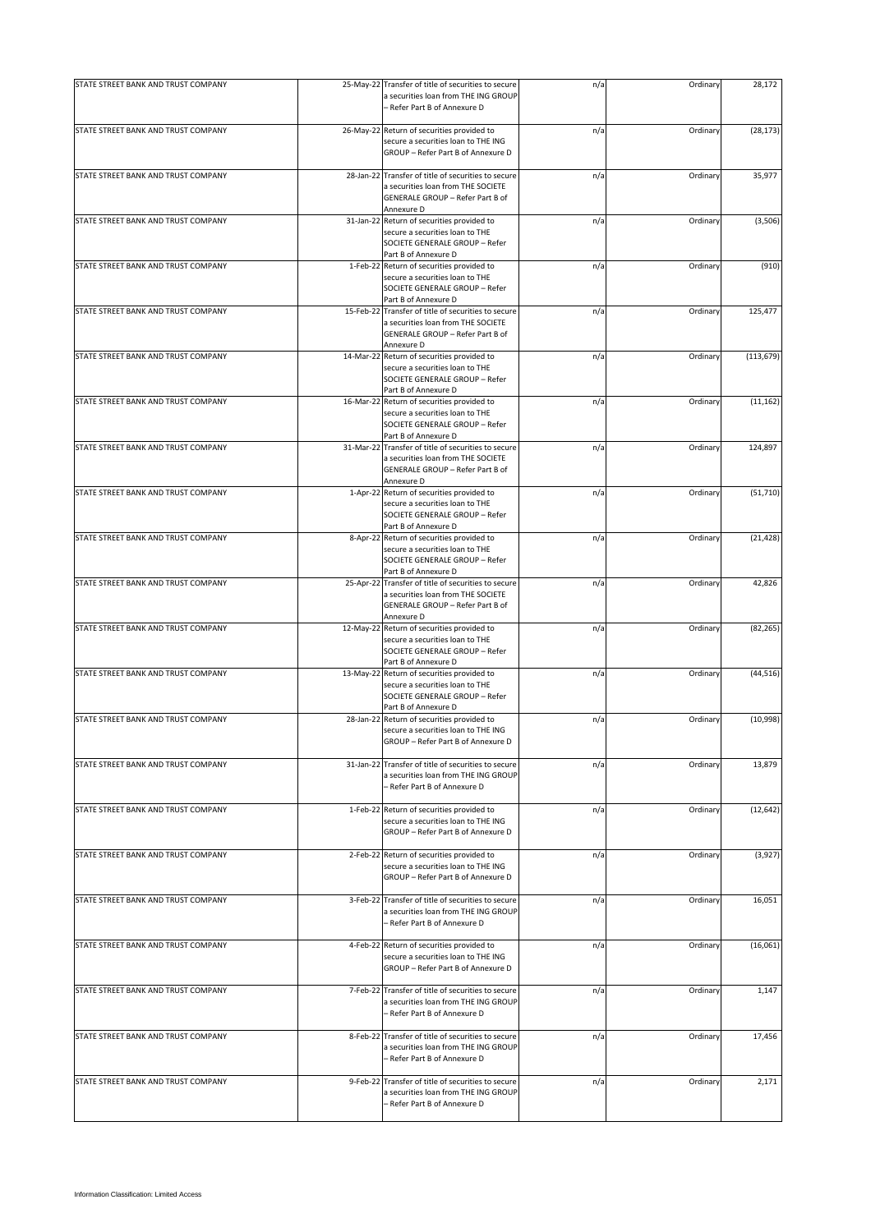| STATE STREET BANK AND TRUST COMPANY |           | 25-May-22 Transfer of title of securities to secure<br>a securities loan from THE ING GROUP | n/a | Ordinary | 28,172     |
|-------------------------------------|-----------|---------------------------------------------------------------------------------------------|-----|----------|------------|
|                                     |           | - Refer Part B of Annexure D                                                                |     |          |            |
| STATE STREET BANK AND TRUST COMPANY |           | 26-May-22 Return of securities provided to                                                  | n/a | Ordinary | (28, 173)  |
|                                     |           | secure a securities loan to THE ING<br>GROUP - Refer Part B of Annexure D                   |     |          |            |
| STATE STREET BANK AND TRUST COMPANY |           | 28-Jan-22 Transfer of title of securities to secure                                         | n/a | Ordinary | 35,977     |
|                                     |           | a securities loan from THE SOCIETE                                                          |     |          |            |
|                                     |           | GENERALE GROUP - Refer Part B of<br>Annexure D                                              |     |          |            |
| STATE STREET BANK AND TRUST COMPANY |           | 31-Jan-22 Return of securities provided to                                                  | n/a | Ordinary | (3,506)    |
|                                     |           | secure a securities loan to THE                                                             |     |          |            |
|                                     |           | SOCIETE GENERALE GROUP - Refer                                                              |     |          |            |
| STATE STREET BANK AND TRUST COMPANY |           | Part B of Annexure D<br>1-Feb-22 Return of securities provided to                           | n/a | Ordinary | (910)      |
|                                     |           | secure a securities loan to THE                                                             |     |          |            |
|                                     |           | SOCIETE GENERALE GROUP - Refer                                                              |     |          |            |
| STATE STREET BANK AND TRUST COMPANY | 15-Feb-22 | Part B of Annexure D<br>Transfer of title of securities to secure                           | n/a | Ordinary | 125,477    |
|                                     |           | a securities loan from THE SOCIETE                                                          |     |          |            |
|                                     |           | GENERALE GROUP - Refer Part B of                                                            |     |          |            |
| STATE STREET BANK AND TRUST COMPANY | 14-Mar-22 | Annexure D<br>Return of securities provided to                                              | n/a | Ordinary | (113, 679) |
|                                     |           | secure a securities loan to THE                                                             |     |          |            |
|                                     |           | SOCIETE GENERALE GROUP - Refer                                                              |     |          |            |
| STATE STREET BANK AND TRUST COMPANY | 16-Mar-22 | Part B of Annexure D<br>Return of securities provided to                                    | n/a | Ordinary | (11, 162)  |
|                                     |           | secure a securities loan to THE                                                             |     |          |            |
|                                     |           | SOCIETE GENERALE GROUP - Refer                                                              |     |          |            |
|                                     |           | Part B of Annexure D                                                                        |     |          |            |
| STATE STREET BANK AND TRUST COMPANY | 31-Mar-22 | Transfer of title of securities to secure<br>a securities loan from THE SOCIETE             | n/a | Ordinary | 124,897    |
|                                     |           | GENERALE GROUP - Refer Part B of                                                            |     |          |            |
|                                     |           | Annexure D                                                                                  |     |          |            |
| STATE STREET BANK AND TRUST COMPANY |           | 1-Apr-22 Return of securities provided to<br>secure a securities loan to THE                | n/a | Ordinary | (51, 710)  |
|                                     |           | SOCIETE GENERALE GROUP - Refer                                                              |     |          |            |
|                                     |           | Part B of Annexure D                                                                        |     |          |            |
| STATE STREET BANK AND TRUST COMPANY |           | 8-Apr-22 Return of securities provided to<br>secure a securities loan to THE                | n/a | Ordinary | (21, 428)  |
|                                     |           | SOCIETE GENERALE GROUP - Refer                                                              |     |          |            |
|                                     |           | Part B of Annexure D                                                                        |     |          |            |
| STATE STREET BANK AND TRUST COMPANY |           | 25-Apr-22 Transfer of title of securities to secure                                         | n/a | Ordinary | 42,826     |
|                                     |           | a securities loan from THE SOCIETE<br>GENERALE GROUP - Refer Part B of                      |     |          |            |
|                                     |           | Annexure D                                                                                  |     |          |            |
| STATE STREET BANK AND TRUST COMPANY | 12-May-22 | Return of securities provided to                                                            | n/a | Ordinary | (82, 265)  |
|                                     |           | secure a securities loan to THE<br>SOCIETE GENERALE GROUP - Refer                           |     |          |            |
|                                     |           | Part B of Annexure D                                                                        |     |          |            |
| STATE STREET BANK AND TRUST COMPANY | 13-May-22 | Return of securities provided to                                                            | n/a | Ordinary | (44, 516)  |
|                                     |           | secure a securities loan to THE<br>SOCIETE GENERALE GROUP - Refer                           |     |          |            |
|                                     |           | Part B of Annexure D                                                                        |     |          |            |
| STATE STREET BANK AND TRUST COMPANY |           | 28-Jan-22 Return of securities provided to                                                  | n/a | Ordinary | (10, 998)  |
|                                     |           | secure a securities loan to THE ING<br>GROUP - Refer Part B of Annexure D                   |     |          |            |
|                                     |           |                                                                                             |     |          |            |
| STATE STREET BANK AND TRUST COMPANY |           | 31-Jan-22 Transfer of title of securities to secure                                         | n/a | Ordinary | 13,879     |
|                                     |           | a securities loan from THE ING GROUP<br>- Refer Part B of Annexure D                        |     |          |            |
|                                     |           |                                                                                             |     |          |            |
| STATE STREET BANK AND TRUST COMPANY |           | 1-Feb-22 Return of securities provided to                                                   | n/a | Ordinary | (12, 642)  |
|                                     |           | secure a securities loan to THE ING<br>GROUP - Refer Part B of Annexure D                   |     |          |            |
|                                     |           |                                                                                             |     |          |            |
| STATE STREET BANK AND TRUST COMPANY |           | 2-Feb-22 Return of securities provided to                                                   | n/a | Ordinary | (3,927)    |
|                                     |           | secure a securities loan to THE ING                                                         |     |          |            |
|                                     |           | GROUP - Refer Part B of Annexure D                                                          |     |          |            |
| STATE STREET BANK AND TRUST COMPANY |           | 3-Feb-22 Transfer of title of securities to secure                                          | n/a | Ordinary | 16,051     |
|                                     |           | a securities loan from THE ING GROUP                                                        |     |          |            |
|                                     |           | - Refer Part B of Annexure D                                                                |     |          |            |
| STATE STREET BANK AND TRUST COMPANY |           | 4-Feb-22 Return of securities provided to                                                   | n/a | Ordinary | (16,061)   |
|                                     |           | secure a securities loan to THE ING                                                         |     |          |            |
|                                     |           | GROUP - Refer Part B of Annexure D                                                          |     |          |            |
| STATE STREET BANK AND TRUST COMPANY |           | 7-Feb-22 Transfer of title of securities to secure                                          | n/a | Ordinary | 1,147      |
|                                     |           | a securities loan from THE ING GROUP                                                        |     |          |            |
|                                     |           | - Refer Part B of Annexure D                                                                |     |          |            |
| STATE STREET BANK AND TRUST COMPANY | 8-Feb-22  | Transfer of title of securities to secure                                                   | n/a | Ordinary | 17,456     |
|                                     |           | a securities loan from THE ING GROUP                                                        |     |          |            |
|                                     |           | - Refer Part B of Annexure D                                                                |     |          |            |
| STATE STREET BANK AND TRUST COMPANY | 9-Feb-22  | Transfer of title of securities to secure                                                   | n/a | Ordinary | 2,171      |
|                                     |           | a securities loan from THE ING GROUP                                                        |     |          |            |
|                                     |           | - Refer Part B of Annexure D                                                                |     |          |            |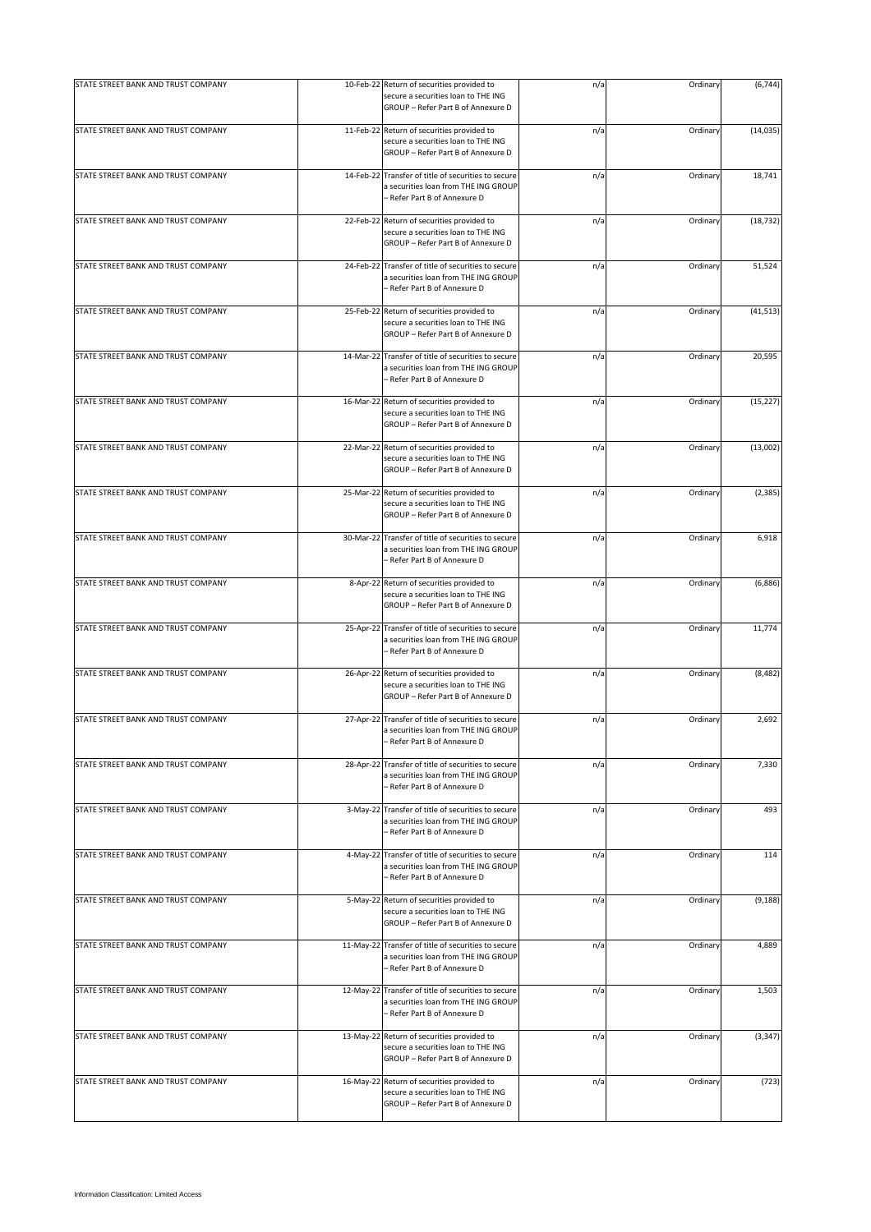| STATE STREET BANK AND TRUST COMPANY | 10-Feb-22  | Return of securities provided to<br>secure a securities loan to THE ING<br>GROUP - Refer Part B of Annexure D               | n/a | Ordinary | (6, 744)  |
|-------------------------------------|------------|-----------------------------------------------------------------------------------------------------------------------------|-----|----------|-----------|
| STATE STREET BANK AND TRUST COMPANY |            | 11-Feb-22 Return of securities provided to<br>secure a securities loan to THE ING<br>GROUP - Refer Part B of Annexure D     | n/a | Ordinary | (14, 035) |
| STATE STREET BANK AND TRUST COMPANY |            | 14-Feb-22 Transfer of title of securities to secure<br>a securities loan from THE ING GROUP<br>– Refer Part B of Annexure D | n/a | Ordinary | 18,741    |
| STATE STREET BANK AND TRUST COMPANY | 22-Feb-22  | Return of securities provided to<br>secure a securities loan to THE ING<br>GROUP - Refer Part B of Annexure D               | n/a | Ordinary | (18, 732) |
| STATE STREET BANK AND TRUST COMPANY | 24-Feb-22  | Transfer of title of securities to secure<br>a securities loan from THE ING GROUP<br>- Refer Part B of Annexure D           | n/a | Ordinary | 51,524    |
| STATE STREET BANK AND TRUST COMPANY | 25-Feb-22  | Return of securities provided to<br>secure a securities loan to THE ING<br>GROUP - Refer Part B of Annexure D               | n/a | Ordinary | (41, 513) |
| STATE STREET BANK AND TRUST COMPANY | 14-Mar-22  | Transfer of title of securities to secure<br>a securities loan from THE ING GROUP<br>– Refer Part B of Annexure D           | n/a | Ordinary | 20,595    |
| STATE STREET BANK AND TRUST COMPANY |            | 16-Mar-22 Return of securities provided to<br>secure a securities loan to THE ING<br>GROUP - Refer Part B of Annexure D     | n/a | Ordinary | (15, 227) |
| STATE STREET BANK AND TRUST COMPANY |            | 22-Mar-22 Return of securities provided to<br>secure a securities loan to THE ING<br>GROUP - Refer Part B of Annexure D     | n/a | Ordinary | (13,002)  |
| STATE STREET BANK AND TRUST COMPANY |            | 25-Mar-22 Return of securities provided to<br>secure a securities loan to THE ING<br>GROUP - Refer Part B of Annexure D     | n/a | Ordinary | (2, 385)  |
| STATE STREET BANK AND TRUST COMPANY | 30-Mar-22  | Transfer of title of securities to secure<br>a securities loan from THE ING GROUP<br>- Refer Part B of Annexure D           | n/a | Ordinary | 6,918     |
| STATE STREET BANK AND TRUST COMPANY |            | 8-Apr-22 Return of securities provided to<br>secure a securities loan to THE ING<br>GROUP - Refer Part B of Annexure D      | n/a | Ordinary | (6,886)   |
| STATE STREET BANK AND TRUST COMPANY | 25-Apr-22  | Transfer of title of securities to secure<br>a securities loan from THE ING GROUP<br>- Refer Part B of Annexure D           | n/a | Ordinary | 11,774    |
| STATE STREET BANK AND TRUST COMPANY |            | 26-Apr-22 Return of securities provided to<br>secure a securities loan to THE ING<br>GROUP - Refer Part B of Annexure D     | n/a | Ordinary | (8, 482)  |
| STATE STREET BANK AND TRUST COMPANY |            | 27-Apr-22 Transfer of title of securities to secure<br>a securities loan from THE ING GROUP<br>- Refer Part B of Annexure D | n/a | Ordinary | 2,692     |
| STATE STREET BANK AND TRUST COMPANY | 28-Apr-22  | Transfer of title of securities to secure<br>a securities loan from THE ING GROUP<br>- Refer Part B of Annexure D           | n/a | Ordinary | 7,330     |
| STATE STREET BANK AND TRUST COMPANY | $3-May-22$ | Transfer of title of securities to secure<br>a securities loan from THE ING GROUP<br>– Refer Part B of Annexure D           | n/a | Ordinary | 493       |
| STATE STREET BANK AND TRUST COMPANY |            | 4-May-22 Transfer of title of securities to secure<br>a securities loan from THE ING GROUP<br>- Refer Part B of Annexure D  | n/a | Ordinary | 114       |
| STATE STREET BANK AND TRUST COMPANY |            | 5-May-22 Return of securities provided to<br>secure a securities loan to THE ING<br>GROUP - Refer Part B of Annexure D      | n/a | Ordinary | (9, 188)  |
| STATE STREET BANK AND TRUST COMPANY | 11-May-22  | Transfer of title of securities to secure<br>a securities loan from THE ING GROUP<br>- Refer Part B of Annexure D           | n/a | Ordinary | 4,889     |
| STATE STREET BANK AND TRUST COMPANY |            | 12-May-22 Transfer of title of securities to secure<br>a securities loan from THE ING GROUP<br>- Refer Part B of Annexure D | n/a | Ordinary | 1,503     |
| STATE STREET BANK AND TRUST COMPANY | 13-May-22  | Return of securities provided to<br>secure a securities loan to THE ING<br>GROUP - Refer Part B of Annexure D               | n/a | Ordinary | (3, 347)  |
| STATE STREET BANK AND TRUST COMPANY | 16-May-22  | Return of securities provided to<br>secure a securities loan to THE ING<br>GROUP - Refer Part B of Annexure D               | n/a | Ordinary | (723)     |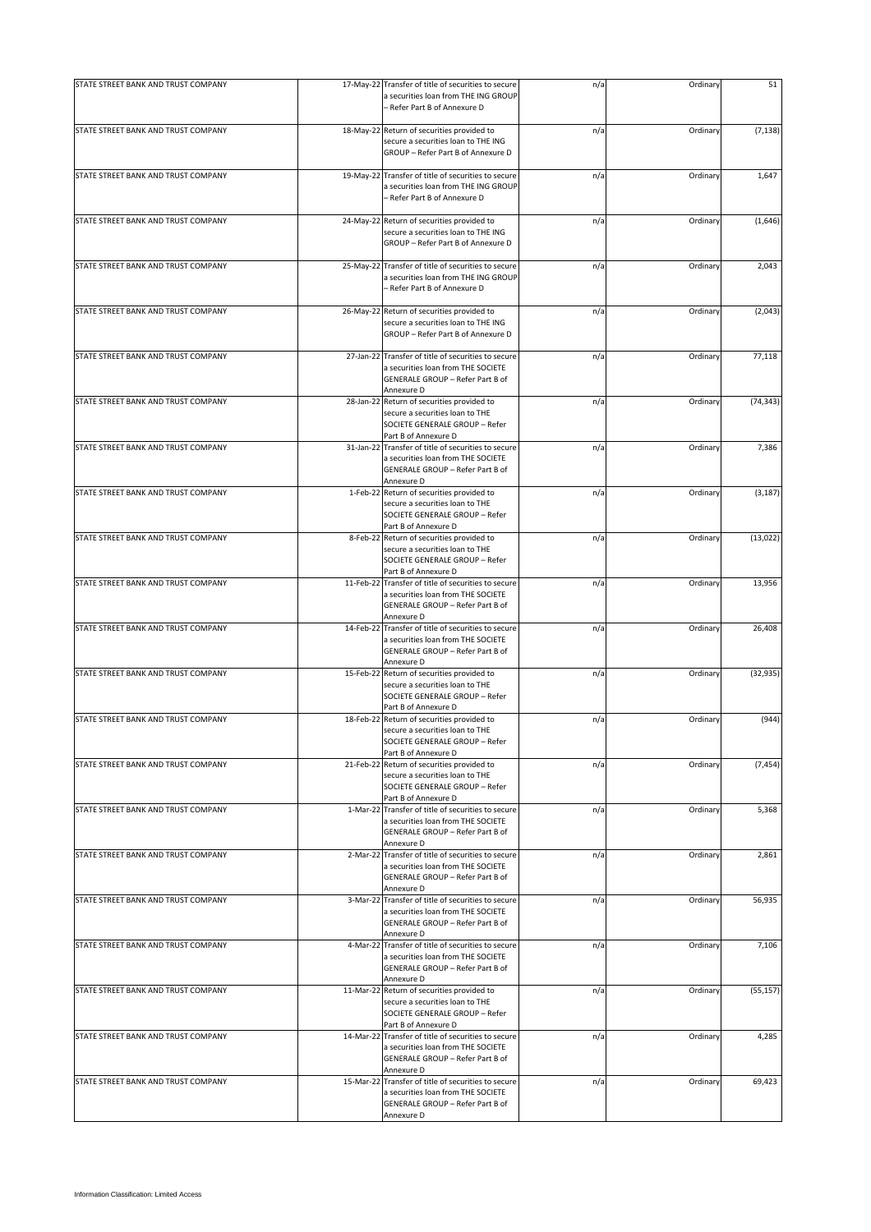| - Refer Part B of Annexure D<br>STATE STREET BANK AND TRUST COMPANY<br>18-May-22 Return of securities provided to<br>n/a<br>Ordinary<br>secure a securities loan to THE ING<br>GROUP - Refer Part B of Annexure D<br>STATE STREET BANK AND TRUST COMPANY<br>19-May-22 Transfer of title of securities to secure<br>Ordinary<br>n/a<br>a securities loan from THE ING GROUP<br>– Refer Part B of Annexure D<br>STATE STREET BANK AND TRUST COMPANY<br>24-May-22 Return of securities provided to<br>n/a<br>Ordinary<br>secure a securities loan to THE ING<br>GROUP - Refer Part B of Annexure D<br>STATE STREET BANK AND TRUST COMPANY<br>Transfer of title of securities to secure<br>n/a<br>Ordinary<br>25-May-22<br>a securities loan from THE ING GROUP<br>- Refer Part B of Annexure D<br>STATE STREET BANK AND TRUST COMPANY<br>26-May-22 Return of securities provided to<br>Ordinary<br>n/a<br>secure a securities loan to THE ING<br>GROUP - Refer Part B of Annexure D<br>STATE STREET BANK AND TRUST COMPANY<br>27-Jan-22 Transfer of title of securities to secure<br>n/a<br>Ordinary<br>a securities loan from THE SOCIETE<br>GENERALE GROUP - Refer Part B of<br>Annexure D<br>STATE STREET BANK AND TRUST COMPANY<br>28-Jan-22 Return of securities provided to<br>Ordinary<br>n/a<br>secure a securities loan to THE<br>SOCIETE GENERALE GROUP - Refer<br>Part B of Annexure D<br>STATE STREET BANK AND TRUST COMPANY<br>31-Jan-22 Transfer of title of securities to secure<br>n/a<br>Ordinary<br>a securities loan from THE SOCIETE<br>GENERALE GROUP - Refer Part B of<br>Annexure D<br>STATE STREET BANK AND TRUST COMPANY<br>1-Feb-22<br>Return of securities provided to<br>n/a<br>Ordinary<br>secure a securities loan to THE<br>SOCIETE GENERALE GROUP - Refer<br>Part B of Annexure D<br>STATE STREET BANK AND TRUST COMPANY<br>8-Feb-22 Return of securities provided to<br>n/a<br>Ordinary<br>secure a securities loan to THE<br>SOCIETE GENERALE GROUP - Refer<br>Part B of Annexure D<br>STATE STREET BANK AND TRUST COMPANY<br>11-Feb-22 Transfer of title of securities to secure<br>n/a<br>Ordinary<br>a securities loan from THE SOCIETE<br>GENERALE GROUP - Refer Part B of<br>Annexure D<br>STATE STREET BANK AND TRUST COMPANY<br>Transfer of title of securities to secure<br>14-Feb-22<br>n/a<br>Ordinary<br>a securities loan from THE SOCIETE<br>GENERALE GROUP - Refer Part B of<br>Annexure D<br>STATE STREET BANK AND TRUST COMPANY<br>15-Feb-22 Return of securities provided to<br>n/a<br>Ordinary<br>secure a securities loan to THE<br>SOCIETE GENERALE GROUP - Refer<br>Part B of Annexure D<br>STATE STREET BANK AND TRUST COMPANY<br>Ordinary<br>18-Feb-22 Return of securities provided to<br>n/a<br>secure a securities loan to THE<br>SOCIETE GENERALE GROUP - Refer<br>Part B of Annexure D<br>21-Feb-22<br>STATE STREET BANK AND TRUST COMPANY<br>Return of securities provided to<br>n/a<br>Ordinary<br>secure a securities loan to THE<br>SOCIETE GENERALE GROUP - Refer<br>Part B of Annexure D<br>STATE STREET BANK AND TRUST COMPANY<br>1-Mar-22 Transfer of title of securities to secure<br>n/a<br>Ordinary<br>a securities loan from THE SOCIETE<br>GENERALE GROUP - Refer Part B of<br>Annexure D<br>STATE STREET BANK AND TRUST COMPANY<br>2-Mar-22 Transfer of title of securities to secure<br>n/a<br>Ordinary<br>a securities loan from THE SOCIETE<br>GENERALE GROUP - Refer Part B of<br>Annexure D<br>STATE STREET BANK AND TRUST COMPANY<br>3-Mar-22 Transfer of title of securities to secure<br>Ordinary<br>n/a<br>a securities loan from THE SOCIETE<br>GENERALE GROUP - Refer Part B of<br>Annexure D<br>STATE STREET BANK AND TRUST COMPANY<br>4-Mar-22 Transfer of title of securities to secure<br>n/a<br>Ordinary<br>a securities loan from THE SOCIETE<br>GENERALE GROUP - Refer Part B of<br>Annexure D<br>11-Mar-22 Return of securities provided to<br>STATE STREET BANK AND TRUST COMPANY<br>n/a<br>Ordinary<br>secure a securities loan to THE<br>SOCIETE GENERALE GROUP - Refer<br>Part B of Annexure D<br>STATE STREET BANK AND TRUST COMPANY<br>14-Mar-22 Transfer of title of securities to secure<br>n/a<br>Ordinary<br>a securities loan from THE SOCIETE<br>GENERALE GROUP - Refer Part B of<br>Annexure D | STATE STREET BANK AND TRUST COMPANY | 17-May-22 Transfer of title of securities to secure<br>a securities loan from THE ING GROUP | n/a | Ordinary | 51        |
|---------------------------------------------------------------------------------------------------------------------------------------------------------------------------------------------------------------------------------------------------------------------------------------------------------------------------------------------------------------------------------------------------------------------------------------------------------------------------------------------------------------------------------------------------------------------------------------------------------------------------------------------------------------------------------------------------------------------------------------------------------------------------------------------------------------------------------------------------------------------------------------------------------------------------------------------------------------------------------------------------------------------------------------------------------------------------------------------------------------------------------------------------------------------------------------------------------------------------------------------------------------------------------------------------------------------------------------------------------------------------------------------------------------------------------------------------------------------------------------------------------------------------------------------------------------------------------------------------------------------------------------------------------------------------------------------------------------------------------------------------------------------------------------------------------------------------------------------------------------------------------------------------------------------------------------------------------------------------------------------------------------------------------------------------------------------------------------------------------------------------------------------------------------------------------------------------------------------------------------------------------------------------------------------------------------------------------------------------------------------------------------------------------------------------------------------------------------------------------------------------------------------------------------------------------------------------------------------------------------------------------------------------------------------------------------------------------------------------------------------------------------------------------------------------------------------------------------------------------------------------------------------------------------------------------------------------------------------------------------------------------------------------------------------------------------------------------------------------------------------------------------------------------------------------------------------------------------------------------------------------------------------------------------------------------------------------------------------------------------------------------------------------------------------------------------------------------------------------------------------------------------------------------------------------------------------------------------------------------------------------------------------------------------------------------------------------------------------------------------------------------------------------------------------------------------------------------------------------------------------------------------------------------------------------------------------------------------------------------------------------------------------------------------------------------------------------------------------------------------------------------------------------------------------------------------------------------------------------------------------------------------------------------------------------------|-------------------------------------|---------------------------------------------------------------------------------------------|-----|----------|-----------|
|                                                                                                                                                                                                                                                                                                                                                                                                                                                                                                                                                                                                                                                                                                                                                                                                                                                                                                                                                                                                                                                                                                                                                                                                                                                                                                                                                                                                                                                                                                                                                                                                                                                                                                                                                                                                                                                                                                                                                                                                                                                                                                                                                                                                                                                                                                                                                                                                                                                                                                                                                                                                                                                                                                                                                                                                                                                                                                                                                                                                                                                                                                                                                                                                                                                                                                                                                                                                                                                                                                                                                                                                                                                                                                                                                                                                                                                                                                                                                                                                                                                                                                                                                                                                                                                                                                         |                                     |                                                                                             |     |          |           |
|                                                                                                                                                                                                                                                                                                                                                                                                                                                                                                                                                                                                                                                                                                                                                                                                                                                                                                                                                                                                                                                                                                                                                                                                                                                                                                                                                                                                                                                                                                                                                                                                                                                                                                                                                                                                                                                                                                                                                                                                                                                                                                                                                                                                                                                                                                                                                                                                                                                                                                                                                                                                                                                                                                                                                                                                                                                                                                                                                                                                                                                                                                                                                                                                                                                                                                                                                                                                                                                                                                                                                                                                                                                                                                                                                                                                                                                                                                                                                                                                                                                                                                                                                                                                                                                                                                         |                                     |                                                                                             |     |          | (7, 138)  |
|                                                                                                                                                                                                                                                                                                                                                                                                                                                                                                                                                                                                                                                                                                                                                                                                                                                                                                                                                                                                                                                                                                                                                                                                                                                                                                                                                                                                                                                                                                                                                                                                                                                                                                                                                                                                                                                                                                                                                                                                                                                                                                                                                                                                                                                                                                                                                                                                                                                                                                                                                                                                                                                                                                                                                                                                                                                                                                                                                                                                                                                                                                                                                                                                                                                                                                                                                                                                                                                                                                                                                                                                                                                                                                                                                                                                                                                                                                                                                                                                                                                                                                                                                                                                                                                                                                         |                                     |                                                                                             |     |          | 1,647     |
|                                                                                                                                                                                                                                                                                                                                                                                                                                                                                                                                                                                                                                                                                                                                                                                                                                                                                                                                                                                                                                                                                                                                                                                                                                                                                                                                                                                                                                                                                                                                                                                                                                                                                                                                                                                                                                                                                                                                                                                                                                                                                                                                                                                                                                                                                                                                                                                                                                                                                                                                                                                                                                                                                                                                                                                                                                                                                                                                                                                                                                                                                                                                                                                                                                                                                                                                                                                                                                                                                                                                                                                                                                                                                                                                                                                                                                                                                                                                                                                                                                                                                                                                                                                                                                                                                                         |                                     |                                                                                             |     |          | (1,646)   |
|                                                                                                                                                                                                                                                                                                                                                                                                                                                                                                                                                                                                                                                                                                                                                                                                                                                                                                                                                                                                                                                                                                                                                                                                                                                                                                                                                                                                                                                                                                                                                                                                                                                                                                                                                                                                                                                                                                                                                                                                                                                                                                                                                                                                                                                                                                                                                                                                                                                                                                                                                                                                                                                                                                                                                                                                                                                                                                                                                                                                                                                                                                                                                                                                                                                                                                                                                                                                                                                                                                                                                                                                                                                                                                                                                                                                                                                                                                                                                                                                                                                                                                                                                                                                                                                                                                         |                                     |                                                                                             |     |          | 2,043     |
|                                                                                                                                                                                                                                                                                                                                                                                                                                                                                                                                                                                                                                                                                                                                                                                                                                                                                                                                                                                                                                                                                                                                                                                                                                                                                                                                                                                                                                                                                                                                                                                                                                                                                                                                                                                                                                                                                                                                                                                                                                                                                                                                                                                                                                                                                                                                                                                                                                                                                                                                                                                                                                                                                                                                                                                                                                                                                                                                                                                                                                                                                                                                                                                                                                                                                                                                                                                                                                                                                                                                                                                                                                                                                                                                                                                                                                                                                                                                                                                                                                                                                                                                                                                                                                                                                                         |                                     |                                                                                             |     |          | (2,043)   |
|                                                                                                                                                                                                                                                                                                                                                                                                                                                                                                                                                                                                                                                                                                                                                                                                                                                                                                                                                                                                                                                                                                                                                                                                                                                                                                                                                                                                                                                                                                                                                                                                                                                                                                                                                                                                                                                                                                                                                                                                                                                                                                                                                                                                                                                                                                                                                                                                                                                                                                                                                                                                                                                                                                                                                                                                                                                                                                                                                                                                                                                                                                                                                                                                                                                                                                                                                                                                                                                                                                                                                                                                                                                                                                                                                                                                                                                                                                                                                                                                                                                                                                                                                                                                                                                                                                         |                                     |                                                                                             |     |          | 77,118    |
|                                                                                                                                                                                                                                                                                                                                                                                                                                                                                                                                                                                                                                                                                                                                                                                                                                                                                                                                                                                                                                                                                                                                                                                                                                                                                                                                                                                                                                                                                                                                                                                                                                                                                                                                                                                                                                                                                                                                                                                                                                                                                                                                                                                                                                                                                                                                                                                                                                                                                                                                                                                                                                                                                                                                                                                                                                                                                                                                                                                                                                                                                                                                                                                                                                                                                                                                                                                                                                                                                                                                                                                                                                                                                                                                                                                                                                                                                                                                                                                                                                                                                                                                                                                                                                                                                                         |                                     |                                                                                             |     |          | (74, 343) |
|                                                                                                                                                                                                                                                                                                                                                                                                                                                                                                                                                                                                                                                                                                                                                                                                                                                                                                                                                                                                                                                                                                                                                                                                                                                                                                                                                                                                                                                                                                                                                                                                                                                                                                                                                                                                                                                                                                                                                                                                                                                                                                                                                                                                                                                                                                                                                                                                                                                                                                                                                                                                                                                                                                                                                                                                                                                                                                                                                                                                                                                                                                                                                                                                                                                                                                                                                                                                                                                                                                                                                                                                                                                                                                                                                                                                                                                                                                                                                                                                                                                                                                                                                                                                                                                                                                         |                                     |                                                                                             |     |          | 7,386     |
|                                                                                                                                                                                                                                                                                                                                                                                                                                                                                                                                                                                                                                                                                                                                                                                                                                                                                                                                                                                                                                                                                                                                                                                                                                                                                                                                                                                                                                                                                                                                                                                                                                                                                                                                                                                                                                                                                                                                                                                                                                                                                                                                                                                                                                                                                                                                                                                                                                                                                                                                                                                                                                                                                                                                                                                                                                                                                                                                                                                                                                                                                                                                                                                                                                                                                                                                                                                                                                                                                                                                                                                                                                                                                                                                                                                                                                                                                                                                                                                                                                                                                                                                                                                                                                                                                                         |                                     |                                                                                             |     |          | (3, 187)  |
|                                                                                                                                                                                                                                                                                                                                                                                                                                                                                                                                                                                                                                                                                                                                                                                                                                                                                                                                                                                                                                                                                                                                                                                                                                                                                                                                                                                                                                                                                                                                                                                                                                                                                                                                                                                                                                                                                                                                                                                                                                                                                                                                                                                                                                                                                                                                                                                                                                                                                                                                                                                                                                                                                                                                                                                                                                                                                                                                                                                                                                                                                                                                                                                                                                                                                                                                                                                                                                                                                                                                                                                                                                                                                                                                                                                                                                                                                                                                                                                                                                                                                                                                                                                                                                                                                                         |                                     |                                                                                             |     |          | (13, 022) |
|                                                                                                                                                                                                                                                                                                                                                                                                                                                                                                                                                                                                                                                                                                                                                                                                                                                                                                                                                                                                                                                                                                                                                                                                                                                                                                                                                                                                                                                                                                                                                                                                                                                                                                                                                                                                                                                                                                                                                                                                                                                                                                                                                                                                                                                                                                                                                                                                                                                                                                                                                                                                                                                                                                                                                                                                                                                                                                                                                                                                                                                                                                                                                                                                                                                                                                                                                                                                                                                                                                                                                                                                                                                                                                                                                                                                                                                                                                                                                                                                                                                                                                                                                                                                                                                                                                         |                                     |                                                                                             |     |          | 13,956    |
|                                                                                                                                                                                                                                                                                                                                                                                                                                                                                                                                                                                                                                                                                                                                                                                                                                                                                                                                                                                                                                                                                                                                                                                                                                                                                                                                                                                                                                                                                                                                                                                                                                                                                                                                                                                                                                                                                                                                                                                                                                                                                                                                                                                                                                                                                                                                                                                                                                                                                                                                                                                                                                                                                                                                                                                                                                                                                                                                                                                                                                                                                                                                                                                                                                                                                                                                                                                                                                                                                                                                                                                                                                                                                                                                                                                                                                                                                                                                                                                                                                                                                                                                                                                                                                                                                                         |                                     |                                                                                             |     |          | 26,408    |
|                                                                                                                                                                                                                                                                                                                                                                                                                                                                                                                                                                                                                                                                                                                                                                                                                                                                                                                                                                                                                                                                                                                                                                                                                                                                                                                                                                                                                                                                                                                                                                                                                                                                                                                                                                                                                                                                                                                                                                                                                                                                                                                                                                                                                                                                                                                                                                                                                                                                                                                                                                                                                                                                                                                                                                                                                                                                                                                                                                                                                                                                                                                                                                                                                                                                                                                                                                                                                                                                                                                                                                                                                                                                                                                                                                                                                                                                                                                                                                                                                                                                                                                                                                                                                                                                                                         |                                     |                                                                                             |     |          | (32, 935) |
|                                                                                                                                                                                                                                                                                                                                                                                                                                                                                                                                                                                                                                                                                                                                                                                                                                                                                                                                                                                                                                                                                                                                                                                                                                                                                                                                                                                                                                                                                                                                                                                                                                                                                                                                                                                                                                                                                                                                                                                                                                                                                                                                                                                                                                                                                                                                                                                                                                                                                                                                                                                                                                                                                                                                                                                                                                                                                                                                                                                                                                                                                                                                                                                                                                                                                                                                                                                                                                                                                                                                                                                                                                                                                                                                                                                                                                                                                                                                                                                                                                                                                                                                                                                                                                                                                                         |                                     |                                                                                             |     |          | (944)     |
|                                                                                                                                                                                                                                                                                                                                                                                                                                                                                                                                                                                                                                                                                                                                                                                                                                                                                                                                                                                                                                                                                                                                                                                                                                                                                                                                                                                                                                                                                                                                                                                                                                                                                                                                                                                                                                                                                                                                                                                                                                                                                                                                                                                                                                                                                                                                                                                                                                                                                                                                                                                                                                                                                                                                                                                                                                                                                                                                                                                                                                                                                                                                                                                                                                                                                                                                                                                                                                                                                                                                                                                                                                                                                                                                                                                                                                                                                                                                                                                                                                                                                                                                                                                                                                                                                                         |                                     |                                                                                             |     |          | (7, 454)  |
|                                                                                                                                                                                                                                                                                                                                                                                                                                                                                                                                                                                                                                                                                                                                                                                                                                                                                                                                                                                                                                                                                                                                                                                                                                                                                                                                                                                                                                                                                                                                                                                                                                                                                                                                                                                                                                                                                                                                                                                                                                                                                                                                                                                                                                                                                                                                                                                                                                                                                                                                                                                                                                                                                                                                                                                                                                                                                                                                                                                                                                                                                                                                                                                                                                                                                                                                                                                                                                                                                                                                                                                                                                                                                                                                                                                                                                                                                                                                                                                                                                                                                                                                                                                                                                                                                                         |                                     |                                                                                             |     |          | 5,368     |
|                                                                                                                                                                                                                                                                                                                                                                                                                                                                                                                                                                                                                                                                                                                                                                                                                                                                                                                                                                                                                                                                                                                                                                                                                                                                                                                                                                                                                                                                                                                                                                                                                                                                                                                                                                                                                                                                                                                                                                                                                                                                                                                                                                                                                                                                                                                                                                                                                                                                                                                                                                                                                                                                                                                                                                                                                                                                                                                                                                                                                                                                                                                                                                                                                                                                                                                                                                                                                                                                                                                                                                                                                                                                                                                                                                                                                                                                                                                                                                                                                                                                                                                                                                                                                                                                                                         |                                     |                                                                                             |     |          | 2,861     |
|                                                                                                                                                                                                                                                                                                                                                                                                                                                                                                                                                                                                                                                                                                                                                                                                                                                                                                                                                                                                                                                                                                                                                                                                                                                                                                                                                                                                                                                                                                                                                                                                                                                                                                                                                                                                                                                                                                                                                                                                                                                                                                                                                                                                                                                                                                                                                                                                                                                                                                                                                                                                                                                                                                                                                                                                                                                                                                                                                                                                                                                                                                                                                                                                                                                                                                                                                                                                                                                                                                                                                                                                                                                                                                                                                                                                                                                                                                                                                                                                                                                                                                                                                                                                                                                                                                         |                                     |                                                                                             |     |          | 56,935    |
|                                                                                                                                                                                                                                                                                                                                                                                                                                                                                                                                                                                                                                                                                                                                                                                                                                                                                                                                                                                                                                                                                                                                                                                                                                                                                                                                                                                                                                                                                                                                                                                                                                                                                                                                                                                                                                                                                                                                                                                                                                                                                                                                                                                                                                                                                                                                                                                                                                                                                                                                                                                                                                                                                                                                                                                                                                                                                                                                                                                                                                                                                                                                                                                                                                                                                                                                                                                                                                                                                                                                                                                                                                                                                                                                                                                                                                                                                                                                                                                                                                                                                                                                                                                                                                                                                                         |                                     |                                                                                             |     |          | 7,106     |
|                                                                                                                                                                                                                                                                                                                                                                                                                                                                                                                                                                                                                                                                                                                                                                                                                                                                                                                                                                                                                                                                                                                                                                                                                                                                                                                                                                                                                                                                                                                                                                                                                                                                                                                                                                                                                                                                                                                                                                                                                                                                                                                                                                                                                                                                                                                                                                                                                                                                                                                                                                                                                                                                                                                                                                                                                                                                                                                                                                                                                                                                                                                                                                                                                                                                                                                                                                                                                                                                                                                                                                                                                                                                                                                                                                                                                                                                                                                                                                                                                                                                                                                                                                                                                                                                                                         |                                     |                                                                                             |     |          | (55, 157) |
|                                                                                                                                                                                                                                                                                                                                                                                                                                                                                                                                                                                                                                                                                                                                                                                                                                                                                                                                                                                                                                                                                                                                                                                                                                                                                                                                                                                                                                                                                                                                                                                                                                                                                                                                                                                                                                                                                                                                                                                                                                                                                                                                                                                                                                                                                                                                                                                                                                                                                                                                                                                                                                                                                                                                                                                                                                                                                                                                                                                                                                                                                                                                                                                                                                                                                                                                                                                                                                                                                                                                                                                                                                                                                                                                                                                                                                                                                                                                                                                                                                                                                                                                                                                                                                                                                                         |                                     |                                                                                             |     |          | 4,285     |
| STATE STREET BANK AND TRUST COMPANY<br>15-Mar-22 Transfer of title of securities to secure<br>n/a<br>Ordinary<br>a securities loan from THE SOCIETE<br>GENERALE GROUP - Refer Part B of<br>Annexure D                                                                                                                                                                                                                                                                                                                                                                                                                                                                                                                                                                                                                                                                                                                                                                                                                                                                                                                                                                                                                                                                                                                                                                                                                                                                                                                                                                                                                                                                                                                                                                                                                                                                                                                                                                                                                                                                                                                                                                                                                                                                                                                                                                                                                                                                                                                                                                                                                                                                                                                                                                                                                                                                                                                                                                                                                                                                                                                                                                                                                                                                                                                                                                                                                                                                                                                                                                                                                                                                                                                                                                                                                                                                                                                                                                                                                                                                                                                                                                                                                                                                                                   |                                     |                                                                                             |     |          | 69,423    |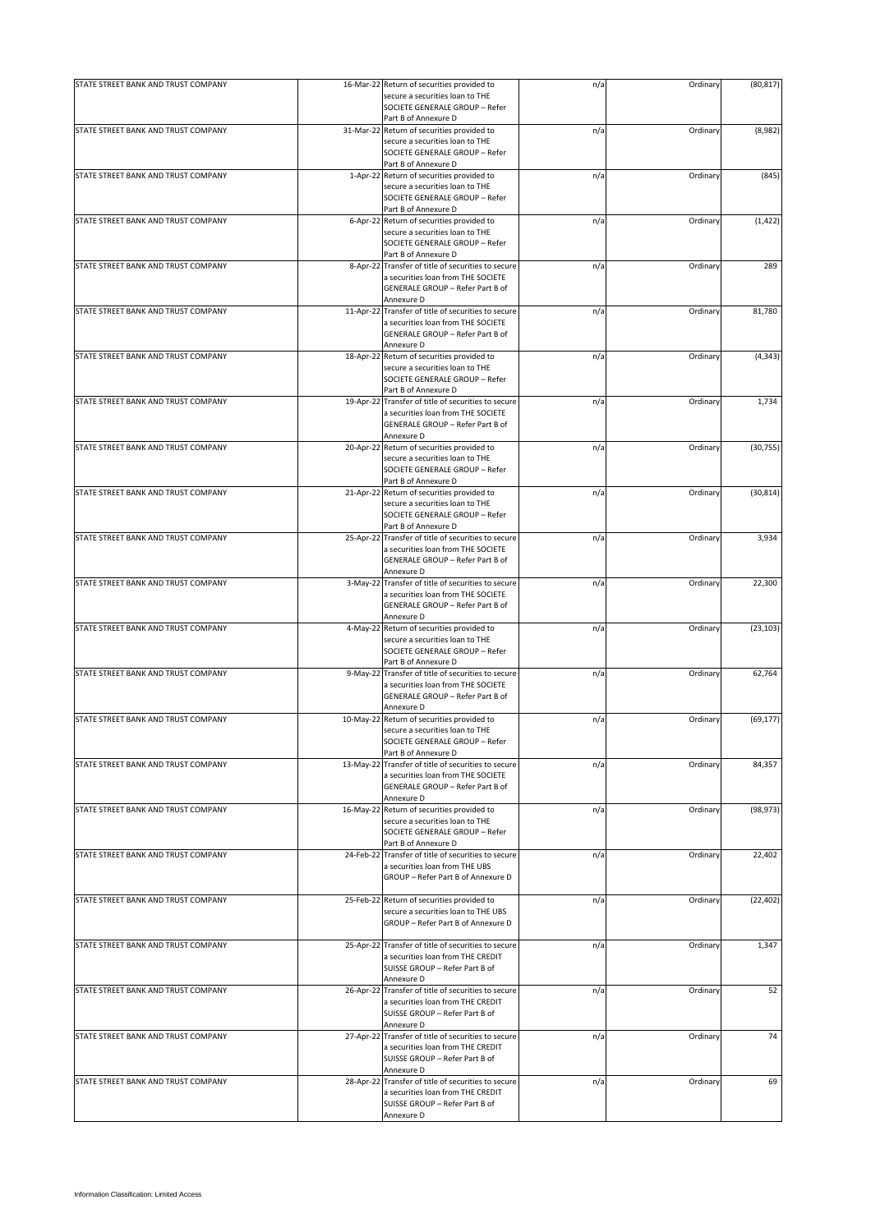| STATE STREET BANK AND TRUST COMPANY | 16-Mar-22 Return of securities provided to                                                | n/a | Ordinary | (80, 817) |
|-------------------------------------|-------------------------------------------------------------------------------------------|-----|----------|-----------|
|                                     | secure a securities loan to THE                                                           |     |          |           |
|                                     | SOCIETE GENERALE GROUP - Refer                                                            |     |          |           |
| STATE STREET BANK AND TRUST COMPANY | Part B of Annexure D<br>31-Mar-22 Return of securities provided to                        | n/a | Ordinary | (8,982)   |
|                                     | secure a securities loan to THE                                                           |     |          |           |
|                                     | SOCIETE GENERALE GROUP - Refer                                                            |     |          |           |
|                                     | Part B of Annexure D                                                                      |     |          |           |
| STATE STREET BANK AND TRUST COMPANY | 1-Apr-22 Return of securities provided to                                                 | n/a | Ordinary | (845)     |
|                                     | secure a securities loan to THE                                                           |     |          |           |
|                                     | SOCIETE GENERALE GROUP - Refer<br>Part B of Annexure D                                    |     |          |           |
| STATE STREET BANK AND TRUST COMPANY | 6-Apr-22 Return of securities provided to                                                 | n/a | Ordinary | (1, 422)  |
|                                     | secure a securities loan to THE                                                           |     |          |           |
|                                     | SOCIETE GENERALE GROUP - Refer                                                            |     |          |           |
|                                     | Part B of Annexure D                                                                      |     |          |           |
| STATE STREET BANK AND TRUST COMPANY | 8-Apr-22 Transfer of title of securities to secure                                        | n/a | Ordinary | 289       |
|                                     | a securities loan from THE SOCIETE<br>GENERALE GROUP - Refer Part B of                    |     |          |           |
|                                     | Annexure D                                                                                |     |          |           |
| STATE STREET BANK AND TRUST COMPANY | 11-Apr-22 Transfer of title of securities to secure                                       | n/a | Ordinary | 81,780    |
|                                     | a securities loan from THE SOCIETE                                                        |     |          |           |
|                                     | GENERALE GROUP - Refer Part B of                                                          |     |          |           |
|                                     | Annexure D                                                                                |     |          |           |
| STATE STREET BANK AND TRUST COMPANY | 18-Apr-22 Return of securities provided to<br>secure a securities loan to THE             | n/a | Ordinary | (4, 343)  |
|                                     | SOCIETE GENERALE GROUP - Refer                                                            |     |          |           |
|                                     | Part B of Annexure D                                                                      |     |          |           |
| STATE STREET BANK AND TRUST COMPANY | 19-Apr-22 Transfer of title of securities to secure                                       | n/a | Ordinary | 1,734     |
|                                     | a securities loan from THE SOCIETE                                                        |     |          |           |
|                                     | GENERALE GROUP - Refer Part B of                                                          |     |          |           |
|                                     | Annexure D                                                                                |     |          |           |
| STATE STREET BANK AND TRUST COMPANY | 20-Apr-22 Return of securities provided to<br>secure a securities loan to THE             | n/a | Ordinary | (30, 755) |
|                                     | SOCIETE GENERALE GROUP - Refer                                                            |     |          |           |
|                                     | Part B of Annexure D                                                                      |     |          |           |
| STATE STREET BANK AND TRUST COMPANY | 21-Apr-22 Return of securities provided to                                                | n/a | Ordinary | (30, 814) |
|                                     | secure a securities loan to THE                                                           |     |          |           |
|                                     | SOCIETE GENERALE GROUP - Refer                                                            |     |          |           |
|                                     | Part B of Annexure D                                                                      |     |          |           |
| STATE STREET BANK AND TRUST COMPANY | 25-Apr-22 Transfer of title of securities to secure<br>a securities loan from THE SOCIETE | n/a | Ordinary | 3,934     |
|                                     | GENERALE GROUP - Refer Part B of                                                          |     |          |           |
|                                     | Annexure D                                                                                |     |          |           |
| STATE STREET BANK AND TRUST COMPANY | 3-May-22 Transfer of title of securities to secure                                        | n/a | Ordinary | 22,300    |
|                                     | a securities loan from THE SOCIETE                                                        |     |          |           |
|                                     | GENERALE GROUP - Refer Part B of                                                          |     |          |           |
| STATE STREET BANK AND TRUST COMPANY | Annexure D<br>4-May-22 Return of securities provided to                                   | n/a | Ordinary | (23, 103) |
|                                     | secure a securities loan to THE                                                           |     |          |           |
|                                     | SOCIETE GENERALE GROUP - Refer                                                            |     |          |           |
|                                     | Part B of Annexure D                                                                      |     |          |           |
| STATE STREET BANK AND TRUST COMPANY | 9-May-22 Transfer of title of securities to secure                                        | n/a | Ordinary | 62,764    |
|                                     | a securities loan from THE SOCIETE                                                        |     |          |           |
|                                     | GENERALE GROUP - Refer Part B of<br>Annexure D                                            |     |          |           |
| STATE STREET BANK AND TRUST COMPANY | 10-May-22 Return of securities provided to                                                | n/a | Ordinary | (69, 177) |
|                                     | secure a securities loan to THE                                                           |     |          |           |
|                                     | SOCIETE GENERALE GROUP - Refer                                                            |     |          |           |
|                                     | Part B of Annexure D                                                                      |     |          |           |
| STATE STREET BANK AND TRUST COMPANY | 13-May-22 Transfer of title of securities to secure                                       | n/a | Ordinary | 84,357    |
|                                     | a securities loan from THE SOCIETE                                                        |     |          |           |
|                                     | GENERALE GROUP - Refer Part B of<br>Annexure D                                            |     |          |           |
| STATE STREET BANK AND TRUST COMPANY | 16-May-22 Return of securities provided to                                                | n/a | Ordinary | (98, 973) |
|                                     | secure a securities loan to THE                                                           |     |          |           |
|                                     | SOCIETE GENERALE GROUP - Refer                                                            |     |          |           |
|                                     | Part B of Annexure D                                                                      |     |          |           |
| STATE STREET BANK AND TRUST COMPANY | 24-Feb-22 Transfer of title of securities to secure                                       | n/a | Ordinary | 22,402    |
|                                     | a securities loan from THE UBS<br>GROUP - Refer Part B of Annexure D                      |     |          |           |
|                                     |                                                                                           |     |          |           |
| STATE STREET BANK AND TRUST COMPANY | 25-Feb-22 Return of securities provided to                                                | n/a | Ordinary | (22, 402) |
|                                     | secure a securities loan to THE UBS                                                       |     |          |           |
|                                     | GROUP - Refer Part B of Annexure D                                                        |     |          |           |
|                                     |                                                                                           |     |          |           |
| STATE STREET BANK AND TRUST COMPANY | 25-Apr-22 Transfer of title of securities to secure                                       | n/a | Ordinary | 1,347     |
|                                     | a securities loan from THE CREDIT<br>SUISSE GROUP - Refer Part B of                       |     |          |           |
|                                     | Annexure D                                                                                |     |          |           |
| STATE STREET BANK AND TRUST COMPANY | 26-Apr-22 Transfer of title of securities to secure                                       | n/a | Ordinary | 52        |
|                                     | a securities loan from THE CREDIT                                                         |     |          |           |
|                                     | SUISSE GROUP - Refer Part B of                                                            |     |          |           |
| STATE STREET BANK AND TRUST COMPANY | Annexure D<br>27-Apr-22 Transfer of title of securities to secure                         | n/a | Ordinary | 74        |
|                                     | a securities loan from THE CREDIT                                                         |     |          |           |
|                                     | SUISSE GROUP - Refer Part B of                                                            |     |          |           |
|                                     | Annexure D                                                                                |     |          |           |
| STATE STREET BANK AND TRUST COMPANY | 28-Apr-22 Transfer of title of securities to secure                                       | n/a | Ordinary | 69        |
|                                     | a securities loan from THE CREDIT                                                         |     |          |           |
|                                     | SUISSE GROUP - Refer Part B of<br>Annexure D                                              |     |          |           |
|                                     |                                                                                           |     |          |           |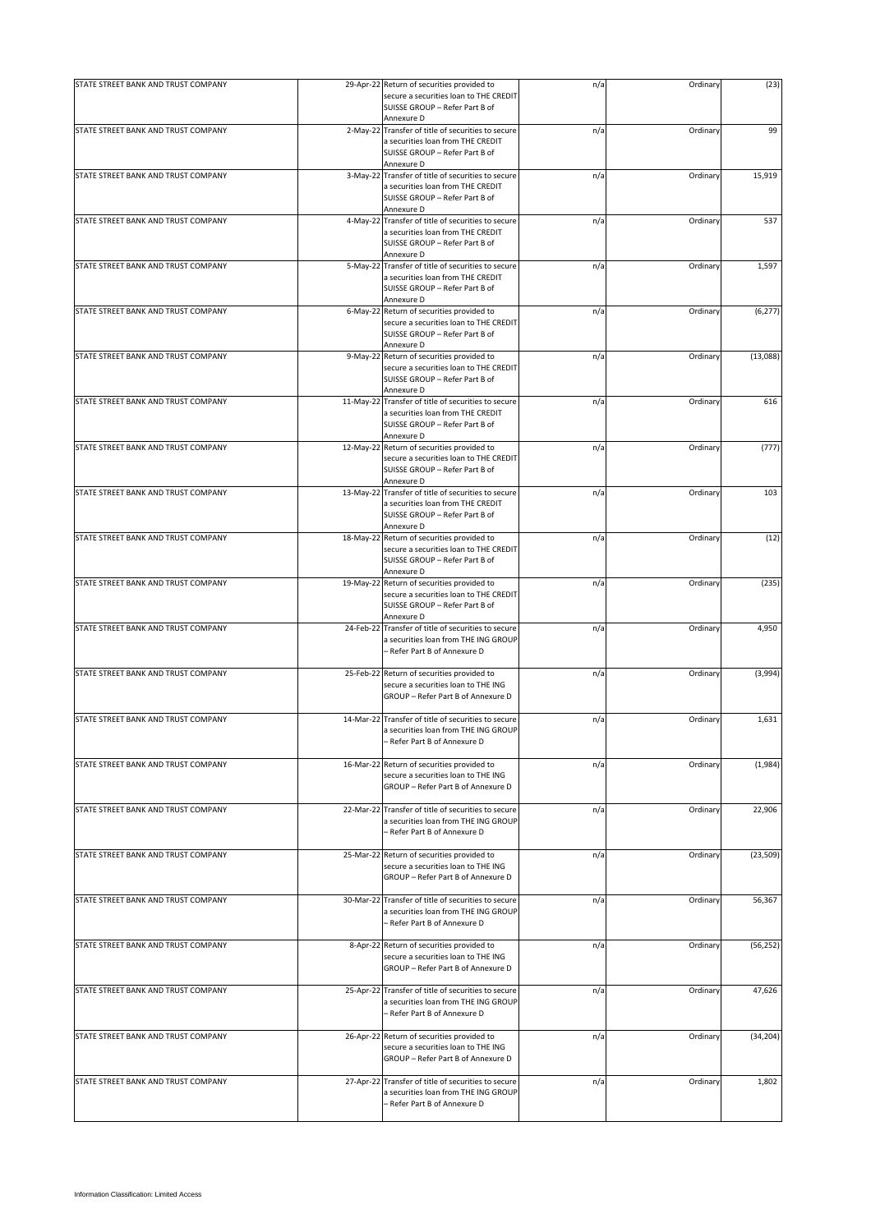| STATE STREET BANK AND TRUST COMPANY |             | 29-Apr-22 Return of securities provided to                                                                        | n/a | Ordinary | (23)      |
|-------------------------------------|-------------|-------------------------------------------------------------------------------------------------------------------|-----|----------|-----------|
|                                     |             | secure a securities loan to THE CREDIT<br>SUISSE GROUP - Refer Part B of<br>Annexure D                            |     |          |           |
| STATE STREET BANK AND TRUST COMPANY |             | 2-May-22 Transfer of title of securities to secure                                                                | n/a | Ordinary | 99        |
|                                     |             | a securities loan from THE CREDIT<br>SUISSE GROUP - Refer Part B of<br>Annexure D                                 |     |          |           |
| STATE STREET BANK AND TRUST COMPANY | $3-May-22$  | Transfer of title of securities to secure                                                                         | n/a | Ordinary | 15,919    |
|                                     |             | a securities loan from THE CREDIT<br>SUISSE GROUP - Refer Part B of<br>Annexure D                                 |     |          |           |
| STATE STREET BANK AND TRUST COMPANY |             | 4-May-22 Transfer of title of securities to secure                                                                | n/a | Ordinary | 537       |
|                                     |             | a securities loan from THE CREDIT<br>SUISSE GROUP - Refer Part B of<br>Annexure D                                 |     |          |           |
| STATE STREET BANK AND TRUST COMPANY |             | 5-May-22 Transfer of title of securities to secure                                                                | n/a | Ordinary | 1,597     |
|                                     |             | a securities loan from THE CREDIT<br>SUISSE GROUP - Refer Part B of<br>Annexure D                                 |     |          |           |
| STATE STREET BANK AND TRUST COMPANY | $6$ -May-22 | Return of securities provided to                                                                                  | n/a | Ordinary | (6, 277)  |
|                                     |             | secure a securities loan to THE CREDIT<br>SUISSE GROUP - Refer Part B of<br>Annexure D                            |     |          |           |
| STATE STREET BANK AND TRUST COMPANY | 9-May-22    | Return of securities provided to                                                                                  | n/a | Ordinary | (13,088)  |
|                                     |             | secure a securities loan to THE CREDIT<br>SUISSE GROUP - Refer Part B of<br>Annexure D                            |     |          |           |
| STATE STREET BANK AND TRUST COMPANY |             | 11-May-22 Transfer of title of securities to secure                                                               | n/a | Ordinary | 616       |
|                                     |             | a securities loan from THE CREDIT<br>SUISSE GROUP - Refer Part B of<br>Annexure D                                 |     |          |           |
| STATE STREET BANK AND TRUST COMPANY | 12-May-22   | Return of securities provided to                                                                                  | n/a | Ordinary | (777)     |
|                                     |             | secure a securities loan to THE CREDIT<br>SUISSE GROUP - Refer Part B of<br>Annexure D                            |     |          |           |
| STATE STREET BANK AND TRUST COMPANY |             | 13-May-22 Transfer of title of securities to secure                                                               | n/a | Ordinary | 103       |
|                                     |             | a securities loan from THE CREDIT<br>SUISSE GROUP - Refer Part B of<br>Annexure D                                 |     |          |           |
| STATE STREET BANK AND TRUST COMPANY |             | 18-May-22 Return of securities provided to                                                                        | n/a | Ordinary | (12)      |
|                                     |             | secure a securities loan to THE CREDIT<br>SUISSE GROUP - Refer Part B of<br>Annexure D                            |     |          |           |
| STATE STREET BANK AND TRUST COMPANY | 19-May-22   | Return of securities provided to                                                                                  | n/a | Ordinary | (235)     |
|                                     |             | secure a securities loan to THE CREDIT<br>SUISSE GROUP - Refer Part B of<br>Annexure D                            |     |          |           |
| STATE STREET BANK AND TRUST COMPANY | 24-Feb-22   | Transfer of title of securities to secure                                                                         | n/a | Ordinary | 4,950     |
|                                     |             | a securities loan from THE ING GROUP<br>- Refer Part B of Annexure D                                              |     |          |           |
| STATE STREET BANK AND TRUST COMPANY |             | 25-Feb-22 Return of securities provided to                                                                        | n/a | Ordinary | (3,994)   |
|                                     |             | secure a securities loan to THE ING<br>GROUP - Refer Part B of Annexure D                                         |     |          |           |
| STATE STREET BANK AND TRUST COMPANY |             | 14-Mar-22 Transfer of title of securities to secure                                                               | n/a | Ordinary | 1,631     |
|                                     |             | a securities loan from THE ING GROUP<br>- Refer Part B of Annexure D                                              |     |          |           |
| STATE STREET BANK AND TRUST COMPANY | 16-Mar-22   | Return of securities provided to                                                                                  | n/a | Ordinary | (1,984)   |
|                                     |             | secure a securities loan to THE ING<br>GROUP - Refer Part B of Annexure D                                         |     |          |           |
| STATE STREET BANK AND TRUST COMPANY | 22-Mar-22   | Transfer of title of securities to secure                                                                         | n/a | Ordinary | 22,906    |
|                                     |             | a securities loan from THE ING GROUP<br>- Refer Part B of Annexure D                                              |     |          |           |
| STATE STREET BANK AND TRUST COMPANY |             | 25-Mar-22 Return of securities provided to                                                                        | n/a | Ordinary | (23, 509) |
|                                     |             | secure a securities loan to THE ING<br>GROUP - Refer Part B of Annexure D                                         |     |          |           |
| STATE STREET BANK AND TRUST COMPANY | 30-Mar-22   | Transfer of title of securities to secure<br>a securities loan from THE ING GROUP<br>- Refer Part B of Annexure D | n/a | Ordinary | 56,367    |
| STATE STREET BANK AND TRUST COMPANY |             | 8-Apr-22 Return of securities provided to                                                                         |     | Ordinary |           |
|                                     |             | secure a securities loan to THE ING<br>GROUP - Refer Part B of Annexure D                                         | n/a |          | (56, 252) |
| STATE STREET BANK AND TRUST COMPANY |             | 25-Apr-22 Transfer of title of securities to secure                                                               | n/a | Ordinary | 47,626    |
|                                     |             | a securities loan from THE ING GROUP<br>- Refer Part B of Annexure D                                              |     |          |           |
| STATE STREET BANK AND TRUST COMPANY |             | 26-Apr-22 Return of securities provided to                                                                        | n/a | Ordinary | (34, 204) |
|                                     |             | secure a securities loan to THE ING<br>GROUP - Refer Part B of Annexure D                                         |     |          |           |
| STATE STREET BANK AND TRUST COMPANY | 27-Apr-22   | Transfer of title of securities to secure                                                                         | n/a | Ordinary | 1,802     |
|                                     |             | a securities loan from THE ING GROUP<br>- Refer Part B of Annexure D                                              |     |          |           |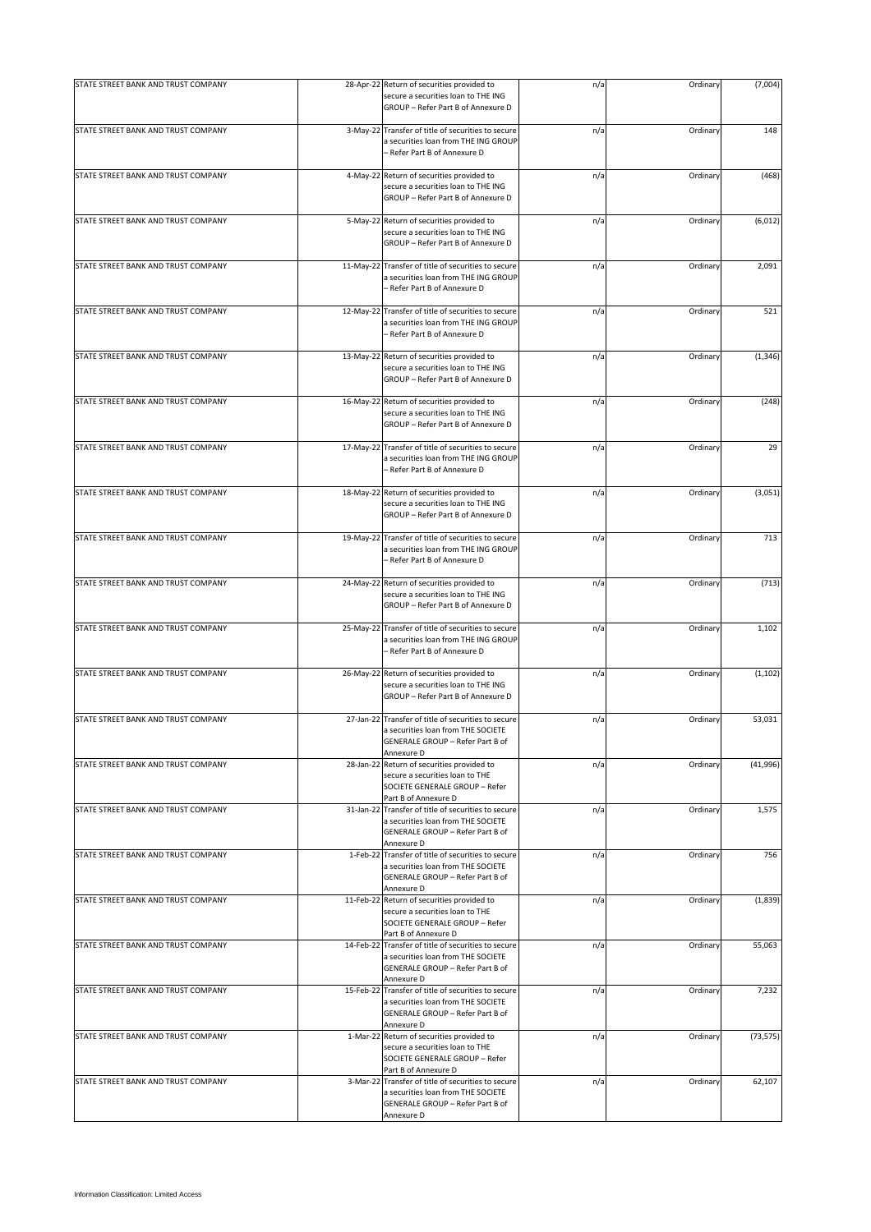| STATE STREET BANK AND TRUST COMPANY |           | 28-Apr-22 Return of securities provided to                                                                                                  | n/a | Ordinary | (7,004)   |
|-------------------------------------|-----------|---------------------------------------------------------------------------------------------------------------------------------------------|-----|----------|-----------|
|                                     |           | secure a securities loan to THE ING<br>GROUP - Refer Part B of Annexure D                                                                   |     |          |           |
| STATE STREET BANK AND TRUST COMPANY |           | 3-May-22 Transfer of title of securities to secure<br>a securities loan from THE ING GROUP<br>- Refer Part B of Annexure D                  | n/a | Ordinary | 148       |
| STATE STREET BANK AND TRUST COMPANY | 4-May-22  | Return of securities provided to<br>secure a securities loan to THE ING<br>GROUP - Refer Part B of Annexure D                               | n/a | Ordinary | (468)     |
| STATE STREET BANK AND TRUST COMPANY | 5-May-22  | Return of securities provided to<br>secure a securities loan to THE ING<br>GROUP - Refer Part B of Annexure D                               | n/a | Ordinary | (6, 012)  |
| STATE STREET BANK AND TRUST COMPANY | 11-May-22 | Transfer of title of securities to secure<br>a securities loan from THE ING GROUP<br>- Refer Part B of Annexure D                           | n/a | Ordinary | 2,091     |
| STATE STREET BANK AND TRUST COMPANY | 12-May-22 | Transfer of title of securities to secure<br>a securities loan from THE ING GROUP<br>– Refer Part B of Annexure D                           | n/a | Ordinary | 521       |
| STATE STREET BANK AND TRUST COMPANY |           | 13-May-22 Return of securities provided to<br>secure a securities loan to THE ING<br>GROUP - Refer Part B of Annexure D                     | n/a | Ordinary | (1, 346)  |
| STATE STREET BANK AND TRUST COMPANY | 16-May-22 | Return of securities provided to<br>secure a securities loan to THE ING<br>GROUP - Refer Part B of Annexure D                               | n/a | Ordinary | (248)     |
| STATE STREET BANK AND TRUST COMPANY | 17-May-22 | Transfer of title of securities to secure<br>a securities loan from THE ING GROUP<br>- Refer Part B of Annexure D                           | n/a | Ordinary | 29        |
| STATE STREET BANK AND TRUST COMPANY | 18-May-22 | Return of securities provided to<br>secure a securities loan to THE ING<br>GROUP - Refer Part B of Annexure D                               | n/a | Ordinary | (3,051)   |
| STATE STREET BANK AND TRUST COMPANY | 19-May-22 | Transfer of title of securities to secure<br>a securities loan from THE ING GROUP<br>- Refer Part B of Annexure D                           | n/a | Ordinary | 713       |
| STATE STREET BANK AND TRUST COMPANY |           | 24-May-22 Return of securities provided to<br>secure a securities loan to THE ING<br>GROUP - Refer Part B of Annexure D                     | n/a | Ordinary | (713)     |
| STATE STREET BANK AND TRUST COMPANY | 25-May-22 | Transfer of title of securities to secure<br>a securities loan from THE ING GROUP<br>- Refer Part B of Annexure D                           | n/a | Ordinary | 1,102     |
| STATE STREET BANK AND TRUST COMPANY |           | 26-May-22 Return of securities provided to<br>secure a securities loan to THE ING<br>GROUP - Refer Part B of Annexure D                     | n/a | Ordinary | (1, 102)  |
| STATE STREET BANK AND TRUST COMPANY |           | 27-Jan-22 Transfer of title of securities to secure<br>a securities loan from THE SOCIETE<br>GENERALE GROUP - Refer Part B of               | n/a | Ordinary | 53,031    |
| STATE STREET BANK AND TRUST COMPANY | 28-Jan-22 | Annexure D<br>Return of securities provided to<br>secure a securities loan to THE<br>SOCIETE GENERALE GROUP - Refer<br>Part B of Annexure D | n/a | Ordinary | (41,996)  |
| STATE STREET BANK AND TRUST COMPANY |           | 31-Jan-22 Transfer of title of securities to secure<br>a securities loan from THE SOCIETE<br>GENERALE GROUP - Refer Part B of<br>Annexure D | n/a | Ordinary | 1,575     |
| STATE STREET BANK AND TRUST COMPANY |           | 1-Feb-22 Transfer of title of securities to secure<br>a securities loan from THE SOCIETE<br>GENERALE GROUP - Refer Part B of<br>Annexure D  | n/a | Ordinary | 756       |
| STATE STREET BANK AND TRUST COMPANY | 11-Feb-22 | Return of securities provided to<br>secure a securities loan to THE<br>SOCIETE GENERALE GROUP - Refer<br>Part B of Annexure D               | n/a | Ordinary | (1,839)   |
| STATE STREET BANK AND TRUST COMPANY | 14-Feb-22 | Transfer of title of securities to secure<br>a securities loan from THE SOCIETE<br>GENERALE GROUP - Refer Part B of<br>Annexure D           | n/a | Ordinary | 55,063    |
| STATE STREET BANK AND TRUST COMPANY |           | 15-Feb-22 Transfer of title of securities to secure<br>a securities loan from THE SOCIETE<br>GENERALE GROUP - Refer Part B of<br>Annexure D | n/a | Ordinary | 7,232     |
| STATE STREET BANK AND TRUST COMPANY |           | 1-Mar-22 Return of securities provided to<br>secure a securities loan to THE<br>SOCIETE GENERALE GROUP - Refer<br>Part B of Annexure D      | n/a | Ordinary | (73, 575) |
| STATE STREET BANK AND TRUST COMPANY |           | 3-Mar-22 Transfer of title of securities to secure<br>a securities loan from THE SOCIETE<br>GENERALE GROUP - Refer Part B of<br>Annexure D  | n/a | Ordinary | 62,107    |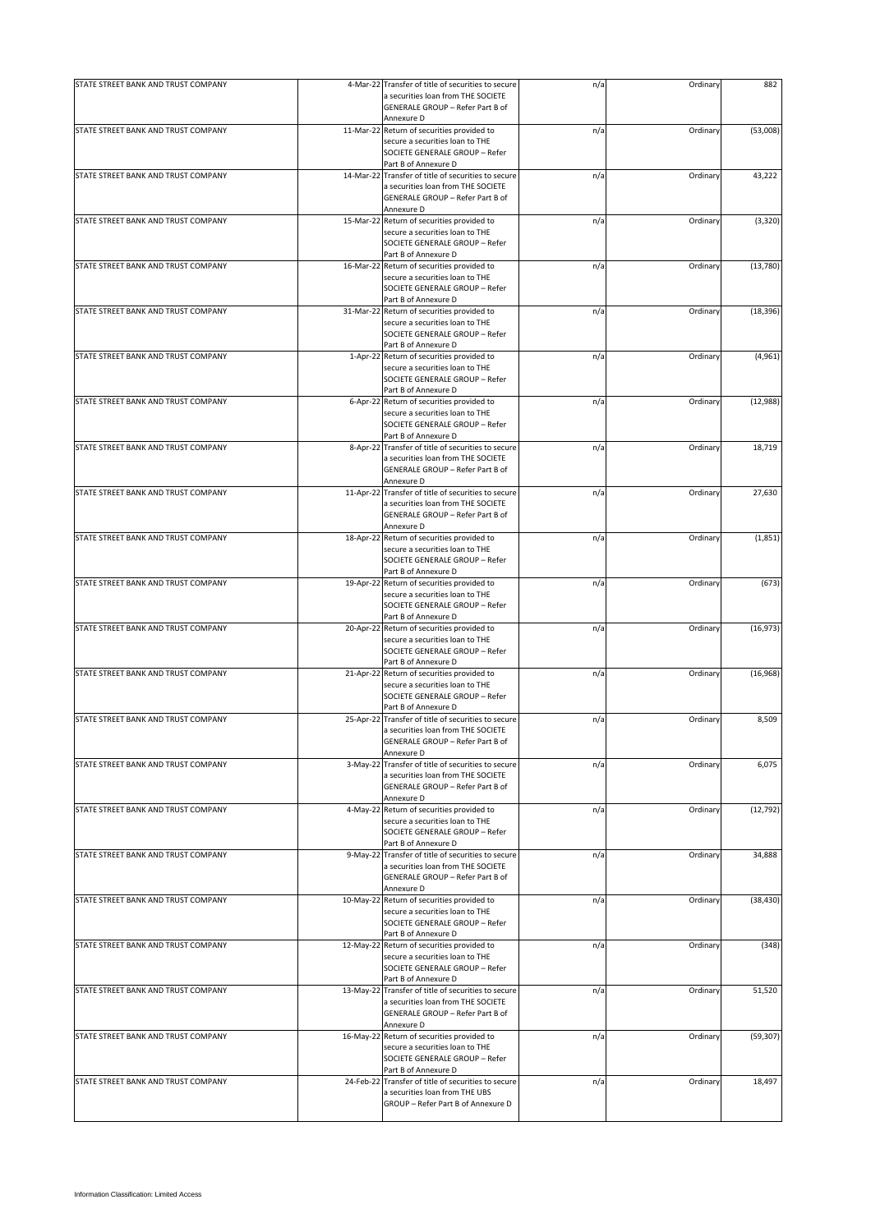| STATE STREET BANK AND TRUST COMPANY | 4-Mar-22 Transfer of title of securities to secure                                        | n/a | Ordinary | 882       |
|-------------------------------------|-------------------------------------------------------------------------------------------|-----|----------|-----------|
|                                     | a securities loan from THE SOCIETE                                                        |     |          |           |
|                                     | GENERALE GROUP - Refer Part B of                                                          |     |          |           |
| STATE STREET BANK AND TRUST COMPANY | Annexure D<br>11-Mar-22 Return of securities provided to                                  | n/a | Ordinary | (53,008)  |
|                                     | secure a securities loan to THE                                                           |     |          |           |
|                                     | SOCIETE GENERALE GROUP - Refer                                                            |     |          |           |
|                                     | Part B of Annexure D                                                                      |     |          |           |
| STATE STREET BANK AND TRUST COMPANY | 14-Mar-22 Transfer of title of securities to secure                                       | n/a | Ordinary | 43,222    |
|                                     | a securities loan from THE SOCIETE<br>GENERALE GROUP - Refer Part B of                    |     |          |           |
|                                     | Annexure D                                                                                |     |          |           |
| STATE STREET BANK AND TRUST COMPANY | 15-Mar-22 Return of securities provided to                                                | n/a | Ordinary | (3, 320)  |
|                                     | secure a securities loan to THE                                                           |     |          |           |
|                                     | SOCIETE GENERALE GROUP - Refer                                                            |     |          |           |
|                                     | Part B of Annexure D                                                                      |     |          |           |
| STATE STREET BANK AND TRUST COMPANY | 16-Mar-22 Return of securities provided to<br>secure a securities loan to THE             | n/a | Ordinary | (13,780)  |
|                                     | SOCIETE GENERALE GROUP - Refer                                                            |     |          |           |
|                                     | Part B of Annexure D                                                                      |     |          |           |
| STATE STREET BANK AND TRUST COMPANY | 31-Mar-22 Return of securities provided to                                                | n/a | Ordinary | (18, 396) |
|                                     | secure a securities loan to THE                                                           |     |          |           |
|                                     | SOCIETE GENERALE GROUP - Refer                                                            |     |          |           |
| STATE STREET BANK AND TRUST COMPANY | Part B of Annexure D                                                                      |     |          |           |
|                                     | 1-Apr-22 Return of securities provided to<br>secure a securities loan to THE              | n/a | Ordinary | (4,961)   |
|                                     | SOCIETE GENERALE GROUP - Refer                                                            |     |          |           |
|                                     | Part B of Annexure D                                                                      |     |          |           |
| STATE STREET BANK AND TRUST COMPANY | 6-Apr-22 Return of securities provided to                                                 | n/a | Ordinary | (12,988)  |
|                                     | secure a securities loan to THE                                                           |     |          |           |
|                                     | SOCIETE GENERALE GROUP - Refer                                                            |     |          |           |
| STATE STREET BANK AND TRUST COMPANY | Part B of Annexure D                                                                      |     |          |           |
|                                     | 8-Apr-22 Transfer of title of securities to secure<br>a securities loan from THE SOCIETE  | n/a | Ordinary | 18,719    |
|                                     | GENERALE GROUP - Refer Part B of                                                          |     |          |           |
|                                     | Annexure D                                                                                |     |          |           |
| STATE STREET BANK AND TRUST COMPANY | 11-Apr-22 Transfer of title of securities to secure                                       | n/a | Ordinary | 27,630    |
|                                     | a securities loan from THE SOCIETE                                                        |     |          |           |
|                                     | GENERALE GROUP - Refer Part B of                                                          |     |          |           |
|                                     | Annexure D                                                                                |     |          |           |
| STATE STREET BANK AND TRUST COMPANY | 18-Apr-22 Return of securities provided to<br>secure a securities loan to THE             | n/a | Ordinary | (1,851)   |
|                                     | SOCIETE GENERALE GROUP - Refer                                                            |     |          |           |
|                                     | Part B of Annexure D                                                                      |     |          |           |
| STATE STREET BANK AND TRUST COMPANY | 19-Apr-22 Return of securities provided to                                                | n/a | Ordinary | (673)     |
|                                     | secure a securities loan to THE                                                           |     |          |           |
|                                     | SOCIETE GENERALE GROUP - Refer                                                            |     |          |           |
|                                     | Part B of Annexure D                                                                      |     |          |           |
| STATE STREET BANK AND TRUST COMPANY | 20-Apr-22 Return of securities provided to                                                | n/a | Ordinary | (16, 973) |
|                                     | secure a securities loan to THE<br>SOCIETE GENERALE GROUP - Refer                         |     |          |           |
|                                     | Part B of Annexure D                                                                      |     |          |           |
| STATE STREET BANK AND TRUST COMPANY | 21-Apr-22 Return of securities provided to                                                | n/a | Ordinary | (16,968)  |
|                                     | secure a securities loan to THE                                                           |     |          |           |
|                                     | SOCIETE GENERALE GROUP - Refer                                                            |     |          |           |
|                                     | Part B of Annexure D                                                                      |     |          |           |
| STATE STREET BANK AND TRUST COMPANY | 25-Apr-22 Transfer of title of securities to secure<br>a securities loan from THE SOCIETE | n/a | Ordinary | 8,509     |
|                                     | GENERALE GROUP - Refer Part B of                                                          |     |          |           |
|                                     | Annexure D                                                                                |     |          |           |
| STATE STREET BANK AND TRUST COMPANY | 3-May-22 Transfer of title of securities to secure                                        | n/a | Ordinary | 6,075     |
|                                     | a securities loan from THE SOCIETE                                                        |     |          |           |
|                                     | GENERALE GROUP - Refer Part B of                                                          |     |          |           |
|                                     | Annexure D                                                                                |     |          |           |
| STATE STREET BANK AND TRUST COMPANY | 4-May-22 Return of securities provided to<br>secure a securities loan to THE              | n/a | Ordinary | (12, 792) |
|                                     | SOCIETE GENERALE GROUP - Refer                                                            |     |          |           |
|                                     | Part B of Annexure D                                                                      |     |          |           |
| STATE STREET BANK AND TRUST COMPANY | 9-May-22 Transfer of title of securities to secure                                        | n/a | Ordinary | 34,888    |
|                                     | a securities loan from THE SOCIETE                                                        |     |          |           |
|                                     | GENERALE GROUP - Refer Part B of                                                          |     |          |           |
|                                     | Annexure D                                                                                |     |          |           |
| STATE STREET BANK AND TRUST COMPANY | 10-May-22 Return of securities provided to<br>secure a securities loan to THE             | n/a | Ordinary | (38, 430) |
|                                     | SOCIETE GENERALE GROUP - Refer                                                            |     |          |           |
|                                     | Part B of Annexure D                                                                      |     |          |           |
| STATE STREET BANK AND TRUST COMPANY | 12-May-22 Return of securities provided to                                                | n/a | Ordinary | (348)     |
|                                     | secure a securities loan to THE                                                           |     |          |           |
|                                     | SOCIETE GENERALE GROUP - Refer                                                            |     |          |           |
|                                     | Part B of Annexure D                                                                      |     |          |           |
| STATE STREET BANK AND TRUST COMPANY | 13-May-22 Transfer of title of securities to secure<br>a securities loan from THE SOCIETE | n/a | Ordinary | 51,520    |
|                                     | GENERALE GROUP - Refer Part B of                                                          |     |          |           |
|                                     | Annexure D                                                                                |     |          |           |
| STATE STREET BANK AND TRUST COMPANY | 16-May-22 Return of securities provided to                                                | n/a | Ordinary | (59, 307) |
|                                     | secure a securities loan to THE                                                           |     |          |           |
|                                     | SOCIETE GENERALE GROUP - Refer                                                            |     |          |           |
|                                     | Part B of Annexure D                                                                      |     |          |           |
| STATE STREET BANK AND TRUST COMPANY | 24-Feb-22 Transfer of title of securities to secure<br>a securities loan from THE UBS     | n/a | Ordinary | 18,497    |
|                                     | GROUP - Refer Part B of Annexure D                                                        |     |          |           |
|                                     |                                                                                           |     |          |           |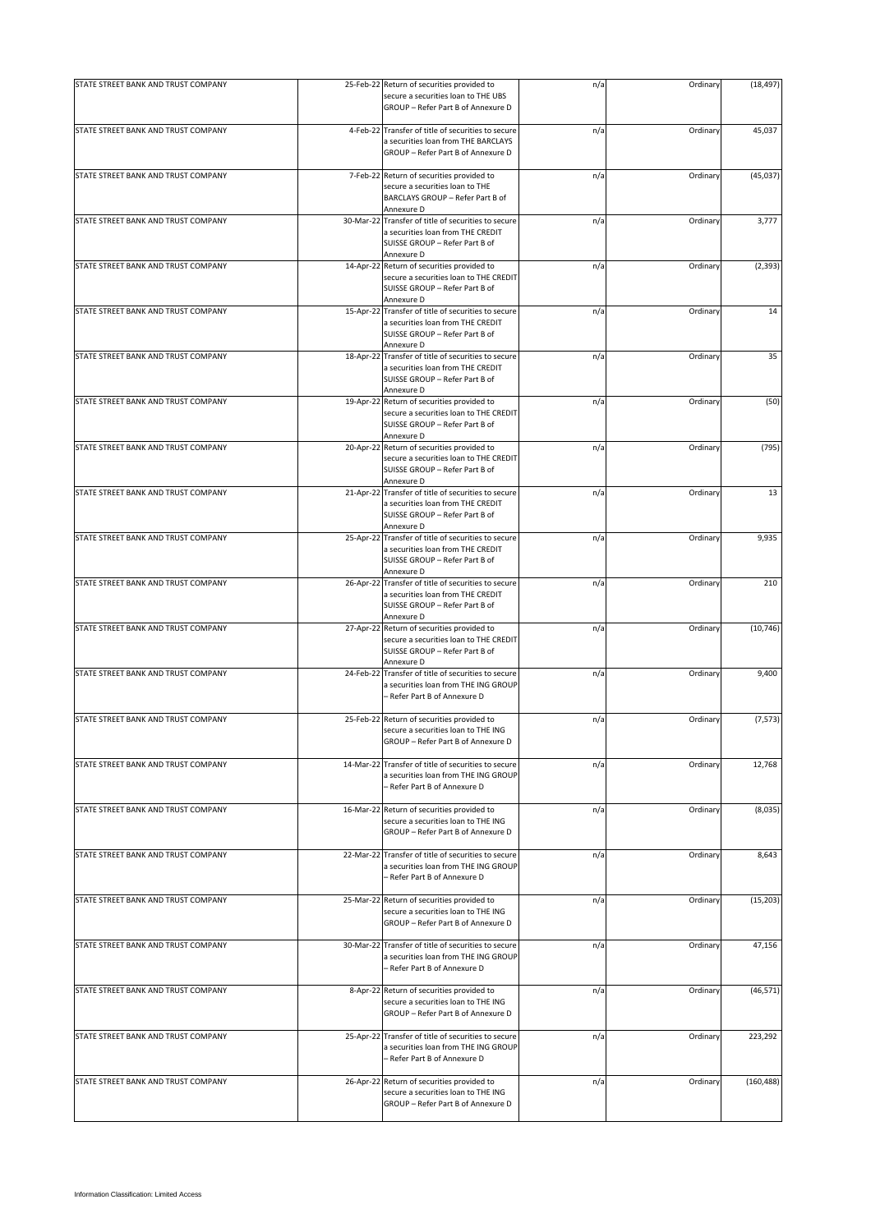| STATE STREET BANK AND TRUST COMPANY | 25-Feb-22 Return of securities provided to                                                                                               | n/a | Ordinary | (18, 497)  |
|-------------------------------------|------------------------------------------------------------------------------------------------------------------------------------------|-----|----------|------------|
|                                     | secure a securities loan to THE UBS<br>GROUP - Refer Part B of Annexure D                                                                |     |          |            |
| STATE STREET BANK AND TRUST COMPANY | 4-Feb-22 Transfer of title of securities to secure                                                                                       |     | Ordinary | 45,037     |
|                                     | a securities loan from THE BARCLAYS<br>GROUP - Refer Part B of Annexure D                                                                | n/a |          |            |
| STATE STREET BANK AND TRUST COMPANY | 7-Feb-22 Return of securities provided to                                                                                                | n/a | Ordinary | (45, 037)  |
|                                     | secure a securities loan to THE<br>BARCLAYS GROUP - Refer Part B of                                                                      |     |          |            |
|                                     | Annexure D                                                                                                                               |     |          |            |
| STATE STREET BANK AND TRUST COMPANY | 30-Mar-22 Transfer of title of securities to secure<br>a securities loan from THE CREDIT<br>SUISSE GROUP - Refer Part B of<br>Annexure D | n/a | Ordinary | 3,777      |
| STATE STREET BANK AND TRUST COMPANY | 14-Apr-22 Return of securities provided to<br>secure a securities loan to THE CREDIT<br>SUISSE GROUP - Refer Part B of                   | n/a | Ordinary | (2, 393)   |
| STATE STREET BANK AND TRUST COMPANY | Annexure D<br>15-Apr-22 Transfer of title of securities to secure<br>a securities loan from THE CREDIT<br>SUISSE GROUP - Refer Part B of | n/a | Ordinary | 14         |
|                                     | Annexure D                                                                                                                               |     |          |            |
| STATE STREET BANK AND TRUST COMPANY | 18-Apr-22 Transfer of title of securities to secure<br>a securities loan from THE CREDIT<br>SUISSE GROUP - Refer Part B of<br>Annexure D | n/a | Ordinary | 35         |
| STATE STREET BANK AND TRUST COMPANY | 19-Apr-22 Return of securities provided to<br>secure a securities loan to THE CREDIT<br>SUISSE GROUP - Refer Part B of                   | n/a | Ordinary | (50)       |
|                                     | Annexure D                                                                                                                               |     |          |            |
| STATE STREET BANK AND TRUST COMPANY | 20-Apr-22 Return of securities provided to<br>secure a securities loan to THE CREDIT<br>SUISSE GROUP - Refer Part B of<br>Annexure D     | n/a | Ordinary | (795)      |
| STATE STREET BANK AND TRUST COMPANY | 21-Apr-22 Transfer of title of securities to secure<br>a securities loan from THE CREDIT<br>SUISSE GROUP - Refer Part B of               | n/a | Ordinary | 13         |
| STATE STREET BANK AND TRUST COMPANY | Annexure D<br>25-Apr-22 Transfer of title of securities to secure<br>a securities loan from THE CREDIT<br>SUISSE GROUP - Refer Part B of | n/a | Ordinary | 9,935      |
|                                     | Annexure D                                                                                                                               |     |          |            |
| STATE STREET BANK AND TRUST COMPANY | 26-Apr-22 Transfer of title of securities to secure<br>a securities loan from THE CREDIT<br>SUISSE GROUP - Refer Part B of               | n/a | Ordinary | 210        |
| STATE STREET BANK AND TRUST COMPANY | Annexure D<br>27-Apr-22 Return of securities provided to                                                                                 | n/a | Ordinary | (10, 746)  |
|                                     | secure a securities loan to THE CREDIT<br>SUISSE GROUP - Refer Part B of<br>Annexure D                                                   |     |          |            |
| STATE STREET BANK AND TRUST COMPANY | 24-Feb-22 Transfer of title of securities to secure<br>a securities loan from THE ING GROUP<br>- Refer Part B of Annexure D              | n/a | Ordinary | 9,400      |
| STATE STREET BANK AND TRUST COMPANY | 25-Feb-22 Return of securities provided to                                                                                               | n/a | Ordinary | (7, 573)   |
|                                     | secure a securities loan to THE ING<br>GROUP - Refer Part B of Annexure D                                                                |     |          |            |
| STATE STREET BANK AND TRUST COMPANY | 14-Mar-22 Transfer of title of securities to secure<br>a securities loan from THE ING GROUP<br>- Refer Part B of Annexure D              | n/a | Ordinary | 12,768     |
| STATE STREET BANK AND TRUST COMPANY | 16-Mar-22 Return of securities provided to<br>secure a securities loan to THE ING<br>GROUP - Refer Part B of Annexure D                  | n/a | Ordinary | (8,035)    |
| STATE STREET BANK AND TRUST COMPANY | 22-Mar-22 Transfer of title of securities to secure<br>a securities loan from THE ING GROUP<br>- Refer Part B of Annexure D              | n/a | Ordinary | 8,643      |
| STATE STREET BANK AND TRUST COMPANY | 25-Mar-22 Return of securities provided to<br>secure a securities loan to THE ING<br>GROUP - Refer Part B of Annexure D                  | n/a | Ordinary | (15, 203)  |
| STATE STREET BANK AND TRUST COMPANY | 30-Mar-22 Transfer of title of securities to secure<br>a securities loan from THE ING GROUP<br>- Refer Part B of Annexure D              | n/a | Ordinary | 47,156     |
| STATE STREET BANK AND TRUST COMPANY | 8-Apr-22 Return of securities provided to<br>secure a securities loan to THE ING<br>GROUP - Refer Part B of Annexure D                   | n/a | Ordinary | (46, 571)  |
| STATE STREET BANK AND TRUST COMPANY | 25-Apr-22 Transfer of title of securities to secure<br>a securities loan from THE ING GROUP<br>- Refer Part B of Annexure D              | n/a | Ordinary | 223,292    |
| STATE STREET BANK AND TRUST COMPANY | 26-Apr-22 Return of securities provided to<br>secure a securities loan to THE ING<br>GROUP - Refer Part B of Annexure D                  | n/a | Ordinary | (160, 488) |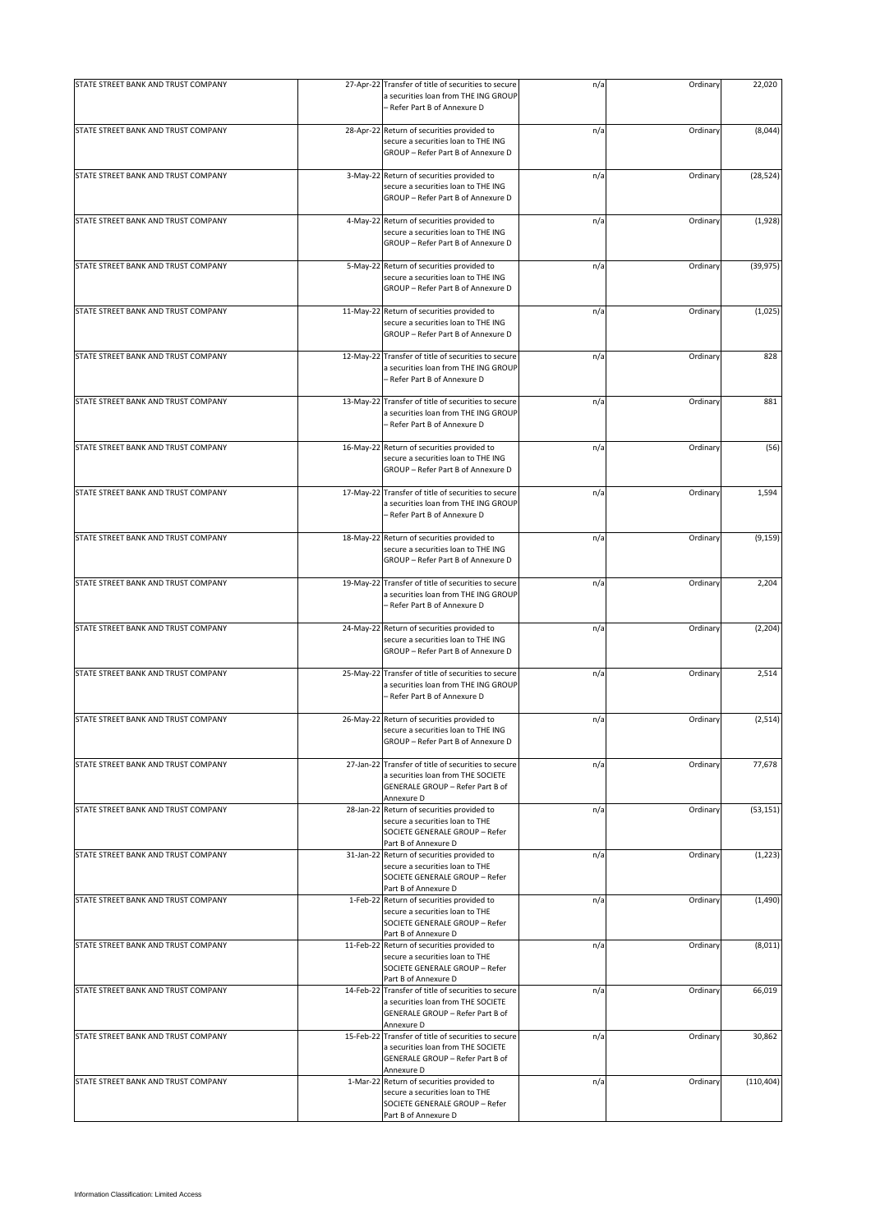| STATE STREET BANK AND TRUST COMPANY |           | 27-Apr-22 Transfer of title of securities to secure<br>a securities loan from THE ING GROUP<br>- Refer Part B of Annexure D                 | n/a | Ordinary | 22,020     |
|-------------------------------------|-----------|---------------------------------------------------------------------------------------------------------------------------------------------|-----|----------|------------|
| STATE STREET BANK AND TRUST COMPANY |           | 28-Apr-22 Return of securities provided to<br>secure a securities loan to THE ING<br>GROUP - Refer Part B of Annexure D                     | n/a | Ordinary | (8,044)    |
| STATE STREET BANK AND TRUST COMPANY |           | 3-May-22 Return of securities provided to<br>secure a securities loan to THE ING<br>GROUP - Refer Part B of Annexure D                      | n/a | Ordinary | (28, 524)  |
| STATE STREET BANK AND TRUST COMPANY |           | 4-May-22 Return of securities provided to<br>secure a securities loan to THE ING<br>GROUP - Refer Part B of Annexure D                      | n/a | Ordinary | (1,928)    |
| STATE STREET BANK AND TRUST COMPANY |           | 5-May-22 Return of securities provided to<br>secure a securities loan to THE ING<br>GROUP - Refer Part B of Annexure D                      | n/a | Ordinary | (39, 975)  |
| STATE STREET BANK AND TRUST COMPANY |           | 11-May-22 Return of securities provided to<br>secure a securities loan to THE ING<br>GROUP - Refer Part B of Annexure D                     | n/a | Ordinary | (1,025)    |
| STATE STREET BANK AND TRUST COMPANY |           | 12-May-22 Transfer of title of securities to secure<br>a securities loan from THE ING GROUP<br>– Refer Part B of Annexure D                 | n/a | Ordinary | 828        |
| STATE STREET BANK AND TRUST COMPANY |           | 13-May-22 Transfer of title of securities to secure<br>a securities loan from THE ING GROUP<br>- Refer Part B of Annexure D                 | n/a | Ordinary | 881        |
| STATE STREET BANK AND TRUST COMPANY |           | 16-May-22 Return of securities provided to<br>secure a securities loan to THE ING<br>GROUP - Refer Part B of Annexure D                     | n/a | Ordinary | (56)       |
| STATE STREET BANK AND TRUST COMPANY | 17-May-22 | Transfer of title of securities to secure<br>a securities loan from THE ING GROUP<br>- Refer Part B of Annexure D                           | n/a | Ordinary | 1,594      |
| STATE STREET BANK AND TRUST COMPANY |           | 18-May-22 Return of securities provided to<br>secure a securities loan to THE ING<br>GROUP - Refer Part B of Annexure D                     | n/a | Ordinary | (9, 159)   |
| STATE STREET BANK AND TRUST COMPANY |           | 19-May-22 Transfer of title of securities to secure<br>a securities loan from THE ING GROUP<br>- Refer Part B of Annexure D                 | n/a | Ordinary | 2,204      |
| STATE STREET BANK AND TRUST COMPANY |           | 24-May-22 Return of securities provided to<br>secure a securities loan to THE ING<br>GROUP - Refer Part B of Annexure D                     | n/a | Ordinary | (2, 204)   |
| STATE STREET BANK AND TRUST COMPANY |           | 25-May-22 Transfer of title of securities to secure<br>a securities loan from THE ING GROUP<br>– Refer Part B of Annexure D                 | n/a | Ordinary | 2,514      |
| STATE STREET BANK AND TRUST COMPANY |           | 26-May-22 Return of securities provided to<br>secure a securities loan to THE ING<br>GROUP - Refer Part B of Annexure D                     | n/a | Ordinary | (2, 514)   |
| STATE STREET BANK AND TRUST COMPANY |           | 27-Jan-22 Transfer of title of securities to secure<br>a securities loan from THE SOCIETE<br>GENERALE GROUP - Refer Part B of<br>Annexure D | n/a | Ordinary | 77,678     |
| STATE STREET BANK AND TRUST COMPANY |           | 28-Jan-22 Return of securities provided to<br>secure a securities loan to THE<br>SOCIETE GENERALE GROUP - Refer<br>Part B of Annexure D     | n/a | Ordinary | (53, 151)  |
| STATE STREET BANK AND TRUST COMPANY |           | 31-Jan-22 Return of securities provided to<br>secure a securities loan to THE<br>SOCIETE GENERALE GROUP - Refer<br>Part B of Annexure D     | n/a | Ordinary | (1, 223)   |
| STATE STREET BANK AND TRUST COMPANY |           | 1-Feb-22 Return of securities provided to<br>secure a securities loan to THE<br>SOCIETE GENERALE GROUP - Refer<br>Part B of Annexure D      | n/a | Ordinary | (1,490)    |
| STATE STREET BANK AND TRUST COMPANY |           | 11-Feb-22 Return of securities provided to<br>secure a securities loan to THE<br>SOCIETE GENERALE GROUP - Refer<br>Part B of Annexure D     | n/a | Ordinary | (8,011)    |
| STATE STREET BANK AND TRUST COMPANY |           | 14-Feb-22 Transfer of title of securities to secure<br>a securities loan from THE SOCIETE<br>GENERALE GROUP - Refer Part B of<br>Annexure D | n/a | Ordinary | 66,019     |
| STATE STREET BANK AND TRUST COMPANY |           | 15-Feb-22 Transfer of title of securities to secure<br>a securities loan from THE SOCIETE<br>GENERALE GROUP - Refer Part B of<br>Annexure D | n/a | Ordinary | 30,862     |
| STATE STREET BANK AND TRUST COMPANY |           | 1-Mar-22 Return of securities provided to<br>secure a securities loan to THE<br>SOCIETE GENERALE GROUP - Refer<br>Part B of Annexure D      | n/a | Ordinary | (110, 404) |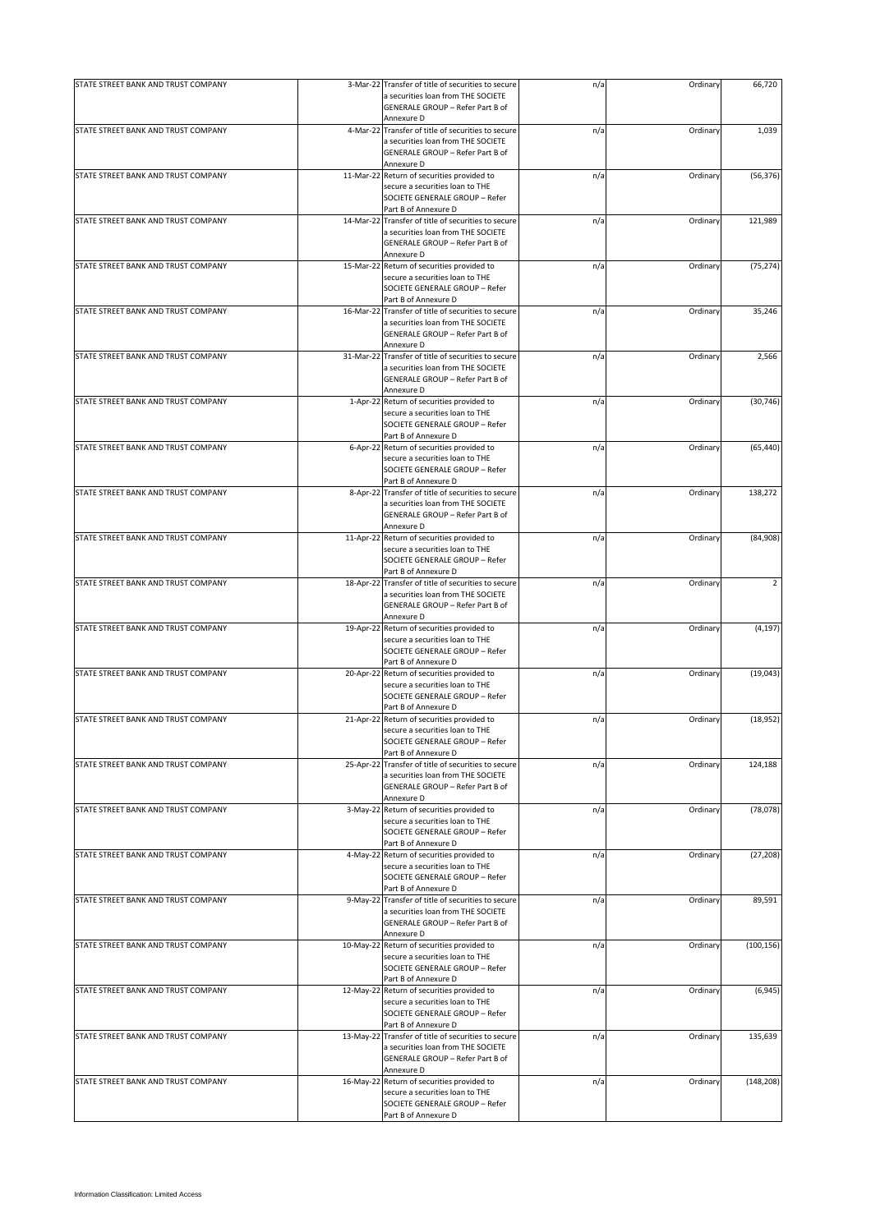| STATE STREET BANK AND TRUST COMPANY | 3-Mar-22 Transfer of title of securities to secure                                                                                      | n/a | Ordinary | 66,720     |
|-------------------------------------|-----------------------------------------------------------------------------------------------------------------------------------------|-----|----------|------------|
|                                     | a securities loan from THE SOCIETE<br>GENERALE GROUP - Refer Part B of<br>Annexure D                                                    |     |          |            |
| STATE STREET BANK AND TRUST COMPANY | 4-Mar-22 Transfer of title of securities to secure                                                                                      | n/a | Ordinary | 1,039      |
|                                     | a securities loan from THE SOCIETE<br>GENERALE GROUP - Refer Part B of<br>Annexure D                                                    |     |          |            |
| STATE STREET BANK AND TRUST COMPANY | 11-Mar-22 Return of securities provided to                                                                                              | n/a | Ordinary | (56, 376)  |
|                                     | secure a securities loan to THE<br>SOCIETE GENERALE GROUP - Refer                                                                       |     |          |            |
|                                     | Part B of Annexure D                                                                                                                    |     |          |            |
| STATE STREET BANK AND TRUST COMPANY | 14-Mar-22 Transfer of title of securities to secure                                                                                     | n/a | Ordinary | 121,989    |
|                                     | a securities loan from THE SOCIETE<br>GENERALE GROUP - Refer Part B of<br>Annexure D                                                    |     |          |            |
| STATE STREET BANK AND TRUST COMPANY | 15-Mar-22 Return of securities provided to                                                                                              | n/a | Ordinary | (75, 274)  |
|                                     | secure a securities loan to THE<br>SOCIETE GENERALE GROUP - Refer<br>Part B of Annexure D                                               |     |          |            |
| STATE STREET BANK AND TRUST COMPANY | 16-Mar-22 Transfer of title of securities to secure                                                                                     | n/a | Ordinary | 35,246     |
|                                     | a securities loan from THE SOCIETE<br>GENERALE GROUP - Refer Part B of<br>Annexure D                                                    |     |          |            |
| STATE STREET BANK AND TRUST COMPANY | 31-Mar-22 Transfer of title of securities to secure                                                                                     | n/a | Ordinary | 2,566      |
|                                     | a securities loan from THE SOCIETE<br>GENERALE GROUP - Refer Part B of                                                                  |     |          |            |
|                                     | Annexure D                                                                                                                              |     |          |            |
| STATE STREET BANK AND TRUST COMPANY | 1-Apr-22 Return of securities provided to<br>secure a securities loan to THE<br>SOCIETE GENERALE GROUP - Refer<br>Part B of Annexure D  | n/a | Ordinary | (30, 746)  |
| STATE STREET BANK AND TRUST COMPANY | 6-Apr-22 Return of securities provided to                                                                                               | n/a | Ordinary | (65, 440)  |
|                                     | secure a securities loan to THE<br>SOCIETE GENERALE GROUP - Refer<br>Part B of Annexure D                                               |     |          |            |
| STATE STREET BANK AND TRUST COMPANY | 8-Apr-22 Transfer of title of securities to secure                                                                                      | n/a | Ordinary | 138,272    |
|                                     | a securities loan from THE SOCIETE<br>GENERALE GROUP - Refer Part B of<br>Annexure D                                                    |     |          |            |
| STATE STREET BANK AND TRUST COMPANY | 11-Apr-22 Return of securities provided to                                                                                              | n/a | Ordinary | (84,908)   |
|                                     | secure a securities loan to THE<br>SOCIETE GENERALE GROUP - Refer<br>Part B of Annexure D                                               |     |          |            |
| STATE STREET BANK AND TRUST COMPANY | 18-Apr-22 Transfer of title of securities to secure                                                                                     | n/a | Ordinary | 2          |
|                                     | a securities loan from THE SOCIETE<br>GENERALE GROUP - Refer Part B of<br>Annexure D                                                    |     |          |            |
| STATE STREET BANK AND TRUST COMPANY | 19-Apr-22 Return of securities provided to                                                                                              | n/a | Ordinary | (4, 197)   |
|                                     | secure a securities loan to THE<br>SOCIETE GENERALE GROUP - Refer                                                                       |     |          |            |
|                                     | Part B of Annexure D                                                                                                                    |     |          |            |
| STATE STREET BANK AND TRUST COMPANY | 20-Apr-22 Return of securities provided to<br>secure a securities loan to THE<br>SOCIETE GENERALE GROUP - Refer<br>Part B of Annexure D | n/a | Ordinary | (19,043)   |
| STATE STREET BANK AND TRUST COMPANY | 21-Apr-22 Return of securities provided to                                                                                              | n/a | Ordinary | (18, 952)  |
|                                     | secure a securities loan to THE<br>SOCIETE GENERALE GROUP - Refer                                                                       |     |          |            |
| STATE STREET BANK AND TRUST COMPANY | Part B of Annexure D<br>25-Apr-22 Transfer of title of securities to secure                                                             | n/a | Ordinary | 124,188    |
|                                     | a securities loan from THE SOCIETE<br>GENERALE GROUP - Refer Part B of<br>Annexure D                                                    |     |          |            |
| STATE STREET BANK AND TRUST COMPANY | 3-May-22 Return of securities provided to                                                                                               | n/a | Ordinary | (78, 078)  |
|                                     | secure a securities loan to THE<br>SOCIETE GENERALE GROUP - Refer<br>Part B of Annexure D                                               |     |          |            |
| STATE STREET BANK AND TRUST COMPANY | 4-May-22 Return of securities provided to                                                                                               | n/a | Ordinary | (27, 208)  |
|                                     | secure a securities loan to THE<br>SOCIETE GENERALE GROUP - Refer<br>Part B of Annexure D                                               |     |          |            |
| STATE STREET BANK AND TRUST COMPANY | 9-May-22 Transfer of title of securities to secure                                                                                      | n/a | Ordinary | 89,591     |
|                                     | a securities loan from THE SOCIETE<br>GENERALE GROUP - Refer Part B of                                                                  |     |          |            |
|                                     | Annexure D                                                                                                                              |     |          |            |
| STATE STREET BANK AND TRUST COMPANY | 10-May-22 Return of securities provided to<br>secure a securities loan to THE<br>SOCIETE GENERALE GROUP - Refer                         | n/a | Ordinary | (100, 156) |
| STATE STREET BANK AND TRUST COMPANY | Part B of Annexure D<br>12-May-22 Return of securities provided to                                                                      | n/a | Ordinary | (6,945)    |
|                                     | secure a securities loan to THE<br>SOCIETE GENERALE GROUP - Refer                                                                       |     |          |            |
| STATE STREET BANK AND TRUST COMPANY | Part B of Annexure D<br>13-May-22 Transfer of title of securities to secure                                                             | n/a | Ordinary | 135,639    |
|                                     | a securities loan from THE SOCIETE<br>GENERALE GROUP - Refer Part B of<br>Annexure D                                                    |     |          |            |
| STATE STREET BANK AND TRUST COMPANY | 16-May-22 Return of securities provided to                                                                                              | n/a | Ordinary | (148, 208) |
|                                     | secure a securities loan to THE<br>SOCIETE GENERALE GROUP - Refer<br>Part B of Annexure D                                               |     |          |            |
|                                     |                                                                                                                                         |     |          |            |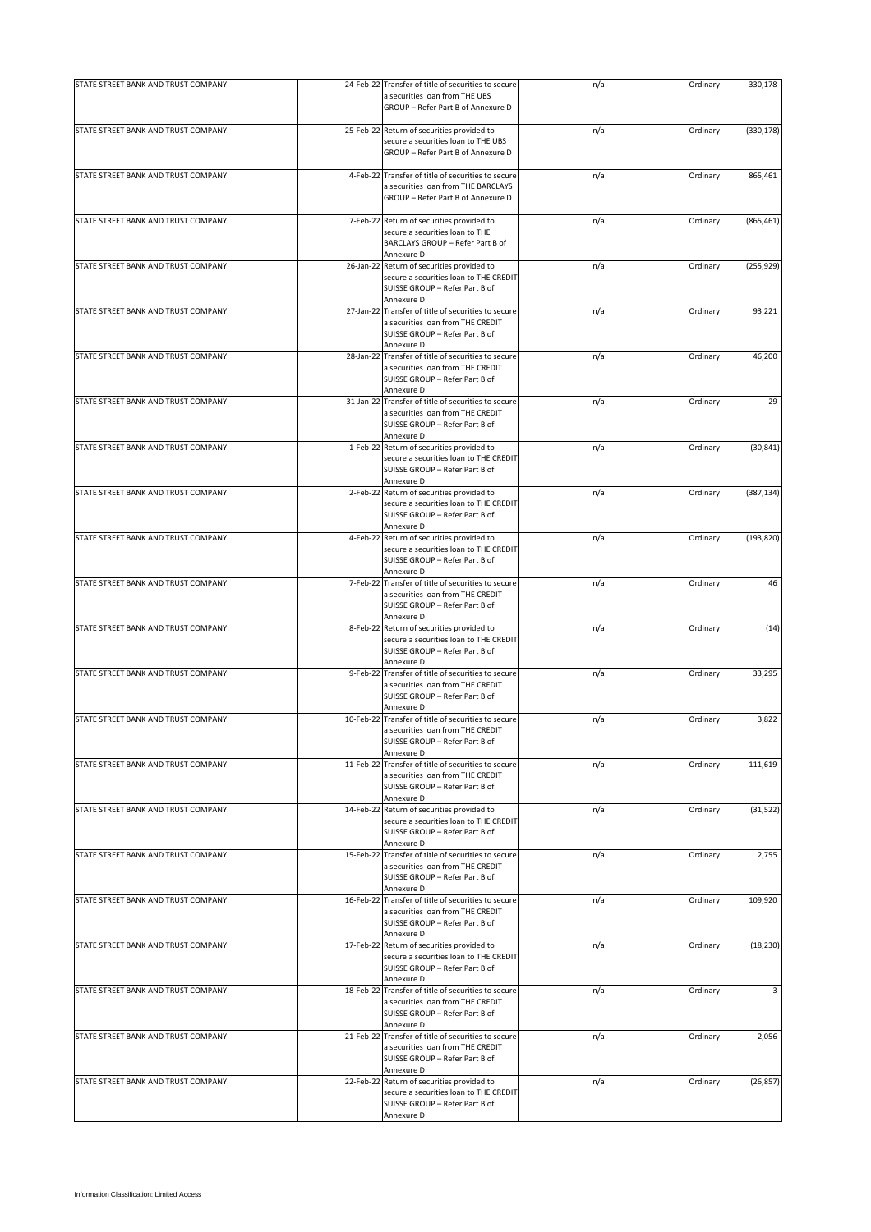| a securities loan from THE UBS<br>GROUP - Refer Part B of Annexure D<br>STATE STREET BANK AND TRUST COMPANY<br>25-Feb-22 Return of securities provided to<br>n/a<br>Ordinary<br>secure a securities loan to THE UBS<br>GROUP - Refer Part B of Annexure D<br>STATE STREET BANK AND TRUST COMPANY<br>4-Feb-22 Transfer of title of securities to secure<br>n/a<br>Ordinary<br>a securities loan from THE BARCLAYS<br>GROUP - Refer Part B of Annexure D<br>STATE STREET BANK AND TRUST COMPANY<br>7-Feb-22 Return of securities provided to<br>n/a<br>Ordinary<br>secure a securities loan to THE<br>BARCLAYS GROUP - Refer Part B of<br>Annexure D<br>STATE STREET BANK AND TRUST COMPANY<br>26-Jan-22 Return of securities provided to<br>Ordinary<br>n/a<br>secure a securities loan to THE CREDIT<br>SUISSE GROUP - Refer Part B of<br>Annexure D<br>STATE STREET BANK AND TRUST COMPANY<br>27-Jan-22 Transfer of title of securities to secure<br>Ordinary<br>n/a<br>a securities loan from THE CREDIT<br>SUISSE GROUP - Refer Part B of<br>Annexure D<br>STATE STREET BANK AND TRUST COMPANY<br>28-Jan-22 Transfer of title of securities to secure<br>n/a<br>Ordinary<br>a securities loan from THE CREDIT<br>SUISSE GROUP - Refer Part B of<br>Annexure D<br>31-Jan-22 Transfer of title of securities to secure<br>STATE STREET BANK AND TRUST COMPANY<br>n/a<br>Ordinary<br>a securities loan from THE CREDIT<br>SUISSE GROUP - Refer Part B of<br>Annexure D<br>STATE STREET BANK AND TRUST COMPANY<br>1-Feb-22 Return of securities provided to<br>n/a<br>Ordinary<br>secure a securities loan to THE CREDIT<br>SUISSE GROUP - Refer Part B of<br>Annexure D<br>STATE STREET BANK AND TRUST COMPANY<br>2-Feb-22 Return of securities provided to<br>n/a<br>Ordinary<br>secure a securities loan to THE CREDIT<br>SUISSE GROUP - Refer Part B of<br>Annexure D<br>STATE STREET BANK AND TRUST COMPANY<br>4-Feb-22 Return of securities provided to<br>n/a<br>Ordinary<br>secure a securities loan to THE CREDIT<br>SUISSE GROUP - Refer Part B of<br>Annexure D<br>STATE STREET BANK AND TRUST COMPANY<br>7-Feb-22 Transfer of title of securities to secure<br>Ordinary<br>n/a<br>a securities loan from THE CREDIT<br>SUISSE GROUP - Refer Part B of<br>Annexure D<br>STATE STREET BANK AND TRUST COMPANY<br>8-Feb-22 Return of securities provided to<br>n/a<br>Ordinary<br>secure a securities loan to THE CREDIT<br>SUISSE GROUP - Refer Part B of<br>Annexure D<br>STATE STREET BANK AND TRUST COMPANY<br>9-Feb-22 Transfer of title of securities to secure<br>n/a<br>Ordinary<br>a securities loan from THE CREDIT<br>SUISSE GROUP - Refer Part B of<br>Annexure D<br>STATE STREET BANK AND TRUST COMPANY<br>10-Feb-22 Transfer of title of securities to secure<br>Ordinary<br>n/a<br>a securities loan from THE CREDIT<br>SUISSE GROUP - Refer Part B of<br>Annexure D<br>STATE STREET BANK AND TRUST COMPANY<br>11-Feb-22 Transfer of title of securities to secure<br>Ordinary<br>n/a<br>a securities loan from THE CREDIT<br>SUISSE GROUP - Refer Part B of<br>Annexure D<br>STATE STREET BANK AND TRUST COMPANY<br>14-Feb-22 Return of securities provided to<br>n/a<br>Ordinary<br>secure a securities loan to THE CREDIT<br>SUISSE GROUP - Refer Part B of<br>Annexure D<br>STATE STREET BANK AND TRUST COMPANY<br>15-Feb-22 Transfer of title of securities to secure<br>n/a<br>Ordinary<br>a securities loan from THE CREDIT<br>SUISSE GROUP - Refer Part B of<br>Annexure D<br>16-Feb-22 Transfer of title of securities to secure<br>STATE STREET BANK AND TRUST COMPANY<br>n/a<br>Ordinary<br>a securities loan from THE CREDIT<br>SUISSE GROUP - Refer Part B of<br>Annexure D<br>STATE STREET BANK AND TRUST COMPANY<br>17-Feb-22 Return of securities provided to<br>n/a<br>Ordinary<br>secure a securities loan to THE CREDIT<br>SUISSE GROUP - Refer Part B of<br>Annexure D<br>STATE STREET BANK AND TRUST COMPANY<br>18-Feb-22 Transfer of title of securities to secure<br>n/a<br>Ordinary<br>a securities loan from THE CREDIT<br>SUISSE GROUP - Refer Part B of<br>Annexure D<br>STATE STREET BANK AND TRUST COMPANY<br>21-Feb-22 Transfer of title of securities to secure<br>n/a<br>Ordinary<br>a securities loan from THE CREDIT<br>SUISSE GROUP - Refer Part B of<br>Annexure D<br>STATE STREET BANK AND TRUST COMPANY<br>22-Feb-22 Return of securities provided to<br>n/a<br>Ordinary<br>secure a securities loan to THE CREDIT<br>SUISSE GROUP - Refer Part B of | STATE STREET BANK AND TRUST COMPANY | 24-Feb-22 Transfer of title of securities to secure | n/a | Ordinary | 330,178    |
|------------------------------------------------------------------------------------------------------------------------------------------------------------------------------------------------------------------------------------------------------------------------------------------------------------------------------------------------------------------------------------------------------------------------------------------------------------------------------------------------------------------------------------------------------------------------------------------------------------------------------------------------------------------------------------------------------------------------------------------------------------------------------------------------------------------------------------------------------------------------------------------------------------------------------------------------------------------------------------------------------------------------------------------------------------------------------------------------------------------------------------------------------------------------------------------------------------------------------------------------------------------------------------------------------------------------------------------------------------------------------------------------------------------------------------------------------------------------------------------------------------------------------------------------------------------------------------------------------------------------------------------------------------------------------------------------------------------------------------------------------------------------------------------------------------------------------------------------------------------------------------------------------------------------------------------------------------------------------------------------------------------------------------------------------------------------------------------------------------------------------------------------------------------------------------------------------------------------------------------------------------------------------------------------------------------------------------------------------------------------------------------------------------------------------------------------------------------------------------------------------------------------------------------------------------------------------------------------------------------------------------------------------------------------------------------------------------------------------------------------------------------------------------------------------------------------------------------------------------------------------------------------------------------------------------------------------------------------------------------------------------------------------------------------------------------------------------------------------------------------------------------------------------------------------------------------------------------------------------------------------------------------------------------------------------------------------------------------------------------------------------------------------------------------------------------------------------------------------------------------------------------------------------------------------------------------------------------------------------------------------------------------------------------------------------------------------------------------------------------------------------------------------------------------------------------------------------------------------------------------------------------------------------------------------------------------------------------------------------------------------------------------------------------------------------------------------------------------------------------------------------------------------------------------------------------------------------------------------------------------------------------------------------------------------------------------------------------------------------------------------------------------------------------------------------------------------------------------------------------------------------------|-------------------------------------|-----------------------------------------------------|-----|----------|------------|
|                                                                                                                                                                                                                                                                                                                                                                                                                                                                                                                                                                                                                                                                                                                                                                                                                                                                                                                                                                                                                                                                                                                                                                                                                                                                                                                                                                                                                                                                                                                                                                                                                                                                                                                                                                                                                                                                                                                                                                                                                                                                                                                                                                                                                                                                                                                                                                                                                                                                                                                                                                                                                                                                                                                                                                                                                                                                                                                                                                                                                                                                                                                                                                                                                                                                                                                                                                                                                                                                                                                                                                                                                                                                                                                                                                                                                                                                                                                                                                                                                                                                                                                                                                                                                                                                                                                                                                                                                                                                                                                  |                                     |                                                     |     |          |            |
|                                                                                                                                                                                                                                                                                                                                                                                                                                                                                                                                                                                                                                                                                                                                                                                                                                                                                                                                                                                                                                                                                                                                                                                                                                                                                                                                                                                                                                                                                                                                                                                                                                                                                                                                                                                                                                                                                                                                                                                                                                                                                                                                                                                                                                                                                                                                                                                                                                                                                                                                                                                                                                                                                                                                                                                                                                                                                                                                                                                                                                                                                                                                                                                                                                                                                                                                                                                                                                                                                                                                                                                                                                                                                                                                                                                                                                                                                                                                                                                                                                                                                                                                                                                                                                                                                                                                                                                                                                                                                                                  |                                     |                                                     |     |          | (330, 178) |
|                                                                                                                                                                                                                                                                                                                                                                                                                                                                                                                                                                                                                                                                                                                                                                                                                                                                                                                                                                                                                                                                                                                                                                                                                                                                                                                                                                                                                                                                                                                                                                                                                                                                                                                                                                                                                                                                                                                                                                                                                                                                                                                                                                                                                                                                                                                                                                                                                                                                                                                                                                                                                                                                                                                                                                                                                                                                                                                                                                                                                                                                                                                                                                                                                                                                                                                                                                                                                                                                                                                                                                                                                                                                                                                                                                                                                                                                                                                                                                                                                                                                                                                                                                                                                                                                                                                                                                                                                                                                                                                  |                                     |                                                     |     |          | 865,461    |
|                                                                                                                                                                                                                                                                                                                                                                                                                                                                                                                                                                                                                                                                                                                                                                                                                                                                                                                                                                                                                                                                                                                                                                                                                                                                                                                                                                                                                                                                                                                                                                                                                                                                                                                                                                                                                                                                                                                                                                                                                                                                                                                                                                                                                                                                                                                                                                                                                                                                                                                                                                                                                                                                                                                                                                                                                                                                                                                                                                                                                                                                                                                                                                                                                                                                                                                                                                                                                                                                                                                                                                                                                                                                                                                                                                                                                                                                                                                                                                                                                                                                                                                                                                                                                                                                                                                                                                                                                                                                                                                  |                                     |                                                     |     |          | (865, 461) |
|                                                                                                                                                                                                                                                                                                                                                                                                                                                                                                                                                                                                                                                                                                                                                                                                                                                                                                                                                                                                                                                                                                                                                                                                                                                                                                                                                                                                                                                                                                                                                                                                                                                                                                                                                                                                                                                                                                                                                                                                                                                                                                                                                                                                                                                                                                                                                                                                                                                                                                                                                                                                                                                                                                                                                                                                                                                                                                                                                                                                                                                                                                                                                                                                                                                                                                                                                                                                                                                                                                                                                                                                                                                                                                                                                                                                                                                                                                                                                                                                                                                                                                                                                                                                                                                                                                                                                                                                                                                                                                                  |                                     |                                                     |     |          | (255, 929) |
|                                                                                                                                                                                                                                                                                                                                                                                                                                                                                                                                                                                                                                                                                                                                                                                                                                                                                                                                                                                                                                                                                                                                                                                                                                                                                                                                                                                                                                                                                                                                                                                                                                                                                                                                                                                                                                                                                                                                                                                                                                                                                                                                                                                                                                                                                                                                                                                                                                                                                                                                                                                                                                                                                                                                                                                                                                                                                                                                                                                                                                                                                                                                                                                                                                                                                                                                                                                                                                                                                                                                                                                                                                                                                                                                                                                                                                                                                                                                                                                                                                                                                                                                                                                                                                                                                                                                                                                                                                                                                                                  |                                     |                                                     |     |          | 93,221     |
|                                                                                                                                                                                                                                                                                                                                                                                                                                                                                                                                                                                                                                                                                                                                                                                                                                                                                                                                                                                                                                                                                                                                                                                                                                                                                                                                                                                                                                                                                                                                                                                                                                                                                                                                                                                                                                                                                                                                                                                                                                                                                                                                                                                                                                                                                                                                                                                                                                                                                                                                                                                                                                                                                                                                                                                                                                                                                                                                                                                                                                                                                                                                                                                                                                                                                                                                                                                                                                                                                                                                                                                                                                                                                                                                                                                                                                                                                                                                                                                                                                                                                                                                                                                                                                                                                                                                                                                                                                                                                                                  |                                     |                                                     |     |          | 46,200     |
|                                                                                                                                                                                                                                                                                                                                                                                                                                                                                                                                                                                                                                                                                                                                                                                                                                                                                                                                                                                                                                                                                                                                                                                                                                                                                                                                                                                                                                                                                                                                                                                                                                                                                                                                                                                                                                                                                                                                                                                                                                                                                                                                                                                                                                                                                                                                                                                                                                                                                                                                                                                                                                                                                                                                                                                                                                                                                                                                                                                                                                                                                                                                                                                                                                                                                                                                                                                                                                                                                                                                                                                                                                                                                                                                                                                                                                                                                                                                                                                                                                                                                                                                                                                                                                                                                                                                                                                                                                                                                                                  |                                     |                                                     |     |          | 29         |
|                                                                                                                                                                                                                                                                                                                                                                                                                                                                                                                                                                                                                                                                                                                                                                                                                                                                                                                                                                                                                                                                                                                                                                                                                                                                                                                                                                                                                                                                                                                                                                                                                                                                                                                                                                                                                                                                                                                                                                                                                                                                                                                                                                                                                                                                                                                                                                                                                                                                                                                                                                                                                                                                                                                                                                                                                                                                                                                                                                                                                                                                                                                                                                                                                                                                                                                                                                                                                                                                                                                                                                                                                                                                                                                                                                                                                                                                                                                                                                                                                                                                                                                                                                                                                                                                                                                                                                                                                                                                                                                  |                                     |                                                     |     |          | (30, 841)  |
|                                                                                                                                                                                                                                                                                                                                                                                                                                                                                                                                                                                                                                                                                                                                                                                                                                                                                                                                                                                                                                                                                                                                                                                                                                                                                                                                                                                                                                                                                                                                                                                                                                                                                                                                                                                                                                                                                                                                                                                                                                                                                                                                                                                                                                                                                                                                                                                                                                                                                                                                                                                                                                                                                                                                                                                                                                                                                                                                                                                                                                                                                                                                                                                                                                                                                                                                                                                                                                                                                                                                                                                                                                                                                                                                                                                                                                                                                                                                                                                                                                                                                                                                                                                                                                                                                                                                                                                                                                                                                                                  |                                     |                                                     |     |          | (387, 134) |
|                                                                                                                                                                                                                                                                                                                                                                                                                                                                                                                                                                                                                                                                                                                                                                                                                                                                                                                                                                                                                                                                                                                                                                                                                                                                                                                                                                                                                                                                                                                                                                                                                                                                                                                                                                                                                                                                                                                                                                                                                                                                                                                                                                                                                                                                                                                                                                                                                                                                                                                                                                                                                                                                                                                                                                                                                                                                                                                                                                                                                                                                                                                                                                                                                                                                                                                                                                                                                                                                                                                                                                                                                                                                                                                                                                                                                                                                                                                                                                                                                                                                                                                                                                                                                                                                                                                                                                                                                                                                                                                  |                                     |                                                     |     |          | (193, 820) |
|                                                                                                                                                                                                                                                                                                                                                                                                                                                                                                                                                                                                                                                                                                                                                                                                                                                                                                                                                                                                                                                                                                                                                                                                                                                                                                                                                                                                                                                                                                                                                                                                                                                                                                                                                                                                                                                                                                                                                                                                                                                                                                                                                                                                                                                                                                                                                                                                                                                                                                                                                                                                                                                                                                                                                                                                                                                                                                                                                                                                                                                                                                                                                                                                                                                                                                                                                                                                                                                                                                                                                                                                                                                                                                                                                                                                                                                                                                                                                                                                                                                                                                                                                                                                                                                                                                                                                                                                                                                                                                                  |                                     |                                                     |     |          | 46         |
|                                                                                                                                                                                                                                                                                                                                                                                                                                                                                                                                                                                                                                                                                                                                                                                                                                                                                                                                                                                                                                                                                                                                                                                                                                                                                                                                                                                                                                                                                                                                                                                                                                                                                                                                                                                                                                                                                                                                                                                                                                                                                                                                                                                                                                                                                                                                                                                                                                                                                                                                                                                                                                                                                                                                                                                                                                                                                                                                                                                                                                                                                                                                                                                                                                                                                                                                                                                                                                                                                                                                                                                                                                                                                                                                                                                                                                                                                                                                                                                                                                                                                                                                                                                                                                                                                                                                                                                                                                                                                                                  |                                     |                                                     |     |          | (14)       |
|                                                                                                                                                                                                                                                                                                                                                                                                                                                                                                                                                                                                                                                                                                                                                                                                                                                                                                                                                                                                                                                                                                                                                                                                                                                                                                                                                                                                                                                                                                                                                                                                                                                                                                                                                                                                                                                                                                                                                                                                                                                                                                                                                                                                                                                                                                                                                                                                                                                                                                                                                                                                                                                                                                                                                                                                                                                                                                                                                                                                                                                                                                                                                                                                                                                                                                                                                                                                                                                                                                                                                                                                                                                                                                                                                                                                                                                                                                                                                                                                                                                                                                                                                                                                                                                                                                                                                                                                                                                                                                                  |                                     |                                                     |     |          | 33,295     |
|                                                                                                                                                                                                                                                                                                                                                                                                                                                                                                                                                                                                                                                                                                                                                                                                                                                                                                                                                                                                                                                                                                                                                                                                                                                                                                                                                                                                                                                                                                                                                                                                                                                                                                                                                                                                                                                                                                                                                                                                                                                                                                                                                                                                                                                                                                                                                                                                                                                                                                                                                                                                                                                                                                                                                                                                                                                                                                                                                                                                                                                                                                                                                                                                                                                                                                                                                                                                                                                                                                                                                                                                                                                                                                                                                                                                                                                                                                                                                                                                                                                                                                                                                                                                                                                                                                                                                                                                                                                                                                                  |                                     |                                                     |     |          | 3,822      |
|                                                                                                                                                                                                                                                                                                                                                                                                                                                                                                                                                                                                                                                                                                                                                                                                                                                                                                                                                                                                                                                                                                                                                                                                                                                                                                                                                                                                                                                                                                                                                                                                                                                                                                                                                                                                                                                                                                                                                                                                                                                                                                                                                                                                                                                                                                                                                                                                                                                                                                                                                                                                                                                                                                                                                                                                                                                                                                                                                                                                                                                                                                                                                                                                                                                                                                                                                                                                                                                                                                                                                                                                                                                                                                                                                                                                                                                                                                                                                                                                                                                                                                                                                                                                                                                                                                                                                                                                                                                                                                                  |                                     |                                                     |     |          | 111,619    |
|                                                                                                                                                                                                                                                                                                                                                                                                                                                                                                                                                                                                                                                                                                                                                                                                                                                                                                                                                                                                                                                                                                                                                                                                                                                                                                                                                                                                                                                                                                                                                                                                                                                                                                                                                                                                                                                                                                                                                                                                                                                                                                                                                                                                                                                                                                                                                                                                                                                                                                                                                                                                                                                                                                                                                                                                                                                                                                                                                                                                                                                                                                                                                                                                                                                                                                                                                                                                                                                                                                                                                                                                                                                                                                                                                                                                                                                                                                                                                                                                                                                                                                                                                                                                                                                                                                                                                                                                                                                                                                                  |                                     |                                                     |     |          | (31, 522)  |
|                                                                                                                                                                                                                                                                                                                                                                                                                                                                                                                                                                                                                                                                                                                                                                                                                                                                                                                                                                                                                                                                                                                                                                                                                                                                                                                                                                                                                                                                                                                                                                                                                                                                                                                                                                                                                                                                                                                                                                                                                                                                                                                                                                                                                                                                                                                                                                                                                                                                                                                                                                                                                                                                                                                                                                                                                                                                                                                                                                                                                                                                                                                                                                                                                                                                                                                                                                                                                                                                                                                                                                                                                                                                                                                                                                                                                                                                                                                                                                                                                                                                                                                                                                                                                                                                                                                                                                                                                                                                                                                  |                                     |                                                     |     |          | 2,755      |
|                                                                                                                                                                                                                                                                                                                                                                                                                                                                                                                                                                                                                                                                                                                                                                                                                                                                                                                                                                                                                                                                                                                                                                                                                                                                                                                                                                                                                                                                                                                                                                                                                                                                                                                                                                                                                                                                                                                                                                                                                                                                                                                                                                                                                                                                                                                                                                                                                                                                                                                                                                                                                                                                                                                                                                                                                                                                                                                                                                                                                                                                                                                                                                                                                                                                                                                                                                                                                                                                                                                                                                                                                                                                                                                                                                                                                                                                                                                                                                                                                                                                                                                                                                                                                                                                                                                                                                                                                                                                                                                  |                                     |                                                     |     |          | 109,920    |
|                                                                                                                                                                                                                                                                                                                                                                                                                                                                                                                                                                                                                                                                                                                                                                                                                                                                                                                                                                                                                                                                                                                                                                                                                                                                                                                                                                                                                                                                                                                                                                                                                                                                                                                                                                                                                                                                                                                                                                                                                                                                                                                                                                                                                                                                                                                                                                                                                                                                                                                                                                                                                                                                                                                                                                                                                                                                                                                                                                                                                                                                                                                                                                                                                                                                                                                                                                                                                                                                                                                                                                                                                                                                                                                                                                                                                                                                                                                                                                                                                                                                                                                                                                                                                                                                                                                                                                                                                                                                                                                  |                                     |                                                     |     |          | (18, 230)  |
|                                                                                                                                                                                                                                                                                                                                                                                                                                                                                                                                                                                                                                                                                                                                                                                                                                                                                                                                                                                                                                                                                                                                                                                                                                                                                                                                                                                                                                                                                                                                                                                                                                                                                                                                                                                                                                                                                                                                                                                                                                                                                                                                                                                                                                                                                                                                                                                                                                                                                                                                                                                                                                                                                                                                                                                                                                                                                                                                                                                                                                                                                                                                                                                                                                                                                                                                                                                                                                                                                                                                                                                                                                                                                                                                                                                                                                                                                                                                                                                                                                                                                                                                                                                                                                                                                                                                                                                                                                                                                                                  |                                     |                                                     |     |          | 3          |
|                                                                                                                                                                                                                                                                                                                                                                                                                                                                                                                                                                                                                                                                                                                                                                                                                                                                                                                                                                                                                                                                                                                                                                                                                                                                                                                                                                                                                                                                                                                                                                                                                                                                                                                                                                                                                                                                                                                                                                                                                                                                                                                                                                                                                                                                                                                                                                                                                                                                                                                                                                                                                                                                                                                                                                                                                                                                                                                                                                                                                                                                                                                                                                                                                                                                                                                                                                                                                                                                                                                                                                                                                                                                                                                                                                                                                                                                                                                                                                                                                                                                                                                                                                                                                                                                                                                                                                                                                                                                                                                  |                                     |                                                     |     |          | 2,056      |
|                                                                                                                                                                                                                                                                                                                                                                                                                                                                                                                                                                                                                                                                                                                                                                                                                                                                                                                                                                                                                                                                                                                                                                                                                                                                                                                                                                                                                                                                                                                                                                                                                                                                                                                                                                                                                                                                                                                                                                                                                                                                                                                                                                                                                                                                                                                                                                                                                                                                                                                                                                                                                                                                                                                                                                                                                                                                                                                                                                                                                                                                                                                                                                                                                                                                                                                                                                                                                                                                                                                                                                                                                                                                                                                                                                                                                                                                                                                                                                                                                                                                                                                                                                                                                                                                                                                                                                                                                                                                                                                  |                                     | Annexure D                                          |     |          | (26, 857)  |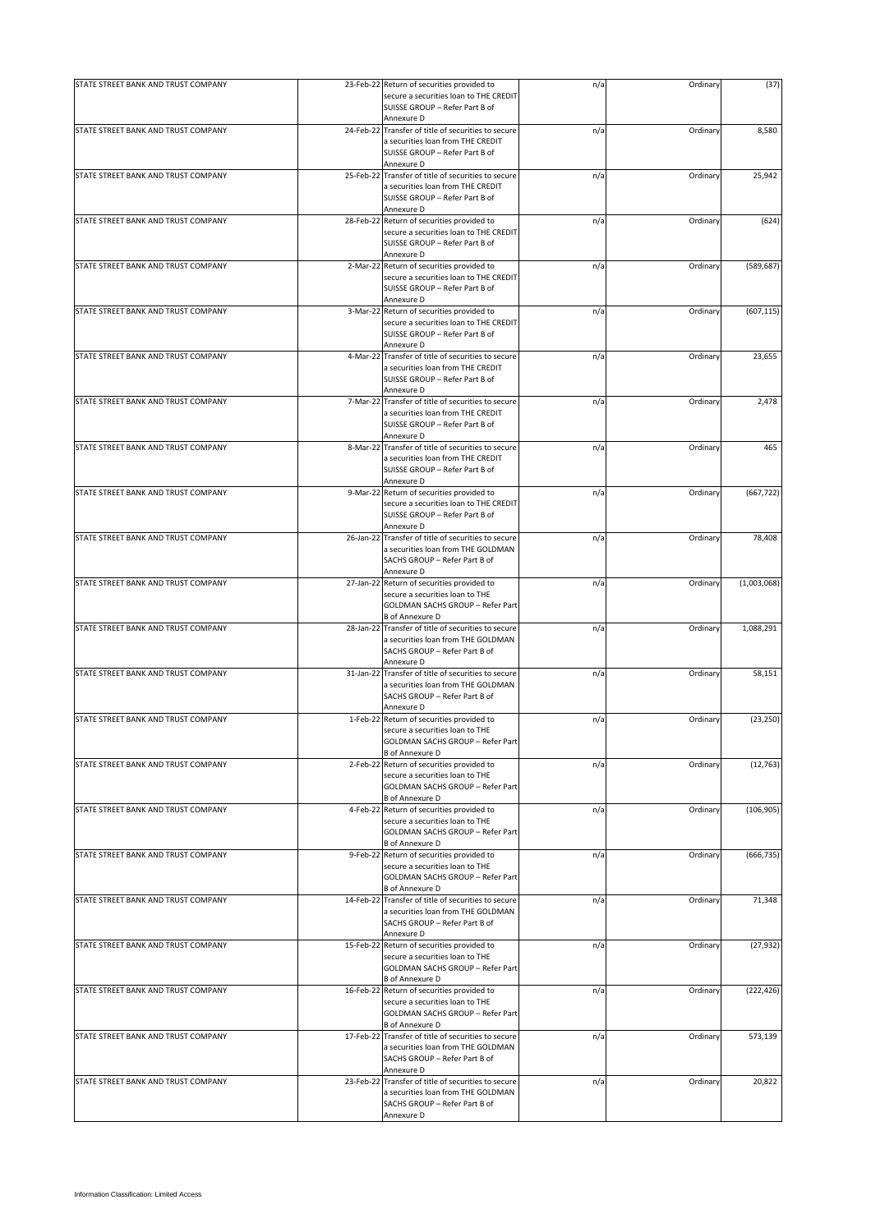| STATE STREET BANK AND TRUST COMPANY | 23-Feb-22 Return of securities provided to                                                                                                        | n/a | Ordinary | (37)        |
|-------------------------------------|---------------------------------------------------------------------------------------------------------------------------------------------------|-----|----------|-------------|
|                                     | secure a securities loan to THE CREDIT<br>SUISSE GROUP - Refer Part B of                                                                          |     |          |             |
|                                     | Annexure D                                                                                                                                        |     |          |             |
| STATE STREET BANK AND TRUST COMPANY | 24-Feb-22 Transfer of title of securities to secure<br>a securities loan from THE CREDIT<br>SUISSE GROUP - Refer Part B of<br>Annexure D          | n/a | Ordinary | 8,580       |
| STATE STREET BANK AND TRUST COMPANY | 25-Feb-22 Transfer of title of securities to secure<br>a securities loan from THE CREDIT<br>SUISSE GROUP - Refer Part B of<br>Annexure D          | n/a | Ordinary | 25,942      |
| STATE STREET BANK AND TRUST COMPANY | 28-Feb-22 Return of securities provided to<br>secure a securities loan to THE CREDIT<br>SUISSE GROUP - Refer Part B of                            | n/a | Ordinary | (624)       |
| STATE STREET BANK AND TRUST COMPANY | Annexure D<br>2-Mar-22 Return of securities provided to<br>secure a securities loan to THE CREDIT<br>SUISSE GROUP - Refer Part B of<br>Annexure D | n/a | Ordinary | (589, 687)  |
| STATE STREET BANK AND TRUST COMPANY | 3-Mar-22 Return of securities provided to<br>secure a securities loan to THE CREDIT<br>SUISSE GROUP - Refer Part B of<br>Annexure D               | n/a | Ordinary | (607, 115)  |
| STATE STREET BANK AND TRUST COMPANY | 4-Mar-22 Transfer of title of securities to secure<br>a securities loan from THE CREDIT<br>SUISSE GROUP - Refer Part B of<br>Annexure D           | n/a | Ordinary | 23,655      |
| STATE STREET BANK AND TRUST COMPANY | 7-Mar-22 Transfer of title of securities to secure<br>a securities loan from THE CREDIT<br>SUISSE GROUP - Refer Part B of<br>Annexure D           | n/a | Ordinary | 2,478       |
| STATE STREET BANK AND TRUST COMPANY | 8-Mar-22 Transfer of title of securities to secure<br>a securities loan from THE CREDIT<br>SUISSE GROUP - Refer Part B of<br>Annexure D           | n/a | Ordinary | 465         |
| STATE STREET BANK AND TRUST COMPANY | 9-Mar-22 Return of securities provided to<br>secure a securities loan to THE CREDIT<br>SUISSE GROUP - Refer Part B of<br>Annexure D               | n/a | Ordinary | (667, 722)  |
| STATE STREET BANK AND TRUST COMPANY | 26-Jan-22 Transfer of title of securities to secure<br>a securities loan from THE GOLDMAN<br>SACHS GROUP - Refer Part B of<br>Annexure D          | n/a | Ordinary | 78,408      |
| STATE STREET BANK AND TRUST COMPANY | 27-Jan-22 Return of securities provided to<br>secure a securities loan to THE<br>GOLDMAN SACHS GROUP - Refer Part<br><b>B</b> of Annexure D       | n/a | Ordinary | (1,003,068) |
| STATE STREET BANK AND TRUST COMPANY | 28-Jan-22 Transfer of title of securities to secure<br>a securities loan from THE GOLDMAN<br>SACHS GROUP - Refer Part B of<br>Annexure D          | n/a | Ordinary | 1,088,291   |
| STATE STREET BANK AND TRUST COMPANY | 31-Jan-22 Transfer of title of securities to secure<br>a securities loan from THE GOLDMAN<br>SACHS GROUP - Refer Part B of<br>Annexure D          | n/a | Ordinary | 58,151      |
| STATE STREET BANK AND TRUST COMPANY | 1-Feb-22 Return of securities provided to<br>secure a securities loan to THE<br>GOLDMAN SACHS GROUP - Refer Part<br><b>B</b> of Annexure D        | n/a | Ordinary | (23, 250)   |
| STATE STREET BANK AND TRUST COMPANY | 2-Feb-22 Return of securities provided to<br>secure a securities loan to THE<br>GOLDMAN SACHS GROUP - Refer Part<br><b>B</b> of Annexure D        | n/a | Ordinary | (12, 763)   |
| STATE STREET BANK AND TRUST COMPANY | 4-Feb-22 Return of securities provided to<br>secure a securities loan to THE<br>GOLDMAN SACHS GROUP - Refer Part<br><b>B</b> of Annexure D        | n/a | Ordinary | (106, 905)  |
| STATE STREET BANK AND TRUST COMPANY | 9-Feb-22 Return of securities provided to<br>secure a securities loan to THE<br>GOLDMAN SACHS GROUP - Refer Part<br><b>B</b> of Annexure D        | n/a | Ordinary | (666, 735)  |
| STATE STREET BANK AND TRUST COMPANY | 14-Feb-22 Transfer of title of securities to secure<br>a securities loan from THE GOLDMAN<br>SACHS GROUP - Refer Part B of<br>Annexure D          | n/a | Ordinary | 71,348      |
| STATE STREET BANK AND TRUST COMPANY | 15-Feb-22 Return of securities provided to<br>secure a securities loan to THE<br>GOLDMAN SACHS GROUP - Refer Part<br><b>B</b> of Annexure D       | n/a | Ordinary | (27, 932)   |
| STATE STREET BANK AND TRUST COMPANY | 16-Feb-22 Return of securities provided to<br>secure a securities loan to THE<br>GOLDMAN SACHS GROUP - Refer Part<br><b>B</b> of Annexure D       | n/a | Ordinary | (222, 426)  |
| STATE STREET BANK AND TRUST COMPANY | 17-Feb-22 Transfer of title of securities to secure<br>a securities loan from THE GOLDMAN<br>SACHS GROUP - Refer Part B of<br>Annexure D          | n/a | Ordinary | 573,139     |
| STATE STREET BANK AND TRUST COMPANY | 23-Feb-22 Transfer of title of securities to secure<br>a securities loan from THE GOLDMAN<br>SACHS GROUP - Refer Part B of<br>Annexure D          | n/a | Ordinary | 20,822      |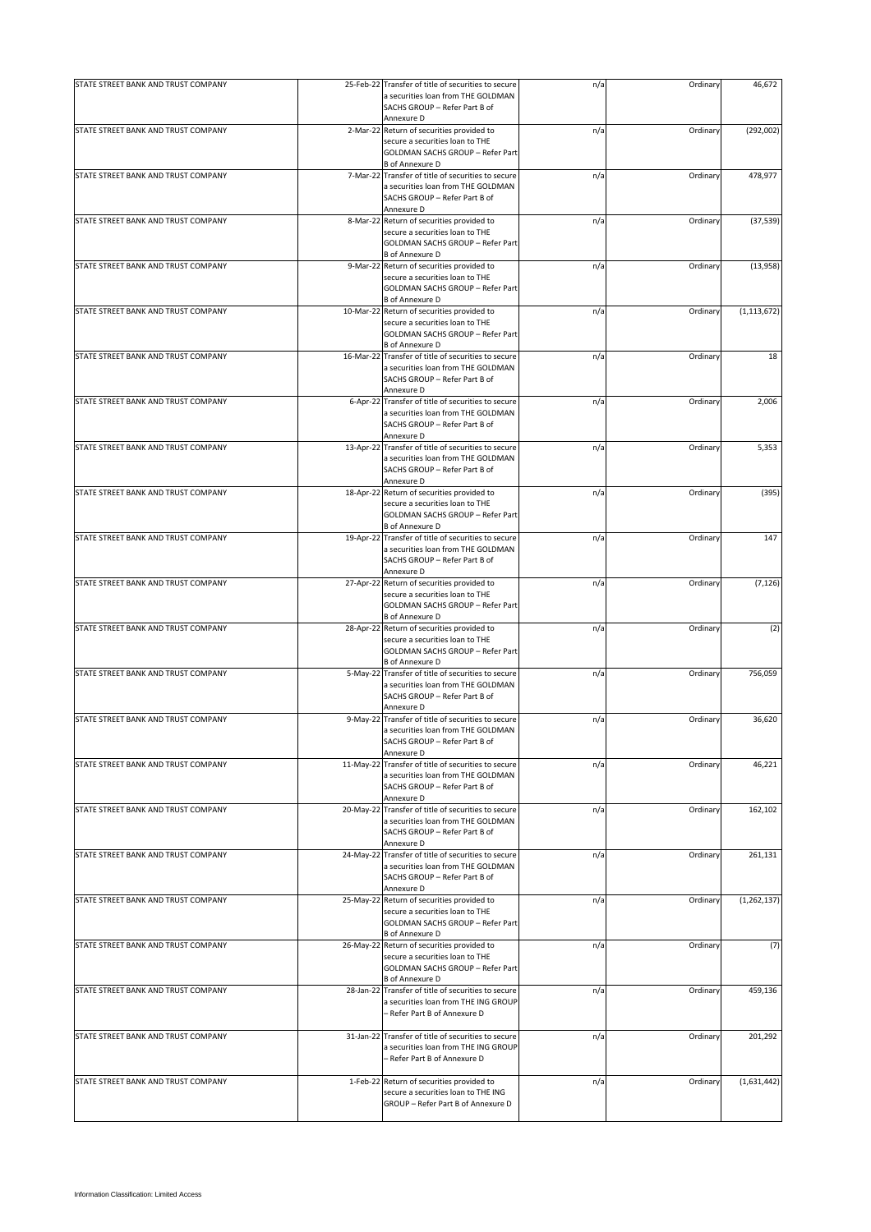| STATE STREET BANK AND TRUST COMPANY | 25-Feb-22 Transfer of title of securities to secure                                       | n/a | Ordinary | 46,672        |
|-------------------------------------|-------------------------------------------------------------------------------------------|-----|----------|---------------|
|                                     | a securities loan from THE GOLDMAN                                                        |     |          |               |
|                                     | SACHS GROUP - Refer Part B of                                                             |     |          |               |
|                                     | Annexure D                                                                                |     |          |               |
| STATE STREET BANK AND TRUST COMPANY | 2-Mar-22 Return of securities provided to                                                 | n/a | Ordinary | (292,002)     |
|                                     | secure a securities loan to THE                                                           |     |          |               |
|                                     | GOLDMAN SACHS GROUP - Refer Part                                                          |     |          |               |
|                                     | <b>B</b> of Annexure D                                                                    |     |          |               |
| STATE STREET BANK AND TRUST COMPANY | 7-Mar-22 Transfer of title of securities to secure                                        | n/a | Ordinary | 478,977       |
|                                     | a securities loan from THE GOLDMAN                                                        |     |          |               |
|                                     | SACHS GROUP - Refer Part B of                                                             |     |          |               |
|                                     | Annexure D                                                                                |     |          |               |
| STATE STREET BANK AND TRUST COMPANY | 8-Mar-22 Return of securities provided to                                                 | n/a | Ordinary | (37, 539)     |
|                                     | secure a securities loan to THE                                                           |     |          |               |
|                                     | GOLDMAN SACHS GROUP - Refer Part<br><b>B</b> of Annexure D                                |     |          |               |
| STATE STREET BANK AND TRUST COMPANY | 9-Mar-22 Return of securities provided to                                                 | n/a | Ordinary | (13,958)      |
|                                     | secure a securities loan to THE                                                           |     |          |               |
|                                     | GOLDMAN SACHS GROUP - Refer Part                                                          |     |          |               |
|                                     | <b>B</b> of Annexure D                                                                    |     |          |               |
| STATE STREET BANK AND TRUST COMPANY | 10-Mar-22 Return of securities provided to                                                | n/a | Ordinary | (1, 113, 672) |
|                                     | secure a securities loan to THE                                                           |     |          |               |
|                                     | GOLDMAN SACHS GROUP - Refer Part                                                          |     |          |               |
|                                     | <b>B</b> of Annexure D                                                                    |     |          |               |
| STATE STREET BANK AND TRUST COMPANY | 16-Mar-22 Transfer of title of securities to secure                                       | n/a | Ordinary | 18            |
|                                     | a securities loan from THE GOLDMAN                                                        |     |          |               |
|                                     | SACHS GROUP - Refer Part B of                                                             |     |          |               |
|                                     | Annexure D                                                                                |     |          |               |
| STATE STREET BANK AND TRUST COMPANY | 6-Apr-22 Transfer of title of securities to secure                                        | n/a | Ordinary | 2,006         |
|                                     | a securities loan from THE GOLDMAN                                                        |     |          |               |
|                                     | SACHS GROUP - Refer Part B of                                                             |     |          |               |
| STATE STREET BANK AND TRUST COMPANY | Annexure D<br>13-Apr-22 Transfer of title of securities to secure                         | n/a | Ordinary | 5,353         |
|                                     | a securities loan from THE GOLDMAN                                                        |     |          |               |
|                                     | SACHS GROUP - Refer Part B of                                                             |     |          |               |
|                                     | Annexure D                                                                                |     |          |               |
| STATE STREET BANK AND TRUST COMPANY | 18-Apr-22 Return of securities provided to                                                | n/a | Ordinary | (395)         |
|                                     | secure a securities loan to THE                                                           |     |          |               |
|                                     | GOLDMAN SACHS GROUP - Refer Part                                                          |     |          |               |
|                                     | <b>B</b> of Annexure D                                                                    |     |          |               |
| STATE STREET BANK AND TRUST COMPANY | 19-Apr-22 Transfer of title of securities to secure                                       | n/a | Ordinary | 147           |
|                                     | a securities loan from THE GOLDMAN                                                        |     |          |               |
|                                     | SACHS GROUP - Refer Part B of                                                             |     |          |               |
|                                     | Annexure D                                                                                |     |          |               |
| STATE STREET BANK AND TRUST COMPANY | 27-Apr-22 Return of securities provided to                                                | n/a | Ordinary | (7, 126)      |
|                                     | secure a securities loan to THE                                                           |     |          |               |
|                                     | GOLDMAN SACHS GROUP - Refer Part                                                          |     |          |               |
|                                     | <b>B</b> of Annexure D                                                                    |     |          |               |
| STATE STREET BANK AND TRUST COMPANY | 28-Apr-22 Return of securities provided to                                                | n/a | Ordinary | (2)           |
|                                     | secure a securities loan to THE                                                           |     |          |               |
|                                     | GOLDMAN SACHS GROUP - Refer Part                                                          |     |          |               |
| STATE STREET BANK AND TRUST COMPANY | <b>B</b> of Annexure D<br>5-May-22 Transfer of title of securities to secure              |     |          |               |
|                                     | a securities loan from THE GOLDMAN                                                        | n/a | Ordinary | 756,059       |
|                                     | SACHS GROUP - Refer Part B of                                                             |     |          |               |
|                                     | Annexure D                                                                                |     |          |               |
| STATE STREET BANK AND TRUST COMPANY | 9-May-22 Transfer of title of securities to secure                                        | n/a | Ordinary | 36,620        |
|                                     | a securities loan from THE GOLDMAN                                                        |     |          |               |
|                                     | SACHS GROUP - Refer Part B of                                                             |     |          |               |
|                                     | Annexure D                                                                                |     |          |               |
| STATE STREET BANK AND TRUST COMPANY | 11-May-22 Transfer of title of securities to secure                                       | n/a | Ordinary | 46,221        |
|                                     | a securities loan from THE GOLDMAN                                                        |     |          |               |
|                                     | SACHS GROUP - Refer Part B of                                                             |     |          |               |
|                                     | Annexure D                                                                                |     |          |               |
| STATE STREET BANK AND TRUST COMPANY | 20-May-22 Transfer of title of securities to secure                                       | n/a | Ordinary | 162,102       |
|                                     | a securities loan from THE GOLDMAN                                                        |     |          |               |
|                                     | SACHS GROUP - Refer Part B of<br>Annexure D                                               |     |          |               |
|                                     |                                                                                           |     |          |               |
| STATE STREET BANK AND TRUST COMPANY | 24-May-22 Transfer of title of securities to secure<br>a securities loan from THE GOLDMAN | n/a | Ordinary | 261,131       |
|                                     | SACHS GROUP - Refer Part B of                                                             |     |          |               |
|                                     | Annexure D                                                                                |     |          |               |
| STATE STREET BANK AND TRUST COMPANY | 25-May-22 Return of securities provided to                                                | n/a | Ordinary | (1, 262, 137) |
|                                     | secure a securities loan to THE                                                           |     |          |               |
|                                     | GOLDMAN SACHS GROUP - Refer Part                                                          |     |          |               |
|                                     | <b>B</b> of Annexure D                                                                    |     |          |               |
| STATE STREET BANK AND TRUST COMPANY | 26-May-22 Return of securities provided to                                                | n/a | Ordinary | (7)           |
|                                     | secure a securities loan to THE                                                           |     |          |               |
|                                     | GOLDMAN SACHS GROUP - Refer Part                                                          |     |          |               |
|                                     | <b>B</b> of Annexure D                                                                    |     |          |               |
| STATE STREET BANK AND TRUST COMPANY | 28-Jan-22 Transfer of title of securities to secure                                       | n/a | Ordinary | 459,136       |
|                                     | a securities loan from THE ING GROUP                                                      |     |          |               |
|                                     | - Refer Part B of Annexure D                                                              |     |          |               |
|                                     |                                                                                           |     |          |               |
| STATE STREET BANK AND TRUST COMPANY | 31-Jan-22 Transfer of title of securities to secure                                       | n/a | Ordinary | 201,292       |
|                                     | a securities loan from THE ING GROUP<br>- Refer Part B of Annexure D                      |     |          |               |
|                                     |                                                                                           |     |          |               |
| STATE STREET BANK AND TRUST COMPANY | 1-Feb-22 Return of securities provided to                                                 | n/a | Ordinary | (1,631,442)   |
|                                     | secure a securities loan to THE ING                                                       |     |          |               |
|                                     | GROUP - Refer Part B of Annexure D                                                        |     |          |               |
|                                     |                                                                                           |     |          |               |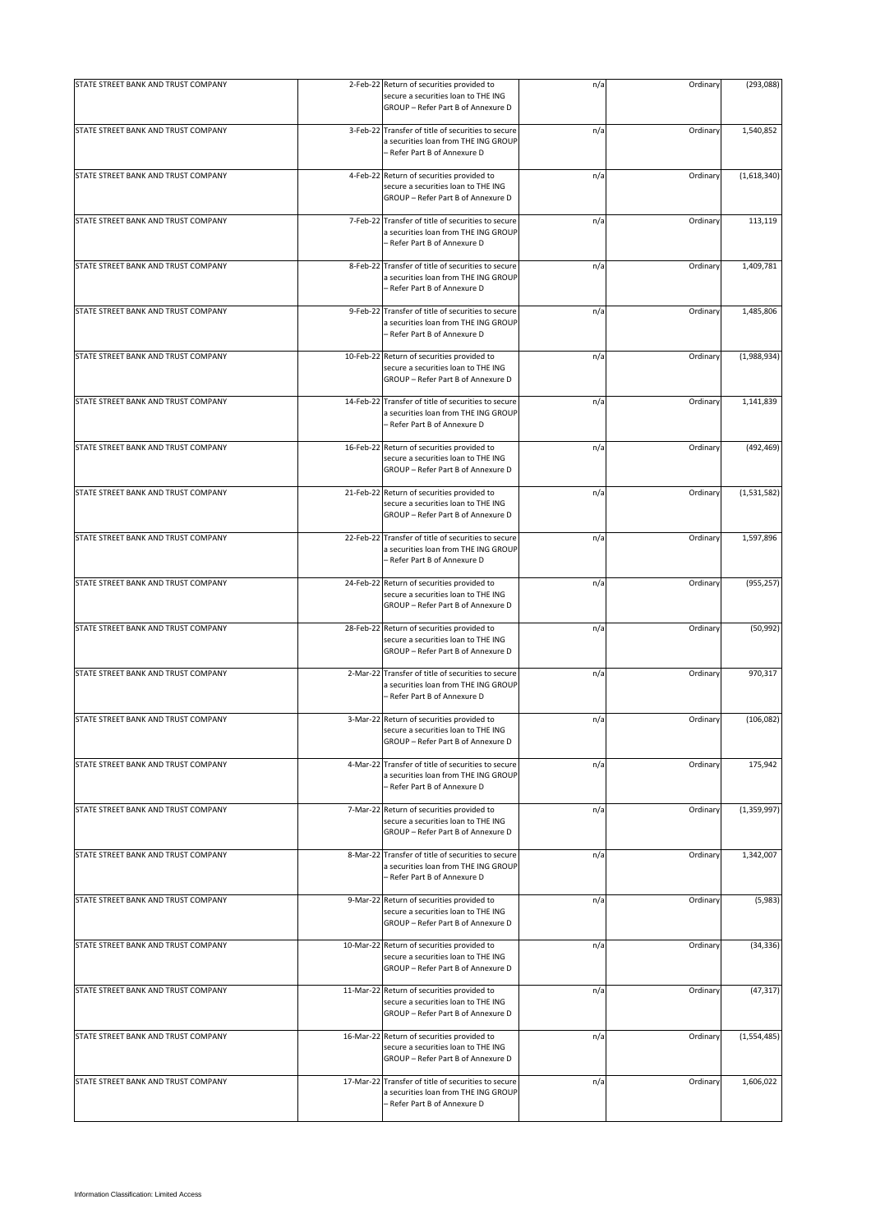| STATE STREET BANK AND TRUST COMPANY |           | 2-Feb-22 Return of securities provided to<br>secure a securities loan to THE ING<br>GROUP - Refer Part B of Annexure D      | n/a | Ordinary | (293, 088)  |
|-------------------------------------|-----------|-----------------------------------------------------------------------------------------------------------------------------|-----|----------|-------------|
| STATE STREET BANK AND TRUST COMPANY |           | 3-Feb-22 Transfer of title of securities to secure<br>a securities loan from THE ING GROUP<br>- Refer Part B of Annexure D  | n/a | Ordinary | 1,540,852   |
| STATE STREET BANK AND TRUST COMPANY |           | 4-Feb-22 Return of securities provided to<br>secure a securities loan to THE ING<br>GROUP - Refer Part B of Annexure D      | n/a | Ordinary | (1,618,340) |
| STATE STREET BANK AND TRUST COMPANY | 7-Feb-22  | Transfer of title of securities to secure<br>a securities loan from THE ING GROUP<br>- Refer Part B of Annexure D           | n/a | Ordinary | 113,119     |
| STATE STREET BANK AND TRUST COMPANY |           | 8-Feb-22 Transfer of title of securities to secure<br>a securities loan from THE ING GROUP<br>- Refer Part B of Annexure D  | n/a | Ordinary | 1,409,781   |
| STATE STREET BANK AND TRUST COMPANY |           | 9-Feb-22 Transfer of title of securities to secure<br>a securities loan from THE ING GROUP<br>- Refer Part B of Annexure D  | n/a | Ordinary | 1,485,806   |
| STATE STREET BANK AND TRUST COMPANY |           | 10-Feb-22 Return of securities provided to<br>secure a securities loan to THE ING<br>GROUP - Refer Part B of Annexure D     | n/a | Ordinary | (1,988,934) |
| STATE STREET BANK AND TRUST COMPANY |           | 14-Feb-22 Transfer of title of securities to secure<br>a securities loan from THE ING GROUP<br>- Refer Part B of Annexure D | n/a | Ordinary | 1,141,839   |
| STATE STREET BANK AND TRUST COMPANY |           | 16-Feb-22 Return of securities provided to<br>secure a securities loan to THE ING<br>GROUP - Refer Part B of Annexure D     | n/a | Ordinary | (492, 469)  |
| STATE STREET BANK AND TRUST COMPANY | 21-Feb-22 | Return of securities provided to<br>secure a securities loan to THE ING<br>GROUP - Refer Part B of Annexure D               | n/a | Ordinary | (1,531,582) |
| STATE STREET BANK AND TRUST COMPANY |           | 22-Feb-22 Transfer of title of securities to secure<br>a securities loan from THE ING GROUP<br>- Refer Part B of Annexure D | n/a | Ordinary | 1,597,896   |
| STATE STREET BANK AND TRUST COMPANY |           | 24-Feb-22 Return of securities provided to<br>secure a securities loan to THE ING<br>GROUP - Refer Part B of Annexure D     | n/a | Ordinary | (955, 257)  |
| STATE STREET BANK AND TRUST COMPANY |           | 28-Feb-22 Return of securities provided to<br>secure a securities loan to THE ING<br>GROUP - Refer Part B of Annexure D     | n/a | Ordinary | (50, 992)   |
| STATE STREET BANK AND TRUST COMPANY |           | 2-Mar-22 Transfer of title of securities to secure<br>a securities loan from THE ING GROUP<br>– Refer Part B of Annexure D  | n/a | Ordinary | 970,317     |
| STATE STREET BANK AND TRUST COMPANY |           | 3-Mar-22 Return of securities provided to<br>secure a securities loan to THE ING<br>GROUP - Refer Part B of Annexure D      | n/a | Ordinary | (106, 082)  |
| STATE STREET BANK AND TRUST COMPANY |           | 4-Mar-22 Transfer of title of securities to secure<br>a securities loan from THE ING GROUP<br>- Refer Part B of Annexure D  | n/a | Ordinary | 175.942     |
| STATE STREET BANK AND TRUST COMPANY |           | 7-Mar-22 Return of securities provided to<br>secure a securities loan to THE ING<br>GROUP - Refer Part B of Annexure D      | n/a | Ordinary | (1,359,997) |
| STATE STREET BANK AND TRUST COMPANY |           | 8-Mar-22 Transfer of title of securities to secure<br>a securities loan from THE ING GROUP<br>– Refer Part B of Annexure D  | n/a | Ordinary | 1,342,007   |
| STATE STREET BANK AND TRUST COMPANY |           | 9-Mar-22 Return of securities provided to<br>secure a securities loan to THE ING<br>GROUP - Refer Part B of Annexure D      | n/a | Ordinary | (5,983)     |
| STATE STREET BANK AND TRUST COMPANY |           | 10-Mar-22 Return of securities provided to<br>secure a securities loan to THE ING<br>GROUP - Refer Part B of Annexure D     | n/a | Ordinary | (34, 336)   |
| STATE STREET BANK AND TRUST COMPANY |           | 11-Mar-22 Return of securities provided to<br>secure a securities loan to THE ING<br>GROUP - Refer Part B of Annexure D     | n/a | Ordinary | (47, 317)   |
| STATE STREET BANK AND TRUST COMPANY |           | 16-Mar-22 Return of securities provided to<br>secure a securities loan to THE ING<br>GROUP - Refer Part B of Annexure D     | n/a | Ordinary | (1,554,485) |
| STATE STREET BANK AND TRUST COMPANY | 17-Mar-22 | Transfer of title of securities to secure<br>a securities loan from THE ING GROUP<br>- Refer Part B of Annexure D           | n/a | Ordinary | 1,606,022   |
|                                     |           |                                                                                                                             |     |          |             |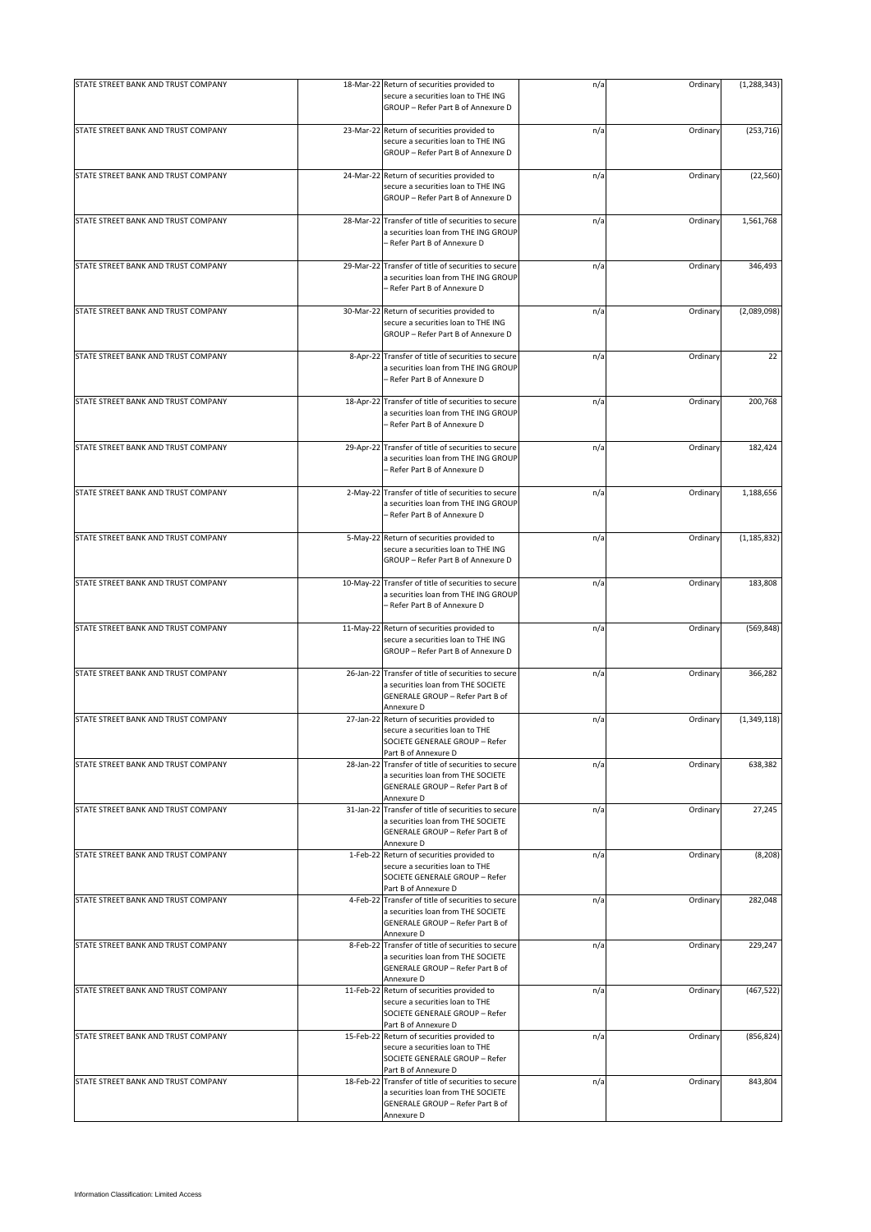| STATE STREET BANK AND TRUST COMPANY |            | 18-Mar-22 Return of securities provided to                                                                                                  | n/a | Ordinary | (1, 288, 343) |
|-------------------------------------|------------|---------------------------------------------------------------------------------------------------------------------------------------------|-----|----------|---------------|
|                                     |            | secure a securities loan to THE ING<br>GROUP - Refer Part B of Annexure D                                                                   |     |          |               |
| STATE STREET BANK AND TRUST COMPANY |            | 23-Mar-22 Return of securities provided to<br>secure a securities loan to THE ING<br>GROUP - Refer Part B of Annexure D                     | n/a | Ordinary | (253, 716)    |
| STATE STREET BANK AND TRUST COMPANY |            | 24-Mar-22 Return of securities provided to<br>secure a securities loan to THE ING<br>GROUP - Refer Part B of Annexure D                     | n/a | Ordinary | (22, 560)     |
| STATE STREET BANK AND TRUST COMPANY | 28-Mar-22  | Transfer of title of securities to secure<br>a securities loan from THE ING GROUP<br>– Refer Part B of Annexure D                           | n/a | Ordinary | 1,561,768     |
| STATE STREET BANK AND TRUST COMPANY | 29-Mar-22  | Transfer of title of securities to secure<br>a securities loan from THE ING GROUP<br>- Refer Part B of Annexure D                           | n/a | Ordinary | 346,493       |
| STATE STREET BANK AND TRUST COMPANY | 30-Mar-22  | Return of securities provided to<br>secure a securities loan to THE ING<br>GROUP - Refer Part B of Annexure D                               | n/a | Ordinary | (2,089,098)   |
| STATE STREET BANK AND TRUST COMPANY | 8-Apr-22   | Transfer of title of securities to secure<br>a securities loan from THE ING GROUP<br>– Refer Part B of Annexure D                           | n/a | Ordinary | 22            |
| STATE STREET BANK AND TRUST COMPANY | 18-Apr-22  | Transfer of title of securities to secure<br>a securities loan from THE ING GROUP<br>- Refer Part B of Annexure D                           | n/a | Ordinary | 200,768       |
| STATE STREET BANK AND TRUST COMPANY | 29-Apr-22  | Transfer of title of securities to secure<br>a securities loan from THE ING GROUP<br>- Refer Part B of Annexure D                           | n/a | Ordinary | 182,424       |
| STATE STREET BANK AND TRUST COMPANY | $2-May-22$ | Transfer of title of securities to secure<br>a securities loan from THE ING GROUP<br>- Refer Part B of Annexure D                           | n/a | Ordinary | 1,188,656     |
| STATE STREET BANK AND TRUST COMPANY |            | 5-May-22 Return of securities provided to<br>secure a securities loan to THE ING<br>GROUP - Refer Part B of Annexure D                      | n/a | Ordinary | (1, 185, 832) |
| STATE STREET BANK AND TRUST COMPANY |            | 10-May-22 Transfer of title of securities to secure<br>a securities loan from THE ING GROUP<br>- Refer Part B of Annexure D                 | n/a | Ordinary | 183,808       |
| STATE STREET BANK AND TRUST COMPANY | 11-May-22  | Return of securities provided to<br>secure a securities loan to THE ING<br>GROUP - Refer Part B of Annexure D                               | n/a | Ordinary | (569, 848)    |
| STATE STREET BANK AND TRUST COMPANY |            | 26-Jan-22 Transfer of title of securities to secure<br>a securities loan from THE SOCIETE<br>GENERALE GROUP - Refer Part B of<br>Annexure D | n/a | Ordinary | 366,282       |
| STATE STREET BANK AND TRUST COMPANY | 27-Jan-22  | Return of securities provided to<br>secure a securities loan to THE<br>SOCIETE GENERALE GROUP - Refer<br>Part B of Annexure D               | n/a | Ordinary | (1, 349, 118) |
| STATE STREET BANK AND TRUST COMPANY | 28-Jan-22  | Transfer of title of securities to secure<br>a securities loan from THE SOCIETE<br>GENERALE GROUP - Refer Part B of<br>Annexure D           | n/a | Ordinary | 638,382       |
| STATE STREET BANK AND TRUST COMPANY |            | 31-Jan-22 Transfer of title of securities to secure<br>a securities loan from THE SOCIETE<br>GENERALE GROUP - Refer Part B of<br>Annexure D | n/a | Ordinary | 27,245        |
| STATE STREET BANK AND TRUST COMPANY |            | 1-Feb-22 Return of securities provided to<br>secure a securities loan to THE<br>SOCIETE GENERALE GROUP - Refer<br>Part B of Annexure D      | n/a | Ordinary | (8, 208)      |
| STATE STREET BANK AND TRUST COMPANY |            | 4-Feb-22 Transfer of title of securities to secure<br>a securities loan from THE SOCIETE<br>GENERALE GROUP - Refer Part B of<br>Annexure D  | n/a | Ordinary | 282,048       |
| STATE STREET BANK AND TRUST COMPANY | 8-Feb-22   | Transfer of title of securities to secure<br>a securities loan from THE SOCIETE<br>GENERALE GROUP - Refer Part B of<br>Annexure D           | n/a | Ordinary | 229,247       |
| STATE STREET BANK AND TRUST COMPANY |            | 11-Feb-22 Return of securities provided to<br>secure a securities loan to THE<br>SOCIETE GENERALE GROUP - Refer<br>Part B of Annexure D     | n/a | Ordinary | (467, 522)    |
| STATE STREET BANK AND TRUST COMPANY | 15-Feb-22  | Return of securities provided to<br>secure a securities loan to THE<br>SOCIETE GENERALE GROUP - Refer<br>Part B of Annexure D               | n/a | Ordinary | (856, 824)    |
| STATE STREET BANK AND TRUST COMPANY | 18-Feb-22  | Transfer of title of securities to secure<br>a securities loan from THE SOCIETE<br>GENERALE GROUP - Refer Part B of<br>Annexure D           | n/a | Ordinary | 843,804       |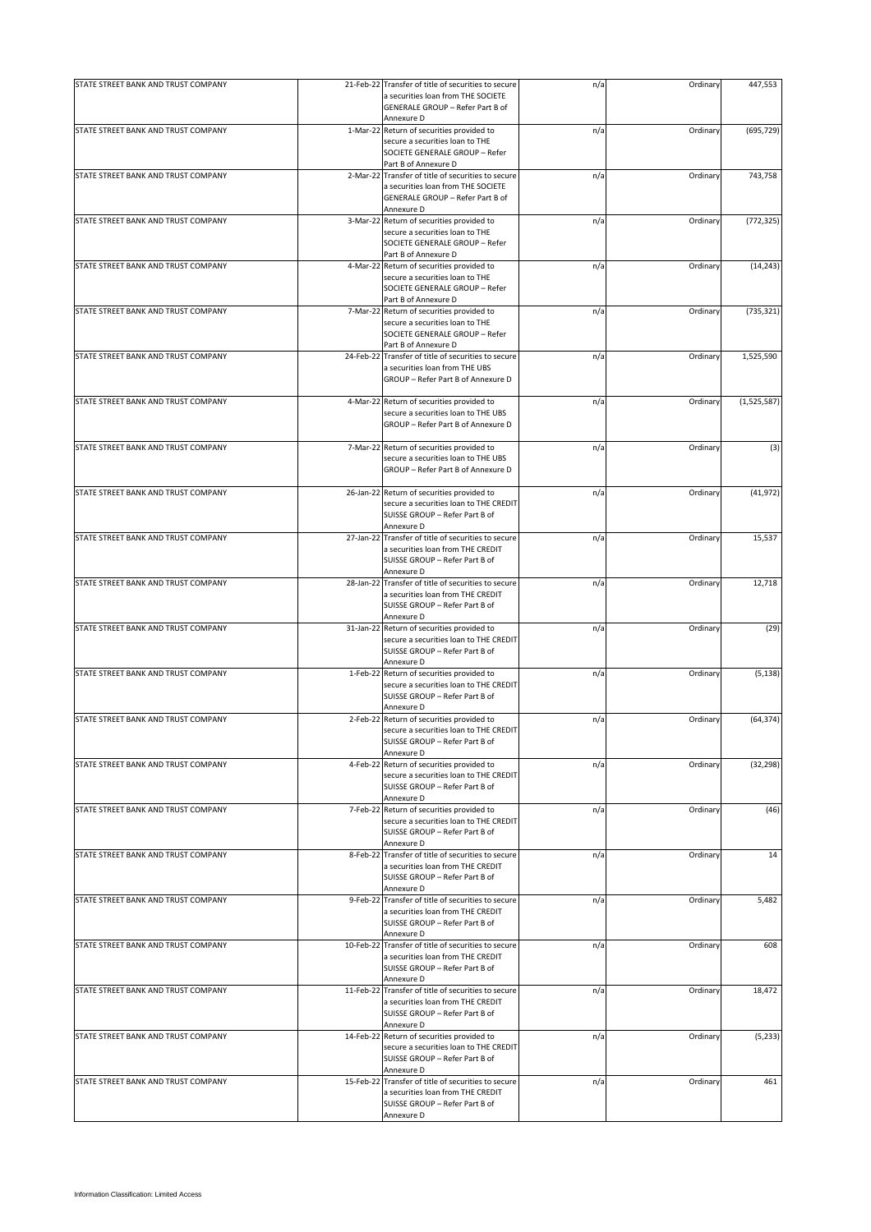| STATE STREET BANK AND TRUST COMPANY | 21-Feb-22 Transfer of title of securities to secure                                                            | n/a | Ordinary | 447,553       |
|-------------------------------------|----------------------------------------------------------------------------------------------------------------|-----|----------|---------------|
|                                     | a securities loan from THE SOCIETE<br>GENERALE GROUP - Refer Part B of<br>Annexure D                           |     |          |               |
| STATE STREET BANK AND TRUST COMPANY | 1-Mar-22 Return of securities provided to                                                                      | n/a | Ordinary | (695, 729)    |
|                                     | secure a securities loan to THE<br>SOCIETE GENERALE GROUP - Refer<br>Part B of Annexure D                      |     |          |               |
| STATE STREET BANK AND TRUST COMPANY | 2-Mar-22 Transfer of title of securities to secure                                                             | n/a | Ordinary | 743,758       |
|                                     | a securities loan from THE SOCIETE<br>GENERALE GROUP - Refer Part B of                                         |     |          |               |
| STATE STREET BANK AND TRUST COMPANY | Annexure D<br>3-Mar-22 Return of securities provided to                                                        | n/a | Ordinary | (772, 325)    |
|                                     | secure a securities loan to THE                                                                                |     |          |               |
|                                     | SOCIETE GENERALE GROUP - Refer                                                                                 |     |          |               |
|                                     | Part B of Annexure D                                                                                           |     |          |               |
| STATE STREET BANK AND TRUST COMPANY | 4-Mar-22 Return of securities provided to<br>secure a securities loan to THE<br>SOCIETE GENERALE GROUP - Refer | n/a | Ordinary | (14, 243)     |
| STATE STREET BANK AND TRUST COMPANY | Part B of Annexure D<br>7-Mar-22 Return of securities provided to                                              | n/a | Ordinary | (735, 321)    |
|                                     | secure a securities loan to THE<br>SOCIETE GENERALE GROUP - Refer<br>Part B of Annexure D                      |     |          |               |
| STATE STREET BANK AND TRUST COMPANY | 24-Feb-22 Transfer of title of securities to secure                                                            | n/a | Ordinary | 1,525,590     |
|                                     | a securities loan from THE UBS<br>GROUP - Refer Part B of Annexure D                                           |     |          |               |
| STATE STREET BANK AND TRUST COMPANY | 4-Mar-22 Return of securities provided to                                                                      | n/a | Ordinary | (1, 525, 587) |
|                                     | secure a securities loan to THE UBS<br>GROUP - Refer Part B of Annexure D                                      |     |          |               |
| STATE STREET BANK AND TRUST COMPANY | 7-Mar-22 Return of securities provided to                                                                      | n/a | Ordinary | (3)           |
|                                     | secure a securities loan to THE UBS<br>GROUP - Refer Part B of Annexure D                                      |     |          |               |
| STATE STREET BANK AND TRUST COMPANY | 26-Jan-22 Return of securities provided to                                                                     | n/a | Ordinary | (41, 972)     |
|                                     | secure a securities loan to THE CREDIT<br>SUISSE GROUP - Refer Part B of<br>Annexure D                         |     |          |               |
| STATE STREET BANK AND TRUST COMPANY | 27-Jan-22 Transfer of title of securities to secure                                                            | n/a | Ordinary | 15,537        |
|                                     | a securities loan from THE CREDIT<br>SUISSE GROUP - Refer Part B of<br>Annexure D                              |     |          |               |
| STATE STREET BANK AND TRUST COMPANY | 28-Jan-22 Transfer of title of securities to secure                                                            | n/a | Ordinary | 12,718        |
|                                     | a securities loan from THE CREDIT<br>SUISSE GROUP - Refer Part B of<br>Annexure D                              |     |          |               |
| STATE STREET BANK AND TRUST COMPANY | 31-Jan-22 Return of securities provided to                                                                     | n/a | Ordinary | (29)          |
|                                     | secure a securities loan to THE CREDIT<br>SUISSE GROUP - Refer Part B of<br>Annexure D                         |     |          |               |
| STATE STREET BANK AND TRUST COMPANY | 1-Feb-22 Return of securities provided to                                                                      | n/a | Ordinary | (5, 138)      |
|                                     | secure a securities loan to THE CREDIT<br>SUISSE GROUP - Refer Part B of<br>Annexure D                         |     |          |               |
| STATE STREET BANK AND TRUST COMPANY | 2-Feb-22 Return of securities provided to                                                                      | n/a | Ordinary | (64, 374)     |
|                                     | secure a securities loan to THE CREDIT<br>SUISSE GROUP - Refer Part B of<br>Annexure D                         |     |          |               |
| STATE STREET BANK AND TRUST COMPANY | 4-Feb-22 Return of securities provided to                                                                      | n/a | Ordinary | (32, 298)     |
|                                     | secure a securities loan to THE CREDIT<br>SUISSE GROUP - Refer Part B of<br>Annexure D                         |     |          |               |
| STATE STREET BANK AND TRUST COMPANY | 7-Feb-22 Return of securities provided to                                                                      | n/a | Ordinary | (46)          |
|                                     | secure a securities loan to THE CREDIT<br>SUISSE GROUP - Refer Part B of<br>Annexure D                         |     |          |               |
| STATE STREET BANK AND TRUST COMPANY | 8-Feb-22 Transfer of title of securities to secure                                                             | n/a | Ordinary | 14            |
|                                     | a securities loan from THE CREDIT<br>SUISSE GROUP - Refer Part B of<br>Annexure D                              |     |          |               |
| STATE STREET BANK AND TRUST COMPANY | 9-Feb-22 Transfer of title of securities to secure                                                             | n/a | Ordinary | 5,482         |
|                                     | a securities loan from THE CREDIT<br>SUISSE GROUP - Refer Part B of<br>Annexure D                              |     |          |               |
| STATE STREET BANK AND TRUST COMPANY | 10-Feb-22 Transfer of title of securities to secure                                                            | n/a | Ordinary | 608           |
|                                     | a securities loan from THE CREDIT<br>SUISSE GROUP - Refer Part B of<br>Annexure D                              |     |          |               |
| STATE STREET BANK AND TRUST COMPANY | 11-Feb-22 Transfer of title of securities to secure                                                            | n/a | Ordinary | 18,472        |
|                                     | a securities loan from THE CREDIT<br>SUISSE GROUP - Refer Part B of<br>Annexure D                              |     |          |               |
| STATE STREET BANK AND TRUST COMPANY | 14-Feb-22 Return of securities provided to                                                                     | n/a | Ordinary | (5, 233)      |
|                                     | secure a securities loan to THE CREDIT<br>SUISSE GROUP - Refer Part B of<br>Annexure D                         |     |          |               |
| STATE STREET BANK AND TRUST COMPANY | 15-Feb-22 Transfer of title of securities to secure                                                            | n/a | Ordinary | 461           |
|                                     | a securities loan from THE CREDIT<br>SUISSE GROUP - Refer Part B of<br>Annexure D                              |     |          |               |
|                                     |                                                                                                                |     |          |               |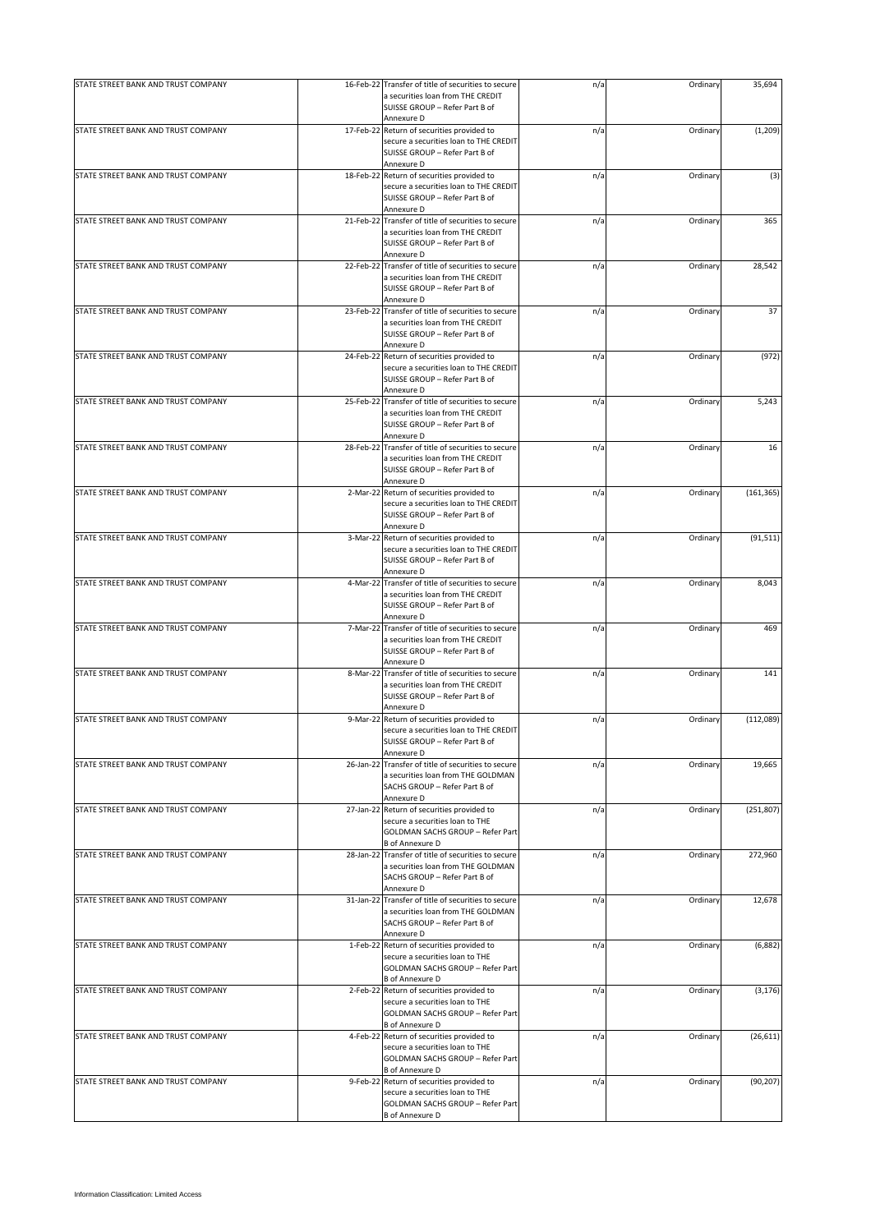| STATE STREET BANK AND TRUST COMPANY | 16-Feb-22 Transfer of title of securities to secure<br>a securities loan from THE CREDIT<br>SUISSE GROUP - Refer Part B of                 | n/a | Ordinary | 35,694     |
|-------------------------------------|--------------------------------------------------------------------------------------------------------------------------------------------|-----|----------|------------|
|                                     | Annexure D                                                                                                                                 |     |          |            |
| STATE STREET BANK AND TRUST COMPANY | 17-Feb-22 Return of securities provided to<br>secure a securities loan to THE CREDIT<br>SUISSE GROUP - Refer Part B of<br>Annexure D       | n/a | Ordinary | (1, 209)   |
| STATE STREET BANK AND TRUST COMPANY | 18-Feb-22 Return of securities provided to                                                                                                 | n/a | Ordinary | (3)        |
|                                     | secure a securities loan to THE CREDIT<br>SUISSE GROUP - Refer Part B of<br>Annexure D                                                     |     |          |            |
| STATE STREET BANK AND TRUST COMPANY | 21-Feb-22 Transfer of title of securities to secure                                                                                        | n/a | Ordinary | 365        |
|                                     | a securities loan from THE CREDIT<br>SUISSE GROUP - Refer Part B of<br>Annexure D                                                          |     |          |            |
| STATE STREET BANK AND TRUST COMPANY | 22-Feb-22 Transfer of title of securities to secure<br>a securities loan from THE CREDIT<br>SUISSE GROUP - Refer Part B of<br>Annexure D   | n/a | Ordinary | 28,542     |
| STATE STREET BANK AND TRUST COMPANY | 23-Feb-22 Transfer of title of securities to secure                                                                                        | n/a | Ordinary | 37         |
|                                     | a securities loan from THE CREDIT<br>SUISSE GROUP - Refer Part B of<br>Annexure D                                                          |     |          |            |
| STATE STREET BANK AND TRUST COMPANY | 24-Feb-22 Return of securities provided to                                                                                                 | n/a | Ordinary | (972)      |
|                                     | secure a securities loan to THE CREDIT<br>SUISSE GROUP - Refer Part B of<br>Annexure D                                                     |     |          |            |
| STATE STREET BANK AND TRUST COMPANY | 25-Feb-22 Transfer of title of securities to secure                                                                                        | n/a | Ordinary | 5,243      |
|                                     | a securities loan from THE CREDIT<br>SUISSE GROUP - Refer Part B of<br>Annexure D                                                          |     |          |            |
| STATE STREET BANK AND TRUST COMPANY | 28-Feb-22 Transfer of title of securities to secure                                                                                        | n/a | Ordinary | 16         |
|                                     | a securities loan from THE CREDIT<br>SUISSE GROUP - Refer Part B of<br>Annexure D                                                          |     |          |            |
| STATE STREET BANK AND TRUST COMPANY | 2-Mar-22 Return of securities provided to                                                                                                  | n/a | Ordinary | (161, 365) |
|                                     | secure a securities loan to THE CREDIT<br>SUISSE GROUP - Refer Part B of<br>Annexure D                                                     |     |          |            |
| STATE STREET BANK AND TRUST COMPANY | 3-Mar-22 Return of securities provided to                                                                                                  | n/a | Ordinary | (91, 511)  |
|                                     | secure a securities loan to THE CREDIT<br>SUISSE GROUP - Refer Part B of<br>Annexure D                                                     |     |          |            |
| STATE STREET BANK AND TRUST COMPANY | 4-Mar-22 Transfer of title of securities to secure                                                                                         | n/a | Ordinary | 8,043      |
|                                     | a securities loan from THE CREDIT<br>SUISSE GROUP - Refer Part B of<br>Annexure D                                                          |     |          |            |
| STATE STREET BANK AND TRUST COMPANY | 7-Mar-22 Transfer of title of securities to secure                                                                                         | n/a | Ordinary | 469        |
|                                     | a securities loan from THE CREDIT<br>SUISSE GROUP - Refer Part B of<br>Annexure D                                                          |     |          |            |
| STATE STREET BANK AND TRUST COMPANY | 8-Mar-22 Transfer of title of securities to secure                                                                                         | n/a | Ordinary | 141        |
|                                     | a securities loan from THE CREDIT<br>SUISSE GROUP - Refer Part B of<br>Annexure D                                                          |     |          |            |
| STATE STREET BANK AND TRUST COMPANY | 9-Mar-22 Return of securities provided to                                                                                                  | n/a | Ordinary | (112,089)  |
|                                     | secure a securities loan to THE CREDIT<br>SUISSE GROUP - Refer Part B of<br>Annexure D                                                     |     |          |            |
| STATE STREET BANK AND TRUST COMPANY | 26-Jan-22 Transfer of title of securities to secure                                                                                        | n/a | Ordinary | 19,665     |
|                                     | a securities loan from THE GOLDMAN<br>SACHS GROUP - Refer Part B of<br>Annexure D                                                          |     |          |            |
| STATE STREET BANK AND TRUST COMPANY | 27-Jan-22 Return of securities provided to                                                                                                 | n/a | Ordinary | (251, 807) |
|                                     | secure a securities loan to THE<br><b>GOLDMAN SACHS GROUP - Refer Part</b><br><b>B</b> of Annexure D                                       |     |          |            |
| STATE STREET BANK AND TRUST COMPANY | 28-Jan-22 Transfer of title of securities to secure                                                                                        | n/a | Ordinary | 272,960    |
|                                     | a securities loan from THE GOLDMAN<br>SACHS GROUP - Refer Part B of<br>Annexure D                                                          |     |          |            |
| STATE STREET BANK AND TRUST COMPANY | 31-Jan-22 Transfer of title of securities to secure<br>a securities loan from THE GOLDMAN<br>SACHS GROUP - Refer Part B of                 | n/a | Ordinary | 12,678     |
|                                     | Annexure D                                                                                                                                 |     |          |            |
| STATE STREET BANK AND TRUST COMPANY | 1-Feb-22 Return of securities provided to<br>secure a securities loan to THE<br>GOLDMAN SACHS GROUP - Refer Part<br><b>B</b> of Annexure D | n/a | Ordinary | (6,882)    |
| STATE STREET BANK AND TRUST COMPANY | 2-Feb-22 Return of securities provided to                                                                                                  | n/a | Ordinary | (3, 176)   |
|                                     | secure a securities loan to THE<br>GOLDMAN SACHS GROUP - Refer Part<br><b>B</b> of Annexure D                                              |     |          |            |
| STATE STREET BANK AND TRUST COMPANY | 4-Feb-22 Return of securities provided to                                                                                                  | n/a | Ordinary | (26, 611)  |
|                                     | secure a securities loan to THE<br>GOLDMAN SACHS GROUP - Refer Part<br><b>B</b> of Annexure D                                              |     |          |            |
| STATE STREET BANK AND TRUST COMPANY | 9-Feb-22 Return of securities provided to<br>secure a securities loan to THE<br>GOLDMAN SACHS GROUP - Refer Part<br><b>B</b> of Annexure D | n/a | Ordinary | (90, 207)  |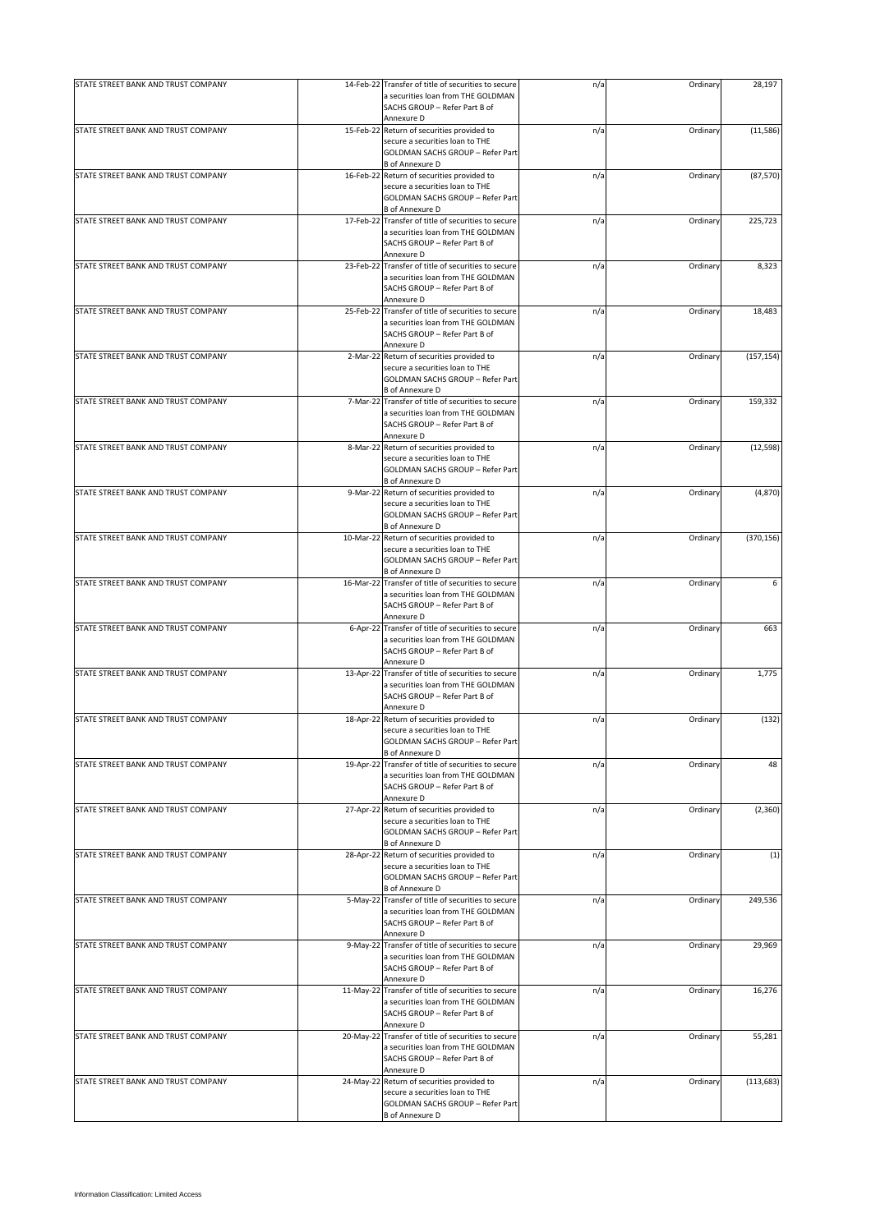| STATE STREET BANK AND TRUST COMPANY |           | 14-Feb-22 Transfer of title of securities to secure<br>a securities loan from THE GOLDMAN | n/a | Ordinary | 28,197     |
|-------------------------------------|-----------|-------------------------------------------------------------------------------------------|-----|----------|------------|
|                                     |           | SACHS GROUP - Refer Part B of<br>Annexure D                                               |     |          |            |
| STATE STREET BANK AND TRUST COMPANY |           | 15-Feb-22 Return of securities provided to                                                | n/a | Ordinary | (11, 586)  |
|                                     |           | secure a securities loan to THE                                                           |     |          |            |
|                                     |           | <b>GOLDMAN SACHS GROUP - Refer Part</b>                                                   |     |          |            |
|                                     |           | <b>B</b> of Annexure D                                                                    |     |          |            |
| STATE STREET BANK AND TRUST COMPANY |           | 16-Feb-22 Return of securities provided to<br>secure a securities loan to THE             | n/a | Ordinary | (87, 570)  |
|                                     |           | GOLDMAN SACHS GROUP - Refer Part                                                          |     |          |            |
|                                     |           | <b>B</b> of Annexure D                                                                    |     |          |            |
| STATE STREET BANK AND TRUST COMPANY | 17-Feb-22 | Transfer of title of securities to secure                                                 | n/a | Ordinary | 225,723    |
|                                     |           | a securities loan from THE GOLDMAN                                                        |     |          |            |
|                                     |           | SACHS GROUP - Refer Part B of<br>Annexure D                                               |     |          |            |
| STATE STREET BANK AND TRUST COMPANY |           | 23-Feb-22 Transfer of title of securities to secure                                       | n/a | Ordinary | 8,323      |
|                                     |           | a securities loan from THE GOLDMAN                                                        |     |          |            |
|                                     |           | SACHS GROUP - Refer Part B of                                                             |     |          |            |
|                                     |           | Annexure D                                                                                |     |          |            |
| STATE STREET BANK AND TRUST COMPANY | 25-Feb-22 | Transfer of title of securities to secure<br>a securities loan from THE GOLDMAN           | n/a | Ordinary | 18,483     |
|                                     |           | SACHS GROUP - Refer Part B of                                                             |     |          |            |
|                                     |           | Annexure D                                                                                |     |          |            |
| STATE STREET BANK AND TRUST COMPANY | 2-Mar-22  | Return of securities provided to                                                          | n/a | Ordinary | (157, 154) |
|                                     |           | secure a securities loan to THE                                                           |     |          |            |
|                                     |           | GOLDMAN SACHS GROUP - Refer Part                                                          |     |          |            |
| STATE STREET BANK AND TRUST COMPANY |           | B of Annexure D<br>7-Mar-22 Transfer of title of securities to secure                     | n/a | Ordinary | 159,332    |
|                                     |           | a securities loan from THE GOLDMAN                                                        |     |          |            |
|                                     |           | SACHS GROUP - Refer Part B of                                                             |     |          |            |
|                                     |           | Annexure D                                                                                |     |          |            |
| STATE STREET BANK AND TRUST COMPANY |           | 8-Mar-22 Return of securities provided to                                                 | n/a | Ordinary | (12, 598)  |
|                                     |           | secure a securities loan to THE<br>GOLDMAN SACHS GROUP - Refer Part                       |     |          |            |
|                                     |           | <b>B</b> of Annexure D                                                                    |     |          |            |
| STATE STREET BANK AND TRUST COMPANY |           | 9-Mar-22 Return of securities provided to                                                 | n/a | Ordinary | (4, 870)   |
|                                     |           | secure a securities loan to THE                                                           |     |          |            |
|                                     |           | GOLDMAN SACHS GROUP - Refer Part                                                          |     |          |            |
|                                     |           | <b>B</b> of Annexure D                                                                    |     |          |            |
| STATE STREET BANK AND TRUST COMPANY |           | 10-Mar-22 Return of securities provided to<br>secure a securities loan to THE             | n/a | Ordinary | (370, 156) |
|                                     |           | GOLDMAN SACHS GROUP - Refer Part                                                          |     |          |            |
|                                     |           | <b>B</b> of Annexure D                                                                    |     |          |            |
| STATE STREET BANK AND TRUST COMPANY |           | 16-Mar-22 Transfer of title of securities to secure                                       | n/a | Ordinary | 6          |
|                                     |           | a securities loan from THE GOLDMAN                                                        |     |          |            |
|                                     |           | SACHS GROUP - Refer Part B of                                                             |     |          |            |
| STATE STREET BANK AND TRUST COMPANY | 6-Apr-22  | Annexure D<br>Transfer of title of securities to secure                                   | n/a | Ordinary | 663        |
|                                     |           | a securities loan from THE GOLDMAN                                                        |     |          |            |
|                                     |           | SACHS GROUP - Refer Part B of                                                             |     |          |            |
|                                     |           | Annexure D                                                                                |     |          |            |
| STATE STREET BANK AND TRUST COMPANY | 13-Apr-22 | Transfer of title of securities to secure                                                 | n/a | Ordinary | 1,775      |
|                                     |           | a securities loan from THE GOLDMAN<br>SACHS GROUP - Refer Part B of                       |     |          |            |
|                                     |           | Annexure D                                                                                |     |          |            |
| STATE STREET BANK AND TRUST COMPANY |           | 18-Apr-22 Return of securities provided to                                                | n/a | Ordinary | (132)      |
|                                     |           | secure a securities loan to THE                                                           |     |          |            |
|                                     |           | GOLDMAN SACHS GROUP - Refer Part                                                          |     |          |            |
|                                     | 19-Apr-22 | <b>B</b> of Annexure D<br>Transfer of title of securities to secure                       |     |          | 48         |
| STATE STREET BANK AND TRUST COMPANY |           | a securities loan from THE GOLDMAN                                                        | n/a | Ordinary |            |
|                                     |           | SACHS GROUP - Refer Part B of                                                             |     |          |            |
|                                     |           | Annexure D                                                                                |     |          |            |
| STATE STREET BANK AND TRUST COMPANY |           | 27-Apr-22 Return of securities provided to                                                | n/a | Ordinary | (2, 360)   |
|                                     |           | secure a securities loan to THE                                                           |     |          |            |
|                                     |           | GOLDMAN SACHS GROUP - Refer Part<br><b>B</b> of Annexure D                                |     |          |            |
| STATE STREET BANK AND TRUST COMPANY |           | 28-Apr-22 Return of securities provided to                                                | n/a | Ordinary | (1)        |
|                                     |           | secure a securities loan to THE                                                           |     |          |            |
|                                     |           | GOLDMAN SACHS GROUP - Refer Part                                                          |     |          |            |
|                                     |           | <b>B</b> of Annexure D                                                                    |     |          |            |
| STATE STREET BANK AND TRUST COMPANY | 5-May-22  | Transfer of title of securities to secure<br>a securities loan from THE GOLDMAN           | n/a | Ordinary | 249,536    |
|                                     |           | SACHS GROUP - Refer Part B of                                                             |     |          |            |
|                                     |           | Annexure D                                                                                |     |          |            |
| STATE STREET BANK AND TRUST COMPANY | 9-May-22  | Transfer of title of securities to secure                                                 | n/a | Ordinary | 29,969     |
|                                     |           | a securities loan from THE GOLDMAN                                                        |     |          |            |
|                                     |           | SACHS GROUP - Refer Part B of                                                             |     |          |            |
|                                     |           | Annexure D                                                                                |     |          |            |
| STATE STREET BANK AND TRUST COMPANY |           | 11-May-22 Transfer of title of securities to secure<br>a securities loan from THE GOLDMAN | n/a | Ordinary | 16,276     |
|                                     |           | SACHS GROUP - Refer Part B of                                                             |     |          |            |
|                                     |           | Annexure D                                                                                |     |          |            |
| STATE STREET BANK AND TRUST COMPANY | 20-May-22 | Transfer of title of securities to secure                                                 | n/a | Ordinary | 55,281     |
|                                     |           | a securities loan from THE GOLDMAN                                                        |     |          |            |
|                                     |           | SACHS GROUP - Refer Part B of<br>Annexure D                                               |     |          |            |
| STATE STREET BANK AND TRUST COMPANY | 24-May-22 | Return of securities provided to                                                          | n/a | Ordinary | (113, 683) |
|                                     |           | secure a securities loan to THE                                                           |     |          |            |
|                                     |           | GOLDMAN SACHS GROUP - Refer Part                                                          |     |          |            |
|                                     |           | <b>B</b> of Annexure D                                                                    |     |          |            |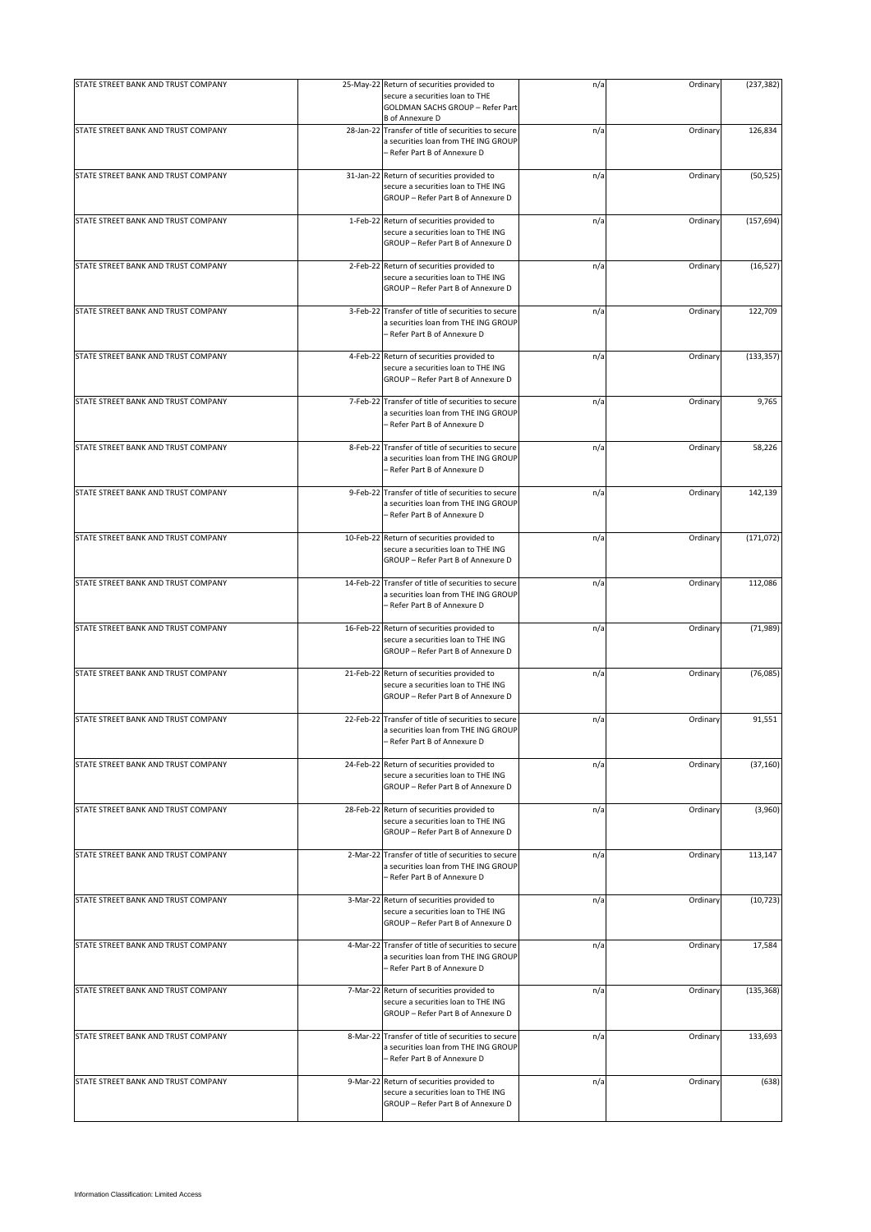| STATE STREET BANK AND TRUST COMPANY | 25-May-22 Return of securities provided to<br>secure a securities loan to THE                                               | n/a | Ordinary | (237, 382) |
|-------------------------------------|-----------------------------------------------------------------------------------------------------------------------------|-----|----------|------------|
|                                     | GOLDMAN SACHS GROUP - Refer Part<br><b>B</b> of Annexure D                                                                  |     |          |            |
| STATE STREET BANK AND TRUST COMPANY | 28-Jan-22 Transfer of title of securities to secure<br>a securities loan from THE ING GROUP<br>- Refer Part B of Annexure D | n/a | Ordinary | 126,834    |
| STATE STREET BANK AND TRUST COMPANY | 31-Jan-22 Return of securities provided to<br>secure a securities loan to THE ING<br>GROUP - Refer Part B of Annexure D     | n/a | Ordinary | (50, 525)  |
| STATE STREET BANK AND TRUST COMPANY | 1-Feb-22 Return of securities provided to<br>secure a securities loan to THE ING<br>GROUP - Refer Part B of Annexure D      | n/a | Ordinary | (157, 694) |
| STATE STREET BANK AND TRUST COMPANY | 2-Feb-22 Return of securities provided to<br>secure a securities loan to THE ING<br>GROUP - Refer Part B of Annexure D      | n/a | Ordinary | (16, 527)  |
| STATE STREET BANK AND TRUST COMPANY | 3-Feb-22 Transfer of title of securities to secure<br>a securities loan from THE ING GROUP<br>- Refer Part B of Annexure D  | n/a | Ordinary | 122,709    |
| STATE STREET BANK AND TRUST COMPANY | 4-Feb-22 Return of securities provided to<br>secure a securities loan to THE ING<br>GROUP - Refer Part B of Annexure D      | n/a | Ordinary | (133, 357) |
| STATE STREET BANK AND TRUST COMPANY | 7-Feb-22 Transfer of title of securities to secure<br>a securities loan from THE ING GROUP<br>- Refer Part B of Annexure D  | n/a | Ordinary | 9,765      |
| STATE STREET BANK AND TRUST COMPANY | 8-Feb-22 Transfer of title of securities to secure<br>a securities loan from THE ING GROUP<br>- Refer Part B of Annexure D  | n/a | Ordinary | 58,226     |
| STATE STREET BANK AND TRUST COMPANY | 9-Feb-22 Transfer of title of securities to secure<br>a securities loan from THE ING GROUP<br>- Refer Part B of Annexure D  | n/a | Ordinary | 142,139    |
| STATE STREET BANK AND TRUST COMPANY | 10-Feb-22 Return of securities provided to<br>secure a securities loan to THE ING<br>GROUP - Refer Part B of Annexure D     | n/a | Ordinary | (171, 072) |
| STATE STREET BANK AND TRUST COMPANY | 14-Feb-22 Transfer of title of securities to secure<br>a securities loan from THE ING GROUP<br>- Refer Part B of Annexure D | n/a | Ordinary | 112,086    |
| STATE STREET BANK AND TRUST COMPANY | 16-Feb-22 Return of securities provided to<br>secure a securities loan to THE ING<br>GROUP - Refer Part B of Annexure D     | n/a | Ordinary | (71, 989)  |
| STATE STREET BANK AND TRUST COMPANY | 21-Feb-22 Return of securities provided to<br>secure a securities loan to THE ING<br>GROUP - Refer Part B of Annexure D     | n/a | Ordinary | (76, 085)  |
| STATE STREET BANK AND TRUST COMPANY | 22-Feb-22 Transfer of title of securities to secure<br>a securities loan from THE ING GROUP<br>Refer Part B of Annexure D   | n/a | Ordinary | 91,551     |
| STATE STREET BANK AND TRUST COMPANY | 24-Feb-22 Return of securities provided to<br>secure a securities loan to THE ING<br>GROUP - Refer Part B of Annexure D     | n/a | Ordinary | (37, 160)  |
| STATE STREET BANK AND TRUST COMPANY | 28-Feb-22 Return of securities provided to<br>secure a securities loan to THE ING<br>GROUP - Refer Part B of Annexure D     | n/a | Ordinary | (3,960)    |
| STATE STREET BANK AND TRUST COMPANY | 2-Mar-22 Transfer of title of securities to secure<br>a securities loan from THE ING GROUP<br>- Refer Part B of Annexure D  | n/a | Ordinary | 113,147    |
| STATE STREET BANK AND TRUST COMPANY | 3-Mar-22 Return of securities provided to<br>secure a securities loan to THE ING<br>GROUP - Refer Part B of Annexure D      | n/a | Ordinary | (10, 723)  |
| STATE STREET BANK AND TRUST COMPANY | 4-Mar-22 Transfer of title of securities to secure<br>a securities loan from THE ING GROUP<br>- Refer Part B of Annexure D  | n/a | Ordinary | 17,584     |
| STATE STREET BANK AND TRUST COMPANY | 7-Mar-22 Return of securities provided to<br>secure a securities loan to THE ING<br>GROUP - Refer Part B of Annexure D      | n/a | Ordinary | (135, 368) |
| STATE STREET BANK AND TRUST COMPANY | 8-Mar-22 Transfer of title of securities to secure<br>a securities loan from THE ING GROUP<br>- Refer Part B of Annexure D  | n/a | Ordinary | 133,693    |
| STATE STREET BANK AND TRUST COMPANY | 9-Mar-22 Return of securities provided to<br>secure a securities loan to THE ING<br>GROUP - Refer Part B of Annexure D      | n/a | Ordinary | (638)      |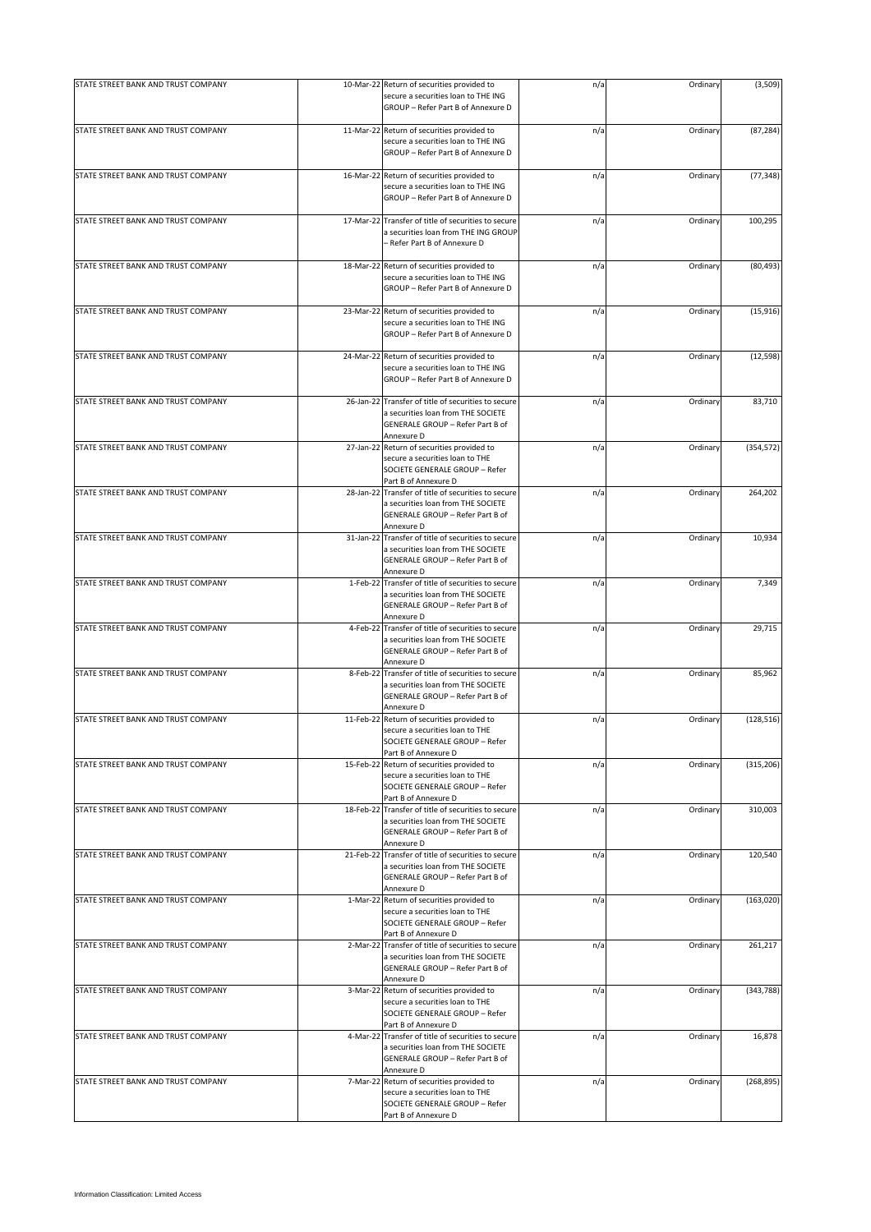| STATE STREET BANK AND TRUST COMPANY |          | 10-Mar-22 Return of securities provided to                                                                                                         | n/a | Ordinary | (3,509)    |
|-------------------------------------|----------|----------------------------------------------------------------------------------------------------------------------------------------------------|-----|----------|------------|
|                                     |          | secure a securities loan to THE ING<br>GROUP - Refer Part B of Annexure D                                                                          |     |          |            |
| STATE STREET BANK AND TRUST COMPANY |          | 11-Mar-22 Return of securities provided to<br>secure a securities loan to THE ING<br>GROUP - Refer Part B of Annexure D                            | n/a | Ordinary | (87, 284)  |
| STATE STREET BANK AND TRUST COMPANY |          | 16-Mar-22 Return of securities provided to<br>secure a securities loan to THE ING<br>GROUP - Refer Part B of Annexure D                            | n/a | Ordinary | (77, 348)  |
| STATE STREET BANK AND TRUST COMPANY |          | 17-Mar-22 Transfer of title of securities to secure<br>a securities loan from THE ING GROUP<br>- Refer Part B of Annexure D                        | n/a | Ordinary | 100,295    |
| STATE STREET BANK AND TRUST COMPANY |          | 18-Mar-22 Return of securities provided to<br>secure a securities loan to THE ING<br>GROUP - Refer Part B of Annexure D                            | n/a | Ordinary | (80, 493)  |
| STATE STREET BANK AND TRUST COMPANY |          | 23-Mar-22 Return of securities provided to<br>secure a securities loan to THE ING<br>GROUP - Refer Part B of Annexure D                            | n/a | Ordinary | (15, 916)  |
| STATE STREET BANK AND TRUST COMPANY |          | 24-Mar-22 Return of securities provided to<br>secure a securities loan to THE ING<br>GROUP - Refer Part B of Annexure D                            | n/a | Ordinary | (12, 598)  |
| STATE STREET BANK AND TRUST COMPANY |          | 26-Jan-22 Transfer of title of securities to secure<br>a securities loan from THE SOCIETE<br>GENERALE GROUP - Refer Part B of<br>Annexure D        | n/a | Ordinary | 83,710     |
| STATE STREET BANK AND TRUST COMPANY |          | 27-Jan-22 Return of securities provided to<br>secure a securities loan to THE<br>SOCIETE GENERALE GROUP - Refer<br>Part B of Annexure D            | n/a | Ordinary | (354, 572) |
| STATE STREET BANK AND TRUST COMPANY |          | 28-Jan-22 Transfer of title of securities to secure<br>a securities loan from THE SOCIETE<br>GENERALE GROUP - Refer Part B of<br>Annexure D        | n/a | Ordinary | 264,202    |
| STATE STREET BANK AND TRUST COMPANY |          | 31-Jan-22 Transfer of title of securities to secure<br>a securities loan from THE SOCIETE<br>GENERALE GROUP - Refer Part B of<br>Annexure D        | n/a | Ordinary | 10,934     |
| STATE STREET BANK AND TRUST COMPANY |          | 1-Feb-22 Transfer of title of securities to secure<br>a securities loan from THE SOCIETE<br>GENERALE GROUP - Refer Part B of<br>Annexure D         | n/a | Ordinary | 7,349      |
| STATE STREET BANK AND TRUST COMPANY | 4-Feb-22 | Transfer of title of securities to secure<br>a securities loan from THE SOCIETE<br>GENERALE GROUP - Refer Part B of<br>Annexure D                  | n/a | Ordinary | 29,715     |
| STATE STREET BANK AND TRUST COMPANY | 8-Feb-22 | Transfer of title of securities to secure<br>a securities loan from THE SOCIETE<br>GENERALE GROUP - Refer Part B of<br>Annexure D                  | n/a | Ordinary | 85,962     |
| STATE STREET BANK AND TRUST COMPANY |          | 11-Feb-22 Return of securities provided to<br>secure a securities loan to THE<br>SOCIETE GENERALE GROUP - Refer<br>Part B of Annexure D            | n/a | Ordinary | (128, 516) |
| STATE STREET BANK AND TRUST COMPANY |          | 15-Feb-22 Return of securities provided to<br>secure a securities loan to THE<br>SOCIETE GENERALE GROUP - Refer<br>Part B of Annexure D            | n/a | Ordinary | (315, 206) |
| STATE STREET BANK AND TRUST COMPANY |          | 18-Feb-22 Transfer of title of securities to secure<br>a securities loan from THE SOCIETE<br><b>GENERALE GROUP - Refer Part B of</b><br>Annexure D | n/a | Ordinary | 310.003    |
| STATE STREET BANK AND TRUST COMPANY |          | 21-Feb-22 Transfer of title of securities to secure<br>a securities loan from THE SOCIETE<br>GENERALE GROUP - Refer Part B of<br>Annexure D        | n/a | Ordinary | 120.540    |
| STATE STREET BANK AND TRUST COMPANY |          | 1-Mar-22 Return of securities provided to<br>secure a securities loan to THE<br>SOCIETE GENERALE GROUP - Refer<br>Part B of Annexure D             | n/a | Ordinary | (163, 020) |
| STATE STREET BANK AND TRUST COMPANY |          | 2-Mar-22 Transfer of title of securities to secure<br>a securities loan from THE SOCIETE<br>GENERALE GROUP - Refer Part B of<br>Annexure D         | n/a | Ordinary | 261,217    |
| STATE STREET BANK AND TRUST COMPANY |          | 3-Mar-22 Return of securities provided to<br>secure a securities loan to THE<br>SOCIETE GENERALE GROUP - Refer<br>Part B of Annexure D             | n/a | Ordinary | (343, 788) |
| STATE STREET BANK AND TRUST COMPANY |          | 4-Mar-22 Transfer of title of securities to secure<br>a securities loan from THE SOCIETE<br>GENERALE GROUP - Refer Part B of<br>Annexure D         | n/a | Ordinary | 16,878     |
| STATE STREET BANK AND TRUST COMPANY |          | 7-Mar-22 Return of securities provided to<br>secure a securities loan to THE<br>SOCIETE GENERALE GROUP - Refer<br>Part B of Annexure D             | n/a | Ordinary | (268, 895) |
|                                     |          |                                                                                                                                                    |     |          |            |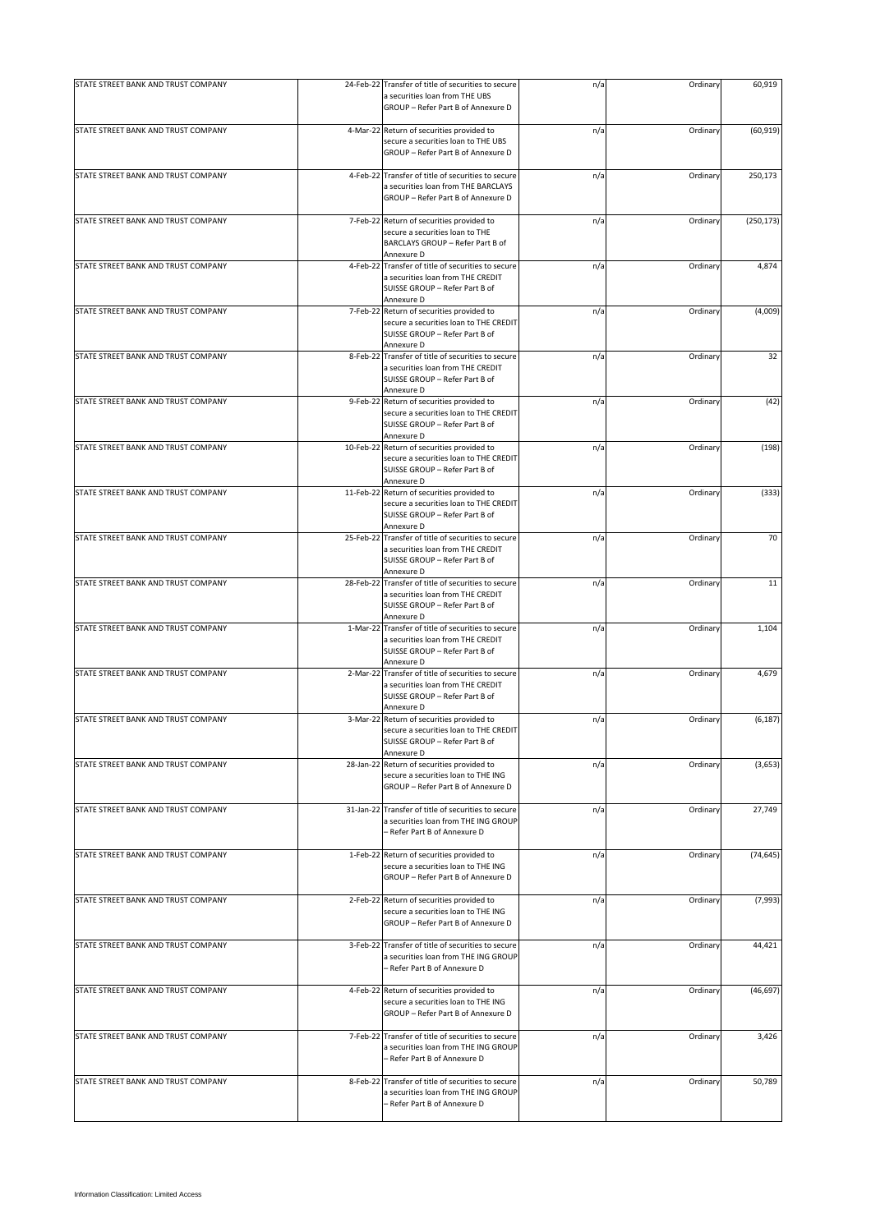| STATE STREET BANK AND TRUST COMPANY | 24-Feb-22 Transfer of title of securities to secure                                                                                     | n/a | Ordinary | 60,919     |
|-------------------------------------|-----------------------------------------------------------------------------------------------------------------------------------------|-----|----------|------------|
|                                     | a securities loan from THE UBS<br>GROUP - Refer Part B of Annexure D                                                                    |     |          |            |
| STATE STREET BANK AND TRUST COMPANY | 4-Mar-22 Return of securities provided to                                                                                               | n/a | Ordinary | (60, 919)  |
|                                     | secure a securities loan to THE UBS<br>GROUP - Refer Part B of Annexure D                                                               |     |          |            |
| STATE STREET BANK AND TRUST COMPANY | 4-Feb-22 Transfer of title of securities to secure                                                                                      | n/a | Ordinary | 250,173    |
|                                     | a securities loan from THE BARCLAYS<br>GROUP - Refer Part B of Annexure D                                                               |     |          |            |
| STATE STREET BANK AND TRUST COMPANY | 7-Feb-22 Return of securities provided to                                                                                               | n/a | Ordinary | (250, 173) |
|                                     | secure a securities loan to THE<br>BARCLAYS GROUP - Refer Part B of<br>Annexure D                                                       |     |          |            |
| STATE STREET BANK AND TRUST COMPANY | 4-Feb-22 Transfer of title of securities to secure<br>a securities loan from THE CREDIT<br>SUISSE GROUP - Refer Part B of<br>Annexure D | n/a | Ordinary | 4,874      |
| STATE STREET BANK AND TRUST COMPANY | 7-Feb-22 Return of securities provided to<br>secure a securities loan to THE CREDIT<br>SUISSE GROUP - Refer Part B of<br>Annexure D     | n/a | Ordinary | (4,009)    |
| STATE STREET BANK AND TRUST COMPANY | 8-Feb-22 Transfer of title of securities to secure                                                                                      | n/a | Ordinary | 32         |
|                                     | a securities loan from THE CREDIT<br>SUISSE GROUP - Refer Part B of<br>Annexure D                                                       |     |          |            |
| STATE STREET BANK AND TRUST COMPANY | 9-Feb-22 Return of securities provided to<br>secure a securities loan to THE CREDIT<br>SUISSE GROUP - Refer Part B of                   | n/a | Ordinary | (42)       |
| STATE STREET BANK AND TRUST COMPANY | Annexure D<br>10-Feb-22 Return of securities provided to                                                                                | n/a | Ordinary | (198)      |
|                                     | secure a securities loan to THE CREDIT<br>SUISSE GROUP - Refer Part B of<br>Annexure D                                                  |     |          |            |
| STATE STREET BANK AND TRUST COMPANY | 11-Feb-22 Return of securities provided to                                                                                              | n/a | Ordinary | (333)      |
|                                     | secure a securities loan to THE CREDIT<br>SUISSE GROUP - Refer Part B of<br>Annexure D                                                  |     |          |            |
| STATE STREET BANK AND TRUST COMPANY | 25-Feb-22 Transfer of title of securities to secure                                                                                     | n/a | Ordinary | 70         |
|                                     | a securities loan from THE CREDIT                                                                                                       |     |          |            |
|                                     | SUISSE GROUP - Refer Part B of<br>Annexure D                                                                                            |     |          |            |
| STATE STREET BANK AND TRUST COMPANY | 28-Feb-22 Transfer of title of securities to secure                                                                                     | n/a | Ordinary | 11         |
|                                     | a securities loan from THE CREDIT                                                                                                       |     |          |            |
|                                     | SUISSE GROUP - Refer Part B of<br>Annexure D                                                                                            |     |          |            |
| STATE STREET BANK AND TRUST COMPANY | 1-Mar-22 Transfer of title of securities to secure                                                                                      | n/a | Ordinary | 1,104      |
|                                     | a securities loan from THE CREDIT                                                                                                       |     |          |            |
|                                     | SUISSE GROUP - Refer Part B of<br>Annexure D                                                                                            |     |          |            |
| STATE STREET BANK AND TRUST COMPANY | 2-Mar-22 Transfer of title of securities to secure                                                                                      | n/a | Ordinary | 4,679      |
|                                     | a securities loan from THE CREDIT<br>SUISSE GROUP - Refer Part B of                                                                     |     |          |            |
|                                     | Annexure D                                                                                                                              |     |          |            |
| STATE STREET BANK AND TRUST COMPANY | 3-Mar-22 Return of securities provided to                                                                                               | n/a | Ordinary | (6, 187)   |
|                                     | secure a securities loan to THE CREDIT<br>SUISSE GROUP - Refer Part B of                                                                |     |          |            |
|                                     | Annexure D                                                                                                                              |     |          |            |
| STATE STREET BANK AND TRUST COMPANY | 28-Jan-22 Return of securities provided to<br>secure a securities loan to THE ING                                                       | n/a | Ordinary | (3,653)    |
|                                     | GROUP - Refer Part B of Annexure D                                                                                                      |     |          |            |
|                                     |                                                                                                                                         |     |          |            |
| STATE STREET BANK AND TRUST COMPANY | 31-Jan-22 Transfer of title of securities to secure<br>a securities loan from THE ING GROUP<br>- Refer Part B of Annexure D             | n/a | Ordinary | 27,749     |
| STATE STREET BANK AND TRUST COMPANY | 1-Feb-22 Return of securities provided to                                                                                               | n/a | Ordinary | (74, 645)  |
|                                     | secure a securities loan to THE ING<br>GROUP - Refer Part B of Annexure D                                                               |     |          |            |
| STATE STREET BANK AND TRUST COMPANY | 2-Feb-22 Return of securities provided to                                                                                               | n/a | Ordinary | (7,993)    |
|                                     | secure a securities loan to THE ING<br>GROUP - Refer Part B of Annexure D                                                               |     |          |            |
| STATE STREET BANK AND TRUST COMPANY | 3-Feb-22 Transfer of title of securities to secure                                                                                      | n/a | Ordinary | 44,421     |
|                                     | a securities loan from THE ING GROUP<br>- Refer Part B of Annexure D                                                                    |     |          |            |
| STATE STREET BANK AND TRUST COMPANY | 4-Feb-22 Return of securities provided to                                                                                               | n/a | Ordinary | (46, 697)  |
|                                     | secure a securities loan to THE ING<br>GROUP - Refer Part B of Annexure D                                                               |     |          |            |
| STATE STREET BANK AND TRUST COMPANY | 7-Feb-22 Transfer of title of securities to secure                                                                                      | n/a | Ordinary | 3,426      |
|                                     | a securities loan from THE ING GROUP<br>- Refer Part B of Annexure D                                                                    |     |          |            |
| STATE STREET BANK AND TRUST COMPANY | 8-Feb-22 Transfer of title of securities to secure<br>a securities loan from THE ING GROUP                                              | n/a | Ordinary | 50,789     |
|                                     | Refer Part B of Annexure D                                                                                                              |     |          |            |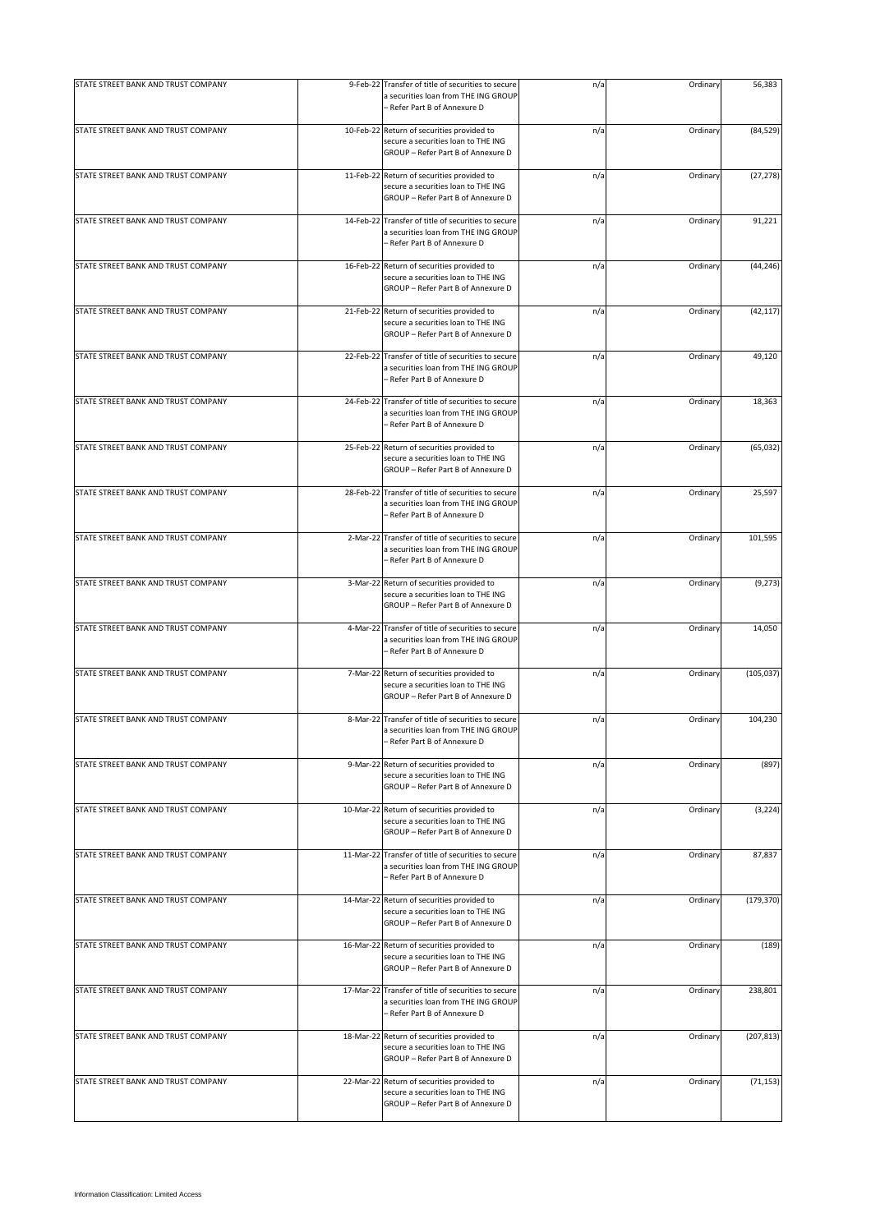| STATE STREET BANK AND TRUST COMPANY |          | 9-Feb-22 Transfer of title of securities to secure<br>a securities loan from THE ING GROUP<br>- Refer Part B of Annexure D  | n/a | Ordinary | 56,383     |
|-------------------------------------|----------|-----------------------------------------------------------------------------------------------------------------------------|-----|----------|------------|
| STATE STREET BANK AND TRUST COMPANY |          | 10-Feb-22 Return of securities provided to<br>secure a securities loan to THE ING<br>GROUP - Refer Part B of Annexure D     | n/a | Ordinary | (84, 529)  |
| STATE STREET BANK AND TRUST COMPANY |          | 11-Feb-22 Return of securities provided to<br>secure a securities loan to THE ING<br>GROUP - Refer Part B of Annexure D     | n/a | Ordinary | (27, 278)  |
| STATE STREET BANK AND TRUST COMPANY |          | 14-Feb-22 Transfer of title of securities to secure<br>a securities loan from THE ING GROUP<br>- Refer Part B of Annexure D | n/a | Ordinary | 91,221     |
| STATE STREET BANK AND TRUST COMPANY |          | 16-Feb-22 Return of securities provided to<br>secure a securities loan to THE ING<br>GROUP - Refer Part B of Annexure D     | n/a | Ordinary | (44, 246)  |
| STATE STREET BANK AND TRUST COMPANY |          | 21-Feb-22 Return of securities provided to<br>secure a securities loan to THE ING<br>GROUP - Refer Part B of Annexure D     | n/a | Ordinary | (42, 117)  |
| STATE STREET BANK AND TRUST COMPANY |          | 22-Feb-22 Transfer of title of securities to secure<br>a securities loan from THE ING GROUP<br>- Refer Part B of Annexure D | n/a | Ordinary | 49,120     |
| STATE STREET BANK AND TRUST COMPANY |          | 24-Feb-22 Transfer of title of securities to secure<br>a securities loan from THE ING GROUP<br>- Refer Part B of Annexure D | n/a | Ordinary | 18,363     |
| STATE STREET BANK AND TRUST COMPANY |          | 25-Feb-22 Return of securities provided to<br>secure a securities loan to THE ING<br>GROUP - Refer Part B of Annexure D     | n/a | Ordinary | (65, 032)  |
| STATE STREET BANK AND TRUST COMPANY |          | 28-Feb-22 Transfer of title of securities to secure<br>a securities loan from THE ING GROUP<br>- Refer Part B of Annexure D | n/a | Ordinary | 25,597     |
| STATE STREET BANK AND TRUST COMPANY | 2-Mar-22 | Transfer of title of securities to secure<br>a securities loan from THE ING GROUP<br>- Refer Part B of Annexure D           | n/a | Ordinary | 101,595    |
| STATE STREET BANK AND TRUST COMPANY |          | 3-Mar-22 Return of securities provided to<br>secure a securities loan to THE ING<br>GROUP - Refer Part B of Annexure D      | n/a | Ordinary | (9, 273)   |
| STATE STREET BANK AND TRUST COMPANY |          | 4-Mar-22 Transfer of title of securities to secure<br>a securities loan from THE ING GROUP<br>- Refer Part B of Annexure D  | n/a | Ordinary | 14,050     |
| STATE STREET BANK AND TRUST COMPANY |          | 7-Mar-22 Return of securities provided to<br>secure a securities loan to THE ING<br>GROUP - Refer Part B of Annexure D      | n/a | Ordinary | (105, 037) |
| STATE STREET BANK AND TRUST COMPANY |          | 8-Mar-22 Transfer of title of securities to secure<br>a securities loan from THE ING GROUP<br>Refer Part B of Annexure D    | n/a | Ordinary | 104,230    |
| STATE STREET BANK AND TRUST COMPANY |          | 9-Mar-22 Return of securities provided to<br>secure a securities loan to THE ING<br>GROUP - Refer Part B of Annexure D      | n/a | Ordinary | (897)      |
| STATE STREET BANK AND TRUST COMPANY |          | 10-Mar-22 Return of securities provided to<br>secure a securities loan to THE ING<br>GROUP - Refer Part B of Annexure D     | n/a | Ordinary | (3, 224)   |
| STATE STREET BANK AND TRUST COMPANY |          | 11-Mar-22 Transfer of title of securities to secure<br>a securities loan from THE ING GROUP<br>- Refer Part B of Annexure D | n/a | Ordinary | 87,837     |
| STATE STREET BANK AND TRUST COMPANY |          | 14-Mar-22 Return of securities provided to<br>secure a securities loan to THE ING<br>GROUP - Refer Part B of Annexure D     | n/a | Ordinary | (179, 370) |
| STATE STREET BANK AND TRUST COMPANY |          | 16-Mar-22 Return of securities provided to<br>secure a securities loan to THE ING<br>GROUP - Refer Part B of Annexure D     | n/a | Ordinary | (189)      |
| STATE STREET BANK AND TRUST COMPANY |          | 17-Mar-22 Transfer of title of securities to secure<br>a securities loan from THE ING GROUP<br>- Refer Part B of Annexure D | n/a | Ordinary | 238,801    |
| STATE STREET BANK AND TRUST COMPANY |          | 18-Mar-22 Return of securities provided to<br>secure a securities loan to THE ING<br>GROUP - Refer Part B of Annexure D     | n/a | Ordinary | (207, 813) |
| STATE STREET BANK AND TRUST COMPANY |          | 22-Mar-22 Return of securities provided to<br>secure a securities loan to THE ING<br>GROUP - Refer Part B of Annexure D     | n/a | Ordinary | (71, 153)  |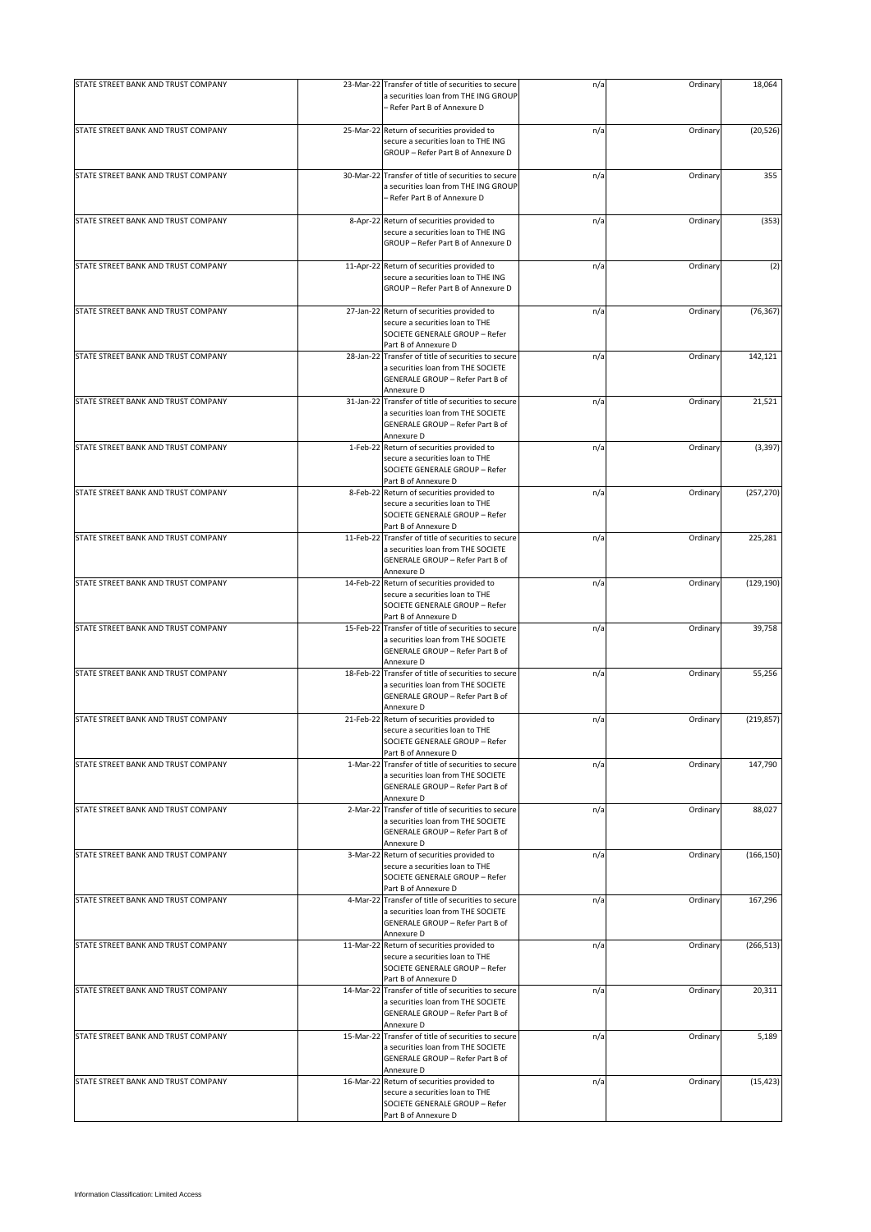| STATE STREET BANK AND TRUST COMPANY | 23-Mar-22 Transfer of title of securities to secure<br>a securities loan from THE ING GROUP<br>– Refer Part B of Annexure D                 | n/a | Ordinary | 18,064     |
|-------------------------------------|---------------------------------------------------------------------------------------------------------------------------------------------|-----|----------|------------|
|                                     |                                                                                                                                             |     |          |            |
| STATE STREET BANK AND TRUST COMPANY | 25-Mar-22 Return of securities provided to<br>secure a securities loan to THE ING<br>GROUP - Refer Part B of Annexure D                     | n/a | Ordinary | (20, 526)  |
| STATE STREET BANK AND TRUST COMPANY | 30-Mar-22 Transfer of title of securities to secure<br>a securities loan from THE ING GROUP<br>- Refer Part B of Annexure D                 | n/a | Ordinary | 355        |
| STATE STREET BANK AND TRUST COMPANY | 8-Apr-22 Return of securities provided to<br>secure a securities loan to THE ING<br>GROUP - Refer Part B of Annexure D                      | n/a | Ordinary | (353)      |
| STATE STREET BANK AND TRUST COMPANY | 11-Apr-22 Return of securities provided to<br>secure a securities loan to THE ING<br>GROUP - Refer Part B of Annexure D                     | n/a | Ordinary | (2)        |
| STATE STREET BANK AND TRUST COMPANY | 27-Jan-22 Return of securities provided to<br>secure a securities loan to THE<br>SOCIETE GENERALE GROUP - Refer<br>Part B of Annexure D     | n/a | Ordinary | (76, 367)  |
| STATE STREET BANK AND TRUST COMPANY | 28-Jan-22 Transfer of title of securities to secure<br>a securities loan from THE SOCIETE<br>GENERALE GROUP - Refer Part B of<br>Annexure D | n/a | Ordinary | 142,121    |
| STATE STREET BANK AND TRUST COMPANY | 31-Jan-22 Transfer of title of securities to secure<br>a securities loan from THE SOCIETE<br>GENERALE GROUP - Refer Part B of<br>Annexure D | n/a | Ordinary | 21,521     |
| STATE STREET BANK AND TRUST COMPANY | 1-Feb-22 Return of securities provided to<br>secure a securities loan to THE<br>SOCIETE GENERALE GROUP - Refer<br>Part B of Annexure D      | n/a | Ordinary | (3, 397)   |
| STATE STREET BANK AND TRUST COMPANY | 8-Feb-22 Return of securities provided to<br>secure a securities loan to THE<br>SOCIETE GENERALE GROUP - Refer<br>Part B of Annexure D      | n/a | Ordinary | (257, 270) |
| STATE STREET BANK AND TRUST COMPANY | 11-Feb-22 Transfer of title of securities to secure<br>a securities loan from THE SOCIETE<br>GENERALE GROUP - Refer Part B of<br>Annexure D | n/a | Ordinary | 225,281    |
| STATE STREET BANK AND TRUST COMPANY | 14-Feb-22 Return of securities provided to<br>secure a securities loan to THE<br>SOCIETE GENERALE GROUP - Refer<br>Part B of Annexure D     | n/a | Ordinary | (129, 190) |
| STATE STREET BANK AND TRUST COMPANY | 15-Feb-22 Transfer of title of securities to secure<br>a securities loan from THE SOCIETE<br>GENERALE GROUP - Refer Part B of<br>Annexure D | n/a | Ordinary | 39,758     |
| STATE STREET BANK AND TRUST COMPANY | 18-Feb-22 Transfer of title of securities to secure<br>a securities loan from THE SOCIETE<br>GENERALE GROUP - Refer Part B of<br>Annexure D | n/a | Ordinary | 55,256     |
| STATE STREET BANK AND TRUST COMPANY | 21-Feb-22 Return of securities provided to<br>secure a securities loan to THE<br>SOCIETE GENERALE GROUP - Refer<br>Part B of Annexure D     | n/a | Ordinary | (219, 857) |
| STATE STREET BANK AND TRUST COMPANY | 1-Mar-22 Transfer of title of securities to secure<br>a securities loan from THE SOCIETE<br>GENERALE GROUP - Refer Part B of<br>Annexure D  | n/a | Ordinary | 147,790    |
| STATE STREET BANK AND TRUST COMPANY | 2-Mar-22 Transfer of title of securities to secure<br>a securities loan from THE SOCIETE<br>GENERALE GROUP - Refer Part B of<br>Annexure D  | n/a | Ordinary | 88,027     |
| STATE STREET BANK AND TRUST COMPANY | 3-Mar-22 Return of securities provided to<br>secure a securities loan to THE<br>SOCIETE GENERALE GROUP - Refer<br>Part B of Annexure D      | n/a | Ordinary | (166, 150) |
| STATE STREET BANK AND TRUST COMPANY | 4-Mar-22 Transfer of title of securities to secure<br>a securities loan from THE SOCIETE<br>GENERALE GROUP - Refer Part B of<br>Annexure D  | n/a | Ordinary | 167,296    |
| STATE STREET BANK AND TRUST COMPANY | 11-Mar-22 Return of securities provided to<br>secure a securities loan to THE<br>SOCIETE GENERALE GROUP - Refer<br>Part B of Annexure D     | n/a | Ordinary | (266, 513) |
| STATE STREET BANK AND TRUST COMPANY | 14-Mar-22 Transfer of title of securities to secure<br>a securities loan from THE SOCIETE<br>GENERALE GROUP - Refer Part B of<br>Annexure D | n/a | Ordinary | 20,311     |
| STATE STREET BANK AND TRUST COMPANY | 15-Mar-22 Transfer of title of securities to secure<br>a securities loan from THE SOCIETE<br>GENERALE GROUP - Refer Part B of<br>Annexure D | n/a | Ordinary | 5,189      |
| STATE STREET BANK AND TRUST COMPANY | 16-Mar-22 Return of securities provided to<br>secure a securities loan to THE<br>SOCIETE GENERALE GROUP - Refer<br>Part B of Annexure D     | n/a | Ordinary | (15, 423)  |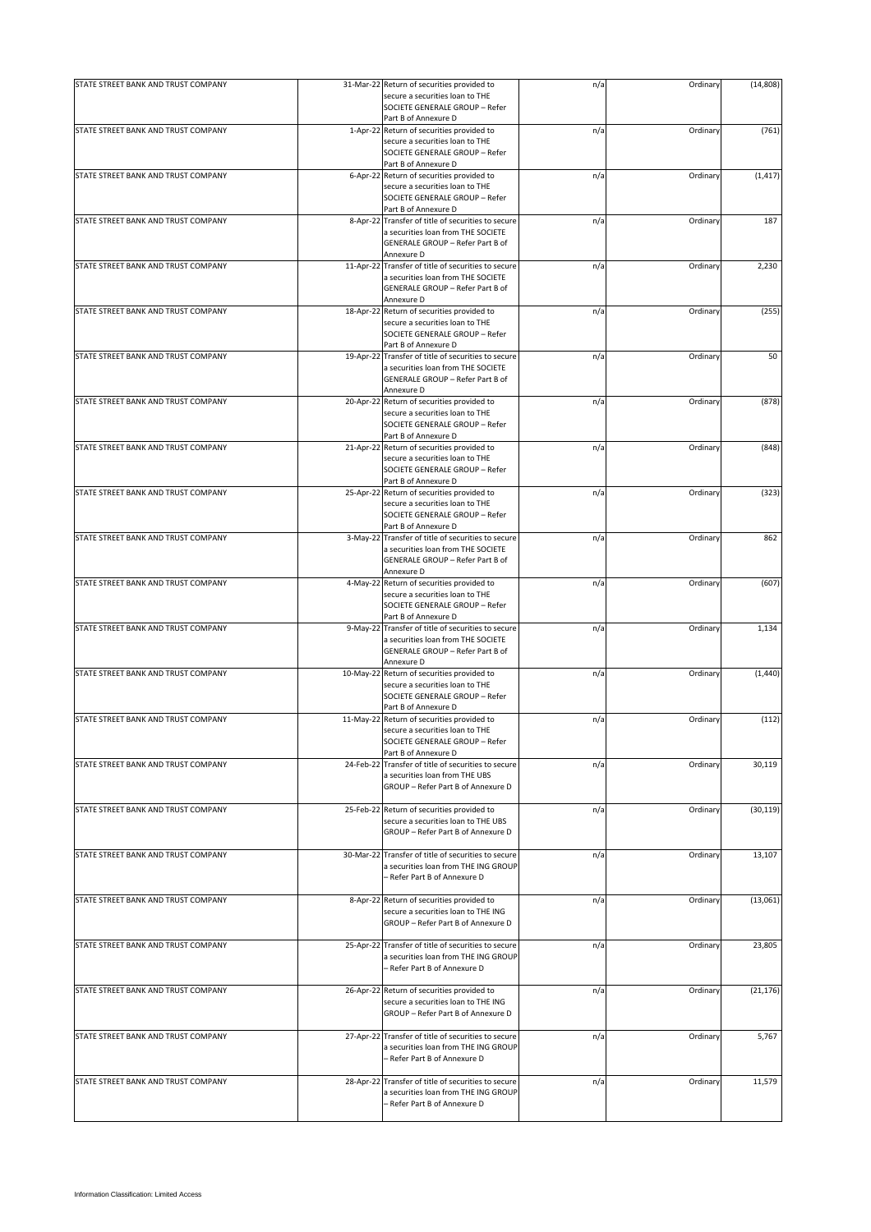| STATE STREET BANK AND TRUST COMPANY |           | 31-Mar-22 Return of securities provided to                                 | n/a | Ordinary | (14, 808) |
|-------------------------------------|-----------|----------------------------------------------------------------------------|-----|----------|-----------|
|                                     |           | secure a securities loan to THE                                            |     |          |           |
|                                     |           | SOCIETE GENERALE GROUP - Refer                                             |     |          |           |
|                                     |           | Part B of Annexure D                                                       |     |          |           |
| STATE STREET BANK AND TRUST COMPANY |           | 1-Apr-22 Return of securities provided to                                  | n/a | Ordinary | (761)     |
|                                     |           | secure a securities loan to THE                                            |     |          |           |
|                                     |           | SOCIETE GENERALE GROUP - Refer                                             |     |          |           |
|                                     |           | Part B of Annexure D                                                       |     |          |           |
| STATE STREET BANK AND TRUST COMPANY |           | 6-Apr-22 Return of securities provided to                                  | n/a | Ordinary | (1, 417)  |
|                                     |           | secure a securities loan to THE                                            |     |          |           |
|                                     |           | SOCIETE GENERALE GROUP - Refer                                             |     |          |           |
| STATE STREET BANK AND TRUST COMPANY |           | Part B of Annexure D<br>8-Apr-22 Transfer of title of securities to secure |     | Ordinary | 187       |
|                                     |           | a securities loan from THE SOCIETE                                         | n/a |          |           |
|                                     |           | <b>GENERALE GROUP - Refer Part B of</b>                                    |     |          |           |
|                                     |           | Annexure D                                                                 |     |          |           |
| STATE STREET BANK AND TRUST COMPANY |           | 11-Apr-22 Transfer of title of securities to secure                        | n/a | Ordinary | 2,230     |
|                                     |           | a securities loan from THE SOCIETE                                         |     |          |           |
|                                     |           | GENERALE GROUP - Refer Part B of                                           |     |          |           |
|                                     |           | Annexure D                                                                 |     |          |           |
| STATE STREET BANK AND TRUST COMPANY | 18-Apr-22 | Return of securities provided to                                           | n/a | Ordinary | (255)     |
|                                     |           | secure a securities loan to THE                                            |     |          |           |
|                                     |           | SOCIETE GENERALE GROUP - Refer                                             |     |          |           |
|                                     |           | Part B of Annexure D                                                       |     |          |           |
| STATE STREET BANK AND TRUST COMPANY | 19-Apr-22 | Transfer of title of securities to secure                                  | n/a | Ordinary | 50        |
|                                     |           | a securities loan from THE SOCIETE                                         |     |          |           |
|                                     |           | GENERALE GROUP - Refer Part B of                                           |     |          |           |
|                                     |           | Annexure D                                                                 |     |          |           |
| STATE STREET BANK AND TRUST COMPANY | 20-Apr-22 | Return of securities provided to                                           | n/a | Ordinary | (878)     |
|                                     |           | secure a securities loan to THE                                            |     |          |           |
|                                     |           | SOCIETE GENERALE GROUP - Refer                                             |     |          |           |
|                                     |           | Part B of Annexure D                                                       |     |          |           |
| STATE STREET BANK AND TRUST COMPANY |           | 21-Apr-22 Return of securities provided to                                 | n/a | Ordinary | (848)     |
|                                     |           | secure a securities loan to THE                                            |     |          |           |
|                                     |           | SOCIETE GENERALE GROUP - Refer                                             |     |          |           |
|                                     |           | Part B of Annexure D                                                       |     |          |           |
| STATE STREET BANK AND TRUST COMPANY |           | 25-Apr-22 Return of securities provided to                                 | n/a | Ordinary | (323)     |
|                                     |           | secure a securities loan to THE<br>SOCIETE GENERALE GROUP - Refer          |     |          |           |
|                                     |           |                                                                            |     |          |           |
| STATE STREET BANK AND TRUST COMPANY |           | Part B of Annexure D<br>3-May-22 Transfer of title of securities to secure |     |          | 862       |
|                                     |           | a securities loan from THE SOCIETE                                         | n/a | Ordinary |           |
|                                     |           | GENERALE GROUP - Refer Part B of                                           |     |          |           |
|                                     |           | Annexure D                                                                 |     |          |           |
| STATE STREET BANK AND TRUST COMPANY |           | 4-May-22 Return of securities provided to                                  | n/a | Ordinary | (607)     |
|                                     |           | secure a securities loan to THE                                            |     |          |           |
|                                     |           | SOCIETE GENERALE GROUP - Refer                                             |     |          |           |
|                                     |           | Part B of Annexure D                                                       |     |          |           |
| STATE STREET BANK AND TRUST COMPANY | 9-May-22  | Transfer of title of securities to secure                                  | n/a | Ordinary | 1,134     |
|                                     |           | a securities loan from THE SOCIETE                                         |     |          |           |
|                                     |           | GENERALE GROUP - Refer Part B of                                           |     |          |           |
|                                     |           | Annexure D                                                                 |     |          |           |
| STATE STREET BANK AND TRUST COMPANY | 10-May-22 | Return of securities provided to                                           | n/a | Ordinary | (1,440)   |
|                                     |           | secure a securities loan to THE                                            |     |          |           |
|                                     |           | SOCIETE GENERALE GROUP - Refer                                             |     |          |           |
|                                     |           | Part B of Annexure D                                                       |     |          |           |
| STATE STREET BANK AND TRUST COMPANY | 11-May-22 | Return of securities provided to                                           | n/a | Ordinary | (112)     |
|                                     |           | secure a securities loan to THE                                            |     |          |           |
|                                     |           | SOCIETE GENERALE GROUP - Refer                                             |     |          |           |
|                                     |           | Part B of Annexure D                                                       |     |          |           |
| STATE STREET BANK AND TRUST COMPANY | 24-Feb-22 | Transfer of title of securities to secure                                  | n/a | Ordinary | 30,119    |
|                                     |           | a securities loan from THE UBS<br>GROUP - Refer Part B of Annexure D       |     |          |           |
|                                     |           |                                                                            |     |          |           |
| STATE STREET BANK AND TRUST COMPANY | 25-Feb-22 | Return of securities provided to                                           | n/a | Ordinary | (30, 119) |
|                                     |           | secure a securities loan to THE UBS                                        |     |          |           |
|                                     |           | GROUP - Refer Part B of Annexure D                                         |     |          |           |
|                                     |           |                                                                            |     |          |           |
| STATE STREET BANK AND TRUST COMPANY |           | 30-Mar-22 Transfer of title of securities to secure                        | n/a | Ordinary | 13,107    |
|                                     |           | a securities loan from THE ING GROUP                                       |     |          |           |
|                                     |           | - Refer Part B of Annexure D                                               |     |          |           |
|                                     |           |                                                                            |     |          |           |
| STATE STREET BANK AND TRUST COMPANY |           | 8-Apr-22 Return of securities provided to                                  | n/a | Ordinary | (13,061)  |
|                                     |           | secure a securities loan to THE ING                                        |     |          |           |
|                                     |           | GROUP - Refer Part B of Annexure D                                         |     |          |           |
|                                     |           |                                                                            |     |          |           |
| STATE STREET BANK AND TRUST COMPANY | 25-Apr-22 | Transfer of title of securities to secure                                  | n/a | Ordinary | 23,805    |
|                                     |           | a securities loan from THE ING GROUP                                       |     |          |           |
|                                     |           | – Refer Part B of Annexure D                                               |     |          |           |
|                                     |           |                                                                            |     |          |           |
| STATE STREET BANK AND TRUST COMPANY |           | 26-Apr-22 Return of securities provided to                                 | n/a | Ordinary | (21, 176) |
|                                     |           | secure a securities loan to THE ING                                        |     |          |           |
|                                     |           | GROUP - Refer Part B of Annexure D                                         |     |          |           |
| STATE STREET BANK AND TRUST COMPANY | 27-Apr-22 | Transfer of title of securities to secure                                  | n/a | Ordinary | 5,767     |
|                                     |           | a securities loan from THE ING GROUP                                       |     |          |           |
|                                     |           | - Refer Part B of Annexure D                                               |     |          |           |
|                                     |           |                                                                            |     |          |           |
| STATE STREET BANK AND TRUST COMPANY | 28-Apr-22 | Transfer of title of securities to secure                                  | n/a | Ordinary | 11,579    |
|                                     |           | a securities loan from THE ING GROUP                                       |     |          |           |
|                                     |           | - Refer Part B of Annexure D                                               |     |          |           |
|                                     |           |                                                                            |     |          |           |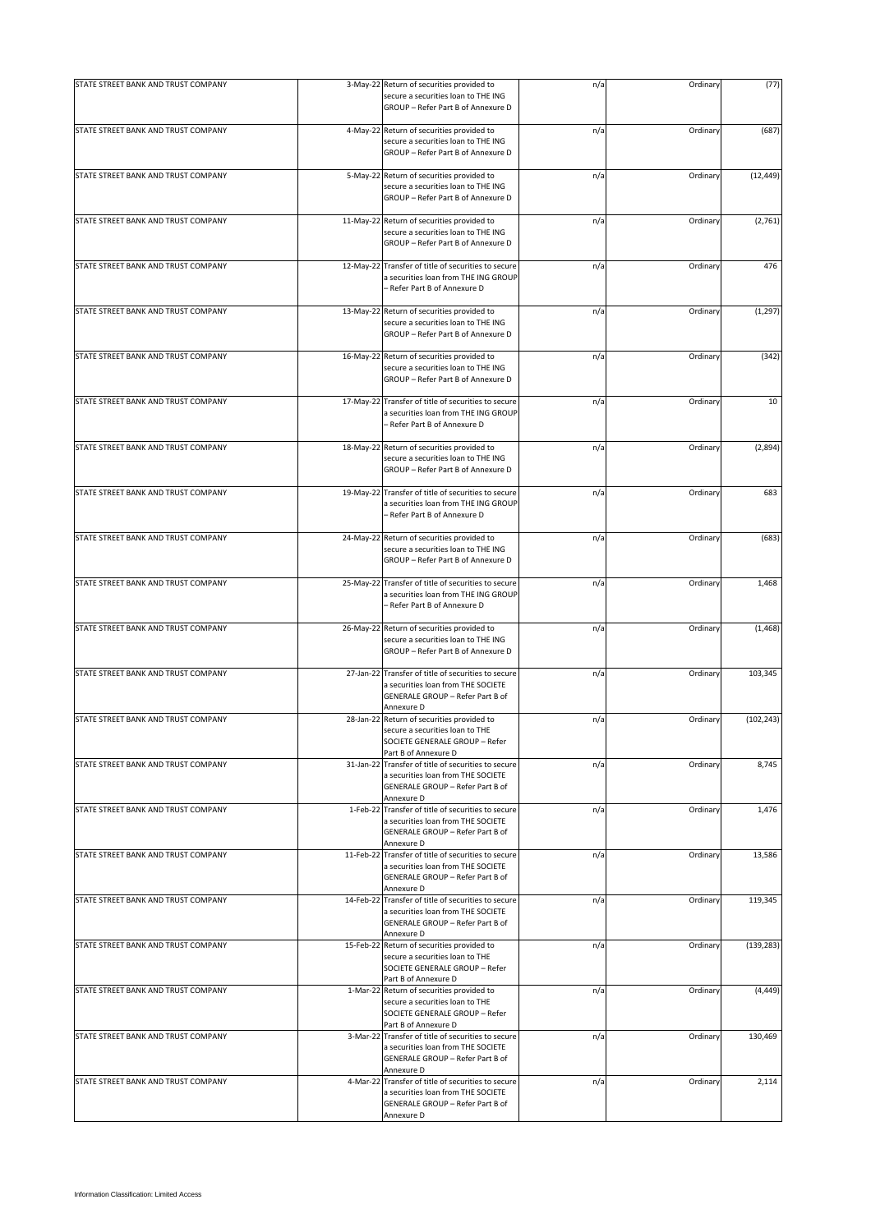| STATE STREET BANK AND TRUST COMPANY |           | 3-May-22 Return of securities provided to<br>secure a securities loan to THE ING<br>GROUP - Refer Part B of Annexure D                      | n/a | Ordinary | (77)       |
|-------------------------------------|-----------|---------------------------------------------------------------------------------------------------------------------------------------------|-----|----------|------------|
| STATE STREET BANK AND TRUST COMPANY |           | 4-May-22 Return of securities provided to<br>secure a securities loan to THE ING<br>GROUP - Refer Part B of Annexure D                      | n/a | Ordinary | (687)      |
| STATE STREET BANK AND TRUST COMPANY |           | 5-May-22 Return of securities provided to<br>secure a securities loan to THE ING<br>GROUP - Refer Part B of Annexure D                      | n/a | Ordinary | (12, 449)  |
| STATE STREET BANK AND TRUST COMPANY |           | 11-May-22 Return of securities provided to<br>secure a securities loan to THE ING<br>GROUP - Refer Part B of Annexure D                     | n/a | Ordinary | (2,761)    |
| STATE STREET BANK AND TRUST COMPANY | 12-May-22 | Transfer of title of securities to secure<br>a securities loan from THE ING GROUP<br>- Refer Part B of Annexure D                           | n/a | Ordinary | 476        |
| STATE STREET BANK AND TRUST COMPANY |           | 13-May-22 Return of securities provided to<br>secure a securities loan to THE ING<br>GROUP - Refer Part B of Annexure D                     | n/a | Ordinary | (1, 297)   |
| STATE STREET BANK AND TRUST COMPANY |           | 16-May-22 Return of securities provided to<br>secure a securities loan to THE ING<br>GROUP - Refer Part B of Annexure D                     | n/a | Ordinary | (342)      |
| STATE STREET BANK AND TRUST COMPANY | 17-May-22 | Transfer of title of securities to secure<br>a securities loan from THE ING GROUP<br>- Refer Part B of Annexure D                           | n/a | Ordinary | 10         |
| STATE STREET BANK AND TRUST COMPANY |           | 18-May-22 Return of securities provided to<br>secure a securities loan to THE ING<br>GROUP - Refer Part B of Annexure D                     | n/a | Ordinary | (2,894)    |
| STATE STREET BANK AND TRUST COMPANY |           | 19-May-22 Transfer of title of securities to secure<br>a securities loan from THE ING GROUP<br>- Refer Part B of Annexure D                 | n/a | Ordinary | 683        |
| STATE STREET BANK AND TRUST COMPANY |           | 24-May-22 Return of securities provided to<br>secure a securities loan to THE ING<br>GROUP - Refer Part B of Annexure D                     | n/a | Ordinary | (683)      |
| STATE STREET BANK AND TRUST COMPANY |           | 25-May-22 Transfer of title of securities to secure<br>a securities loan from THE ING GROUP<br>- Refer Part B of Annexure D                 | n/a | Ordinary | 1,468      |
| STATE STREET BANK AND TRUST COMPANY |           | 26-May-22 Return of securities provided to<br>secure a securities loan to THE ING<br>GROUP - Refer Part B of Annexure D                     | n/a | Ordinary | (1, 468)   |
| STATE STREET BANK AND TRUST COMPANY |           | 27-Jan-22 Transfer of title of securities to secure<br>a securities loan from THE SOCIETE<br>GENERALE GROUP - Refer Part B of<br>Annexure D | n/a | Ordinary | 103,345    |
| STATE STREET BANK AND TRUST COMPANY |           | 28-Jan-22 Return of securities provided to<br>secure a securities loan to THE<br>SOCIETE GENERALE GROUP - Refer<br>Part B of Annexure D     | n/a | Ordinary | (102, 243) |
| STATE STREET BANK AND TRUST COMPANY |           | 31-Jan-22 Transfer of title of securities to secure<br>a securities loan from THE SOCIETE<br>GENERALE GROUP - Refer Part B of<br>Annexure D | n/a | Ordinary | 8,745      |
| STATE STREET BANK AND TRUST COMPANY |           | 1-Feb-22 Transfer of title of securities to secure<br>a securities loan from THE SOCIETE<br>GENERALE GROUP - Refer Part B of<br>Annexure D  | n/a | Ordinary | 1,476      |
| STATE STREET BANK AND TRUST COMPANY |           | 11-Feb-22 Transfer of title of securities to secure<br>a securities loan from THE SOCIETE<br>GENERALE GROUP - Refer Part B of<br>Annexure D | n/a | Ordinary | 13,586     |
| STATE STREET BANK AND TRUST COMPANY |           | 14-Feb-22 Transfer of title of securities to secure<br>a securities loan from THE SOCIETE<br>GENERALE GROUP - Refer Part B of<br>Annexure D | n/a | Ordinary | 119,345    |
| STATE STREET BANK AND TRUST COMPANY |           | 15-Feb-22 Return of securities provided to<br>secure a securities loan to THE<br>SOCIETE GENERALE GROUP - Refer<br>Part B of Annexure D     | n/a | Ordinary | (139, 283) |
| STATE STREET BANK AND TRUST COMPANY |           | 1-Mar-22 Return of securities provided to<br>secure a securities loan to THE<br>SOCIETE GENERALE GROUP - Refer<br>Part B of Annexure D      | n/a | Ordinary | (4, 449)   |
| STATE STREET BANK AND TRUST COMPANY |           | 3-Mar-22 Transfer of title of securities to secure<br>a securities loan from THE SOCIETE<br>GENERALE GROUP - Refer Part B of<br>Annexure D  | n/a | Ordinary | 130,469    |
| STATE STREET BANK AND TRUST COMPANY |           | 4-Mar-22 Transfer of title of securities to secure<br>a securities loan from THE SOCIETE<br>GENERALE GROUP - Refer Part B of<br>Annexure D  | n/a | Ordinary | 2,114      |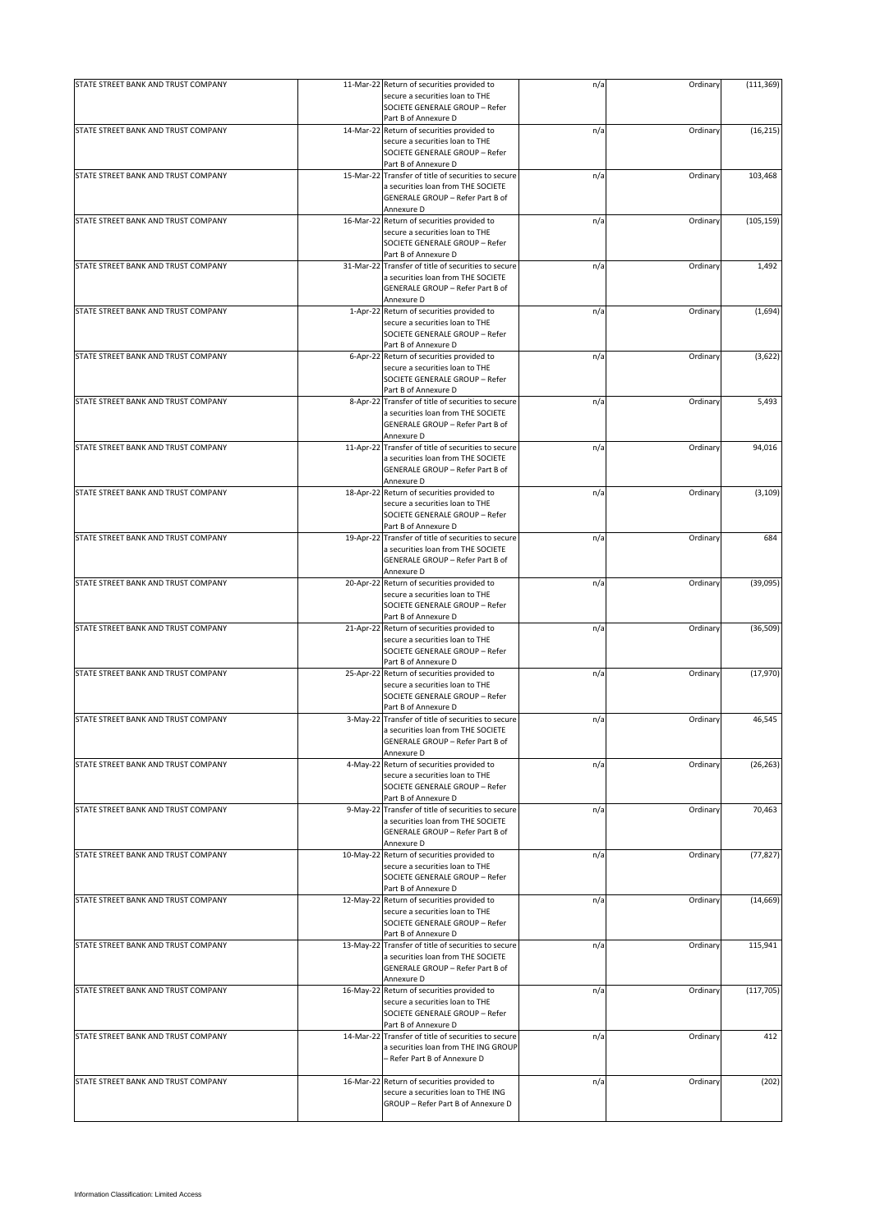| STATE STREET BANK AND TRUST COMPANY |           | 11-Mar-22 Return of securities provided to                                   | n/a | Ordinary | (111, 369) |
|-------------------------------------|-----------|------------------------------------------------------------------------------|-----|----------|------------|
|                                     |           | secure a securities loan to THE                                              |     |          |            |
|                                     |           | SOCIETE GENERALE GROUP - Refer                                               |     |          |            |
|                                     |           | Part B of Annexure D                                                         |     |          |            |
| STATE STREET BANK AND TRUST COMPANY |           | 14-Mar-22 Return of securities provided to                                   | n/a | Ordinary | (16, 215)  |
|                                     |           | secure a securities loan to THE<br>SOCIETE GENERALE GROUP - Refer            |     |          |            |
|                                     |           | Part B of Annexure D                                                         |     |          |            |
| STATE STREET BANK AND TRUST COMPANY |           | 15-Mar-22 Transfer of title of securities to secure                          | n/a | Ordinary | 103,468    |
|                                     |           | a securities loan from THE SOCIETE                                           |     |          |            |
|                                     |           | GENERALE GROUP - Refer Part B of                                             |     |          |            |
|                                     |           | Annexure D                                                                   |     |          |            |
| STATE STREET BANK AND TRUST COMPANY |           | 16-Mar-22 Return of securities provided to                                   | n/a | Ordinary | (105, 159) |
|                                     |           | secure a securities loan to THE                                              |     |          |            |
|                                     |           | SOCIETE GENERALE GROUP - Refer<br>Part B of Annexure D                       |     |          |            |
| STATE STREET BANK AND TRUST COMPANY |           | 31-Mar-22 Transfer of title of securities to secure                          | n/a | Ordinary | 1,492      |
|                                     |           | a securities loan from THE SOCIETE                                           |     |          |            |
|                                     |           | GENERALE GROUP - Refer Part B of                                             |     |          |            |
|                                     |           | Annexure D                                                                   |     |          |            |
| STATE STREET BANK AND TRUST COMPANY |           | 1-Apr-22 Return of securities provided to                                    | n/a | Ordinary | (1,694)    |
|                                     |           | secure a securities loan to THE                                              |     |          |            |
|                                     |           | SOCIETE GENERALE GROUP - Refer                                               |     |          |            |
|                                     |           | Part B of Annexure D                                                         |     |          |            |
| STATE STREET BANK AND TRUST COMPANY |           | 6-Apr-22 Return of securities provided to<br>secure a securities loan to THE | n/a | Ordinary | (3,622)    |
|                                     |           | SOCIETE GENERALE GROUP - Refer                                               |     |          |            |
|                                     |           | Part B of Annexure D                                                         |     |          |            |
| STATE STREET BANK AND TRUST COMPANY |           | 8-Apr-22 Transfer of title of securities to secure                           | n/a | Ordinary | 5,493      |
|                                     |           | a securities loan from THE SOCIETE                                           |     |          |            |
|                                     |           | GENERALE GROUP - Refer Part B of                                             |     |          |            |
|                                     |           | Annexure D                                                                   |     |          |            |
| STATE STREET BANK AND TRUST COMPANY |           | 11-Apr-22 Transfer of title of securities to secure                          | n/a | Ordinary | 94,016     |
|                                     |           | a securities loan from THE SOCIETE                                           |     |          |            |
|                                     |           | GENERALE GROUP - Refer Part B of                                             |     |          |            |
| STATE STREET BANK AND TRUST COMPANY |           | Annexure D<br>18-Apr-22 Return of securities provided to                     | n/a | Ordinary | (3, 109)   |
|                                     |           | secure a securities loan to THE                                              |     |          |            |
|                                     |           | SOCIETE GENERALE GROUP - Refer                                               |     |          |            |
|                                     |           | Part B of Annexure D                                                         |     |          |            |
| STATE STREET BANK AND TRUST COMPANY |           | 19-Apr-22 Transfer of title of securities to secure                          | n/a | Ordinary | 684        |
|                                     |           | a securities loan from THE SOCIETE                                           |     |          |            |
|                                     |           | GENERALE GROUP - Refer Part B of                                             |     |          |            |
|                                     |           | Annexure D                                                                   |     |          |            |
| STATE STREET BANK AND TRUST COMPANY |           | 20-Apr-22 Return of securities provided to                                   | n/a | Ordinary | (39,095)   |
|                                     |           | secure a securities loan to THE<br>SOCIETE GENERALE GROUP - Refer            |     |          |            |
|                                     |           | Part B of Annexure D                                                         |     |          |            |
| STATE STREET BANK AND TRUST COMPANY |           | 21-Apr-22 Return of securities provided to                                   | n/a | Ordinary | (36, 509)  |
|                                     |           | secure a securities loan to THE                                              |     |          |            |
|                                     |           | SOCIETE GENERALE GROUP - Refer                                               |     |          |            |
|                                     |           | Part B of Annexure D                                                         |     |          |            |
| STATE STREET BANK AND TRUST COMPANY |           | 25-Apr-22 Return of securities provided to                                   | n/a | Ordinary | (17, 970)  |
|                                     |           | secure a securities loan to THE                                              |     |          |            |
|                                     |           | SOCIETE GENERALE GROUP - Refer                                               |     |          |            |
| STATE STREET BANK AND TRUST COMPANY |           | Part B of Annexure D<br>3-May-22 Transfer of title of securities to secure   | n/a | Ordinary | 46,545     |
|                                     |           | a securities loan from THE SOCIETE                                           |     |          |            |
|                                     |           | GENERALE GROUP - Refer Part B of                                             |     |          |            |
|                                     |           | Annexure D                                                                   |     |          |            |
| STATE STREET BANK AND TRUST COMPANY |           | 4-May-22 Return of securities provided to                                    | n/a | Ordinary | (26, 263)  |
|                                     |           | secure a securities loan to THE                                              |     |          |            |
|                                     |           | SOCIETE GENERALE GROUP - Refer                                               |     |          |            |
|                                     |           | Part B of Annexure D                                                         |     |          |            |
| STATE STREET BANK AND TRUST COMPANY |           | 9-May-22 Transfer of title of securities to secure                           | n/a | Ordinary | 70,463     |
|                                     |           | a securities loan from THE SOCIETE<br>GENERALE GROUP - Refer Part B of       |     |          |            |
|                                     |           | Annexure D                                                                   |     |          |            |
| STATE STREET BANK AND TRUST COMPANY |           | 10-May-22 Return of securities provided to                                   | n/a | Ordinary | (77, 827)  |
|                                     |           | secure a securities loan to THE                                              |     |          |            |
|                                     |           | SOCIETE GENERALE GROUP - Refer                                               |     |          |            |
|                                     |           | Part B of Annexure D                                                         |     |          |            |
| STATE STREET BANK AND TRUST COMPANY |           | 12-May-22 Return of securities provided to                                   | n/a | Ordinary | (14, 669)  |
|                                     |           | secure a securities loan to THE                                              |     |          |            |
|                                     |           | SOCIETE GENERALE GROUP - Refer<br>Part B of Annexure D                       |     |          |            |
| STATE STREET BANK AND TRUST COMPANY |           | 13-May-22 Transfer of title of securities to secure                          | n/a | Ordinary | 115,941    |
|                                     |           | a securities loan from THE SOCIETE                                           |     |          |            |
|                                     |           | GENERALE GROUP - Refer Part B of                                             |     |          |            |
|                                     |           | Annexure D                                                                   |     |          |            |
| STATE STREET BANK AND TRUST COMPANY |           | 16-May-22 Return of securities provided to                                   | n/a | Ordinary | (117, 705) |
|                                     |           | secure a securities loan to THE                                              |     |          |            |
|                                     |           | SOCIETE GENERALE GROUP - Refer                                               |     |          |            |
|                                     |           | Part B of Annexure D                                                         |     |          |            |
| STATE STREET BANK AND TRUST COMPANY | 14-Mar-22 | Transfer of title of securities to secure                                    | n/a | Ordinary | 412        |
|                                     |           | a securities loan from THE ING GROUP<br>- Refer Part B of Annexure D         |     |          |            |
|                                     |           |                                                                              |     |          |            |
| STATE STREET BANK AND TRUST COMPANY |           | 16-Mar-22 Return of securities provided to                                   | n/a | Ordinary | (202)      |
|                                     |           | secure a securities loan to THE ING                                          |     |          |            |
|                                     |           | GROUP - Refer Part B of Annexure D                                           |     |          |            |
|                                     |           |                                                                              |     |          |            |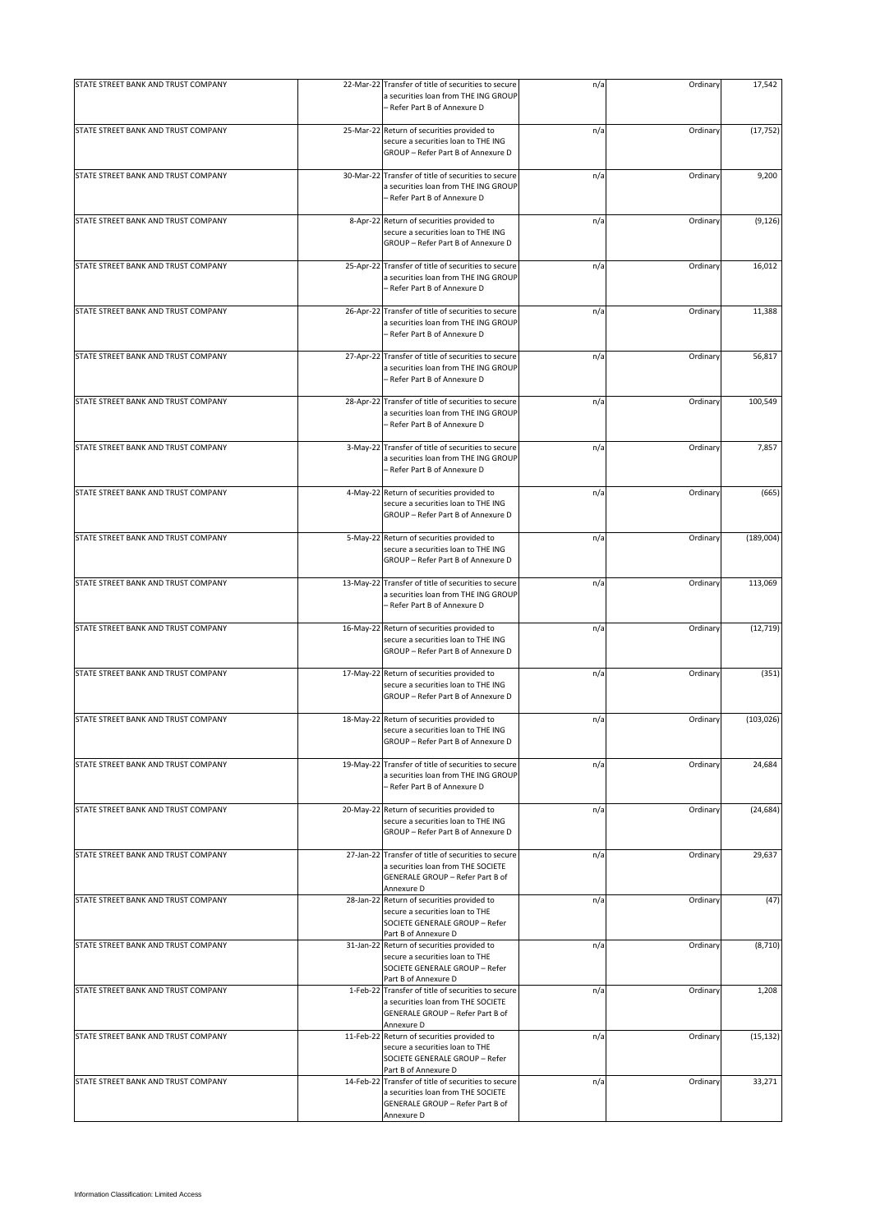| STATE STREET BANK AND TRUST COMPANY |           | 22-Mar-22 Transfer of title of securities to secure<br>a securities loan from THE ING GROUP                                                 | n/a | Ordinary | 17,542     |
|-------------------------------------|-----------|---------------------------------------------------------------------------------------------------------------------------------------------|-----|----------|------------|
|                                     |           | - Refer Part B of Annexure D                                                                                                                |     |          |            |
| STATE STREET BANK AND TRUST COMPANY |           | 25-Mar-22 Return of securities provided to<br>secure a securities loan to THE ING<br>GROUP - Refer Part B of Annexure D                     | n/a | Ordinary | (17, 752)  |
| STATE STREET BANK AND TRUST COMPANY |           | 30-Mar-22 Transfer of title of securities to secure<br>a securities loan from THE ING GROUP<br>- Refer Part B of Annexure D                 | n/a | Ordinary | 9,200      |
| STATE STREET BANK AND TRUST COMPANY |           | 8-Apr-22 Return of securities provided to<br>secure a securities loan to THE ING<br>GROUP - Refer Part B of Annexure D                      | n/a | Ordinary | (9, 126)   |
| STATE STREET BANK AND TRUST COMPANY | 25-Apr-22 | Transfer of title of securities to secure<br>a securities loan from THE ING GROUP<br>- Refer Part B of Annexure D                           | n/a | Ordinary | 16,012     |
| STATE STREET BANK AND TRUST COMPANY |           | 26-Apr-22 Transfer of title of securities to secure<br>a securities loan from THE ING GROUP<br>- Refer Part B of Annexure D                 | n/a | Ordinary | 11,388     |
| STATE STREET BANK AND TRUST COMPANY |           | 27-Apr-22 Transfer of title of securities to secure<br>a securities loan from THE ING GROUP<br>- Refer Part B of Annexure D                 | n/a | Ordinary | 56,817     |
| STATE STREET BANK AND TRUST COMPANY | 28-Apr-22 | Transfer of title of securities to secure<br>a securities loan from THE ING GROUP<br>- Refer Part B of Annexure D                           | n/a | Ordinary | 100,549    |
| STATE STREET BANK AND TRUST COMPANY |           | 3-May-22 Transfer of title of securities to secure<br>a securities loan from THE ING GROUP<br>Refer Part B of Annexure D                    | n/a | Ordinary | 7,857      |
| STATE STREET BANK AND TRUST COMPANY |           | 4-May-22 Return of securities provided to<br>secure a securities loan to THE ING<br>GROUP - Refer Part B of Annexure D                      | n/a | Ordinary | (665)      |
| STATE STREET BANK AND TRUST COMPANY |           | 5-May-22 Return of securities provided to<br>secure a securities loan to THE ING<br>GROUP - Refer Part B of Annexure D                      | n/a | Ordinary | (189,004)  |
| STATE STREET BANK AND TRUST COMPANY |           | 13-May-22 Transfer of title of securities to secure<br>a securities loan from THE ING GROUP<br>- Refer Part B of Annexure D                 | n/a | Ordinary | 113,069    |
| STATE STREET BANK AND TRUST COMPANY |           | 16-May-22 Return of securities provided to<br>secure a securities loan to THE ING<br>GROUP - Refer Part B of Annexure D                     | n/a | Ordinary | (12, 719)  |
| STATE STREET BANK AND TRUST COMPANY |           | 17-May-22 Return of securities provided to<br>secure a securities loan to THE ING<br>GROUP - Refer Part B of Annexure D                     | n/a | Ordinary | (351)      |
| STATE STREET BANK AND TRUST COMPANY |           | 18-May-22 Return of securities provided to<br>secure a securities loan to THE ING<br>GROUP - Refer Part B of Annexure D                     | n/a | Ordinary | (103, 026) |
| STATE STREET BANK AND TRUST COMPANY |           | 19-May-22 Transfer of title of securities to secure<br>a securities loan from THE ING GROUP<br>Refer Part B of Annexure D                   | n/a | Ordinary | 24,684     |
| STATE STREET BANK AND TRUST COMPANY |           | 20-May-22 Return of securities provided to<br>secure a securities loan to THE ING<br>GROUP - Refer Part B of Annexure D                     | n/a | Ordinary | (24, 684)  |
| STATE STREET BANK AND TRUST COMPANY |           | 27-Jan-22 Transfer of title of securities to secure<br>a securities loan from THE SOCIETE<br>GENERALE GROUP - Refer Part B of<br>Annexure D | n/a | Ordinary | 29,637     |
| STATE STREET BANK AND TRUST COMPANY |           | 28-Jan-22 Return of securities provided to<br>secure a securities loan to THE<br>SOCIETE GENERALE GROUP - Refer<br>Part B of Annexure D     | n/a | Ordinary | (47)       |
| STATE STREET BANK AND TRUST COMPANY |           | 31-Jan-22 Return of securities provided to<br>secure a securities loan to THE<br>SOCIETE GENERALE GROUP - Refer<br>Part B of Annexure D     | n/a | Ordinary | (8,710)    |
| STATE STREET BANK AND TRUST COMPANY |           | 1-Feb-22 Transfer of title of securities to secure<br>a securities loan from THE SOCIETE<br>GENERALE GROUP - Refer Part B of<br>Annexure D  | n/a | Ordinary | 1,208      |
| STATE STREET BANK AND TRUST COMPANY |           | 11-Feb-22 Return of securities provided to<br>secure a securities loan to THE<br>SOCIETE GENERALE GROUP - Refer<br>Part B of Annexure D     | n/a | Ordinary | (15, 132)  |
| STATE STREET BANK AND TRUST COMPANY |           | 14-Feb-22 Transfer of title of securities to secure<br>a securities loan from THE SOCIETE<br>GENERALE GROUP - Refer Part B of<br>Annexure D | n/a | Ordinary | 33,271     |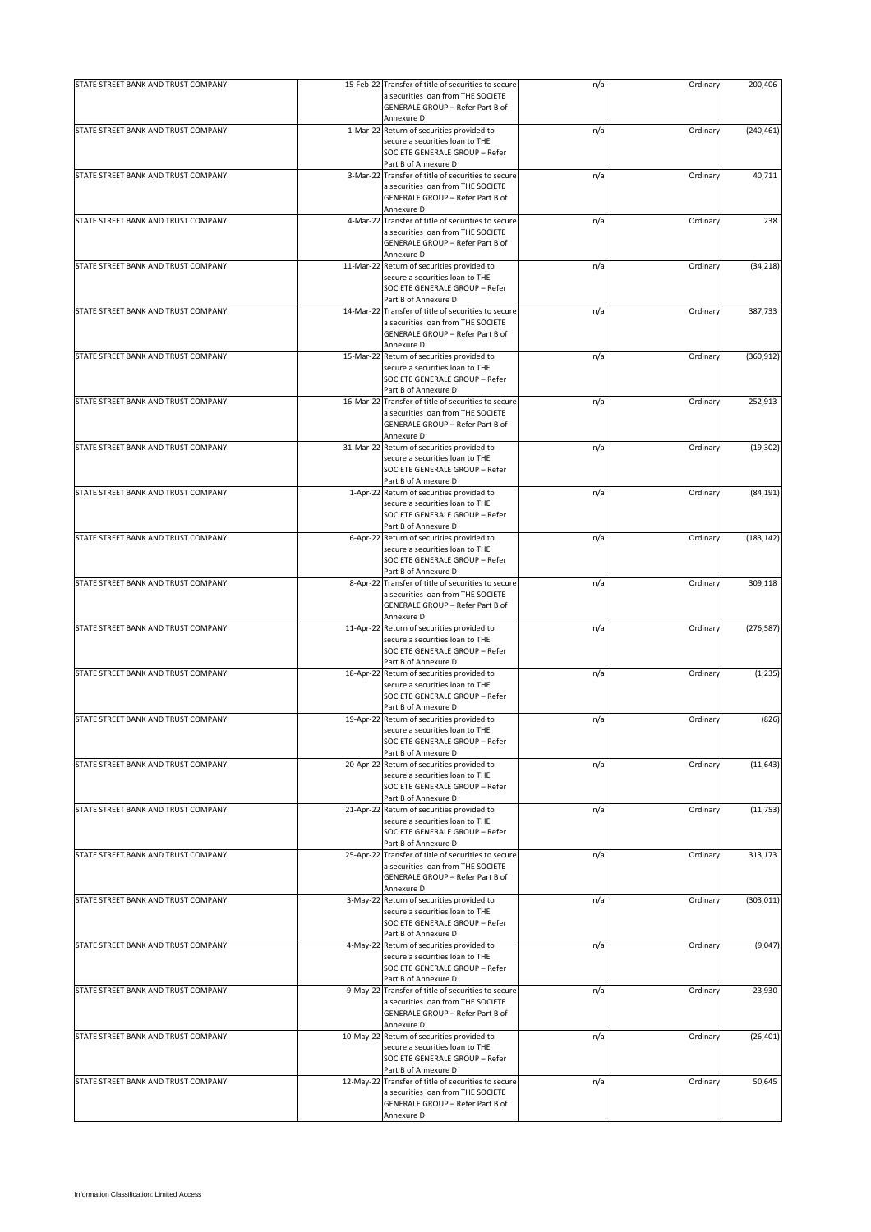| a securities loan from THE SOCIETE<br>GENERALE GROUP - Refer Part B of<br>Annexure D<br>STATE STREET BANK AND TRUST COMPANY<br>1-Mar-22 Return of securities provided to<br>(240, 461)<br>n/a<br>Ordinary<br>secure a securities loan to THE<br>SOCIETE GENERALE GROUP - Refer<br>Part B of Annexure D<br>40,711<br>STATE STREET BANK AND TRUST COMPANY<br>3-Mar-22 Transfer of title of securities to secure<br>n/a<br>Ordinary<br>a securities loan from THE SOCIETE<br>GENERALE GROUP - Refer Part B of<br>Annexure D<br>STATE STREET BANK AND TRUST COMPANY<br>4-Mar-22 Transfer of title of securities to secure<br>n/a<br>Ordinary<br>238<br>a securities loan from THE SOCIETE<br>GENERALE GROUP - Refer Part B of<br>Annexure D<br>STATE STREET BANK AND TRUST COMPANY<br>(34, 218)<br>11-Mar-22 Return of securities provided to<br>n/a<br>Ordinary<br>secure a securities loan to THE<br>SOCIETE GENERALE GROUP - Refer<br>Part B of Annexure D<br>STATE STREET BANK AND TRUST COMPANY<br>387,733<br>14-Mar-22 Transfer of title of securities to secure<br>n/a<br>Ordinary<br>a securities loan from THE SOCIETE<br>GENERALE GROUP - Refer Part B of<br>Annexure D<br>STATE STREET BANK AND TRUST COMPANY<br>15-Mar-22 Return of securities provided to<br>Ordinary<br>(360, 912)<br>n/a<br>secure a securities loan to THE<br>SOCIETE GENERALE GROUP - Refer<br>Part B of Annexure D<br>STATE STREET BANK AND TRUST COMPANY<br>Ordinary<br>252,913<br>16-Mar-22 Transfer of title of securities to secure<br>n/a<br>a securities loan from THE SOCIETE<br>GENERALE GROUP - Refer Part B of<br>Annexure D<br>STATE STREET BANK AND TRUST COMPANY<br>Return of securities provided to<br>(19, 302)<br>31-Mar-22<br>n/a<br>Ordinary<br>secure a securities loan to THE<br>SOCIETE GENERALE GROUP - Refer<br>Part B of Annexure D<br>STATE STREET BANK AND TRUST COMPANY<br>1-Apr-22 Return of securities provided to<br>Ordinary<br>(84, 191)<br>n/a<br>secure a securities loan to THE<br>SOCIETE GENERALE GROUP - Refer<br>Part B of Annexure D<br>STATE STREET BANK AND TRUST COMPANY<br>(183, 142)<br>6-Apr-22 Return of securities provided to<br>n/a<br>Ordinary<br>secure a securities loan to THE<br>SOCIETE GENERALE GROUP - Refer<br>Part B of Annexure D<br>STATE STREET BANK AND TRUST COMPANY<br>n/a<br>Ordinary<br>309,118<br>8-Apr-22 Transfer of title of securities to secure<br>a securities loan from THE SOCIETE<br>GENERALE GROUP - Refer Part B of<br>Annexure D<br>STATE STREET BANK AND TRUST COMPANY<br>11-Apr-22 Return of securities provided to<br>Ordinary<br>(276, 587)<br>n/a<br>secure a securities loan to THE<br>SOCIETE GENERALE GROUP - Refer<br>Part B of Annexure D<br>STATE STREET BANK AND TRUST COMPANY<br>18-Apr-22 Return of securities provided to<br>n/a<br>Ordinary<br>secure a securities loan to THE<br>SOCIETE GENERALE GROUP - Refer<br>Part B of Annexure D<br>STATE STREET BANK AND TRUST COMPANY<br>19-Apr-22 Return of securities provided to<br>Ordinary<br>(826)<br>n/a<br>secure a securities loan to THE<br>SOCIETE GENERALE GROUP - Refer<br>Part B of Annexure D<br>STATE STREET BANK AND TRUST COMPANY<br>20-Apr-22 Return of securities provided to<br>Ordinary<br>(11, 643)<br>n/a<br>secure a securities loan to THE<br>SOCIETE GENERALE GROUP - Refer<br>Part B of Annexure D<br>STATE STREET BANK AND TRUST COMPANY<br>(11, 753)<br>21-Apr-22 Return of securities provided to<br>n/a<br>Ordinary<br>secure a securities loan to THE<br>SOCIETE GENERALE GROUP - Refer<br>Part B of Annexure D<br>STATE STREET BANK AND TRUST COMPANY<br>25-Apr-22 Transfer of title of securities to secure<br>n/a<br>Ordinary<br>313,173<br>a securities loan from THE SOCIETE<br>GENERALE GROUP - Refer Part B of<br>Annexure D<br>STATE STREET BANK AND TRUST COMPANY<br>3-May-22 Return of securities provided to<br>Ordinary<br>n/a<br>secure a securities loan to THE<br>SOCIETE GENERALE GROUP - Refer<br>Part B of Annexure D<br>STATE STREET BANK AND TRUST COMPANY<br>4-May-22 Return of securities provided to<br>Ordinary<br>(9,047)<br>n/a<br>secure a securities loan to THE<br>SOCIETE GENERALE GROUP - Refer<br>Part B of Annexure D<br>STATE STREET BANK AND TRUST COMPANY<br>9-May-22 Transfer of title of securities to secure<br>Ordinary<br>23,930<br>n/a<br>a securities loan from THE SOCIETE<br>GENERALE GROUP - Refer Part B of<br>Annexure D<br>STATE STREET BANK AND TRUST COMPANY<br>10-May-22 Return of securities provided to<br>(26, 401)<br>n/a<br>Ordinary<br>secure a securities loan to THE<br>SOCIETE GENERALE GROUP - Refer<br>Part B of Annexure D<br>50,645<br>STATE STREET BANK AND TRUST COMPANY<br>12-May-22 Transfer of title of securities to secure<br>n/a<br>Ordinary<br>a securities loan from THE SOCIETE<br>GENERALE GROUP - Refer Part B of<br>Annexure D | STATE STREET BANK AND TRUST COMPANY | 15-Feb-22 Transfer of title of securities to secure | n/a | Ordinary | 200,406 |
|-------------------------------------------------------------------------------------------------------------------------------------------------------------------------------------------------------------------------------------------------------------------------------------------------------------------------------------------------------------------------------------------------------------------------------------------------------------------------------------------------------------------------------------------------------------------------------------------------------------------------------------------------------------------------------------------------------------------------------------------------------------------------------------------------------------------------------------------------------------------------------------------------------------------------------------------------------------------------------------------------------------------------------------------------------------------------------------------------------------------------------------------------------------------------------------------------------------------------------------------------------------------------------------------------------------------------------------------------------------------------------------------------------------------------------------------------------------------------------------------------------------------------------------------------------------------------------------------------------------------------------------------------------------------------------------------------------------------------------------------------------------------------------------------------------------------------------------------------------------------------------------------------------------------------------------------------------------------------------------------------------------------------------------------------------------------------------------------------------------------------------------------------------------------------------------------------------------------------------------------------------------------------------------------------------------------------------------------------------------------------------------------------------------------------------------------------------------------------------------------------------------------------------------------------------------------------------------------------------------------------------------------------------------------------------------------------------------------------------------------------------------------------------------------------------------------------------------------------------------------------------------------------------------------------------------------------------------------------------------------------------------------------------------------------------------------------------------------------------------------------------------------------------------------------------------------------------------------------------------------------------------------------------------------------------------------------------------------------------------------------------------------------------------------------------------------------------------------------------------------------------------------------------------------------------------------------------------------------------------------------------------------------------------------------------------------------------------------------------------------------------------------------------------------------------------------------------------------------------------------------------------------------------------------------------------------------------------------------------------------------------------------------------------------------------------------------------------------------------------------------------------------------------------------------------------------------------------------------------------------------------------------------------------------------------------------------------------------------------------------------------------------------------------------------------------------------------------------------------------------------------------------------------------------------------------------------------------------------------------------------------------------------------------------------------------------------------------------------------------------------------------------------------------------------------------------------------------------------------------------------|-------------------------------------|-----------------------------------------------------|-----|----------|---------|
|                                                                                                                                                                                                                                                                                                                                                                                                                                                                                                                                                                                                                                                                                                                                                                                                                                                                                                                                                                                                                                                                                                                                                                                                                                                                                                                                                                                                                                                                                                                                                                                                                                                                                                                                                                                                                                                                                                                                                                                                                                                                                                                                                                                                                                                                                                                                                                                                                                                                                                                                                                                                                                                                                                                                                                                                                                                                                                                                                                                                                                                                                                                                                                                                                                                                                                                                                                                                                                                                                                                                                                                                                                                                                                                                                                                                                                                                                                                                                                                                                                                                                                                                                                                                                                                                                                                                                                                                                                                                                                                                                                                                                                                                                                                                                                                                                                                                         |                                     |                                                     |     |          |         |
|                                                                                                                                                                                                                                                                                                                                                                                                                                                                                                                                                                                                                                                                                                                                                                                                                                                                                                                                                                                                                                                                                                                                                                                                                                                                                                                                                                                                                                                                                                                                                                                                                                                                                                                                                                                                                                                                                                                                                                                                                                                                                                                                                                                                                                                                                                                                                                                                                                                                                                                                                                                                                                                                                                                                                                                                                                                                                                                                                                                                                                                                                                                                                                                                                                                                                                                                                                                                                                                                                                                                                                                                                                                                                                                                                                                                                                                                                                                                                                                                                                                                                                                                                                                                                                                                                                                                                                                                                                                                                                                                                                                                                                                                                                                                                                                                                                                                         |                                     |                                                     |     |          |         |
|                                                                                                                                                                                                                                                                                                                                                                                                                                                                                                                                                                                                                                                                                                                                                                                                                                                                                                                                                                                                                                                                                                                                                                                                                                                                                                                                                                                                                                                                                                                                                                                                                                                                                                                                                                                                                                                                                                                                                                                                                                                                                                                                                                                                                                                                                                                                                                                                                                                                                                                                                                                                                                                                                                                                                                                                                                                                                                                                                                                                                                                                                                                                                                                                                                                                                                                                                                                                                                                                                                                                                                                                                                                                                                                                                                                                                                                                                                                                                                                                                                                                                                                                                                                                                                                                                                                                                                                                                                                                                                                                                                                                                                                                                                                                                                                                                                                                         |                                     |                                                     |     |          |         |
| (1, 235)<br>(303, 011)                                                                                                                                                                                                                                                                                                                                                                                                                                                                                                                                                                                                                                                                                                                                                                                                                                                                                                                                                                                                                                                                                                                                                                                                                                                                                                                                                                                                                                                                                                                                                                                                                                                                                                                                                                                                                                                                                                                                                                                                                                                                                                                                                                                                                                                                                                                                                                                                                                                                                                                                                                                                                                                                                                                                                                                                                                                                                                                                                                                                                                                                                                                                                                                                                                                                                                                                                                                                                                                                                                                                                                                                                                                                                                                                                                                                                                                                                                                                                                                                                                                                                                                                                                                                                                                                                                                                                                                                                                                                                                                                                                                                                                                                                                                                                                                                                                                  |                                     |                                                     |     |          |         |
|                                                                                                                                                                                                                                                                                                                                                                                                                                                                                                                                                                                                                                                                                                                                                                                                                                                                                                                                                                                                                                                                                                                                                                                                                                                                                                                                                                                                                                                                                                                                                                                                                                                                                                                                                                                                                                                                                                                                                                                                                                                                                                                                                                                                                                                                                                                                                                                                                                                                                                                                                                                                                                                                                                                                                                                                                                                                                                                                                                                                                                                                                                                                                                                                                                                                                                                                                                                                                                                                                                                                                                                                                                                                                                                                                                                                                                                                                                                                                                                                                                                                                                                                                                                                                                                                                                                                                                                                                                                                                                                                                                                                                                                                                                                                                                                                                                                                         |                                     |                                                     |     |          |         |
|                                                                                                                                                                                                                                                                                                                                                                                                                                                                                                                                                                                                                                                                                                                                                                                                                                                                                                                                                                                                                                                                                                                                                                                                                                                                                                                                                                                                                                                                                                                                                                                                                                                                                                                                                                                                                                                                                                                                                                                                                                                                                                                                                                                                                                                                                                                                                                                                                                                                                                                                                                                                                                                                                                                                                                                                                                                                                                                                                                                                                                                                                                                                                                                                                                                                                                                                                                                                                                                                                                                                                                                                                                                                                                                                                                                                                                                                                                                                                                                                                                                                                                                                                                                                                                                                                                                                                                                                                                                                                                                                                                                                                                                                                                                                                                                                                                                                         |                                     |                                                     |     |          |         |
|                                                                                                                                                                                                                                                                                                                                                                                                                                                                                                                                                                                                                                                                                                                                                                                                                                                                                                                                                                                                                                                                                                                                                                                                                                                                                                                                                                                                                                                                                                                                                                                                                                                                                                                                                                                                                                                                                                                                                                                                                                                                                                                                                                                                                                                                                                                                                                                                                                                                                                                                                                                                                                                                                                                                                                                                                                                                                                                                                                                                                                                                                                                                                                                                                                                                                                                                                                                                                                                                                                                                                                                                                                                                                                                                                                                                                                                                                                                                                                                                                                                                                                                                                                                                                                                                                                                                                                                                                                                                                                                                                                                                                                                                                                                                                                                                                                                                         |                                     |                                                     |     |          |         |
|                                                                                                                                                                                                                                                                                                                                                                                                                                                                                                                                                                                                                                                                                                                                                                                                                                                                                                                                                                                                                                                                                                                                                                                                                                                                                                                                                                                                                                                                                                                                                                                                                                                                                                                                                                                                                                                                                                                                                                                                                                                                                                                                                                                                                                                                                                                                                                                                                                                                                                                                                                                                                                                                                                                                                                                                                                                                                                                                                                                                                                                                                                                                                                                                                                                                                                                                                                                                                                                                                                                                                                                                                                                                                                                                                                                                                                                                                                                                                                                                                                                                                                                                                                                                                                                                                                                                                                                                                                                                                                                                                                                                                                                                                                                                                                                                                                                                         |                                     |                                                     |     |          |         |
|                                                                                                                                                                                                                                                                                                                                                                                                                                                                                                                                                                                                                                                                                                                                                                                                                                                                                                                                                                                                                                                                                                                                                                                                                                                                                                                                                                                                                                                                                                                                                                                                                                                                                                                                                                                                                                                                                                                                                                                                                                                                                                                                                                                                                                                                                                                                                                                                                                                                                                                                                                                                                                                                                                                                                                                                                                                                                                                                                                                                                                                                                                                                                                                                                                                                                                                                                                                                                                                                                                                                                                                                                                                                                                                                                                                                                                                                                                                                                                                                                                                                                                                                                                                                                                                                                                                                                                                                                                                                                                                                                                                                                                                                                                                                                                                                                                                                         |                                     |                                                     |     |          |         |
|                                                                                                                                                                                                                                                                                                                                                                                                                                                                                                                                                                                                                                                                                                                                                                                                                                                                                                                                                                                                                                                                                                                                                                                                                                                                                                                                                                                                                                                                                                                                                                                                                                                                                                                                                                                                                                                                                                                                                                                                                                                                                                                                                                                                                                                                                                                                                                                                                                                                                                                                                                                                                                                                                                                                                                                                                                                                                                                                                                                                                                                                                                                                                                                                                                                                                                                                                                                                                                                                                                                                                                                                                                                                                                                                                                                                                                                                                                                                                                                                                                                                                                                                                                                                                                                                                                                                                                                                                                                                                                                                                                                                                                                                                                                                                                                                                                                                         |                                     |                                                     |     |          |         |
|                                                                                                                                                                                                                                                                                                                                                                                                                                                                                                                                                                                                                                                                                                                                                                                                                                                                                                                                                                                                                                                                                                                                                                                                                                                                                                                                                                                                                                                                                                                                                                                                                                                                                                                                                                                                                                                                                                                                                                                                                                                                                                                                                                                                                                                                                                                                                                                                                                                                                                                                                                                                                                                                                                                                                                                                                                                                                                                                                                                                                                                                                                                                                                                                                                                                                                                                                                                                                                                                                                                                                                                                                                                                                                                                                                                                                                                                                                                                                                                                                                                                                                                                                                                                                                                                                                                                                                                                                                                                                                                                                                                                                                                                                                                                                                                                                                                                         |                                     |                                                     |     |          |         |
|                                                                                                                                                                                                                                                                                                                                                                                                                                                                                                                                                                                                                                                                                                                                                                                                                                                                                                                                                                                                                                                                                                                                                                                                                                                                                                                                                                                                                                                                                                                                                                                                                                                                                                                                                                                                                                                                                                                                                                                                                                                                                                                                                                                                                                                                                                                                                                                                                                                                                                                                                                                                                                                                                                                                                                                                                                                                                                                                                                                                                                                                                                                                                                                                                                                                                                                                                                                                                                                                                                                                                                                                                                                                                                                                                                                                                                                                                                                                                                                                                                                                                                                                                                                                                                                                                                                                                                                                                                                                                                                                                                                                                                                                                                                                                                                                                                                                         |                                     |                                                     |     |          |         |
|                                                                                                                                                                                                                                                                                                                                                                                                                                                                                                                                                                                                                                                                                                                                                                                                                                                                                                                                                                                                                                                                                                                                                                                                                                                                                                                                                                                                                                                                                                                                                                                                                                                                                                                                                                                                                                                                                                                                                                                                                                                                                                                                                                                                                                                                                                                                                                                                                                                                                                                                                                                                                                                                                                                                                                                                                                                                                                                                                                                                                                                                                                                                                                                                                                                                                                                                                                                                                                                                                                                                                                                                                                                                                                                                                                                                                                                                                                                                                                                                                                                                                                                                                                                                                                                                                                                                                                                                                                                                                                                                                                                                                                                                                                                                                                                                                                                                         |                                     |                                                     |     |          |         |
|                                                                                                                                                                                                                                                                                                                                                                                                                                                                                                                                                                                                                                                                                                                                                                                                                                                                                                                                                                                                                                                                                                                                                                                                                                                                                                                                                                                                                                                                                                                                                                                                                                                                                                                                                                                                                                                                                                                                                                                                                                                                                                                                                                                                                                                                                                                                                                                                                                                                                                                                                                                                                                                                                                                                                                                                                                                                                                                                                                                                                                                                                                                                                                                                                                                                                                                                                                                                                                                                                                                                                                                                                                                                                                                                                                                                                                                                                                                                                                                                                                                                                                                                                                                                                                                                                                                                                                                                                                                                                                                                                                                                                                                                                                                                                                                                                                                                         |                                     |                                                     |     |          |         |
|                                                                                                                                                                                                                                                                                                                                                                                                                                                                                                                                                                                                                                                                                                                                                                                                                                                                                                                                                                                                                                                                                                                                                                                                                                                                                                                                                                                                                                                                                                                                                                                                                                                                                                                                                                                                                                                                                                                                                                                                                                                                                                                                                                                                                                                                                                                                                                                                                                                                                                                                                                                                                                                                                                                                                                                                                                                                                                                                                                                                                                                                                                                                                                                                                                                                                                                                                                                                                                                                                                                                                                                                                                                                                                                                                                                                                                                                                                                                                                                                                                                                                                                                                                                                                                                                                                                                                                                                                                                                                                                                                                                                                                                                                                                                                                                                                                                                         |                                     |                                                     |     |          |         |
|                                                                                                                                                                                                                                                                                                                                                                                                                                                                                                                                                                                                                                                                                                                                                                                                                                                                                                                                                                                                                                                                                                                                                                                                                                                                                                                                                                                                                                                                                                                                                                                                                                                                                                                                                                                                                                                                                                                                                                                                                                                                                                                                                                                                                                                                                                                                                                                                                                                                                                                                                                                                                                                                                                                                                                                                                                                                                                                                                                                                                                                                                                                                                                                                                                                                                                                                                                                                                                                                                                                                                                                                                                                                                                                                                                                                                                                                                                                                                                                                                                                                                                                                                                                                                                                                                                                                                                                                                                                                                                                                                                                                                                                                                                                                                                                                                                                                         |                                     |                                                     |     |          |         |
|                                                                                                                                                                                                                                                                                                                                                                                                                                                                                                                                                                                                                                                                                                                                                                                                                                                                                                                                                                                                                                                                                                                                                                                                                                                                                                                                                                                                                                                                                                                                                                                                                                                                                                                                                                                                                                                                                                                                                                                                                                                                                                                                                                                                                                                                                                                                                                                                                                                                                                                                                                                                                                                                                                                                                                                                                                                                                                                                                                                                                                                                                                                                                                                                                                                                                                                                                                                                                                                                                                                                                                                                                                                                                                                                                                                                                                                                                                                                                                                                                                                                                                                                                                                                                                                                                                                                                                                                                                                                                                                                                                                                                                                                                                                                                                                                                                                                         |                                     |                                                     |     |          |         |
|                                                                                                                                                                                                                                                                                                                                                                                                                                                                                                                                                                                                                                                                                                                                                                                                                                                                                                                                                                                                                                                                                                                                                                                                                                                                                                                                                                                                                                                                                                                                                                                                                                                                                                                                                                                                                                                                                                                                                                                                                                                                                                                                                                                                                                                                                                                                                                                                                                                                                                                                                                                                                                                                                                                                                                                                                                                                                                                                                                                                                                                                                                                                                                                                                                                                                                                                                                                                                                                                                                                                                                                                                                                                                                                                                                                                                                                                                                                                                                                                                                                                                                                                                                                                                                                                                                                                                                                                                                                                                                                                                                                                                                                                                                                                                                                                                                                                         |                                     |                                                     |     |          |         |
|                                                                                                                                                                                                                                                                                                                                                                                                                                                                                                                                                                                                                                                                                                                                                                                                                                                                                                                                                                                                                                                                                                                                                                                                                                                                                                                                                                                                                                                                                                                                                                                                                                                                                                                                                                                                                                                                                                                                                                                                                                                                                                                                                                                                                                                                                                                                                                                                                                                                                                                                                                                                                                                                                                                                                                                                                                                                                                                                                                                                                                                                                                                                                                                                                                                                                                                                                                                                                                                                                                                                                                                                                                                                                                                                                                                                                                                                                                                                                                                                                                                                                                                                                                                                                                                                                                                                                                                                                                                                                                                                                                                                                                                                                                                                                                                                                                                                         |                                     |                                                     |     |          |         |
|                                                                                                                                                                                                                                                                                                                                                                                                                                                                                                                                                                                                                                                                                                                                                                                                                                                                                                                                                                                                                                                                                                                                                                                                                                                                                                                                                                                                                                                                                                                                                                                                                                                                                                                                                                                                                                                                                                                                                                                                                                                                                                                                                                                                                                                                                                                                                                                                                                                                                                                                                                                                                                                                                                                                                                                                                                                                                                                                                                                                                                                                                                                                                                                                                                                                                                                                                                                                                                                                                                                                                                                                                                                                                                                                                                                                                                                                                                                                                                                                                                                                                                                                                                                                                                                                                                                                                                                                                                                                                                                                                                                                                                                                                                                                                                                                                                                                         |                                     |                                                     |     |          |         |
|                                                                                                                                                                                                                                                                                                                                                                                                                                                                                                                                                                                                                                                                                                                                                                                                                                                                                                                                                                                                                                                                                                                                                                                                                                                                                                                                                                                                                                                                                                                                                                                                                                                                                                                                                                                                                                                                                                                                                                                                                                                                                                                                                                                                                                                                                                                                                                                                                                                                                                                                                                                                                                                                                                                                                                                                                                                                                                                                                                                                                                                                                                                                                                                                                                                                                                                                                                                                                                                                                                                                                                                                                                                                                                                                                                                                                                                                                                                                                                                                                                                                                                                                                                                                                                                                                                                                                                                                                                                                                                                                                                                                                                                                                                                                                                                                                                                                         |                                     |                                                     |     |          |         |
|                                                                                                                                                                                                                                                                                                                                                                                                                                                                                                                                                                                                                                                                                                                                                                                                                                                                                                                                                                                                                                                                                                                                                                                                                                                                                                                                                                                                                                                                                                                                                                                                                                                                                                                                                                                                                                                                                                                                                                                                                                                                                                                                                                                                                                                                                                                                                                                                                                                                                                                                                                                                                                                                                                                                                                                                                                                                                                                                                                                                                                                                                                                                                                                                                                                                                                                                                                                                                                                                                                                                                                                                                                                                                                                                                                                                                                                                                                                                                                                                                                                                                                                                                                                                                                                                                                                                                                                                                                                                                                                                                                                                                                                                                                                                                                                                                                                                         |                                     |                                                     |     |          |         |
|                                                                                                                                                                                                                                                                                                                                                                                                                                                                                                                                                                                                                                                                                                                                                                                                                                                                                                                                                                                                                                                                                                                                                                                                                                                                                                                                                                                                                                                                                                                                                                                                                                                                                                                                                                                                                                                                                                                                                                                                                                                                                                                                                                                                                                                                                                                                                                                                                                                                                                                                                                                                                                                                                                                                                                                                                                                                                                                                                                                                                                                                                                                                                                                                                                                                                                                                                                                                                                                                                                                                                                                                                                                                                                                                                                                                                                                                                                                                                                                                                                                                                                                                                                                                                                                                                                                                                                                                                                                                                                                                                                                                                                                                                                                                                                                                                                                                         |                                     |                                                     |     |          |         |
|                                                                                                                                                                                                                                                                                                                                                                                                                                                                                                                                                                                                                                                                                                                                                                                                                                                                                                                                                                                                                                                                                                                                                                                                                                                                                                                                                                                                                                                                                                                                                                                                                                                                                                                                                                                                                                                                                                                                                                                                                                                                                                                                                                                                                                                                                                                                                                                                                                                                                                                                                                                                                                                                                                                                                                                                                                                                                                                                                                                                                                                                                                                                                                                                                                                                                                                                                                                                                                                                                                                                                                                                                                                                                                                                                                                                                                                                                                                                                                                                                                                                                                                                                                                                                                                                                                                                                                                                                                                                                                                                                                                                                                                                                                                                                                                                                                                                         |                                     |                                                     |     |          |         |
|                                                                                                                                                                                                                                                                                                                                                                                                                                                                                                                                                                                                                                                                                                                                                                                                                                                                                                                                                                                                                                                                                                                                                                                                                                                                                                                                                                                                                                                                                                                                                                                                                                                                                                                                                                                                                                                                                                                                                                                                                                                                                                                                                                                                                                                                                                                                                                                                                                                                                                                                                                                                                                                                                                                                                                                                                                                                                                                                                                                                                                                                                                                                                                                                                                                                                                                                                                                                                                                                                                                                                                                                                                                                                                                                                                                                                                                                                                                                                                                                                                                                                                                                                                                                                                                                                                                                                                                                                                                                                                                                                                                                                                                                                                                                                                                                                                                                         |                                     |                                                     |     |          |         |
|                                                                                                                                                                                                                                                                                                                                                                                                                                                                                                                                                                                                                                                                                                                                                                                                                                                                                                                                                                                                                                                                                                                                                                                                                                                                                                                                                                                                                                                                                                                                                                                                                                                                                                                                                                                                                                                                                                                                                                                                                                                                                                                                                                                                                                                                                                                                                                                                                                                                                                                                                                                                                                                                                                                                                                                                                                                                                                                                                                                                                                                                                                                                                                                                                                                                                                                                                                                                                                                                                                                                                                                                                                                                                                                                                                                                                                                                                                                                                                                                                                                                                                                                                                                                                                                                                                                                                                                                                                                                                                                                                                                                                                                                                                                                                                                                                                                                         |                                     |                                                     |     |          |         |
|                                                                                                                                                                                                                                                                                                                                                                                                                                                                                                                                                                                                                                                                                                                                                                                                                                                                                                                                                                                                                                                                                                                                                                                                                                                                                                                                                                                                                                                                                                                                                                                                                                                                                                                                                                                                                                                                                                                                                                                                                                                                                                                                                                                                                                                                                                                                                                                                                                                                                                                                                                                                                                                                                                                                                                                                                                                                                                                                                                                                                                                                                                                                                                                                                                                                                                                                                                                                                                                                                                                                                                                                                                                                                                                                                                                                                                                                                                                                                                                                                                                                                                                                                                                                                                                                                                                                                                                                                                                                                                                                                                                                                                                                                                                                                                                                                                                                         |                                     |                                                     |     |          |         |
|                                                                                                                                                                                                                                                                                                                                                                                                                                                                                                                                                                                                                                                                                                                                                                                                                                                                                                                                                                                                                                                                                                                                                                                                                                                                                                                                                                                                                                                                                                                                                                                                                                                                                                                                                                                                                                                                                                                                                                                                                                                                                                                                                                                                                                                                                                                                                                                                                                                                                                                                                                                                                                                                                                                                                                                                                                                                                                                                                                                                                                                                                                                                                                                                                                                                                                                                                                                                                                                                                                                                                                                                                                                                                                                                                                                                                                                                                                                                                                                                                                                                                                                                                                                                                                                                                                                                                                                                                                                                                                                                                                                                                                                                                                                                                                                                                                                                         |                                     |                                                     |     |          |         |
|                                                                                                                                                                                                                                                                                                                                                                                                                                                                                                                                                                                                                                                                                                                                                                                                                                                                                                                                                                                                                                                                                                                                                                                                                                                                                                                                                                                                                                                                                                                                                                                                                                                                                                                                                                                                                                                                                                                                                                                                                                                                                                                                                                                                                                                                                                                                                                                                                                                                                                                                                                                                                                                                                                                                                                                                                                                                                                                                                                                                                                                                                                                                                                                                                                                                                                                                                                                                                                                                                                                                                                                                                                                                                                                                                                                                                                                                                                                                                                                                                                                                                                                                                                                                                                                                                                                                                                                                                                                                                                                                                                                                                                                                                                                                                                                                                                                                         |                                     |                                                     |     |          |         |
|                                                                                                                                                                                                                                                                                                                                                                                                                                                                                                                                                                                                                                                                                                                                                                                                                                                                                                                                                                                                                                                                                                                                                                                                                                                                                                                                                                                                                                                                                                                                                                                                                                                                                                                                                                                                                                                                                                                                                                                                                                                                                                                                                                                                                                                                                                                                                                                                                                                                                                                                                                                                                                                                                                                                                                                                                                                                                                                                                                                                                                                                                                                                                                                                                                                                                                                                                                                                                                                                                                                                                                                                                                                                                                                                                                                                                                                                                                                                                                                                                                                                                                                                                                                                                                                                                                                                                                                                                                                                                                                                                                                                                                                                                                                                                                                                                                                                         |                                     |                                                     |     |          |         |
|                                                                                                                                                                                                                                                                                                                                                                                                                                                                                                                                                                                                                                                                                                                                                                                                                                                                                                                                                                                                                                                                                                                                                                                                                                                                                                                                                                                                                                                                                                                                                                                                                                                                                                                                                                                                                                                                                                                                                                                                                                                                                                                                                                                                                                                                                                                                                                                                                                                                                                                                                                                                                                                                                                                                                                                                                                                                                                                                                                                                                                                                                                                                                                                                                                                                                                                                                                                                                                                                                                                                                                                                                                                                                                                                                                                                                                                                                                                                                                                                                                                                                                                                                                                                                                                                                                                                                                                                                                                                                                                                                                                                                                                                                                                                                                                                                                                                         |                                     |                                                     |     |          |         |
|                                                                                                                                                                                                                                                                                                                                                                                                                                                                                                                                                                                                                                                                                                                                                                                                                                                                                                                                                                                                                                                                                                                                                                                                                                                                                                                                                                                                                                                                                                                                                                                                                                                                                                                                                                                                                                                                                                                                                                                                                                                                                                                                                                                                                                                                                                                                                                                                                                                                                                                                                                                                                                                                                                                                                                                                                                                                                                                                                                                                                                                                                                                                                                                                                                                                                                                                                                                                                                                                                                                                                                                                                                                                                                                                                                                                                                                                                                                                                                                                                                                                                                                                                                                                                                                                                                                                                                                                                                                                                                                                                                                                                                                                                                                                                                                                                                                                         |                                     |                                                     |     |          |         |
|                                                                                                                                                                                                                                                                                                                                                                                                                                                                                                                                                                                                                                                                                                                                                                                                                                                                                                                                                                                                                                                                                                                                                                                                                                                                                                                                                                                                                                                                                                                                                                                                                                                                                                                                                                                                                                                                                                                                                                                                                                                                                                                                                                                                                                                                                                                                                                                                                                                                                                                                                                                                                                                                                                                                                                                                                                                                                                                                                                                                                                                                                                                                                                                                                                                                                                                                                                                                                                                                                                                                                                                                                                                                                                                                                                                                                                                                                                                                                                                                                                                                                                                                                                                                                                                                                                                                                                                                                                                                                                                                                                                                                                                                                                                                                                                                                                                                         |                                     |                                                     |     |          |         |
|                                                                                                                                                                                                                                                                                                                                                                                                                                                                                                                                                                                                                                                                                                                                                                                                                                                                                                                                                                                                                                                                                                                                                                                                                                                                                                                                                                                                                                                                                                                                                                                                                                                                                                                                                                                                                                                                                                                                                                                                                                                                                                                                                                                                                                                                                                                                                                                                                                                                                                                                                                                                                                                                                                                                                                                                                                                                                                                                                                                                                                                                                                                                                                                                                                                                                                                                                                                                                                                                                                                                                                                                                                                                                                                                                                                                                                                                                                                                                                                                                                                                                                                                                                                                                                                                                                                                                                                                                                                                                                                                                                                                                                                                                                                                                                                                                                                                         |                                     |                                                     |     |          |         |
|                                                                                                                                                                                                                                                                                                                                                                                                                                                                                                                                                                                                                                                                                                                                                                                                                                                                                                                                                                                                                                                                                                                                                                                                                                                                                                                                                                                                                                                                                                                                                                                                                                                                                                                                                                                                                                                                                                                                                                                                                                                                                                                                                                                                                                                                                                                                                                                                                                                                                                                                                                                                                                                                                                                                                                                                                                                                                                                                                                                                                                                                                                                                                                                                                                                                                                                                                                                                                                                                                                                                                                                                                                                                                                                                                                                                                                                                                                                                                                                                                                                                                                                                                                                                                                                                                                                                                                                                                                                                                                                                                                                                                                                                                                                                                                                                                                                                         |                                     |                                                     |     |          |         |
|                                                                                                                                                                                                                                                                                                                                                                                                                                                                                                                                                                                                                                                                                                                                                                                                                                                                                                                                                                                                                                                                                                                                                                                                                                                                                                                                                                                                                                                                                                                                                                                                                                                                                                                                                                                                                                                                                                                                                                                                                                                                                                                                                                                                                                                                                                                                                                                                                                                                                                                                                                                                                                                                                                                                                                                                                                                                                                                                                                                                                                                                                                                                                                                                                                                                                                                                                                                                                                                                                                                                                                                                                                                                                                                                                                                                                                                                                                                                                                                                                                                                                                                                                                                                                                                                                                                                                                                                                                                                                                                                                                                                                                                                                                                                                                                                                                                                         |                                     |                                                     |     |          |         |
|                                                                                                                                                                                                                                                                                                                                                                                                                                                                                                                                                                                                                                                                                                                                                                                                                                                                                                                                                                                                                                                                                                                                                                                                                                                                                                                                                                                                                                                                                                                                                                                                                                                                                                                                                                                                                                                                                                                                                                                                                                                                                                                                                                                                                                                                                                                                                                                                                                                                                                                                                                                                                                                                                                                                                                                                                                                                                                                                                                                                                                                                                                                                                                                                                                                                                                                                                                                                                                                                                                                                                                                                                                                                                                                                                                                                                                                                                                                                                                                                                                                                                                                                                                                                                                                                                                                                                                                                                                                                                                                                                                                                                                                                                                                                                                                                                                                                         |                                     |                                                     |     |          |         |
|                                                                                                                                                                                                                                                                                                                                                                                                                                                                                                                                                                                                                                                                                                                                                                                                                                                                                                                                                                                                                                                                                                                                                                                                                                                                                                                                                                                                                                                                                                                                                                                                                                                                                                                                                                                                                                                                                                                                                                                                                                                                                                                                                                                                                                                                                                                                                                                                                                                                                                                                                                                                                                                                                                                                                                                                                                                                                                                                                                                                                                                                                                                                                                                                                                                                                                                                                                                                                                                                                                                                                                                                                                                                                                                                                                                                                                                                                                                                                                                                                                                                                                                                                                                                                                                                                                                                                                                                                                                                                                                                                                                                                                                                                                                                                                                                                                                                         |                                     |                                                     |     |          |         |
|                                                                                                                                                                                                                                                                                                                                                                                                                                                                                                                                                                                                                                                                                                                                                                                                                                                                                                                                                                                                                                                                                                                                                                                                                                                                                                                                                                                                                                                                                                                                                                                                                                                                                                                                                                                                                                                                                                                                                                                                                                                                                                                                                                                                                                                                                                                                                                                                                                                                                                                                                                                                                                                                                                                                                                                                                                                                                                                                                                                                                                                                                                                                                                                                                                                                                                                                                                                                                                                                                                                                                                                                                                                                                                                                                                                                                                                                                                                                                                                                                                                                                                                                                                                                                                                                                                                                                                                                                                                                                                                                                                                                                                                                                                                                                                                                                                                                         |                                     |                                                     |     |          |         |
|                                                                                                                                                                                                                                                                                                                                                                                                                                                                                                                                                                                                                                                                                                                                                                                                                                                                                                                                                                                                                                                                                                                                                                                                                                                                                                                                                                                                                                                                                                                                                                                                                                                                                                                                                                                                                                                                                                                                                                                                                                                                                                                                                                                                                                                                                                                                                                                                                                                                                                                                                                                                                                                                                                                                                                                                                                                                                                                                                                                                                                                                                                                                                                                                                                                                                                                                                                                                                                                                                                                                                                                                                                                                                                                                                                                                                                                                                                                                                                                                                                                                                                                                                                                                                                                                                                                                                                                                                                                                                                                                                                                                                                                                                                                                                                                                                                                                         |                                     |                                                     |     |          |         |
|                                                                                                                                                                                                                                                                                                                                                                                                                                                                                                                                                                                                                                                                                                                                                                                                                                                                                                                                                                                                                                                                                                                                                                                                                                                                                                                                                                                                                                                                                                                                                                                                                                                                                                                                                                                                                                                                                                                                                                                                                                                                                                                                                                                                                                                                                                                                                                                                                                                                                                                                                                                                                                                                                                                                                                                                                                                                                                                                                                                                                                                                                                                                                                                                                                                                                                                                                                                                                                                                                                                                                                                                                                                                                                                                                                                                                                                                                                                                                                                                                                                                                                                                                                                                                                                                                                                                                                                                                                                                                                                                                                                                                                                                                                                                                                                                                                                                         |                                     |                                                     |     |          |         |
|                                                                                                                                                                                                                                                                                                                                                                                                                                                                                                                                                                                                                                                                                                                                                                                                                                                                                                                                                                                                                                                                                                                                                                                                                                                                                                                                                                                                                                                                                                                                                                                                                                                                                                                                                                                                                                                                                                                                                                                                                                                                                                                                                                                                                                                                                                                                                                                                                                                                                                                                                                                                                                                                                                                                                                                                                                                                                                                                                                                                                                                                                                                                                                                                                                                                                                                                                                                                                                                                                                                                                                                                                                                                                                                                                                                                                                                                                                                                                                                                                                                                                                                                                                                                                                                                                                                                                                                                                                                                                                                                                                                                                                                                                                                                                                                                                                                                         |                                     |                                                     |     |          |         |
|                                                                                                                                                                                                                                                                                                                                                                                                                                                                                                                                                                                                                                                                                                                                                                                                                                                                                                                                                                                                                                                                                                                                                                                                                                                                                                                                                                                                                                                                                                                                                                                                                                                                                                                                                                                                                                                                                                                                                                                                                                                                                                                                                                                                                                                                                                                                                                                                                                                                                                                                                                                                                                                                                                                                                                                                                                                                                                                                                                                                                                                                                                                                                                                                                                                                                                                                                                                                                                                                                                                                                                                                                                                                                                                                                                                                                                                                                                                                                                                                                                                                                                                                                                                                                                                                                                                                                                                                                                                                                                                                                                                                                                                                                                                                                                                                                                                                         |                                     |                                                     |     |          |         |
|                                                                                                                                                                                                                                                                                                                                                                                                                                                                                                                                                                                                                                                                                                                                                                                                                                                                                                                                                                                                                                                                                                                                                                                                                                                                                                                                                                                                                                                                                                                                                                                                                                                                                                                                                                                                                                                                                                                                                                                                                                                                                                                                                                                                                                                                                                                                                                                                                                                                                                                                                                                                                                                                                                                                                                                                                                                                                                                                                                                                                                                                                                                                                                                                                                                                                                                                                                                                                                                                                                                                                                                                                                                                                                                                                                                                                                                                                                                                                                                                                                                                                                                                                                                                                                                                                                                                                                                                                                                                                                                                                                                                                                                                                                                                                                                                                                                                         |                                     |                                                     |     |          |         |
|                                                                                                                                                                                                                                                                                                                                                                                                                                                                                                                                                                                                                                                                                                                                                                                                                                                                                                                                                                                                                                                                                                                                                                                                                                                                                                                                                                                                                                                                                                                                                                                                                                                                                                                                                                                                                                                                                                                                                                                                                                                                                                                                                                                                                                                                                                                                                                                                                                                                                                                                                                                                                                                                                                                                                                                                                                                                                                                                                                                                                                                                                                                                                                                                                                                                                                                                                                                                                                                                                                                                                                                                                                                                                                                                                                                                                                                                                                                                                                                                                                                                                                                                                                                                                                                                                                                                                                                                                                                                                                                                                                                                                                                                                                                                                                                                                                                                         |                                     |                                                     |     |          |         |
|                                                                                                                                                                                                                                                                                                                                                                                                                                                                                                                                                                                                                                                                                                                                                                                                                                                                                                                                                                                                                                                                                                                                                                                                                                                                                                                                                                                                                                                                                                                                                                                                                                                                                                                                                                                                                                                                                                                                                                                                                                                                                                                                                                                                                                                                                                                                                                                                                                                                                                                                                                                                                                                                                                                                                                                                                                                                                                                                                                                                                                                                                                                                                                                                                                                                                                                                                                                                                                                                                                                                                                                                                                                                                                                                                                                                                                                                                                                                                                                                                                                                                                                                                                                                                                                                                                                                                                                                                                                                                                                                                                                                                                                                                                                                                                                                                                                                         |                                     |                                                     |     |          |         |
|                                                                                                                                                                                                                                                                                                                                                                                                                                                                                                                                                                                                                                                                                                                                                                                                                                                                                                                                                                                                                                                                                                                                                                                                                                                                                                                                                                                                                                                                                                                                                                                                                                                                                                                                                                                                                                                                                                                                                                                                                                                                                                                                                                                                                                                                                                                                                                                                                                                                                                                                                                                                                                                                                                                                                                                                                                                                                                                                                                                                                                                                                                                                                                                                                                                                                                                                                                                                                                                                                                                                                                                                                                                                                                                                                                                                                                                                                                                                                                                                                                                                                                                                                                                                                                                                                                                                                                                                                                                                                                                                                                                                                                                                                                                                                                                                                                                                         |                                     |                                                     |     |          |         |
|                                                                                                                                                                                                                                                                                                                                                                                                                                                                                                                                                                                                                                                                                                                                                                                                                                                                                                                                                                                                                                                                                                                                                                                                                                                                                                                                                                                                                                                                                                                                                                                                                                                                                                                                                                                                                                                                                                                                                                                                                                                                                                                                                                                                                                                                                                                                                                                                                                                                                                                                                                                                                                                                                                                                                                                                                                                                                                                                                                                                                                                                                                                                                                                                                                                                                                                                                                                                                                                                                                                                                                                                                                                                                                                                                                                                                                                                                                                                                                                                                                                                                                                                                                                                                                                                                                                                                                                                                                                                                                                                                                                                                                                                                                                                                                                                                                                                         |                                     |                                                     |     |          |         |
|                                                                                                                                                                                                                                                                                                                                                                                                                                                                                                                                                                                                                                                                                                                                                                                                                                                                                                                                                                                                                                                                                                                                                                                                                                                                                                                                                                                                                                                                                                                                                                                                                                                                                                                                                                                                                                                                                                                                                                                                                                                                                                                                                                                                                                                                                                                                                                                                                                                                                                                                                                                                                                                                                                                                                                                                                                                                                                                                                                                                                                                                                                                                                                                                                                                                                                                                                                                                                                                                                                                                                                                                                                                                                                                                                                                                                                                                                                                                                                                                                                                                                                                                                                                                                                                                                                                                                                                                                                                                                                                                                                                                                                                                                                                                                                                                                                                                         |                                     |                                                     |     |          |         |
|                                                                                                                                                                                                                                                                                                                                                                                                                                                                                                                                                                                                                                                                                                                                                                                                                                                                                                                                                                                                                                                                                                                                                                                                                                                                                                                                                                                                                                                                                                                                                                                                                                                                                                                                                                                                                                                                                                                                                                                                                                                                                                                                                                                                                                                                                                                                                                                                                                                                                                                                                                                                                                                                                                                                                                                                                                                                                                                                                                                                                                                                                                                                                                                                                                                                                                                                                                                                                                                                                                                                                                                                                                                                                                                                                                                                                                                                                                                                                                                                                                                                                                                                                                                                                                                                                                                                                                                                                                                                                                                                                                                                                                                                                                                                                                                                                                                                         |                                     |                                                     |     |          |         |
|                                                                                                                                                                                                                                                                                                                                                                                                                                                                                                                                                                                                                                                                                                                                                                                                                                                                                                                                                                                                                                                                                                                                                                                                                                                                                                                                                                                                                                                                                                                                                                                                                                                                                                                                                                                                                                                                                                                                                                                                                                                                                                                                                                                                                                                                                                                                                                                                                                                                                                                                                                                                                                                                                                                                                                                                                                                                                                                                                                                                                                                                                                                                                                                                                                                                                                                                                                                                                                                                                                                                                                                                                                                                                                                                                                                                                                                                                                                                                                                                                                                                                                                                                                                                                                                                                                                                                                                                                                                                                                                                                                                                                                                                                                                                                                                                                                                                         |                                     |                                                     |     |          |         |
|                                                                                                                                                                                                                                                                                                                                                                                                                                                                                                                                                                                                                                                                                                                                                                                                                                                                                                                                                                                                                                                                                                                                                                                                                                                                                                                                                                                                                                                                                                                                                                                                                                                                                                                                                                                                                                                                                                                                                                                                                                                                                                                                                                                                                                                                                                                                                                                                                                                                                                                                                                                                                                                                                                                                                                                                                                                                                                                                                                                                                                                                                                                                                                                                                                                                                                                                                                                                                                                                                                                                                                                                                                                                                                                                                                                                                                                                                                                                                                                                                                                                                                                                                                                                                                                                                                                                                                                                                                                                                                                                                                                                                                                                                                                                                                                                                                                                         |                                     |                                                     |     |          |         |
|                                                                                                                                                                                                                                                                                                                                                                                                                                                                                                                                                                                                                                                                                                                                                                                                                                                                                                                                                                                                                                                                                                                                                                                                                                                                                                                                                                                                                                                                                                                                                                                                                                                                                                                                                                                                                                                                                                                                                                                                                                                                                                                                                                                                                                                                                                                                                                                                                                                                                                                                                                                                                                                                                                                                                                                                                                                                                                                                                                                                                                                                                                                                                                                                                                                                                                                                                                                                                                                                                                                                                                                                                                                                                                                                                                                                                                                                                                                                                                                                                                                                                                                                                                                                                                                                                                                                                                                                                                                                                                                                                                                                                                                                                                                                                                                                                                                                         |                                     |                                                     |     |          |         |
|                                                                                                                                                                                                                                                                                                                                                                                                                                                                                                                                                                                                                                                                                                                                                                                                                                                                                                                                                                                                                                                                                                                                                                                                                                                                                                                                                                                                                                                                                                                                                                                                                                                                                                                                                                                                                                                                                                                                                                                                                                                                                                                                                                                                                                                                                                                                                                                                                                                                                                                                                                                                                                                                                                                                                                                                                                                                                                                                                                                                                                                                                                                                                                                                                                                                                                                                                                                                                                                                                                                                                                                                                                                                                                                                                                                                                                                                                                                                                                                                                                                                                                                                                                                                                                                                                                                                                                                                                                                                                                                                                                                                                                                                                                                                                                                                                                                                         |                                     |                                                     |     |          |         |
|                                                                                                                                                                                                                                                                                                                                                                                                                                                                                                                                                                                                                                                                                                                                                                                                                                                                                                                                                                                                                                                                                                                                                                                                                                                                                                                                                                                                                                                                                                                                                                                                                                                                                                                                                                                                                                                                                                                                                                                                                                                                                                                                                                                                                                                                                                                                                                                                                                                                                                                                                                                                                                                                                                                                                                                                                                                                                                                                                                                                                                                                                                                                                                                                                                                                                                                                                                                                                                                                                                                                                                                                                                                                                                                                                                                                                                                                                                                                                                                                                                                                                                                                                                                                                                                                                                                                                                                                                                                                                                                                                                                                                                                                                                                                                                                                                                                                         |                                     |                                                     |     |          |         |
|                                                                                                                                                                                                                                                                                                                                                                                                                                                                                                                                                                                                                                                                                                                                                                                                                                                                                                                                                                                                                                                                                                                                                                                                                                                                                                                                                                                                                                                                                                                                                                                                                                                                                                                                                                                                                                                                                                                                                                                                                                                                                                                                                                                                                                                                                                                                                                                                                                                                                                                                                                                                                                                                                                                                                                                                                                                                                                                                                                                                                                                                                                                                                                                                                                                                                                                                                                                                                                                                                                                                                                                                                                                                                                                                                                                                                                                                                                                                                                                                                                                                                                                                                                                                                                                                                                                                                                                                                                                                                                                                                                                                                                                                                                                                                                                                                                                                         |                                     |                                                     |     |          |         |
|                                                                                                                                                                                                                                                                                                                                                                                                                                                                                                                                                                                                                                                                                                                                                                                                                                                                                                                                                                                                                                                                                                                                                                                                                                                                                                                                                                                                                                                                                                                                                                                                                                                                                                                                                                                                                                                                                                                                                                                                                                                                                                                                                                                                                                                                                                                                                                                                                                                                                                                                                                                                                                                                                                                                                                                                                                                                                                                                                                                                                                                                                                                                                                                                                                                                                                                                                                                                                                                                                                                                                                                                                                                                                                                                                                                                                                                                                                                                                                                                                                                                                                                                                                                                                                                                                                                                                                                                                                                                                                                                                                                                                                                                                                                                                                                                                                                                         |                                     |                                                     |     |          |         |
|                                                                                                                                                                                                                                                                                                                                                                                                                                                                                                                                                                                                                                                                                                                                                                                                                                                                                                                                                                                                                                                                                                                                                                                                                                                                                                                                                                                                                                                                                                                                                                                                                                                                                                                                                                                                                                                                                                                                                                                                                                                                                                                                                                                                                                                                                                                                                                                                                                                                                                                                                                                                                                                                                                                                                                                                                                                                                                                                                                                                                                                                                                                                                                                                                                                                                                                                                                                                                                                                                                                                                                                                                                                                                                                                                                                                                                                                                                                                                                                                                                                                                                                                                                                                                                                                                                                                                                                                                                                                                                                                                                                                                                                                                                                                                                                                                                                                         |                                     |                                                     |     |          |         |
|                                                                                                                                                                                                                                                                                                                                                                                                                                                                                                                                                                                                                                                                                                                                                                                                                                                                                                                                                                                                                                                                                                                                                                                                                                                                                                                                                                                                                                                                                                                                                                                                                                                                                                                                                                                                                                                                                                                                                                                                                                                                                                                                                                                                                                                                                                                                                                                                                                                                                                                                                                                                                                                                                                                                                                                                                                                                                                                                                                                                                                                                                                                                                                                                                                                                                                                                                                                                                                                                                                                                                                                                                                                                                                                                                                                                                                                                                                                                                                                                                                                                                                                                                                                                                                                                                                                                                                                                                                                                                                                                                                                                                                                                                                                                                                                                                                                                         |                                     |                                                     |     |          |         |
|                                                                                                                                                                                                                                                                                                                                                                                                                                                                                                                                                                                                                                                                                                                                                                                                                                                                                                                                                                                                                                                                                                                                                                                                                                                                                                                                                                                                                                                                                                                                                                                                                                                                                                                                                                                                                                                                                                                                                                                                                                                                                                                                                                                                                                                                                                                                                                                                                                                                                                                                                                                                                                                                                                                                                                                                                                                                                                                                                                                                                                                                                                                                                                                                                                                                                                                                                                                                                                                                                                                                                                                                                                                                                                                                                                                                                                                                                                                                                                                                                                                                                                                                                                                                                                                                                                                                                                                                                                                                                                                                                                                                                                                                                                                                                                                                                                                                         |                                     |                                                     |     |          |         |
|                                                                                                                                                                                                                                                                                                                                                                                                                                                                                                                                                                                                                                                                                                                                                                                                                                                                                                                                                                                                                                                                                                                                                                                                                                                                                                                                                                                                                                                                                                                                                                                                                                                                                                                                                                                                                                                                                                                                                                                                                                                                                                                                                                                                                                                                                                                                                                                                                                                                                                                                                                                                                                                                                                                                                                                                                                                                                                                                                                                                                                                                                                                                                                                                                                                                                                                                                                                                                                                                                                                                                                                                                                                                                                                                                                                                                                                                                                                                                                                                                                                                                                                                                                                                                                                                                                                                                                                                                                                                                                                                                                                                                                                                                                                                                                                                                                                                         |                                     |                                                     |     |          |         |
|                                                                                                                                                                                                                                                                                                                                                                                                                                                                                                                                                                                                                                                                                                                                                                                                                                                                                                                                                                                                                                                                                                                                                                                                                                                                                                                                                                                                                                                                                                                                                                                                                                                                                                                                                                                                                                                                                                                                                                                                                                                                                                                                                                                                                                                                                                                                                                                                                                                                                                                                                                                                                                                                                                                                                                                                                                                                                                                                                                                                                                                                                                                                                                                                                                                                                                                                                                                                                                                                                                                                                                                                                                                                                                                                                                                                                                                                                                                                                                                                                                                                                                                                                                                                                                                                                                                                                                                                                                                                                                                                                                                                                                                                                                                                                                                                                                                                         |                                     |                                                     |     |          |         |
|                                                                                                                                                                                                                                                                                                                                                                                                                                                                                                                                                                                                                                                                                                                                                                                                                                                                                                                                                                                                                                                                                                                                                                                                                                                                                                                                                                                                                                                                                                                                                                                                                                                                                                                                                                                                                                                                                                                                                                                                                                                                                                                                                                                                                                                                                                                                                                                                                                                                                                                                                                                                                                                                                                                                                                                                                                                                                                                                                                                                                                                                                                                                                                                                                                                                                                                                                                                                                                                                                                                                                                                                                                                                                                                                                                                                                                                                                                                                                                                                                                                                                                                                                                                                                                                                                                                                                                                                                                                                                                                                                                                                                                                                                                                                                                                                                                                                         |                                     |                                                     |     |          |         |
|                                                                                                                                                                                                                                                                                                                                                                                                                                                                                                                                                                                                                                                                                                                                                                                                                                                                                                                                                                                                                                                                                                                                                                                                                                                                                                                                                                                                                                                                                                                                                                                                                                                                                                                                                                                                                                                                                                                                                                                                                                                                                                                                                                                                                                                                                                                                                                                                                                                                                                                                                                                                                                                                                                                                                                                                                                                                                                                                                                                                                                                                                                                                                                                                                                                                                                                                                                                                                                                                                                                                                                                                                                                                                                                                                                                                                                                                                                                                                                                                                                                                                                                                                                                                                                                                                                                                                                                                                                                                                                                                                                                                                                                                                                                                                                                                                                                                         |                                     |                                                     |     |          |         |
|                                                                                                                                                                                                                                                                                                                                                                                                                                                                                                                                                                                                                                                                                                                                                                                                                                                                                                                                                                                                                                                                                                                                                                                                                                                                                                                                                                                                                                                                                                                                                                                                                                                                                                                                                                                                                                                                                                                                                                                                                                                                                                                                                                                                                                                                                                                                                                                                                                                                                                                                                                                                                                                                                                                                                                                                                                                                                                                                                                                                                                                                                                                                                                                                                                                                                                                                                                                                                                                                                                                                                                                                                                                                                                                                                                                                                                                                                                                                                                                                                                                                                                                                                                                                                                                                                                                                                                                                                                                                                                                                                                                                                                                                                                                                                                                                                                                                         |                                     |                                                     |     |          |         |
|                                                                                                                                                                                                                                                                                                                                                                                                                                                                                                                                                                                                                                                                                                                                                                                                                                                                                                                                                                                                                                                                                                                                                                                                                                                                                                                                                                                                                                                                                                                                                                                                                                                                                                                                                                                                                                                                                                                                                                                                                                                                                                                                                                                                                                                                                                                                                                                                                                                                                                                                                                                                                                                                                                                                                                                                                                                                                                                                                                                                                                                                                                                                                                                                                                                                                                                                                                                                                                                                                                                                                                                                                                                                                                                                                                                                                                                                                                                                                                                                                                                                                                                                                                                                                                                                                                                                                                                                                                                                                                                                                                                                                                                                                                                                                                                                                                                                         |                                     |                                                     |     |          |         |
|                                                                                                                                                                                                                                                                                                                                                                                                                                                                                                                                                                                                                                                                                                                                                                                                                                                                                                                                                                                                                                                                                                                                                                                                                                                                                                                                                                                                                                                                                                                                                                                                                                                                                                                                                                                                                                                                                                                                                                                                                                                                                                                                                                                                                                                                                                                                                                                                                                                                                                                                                                                                                                                                                                                                                                                                                                                                                                                                                                                                                                                                                                                                                                                                                                                                                                                                                                                                                                                                                                                                                                                                                                                                                                                                                                                                                                                                                                                                                                                                                                                                                                                                                                                                                                                                                                                                                                                                                                                                                                                                                                                                                                                                                                                                                                                                                                                                         |                                     |                                                     |     |          |         |
|                                                                                                                                                                                                                                                                                                                                                                                                                                                                                                                                                                                                                                                                                                                                                                                                                                                                                                                                                                                                                                                                                                                                                                                                                                                                                                                                                                                                                                                                                                                                                                                                                                                                                                                                                                                                                                                                                                                                                                                                                                                                                                                                                                                                                                                                                                                                                                                                                                                                                                                                                                                                                                                                                                                                                                                                                                                                                                                                                                                                                                                                                                                                                                                                                                                                                                                                                                                                                                                                                                                                                                                                                                                                                                                                                                                                                                                                                                                                                                                                                                                                                                                                                                                                                                                                                                                                                                                                                                                                                                                                                                                                                                                                                                                                                                                                                                                                         |                                     |                                                     |     |          |         |
|                                                                                                                                                                                                                                                                                                                                                                                                                                                                                                                                                                                                                                                                                                                                                                                                                                                                                                                                                                                                                                                                                                                                                                                                                                                                                                                                                                                                                                                                                                                                                                                                                                                                                                                                                                                                                                                                                                                                                                                                                                                                                                                                                                                                                                                                                                                                                                                                                                                                                                                                                                                                                                                                                                                                                                                                                                                                                                                                                                                                                                                                                                                                                                                                                                                                                                                                                                                                                                                                                                                                                                                                                                                                                                                                                                                                                                                                                                                                                                                                                                                                                                                                                                                                                                                                                                                                                                                                                                                                                                                                                                                                                                                                                                                                                                                                                                                                         |                                     |                                                     |     |          |         |
|                                                                                                                                                                                                                                                                                                                                                                                                                                                                                                                                                                                                                                                                                                                                                                                                                                                                                                                                                                                                                                                                                                                                                                                                                                                                                                                                                                                                                                                                                                                                                                                                                                                                                                                                                                                                                                                                                                                                                                                                                                                                                                                                                                                                                                                                                                                                                                                                                                                                                                                                                                                                                                                                                                                                                                                                                                                                                                                                                                                                                                                                                                                                                                                                                                                                                                                                                                                                                                                                                                                                                                                                                                                                                                                                                                                                                                                                                                                                                                                                                                                                                                                                                                                                                                                                                                                                                                                                                                                                                                                                                                                                                                                                                                                                                                                                                                                                         |                                     |                                                     |     |          |         |
|                                                                                                                                                                                                                                                                                                                                                                                                                                                                                                                                                                                                                                                                                                                                                                                                                                                                                                                                                                                                                                                                                                                                                                                                                                                                                                                                                                                                                                                                                                                                                                                                                                                                                                                                                                                                                                                                                                                                                                                                                                                                                                                                                                                                                                                                                                                                                                                                                                                                                                                                                                                                                                                                                                                                                                                                                                                                                                                                                                                                                                                                                                                                                                                                                                                                                                                                                                                                                                                                                                                                                                                                                                                                                                                                                                                                                                                                                                                                                                                                                                                                                                                                                                                                                                                                                                                                                                                                                                                                                                                                                                                                                                                                                                                                                                                                                                                                         |                                     |                                                     |     |          |         |
|                                                                                                                                                                                                                                                                                                                                                                                                                                                                                                                                                                                                                                                                                                                                                                                                                                                                                                                                                                                                                                                                                                                                                                                                                                                                                                                                                                                                                                                                                                                                                                                                                                                                                                                                                                                                                                                                                                                                                                                                                                                                                                                                                                                                                                                                                                                                                                                                                                                                                                                                                                                                                                                                                                                                                                                                                                                                                                                                                                                                                                                                                                                                                                                                                                                                                                                                                                                                                                                                                                                                                                                                                                                                                                                                                                                                                                                                                                                                                                                                                                                                                                                                                                                                                                                                                                                                                                                                                                                                                                                                                                                                                                                                                                                                                                                                                                                                         |                                     |                                                     |     |          |         |
|                                                                                                                                                                                                                                                                                                                                                                                                                                                                                                                                                                                                                                                                                                                                                                                                                                                                                                                                                                                                                                                                                                                                                                                                                                                                                                                                                                                                                                                                                                                                                                                                                                                                                                                                                                                                                                                                                                                                                                                                                                                                                                                                                                                                                                                                                                                                                                                                                                                                                                                                                                                                                                                                                                                                                                                                                                                                                                                                                                                                                                                                                                                                                                                                                                                                                                                                                                                                                                                                                                                                                                                                                                                                                                                                                                                                                                                                                                                                                                                                                                                                                                                                                                                                                                                                                                                                                                                                                                                                                                                                                                                                                                                                                                                                                                                                                                                                         |                                     |                                                     |     |          |         |
|                                                                                                                                                                                                                                                                                                                                                                                                                                                                                                                                                                                                                                                                                                                                                                                                                                                                                                                                                                                                                                                                                                                                                                                                                                                                                                                                                                                                                                                                                                                                                                                                                                                                                                                                                                                                                                                                                                                                                                                                                                                                                                                                                                                                                                                                                                                                                                                                                                                                                                                                                                                                                                                                                                                                                                                                                                                                                                                                                                                                                                                                                                                                                                                                                                                                                                                                                                                                                                                                                                                                                                                                                                                                                                                                                                                                                                                                                                                                                                                                                                                                                                                                                                                                                                                                                                                                                                                                                                                                                                                                                                                                                                                                                                                                                                                                                                                                         |                                     |                                                     |     |          |         |
|                                                                                                                                                                                                                                                                                                                                                                                                                                                                                                                                                                                                                                                                                                                                                                                                                                                                                                                                                                                                                                                                                                                                                                                                                                                                                                                                                                                                                                                                                                                                                                                                                                                                                                                                                                                                                                                                                                                                                                                                                                                                                                                                                                                                                                                                                                                                                                                                                                                                                                                                                                                                                                                                                                                                                                                                                                                                                                                                                                                                                                                                                                                                                                                                                                                                                                                                                                                                                                                                                                                                                                                                                                                                                                                                                                                                                                                                                                                                                                                                                                                                                                                                                                                                                                                                                                                                                                                                                                                                                                                                                                                                                                                                                                                                                                                                                                                                         |                                     |                                                     |     |          |         |
|                                                                                                                                                                                                                                                                                                                                                                                                                                                                                                                                                                                                                                                                                                                                                                                                                                                                                                                                                                                                                                                                                                                                                                                                                                                                                                                                                                                                                                                                                                                                                                                                                                                                                                                                                                                                                                                                                                                                                                                                                                                                                                                                                                                                                                                                                                                                                                                                                                                                                                                                                                                                                                                                                                                                                                                                                                                                                                                                                                                                                                                                                                                                                                                                                                                                                                                                                                                                                                                                                                                                                                                                                                                                                                                                                                                                                                                                                                                                                                                                                                                                                                                                                                                                                                                                                                                                                                                                                                                                                                                                                                                                                                                                                                                                                                                                                                                                         |                                     |                                                     |     |          |         |
|                                                                                                                                                                                                                                                                                                                                                                                                                                                                                                                                                                                                                                                                                                                                                                                                                                                                                                                                                                                                                                                                                                                                                                                                                                                                                                                                                                                                                                                                                                                                                                                                                                                                                                                                                                                                                                                                                                                                                                                                                                                                                                                                                                                                                                                                                                                                                                                                                                                                                                                                                                                                                                                                                                                                                                                                                                                                                                                                                                                                                                                                                                                                                                                                                                                                                                                                                                                                                                                                                                                                                                                                                                                                                                                                                                                                                                                                                                                                                                                                                                                                                                                                                                                                                                                                                                                                                                                                                                                                                                                                                                                                                                                                                                                                                                                                                                                                         |                                     |                                                     |     |          |         |
|                                                                                                                                                                                                                                                                                                                                                                                                                                                                                                                                                                                                                                                                                                                                                                                                                                                                                                                                                                                                                                                                                                                                                                                                                                                                                                                                                                                                                                                                                                                                                                                                                                                                                                                                                                                                                                                                                                                                                                                                                                                                                                                                                                                                                                                                                                                                                                                                                                                                                                                                                                                                                                                                                                                                                                                                                                                                                                                                                                                                                                                                                                                                                                                                                                                                                                                                                                                                                                                                                                                                                                                                                                                                                                                                                                                                                                                                                                                                                                                                                                                                                                                                                                                                                                                                                                                                                                                                                                                                                                                                                                                                                                                                                                                                                                                                                                                                         |                                     |                                                     |     |          |         |
|                                                                                                                                                                                                                                                                                                                                                                                                                                                                                                                                                                                                                                                                                                                                                                                                                                                                                                                                                                                                                                                                                                                                                                                                                                                                                                                                                                                                                                                                                                                                                                                                                                                                                                                                                                                                                                                                                                                                                                                                                                                                                                                                                                                                                                                                                                                                                                                                                                                                                                                                                                                                                                                                                                                                                                                                                                                                                                                                                                                                                                                                                                                                                                                                                                                                                                                                                                                                                                                                                                                                                                                                                                                                                                                                                                                                                                                                                                                                                                                                                                                                                                                                                                                                                                                                                                                                                                                                                                                                                                                                                                                                                                                                                                                                                                                                                                                                         |                                     |                                                     |     |          |         |
|                                                                                                                                                                                                                                                                                                                                                                                                                                                                                                                                                                                                                                                                                                                                                                                                                                                                                                                                                                                                                                                                                                                                                                                                                                                                                                                                                                                                                                                                                                                                                                                                                                                                                                                                                                                                                                                                                                                                                                                                                                                                                                                                                                                                                                                                                                                                                                                                                                                                                                                                                                                                                                                                                                                                                                                                                                                                                                                                                                                                                                                                                                                                                                                                                                                                                                                                                                                                                                                                                                                                                                                                                                                                                                                                                                                                                                                                                                                                                                                                                                                                                                                                                                                                                                                                                                                                                                                                                                                                                                                                                                                                                                                                                                                                                                                                                                                                         |                                     |                                                     |     |          |         |
|                                                                                                                                                                                                                                                                                                                                                                                                                                                                                                                                                                                                                                                                                                                                                                                                                                                                                                                                                                                                                                                                                                                                                                                                                                                                                                                                                                                                                                                                                                                                                                                                                                                                                                                                                                                                                                                                                                                                                                                                                                                                                                                                                                                                                                                                                                                                                                                                                                                                                                                                                                                                                                                                                                                                                                                                                                                                                                                                                                                                                                                                                                                                                                                                                                                                                                                                                                                                                                                                                                                                                                                                                                                                                                                                                                                                                                                                                                                                                                                                                                                                                                                                                                                                                                                                                                                                                                                                                                                                                                                                                                                                                                                                                                                                                                                                                                                                         |                                     |                                                     |     |          |         |
|                                                                                                                                                                                                                                                                                                                                                                                                                                                                                                                                                                                                                                                                                                                                                                                                                                                                                                                                                                                                                                                                                                                                                                                                                                                                                                                                                                                                                                                                                                                                                                                                                                                                                                                                                                                                                                                                                                                                                                                                                                                                                                                                                                                                                                                                                                                                                                                                                                                                                                                                                                                                                                                                                                                                                                                                                                                                                                                                                                                                                                                                                                                                                                                                                                                                                                                                                                                                                                                                                                                                                                                                                                                                                                                                                                                                                                                                                                                                                                                                                                                                                                                                                                                                                                                                                                                                                                                                                                                                                                                                                                                                                                                                                                                                                                                                                                                                         |                                     |                                                     |     |          |         |
|                                                                                                                                                                                                                                                                                                                                                                                                                                                                                                                                                                                                                                                                                                                                                                                                                                                                                                                                                                                                                                                                                                                                                                                                                                                                                                                                                                                                                                                                                                                                                                                                                                                                                                                                                                                                                                                                                                                                                                                                                                                                                                                                                                                                                                                                                                                                                                                                                                                                                                                                                                                                                                                                                                                                                                                                                                                                                                                                                                                                                                                                                                                                                                                                                                                                                                                                                                                                                                                                                                                                                                                                                                                                                                                                                                                                                                                                                                                                                                                                                                                                                                                                                                                                                                                                                                                                                                                                                                                                                                                                                                                                                                                                                                                                                                                                                                                                         |                                     |                                                     |     |          |         |
|                                                                                                                                                                                                                                                                                                                                                                                                                                                                                                                                                                                                                                                                                                                                                                                                                                                                                                                                                                                                                                                                                                                                                                                                                                                                                                                                                                                                                                                                                                                                                                                                                                                                                                                                                                                                                                                                                                                                                                                                                                                                                                                                                                                                                                                                                                                                                                                                                                                                                                                                                                                                                                                                                                                                                                                                                                                                                                                                                                                                                                                                                                                                                                                                                                                                                                                                                                                                                                                                                                                                                                                                                                                                                                                                                                                                                                                                                                                                                                                                                                                                                                                                                                                                                                                                                                                                                                                                                                                                                                                                                                                                                                                                                                                                                                                                                                                                         |                                     |                                                     |     |          |         |
|                                                                                                                                                                                                                                                                                                                                                                                                                                                                                                                                                                                                                                                                                                                                                                                                                                                                                                                                                                                                                                                                                                                                                                                                                                                                                                                                                                                                                                                                                                                                                                                                                                                                                                                                                                                                                                                                                                                                                                                                                                                                                                                                                                                                                                                                                                                                                                                                                                                                                                                                                                                                                                                                                                                                                                                                                                                                                                                                                                                                                                                                                                                                                                                                                                                                                                                                                                                                                                                                                                                                                                                                                                                                                                                                                                                                                                                                                                                                                                                                                                                                                                                                                                                                                                                                                                                                                                                                                                                                                                                                                                                                                                                                                                                                                                                                                                                                         |                                     |                                                     |     |          |         |
|                                                                                                                                                                                                                                                                                                                                                                                                                                                                                                                                                                                                                                                                                                                                                                                                                                                                                                                                                                                                                                                                                                                                                                                                                                                                                                                                                                                                                                                                                                                                                                                                                                                                                                                                                                                                                                                                                                                                                                                                                                                                                                                                                                                                                                                                                                                                                                                                                                                                                                                                                                                                                                                                                                                                                                                                                                                                                                                                                                                                                                                                                                                                                                                                                                                                                                                                                                                                                                                                                                                                                                                                                                                                                                                                                                                                                                                                                                                                                                                                                                                                                                                                                                                                                                                                                                                                                                                                                                                                                                                                                                                                                                                                                                                                                                                                                                                                         |                                     |                                                     |     |          |         |
|                                                                                                                                                                                                                                                                                                                                                                                                                                                                                                                                                                                                                                                                                                                                                                                                                                                                                                                                                                                                                                                                                                                                                                                                                                                                                                                                                                                                                                                                                                                                                                                                                                                                                                                                                                                                                                                                                                                                                                                                                                                                                                                                                                                                                                                                                                                                                                                                                                                                                                                                                                                                                                                                                                                                                                                                                                                                                                                                                                                                                                                                                                                                                                                                                                                                                                                                                                                                                                                                                                                                                                                                                                                                                                                                                                                                                                                                                                                                                                                                                                                                                                                                                                                                                                                                                                                                                                                                                                                                                                                                                                                                                                                                                                                                                                                                                                                                         |                                     |                                                     |     |          |         |
|                                                                                                                                                                                                                                                                                                                                                                                                                                                                                                                                                                                                                                                                                                                                                                                                                                                                                                                                                                                                                                                                                                                                                                                                                                                                                                                                                                                                                                                                                                                                                                                                                                                                                                                                                                                                                                                                                                                                                                                                                                                                                                                                                                                                                                                                                                                                                                                                                                                                                                                                                                                                                                                                                                                                                                                                                                                                                                                                                                                                                                                                                                                                                                                                                                                                                                                                                                                                                                                                                                                                                                                                                                                                                                                                                                                                                                                                                                                                                                                                                                                                                                                                                                                                                                                                                                                                                                                                                                                                                                                                                                                                                                                                                                                                                                                                                                                                         |                                     |                                                     |     |          |         |
|                                                                                                                                                                                                                                                                                                                                                                                                                                                                                                                                                                                                                                                                                                                                                                                                                                                                                                                                                                                                                                                                                                                                                                                                                                                                                                                                                                                                                                                                                                                                                                                                                                                                                                                                                                                                                                                                                                                                                                                                                                                                                                                                                                                                                                                                                                                                                                                                                                                                                                                                                                                                                                                                                                                                                                                                                                                                                                                                                                                                                                                                                                                                                                                                                                                                                                                                                                                                                                                                                                                                                                                                                                                                                                                                                                                                                                                                                                                                                                                                                                                                                                                                                                                                                                                                                                                                                                                                                                                                                                                                                                                                                                                                                                                                                                                                                                                                         |                                     |                                                     |     |          |         |
|                                                                                                                                                                                                                                                                                                                                                                                                                                                                                                                                                                                                                                                                                                                                                                                                                                                                                                                                                                                                                                                                                                                                                                                                                                                                                                                                                                                                                                                                                                                                                                                                                                                                                                                                                                                                                                                                                                                                                                                                                                                                                                                                                                                                                                                                                                                                                                                                                                                                                                                                                                                                                                                                                                                                                                                                                                                                                                                                                                                                                                                                                                                                                                                                                                                                                                                                                                                                                                                                                                                                                                                                                                                                                                                                                                                                                                                                                                                                                                                                                                                                                                                                                                                                                                                                                                                                                                                                                                                                                                                                                                                                                                                                                                                                                                                                                                                                         |                                     |                                                     |     |          |         |
|                                                                                                                                                                                                                                                                                                                                                                                                                                                                                                                                                                                                                                                                                                                                                                                                                                                                                                                                                                                                                                                                                                                                                                                                                                                                                                                                                                                                                                                                                                                                                                                                                                                                                                                                                                                                                                                                                                                                                                                                                                                                                                                                                                                                                                                                                                                                                                                                                                                                                                                                                                                                                                                                                                                                                                                                                                                                                                                                                                                                                                                                                                                                                                                                                                                                                                                                                                                                                                                                                                                                                                                                                                                                                                                                                                                                                                                                                                                                                                                                                                                                                                                                                                                                                                                                                                                                                                                                                                                                                                                                                                                                                                                                                                                                                                                                                                                                         |                                     |                                                     |     |          |         |
|                                                                                                                                                                                                                                                                                                                                                                                                                                                                                                                                                                                                                                                                                                                                                                                                                                                                                                                                                                                                                                                                                                                                                                                                                                                                                                                                                                                                                                                                                                                                                                                                                                                                                                                                                                                                                                                                                                                                                                                                                                                                                                                                                                                                                                                                                                                                                                                                                                                                                                                                                                                                                                                                                                                                                                                                                                                                                                                                                                                                                                                                                                                                                                                                                                                                                                                                                                                                                                                                                                                                                                                                                                                                                                                                                                                                                                                                                                                                                                                                                                                                                                                                                                                                                                                                                                                                                                                                                                                                                                                                                                                                                                                                                                                                                                                                                                                                         |                                     |                                                     |     |          |         |
|                                                                                                                                                                                                                                                                                                                                                                                                                                                                                                                                                                                                                                                                                                                                                                                                                                                                                                                                                                                                                                                                                                                                                                                                                                                                                                                                                                                                                                                                                                                                                                                                                                                                                                                                                                                                                                                                                                                                                                                                                                                                                                                                                                                                                                                                                                                                                                                                                                                                                                                                                                                                                                                                                                                                                                                                                                                                                                                                                                                                                                                                                                                                                                                                                                                                                                                                                                                                                                                                                                                                                                                                                                                                                                                                                                                                                                                                                                                                                                                                                                                                                                                                                                                                                                                                                                                                                                                                                                                                                                                                                                                                                                                                                                                                                                                                                                                                         |                                     |                                                     |     |          |         |
|                                                                                                                                                                                                                                                                                                                                                                                                                                                                                                                                                                                                                                                                                                                                                                                                                                                                                                                                                                                                                                                                                                                                                                                                                                                                                                                                                                                                                                                                                                                                                                                                                                                                                                                                                                                                                                                                                                                                                                                                                                                                                                                                                                                                                                                                                                                                                                                                                                                                                                                                                                                                                                                                                                                                                                                                                                                                                                                                                                                                                                                                                                                                                                                                                                                                                                                                                                                                                                                                                                                                                                                                                                                                                                                                                                                                                                                                                                                                                                                                                                                                                                                                                                                                                                                                                                                                                                                                                                                                                                                                                                                                                                                                                                                                                                                                                                                                         |                                     |                                                     |     |          |         |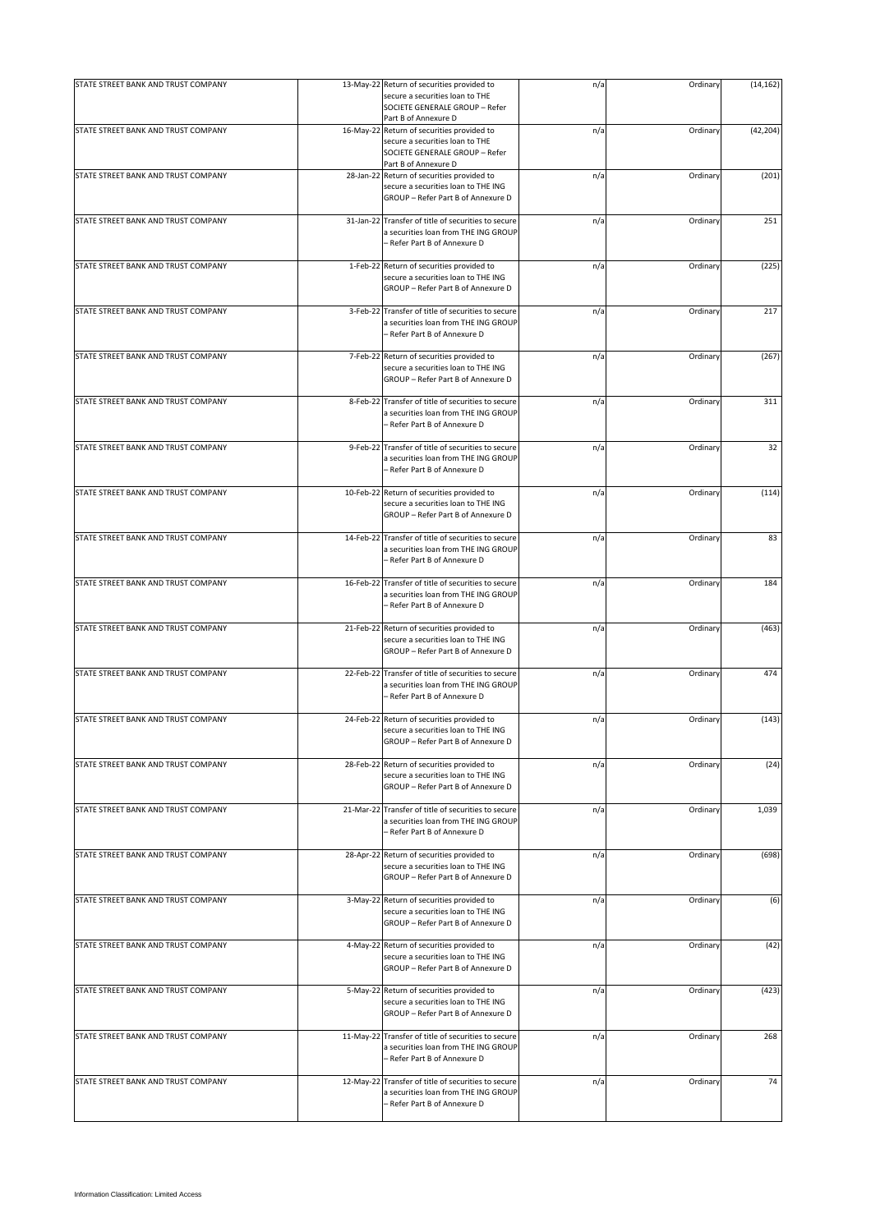| STATE STREET BANK AND TRUST COMPANY |           | 13-May-22 Return of securities provided to                                                                                              | n/a | Ordinary | (14, 162) |
|-------------------------------------|-----------|-----------------------------------------------------------------------------------------------------------------------------------------|-----|----------|-----------|
|                                     |           | secure a securities loan to THE<br>SOCIETE GENERALE GROUP - Refer<br>Part B of Annexure D                                               |     |          |           |
| STATE STREET BANK AND TRUST COMPANY |           | 16-May-22 Return of securities provided to<br>secure a securities loan to THE<br>SOCIETE GENERALE GROUP - Refer<br>Part B of Annexure D | n/a | Ordinary | (42, 204) |
| STATE STREET BANK AND TRUST COMPANY | 28-Jan-22 | Return of securities provided to<br>secure a securities loan to THE ING<br>GROUP - Refer Part B of Annexure D                           | n/a | Ordinary | (201)     |
| STATE STREET BANK AND TRUST COMPANY | 31-Jan-22 | Transfer of title of securities to secure<br>a securities loan from THE ING GROUP<br>– Refer Part B of Annexure D                       | n/a | Ordinary | 251       |
| STATE STREET BANK AND TRUST COMPANY |           | 1-Feb-22 Return of securities provided to<br>secure a securities loan to THE ING<br>GROUP - Refer Part B of Annexure D                  | n/a | Ordinary | (225)     |
| STATE STREET BANK AND TRUST COMPANY | 3-Feb-22  | Transfer of title of securities to secure<br>a securities loan from THE ING GROUP<br>- Refer Part B of Annexure D                       | n/a | Ordinary | 217       |
| STATE STREET BANK AND TRUST COMPANY |           | 7-Feb-22 Return of securities provided to<br>secure a securities loan to THE ING<br>GROUP - Refer Part B of Annexure D                  | n/a | Ordinary | (267)     |
| STATE STREET BANK AND TRUST COMPANY |           | 8-Feb-22 Transfer of title of securities to secure<br>a securities loan from THE ING GROUP<br>- Refer Part B of Annexure D              | n/a | Ordinary | 311       |
| STATE STREET BANK AND TRUST COMPANY | 9-Feb-22  | Transfer of title of securities to secure<br>a securities loan from THE ING GROUP<br>- Refer Part B of Annexure D                       | n/a | Ordinary | 32        |
| STATE STREET BANK AND TRUST COMPANY |           | 10-Feb-22 Return of securities provided to<br>secure a securities loan to THE ING<br>GROUP - Refer Part B of Annexure D                 | n/a | Ordinary | (114)     |
| STATE STREET BANK AND TRUST COMPANY |           | 14-Feb-22 Transfer of title of securities to secure<br>a securities loan from THE ING GROUP<br>- Refer Part B of Annexure D             | n/a | Ordinary | 83        |
| STATE STREET BANK AND TRUST COMPANY |           | 16-Feb-22 Transfer of title of securities to secure<br>a securities loan from THE ING GROUP<br>– Refer Part B of Annexure D             | n/a | Ordinary | 184       |
| STATE STREET BANK AND TRUST COMPANY | 21-Feb-22 | Return of securities provided to<br>secure a securities loan to THE ING<br>GROUP - Refer Part B of Annexure D                           | n/a | Ordinary | (463)     |
| STATE STREET BANK AND TRUST COMPANY |           | 22-Feb-22 Transfer of title of securities to secure<br>a securities loan from THE ING GROUP<br>- Refer Part B of Annexure D             | n/a | Ordinary | 474       |
| STATE STREET BANK AND TRUST COMPANY |           | 24-Feb-22 Return of securities provided to<br>secure a securities loan to THE ING<br>GROUP - Refer Part B of Annexure D                 | n/a | Ordinary | (143)     |
| STATE STREET BANK AND TRUST COMPANY | 28-Feb-22 | Return of securities provided to<br>secure a securities loan to THE ING<br>GROUP - Refer Part B of Annexure D                           | n/a | Ordinary | (24)      |
| STATE STREET BANK AND TRUST COMPANY | 21-Mar-22 | Transfer of title of securities to secure<br>a securities loan from THE ING GROUP<br>- Refer Part B of Annexure D                       | n/a | Ordinary | 1,039     |
| STATE STREET BANK AND TRUST COMPANY |           | 28-Apr-22 Return of securities provided to<br>secure a securities loan to THE ING<br>GROUP - Refer Part B of Annexure D                 | n/a | Ordinary | (698)     |
| STATE STREET BANK AND TRUST COMPANY | 3-May-22  | Return of securities provided to<br>secure a securities loan to THE ING<br>GROUP - Refer Part B of Annexure D                           | n/a | Ordinary | (6)       |
| STATE STREET BANK AND TRUST COMPANY |           | 4-May-22 Return of securities provided to<br>secure a securities loan to THE ING<br>GROUP - Refer Part B of Annexure D                  | n/a | Ordinary | (42)      |
| STATE STREET BANK AND TRUST COMPANY | 5-May-22  | Return of securities provided to<br>secure a securities loan to THE ING<br>GROUP - Refer Part B of Annexure D                           | n/a | Ordinary | (423)     |
| STATE STREET BANK AND TRUST COMPANY | 11-May-22 | Transfer of title of securities to secure<br>a securities loan from THE ING GROUP<br>- Refer Part B of Annexure D                       | n/a | Ordinary | 268       |
| STATE STREET BANK AND TRUST COMPANY | 12-May-22 | Transfer of title of securities to secure<br>a securities loan from THE ING GROUP<br>- Refer Part B of Annexure D                       | n/a | Ordinary | 74        |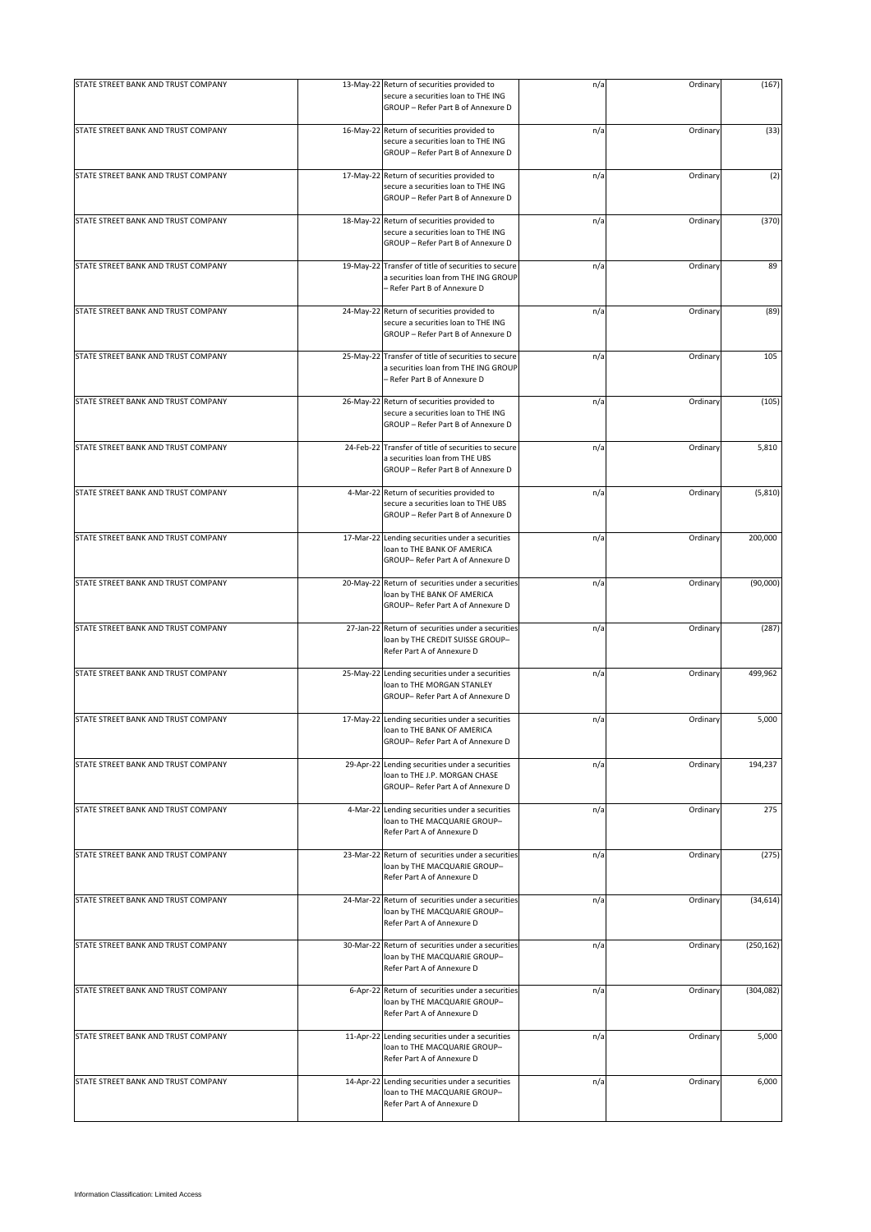| STATE STREET BANK AND TRUST COMPANY |           | 13-May-22 Return of securities provided to                                                                                  | n/a | Ordinary | (167)      |
|-------------------------------------|-----------|-----------------------------------------------------------------------------------------------------------------------------|-----|----------|------------|
|                                     |           | secure a securities loan to THE ING<br>GROUP - Refer Part B of Annexure D                                                   |     |          |            |
| STATE STREET BANK AND TRUST COMPANY |           | 16-May-22 Return of securities provided to<br>secure a securities loan to THE ING<br>GROUP - Refer Part B of Annexure D     | n/a | Ordinary | (33)       |
| STATE STREET BANK AND TRUST COMPANY |           | 17-May-22 Return of securities provided to<br>secure a securities loan to THE ING<br>GROUP - Refer Part B of Annexure D     | n/a | Ordinary | (2)        |
| STATE STREET BANK AND TRUST COMPANY | 18-May-22 | Return of securities provided to<br>secure a securities loan to THE ING<br>GROUP - Refer Part B of Annexure D               | n/a | Ordinary | (370)      |
| STATE STREET BANK AND TRUST COMPANY | 19-May-22 | Transfer of title of securities to secure<br>a securities loan from THE ING GROUP<br>- Refer Part B of Annexure D           | n/a | Ordinary | 89         |
| STATE STREET BANK AND TRUST COMPANY |           | 24-May-22 Return of securities provided to<br>secure a securities loan to THE ING<br>GROUP - Refer Part B of Annexure D     | n/a | Ordinary | (89)       |
| STATE STREET BANK AND TRUST COMPANY |           | 25-May-22 Transfer of title of securities to secure<br>a securities loan from THE ING GROUP<br>- Refer Part B of Annexure D | n/a | Ordinary | 105        |
| STATE STREET BANK AND TRUST COMPANY |           | 26-May-22 Return of securities provided to<br>secure a securities loan to THE ING<br>GROUP - Refer Part B of Annexure D     | n/a | Ordinary | (105)      |
| STATE STREET BANK AND TRUST COMPANY |           | 24-Feb-22 Transfer of title of securities to secure<br>a securities loan from THE UBS<br>GROUP - Refer Part B of Annexure D | n/a | Ordinary | 5,810      |
| STATE STREET BANK AND TRUST COMPANY |           | 4-Mar-22 Return of securities provided to<br>secure a securities loan to THE UBS<br>GROUP - Refer Part B of Annexure D      | n/a | Ordinary | (5, 810)   |
| STATE STREET BANK AND TRUST COMPANY |           | 17-Mar-22 Lending securities under a securities<br>loan to THE BANK OF AMERICA<br>GROUP- Refer Part A of Annexure D         | n/a | Ordinary | 200,000    |
| STATE STREET BANK AND TRUST COMPANY |           | 20-May-22 Return of securities under a securities<br>loan by THE BANK OF AMERICA<br>GROUP- Refer Part A of Annexure D       | n/a | Ordinary | (90,000)   |
| STATE STREET BANK AND TRUST COMPANY |           | 27-Jan-22 Return of securities under a securities<br>loan by THE CREDIT SUISSE GROUP-<br>Refer Part A of Annexure D         | n/a | Ordinary | (287)      |
| STATE STREET BANK AND TRUST COMPANY |           | 25-May-22 Lending securities under a securities<br>loan to THE MORGAN STANLEY<br>GROUP- Refer Part A of Annexure D          | n/a | Ordinary | 499,962    |
| STATE STREET BANK AND TRUST COMPANY |           | 17-May-22 Lending securities under a securities<br>loan to THE BANK OF AMERICA<br>GROUP- Refer Part A of Annexure D         | n/a | Ordinary | 5,000      |
| STATE STREET BANK AND TRUST COMPANY |           | 29-Apr-22 Lending securities under a securities<br>loan to THE J.P. MORGAN CHASE<br>GROUP- Refer Part A of Annexure D       | n/a | Ordinary | 194,237    |
| STATE STREET BANK AND TRUST COMPANY |           | 4-Mar-22 Lending securities under a securities<br>loan to THE MACQUARIE GROUP-<br>Refer Part A of Annexure D                | n/a | Ordinary | 275        |
| STATE STREET BANK AND TRUST COMPANY |           | 23-Mar-22 Return of securities under a securities<br>loan by THE MACQUARIE GROUP-<br>Refer Part A of Annexure D             | n/a | Ordinary | (275)      |
| STATE STREET BANK AND TRUST COMPANY |           | 24-Mar-22 Return of securities under a securities<br>loan by THE MACQUARIE GROUP-<br>Refer Part A of Annexure D             | n/a | Ordinary | (34, 614)  |
| STATE STREET BANK AND TRUST COMPANY |           | 30-Mar-22 Return of securities under a securities<br>loan by THE MACQUARIE GROUP-<br>Refer Part A of Annexure D             | n/a | Ordinary | (250, 162) |
| STATE STREET BANK AND TRUST COMPANY |           | 6-Apr-22 Return of securities under a securities<br>loan by THE MACQUARIE GROUP-<br>Refer Part A of Annexure D              | n/a | Ordinary | (304, 082) |
| STATE STREET BANK AND TRUST COMPANY |           | 11-Apr-22 Lending securities under a securities<br>loan to THE MACQUARIE GROUP-<br>Refer Part A of Annexure D               | n/a | Ordinary | 5,000      |
| STATE STREET BANK AND TRUST COMPANY |           | 14-Apr-22 Lending securities under a securities<br>loan to THE MACQUARIE GROUP-<br>Refer Part A of Annexure D               | n/a | Ordinary | 6,000      |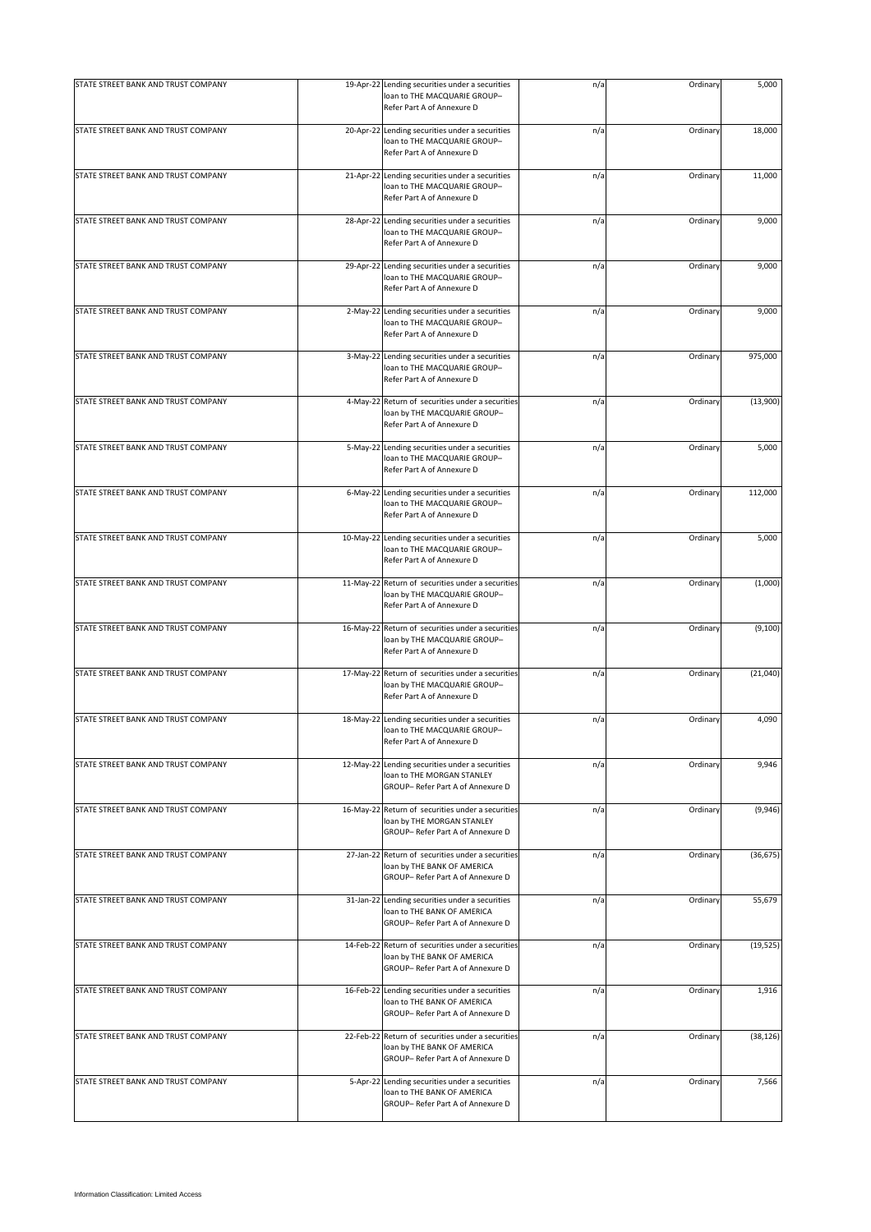| STATE STREET BANK AND TRUST COMPANY |           | 19-Apr-22 Lending securities under a securities<br>loan to THE MACQUARIE GROUP-<br>Refer Part A of Annexure D         | n/a | Ordinary | 5,000     |
|-------------------------------------|-----------|-----------------------------------------------------------------------------------------------------------------------|-----|----------|-----------|
| STATE STREET BANK AND TRUST COMPANY |           | 20-Apr-22 Lending securities under a securities<br>loan to THE MACQUARIE GROUP-<br>Refer Part A of Annexure D         | n/a | Ordinary | 18,000    |
| STATE STREET BANK AND TRUST COMPANY |           | 21-Apr-22 Lending securities under a securities<br>loan to THE MACQUARIE GROUP-<br>Refer Part A of Annexure D         | n/a | Ordinary | 11,000    |
| STATE STREET BANK AND TRUST COMPANY | 28-Apr-22 | Lending securities under a securities<br>loan to THE MACQUARIE GROUP-<br>Refer Part A of Annexure D                   | n/a | Ordinary | 9,000     |
| STATE STREET BANK AND TRUST COMPANY |           | 29-Apr-22 Lending securities under a securities<br>loan to THE MACQUARIE GROUP-<br>Refer Part A of Annexure D         | n/a | Ordinary | 9,000     |
| STATE STREET BANK AND TRUST COMPANY |           | 2-May-22 Lending securities under a securities<br>loan to THE MACQUARIE GROUP-<br>Refer Part A of Annexure D          | n/a | Ordinary | 9,000     |
| STATE STREET BANK AND TRUST COMPANY |           | 3-May-22 Lending securities under a securities<br>loan to THE MACQUARIE GROUP-<br>Refer Part A of Annexure D          | n/a | Ordinary | 975,000   |
| STATE STREET BANK AND TRUST COMPANY | 4-May-22  | Return of securities under a securities<br>loan by THE MACQUARIE GROUP-<br>Refer Part A of Annexure D                 | n/a | Ordinary | (13,900)  |
| STATE STREET BANK AND TRUST COMPANY |           | 5-May-22 Lending securities under a securities<br>loan to THE MACQUARIE GROUP-<br>Refer Part A of Annexure D          | n/a | Ordinary | 5,000     |
| STATE STREET BANK AND TRUST COMPANY |           | 6-May-22 Lending securities under a securities<br>loan to THE MACQUARIE GROUP-<br>Refer Part A of Annexure D          | n/a | Ordinary | 112,000   |
| STATE STREET BANK AND TRUST COMPANY | 10-May-22 | Lending securities under a securities<br>loan to THE MACQUARIE GROUP-<br>Refer Part A of Annexure D                   | n/a | Ordinary | 5,000     |
| STATE STREET BANK AND TRUST COMPANY |           | 11-May-22 Return of securities under a securities<br>loan by THE MACQUARIE GROUP-<br>Refer Part A of Annexure D       | n/a | Ordinary | (1,000)   |
| STATE STREET BANK AND TRUST COMPANY |           | 16-May-22 Return of securities under a securities<br>loan by THE MACQUARIE GROUP-<br>Refer Part A of Annexure D       | n/a | Ordinary | (9, 100)  |
| STATE STREET BANK AND TRUST COMPANY |           | 17-May-22 Return of securities under a securities<br>loan by THE MACQUARIE GROUP-<br>Refer Part A of Annexure D       | n/a | Ordinary | (21,040)  |
| STATE STREET BANK AND TRUST COMPANY |           | 18-May-22 Lending securities under a securities<br>loan to THE MACQUARIE GROUP-<br>Refer Part A of Annexure D         | n/a | Ordinary | 4,090     |
| STATE STREET BANK AND TRUST COMPANY |           | 12-May-22 Lending securities under a securities<br>loan to THE MORGAN STANLEY<br>GROUP- Refer Part A of Annexure D    | n/a | Ordinary | 9,946     |
| STATE STREET BANK AND TRUST COMPANY |           | 16-May-22 Return of securities under a securities<br>loan by THE MORGAN STANLEY<br>GROUP- Refer Part A of Annexure D  | n/a | Ordinary | (9,946)   |
| STATE STREET BANK AND TRUST COMPANY |           | 27-Jan-22 Return of securities under a securities<br>loan by THE BANK OF AMERICA<br>GROUP- Refer Part A of Annexure D | n/a | Ordinary | (36, 675) |
| STATE STREET BANK AND TRUST COMPANY |           | 31-Jan-22 Lending securities under a securities<br>loan to THE BANK OF AMERICA<br>GROUP- Refer Part A of Annexure D   | n/a | Ordinary | 55,679    |
| STATE STREET BANK AND TRUST COMPANY |           | 14-Feb-22 Return of securities under a securities<br>loan by THE BANK OF AMERICA<br>GROUP- Refer Part A of Annexure D | n/a | Ordinary | (19, 525) |
| STATE STREET BANK AND TRUST COMPANY |           | 16-Feb-22 Lending securities under a securities<br>loan to THE BANK OF AMERICA<br>GROUP- Refer Part A of Annexure D   | n/a | Ordinary | 1,916     |
| STATE STREET BANK AND TRUST COMPANY | 22-Feb-22 | Return of securities under a securities<br>loan by THE BANK OF AMERICA<br>GROUP- Refer Part A of Annexure D           | n/a | Ordinary | (38, 126) |
| STATE STREET BANK AND TRUST COMPANY |           | 5-Apr-22 Lending securities under a securities<br>loan to THE BANK OF AMERICA<br>GROUP- Refer Part A of Annexure D    | n/a | Ordinary | 7,566     |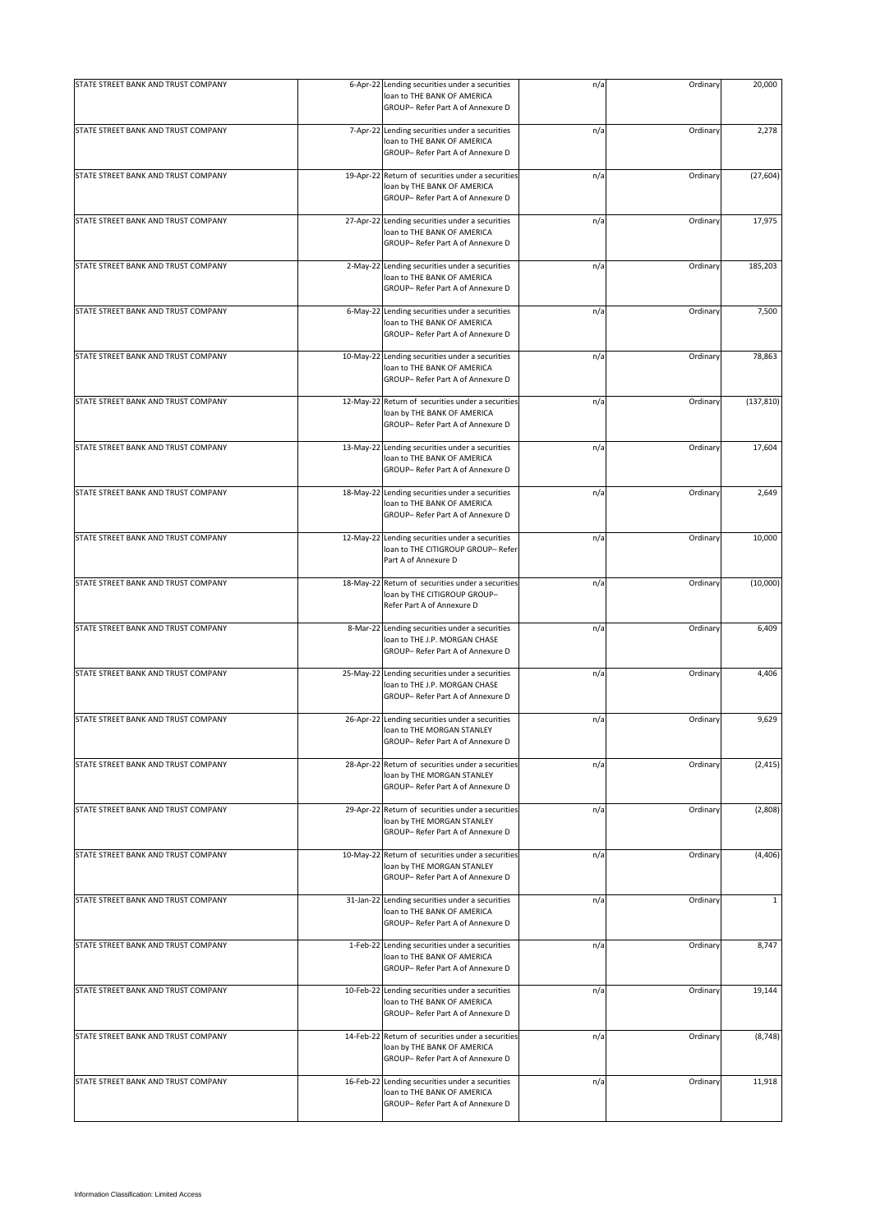| STATE STREET BANK AND TRUST COMPANY |           | 6-Apr-22 Lending securities under a securities<br>loan to THE BANK OF AMERICA<br>GROUP- Refer Part A of Annexure D    | n/a | Ordinary | 20,000       |
|-------------------------------------|-----------|-----------------------------------------------------------------------------------------------------------------------|-----|----------|--------------|
| STATE STREET BANK AND TRUST COMPANY |           | 7-Apr-22 Lending securities under a securities<br>loan to THE BANK OF AMERICA<br>GROUP- Refer Part A of Annexure D    | n/a | Ordinary | 2,278        |
| STATE STREET BANK AND TRUST COMPANY |           | 19-Apr-22 Return of securities under a securities<br>loan by THE BANK OF AMERICA<br>GROUP- Refer Part A of Annexure D | n/a | Ordinary | (27, 604)    |
| STATE STREET BANK AND TRUST COMPANY |           | 27-Apr-22 Lending securities under a securities<br>loan to THE BANK OF AMERICA<br>GROUP- Refer Part A of Annexure D   | n/a | Ordinary | 17,975       |
| STATE STREET BANK AND TRUST COMPANY |           | 2-May-22 Lending securities under a securities<br>loan to THE BANK OF AMERICA<br>GROUP- Refer Part A of Annexure D    | n/a | Ordinary | 185,203      |
| STATE STREET BANK AND TRUST COMPANY |           | 6-May-22 Lending securities under a securities<br>loan to THE BANK OF AMERICA<br>GROUP- Refer Part A of Annexure D    | n/a | Ordinary | 7,500        |
| STATE STREET BANK AND TRUST COMPANY |           | 10-May-22 Lending securities under a securities<br>loan to THE BANK OF AMERICA<br>GROUP- Refer Part A of Annexure D   | n/a | Ordinary | 78,863       |
| STATE STREET BANK AND TRUST COMPANY |           | 12-May-22 Return of securities under a securities<br>loan by THE BANK OF AMERICA<br>GROUP- Refer Part A of Annexure D | n/a | Ordinary | (137, 810)   |
| STATE STREET BANK AND TRUST COMPANY |           | 13-May-22 Lending securities under a securities<br>loan to THE BANK OF AMERICA<br>GROUP- Refer Part A of Annexure D   | n/a | Ordinary | 17,604       |
| STATE STREET BANK AND TRUST COMPANY |           | 18-May-22 Lending securities under a securities<br>loan to THE BANK OF AMERICA<br>GROUP- Refer Part A of Annexure D   | n/a | Ordinary | 2,649        |
| STATE STREET BANK AND TRUST COMPANY |           | 12-May-22 Lending securities under a securities<br>loan to THE CITIGROUP GROUP- Refer<br>Part A of Annexure D         | n/a | Ordinary | 10,000       |
| STATE STREET BANK AND TRUST COMPANY |           | 18-May-22 Return of securities under a securities<br>loan by THE CITIGROUP GROUP-<br>Refer Part A of Annexure D       | n/a | Ordinary | (10,000)     |
| STATE STREET BANK AND TRUST COMPANY | 8-Mar-22  | Lending securities under a securities<br>loan to THE J.P. MORGAN CHASE<br>GROUP- Refer Part A of Annexure D           | n/a | Ordinary | 6,409        |
| STATE STREET BANK AND TRUST COMPANY |           | 25-May-22 Lending securities under a securities<br>loan to THE J.P. MORGAN CHASE<br>GROUP-Refer Part A of Annexure D  | n/a | Ordinary | 4,406        |
| STATE STREET BANK AND TRUST COMPANY |           | 26-Apr-22 Lending securities under a securities<br>loan to THE MORGAN STANLEY<br>GROUP- Refer Part A of Annexure D    | n/a | Ordinary | 9,629        |
| STATE STREET BANK AND TRUST COMPANY | 28-Apr-22 | Return of securities under a securities<br>loan by THE MORGAN STANLEY<br>GROUP- Refer Part A of Annexure D            | n/a | Ordinary | (2, 415)     |
| STATE STREET BANK AND TRUST COMPANY |           | 29-Apr-22 Return of securities under a securities<br>loan by THE MORGAN STANLEY<br>GROUP- Refer Part A of Annexure D  | n/a | Ordinary | (2,808)      |
| STATE STREET BANK AND TRUST COMPANY |           | 10-May-22 Return of securities under a securities<br>loan by THE MORGAN STANLEY<br>GROUP- Refer Part A of Annexure D  | n/a | Ordinary | (4, 406)     |
| STATE STREET BANK AND TRUST COMPANY | 31-Jan-22 | Lending securities under a securities<br>loan to THE BANK OF AMERICA<br>GROUP-Refer Part A of Annexure D              | n/a | Ordinary | $\mathbf{1}$ |
| STATE STREET BANK AND TRUST COMPANY |           | 1-Feb-22 Lending securities under a securities<br>loan to THE BANK OF AMERICA<br>GROUP-Refer Part A of Annexure D     | n/a | Ordinary | 8,747        |
| STATE STREET BANK AND TRUST COMPANY |           | 10-Feb-22 Lending securities under a securities<br>loan to THE BANK OF AMERICA<br>GROUP- Refer Part A of Annexure D   | n/a | Ordinary | 19,144       |
| STATE STREET BANK AND TRUST COMPANY |           | 14-Feb-22 Return of securities under a securities<br>loan by THE BANK OF AMERICA<br>GROUP-Refer Part A of Annexure D  | n/a | Ordinary | (8, 748)     |
| STATE STREET BANK AND TRUST COMPANY |           | 16-Feb-22 Lending securities under a securities<br>loan to THE BANK OF AMERICA<br>GROUP-Refer Part A of Annexure D    | n/a | Ordinary | 11,918       |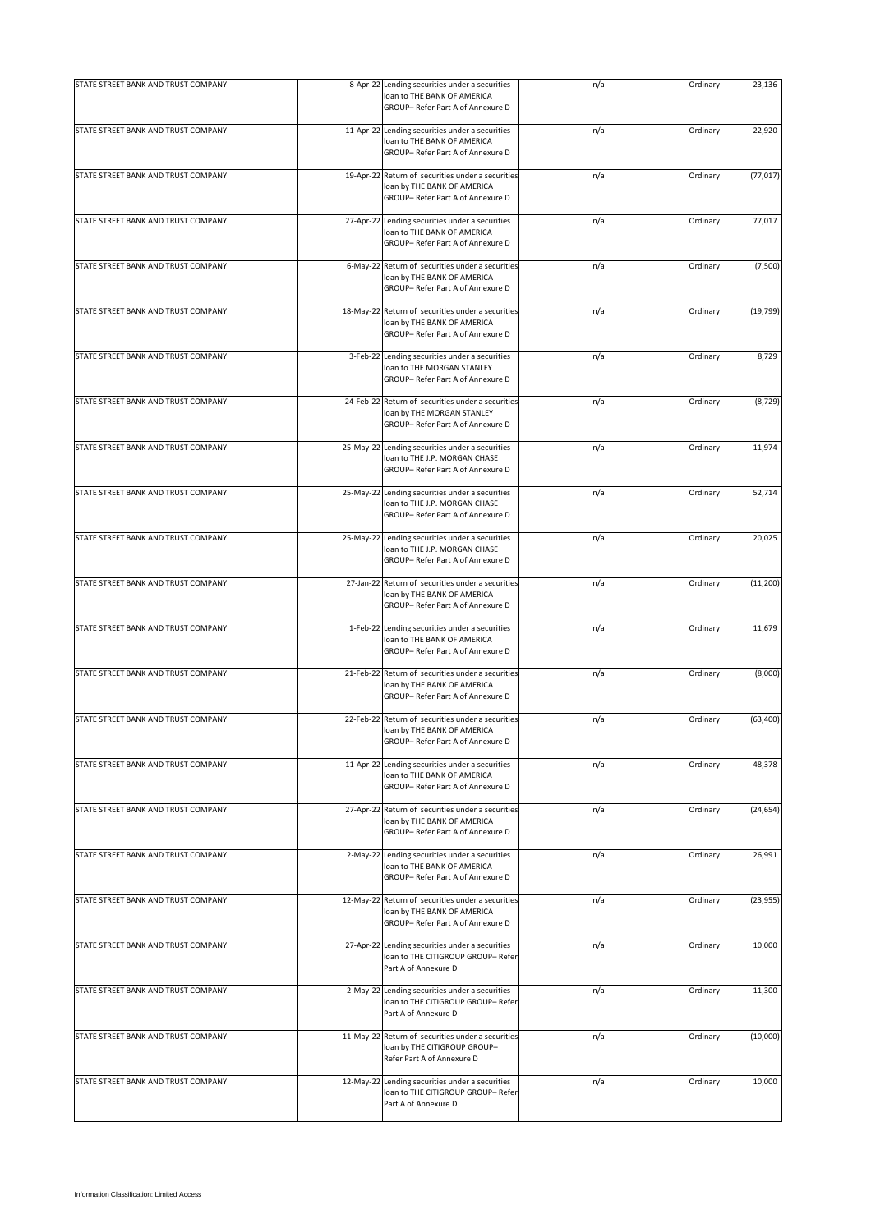| STATE STREET BANK AND TRUST COMPANY |            | 8-Apr-22 Lending securities under a securities<br>loan to THE BANK OF AMERICA<br>GROUP- Refer Part A of Annexure D    | n/a | Ordinary | 23,136    |
|-------------------------------------|------------|-----------------------------------------------------------------------------------------------------------------------|-----|----------|-----------|
| STATE STREET BANK AND TRUST COMPANY |            | 11-Apr-22 Lending securities under a securities<br>loan to THE BANK OF AMERICA<br>GROUP- Refer Part A of Annexure D   | n/a | Ordinary | 22,920    |
| STATE STREET BANK AND TRUST COMPANY | 19-Apr-22  | Return of securities under a securities<br>loan by THE BANK OF AMERICA<br>GROUP-Refer Part A of Annexure D            | n/a | Ordinary | (77, 017) |
| STATE STREET BANK AND TRUST COMPANY | 27-Apr-22  | Lending securities under a securities<br>loan to THE BANK OF AMERICA<br>GROUP- Refer Part A of Annexure D             | n/a | Ordinary | 77,017    |
| STATE STREET BANK AND TRUST COMPANY | $6-May-22$ | Return of securities under a securities<br>loan by THE BANK OF AMERICA<br>GROUP- Refer Part A of Annexure D           | n/a | Ordinary | (7,500)   |
| STATE STREET BANK AND TRUST COMPANY | 18-May-22  | Return of securities under a securities<br>loan by THE BANK OF AMERICA<br>GROUP-Refer Part A of Annexure D            | n/a | Ordinary | (19, 799) |
| STATE STREET BANK AND TRUST COMPANY | 3-Feb-22   | Lending securities under a securities<br>loan to THE MORGAN STANLEY<br>GROUP- Refer Part A of Annexure D              | n/a | Ordinary | 8,729     |
| STATE STREET BANK AND TRUST COMPANY | 24-Feb-22  | Return of securities under a securities<br>loan by THE MORGAN STANLEY<br>GROUP- Refer Part A of Annexure D            | n/a | Ordinary | (8, 729)  |
| STATE STREET BANK AND TRUST COMPANY | 25-May-22  | Lending securities under a securities<br>loan to THE J.P. MORGAN CHASE<br>GROUP-Refer Part A of Annexure D            | n/a | Ordinary | 11,974    |
| STATE STREET BANK AND TRUST COMPANY | 25-May-22  | Lending securities under a securities<br>loan to THE J.P. MORGAN CHASE<br>GROUP- Refer Part A of Annexure D           | n/a | Ordinary | 52,714    |
| STATE STREET BANK AND TRUST COMPANY | 25-May-22  | Lending securities under a securities<br>loan to THE J.P. MORGAN CHASE<br>GROUP- Refer Part A of Annexure D           | n/a | Ordinary | 20,025    |
| STATE STREET BANK AND TRUST COMPANY |            | 27-Jan-22 Return of securities under a securities<br>loan by THE BANK OF AMERICA<br>GROUP- Refer Part A of Annexure D | n/a | Ordinary | (11, 200) |
| STATE STREET BANK AND TRUST COMPANY | 1-Feb-22   | Lending securities under a securities<br>loan to THE BANK OF AMERICA<br>GROUP- Refer Part A of Annexure D             | n/a | Ordinary | 11,679    |
| STATE STREET BANK AND TRUST COMPANY |            | 21-Feb-22 Return of securities under a securities<br>loan by THE BANK OF AMERICA<br>GROUP-Refer Part A of Annexure D  | n/a | Ordinary | (8,000)   |
| STATE STREET BANK AND TRUST COMPANY |            | 22-Feb-22 Return of securities under a securities<br>loan by THE BANK OF AMERICA<br>GROUP- Refer Part A of Annexure D | n/a | Ordinary | (63, 400) |
| STATE STREET BANK AND TRUST COMPANY |            | 11-Apr-22 Lending securities under a securities<br>loan to THE BANK OF AMERICA<br>GROUP- Refer Part A of Annexure D   | n/a | Ordinary | 48,378    |
| STATE STREET BANK AND TRUST COMPANY | 27-Apr-22  | Return of securities under a securities<br>loan by THE BANK OF AMERICA<br>GROUP- Refer Part A of Annexure D           | n/a | Ordinary | (24, 654) |
| STATE STREET BANK AND TRUST COMPANY |            | 2-May-22 Lending securities under a securities<br>loan to THE BANK OF AMERICA<br>GROUP- Refer Part A of Annexure D    | n/a | Ordinary | 26,991    |
| STATE STREET BANK AND TRUST COMPANY | 12-May-22  | Return of securities under a securities<br>loan by THE BANK OF AMERICA<br>GROUP- Refer Part A of Annexure D           | n/a | Ordinary | (23, 955) |
| STATE STREET BANK AND TRUST COMPANY | 27-Apr-22  | Lending securities under a securities<br>loan to THE CITIGROUP GROUP- Refer<br>Part A of Annexure D                   | n/a | Ordinary | 10,000    |
| STATE STREET BANK AND TRUST COMPANY |            | 2-May-22 Lending securities under a securities<br>loan to THE CITIGROUP GROUP- Refer<br>Part A of Annexure D          | n/a | Ordinary | 11,300    |
| STATE STREET BANK AND TRUST COMPANY | 11-May-22  | Return of securities under a securities<br>loan by THE CITIGROUP GROUP-<br>Refer Part A of Annexure D                 | n/a | Ordinary | (10,000)  |
| STATE STREET BANK AND TRUST COMPANY | 12-May-22  | Lending securities under a securities<br>loan to THE CITIGROUP GROUP- Refer<br>Part A of Annexure D                   | n/a | Ordinary | 10,000    |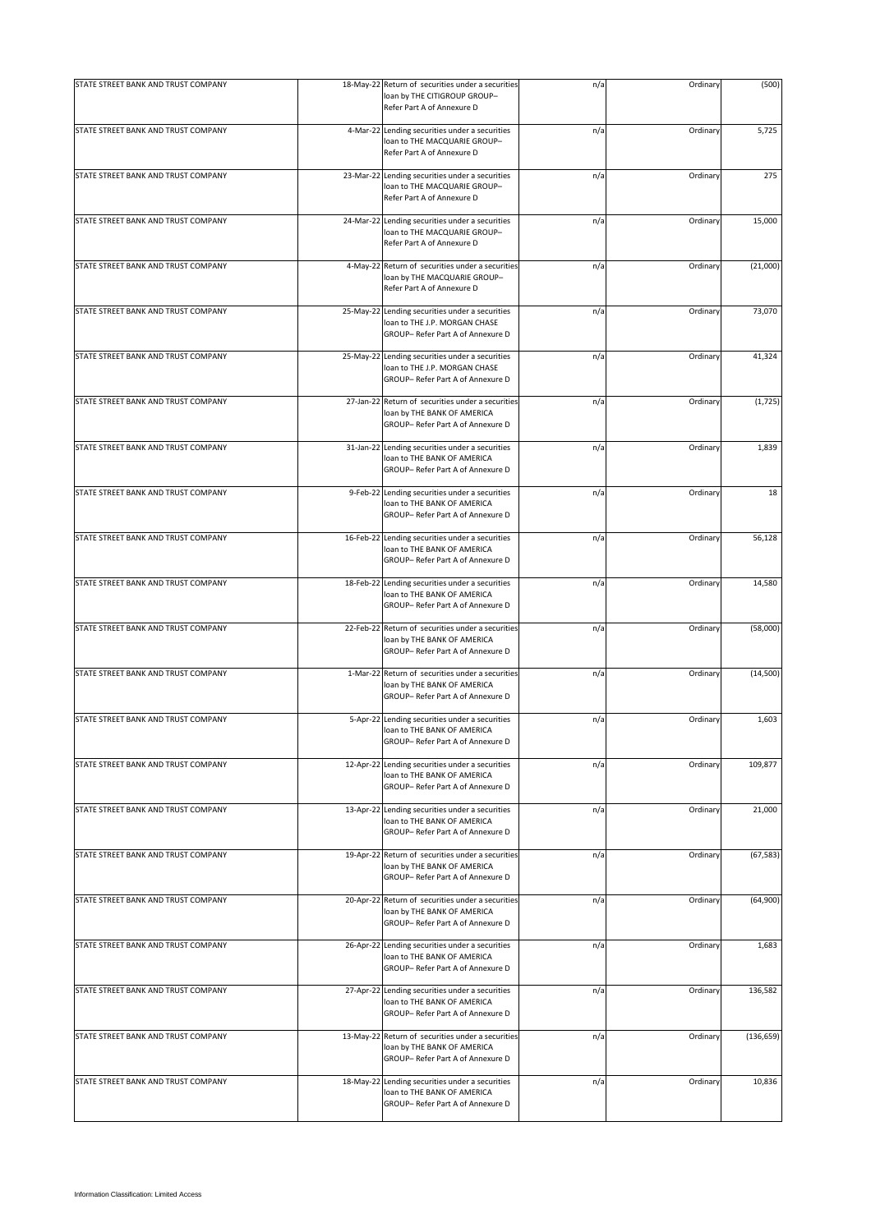| STATE STREET BANK AND TRUST COMPANY |           | 18-May-22 Return of securities under a securities<br>loan by THE CITIGROUP GROUP-<br>Refer Part A of Annexure D       | n/a | Ordinary | (500)      |
|-------------------------------------|-----------|-----------------------------------------------------------------------------------------------------------------------|-----|----------|------------|
| STATE STREET BANK AND TRUST COMPANY |           | 4-Mar-22 Lending securities under a securities<br>loan to THE MACQUARIE GROUP-<br>Refer Part A of Annexure D          | n/a | Ordinary | 5,725      |
| STATE STREET BANK AND TRUST COMPANY |           | 23-Mar-22 Lending securities under a securities<br>loan to THE MACQUARIE GROUP-<br>Refer Part A of Annexure D         | n/a | Ordinary | 275        |
| STATE STREET BANK AND TRUST COMPANY | 24-Mar-22 | Lending securities under a securities<br>loan to THE MACQUARIE GROUP-<br>Refer Part A of Annexure D                   | n/a | Ordinary | 15,000     |
| STATE STREET BANK AND TRUST COMPANY |           | 4-May-22 Return of securities under a securities<br>loan by THE MACQUARIE GROUP-<br>Refer Part A of Annexure D        | n/a | Ordinary | (21,000)   |
| STATE STREET BANK AND TRUST COMPANY |           | 25-May-22 Lending securities under a securities<br>loan to THE J.P. MORGAN CHASE<br>GROUP- Refer Part A of Annexure D | n/a | Ordinary | 73,070     |
| STATE STREET BANK AND TRUST COMPANY |           | 25-May-22 Lending securities under a securities<br>loan to THE J.P. MORGAN CHASE<br>GROUP- Refer Part A of Annexure D | n/a | Ordinary | 41,324     |
| STATE STREET BANK AND TRUST COMPANY |           | 27-Jan-22 Return of securities under a securities<br>loan by THE BANK OF AMERICA<br>GROUP- Refer Part A of Annexure D | n/a | Ordinary | (1, 725)   |
| STATE STREET BANK AND TRUST COMPANY |           | 31-Jan-22 Lending securities under a securities<br>loan to THE BANK OF AMERICA<br>GROUP- Refer Part A of Annexure D   | n/a | Ordinary | 1,839      |
| STATE STREET BANK AND TRUST COMPANY |           | 9-Feb-22 Lending securities under a securities<br>loan to THE BANK OF AMERICA<br>GROUP- Refer Part A of Annexure D    | n/a | Ordinary | 18         |
| STATE STREET BANK AND TRUST COMPANY | 16-Feb-22 | Lending securities under a securities<br>loan to THE BANK OF AMERICA<br>GROUP- Refer Part A of Annexure D             | n/a | Ordinary | 56,128     |
| STATE STREET BANK AND TRUST COMPANY |           | 18-Feb-22 Lending securities under a securities<br>loan to THE BANK OF AMERICA<br>GROUP- Refer Part A of Annexure D   | n/a | Ordinary | 14,580     |
| STATE STREET BANK AND TRUST COMPANY | 22-Feb-22 | Return of securities under a securities<br>loan by THE BANK OF AMERICA<br>GROUP- Refer Part A of Annexure D           | n/a | Ordinary | (58,000)   |
| STATE STREET BANK AND TRUST COMPANY |           | 1-Mar-22 Return of securities under a securities<br>loan by THE BANK OF AMERICA<br>GROUP- Refer Part A of Annexure D  | n/a | Ordinary | (14, 500)  |
| STATE STREET BANK AND TRUST COMPANY |           | 5-Apr-22 Lending securities under a securities<br>loan to THE BANK OF AMERICA<br>GROUP- Refer Part A of Annexure D    | n/a | Ordinary | 1,603      |
| STATE STREET BANK AND TRUST COMPANY |           | 12-Apr-22 Lending securities under a securities<br>loan to THE BANK OF AMERICA<br>GROUP- Refer Part A of Annexure D   | n/a | Ordinary | 109,877    |
| STATE STREET BANK AND TRUST COMPANY |           | 13-Apr-22 Lending securities under a securities<br>loan to THE BANK OF AMERICA<br>GROUP- Refer Part A of Annexure D   | n/a | Ordinary | 21,000     |
| STATE STREET BANK AND TRUST COMPANY |           | 19-Apr-22 Return of securities under a securities<br>loan by THE BANK OF AMERICA<br>GROUP- Refer Part A of Annexure D | n/a | Ordinary | (67, 583)  |
| STATE STREET BANK AND TRUST COMPANY |           | 20-Apr-22 Return of securities under a securities<br>loan by THE BANK OF AMERICA<br>GROUP- Refer Part A of Annexure D | n/a | Ordinary | (64,900)   |
| STATE STREET BANK AND TRUST COMPANY |           | 26-Apr-22 Lending securities under a securities<br>loan to THE BANK OF AMERICA<br>GROUP- Refer Part A of Annexure D   | n/a | Ordinary | 1,683      |
| STATE STREET BANK AND TRUST COMPANY |           | 27-Apr-22 Lending securities under a securities<br>loan to THE BANK OF AMERICA<br>GROUP- Refer Part A of Annexure D   | n/a | Ordinary | 136,582    |
| STATE STREET BANK AND TRUST COMPANY | 13-May-22 | Return of securities under a securities<br>loan by THE BANK OF AMERICA<br>GROUP-Refer Part A of Annexure D            | n/a | Ordinary | (136, 659) |
| STATE STREET BANK AND TRUST COMPANY | 18-May-22 | Lending securities under a securities<br>loan to THE BANK OF AMERICA<br>GROUP- Refer Part A of Annexure D             | n/a | Ordinary | 10,836     |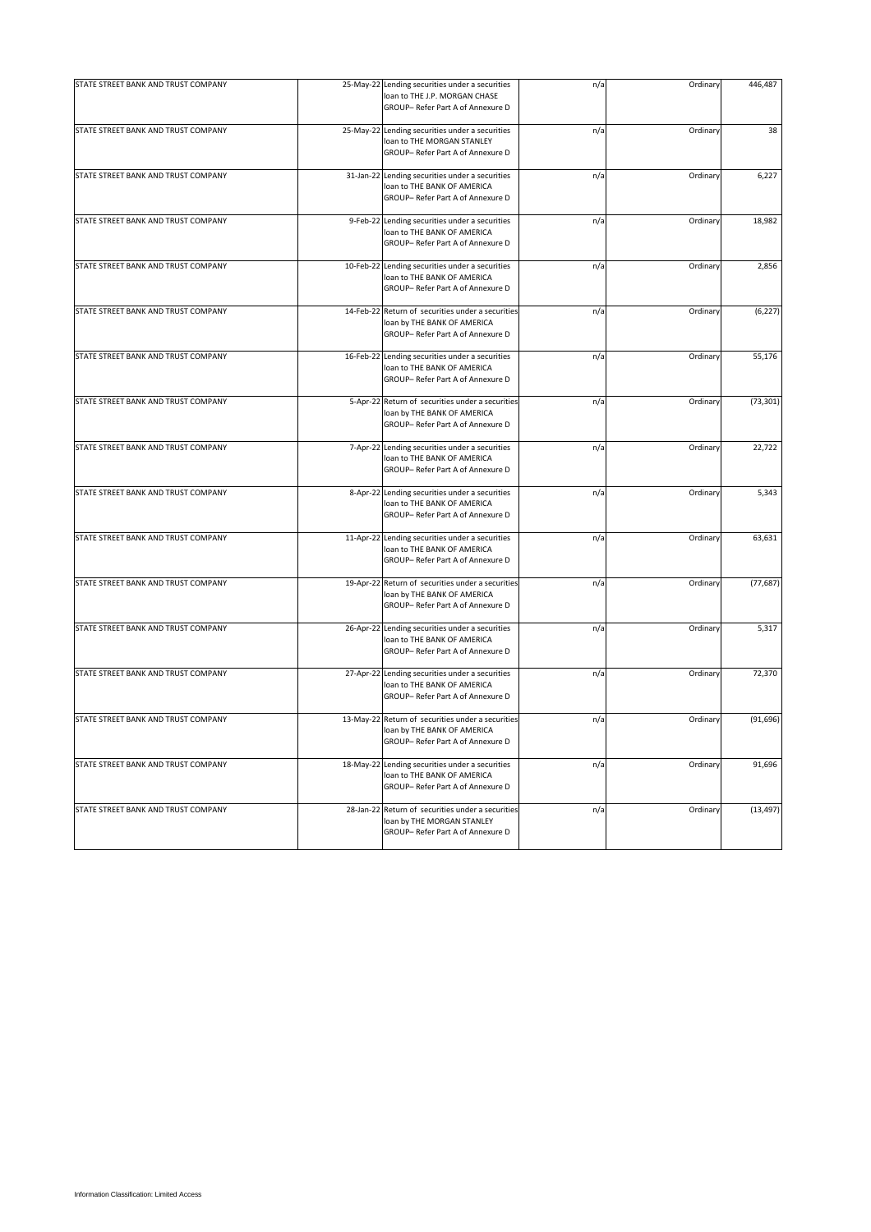| STATE STREET BANK AND TRUST COMPANY |           | 25-May-22 Lending securities under a securities<br>loan to THE J.P. MORGAN CHASE<br>GROUP-Refer Part A of Annexure D  | n/a | Ordinary | 446,487   |
|-------------------------------------|-----------|-----------------------------------------------------------------------------------------------------------------------|-----|----------|-----------|
| STATE STREET BANK AND TRUST COMPANY |           | 25-May-22 Lending securities under a securities<br>loan to THE MORGAN STANLEY<br>GROUP- Refer Part A of Annexure D    | n/a | Ordinary | 38        |
| STATE STREET BANK AND TRUST COMPANY |           | 31-Jan-22 Lending securities under a securities<br>loan to THE BANK OF AMERICA<br>GROUP- Refer Part A of Annexure D   | n/a | Ordinary | 6,227     |
| STATE STREET BANK AND TRUST COMPANY |           | 9-Feb-22 Lending securities under a securities<br>loan to THE BANK OF AMERICA<br>GROUP-Refer Part A of Annexure D     | n/a | Ordinary | 18,982    |
| STATE STREET BANK AND TRUST COMPANY | 10-Feb-22 | Lending securities under a securities<br>loan to THE BANK OF AMERICA<br>GROUP- Refer Part A of Annexure D             | n/a | Ordinary | 2,856     |
| STATE STREET BANK AND TRUST COMPANY |           | 14-Feb-22 Return of securities under a securities<br>loan by THE BANK OF AMERICA<br>GROUP- Refer Part A of Annexure D | n/a | Ordinary | (6, 227)  |
| STATE STREET BANK AND TRUST COMPANY |           | 16-Feb-22 Lending securities under a securities<br>loan to THE BANK OF AMERICA<br>GROUP- Refer Part A of Annexure D   | n/a | Ordinary | 55,176    |
| STATE STREET BANK AND TRUST COMPANY |           | 5-Apr-22 Return of securities under a securities<br>loan by THE BANK OF AMERICA<br>GROUP- Refer Part A of Annexure D  | n/a | Ordinary | (73, 301) |
| STATE STREET BANK AND TRUST COMPANY |           | 7-Apr-22 Lending securities under a securities<br>loan to THE BANK OF AMERICA<br>GROUP- Refer Part A of Annexure D    | n/a | Ordinary | 22,722    |
| STATE STREET BANK AND TRUST COMPANY |           | 8-Apr-22 Lending securities under a securities<br>loan to THE BANK OF AMERICA<br>GROUP- Refer Part A of Annexure D    | n/a | Ordinary | 5,343     |
| STATE STREET BANK AND TRUST COMPANY |           | 11-Apr-22 Lending securities under a securities<br>loan to THE BANK OF AMERICA<br>GROUP- Refer Part A of Annexure D   | n/a | Ordinary | 63,631    |
| STATE STREET BANK AND TRUST COMPANY |           | 19-Apr-22 Return of securities under a securities<br>loan by THE BANK OF AMERICA<br>GROUP-Refer Part A of Annexure D  | n/a | Ordinary | (77, 687) |
| STATE STREET BANK AND TRUST COMPANY |           | 26-Apr-22 Lending securities under a securities<br>loan to THE BANK OF AMERICA<br>GROUP- Refer Part A of Annexure D   | n/a | Ordinary | 5,317     |
| STATE STREET BANK AND TRUST COMPANY |           | 27-Apr-22 Lending securities under a securities<br>loan to THE BANK OF AMERICA<br>GROUP- Refer Part A of Annexure D   | n/a | Ordinary | 72,370    |
| STATE STREET BANK AND TRUST COMPANY |           | 13-May-22 Return of securities under a securities<br>loan by THE BANK OF AMERICA<br>GROUP- Refer Part A of Annexure D | n/a | Ordinary | (91, 696) |
| STATE STREET BANK AND TRUST COMPANY |           | 18-May-22 Lending securities under a securities<br>loan to THE BANK OF AMERICA<br>GROUP- Refer Part A of Annexure D   | n/a | Ordinary | 91,696    |
| STATE STREET BANK AND TRUST COMPANY |           | 28-Jan-22 Return of securities under a securities<br>loan by THE MORGAN STANLEY<br>GROUP- Refer Part A of Annexure D  | n/a | Ordinary | (13, 497) |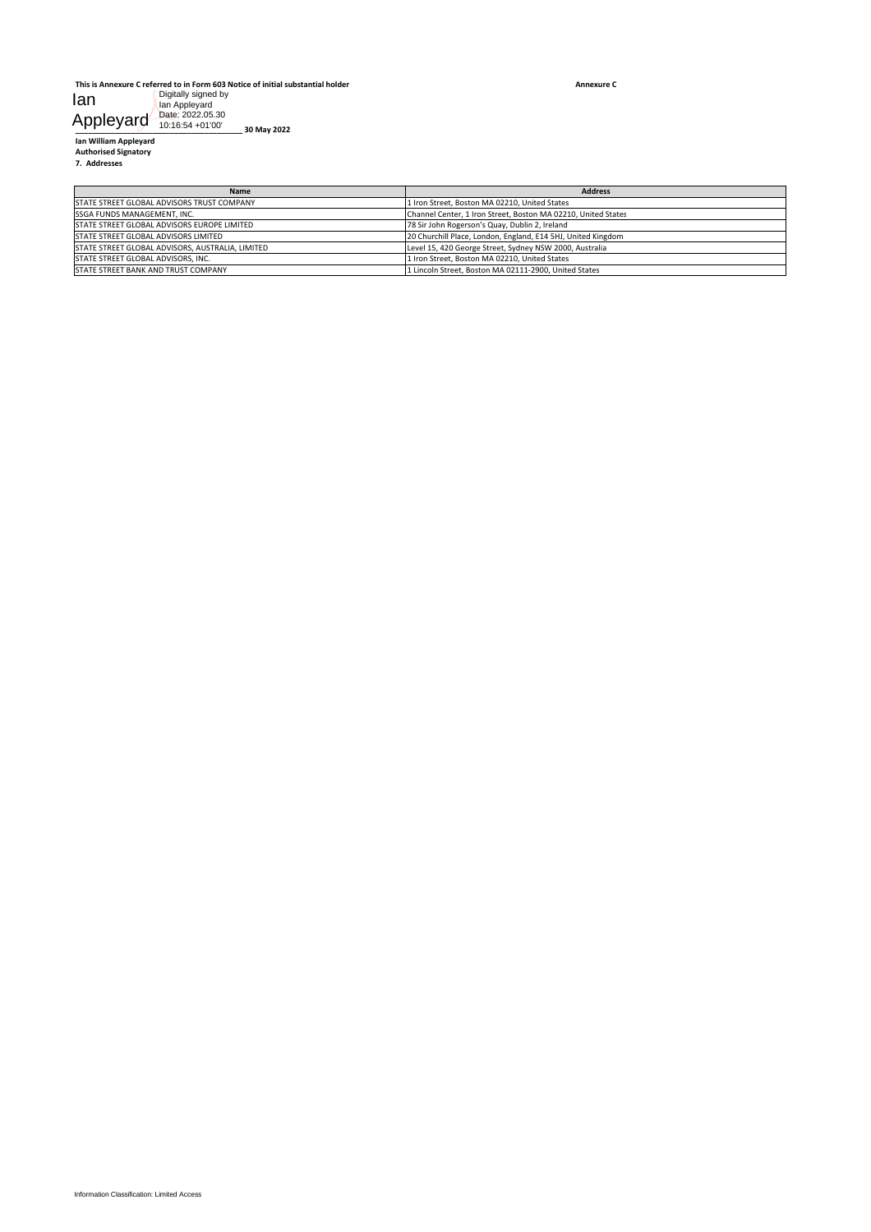| lan                                         | Digitally signed by<br>lan Appleyard                |                                                                                                                |
|---------------------------------------------|-----------------------------------------------------|----------------------------------------------------------------------------------------------------------------|
| Appleyard                                   | Date: 2022.05.30<br>10:16:54 +01'00'<br>30 May 2022 |                                                                                                                |
| Ian William Appleyard                       |                                                     |                                                                                                                |
| <b>Authorised Signatory</b><br>7. Addresses |                                                     |                                                                                                                |
|                                             |                                                     |                                                                                                                |
|                                             | Name<br>STATE STREET GLOBAL ADVISORS TRUST COMPANY  | <b>Address</b><br>1 Iron Street, Boston MA 02210, United States                                                |
| SSGA FUNDS MANAGEMENT, INC.                 | STATE STREET GLOBAL ADVISORS EUROPE LIMITED         | Channel Center, 1 Iron Street, Boston MA 02210, United States                                                  |
| STATE STREET GLOBAL ADVISORS LIMITED        |                                                     | 78 Sir John Rogerson's Quay, Dublin 2, Ireland<br>20 Churchill Place, London, England, E14 5HJ, United Kingdom |
| STATE STREET GLOBAL ADVISORS, INC.          | STATE STREET GLOBAL ADVISORS, AUSTRALIA, LIMITED    | Level 15, 420 George Street, Sydney NSW 2000, Australia<br>1 Iron Street, Boston MA 02210, United States       |
| STATE STREET BANK AND TRUST COMPANY         |                                                     | 1 Lincoln Street, Boston MA 02111-2900, United States                                                          |
|                                             |                                                     |                                                                                                                |
|                                             |                                                     |                                                                                                                |
|                                             |                                                     |                                                                                                                |
|                                             |                                                     |                                                                                                                |
|                                             |                                                     |                                                                                                                |
|                                             |                                                     |                                                                                                                |
|                                             |                                                     |                                                                                                                |
|                                             |                                                     |                                                                                                                |
|                                             |                                                     |                                                                                                                |
|                                             |                                                     |                                                                                                                |
|                                             |                                                     |                                                                                                                |
|                                             |                                                     |                                                                                                                |
|                                             |                                                     |                                                                                                                |
|                                             |                                                     |                                                                                                                |
|                                             |                                                     |                                                                                                                |
|                                             |                                                     |                                                                                                                |
|                                             |                                                     |                                                                                                                |
|                                             |                                                     |                                                                                                                |
|                                             |                                                     |                                                                                                                |
|                                             |                                                     |                                                                                                                |
|                                             |                                                     |                                                                                                                |
|                                             |                                                     |                                                                                                                |
|                                             |                                                     |                                                                                                                |
|                                             |                                                     |                                                                                                                |
|                                             |                                                     |                                                                                                                |
|                                             |                                                     |                                                                                                                |
|                                             |                                                     |                                                                                                                |
|                                             |                                                     |                                                                                                                |
|                                             |                                                     |                                                                                                                |
|                                             |                                                     |                                                                                                                |
|                                             |                                                     |                                                                                                                |
|                                             |                                                     |                                                                                                                |
|                                             |                                                     |                                                                                                                |
|                                             |                                                     |                                                                                                                |
|                                             |                                                     |                                                                                                                |
|                                             |                                                     |                                                                                                                |
|                                             |                                                     |                                                                                                                |
|                                             |                                                     |                                                                                                                |
|                                             |                                                     |                                                                                                                |
|                                             |                                                     |                                                                                                                |
|                                             |                                                     |                                                                                                                |
|                                             |                                                     |                                                                                                                |
|                                             |                                                     |                                                                                                                |
|                                             |                                                     |                                                                                                                |
|                                             |                                                     |                                                                                                                |
|                                             |                                                     |                                                                                                                |
|                                             |                                                     |                                                                                                                |
|                                             |                                                     |                                                                                                                |
|                                             |                                                     |                                                                                                                |
|                                             |                                                     |                                                                                                                |
|                                             |                                                     |                                                                                                                |
|                                             |                                                     |                                                                                                                |
| Information Classification: Limited Access  |                                                     |                                                                                                                |